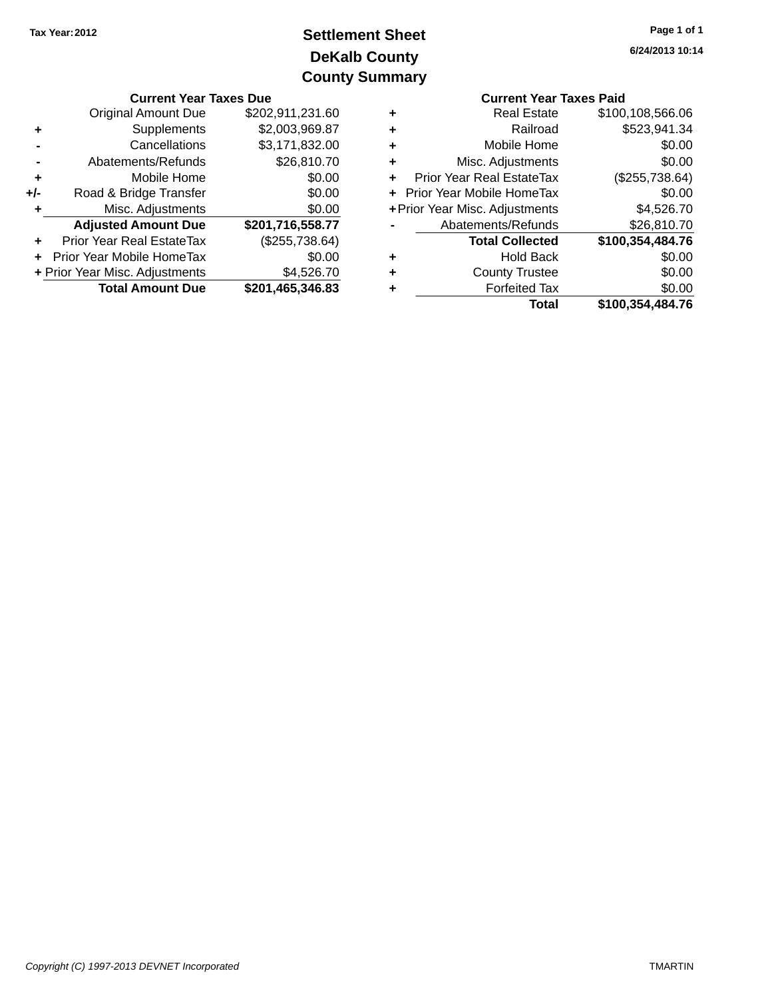# **DeKalb County Settlement Sheet Tax Year:2012 County Summary**

|       | <b>Current Year Taxes Due</b>  |                  |   | <b>Current Year Taxes Paid</b>   |                  |
|-------|--------------------------------|------------------|---|----------------------------------|------------------|
|       | <b>Original Amount Due</b>     | \$202,911,231.60 | ٠ | <b>Real Estate</b>               | \$100,108,566.06 |
|       | Supplements                    | \$2,003,969.87   | ٠ | Railroad                         | \$523,941.34     |
|       | Cancellations                  | \$3,171,832.00   | ٠ | Mobile Home                      | \$0.00           |
|       | Abatements/Refunds             | \$26,810.70      | ÷ | Misc. Adjustments                | \$0.00           |
| ٠     | Mobile Home                    | \$0.00           | ٠ | <b>Prior Year Real EstateTax</b> | (\$255,738.64)   |
| $+/-$ | Road & Bridge Transfer         | \$0.00           |   | + Prior Year Mobile HomeTax      | \$0.00           |
|       | Misc. Adjustments              | \$0.00           |   | + Prior Year Misc. Adjustments   | \$4,526.70       |
|       | <b>Adjusted Amount Due</b>     | \$201,716,558.77 |   | Abatements/Refunds               | \$26,810.70      |
| ÷     | Prior Year Real EstateTax      | (\$255,738.64)   |   | <b>Total Collected</b>           | \$100,354,484.76 |
|       | + Prior Year Mobile HomeTax    | \$0.00           | ٠ | <b>Hold Back</b>                 | \$0.00           |
|       | + Prior Year Misc. Adjustments | \$4,526.70       | ٠ | <b>County Trustee</b>            | \$0.00           |
|       | <b>Total Amount Due</b>        | \$201,465,346.83 | ٠ | <b>Forfeited Tax</b>             | \$0.00           |
|       |                                |                  |   | Total                            | \$100 354 484 76 |

|   | <b>Current Year Taxes Paid</b> |                  |
|---|--------------------------------|------------------|
| ٠ | <b>Real Estate</b>             | \$100,108,566.06 |
| ÷ | Railroad                       | \$523,941.34     |
|   | Mobile Home                    | \$0.00           |
| ٠ | Misc. Adjustments              | \$0.00           |
|   | Prior Year Real EstateTax      | (\$255,738.64)   |
|   | Prior Year Mobile HomeTax      | \$0.00           |
|   | + Prior Year Misc. Adjustments | \$4,526.70       |
|   | Abatements/Refunds             | \$26,810.70      |
|   | <b>Total Collected</b>         | \$100,354,484.76 |
|   | <b>Hold Back</b>               | \$0.00           |
|   | <b>County Trustee</b>          | \$0.00           |
|   | <b>Forfeited Tax</b>           | \$0.00           |
|   | Total                          | \$100,354,484.76 |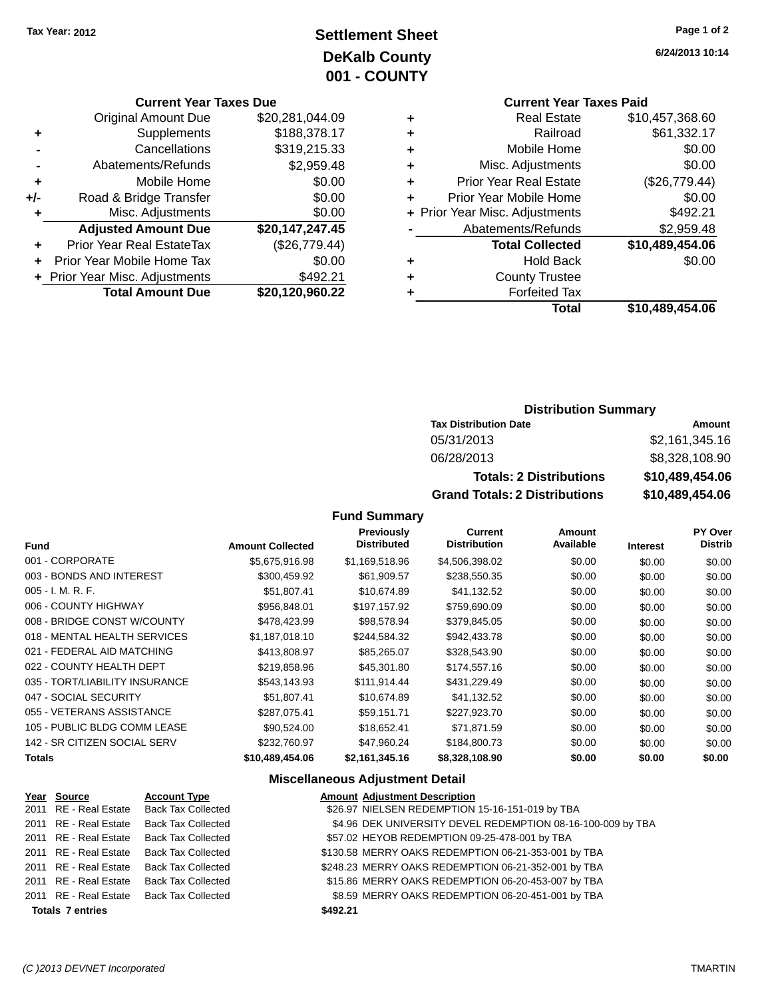# **Settlement Sheet Tax Year: 2012 Page 1 of 2 DeKalb County 001 - COUNTY**

#### **Current Year Taxes Due**

| <b>Original Amount Due</b>       | \$20,281,044.09 |
|----------------------------------|-----------------|
| Supplements                      | \$188,378.17    |
| Cancellations                    | \$319,215.33    |
| Abatements/Refunds               | \$2,959.48      |
| Mobile Home                      | \$0.00          |
| Road & Bridge Transfer           | \$0.00          |
| Misc. Adjustments                | \$0.00          |
| <b>Adjusted Amount Due</b>       | \$20,147,247.45 |
| <b>Prior Year Real EstateTax</b> | (\$26,779.44)   |
| Prior Year Mobile Home Tax       | \$0.00          |
| + Prior Year Misc. Adjustments   | \$492.21        |
| <b>Total Amount Due</b>          | \$20,120,960.22 |
|                                  |                 |

**6/24/2013 10:14**

# **Current Year Taxes Paid**

|   | <b>Real Estate</b>             | \$10,457,368.60 |
|---|--------------------------------|-----------------|
| ٠ | Railroad                       | \$61,332.17     |
| ٠ | Mobile Home                    | \$0.00          |
| ٠ | Misc. Adjustments              | \$0.00          |
| ٠ | <b>Prior Year Real Estate</b>  | (\$26,779.44)   |
| ٠ | Prior Year Mobile Home         | \$0.00          |
|   | + Prior Year Misc. Adjustments | \$492.21        |
|   | Abatements/Refunds             | \$2,959.48      |
|   | <b>Total Collected</b>         | \$10,489,454.06 |
| ٠ | <b>Hold Back</b>               | \$0.00          |
| ٠ | <b>County Trustee</b>          |                 |
|   | <b>Forfeited Tax</b>           |                 |
|   | Total                          | \$10,489,454.06 |
|   |                                |                 |

#### **Distribution Summary**

| <b>Tax Distribution Date</b>         | Amount          |
|--------------------------------------|-----------------|
| 05/31/2013                           | \$2,161,345.16  |
| 06/28/2013                           | \$8,328,108.90  |
| <b>Totals: 2 Distributions</b>       | \$10,489,454.06 |
| <b>Grand Totals: 2 Distributions</b> | \$10,489,454.06 |

### **Fund Summary**

| <b>Fund</b>                    | <b>Amount Collected</b> | Previously<br><b>Distributed</b> | <b>Current</b><br><b>Distribution</b> | Amount<br>Available | <b>Interest</b> | PY Over<br><b>Distrib</b> |
|--------------------------------|-------------------------|----------------------------------|---------------------------------------|---------------------|-----------------|---------------------------|
| 001 - CORPORATE                | \$5,675,916.98          | \$1,169,518.96                   | \$4,506,398.02                        | \$0.00              | \$0.00          | \$0.00                    |
| 003 - BONDS AND INTEREST       | \$300,459.92            | \$61,909.57                      | \$238,550.35                          | \$0.00              | \$0.00          | \$0.00                    |
| $005 - I. M. R. F.$            | \$51,807.41             | \$10,674.89                      | \$41,132.52                           | \$0.00              | \$0.00          | \$0.00                    |
| 006 - COUNTY HIGHWAY           | \$956,848.01            | \$197,157.92                     | \$759,690.09                          | \$0.00              | \$0.00          | \$0.00                    |
| 008 - BRIDGE CONST W/COUNTY    | \$478,423.99            | \$98.578.94                      | \$379,845.05                          | \$0.00              | \$0.00          | \$0.00                    |
| 018 - MENTAL HEALTH SERVICES   | \$1.187.018.10          | \$244.584.32                     | \$942,433.78                          | \$0.00              | \$0.00          | \$0.00                    |
| 021 - FEDERAL AID MATCHING     | \$413,808.97            | \$85,265.07                      | \$328,543.90                          | \$0.00              | \$0.00          | \$0.00                    |
| 022 - COUNTY HEALTH DEPT       | \$219,858.96            | \$45,301.80                      | \$174,557.16                          | \$0.00              | \$0.00          | \$0.00                    |
| 035 - TORT/LIABILITY INSURANCE | \$543,143.93            | \$111,914.44                     | \$431,229.49                          | \$0.00              | \$0.00          | \$0.00                    |
| 047 - SOCIAL SECURITY          | \$51,807.41             | \$10,674.89                      | \$41,132.52                           | \$0.00              | \$0.00          | \$0.00                    |
| 055 - VETERANS ASSISTANCE      | \$287.075.41            | \$59.151.71                      | \$227,923,70                          | \$0.00              | \$0.00          | \$0.00                    |
| 105 - PUBLIC BLDG COMM LEASE   | \$90.524.00             | \$18,652.41                      | \$71,871.59                           | \$0.00              | \$0.00          | \$0.00                    |
| 142 - SR CITIZEN SOCIAL SERV   | \$232,760.97            | \$47.960.24                      | \$184,800.73                          | \$0.00              | \$0.00          | \$0.00                    |
| <b>Totals</b>                  | \$10,489,454.06         | \$2,161,345.16                   | \$8,328,108.90                        | \$0.00              | \$0.00          | \$0.00                    |

#### **Miscellaneous Adjustment Detail**

|                         | <u>Year Source</u> | <b>Account Type</b>                      | <b>Amount Adjustment Description</b>                        |
|-------------------------|--------------------|------------------------------------------|-------------------------------------------------------------|
|                         |                    | 2011 RE - Real Estate Back Tax Collected | \$26.97 NIELSEN REDEMPTION 15-16-151-019 by TBA             |
|                         |                    | 2011 RE - Real Estate Back Tax Collected | \$4.96 DEK UNIVERSITY DEVEL REDEMPTION 08-16-100-009 by TBA |
|                         |                    | 2011 RE - Real Estate Back Tax Collected | \$57.02 HEYOB REDEMPTION 09-25-478-001 by TBA               |
|                         |                    | 2011 RE - Real Estate Back Tax Collected | \$130.58 MERRY OAKS REDEMPTION 06-21-353-001 by TBA         |
|                         |                    | 2011 RE - Real Estate Back Tax Collected | \$248.23 MERRY OAKS REDEMPTION 06-21-352-001 by TBA         |
|                         |                    | 2011 RE - Real Estate Back Tax Collected | \$15.86 MERRY OAKS REDEMPTION 06-20-453-007 by TBA          |
|                         |                    | 2011 RE - Real Estate Back Tax Collected | \$8.59 MERRY OAKS REDEMPTION 06-20-451-001 by TBA           |
| <b>Totals 7 entries</b> |                    |                                          | \$492.21                                                    |
|                         |                    |                                          |                                                             |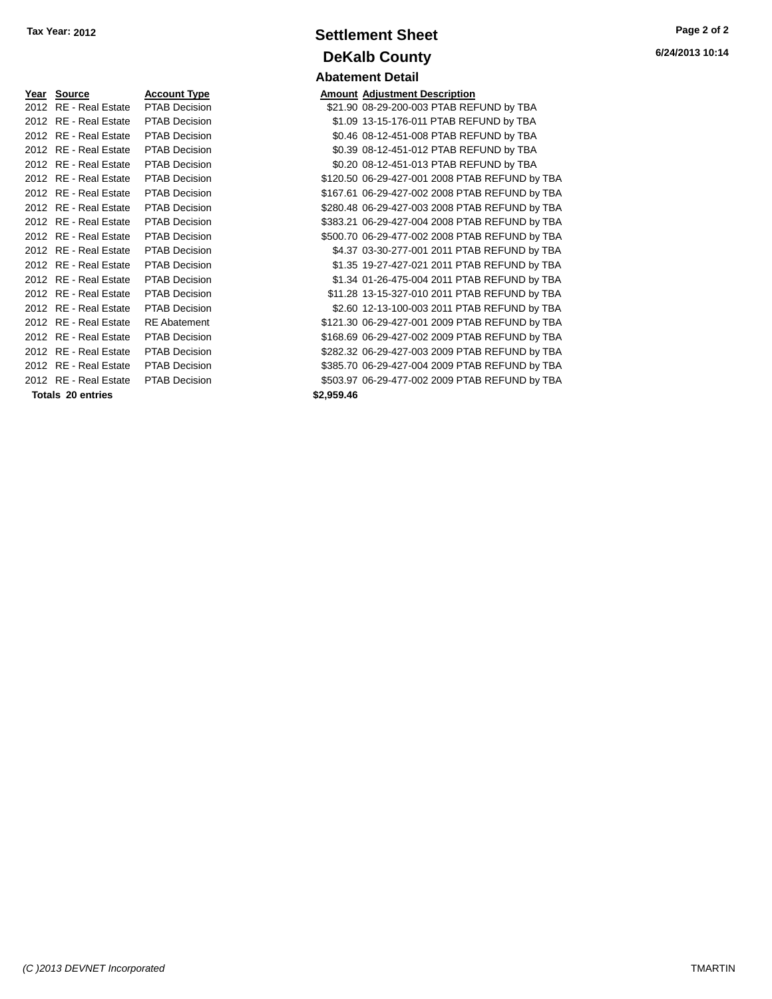| <b>Amount Adjustment Description</b><br>\$21.90 08-29-200-003 PTAB REI<br>\$1.09 13-15-176-011 PTAB REF<br>\$0.46 08-12-451-008 PTAB REI<br>\$0.39 08-12-451-012 PTAB REI<br>\$0.20 08-12-451-013 PTAB REI<br>\$120.50 06-29-427-001 2008 PTA |
|-----------------------------------------------------------------------------------------------------------------------------------------------------------------------------------------------------------------------------------------------|
|                                                                                                                                                                                                                                               |
|                                                                                                                                                                                                                                               |
|                                                                                                                                                                                                                                               |
|                                                                                                                                                                                                                                               |
|                                                                                                                                                                                                                                               |
|                                                                                                                                                                                                                                               |
|                                                                                                                                                                                                                                               |
| \$167.61 06-29-427-002 2008 PTA                                                                                                                                                                                                               |
| \$280.48 06-29-427-003 2008 PTA                                                                                                                                                                                                               |
| \$383.21 06-29-427-004 2008 PTA                                                                                                                                                                                                               |
| \$500.70 06-29-477-002 2008 PTA                                                                                                                                                                                                               |
| \$4.37 03-30-277-001 2011 PTA                                                                                                                                                                                                                 |
| \$1.35 19-27-427-021 2011 PTA                                                                                                                                                                                                                 |
| \$1.34 01-26-475-004 2011 PTA                                                                                                                                                                                                                 |
| \$11.28 13-15-327-010 2011 PTA                                                                                                                                                                                                                |
| \$2.60 12-13-100-003 2011 PTA                                                                                                                                                                                                                 |
| \$121.30 06-29-427-001 2009 PTA                                                                                                                                                                                                               |
| \$168.69 06-29-427-002 2009 PTA                                                                                                                                                                                                               |
| \$282.32 06-29-427-003 2009 PTA                                                                                                                                                                                                               |
| \$385.70 06-29-427-004 2009 PTA                                                                                                                                                                                                               |
| \$503.97 06-29-477-002 2009 PTA                                                                                                                                                                                                               |
| \$2,959.46                                                                                                                                                                                                                                    |
|                                                                                                                                                                                                                                               |

# **Settlement Sheet Tax Year: 2012 Page 2 of 2 DeKalb County Abatement Detail**

**6/24/2013 10:14**

| Year Source              | <b>Account Type</b>  |            | <b>Amount Adjustment Description</b>           |
|--------------------------|----------------------|------------|------------------------------------------------|
| 2012 RE - Real Estate    | PTAB Decision        |            | \$21.90 08-29-200-003 PTAB REFUND by TBA       |
| 2012 RE - Real Estate    | <b>PTAB Decision</b> |            | \$1.09 13-15-176-011 PTAB REFUND by TBA        |
| 2012 RE - Real Estate    | PTAB Decision        |            | \$0.46 08-12-451-008 PTAB REFUND by TBA        |
| 2012 RE - Real Estate    | PTAB Decision        |            | \$0.39 08-12-451-012 PTAB REFUND by TBA        |
| 2012 RE - Real Estate    | <b>PTAB Decision</b> |            | \$0.20 08-12-451-013 PTAB REFUND by TBA        |
| 2012 RE - Real Estate    | PTAB Decision        |            | \$120.50 06-29-427-001 2008 PTAB REFUND by TBA |
| 2012 RE - Real Estate    | PTAB Decision        |            | \$167.61 06-29-427-002 2008 PTAB REFUND by TBA |
| 2012 RE - Real Estate    | <b>PTAB Decision</b> |            | \$280.48 06-29-427-003 2008 PTAB REFUND by TBA |
| 2012 RE - Real Estate    | PTAB Decision        |            | \$383.21 06-29-427-004 2008 PTAB REFUND by TBA |
| 2012 RE - Real Estate    | PTAB Decision        |            | \$500.70 06-29-477-002 2008 PTAB REFUND by TBA |
| 2012 RE - Real Estate    | <b>PTAB Decision</b> |            | \$4.37 03-30-277-001 2011 PTAB REFUND by TBA   |
| 2012 RE - Real Estate    | <b>PTAB Decision</b> |            | \$1.35 19-27-427-021 2011 PTAB REFUND by TBA   |
| 2012 RE - Real Estate    | <b>PTAB Decision</b> |            | \$1.34 01-26-475-004 2011 PTAB REFUND by TBA   |
| 2012 RE - Real Estate    | <b>PTAB Decision</b> |            | \$11.28 13-15-327-010 2011 PTAB REFUND by TBA  |
| 2012 RE - Real Estate    | <b>PTAB Decision</b> |            | \$2.60 12-13-100-003 2011 PTAB REFUND by TBA   |
| 2012 RE - Real Estate    | <b>RE</b> Abatement  |            | \$121.30 06-29-427-001 2009 PTAB REFUND by TBA |
| 2012 RE - Real Estate    | <b>PTAB Decision</b> |            | \$168.69 06-29-427-002 2009 PTAB REFUND by TBA |
| 2012 RE - Real Estate    | <b>PTAB Decision</b> |            | \$282.32 06-29-427-003 2009 PTAB REFUND by TBA |
| 2012 RE - Real Estate    | PTAB Decision        |            | \$385.70 06-29-427-004 2009 PTAB REFUND by TBA |
| 2012 RE - Real Estate    | <b>PTAB Decision</b> |            | \$503.97 06-29-477-002 2009 PTAB REFUND by TBA |
| <b>Totals 20 entries</b> |                      | \$2,959.46 |                                                |
|                          |                      |            |                                                |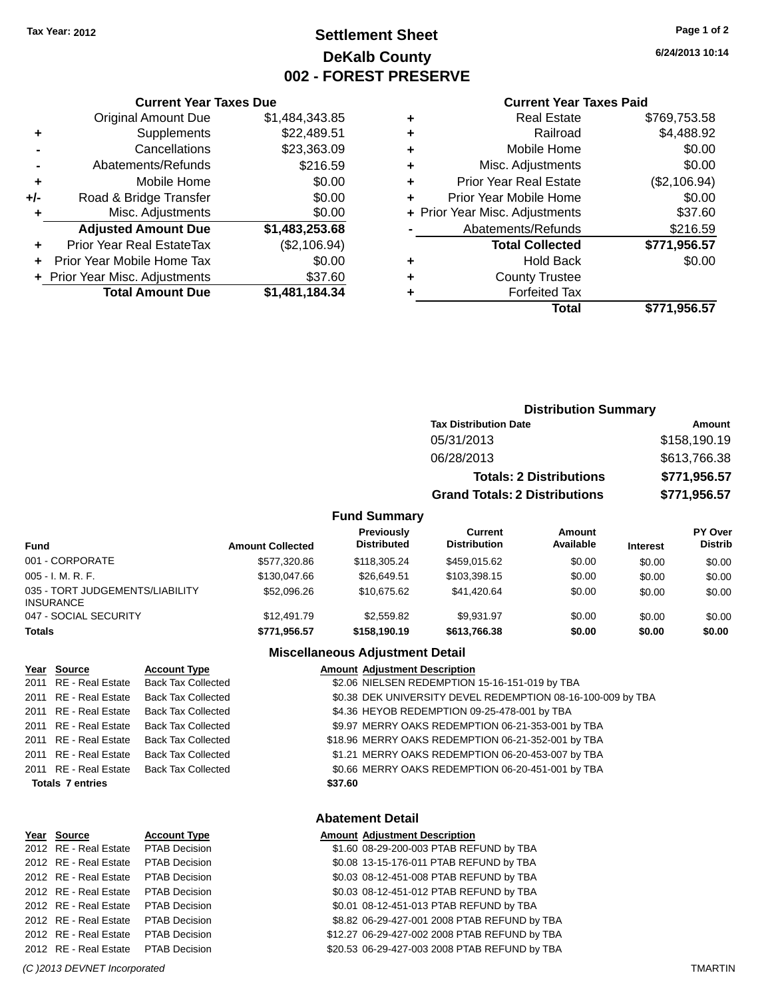# **Settlement Sheet Tax Year: 2012 Page 1 of 2 DeKalb County 002 - FOREST PRESERVE**

**6/24/2013 10:14**

#### **Current Year Taxes Paid**

|     | <b>Original Amount Due</b>       | \$1,484,343.85 |
|-----|----------------------------------|----------------|
| ٠   | Supplements                      | \$22,489.51    |
|     | Cancellations                    | \$23,363.09    |
|     | Abatements/Refunds               | \$216.59       |
| ٠   | Mobile Home                      | \$0.00         |
| +/- | Road & Bridge Transfer           | \$0.00         |
| ٠   | Misc. Adjustments                | \$0.00         |
|     | <b>Adjusted Amount Due</b>       | \$1,483,253.68 |
| ٠   | <b>Prior Year Real EstateTax</b> | (\$2,106.94)   |
| ÷   | Prior Year Mobile Home Tax       | \$0.00         |
|     | + Prior Year Misc. Adjustments   | \$37.60        |
|     | <b>Total Amount Due</b>          | \$1,481,184.34 |
|     |                                  |                |

**Current Year Taxes Due**

|   | <b>Real Estate</b>             | \$769,753.58 |
|---|--------------------------------|--------------|
| ٠ | Railroad                       | \$4,488.92   |
| ٠ | Mobile Home                    | \$0.00       |
| ٠ | Misc. Adjustments              | \$0.00       |
| ٠ | <b>Prior Year Real Estate</b>  | (\$2,106.94) |
| ÷ | Prior Year Mobile Home         | \$0.00       |
|   | + Prior Year Misc. Adjustments | \$37.60      |
|   | Abatements/Refunds             | \$216.59     |
|   | <b>Total Collected</b>         | \$771,956.57 |
| ٠ | <b>Hold Back</b>               | \$0.00       |
| ٠ | <b>County Trustee</b>          |              |
| ٠ | <b>Forfeited Tax</b>           |              |
|   | Total                          | \$771.956.57 |
|   |                                |              |

# **Distribution Summary Tax Distribution Date Amount** 05/31/2013 \$158,190.19 06/28/2013 \$613,766.38 **Totals: 2 Distributions \$771,956.57 Grand Totals: 2 Distributions \$771,956.57**

#### **Fund Summary**

| Fund                                                | <b>Amount Collected</b> | Previously<br><b>Distributed</b> | Current<br><b>Distribution</b> | Amount<br>Available | <b>Interest</b> | <b>PY Over</b><br><b>Distrib</b> |
|-----------------------------------------------------|-------------------------|----------------------------------|--------------------------------|---------------------|-----------------|----------------------------------|
| 001 - CORPORATE                                     | \$577.320.86            | \$118,305.24                     | \$459.015.62                   | \$0.00              | \$0.00          | \$0.00                           |
| $005 - I. M. R. F.$                                 | \$130,047.66            | \$26,649.51                      | \$103.398.15                   | \$0.00              | \$0.00          | \$0.00                           |
| 035 - TORT JUDGEMENTS/LIABILITY<br><b>INSURANCE</b> | \$52,096.26             | \$10,675,62                      | \$41,420.64                    | \$0.00              | \$0.00          | \$0.00                           |
| 047 - SOCIAL SECURITY                               | \$12,491.79             | \$2,559.82                       | \$9.931.97                     | \$0.00              | \$0.00          | \$0.00                           |
| <b>Totals</b>                                       | \$771.956.57            | \$158,190.19                     | \$613,766,38                   | \$0.00              | \$0.00          | \$0.00                           |

#### **Miscellaneous Adjustment Detail**

| Year Source             | <b>Account Type</b>       | <b>Amount Adjustment Description</b>                        |
|-------------------------|---------------------------|-------------------------------------------------------------|
| 2011 RE - Real Estate   | <b>Back Tax Collected</b> | \$2.06 NIELSEN REDEMPTION 15-16-151-019 by TBA              |
| 2011 RE - Real Estate   | <b>Back Tax Collected</b> | \$0.38 DEK UNIVERSITY DEVEL REDEMPTION 08-16-100-009 by TBA |
| 2011 RE - Real Estate   | <b>Back Tax Collected</b> | \$4.36 HEYOB REDEMPTION 09-25-478-001 by TBA                |
| 2011 RE - Real Estate   | <b>Back Tax Collected</b> | \$9.97 MERRY OAKS REDEMPTION 06-21-353-001 by TBA           |
| 2011 RE - Real Estate   | <b>Back Tax Collected</b> | \$18.96 MERRY OAKS REDEMPTION 06-21-352-001 by TBA          |
| 2011 RE - Real Estate   | <b>Back Tax Collected</b> | \$1.21 MERRY OAKS REDEMPTION 06-20-453-007 by TBA           |
| 2011 RE - Real Estate   | <b>Back Tax Collected</b> | \$0.66 MERRY OAKS REDEMPTION 06-20-451-001 by TBA           |
| <b>Totals 7 entries</b> |                           | \$37.60                                                     |
|                         |                           |                                                             |
|                         |                           |                                                             |

#### **Abatement Detail**

# **Year Source Account Type Amount Adjustment Description**

2012 RE - Real Estate \$1.60 08-29-200-003 PTAB REFUND by TBA PTAB Decision 2012 RE - Real Estate \$0.08 13-15-176-011 PTAB REFUND by TBA PTAB Decision 2012 RE - Real Estate \$0.03 08-12-451-008 PTAB REFUND by TBA PTAB Decision 2012 RE - Real Estate \$0.03 08-12-451-012 PTAB REFUND by TBA PTAB Decision 2012 RE - Real Estate \$0.01 08-12-451-013 PTAB REFUND by TBA PTAB Decision 2012 RE - Real Estate \$8.82 06-29-427-001 2008 PTAB REFUND by TBA PTAB Decision 2012 RE - Real Estate \$12.27 06-29-427-002 2008 PTAB REFUND by TBA PTAB Decision 2012 RE - Real Estate \$20.53 06-29-427-003 2008 PTAB REFUND by TBA PTAB Decision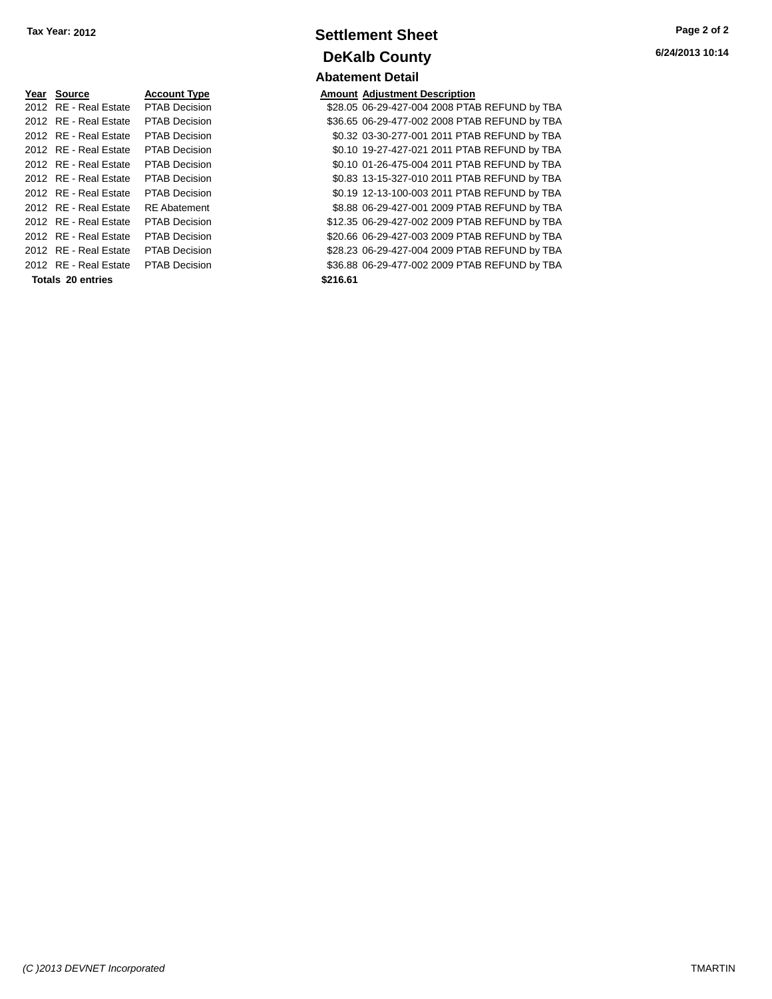| Year Source                         | <b>Account Type</b>  | <b>Amount</b> |
|-------------------------------------|----------------------|---------------|
| 2012 RE - Real Estate               | <b>PTAB Decision</b> | \$28.05       |
| 2012 RE - Real Estate               | <b>PTAB Decision</b> | \$36.65       |
| 2012 RE - Real Estate               | <b>PTAB Decision</b> | \$0.32        |
| 2012 RE - Real Estate               | <b>PTAB Decision</b> | \$0.10        |
| 2012 RE - Real Estate               | <b>PTAB Decision</b> | \$0.10        |
| 2012 RE - Real Estate               | <b>PTAB Decision</b> | \$0.83        |
| 2012 RE - Real Estate               | <b>PTAB Decision</b> | \$0.19        |
| 2012 RE - Real Estate               | <b>RE</b> Abatement  | \$8.88        |
| 2012 RE - Real Estate               | <b>PTAB Decision</b> | \$12.35       |
| 2012 RE - Real Estate               | <b>PTAB Decision</b> | \$20.66       |
| 2012 RE - Real Estate               | <b>PTAB Decision</b> | \$28.23       |
| 2012 RE - Real Estate PTAB Decision |                      | \$36.88       |
| Totals 20 entries                   |                      | \$216.61      |

# **Settlement Sheet Tax Year: 2012 Page 2 of 2 DeKalb County Abatement Detail**

**Amount Adjustment Description** \$28.05 06-29-427-004 2008 PTAB REFUND by TBA \$36.65 06-29-477-002 2008 PTAB REFUND by TBA \$0.32 03-30-277-001 2011 PTAB REFUND by TBA \$0.10 19-27-427-021 2011 PTAB REFUND by TBA \$0.10 01-26-475-004 2011 PTAB REFUND by TBA \$0.83 13-15-327-010 2011 PTAB REFUND by TBA \$0.19 12-13-100-003 2011 PTAB REFUND by TBA \$8.88 06-29-427-001 2009 PTAB REFUND by TBA \$12.35 06-29-427-002 2009 PTAB REFUND by TBA \$20.66 06-29-427-003 2009 PTAB REFUND by TBA \$28.23 06-29-427-004 2009 PTAB REFUND by TBA \$36.88 06-29-477-002 2009 PTAB REFUND by TBA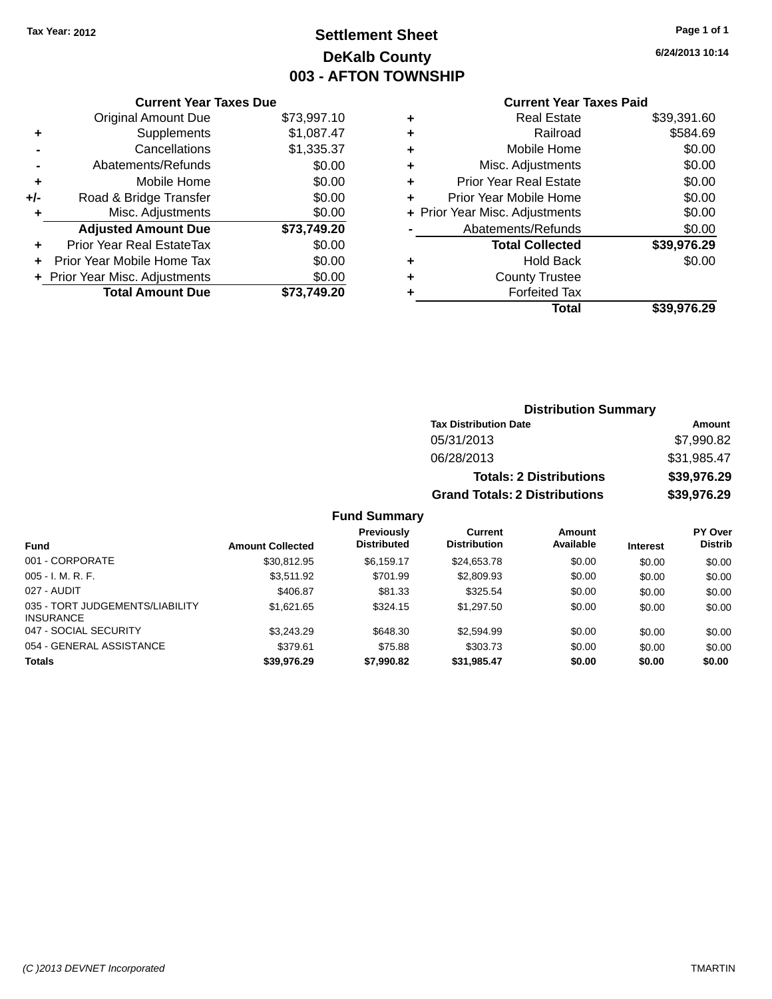# **Settlement Sheet Tax Year: 2012 Page 1 of 1 DeKalb County 003 - AFTON TOWNSHIP**

**6/24/2013 10:14**

| <b>Original Amount Due</b><br>\$73,997.10 |                               |  |  |  |  |
|-------------------------------------------|-------------------------------|--|--|--|--|
| Supplements                               | \$1,087.47                    |  |  |  |  |
| Cancellations                             | \$1,335.37                    |  |  |  |  |
| Abatements/Refunds                        | \$0.00                        |  |  |  |  |
| Mobile Home                               | \$0.00                        |  |  |  |  |
| Road & Bridge Transfer                    | \$0.00                        |  |  |  |  |
| Misc. Adjustments                         | \$0.00                        |  |  |  |  |
| <b>Adjusted Amount Due</b>                | \$73,749.20                   |  |  |  |  |
| Prior Year Real EstateTax                 | \$0.00                        |  |  |  |  |
| Prior Year Mobile Home Tax                | \$0.00                        |  |  |  |  |
| + Prior Year Misc. Adjustments            | \$0.00                        |  |  |  |  |
| <b>Total Amount Due</b>                   | \$73.749.20                   |  |  |  |  |
|                                           | <b>Current Year Taxes Due</b> |  |  |  |  |

## **Current Year Taxes Paid**

| ٠ | <b>Real Estate</b>             | \$39,391.60 |
|---|--------------------------------|-------------|
| ٠ | Railroad                       | \$584.69    |
| ٠ | Mobile Home                    | \$0.00      |
| ٠ | Misc. Adjustments              | \$0.00      |
| ٠ | <b>Prior Year Real Estate</b>  | \$0.00      |
| ٠ | Prior Year Mobile Home         | \$0.00      |
|   | + Prior Year Misc. Adjustments | \$0.00      |
|   | Abatements/Refunds             | \$0.00      |
|   | <b>Total Collected</b>         | \$39,976.29 |
| ٠ | <b>Hold Back</b>               | \$0.00      |
| ٠ | <b>County Trustee</b>          |             |
| ٠ | <b>Forfeited Tax</b>           |             |
|   | Total                          | \$39,976.29 |
|   |                                |             |

## **Distribution Summary Tax Distribution Date Amount** 05/31/2013 \$7,990.82 06/28/2013 \$31,985.47 **Totals: 2 Distributions \$39,976.29 Grand Totals: 2 Distributions \$39,976.29**

#### **Fund Summary**

| <b>Fund</b>                                         | <b>Amount Collected</b> | <b>Previously</b><br><b>Distributed</b> | Current<br><b>Distribution</b> | Amount<br>Available | <b>Interest</b> | <b>PY Over</b><br><b>Distrib</b> |
|-----------------------------------------------------|-------------------------|-----------------------------------------|--------------------------------|---------------------|-----------------|----------------------------------|
| 001 - CORPORATE                                     | \$30,812.95             | \$6.159.17                              | \$24,653.78                    | \$0.00              | \$0.00          | \$0.00                           |
| $005 - I. M. R. F.$                                 | \$3.511.92              | \$701.99                                | \$2,809.93                     | \$0.00              | \$0.00          | \$0.00                           |
| 027 - AUDIT                                         | \$406.87                | \$81.33                                 | \$325.54                       | \$0.00              | \$0.00          | \$0.00                           |
| 035 - TORT JUDGEMENTS/LIABILITY<br><b>INSURANCE</b> | \$1,621.65              | \$324.15                                | \$1,297.50                     | \$0.00              | \$0.00          | \$0.00                           |
| 047 - SOCIAL SECURITY                               | \$3,243.29              | \$648.30                                | \$2,594.99                     | \$0.00              | \$0.00          | \$0.00                           |
| 054 - GENERAL ASSISTANCE                            | \$379.61                | \$75.88                                 | \$303.73                       | \$0.00              | \$0.00          | \$0.00                           |
| <b>Totals</b>                                       | \$39,976.29             | \$7,990.82                              | \$31,985.47                    | \$0.00              | \$0.00          | \$0.00                           |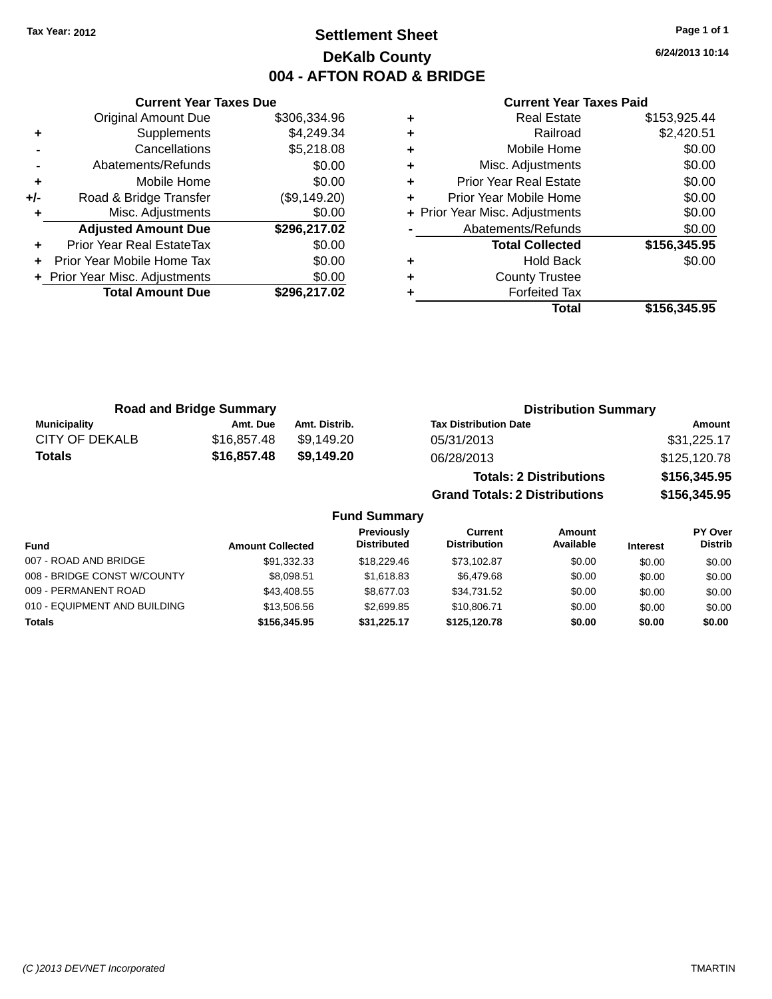# **Settlement Sheet Tax Year: 2012 Page 1 of 1 DeKalb County 004 - AFTON ROAD & BRIDGE**

**6/24/2013 10:14**

#### **Current Year Taxes Paid**

|       | <b>Original Amount Due</b>     | \$306,334.96 |
|-------|--------------------------------|--------------|
| ٠     | Supplements                    | \$4,249.34   |
|       | Cancellations                  | \$5,218.08   |
|       | Abatements/Refunds             | \$0.00       |
| ÷     | Mobile Home                    | \$0.00       |
| $+/-$ | Road & Bridge Transfer         | (\$9,149.20) |
| ٠     | Misc. Adjustments              | \$0.00       |
|       | <b>Adjusted Amount Due</b>     | \$296,217.02 |
| ÷     | Prior Year Real EstateTax      | \$0.00       |
| ÷     | Prior Year Mobile Home Tax     | \$0.00       |
|       | + Prior Year Misc. Adjustments | \$0.00       |
|       | <b>Total Amount Due</b>        | \$296,217.02 |
|       |                                |              |

**Current Year Taxes Due**

| <b>Real Estate</b>             | \$153,925.44 |
|--------------------------------|--------------|
| Railroad                       | \$2,420.51   |
| Mobile Home                    | \$0.00       |
| Misc. Adjustments              | \$0.00       |
| <b>Prior Year Real Estate</b>  | \$0.00       |
| Prior Year Mobile Home         | \$0.00       |
| + Prior Year Misc. Adjustments | \$0.00       |
| Abatements/Refunds             | \$0.00       |
| <b>Total Collected</b>         | \$156,345.95 |
| <b>Hold Back</b>               | \$0.00       |
| <b>County Trustee</b>          |              |
| <b>Forfeited Tax</b>           |              |
| Total                          | \$156,345.95 |
|                                |              |

**Grand Totals: 2 Distributions \$156,345.95**

| <b>Road and Bridge Summary</b> |             |               | <b>Distribution Summary</b>    |              |  |
|--------------------------------|-------------|---------------|--------------------------------|--------------|--|
| <b>Municipality</b>            | Amt. Due    | Amt. Distrib. | <b>Tax Distribution Date</b>   | Amount       |  |
| CITY OF DEKALB                 | \$16,857.48 | \$9.149.20    | 05/31/2013                     | \$31,225.17  |  |
| <b>Totals</b>                  | \$16,857.48 | \$9.149.20    | 06/28/2013                     | \$125,120.78 |  |
|                                |             |               | <b>Totals: 2 Distributions</b> | \$156,345.95 |  |

**Fund Summary Fund Interest Amount Collected Distributed PY Over Distrib Amount Available Current Distribution Previously** 007 - ROAD AND BRIDGE 60.00 \$91,332.33 \$18,229.46 \$73,102.87 \$0.00 \$0.00 \$0.00 \$0.00 008 - BRIDGE CONST W/COUNTY  $$8,098.51$   $$1,618.83$   $$6,479.68$  \$0.00  $$0.00$  \$0.00 \$0.00 009 - PERMANENT ROAD \$13,408.55 \$8,677.03 \$34,731.52 \$0.00 \$0.00 \$0.00 \$0.00 010 - EQUIPMENT AND BUILDING \$13,506.56 \$2,699.85 \$10,806.71 \$0.00 \$0.00 \$0.00 **Totals \$156,345.95 \$31,225.17 \$125,120.78 \$0.00 \$0.00 \$0.00**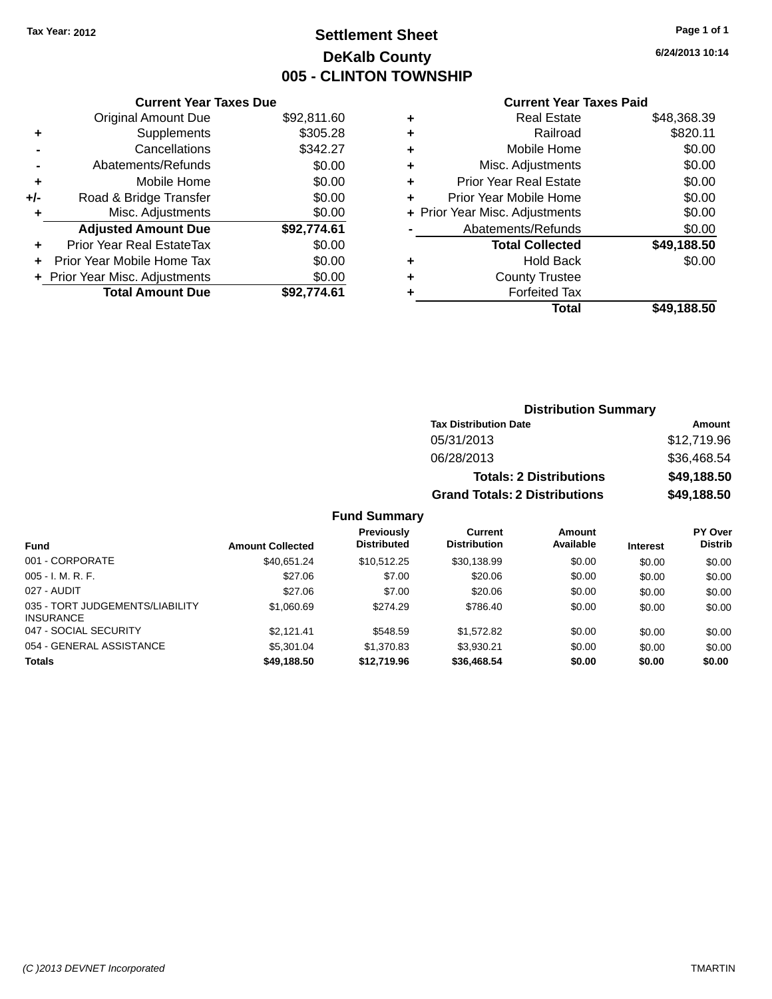# **Settlement Sheet Tax Year: 2012 Page 1 of 1 DeKalb County 005 - CLINTON TOWNSHIP**

**6/24/2013 10:14**

# **Current Year Taxes Paid**

|       | <b>Current Year Taxes Due</b>  |             |
|-------|--------------------------------|-------------|
|       | <b>Original Amount Due</b>     | \$92,811.60 |
| ٠     | Supplements                    | \$305.28    |
|       | Cancellations                  | \$342.27    |
|       | Abatements/Refunds             | \$0.00      |
| ٠     | Mobile Home                    | \$0.00      |
| $+/-$ | Road & Bridge Transfer         | \$0.00      |
|       | Misc. Adjustments              | \$0.00      |
|       | <b>Adjusted Amount Due</b>     | \$92,774.61 |
| ÷     | Prior Year Real EstateTax      | \$0.00      |
|       | Prior Year Mobile Home Tax     | \$0.00      |
|       | + Prior Year Misc. Adjustments | \$0.00      |
|       | <b>Total Amount Due</b>        | \$92.774.61 |
|       |                                |             |

| ٠ | <b>Real Estate</b>             | \$48,368.39 |
|---|--------------------------------|-------------|
| ٠ | Railroad                       | \$820.11    |
| ٠ | Mobile Home                    | \$0.00      |
| ٠ | Misc. Adjustments              | \$0.00      |
| ٠ | <b>Prior Year Real Estate</b>  | \$0.00      |
| ٠ | Prior Year Mobile Home         | \$0.00      |
|   | + Prior Year Misc. Adjustments | \$0.00      |
|   | Abatements/Refunds             | \$0.00      |
|   | <b>Total Collected</b>         | \$49,188.50 |
| ٠ | Hold Back                      | \$0.00      |
| ٠ | <b>County Trustee</b>          |             |
| ٠ | <b>Forfeited Tax</b>           |             |
|   | Total                          | \$49,188.50 |
|   |                                |             |

| <b>Distribution Summary</b>          |             |  |  |  |
|--------------------------------------|-------------|--|--|--|
| <b>Tax Distribution Date</b>         | Amount      |  |  |  |
| 05/31/2013                           | \$12,719.96 |  |  |  |
| 06/28/2013                           | \$36,468.54 |  |  |  |
| <b>Totals: 2 Distributions</b>       | \$49,188.50 |  |  |  |
| <b>Grand Totals: 2 Distributions</b> | \$49,188.50 |  |  |  |

#### **Fund Summary**

| <b>Fund</b>                                         | <b>Amount Collected</b> | Previously<br><b>Distributed</b> | Current<br><b>Distribution</b> | Amount<br>Available | <b>Interest</b> | PY Over<br><b>Distrib</b> |
|-----------------------------------------------------|-------------------------|----------------------------------|--------------------------------|---------------------|-----------------|---------------------------|
| 001 - CORPORATE                                     | \$40.651.24             | \$10.512.25                      | \$30.138.99                    | \$0.00              | \$0.00          | \$0.00                    |
| $005 - I. M. R. F.$                                 | \$27.06                 | \$7.00                           | \$20.06                        | \$0.00              | \$0.00          | \$0.00                    |
| 027 - AUDIT                                         | \$27.06                 | \$7.00                           | \$20.06                        | \$0.00              | \$0.00          | \$0.00                    |
| 035 - TORT JUDGEMENTS/LIABILITY<br><b>INSURANCE</b> | \$1,060.69              | \$274.29                         | \$786.40                       | \$0.00              | \$0.00          | \$0.00                    |
| 047 - SOCIAL SECURITY                               | \$2.121.41              | \$548.59                         | \$1,572.82                     | \$0.00              | \$0.00          | \$0.00                    |
| 054 - GENERAL ASSISTANCE                            | \$5,301.04              | \$1,370.83                       | \$3.930.21                     | \$0.00              | \$0.00          | \$0.00                    |
| <b>Totals</b>                                       | \$49,188.50             | \$12,719.96                      | \$36,468.54                    | \$0.00              | \$0.00          | \$0.00                    |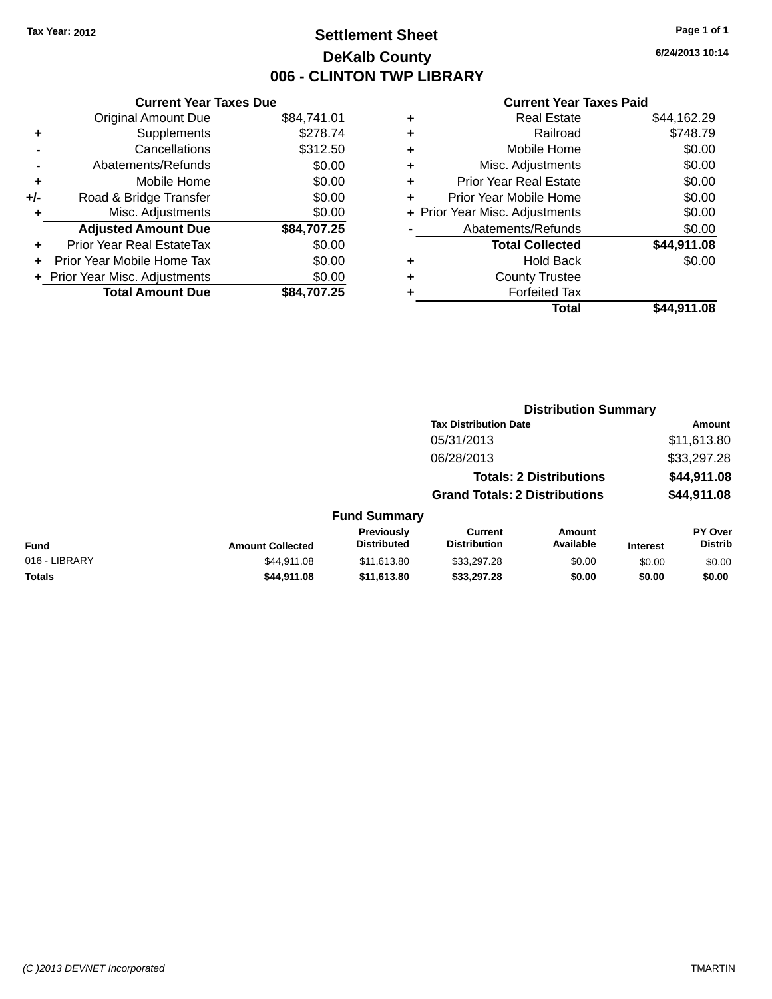# **Settlement Sheet Tax Year: 2012 Page 1 of 1 DeKalb County 006 - CLINTON TWP LIBRARY**

**6/24/2013 10:14**

| <b>Current Year Taxes Due</b>  |             |
|--------------------------------|-------------|
| <b>Original Amount Due</b>     | \$84,741.01 |
| Supplements                    | \$278.74    |
| Cancellations                  | \$312.50    |
| Abatements/Refunds             | \$0.00      |
| Mobile Home                    | \$0.00      |
| Road & Bridge Transfer         | \$0.00      |
| Misc. Adjustments              | \$0.00      |
| <b>Adjusted Amount Due</b>     | \$84,707.25 |
| Prior Year Real EstateTax      | \$0.00      |
| Prior Year Mobile Home Tax     | \$0.00      |
| + Prior Year Misc. Adjustments | \$0.00      |
| <b>Total Amount Due</b>        | \$84.707.25 |
|                                |             |

| ٠ | <b>Real Estate</b>             | \$44,162.29 |
|---|--------------------------------|-------------|
| ٠ | Railroad                       | \$748.79    |
| ٠ | Mobile Home                    | \$0.00      |
| ٠ | Misc. Adjustments              | \$0.00      |
| ٠ | <b>Prior Year Real Estate</b>  | \$0.00      |
| ٠ | Prior Year Mobile Home         | \$0.00      |
|   | + Prior Year Misc. Adjustments | \$0.00      |
|   | Abatements/Refunds             | \$0.00      |
|   | <b>Total Collected</b>         | \$44,911.08 |
| ٠ | <b>Hold Back</b>               | \$0.00      |
| ٠ | <b>County Trustee</b>          |             |
|   | <b>Forfeited Tax</b>           |             |
|   | Total                          | \$44.911.08 |
|   |                                |             |

|               |                         |                                  | <b>Distribution Summary</b>           |                                |                 |                                  |
|---------------|-------------------------|----------------------------------|---------------------------------------|--------------------------------|-----------------|----------------------------------|
|               |                         |                                  | <b>Tax Distribution Date</b>          |                                |                 | <b>Amount</b>                    |
|               |                         |                                  | 05/31/2013                            |                                |                 | \$11,613.80                      |
|               |                         |                                  | 06/28/2013                            |                                |                 | \$33,297.28                      |
|               |                         |                                  |                                       | <b>Totals: 2 Distributions</b> |                 | \$44,911.08                      |
|               |                         |                                  | <b>Grand Totals: 2 Distributions</b>  |                                |                 | \$44,911.08                      |
|               |                         | <b>Fund Summary</b>              |                                       |                                |                 |                                  |
| <b>Fund</b>   | <b>Amount Collected</b> | Previously<br><b>Distributed</b> | <b>Current</b><br><b>Distribution</b> | Amount<br>Available            | <b>Interest</b> | <b>PY Over</b><br><b>Distrib</b> |
| 016 - LIBRARY | \$44.911.08             | \$11,613.80                      | \$33,297.28                           | \$0.00                         | \$0.00          | \$0.00                           |
| <b>Totals</b> | \$44,911.08             | \$11,613.80                      | \$33,297.28                           | \$0.00                         | \$0.00          | \$0.00                           |
|               |                         |                                  |                                       |                                |                 |                                  |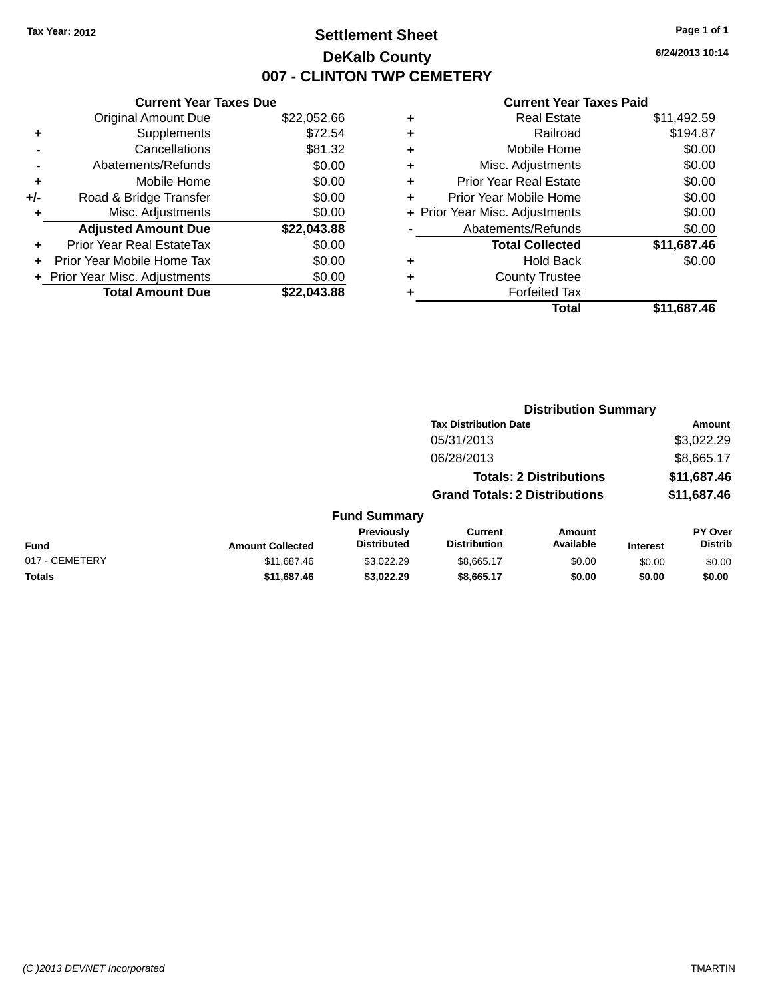# **Settlement Sheet Tax Year: 2012 Page 1 of 1 DeKalb County 007 - CLINTON TWP CEMETERY**

**6/24/2013 10:14**

|     | <b>Current Year Taxes Due</b>  |             |
|-----|--------------------------------|-------------|
|     | <b>Original Amount Due</b>     | \$22,052.66 |
| ٠   | Supplements                    | \$72.54     |
|     | Cancellations                  | \$81.32     |
|     | Abatements/Refunds             | \$0.00      |
| ÷   | Mobile Home                    | \$0.00      |
| +/- | Road & Bridge Transfer         | \$0.00      |
|     | Misc. Adjustments              | \$0.00      |
|     | <b>Adjusted Amount Due</b>     | \$22,043.88 |
| ÷   | Prior Year Real EstateTax      | \$0.00      |
|     | Prior Year Mobile Home Tax     | \$0.00      |
|     | + Prior Year Misc. Adjustments | \$0.00      |
|     | <b>Total Amount Due</b>        | \$22.043.88 |
|     |                                |             |

|   | <b>Real Estate</b>             | \$11,492.59 |
|---|--------------------------------|-------------|
| ٠ | Railroad                       | \$194.87    |
| ٠ | Mobile Home                    | \$0.00      |
| ٠ | Misc. Adjustments              | \$0.00      |
| ٠ | <b>Prior Year Real Estate</b>  | \$0.00      |
| ÷ | Prior Year Mobile Home         | \$0.00      |
|   | + Prior Year Misc. Adjustments | \$0.00      |
|   | Abatements/Refunds             | \$0.00      |
|   | <b>Total Collected</b>         | \$11,687.46 |
| ٠ | <b>Hold Back</b>               | \$0.00      |
|   | <b>County Trustee</b>          |             |
| ٠ | <b>Forfeited Tax</b>           |             |
|   | Total                          | \$11,687.46 |
|   |                                |             |

|                |                         |                                         | <b>Distribution Summary</b>           |                                |                 |                                  |
|----------------|-------------------------|-----------------------------------------|---------------------------------------|--------------------------------|-----------------|----------------------------------|
|                |                         |                                         | <b>Tax Distribution Date</b>          |                                |                 | <b>Amount</b>                    |
|                |                         |                                         | 05/31/2013                            |                                |                 | \$3,022.29                       |
|                |                         |                                         | 06/28/2013                            |                                |                 | \$8,665.17                       |
|                |                         |                                         |                                       | <b>Totals: 2 Distributions</b> |                 | \$11,687.46                      |
|                |                         |                                         | <b>Grand Totals: 2 Distributions</b>  |                                |                 | \$11,687.46                      |
|                |                         | <b>Fund Summary</b>                     |                                       |                                |                 |                                  |
| <b>Fund</b>    | <b>Amount Collected</b> | <b>Previously</b><br><b>Distributed</b> | <b>Current</b><br><b>Distribution</b> | Amount<br>Available            | <b>Interest</b> | <b>PY Over</b><br><b>Distrib</b> |
| 017 - CEMETERY | \$11,687.46             | \$3.022.29                              | \$8,665.17                            | \$0.00                         | \$0.00          | \$0.00                           |
| <b>Totals</b>  | \$11,687.46             | \$3,022.29                              | \$8,665.17                            | \$0.00                         | \$0.00          | \$0.00                           |
|                |                         |                                         |                                       |                                |                 |                                  |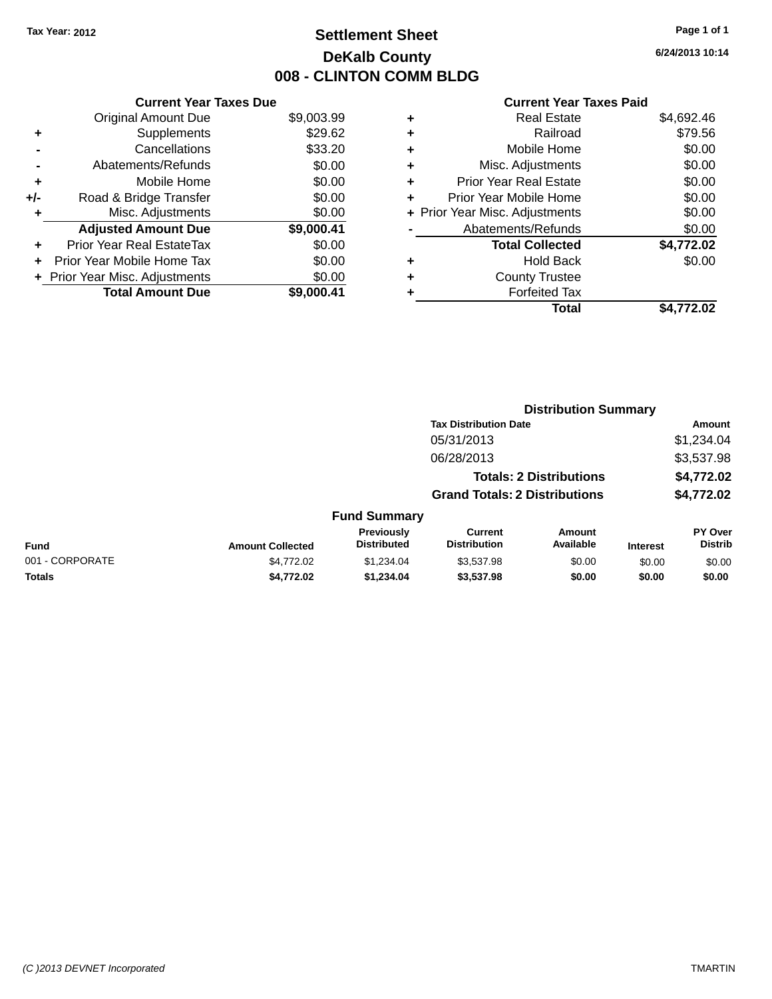# **Settlement Sheet Tax Year: 2012 Page 1 of 1 DeKalb County 008 - CLINTON COMM BLDG**

**6/24/2013 10:14**

|     | <b>Current Year Taxes Due</b> |            |  |  |  |
|-----|-------------------------------|------------|--|--|--|
|     | <b>Original Amount Due</b>    | \$9,003.99 |  |  |  |
| ٠   | Supplements                   | \$29.62    |  |  |  |
|     | Cancellations                 | \$33.20    |  |  |  |
|     | Abatements/Refunds            | \$0.00     |  |  |  |
| ٠   | Mobile Home                   | \$0.00     |  |  |  |
| +/- | Road & Bridge Transfer        | \$0.00     |  |  |  |
| ٠   | Misc. Adjustments             | \$0.00     |  |  |  |
|     | <b>Adjusted Amount Due</b>    | \$9,000.41 |  |  |  |
| ٠   | Prior Year Real EstateTax     | \$0.00     |  |  |  |
|     | Prior Year Mobile Home Tax    | \$0.00     |  |  |  |
|     | Prior Year Misc. Adjustments  | \$0.00     |  |  |  |
|     | <b>Total Amount Due</b>       | \$9,000.41 |  |  |  |

|   | <b>Real Estate</b>             | \$4,692.46 |
|---|--------------------------------|------------|
| ٠ | Railroad                       | \$79.56    |
| ٠ | Mobile Home                    | \$0.00     |
| ٠ | Misc. Adjustments              | \$0.00     |
| ٠ | <b>Prior Year Real Estate</b>  | \$0.00     |
| ٠ | Prior Year Mobile Home         | \$0.00     |
|   | + Prior Year Misc. Adjustments | \$0.00     |
|   | Abatements/Refunds             | \$0.00     |
|   | <b>Total Collected</b>         | \$4,772.02 |
| ٠ | Hold Back                      | \$0.00     |
| ٠ | <b>County Trustee</b>          |            |
| ٠ | <b>Forfeited Tax</b>           |            |
|   | Total                          | \$4,772.02 |
|   |                                |            |

|                 |                         |                                         |                                       | <b>Distribution Summary</b>    |                 |                           |
|-----------------|-------------------------|-----------------------------------------|---------------------------------------|--------------------------------|-----------------|---------------------------|
|                 |                         |                                         | <b>Tax Distribution Date</b>          |                                |                 | Amount                    |
|                 |                         |                                         | 05/31/2013                            |                                |                 | \$1,234.04                |
|                 |                         |                                         | 06/28/2013                            |                                |                 | \$3,537.98                |
|                 |                         |                                         |                                       | <b>Totals: 2 Distributions</b> |                 | \$4,772.02                |
|                 |                         |                                         | <b>Grand Totals: 2 Distributions</b>  |                                |                 | \$4,772.02                |
|                 |                         | <b>Fund Summary</b>                     |                                       |                                |                 |                           |
| <b>Fund</b>     | <b>Amount Collected</b> | <b>Previously</b><br><b>Distributed</b> | <b>Current</b><br><b>Distribution</b> | Amount<br>Available            | <b>Interest</b> | PY Over<br><b>Distrib</b> |
| 001 - CORPORATE | \$4,772.02              | \$1,234.04                              | \$3,537.98                            | \$0.00                         | \$0.00          | \$0.00                    |
| <b>Totals</b>   | \$4,772.02              | \$1,234.04                              | \$3,537.98                            | \$0.00                         | \$0.00          | \$0.00                    |
|                 |                         |                                         |                                       |                                |                 |                           |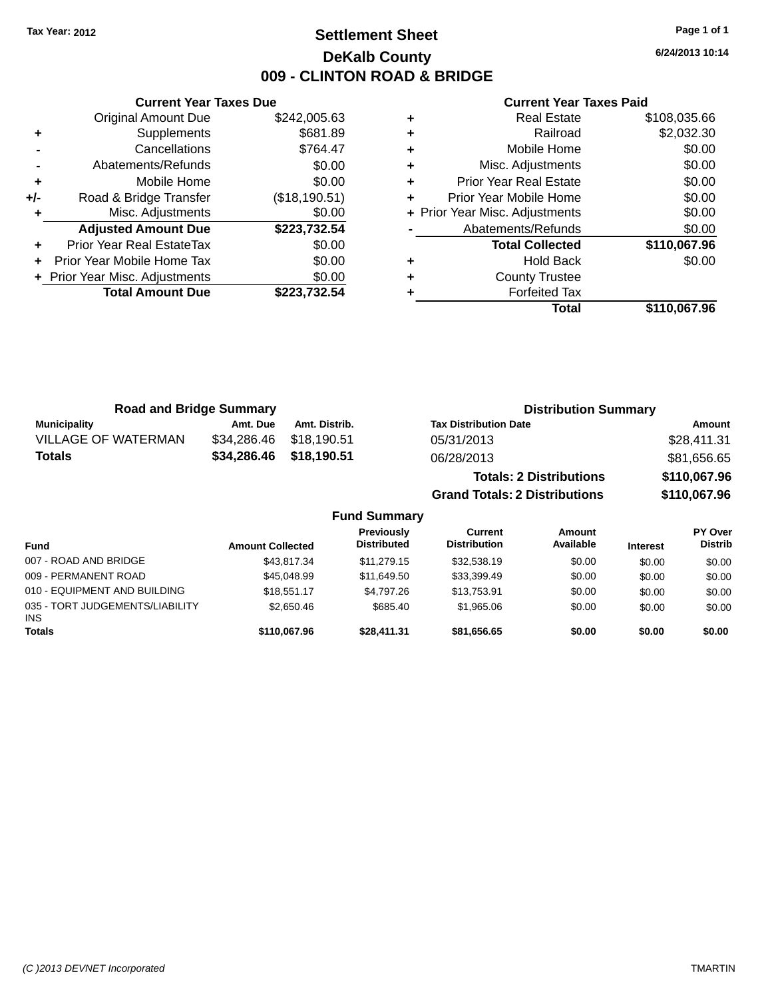# **Settlement Sheet Tax Year: 2012 Page 1 of 1 DeKalb County 009 - CLINTON ROAD & BRIDGE**

**6/24/2013 10:14**

#### **Current Year Taxes Paid**

|     | <b>Current Year Taxes Due</b>  |               |
|-----|--------------------------------|---------------|
|     | <b>Original Amount Due</b>     | \$242,005.63  |
| ٠   | Supplements                    | \$681.89      |
|     | Cancellations                  | \$764.47      |
|     | Abatements/Refunds             | \$0.00        |
| ٠   | Mobile Home                    | \$0.00        |
| +/- | Road & Bridge Transfer         | (\$18,190.51) |
|     | Misc. Adjustments              | \$0.00        |
|     | <b>Adjusted Amount Due</b>     | \$223,732.54  |
| ٠   | Prior Year Real EstateTax      | \$0.00        |
| ÷   | Prior Year Mobile Home Tax     | \$0.00        |
|     | + Prior Year Misc. Adjustments | \$0.00        |
|     | <b>Total Amount Due</b>        | \$223,732.54  |
|     |                                |               |

| <b>Real Estate</b>            | \$108,035.66                   |
|-------------------------------|--------------------------------|
| Railroad                      | \$2,032.30                     |
| Mobile Home                   | \$0.00                         |
| Misc. Adjustments             | \$0.00                         |
| <b>Prior Year Real Estate</b> | \$0.00                         |
| Prior Year Mobile Home        | \$0.00                         |
|                               | \$0.00                         |
| Abatements/Refunds            | \$0.00                         |
| <b>Total Collected</b>        | \$110,067.96                   |
| <b>Hold Back</b>              | \$0.00                         |
| <b>County Trustee</b>         |                                |
| <b>Forfeited Tax</b>          |                                |
| Total                         | \$110,067.96                   |
|                               | + Prior Year Misc. Adjustments |

| <b>Road and Bridge Summary</b> |                         | <b>Distribution Summary</b> |                                      |              |
|--------------------------------|-------------------------|-----------------------------|--------------------------------------|--------------|
| <b>Municipality</b>            | Amt. Due                | Amt. Distrib.               | <b>Tax Distribution Date</b>         | Amount       |
| <b>VILLAGE OF WATERMAN</b>     | \$34,286,46 \$18,190,51 |                             | 05/31/2013                           | \$28,411.31  |
| <b>Totals</b>                  | \$34,286.46             | \$18,190.51                 | 06/28/2013                           | \$81,656.65  |
|                                |                         |                             | <b>Totals: 2 Distributions</b>       | \$110,067.96 |
|                                |                         |                             | <b>Grand Totals: 2 Distributions</b> | \$110,067.96 |

# **Fund Summary**

| <b>Fund</b>                                   | <b>Amount Collected</b> | <b>Previously</b><br><b>Distributed</b> | Current<br><b>Distribution</b> | Amount<br>Available | <b>Interest</b> | <b>PY Over</b><br><b>Distrib</b> |
|-----------------------------------------------|-------------------------|-----------------------------------------|--------------------------------|---------------------|-----------------|----------------------------------|
| 007 - ROAD AND BRIDGE                         | \$43.817.34             | \$11,279.15                             | \$32,538.19                    | \$0.00              | \$0.00          | \$0.00                           |
| 009 - PERMANENT ROAD                          | \$45,048.99             | \$11,649.50                             | \$33,399.49                    | \$0.00              | \$0.00          | \$0.00                           |
| 010 - EQUIPMENT AND BUILDING                  | \$18,551.17             | \$4.797.26                              | \$13,753.91                    | \$0.00              | \$0.00          | \$0.00                           |
| 035 - TORT JUDGEMENTS/LIABILITY<br><b>INS</b> | \$2,650.46              | \$685.40                                | \$1,965.06                     | \$0.00              | \$0.00          | \$0.00                           |
| <b>Totals</b>                                 | \$110.067.96            | \$28,411.31                             | \$81.656.65                    | \$0.00              | \$0.00          | \$0.00                           |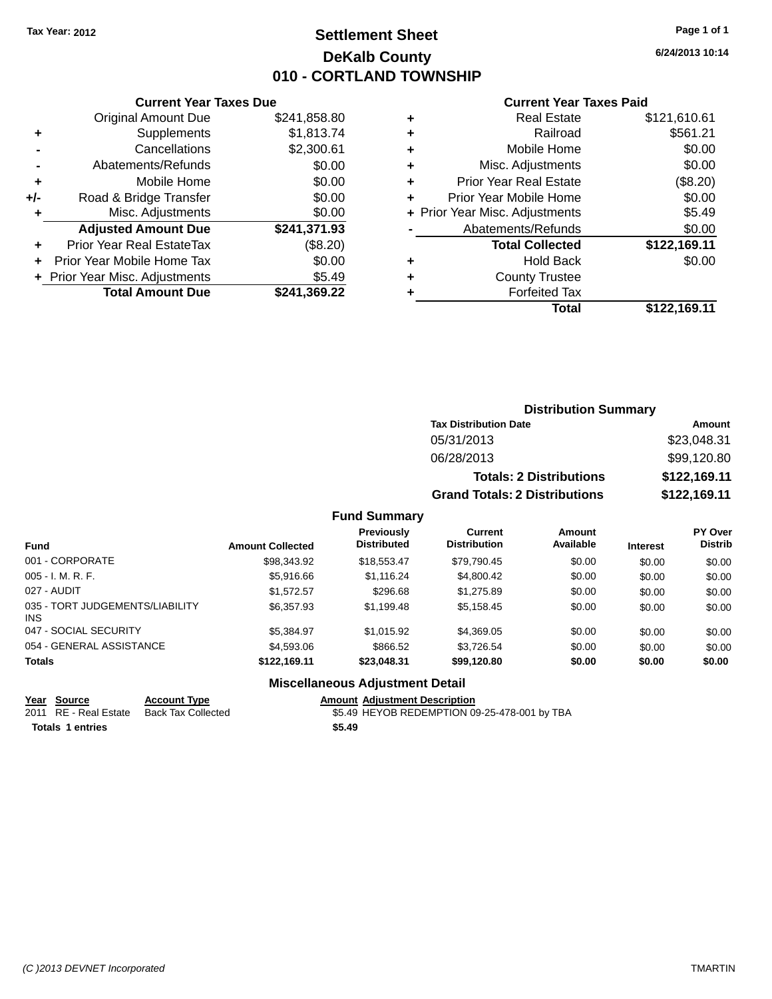# **Settlement Sheet Tax Year: 2012 Page 1 of 1 DeKalb County 010 - CORTLAND TOWNSHIP**

**6/24/2013 10:14**

#### **Current Year Taxes Paid**

|     | <b>Current Year Taxes Due</b>            |              |  |  |  |  |
|-----|------------------------------------------|--------------|--|--|--|--|
|     | <b>Original Amount Due</b>               | \$241,858.80 |  |  |  |  |
| ٠   | Supplements                              | \$1,813.74   |  |  |  |  |
|     | Cancellations                            | \$2,300.61   |  |  |  |  |
|     | Abatements/Refunds                       | \$0.00       |  |  |  |  |
| ٠   | Mobile Home                              | \$0.00       |  |  |  |  |
| +/- | Road & Bridge Transfer                   | \$0.00       |  |  |  |  |
| ٠   | Misc. Adjustments                        | \$0.00       |  |  |  |  |
|     | <b>Adjusted Amount Due</b>               | \$241,371.93 |  |  |  |  |
| ÷   | Prior Year Real EstateTax                | (\$8.20)     |  |  |  |  |
|     | Prior Year Mobile Home Tax               | \$0.00       |  |  |  |  |
|     | \$5.49<br>+ Prior Year Misc. Adjustments |              |  |  |  |  |
|     | <b>Total Amount Due</b>                  | \$241.369.22 |  |  |  |  |

| ٠ | <b>Real Estate</b>             | \$121,610.61 |
|---|--------------------------------|--------------|
| ٠ | Railroad                       | \$561.21     |
| ٠ | Mobile Home                    | \$0.00       |
| ٠ | Misc. Adjustments              | \$0.00       |
| ٠ | <b>Prior Year Real Estate</b>  | (\$8.20)     |
| ٠ | Prior Year Mobile Home         | \$0.00       |
|   | + Prior Year Misc. Adjustments | \$5.49       |
|   | Abatements/Refunds             | \$0.00       |
|   | <b>Total Collected</b>         | \$122,169.11 |
| ٠ | Hold Back                      | \$0.00       |
| ٠ | <b>County Trustee</b>          |              |
| ٠ | <b>Forfeited Tax</b>           |              |
|   | Total                          | \$122,169.11 |
|   |                                |              |

| <b>Distribution Summary</b>          |              |  |  |  |  |
|--------------------------------------|--------------|--|--|--|--|
| <b>Tax Distribution Date</b>         | Amount       |  |  |  |  |
| 05/31/2013                           | \$23,048.31  |  |  |  |  |
| 06/28/2013                           | \$99,120.80  |  |  |  |  |
| <b>Totals: 2 Distributions</b>       | \$122,169.11 |  |  |  |  |
| <b>Grand Totals: 2 Distributions</b> | \$122,169.11 |  |  |  |  |

#### **Fund Summary**

| <b>Fund</b>                             | <b>Amount Collected</b> | Previously<br><b>Distributed</b> | Current<br><b>Distribution</b> | Amount<br>Available | <b>Interest</b> | <b>PY Over</b><br><b>Distrib</b> |
|-----------------------------------------|-------------------------|----------------------------------|--------------------------------|---------------------|-----------------|----------------------------------|
| 001 - CORPORATE                         | \$98,343.92             | \$18,553,47                      | \$79,790.45                    | \$0.00              | \$0.00          | \$0.00                           |
| $005 - I. M. R. F.$                     | \$5.916.66              | \$1.116.24                       | \$4.800.42                     | \$0.00              | \$0.00          | \$0.00                           |
| 027 - AUDIT                             | \$1.572.57              | \$296.68                         | \$1,275.89                     | \$0.00              | \$0.00          | \$0.00                           |
| 035 - TORT JUDGEMENTS/LIABILITY<br>INS. | \$6,357.93              | \$1,199.48                       | \$5,158.45                     | \$0.00              | \$0.00          | \$0.00                           |
| 047 - SOCIAL SECURITY                   | \$5.384.97              | \$1,015.92                       | \$4,369.05                     | \$0.00              | \$0.00          | \$0.00                           |
| 054 - GENERAL ASSISTANCE                | \$4,593,06              | \$866.52                         | \$3.726.54                     | \$0.00              | \$0.00          | \$0.00                           |
| <b>Totals</b>                           | \$122,169.11            | \$23,048.31                      | \$99,120.80                    | \$0.00              | \$0.00          | \$0.00                           |

#### **Miscellaneous Adjustment Detail**

**<u>Year Source</u> Account Type<br>
2011 RE - Real Estate Back Tax Collected** 2021 Amount Adjustment Description<br>\$5.49 HEYOB REDEMPTION 09-25-478-001 by TBA **Totals 1 entries** \$5.49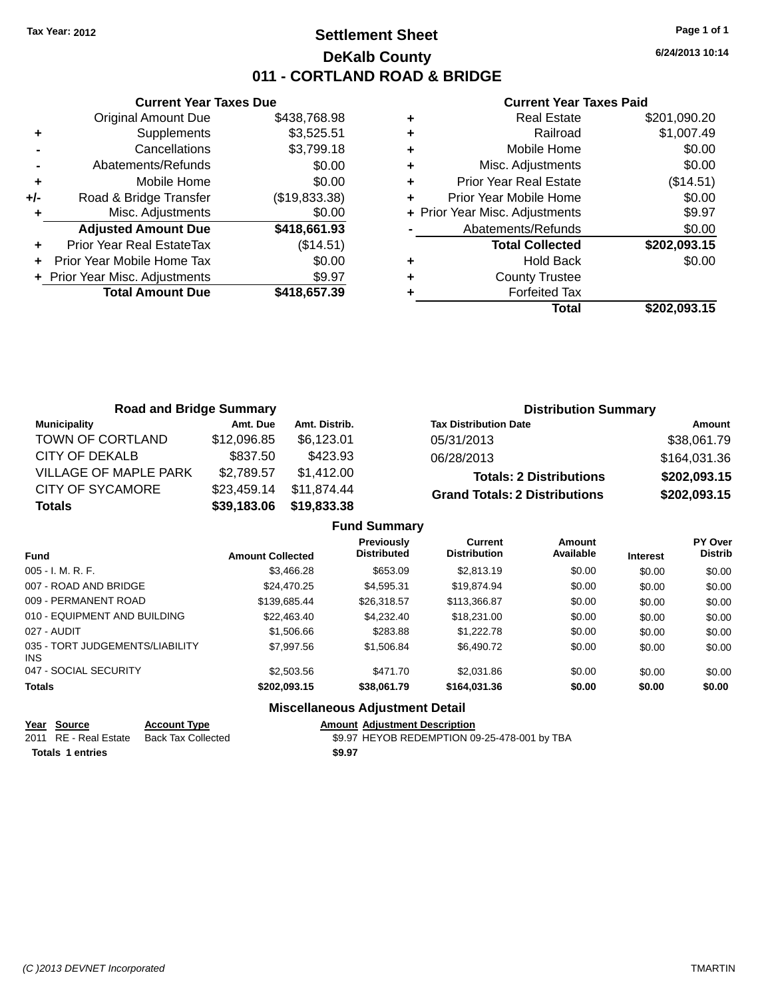# **Settlement Sheet Tax Year: 2012 Page 1 of 1 DeKalb County 011 - CORTLAND ROAD & BRIDGE**

**6/24/2013 10:14**

#### **Current Year Taxes Paid**

|     | <b>Current Year Taxes Due</b>  |               |
|-----|--------------------------------|---------------|
|     | <b>Original Amount Due</b>     | \$438,768.98  |
| ٠   | Supplements                    | \$3,525.51    |
|     | Cancellations                  | \$3,799.18    |
|     | Abatements/Refunds             | \$0.00        |
| ٠   | Mobile Home                    | \$0.00        |
| +/- | Road & Bridge Transfer         | (\$19,833.38) |
|     | Misc. Adjustments              | \$0.00        |
|     | <b>Adjusted Amount Due</b>     | \$418,661.93  |
|     | Prior Year Real EstateTax      | (\$14.51)     |
|     | Prior Year Mobile Home Tax     | \$0.00        |
|     | + Prior Year Misc. Adjustments | \$9.97        |
|     | <b>Total Amount Due</b>        | \$418,657.39  |
|     |                                |               |

|   | Total                          | \$202,093.15 |
|---|--------------------------------|--------------|
|   | <b>Forfeited Tax</b>           |              |
| ٠ | <b>County Trustee</b>          |              |
| ٠ | <b>Hold Back</b>               | \$0.00       |
|   | <b>Total Collected</b>         | \$202,093.15 |
|   | Abatements/Refunds             | \$0.00       |
|   | + Prior Year Misc. Adjustments | \$9.97       |
|   | Prior Year Mobile Home         | \$0.00       |
| ٠ | <b>Prior Year Real Estate</b>  | (\$14.51)    |
| ٠ | Misc. Adjustments              | \$0.00       |
| ٠ | Mobile Home                    | \$0.00       |
| ÷ | Railroad                       | \$1,007.49   |
|   | <b>Real Estate</b>             | \$201,090.20 |

| <b>Road and Bridge Summary</b> |             |               | <b>Distribution Summary</b>          |              |
|--------------------------------|-------------|---------------|--------------------------------------|--------------|
| <b>Municipality</b>            | Amt. Due    | Amt. Distrib. | <b>Tax Distribution Date</b>         | Amount       |
| TOWN OF CORTLAND               | \$12,096.85 | \$6.123.01    | 05/31/2013                           | \$38,061.79  |
| <b>CITY OF DEKALB</b>          | \$837.50    | \$423.93      | 06/28/2013                           | \$164,031.36 |
| VILLAGE OF MAPLE PARK          | \$2,789.57  | \$1.412.00    | <b>Totals: 2 Distributions</b>       | \$202,093.15 |
| <b>CITY OF SYCAMORE</b>        | \$23,459.14 | \$11.874.44   | <b>Grand Totals: 2 Distributions</b> | \$202,093.15 |
| <b>Totals</b>                  | \$39,183.06 | \$19,833.38   |                                      |              |

|                                         |                         | <b>Fund Summary</b>                      |                                       |                     |                 |                           |
|-----------------------------------------|-------------------------|------------------------------------------|---------------------------------------|---------------------|-----------------|---------------------------|
| <b>Fund</b>                             | <b>Amount Collected</b> | <b>Previously</b><br><b>Distributed</b>  | <b>Current</b><br><b>Distribution</b> | Amount<br>Available | <b>Interest</b> | PY Over<br><b>Distrib</b> |
| 005 - I. M. R. F.                       | \$3,466,28              | \$653.09                                 | \$2,813.19                            | \$0.00              | \$0.00          | \$0.00                    |
| 007 - ROAD AND BRIDGE                   | \$24.470.25             | \$4.595.31                               | \$19,874.94                           | \$0.00              | \$0.00          | \$0.00                    |
| 009 - PERMANENT ROAD                    | \$139,685.44            | \$26,318.57                              | \$113.366.87                          | \$0.00              | \$0.00          | \$0.00                    |
| 010 - EQUIPMENT AND BUILDING            | \$22.463.40             | \$4,232,40                               | \$18,231,00                           | \$0.00              | \$0.00          | \$0.00                    |
| 027 - AUDIT                             | \$1,506.66              | \$283.88                                 | \$1,222,78                            | \$0.00              | \$0.00          | \$0.00                    |
| 035 - TORT JUDGEMENTS/LIABILITY<br>INS. | \$7.997.56              | \$1,506.84                               | \$6,490.72                            | \$0.00              | \$0.00          | \$0.00                    |
| 047 - SOCIAL SECURITY                   | \$2,503.56              | \$471.70                                 | \$2,031.86                            | \$0.00              | \$0.00          | \$0.00                    |
| <b>Totals</b>                           | \$202,093.15            | \$38,061.79                              | \$164,031.36                          | \$0.00              | \$0.00          | \$0.00                    |
|                                         |                         | <b>Missellanessen, Automobile Detail</b> |                                       |                     |                 |                           |

#### **Miscellaneous Adjustment Detail**

| Year Source | <b>Account Type</b>                      | <b>Amount Adiustment Description</b> |
|-------------|------------------------------------------|--------------------------------------|
|             | 2011 RE - Real Estate Back Tax Collected | \$9.97 HEYOB REDEMPTION 09           |

**Totals 1 entries** \$9.97

\$9.97 HEYOB REDEMPTION 09-25-478-001 by TBA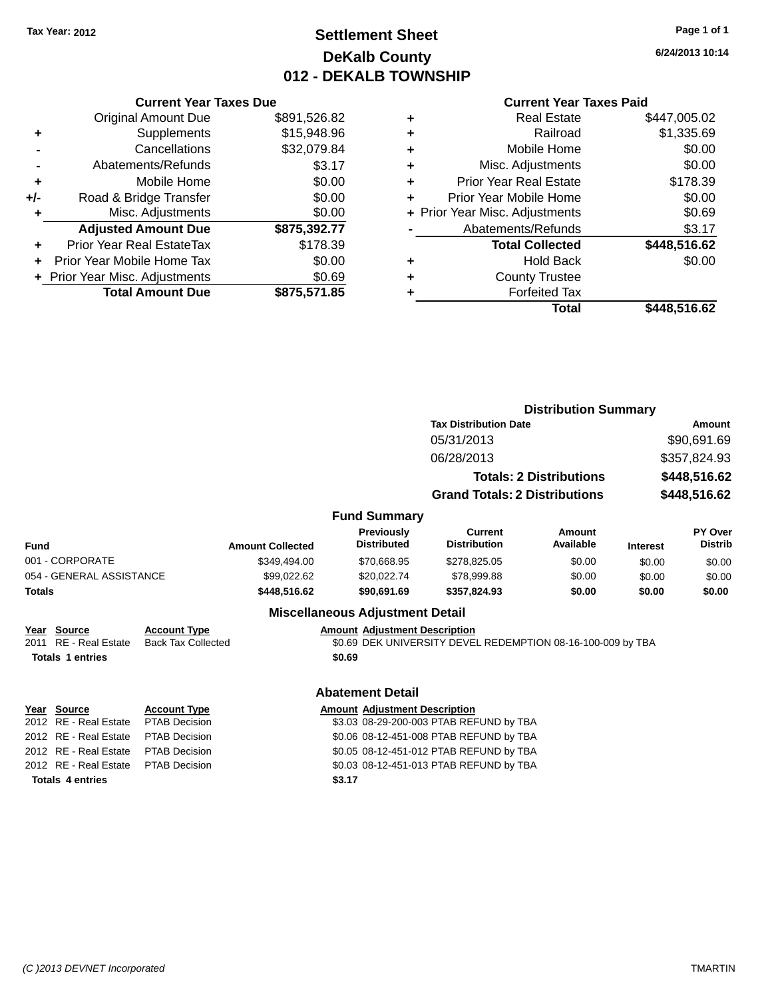# **Settlement Sheet Tax Year: 2012 Page 1 of 1 DeKalb County 012 - DEKALB TOWNSHIP**

**6/24/2013 10:14**

| <b>Current Year Taxes Due</b> |                            |              |  |  |  |
|-------------------------------|----------------------------|--------------|--|--|--|
|                               | <b>Original Amount Due</b> | \$891,526.82 |  |  |  |
| ٠                             | Supplements                | \$15,948.96  |  |  |  |
| $\overline{\phantom{0}}$      | Cancellations              | \$32,079.84  |  |  |  |
| $\overline{\phantom{0}}$      | Abatements/Refunds         | \$3.17       |  |  |  |
| ٠                             | Mobile Home                | \$0.00       |  |  |  |
|                               |                            |              |  |  |  |

|     |                                  | ----         |
|-----|----------------------------------|--------------|
| +/- | Road & Bridge Transfer           | \$0.00       |
| ٠   | Misc. Adjustments                | \$0.00       |
|     | <b>Adjusted Amount Due</b>       | \$875,392.77 |
| ٠   | <b>Prior Year Real EstateTax</b> | \$178.39     |
|     | Prior Year Mobile Home Tax       | \$0.00       |
|     | + Prior Year Misc. Adjustments   | \$0.69       |
|     | <b>Total Amount Due</b>          | \$875,571.85 |

#### **Current Year Taxes Paid**

|   | Total                          | \$448,516.62 |
|---|--------------------------------|--------------|
|   | <b>Forfeited Tax</b>           |              |
| ٠ | <b>County Trustee</b>          |              |
| ٠ | <b>Hold Back</b>               | \$0.00       |
|   | <b>Total Collected</b>         | \$448,516.62 |
|   | Abatements/Refunds             | \$3.17       |
|   | + Prior Year Misc. Adjustments | \$0.69       |
| ٠ | Prior Year Mobile Home         | \$0.00       |
| ٠ | <b>Prior Year Real Estate</b>  | \$178.39     |
| ٠ | Misc. Adjustments              | \$0.00       |
| ٠ | Mobile Home                    | \$0.00       |
| ٠ | Railroad                       | \$1,335.69   |
|   | <b>Real Estate</b>             | \$447,005.02 |

|               |                                                                 |                                                  |                         |                                                | <b>Distribution Summary</b>                                 |                                |                 |                                  |
|---------------|-----------------------------------------------------------------|--------------------------------------------------|-------------------------|------------------------------------------------|-------------------------------------------------------------|--------------------------------|-----------------|----------------------------------|
|               |                                                                 |                                                  |                         |                                                | <b>Tax Distribution Date</b>                                |                                |                 | Amount                           |
|               |                                                                 |                                                  |                         |                                                | 05/31/2013                                                  |                                |                 | \$90,691.69                      |
|               |                                                                 |                                                  |                         |                                                | 06/28/2013                                                  |                                |                 | \$357,824.93                     |
|               |                                                                 |                                                  |                         |                                                |                                                             | <b>Totals: 2 Distributions</b> |                 | \$448,516.62                     |
|               |                                                                 |                                                  |                         |                                                | <b>Grand Totals: 2 Distributions</b>                        |                                |                 | \$448,516.62                     |
|               |                                                                 |                                                  |                         | <b>Fund Summary</b>                            |                                                             |                                |                 |                                  |
| Fund          |                                                                 |                                                  | <b>Amount Collected</b> | <b>Previously</b><br><b>Distributed</b>        | <b>Current</b><br><b>Distribution</b>                       | Amount<br>Available            | <b>Interest</b> | <b>PY Over</b><br><b>Distrib</b> |
|               | 001 - CORPORATE                                                 |                                                  | \$349,494.00            | \$70,668.95                                    | \$278,825.05                                                | \$0.00                         | \$0.00          | \$0.00                           |
|               | 054 - GENERAL ASSISTANCE                                        |                                                  | \$99,022.62             | \$20,022.74                                    | \$78,999.88                                                 | \$0.00                         | \$0.00          | \$0.00                           |
| <b>Totals</b> |                                                                 |                                                  | \$448,516.62            | \$90,691.69                                    | \$357,824.93                                                | \$0.00                         | \$0.00          | \$0.00                           |
|               |                                                                 |                                                  |                         | <b>Miscellaneous Adjustment Detail</b>         |                                                             |                                |                 |                                  |
|               | Year Source<br>2011 RE - Real Estate<br><b>Totals 1 entries</b> | <b>Account Type</b><br><b>Back Tax Collected</b> |                         | <b>Amount Adjustment Description</b><br>\$0.69 | \$0.69 DEK UNIVERSITY DEVEL REDEMPTION 08-16-100-009 by TBA |                                |                 |                                  |
|               |                                                                 |                                                  |                         | <b>Abatement Detail</b>                        |                                                             |                                |                 |                                  |
|               | Year Source                                                     | <b>Account Type</b>                              |                         | <b>Amount Adjustment Description</b>           |                                                             |                                |                 |                                  |
|               | 2012 RE - Real Estate                                           | <b>PTAB Decision</b>                             |                         | \$3.03 08-29-200-003 PTAB REFUND by TBA        |                                                             |                                |                 |                                  |
|               | 2012 RE - Real Estate                                           | <b>PTAB Decision</b>                             |                         | \$0.06 08-12-451-008 PTAB REFUND by TBA        |                                                             |                                |                 |                                  |

| <b>Totals 4 entries</b>             | \$3.17 |
|-------------------------------------|--------|
| 2012 RE - Real Estate PTAB Decision | \$0.03 |
| 2012 RE - Real Estate PTAB Decision | \$0.05 |
| 2012 RE - Real Estate PTAB Decision | \$0.06 |
|                                     |        |

2012 TAB Decision **CONTER 1012 REAL ESTATE REAL ESTATE SOLUTE SOLUTE SETATE REAL ESTATE REAL ESTATE SOLUTE SOLUTE S** 2012 TAB Decision TAB Decision CHAB BEFUND by TBA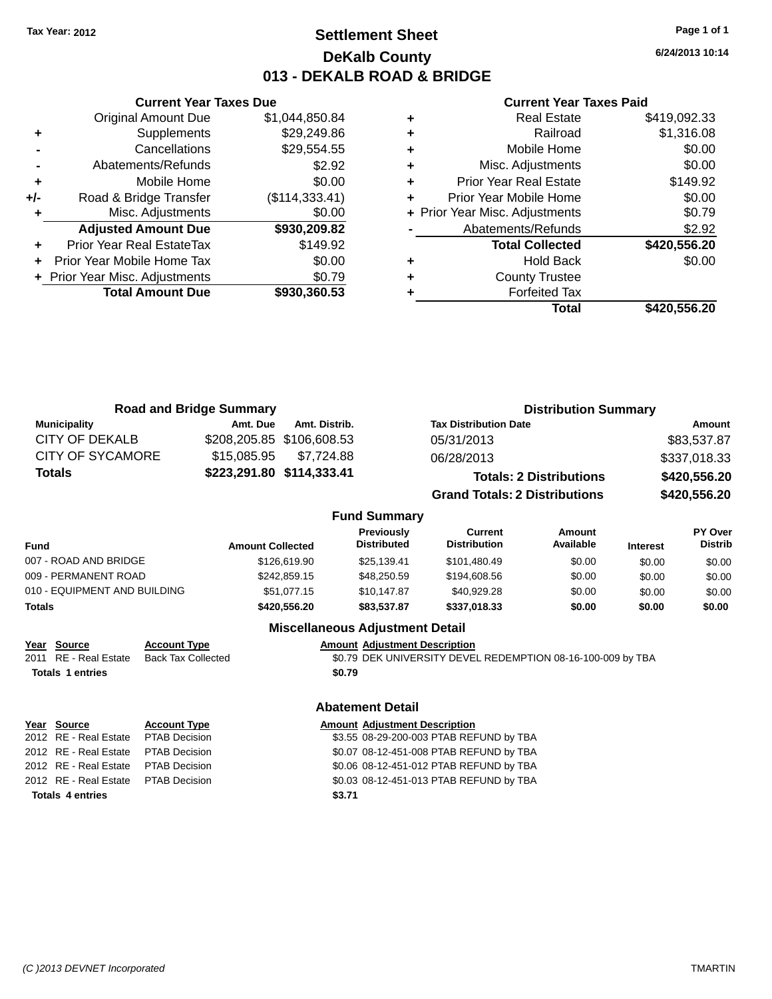# **Settlement Sheet Tax Year: 2012 Page 1 of 1 DeKalb County 013 - DEKALB ROAD & BRIDGE**

**6/24/2013 10:14**

#### **Current Year Taxes Paid**

|     | <b>Total Amount Due</b>        | \$930,360.53   |  |
|-----|--------------------------------|----------------|--|
|     | + Prior Year Misc. Adjustments | \$0.79         |  |
|     | Prior Year Mobile Home Tax     | \$0.00         |  |
| ٠   | Prior Year Real EstateTax      | \$149.92       |  |
|     | <b>Adjusted Amount Due</b>     | \$930,209.82   |  |
| ٠   | Misc. Adjustments              | \$0.00         |  |
| +/- | Road & Bridge Transfer         | (\$114,333.41) |  |
| ÷   | Mobile Home                    | \$0.00         |  |
|     | Abatements/Refunds             | \$2.92         |  |
|     | Cancellations                  | \$29,554.55    |  |
| ٠   | Supplements                    | \$29,249.86    |  |
|     | <b>Original Amount Due</b>     | \$1,044,850.84 |  |
|     |                                |                |  |

**Current Year Taxes Due**

| ٠ | <b>Real Estate</b>             | \$419,092.33 |
|---|--------------------------------|--------------|
| ÷ | Railroad                       | \$1,316.08   |
| ٠ | Mobile Home                    | \$0.00       |
| ٠ | Misc. Adjustments              | \$0.00       |
| ٠ | <b>Prior Year Real Estate</b>  | \$149.92     |
|   | Prior Year Mobile Home         | \$0.00       |
|   | + Prior Year Misc. Adjustments | \$0.79       |
|   | Abatements/Refunds             | \$2.92       |
|   | <b>Total Collected</b>         | \$420,556.20 |
| ٠ | <b>Hold Back</b>               | \$0.00       |
| ٠ | <b>County Trustee</b>          |              |
|   | <b>Forfeited Tax</b>           |              |
|   | Total                          | \$420,556.20 |
|   |                                |              |

| <b>Road and Bridge Summary</b> |             |                           | <b>Distribution Summary</b>          |              |  |
|--------------------------------|-------------|---------------------------|--------------------------------------|--------------|--|
| <b>Municipality</b>            | Amt. Due    | Amt. Distrib.             | <b>Tax Distribution Date</b>         | Amount       |  |
| CITY OF DEKALB                 |             | \$208,205.85 \$106,608.53 | 05/31/2013                           | \$83,537.87  |  |
| <b>CITY OF SYCAMORE</b>        | \$15.085.95 | \$7.724.88                | 06/28/2013                           | \$337,018.33 |  |
| <b>Totals</b>                  |             | \$223,291.80 \$114,333.41 | <b>Totals: 2 Distributions</b>       | \$420,556.20 |  |
|                                |             |                           | <b>Grand Totals: 2 Distributions</b> | \$420,556.20 |  |

#### **Fund Summary**

| <b>Fund</b>                  | <b>Amount Collected</b> | <b>Previously</b><br><b>Distributed</b> | Current<br><b>Distribution</b> | Amount<br>Available | <b>Interest</b> | <b>PY Over</b><br><b>Distrib</b> |
|------------------------------|-------------------------|-----------------------------------------|--------------------------------|---------------------|-----------------|----------------------------------|
| 007 - ROAD AND BRIDGE        | \$126,619.90            | \$25.139.41                             | \$101,480.49                   | \$0.00              | \$0.00          | \$0.00                           |
| 009 - PERMANENT ROAD         | \$242,859.15            | \$48,250.59                             | \$194,608.56                   | \$0.00              | \$0.00          | \$0.00                           |
| 010 - EQUIPMENT AND BUILDING | \$51.077.15             | \$10,147.87                             | \$40.929.28                    | \$0.00              | \$0.00          | \$0.00                           |
| <b>Totals</b>                | \$420,556.20            | \$83.537.87                             | \$337,018.33                   | \$0.00              | \$0.00          | \$0.00                           |

#### **Miscellaneous Adjustment Detail**

| <u>Year</u> | Source                  | <b>Account Type</b> | <b>Amount Adjustment Description</b> |
|-------------|-------------------------|---------------------|--------------------------------------|
|             | 2011 RE - Real Estate   | Back Tax Collected  | \$0.79 DEK UNIVERSITY DEVE           |
|             | <b>Totals 1 entries</b> |                     | \$0.79                               |
|             |                         |                     |                                      |

| Year Source                         | <b>Account Type</b> |        | <b>Amount Adjustment Description</b> |
|-------------------------------------|---------------------|--------|--------------------------------------|
| 2012 RE - Real Estate PTAB Decision |                     |        | \$3.55 08-29-200-003 PTAB REI        |
| 2012 RE - Real Estate PTAB Decision |                     |        | \$0.07 08-12-451-008 PTAB REI        |
| 2012 RE - Real Estate PTAB Decision |                     |        | \$0.06 08-12-451-012 PTAB REI        |
| 2012 RE - Real Estate PTAB Decision |                     |        | \$0.03 08-12-451-013 PTAB REI        |
| <b>Totals 4 entries</b>             |                     | \$3.71 |                                      |

# ERSITY DEVEL REDEMPTION 08-16-100-009 by TBA

#### **Abatement Detail**

| <b>Amount Adjustment Description</b> |  |  |  |
|--------------------------------------|--|--|--|
|                                      |  |  |  |

\$3.55 08-29-200-003 PTAB REFUND by TBA \$0.07 08-12-451-008 PTAB REFUND by TBA \$0.06 08-12-451-012 PTAB REFUND by TBA \$0.03 08-12-451-013 PTAB REFUND by TBA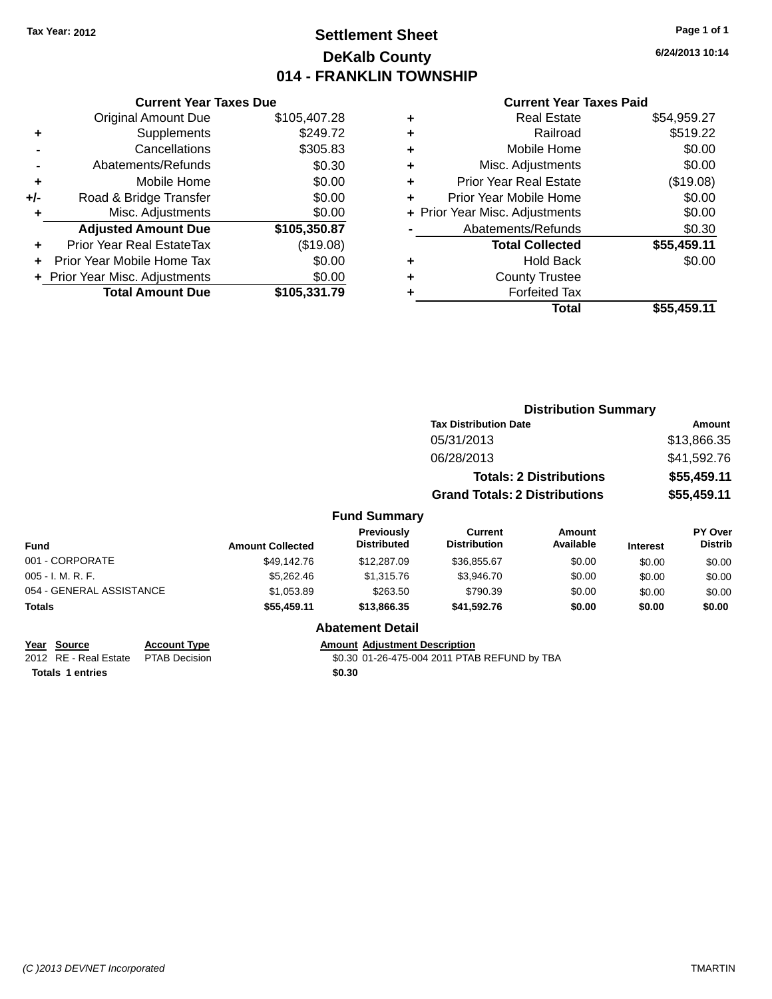# **Settlement Sheet Tax Year: 2012 Page 1 of 1 DeKalb County 014 - FRANKLIN TOWNSHIP**

**6/24/2013 10:14**

#### **Current Year Taxes Paid**

|     | <b>Current Year Taxes Due</b>  |              |  |  |  |  |  |
|-----|--------------------------------|--------------|--|--|--|--|--|
|     | <b>Original Amount Due</b>     | \$105,407.28 |  |  |  |  |  |
| ٠   | Supplements                    | \$249.72     |  |  |  |  |  |
|     | Cancellations                  | \$305.83     |  |  |  |  |  |
|     | \$0.30<br>Abatements/Refunds   |              |  |  |  |  |  |
| ٠   | Mobile Home                    | \$0.00       |  |  |  |  |  |
| +/- | Road & Bridge Transfer         | \$0.00       |  |  |  |  |  |
|     | \$0.00<br>Misc. Adjustments    |              |  |  |  |  |  |
|     | <b>Adjusted Amount Due</b>     | \$105,350.87 |  |  |  |  |  |
| ٠   | Prior Year Real EstateTax      | (\$19.08)    |  |  |  |  |  |
|     | Prior Year Mobile Home Tax     | \$0.00       |  |  |  |  |  |
|     | + Prior Year Misc. Adjustments | \$0.00       |  |  |  |  |  |
|     | <b>Total Amount Due</b>        | \$105,331.79 |  |  |  |  |  |
|     |                                |              |  |  |  |  |  |

| ٠ | <b>Real Estate</b>             | \$54,959.27 |
|---|--------------------------------|-------------|
| ٠ | Railroad                       | \$519.22    |
| ٠ | Mobile Home                    | \$0.00      |
| ٠ | Misc. Adjustments              | \$0.00      |
| ٠ | <b>Prior Year Real Estate</b>  | (\$19.08)   |
| ٠ | Prior Year Mobile Home         | \$0.00      |
|   | + Prior Year Misc. Adjustments | \$0.00      |
|   | Abatements/Refunds             | \$0.30      |
|   | <b>Total Collected</b>         | \$55,459.11 |
| ٠ | <b>Hold Back</b>               | \$0.00      |
| ٠ | <b>County Trustee</b>          |             |
| ٠ | <b>Forfeited Tax</b>           |             |
|   | <b>Total</b>                   | \$55,459.11 |
|   |                                |             |

|                          |                         |                                  | <b>Distribution Summary</b>           |                                |                 |                           |
|--------------------------|-------------------------|----------------------------------|---------------------------------------|--------------------------------|-----------------|---------------------------|
|                          |                         |                                  |                                       | <b>Tax Distribution Date</b>   |                 | Amount                    |
|                          |                         |                                  | 05/31/2013                            |                                |                 | \$13,866.35               |
|                          |                         |                                  | 06/28/2013                            |                                |                 | \$41,592.76               |
|                          |                         |                                  |                                       | <b>Totals: 2 Distributions</b> |                 | \$55,459.11               |
|                          |                         |                                  | <b>Grand Totals: 2 Distributions</b>  |                                | \$55,459.11     |                           |
|                          |                         | <b>Fund Summary</b>              |                                       |                                |                 |                           |
| <b>Fund</b>              | <b>Amount Collected</b> | Previously<br><b>Distributed</b> | <b>Current</b><br><b>Distribution</b> | Amount<br>Available            | <b>Interest</b> | PY Over<br><b>Distrib</b> |
| 001 - CORPORATE          | \$49.142.76             | \$12,287.09                      | \$36,855.67                           | \$0.00                         | \$0.00          | \$0.00                    |
| 005 - I. M. R. F.        | \$5,262.46              | \$1,315.76                       | \$3,946.70                            | \$0.00                         | \$0.00          | \$0.00                    |
| 054 - GENERAL ASSISTANCE | \$1,053.89              | \$263.50                         | \$790.39                              | \$0.00                         | \$0.00          | \$0.00                    |
| <b>Totals</b>            | \$55,459.11             | \$13,866.35                      | \$41,592.76                           | \$0.00                         | \$0.00          | \$0.00                    |

#### **Abatement Detail**

# **Year Source Account Type Amount Adjustment Description**<br>2012 RE - Real Estate PTAB Decision **Amount 1998** 40:30 01-26-475-004 2011 PTAE

\$0.30 01-26-475-004 2011 PTAB REFUND by TBA

**Totals 1 entries** \$0.30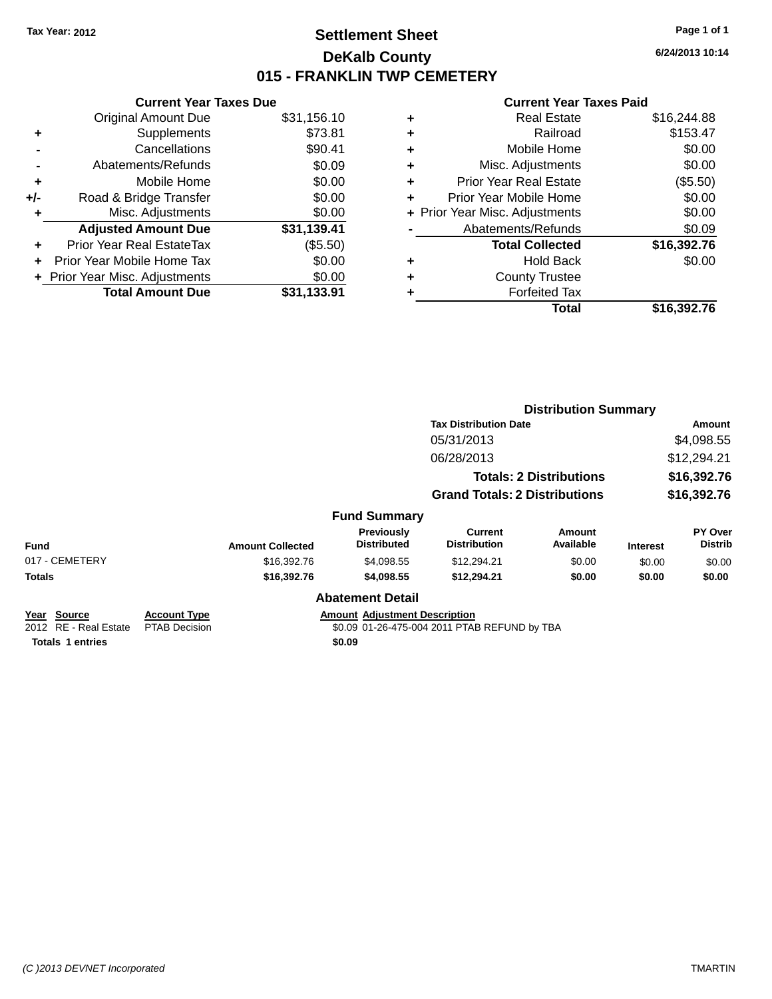# **Settlement Sheet Tax Year: 2012 Page 1 of 1 DeKalb County 015 - FRANKLIN TWP CEMETERY**

**6/24/2013 10:14**

| <b>Current Year Taxes Due</b> |                                |
|-------------------------------|--------------------------------|
| <b>Original Amount Due</b>    | \$31,156.10                    |
| Supplements                   | \$73.81                        |
| Cancellations                 | \$90.41                        |
| Abatements/Refunds            | \$0.09                         |
| Mobile Home                   | \$0.00                         |
| Road & Bridge Transfer        | \$0.00                         |
| Misc. Adjustments             | \$0.00                         |
| <b>Adjusted Amount Due</b>    | \$31,139.41                    |
| Prior Year Real EstateTax     | (\$5.50)                       |
| Prior Year Mobile Home Tax    | \$0.00                         |
|                               | \$0.00                         |
| <b>Total Amount Due</b>       | \$31,133.91                    |
|                               | + Prior Year Misc. Adjustments |

| ٠ | <b>Real Estate</b>             | \$16,244.88 |
|---|--------------------------------|-------------|
| ٠ | Railroad                       | \$153.47    |
| ٠ | Mobile Home                    | \$0.00      |
| ٠ | Misc. Adjustments              | \$0.00      |
| ٠ | <b>Prior Year Real Estate</b>  | (\$5.50)    |
| ٠ | Prior Year Mobile Home         | \$0.00      |
|   | + Prior Year Misc. Adjustments | \$0.00      |
|   | Abatements/Refunds             | \$0.09      |
|   | <b>Total Collected</b>         | \$16,392.76 |
| ٠ | <b>Hold Back</b>               | \$0.00      |
| ٠ | <b>County Trustee</b>          |             |
| ٠ | <b>Forfeited Tax</b>           |             |
|   | Total                          | \$16,392.76 |
|   |                                |             |

|                                                                           |                                             |                         |                                                |                                              | <b>Distribution Summary</b>    |                 |                           |
|---------------------------------------------------------------------------|---------------------------------------------|-------------------------|------------------------------------------------|----------------------------------------------|--------------------------------|-----------------|---------------------------|
|                                                                           |                                             |                         |                                                | <b>Tax Distribution Date</b>                 |                                | <b>Amount</b>   |                           |
|                                                                           |                                             |                         |                                                | 05/31/2013                                   |                                |                 | \$4,098.55                |
|                                                                           |                                             |                         |                                                | 06/28/2013                                   |                                |                 | \$12,294.21               |
|                                                                           |                                             |                         |                                                |                                              | <b>Totals: 2 Distributions</b> |                 | \$16,392.76               |
|                                                                           |                                             |                         |                                                | <b>Grand Totals: 2 Distributions</b>         |                                |                 | \$16,392.76               |
|                                                                           |                                             |                         | <b>Fund Summary</b>                            |                                              |                                |                 |                           |
| <b>Fund</b>                                                               |                                             | <b>Amount Collected</b> | Previously<br><b>Distributed</b>               | <b>Current</b><br><b>Distribution</b>        | Amount<br>Available            | <b>Interest</b> | PY Over<br><b>Distrib</b> |
| 017 - CEMETERY                                                            |                                             | \$16,392.76             | \$4,098.55                                     | \$12,294.21                                  | \$0.00                         | \$0.00          | \$0.00                    |
| <b>Totals</b>                                                             |                                             | \$16,392.76             | \$4,098.55                                     | \$12,294.21                                  | \$0.00                         | \$0.00          | \$0.00                    |
|                                                                           |                                             |                         | <b>Abatement Detail</b>                        |                                              |                                |                 |                           |
| Year<br><b>Source</b><br>2012 RE - Real Estate<br><b>Totals 1 entries</b> | <b>Account Type</b><br><b>PTAB Decision</b> |                         | <b>Amount Adjustment Description</b><br>\$0.09 | \$0.09 01-26-475-004 2011 PTAB REFUND by TBA |                                |                 |                           |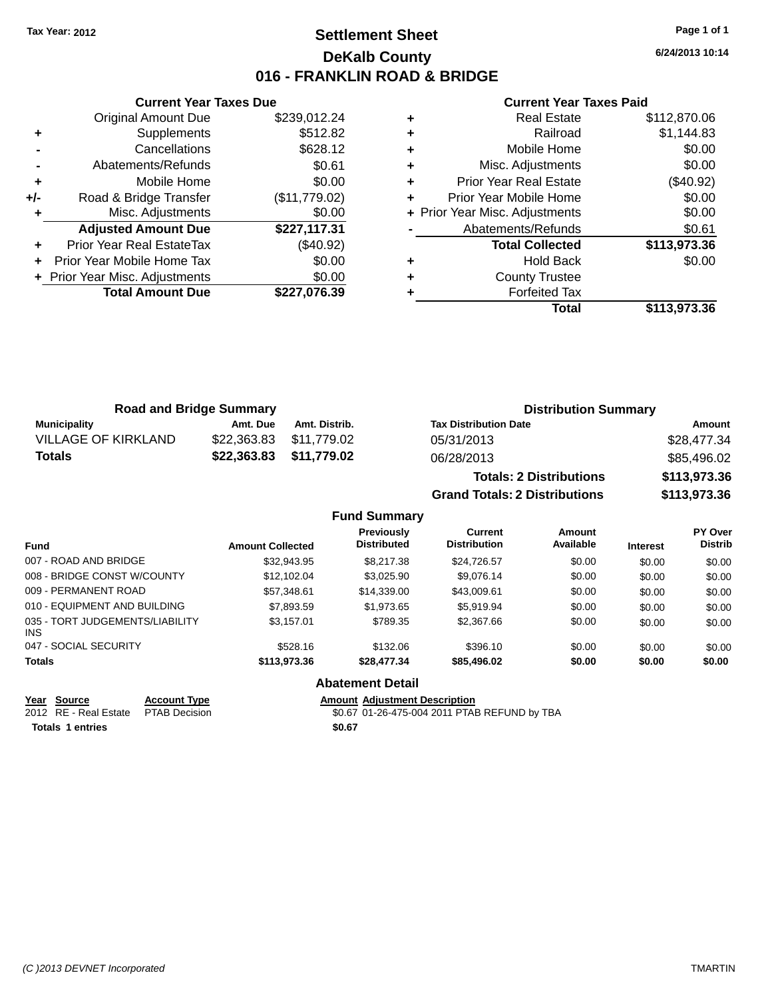# **Settlement Sheet Tax Year: 2012 Page 1 of 1 DeKalb County 016 - FRANKLIN ROAD & BRIDGE**

**6/24/2013 10:14**

#### **Current Year Taxes Paid**

|       | <b>Current Year Taxes Due</b>  |               |
|-------|--------------------------------|---------------|
|       | Original Amount Due            | \$239,012.24  |
| ٠     | Supplements                    | \$512.82      |
|       | Cancellations                  | \$628.12      |
|       | Abatements/Refunds             | \$0.61        |
| ٠     | Mobile Home                    | \$0.00        |
| $+/-$ | Road & Bridge Transfer         | (\$11,779.02) |
|       | Misc. Adjustments              | \$0.00        |
|       | <b>Adjusted Amount Due</b>     | \$227,117.31  |
|       | Prior Year Real EstateTax      | (\$40.92)     |
|       | Prior Year Mobile Home Tax     | \$0.00        |
|       | + Prior Year Misc. Adjustments | \$0.00        |
|       | <b>Total Amount Due</b>        | \$227,076.39  |
|       |                                |               |

| ٠ | <b>Real Estate</b>             | \$112,870.06 |
|---|--------------------------------|--------------|
| ٠ | Railroad                       | \$1,144.83   |
| ٠ | Mobile Home                    | \$0.00       |
| ٠ | Misc. Adjustments              | \$0.00       |
| ٠ | <b>Prior Year Real Estate</b>  | $(\$40.92)$  |
| ٠ | Prior Year Mobile Home         | \$0.00       |
|   | + Prior Year Misc. Adjustments | \$0.00       |
|   | Abatements/Refunds             | \$0.61       |
|   | <b>Total Collected</b>         | \$113,973.36 |
| ٠ | <b>Hold Back</b>               | \$0.00       |
| ٠ | <b>County Trustee</b>          |              |
|   | <b>Forfeited Tax</b>           |              |
|   | Total                          | \$113,973.36 |

|                            | <b>Road and Bridge Summary</b> |                         | <b>Distribution Summary</b>    |              |
|----------------------------|--------------------------------|-------------------------|--------------------------------|--------------|
| Municipality               | Amt. Due                       | Amt. Distrib.           | <b>Tax Distribution Date</b>   | Amount       |
| <b>VILLAGE OF KIRKLAND</b> |                                | \$22,363.83 \$11,779.02 | 05/31/2013                     | \$28,477.34  |
| Totals                     |                                | \$22,363.83 \$11,779.02 | 06/28/2013                     | \$85,496.02  |
|                            |                                |                         | <b>Totals: 2 Distributions</b> | \$113,973.36 |

**Grand Totals: 2 Distributions \$113,973.36**

#### **Fund Summary**

| <b>Fund</b>                                   | <b>Amount Collected</b> | <b>Previously</b><br><b>Distributed</b> | Current<br><b>Distribution</b> | Amount<br>Available | <b>Interest</b> | PY Over<br><b>Distrib</b> |  |
|-----------------------------------------------|-------------------------|-----------------------------------------|--------------------------------|---------------------|-----------------|---------------------------|--|
| 007 - ROAD AND BRIDGE                         | \$32.943.95             | \$8,217,38                              | \$24,726.57                    | \$0.00              | \$0.00          | \$0.00                    |  |
| 008 - BRIDGE CONST W/COUNTY                   | \$12,102.04             | \$3.025.90                              | \$9.076.14                     | \$0.00              | \$0.00          | \$0.00                    |  |
| 009 - PERMANENT ROAD                          | \$57,348.61             | \$14,339,00                             | \$43,009.61                    | \$0.00              | \$0.00          | \$0.00                    |  |
| 010 - EQUIPMENT AND BUILDING                  | \$7.893.59              | \$1,973.65                              | \$5.919.94                     | \$0.00              | \$0.00          | \$0.00                    |  |
| 035 - TORT JUDGEMENTS/LIABILITY<br><b>INS</b> | \$3.157.01              | \$789.35                                | \$2,367.66                     | \$0.00              | \$0.00          | \$0.00                    |  |
| 047 - SOCIAL SECURITY                         | \$528.16                | \$132.06                                | \$396.10                       | \$0.00              | \$0.00          | \$0.00                    |  |
| <b>Totals</b>                                 | \$113,973.36            | \$28,477.34                             | \$85,496.02                    | \$0.00              | \$0.00          | \$0.00                    |  |

#### **Abatement Detail**

**<u>Year Source</u> <b>Account Type**<br> **ALCOUNTE ADDED**<br> **ACCOUNT ADDED**<br> **ACCOUNT ADDED**<br> **ACCOUNT ADDED**<br> **ACCOUNT ADDED** Totals 1 entries \$0.67

2012 Amount Adjustment Description<br>\$0.67 01-26-475-004 2011 PTAB REFUND by TBA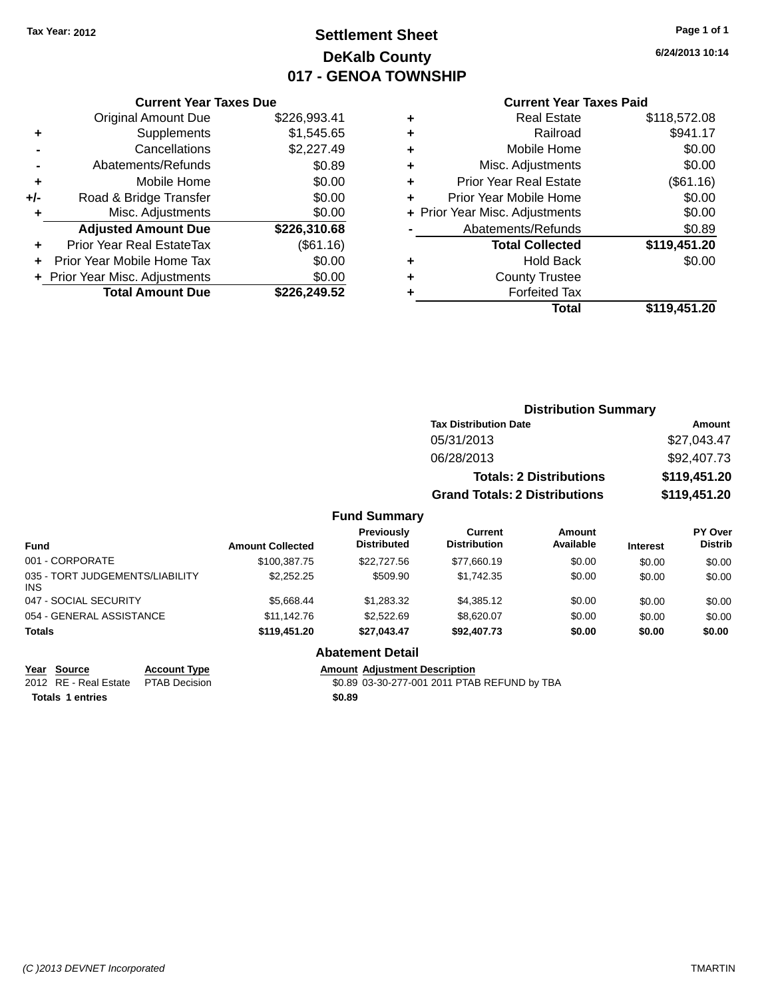# **Settlement Sheet Tax Year: 2012 Page 1 of 1 DeKalb County 017 - GENOA TOWNSHIP**

**6/24/2013 10:14**

#### **Current Year Taxes Paid**

|     | <b>Current Year Taxes Due</b>  |              |
|-----|--------------------------------|--------------|
|     | <b>Original Amount Due</b>     | \$226,993.41 |
| ٠   | Supplements                    | \$1,545.65   |
|     | Cancellations                  | \$2,227.49   |
|     | Abatements/Refunds             | \$0.89       |
| ٠   | Mobile Home                    | \$0.00       |
| +/- | Road & Bridge Transfer         | \$0.00       |
|     | Misc. Adjustments              | \$0.00       |
|     | <b>Adjusted Amount Due</b>     | \$226,310.68 |
| ÷   | Prior Year Real EstateTax      | (\$61.16)    |
|     | Prior Year Mobile Home Tax     | \$0.00       |
|     | + Prior Year Misc. Adjustments | \$0.00       |
|     | <b>Total Amount Due</b>        | \$226,249.52 |
|     |                                |              |

| ٠ | <b>Real Estate</b>             | \$118,572.08 |
|---|--------------------------------|--------------|
| ٠ | Railroad                       | \$941.17     |
| ٠ | Mobile Home                    | \$0.00       |
| ٠ | Misc. Adjustments              | \$0.00       |
| ٠ | <b>Prior Year Real Estate</b>  | (\$61.16)    |
| ٠ | Prior Year Mobile Home         | \$0.00       |
|   | + Prior Year Misc. Adjustments | \$0.00       |
|   | Abatements/Refunds             | \$0.89       |
|   | <b>Total Collected</b>         | \$119,451.20 |
| ٠ | <b>Hold Back</b>               | \$0.00       |
| ٠ | <b>County Trustee</b>          |              |
| ٠ | <b>Forfeited Tax</b>           |              |
|   | Total                          | \$119,451.20 |

| <b>Distribution Summary</b>          |              |
|--------------------------------------|--------------|
| <b>Tax Distribution Date</b>         | Amount       |
| 05/31/2013                           | \$27,043.47  |
| 06/28/2013                           | \$92,407.73  |
| <b>Totals: 2 Distributions</b>       | \$119,451.20 |
| <b>Grand Totals: 2 Distributions</b> | \$119,451.20 |
| <b>Fund Summary</b>                  |              |

| <b>Fund</b>                            | <b>Amount Collected</b> | Previously<br>Distributed | Current<br><b>Distribution</b> | Amount<br>Available | <b>Interest</b> | <b>PY Over</b><br><b>Distrib</b> |  |  |
|----------------------------------------|-------------------------|---------------------------|--------------------------------|---------------------|-----------------|----------------------------------|--|--|
| 001 - CORPORATE                        | \$100,387.75            | \$22,727.56               | \$77,660.19                    | \$0.00              | \$0.00          | \$0.00                           |  |  |
| 035 - TORT JUDGEMENTS/LIABILITY<br>INS | \$2,252,25              | \$509.90                  | \$1.742.35                     | \$0.00              | \$0.00          | \$0.00                           |  |  |
| 047 - SOCIAL SECURITY                  | \$5.668.44              | \$1,283,32                | \$4,385.12                     | \$0.00              | \$0.00          | \$0.00                           |  |  |
| 054 - GENERAL ASSISTANCE               | \$11.142.76             | \$2,522.69                | \$8.620.07                     | \$0.00              | \$0.00          | \$0.00                           |  |  |
| Totals                                 | \$119,451.20            | \$27.043.47               | \$92,407.73                    | \$0.00              | \$0.00          | \$0.00                           |  |  |
|                                        |                         |                           |                                |                     |                 |                                  |  |  |

#### **Abatement Detail**

**Year Source Account Type Amount Adjustment Description**

2012 RE - Real Estate \$0.89 03-30-277-001 2011 PTAB REFUND by TBA PTAB Decision

**Totals \$0.89 1 entries**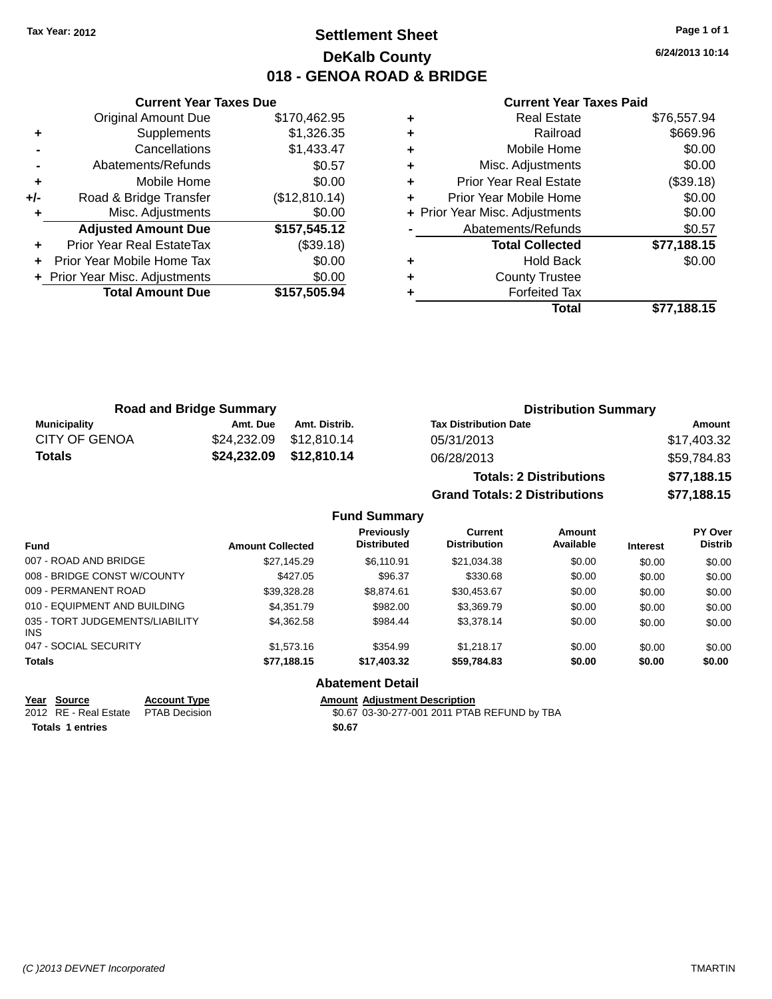# **Settlement Sheet Tax Year: 2012 Page 1 of 1 DeKalb County 018 - GENOA ROAD & BRIDGE**

**6/24/2013 10:14**

#### **Current Year Taxes Paid**

|     | <b>Current Year Taxes Due</b>  |               |
|-----|--------------------------------|---------------|
|     | <b>Original Amount Due</b>     | \$170,462.95  |
| ٠   | Supplements                    | \$1,326.35    |
|     | Cancellations                  | \$1,433.47    |
|     | Abatements/Refunds             | \$0.57        |
| ٠   | Mobile Home                    | \$0.00        |
| +/- | Road & Bridge Transfer         | (\$12,810.14) |
|     | Misc. Adjustments              | \$0.00        |
|     | <b>Adjusted Amount Due</b>     | \$157,545.12  |
|     | Prior Year Real EstateTax      | (\$39.18)     |
|     | Prior Year Mobile Home Tax     | \$0.00        |
|     | + Prior Year Misc. Adjustments | \$0.00        |
|     | <b>Total Amount Due</b>        | \$157,505.94  |
|     |                                |               |

|   | Total                          | \$77,188.15 |
|---|--------------------------------|-------------|
| ٠ | <b>Forfeited Tax</b>           |             |
| ٠ | <b>County Trustee</b>          |             |
| ٠ | Hold Back                      | \$0.00      |
|   | <b>Total Collected</b>         | \$77,188.15 |
|   | Abatements/Refunds             | \$0.57      |
|   | + Prior Year Misc. Adjustments | \$0.00      |
| ٠ | Prior Year Mobile Home         | \$0.00      |
| ٠ | <b>Prior Year Real Estate</b>  | (\$39.18)   |
| ٠ | Misc. Adjustments              | \$0.00      |
| ٠ | Mobile Home                    | \$0.00      |
| ٠ | Railroad                       | \$669.96    |
| ٠ | <b>Real Estate</b>             | \$76,557.94 |

| <b>Road and Bridge Summary</b> |          | <b>Distribution Summary</b> |                                |             |
|--------------------------------|----------|-----------------------------|--------------------------------|-------------|
| <b>Municipality</b>            | Amt. Due | Amt. Distrib.               | <b>Tax Distribution Date</b>   | Amount      |
| <b>CITY OF GENOA</b>           |          | \$24,232.09 \$12,810.14     | 05/31/2013                     | \$17,403.32 |
| Totals                         |          | \$24,232.09 \$12,810.14     | 06/28/2013                     | \$59.784.83 |
|                                |          |                             | <b>Totals: 2 Distributions</b> | \$77,188.15 |

**Grand Totals: 2 Distributions \$77,188.15 Fund Summary**

| s: 2 Distributions |  |
|--------------------|--|
|                    |  |

| <b>Fund</b>                            | <b>Amount Collected</b> | <b>Previously</b><br><b>Distributed</b> | Current<br><b>Distribution</b> | Amount<br>Available | <b>Interest</b> | PY Over<br><b>Distrib</b> |
|----------------------------------------|-------------------------|-----------------------------------------|--------------------------------|---------------------|-----------------|---------------------------|
| 007 - ROAD AND BRIDGE                  | \$27.145.29             | \$6,110.91                              | \$21,034.38                    | \$0.00              | \$0.00          | \$0.00                    |
| 008 - BRIDGE CONST W/COUNTY            | \$427.05                | \$96.37                                 | \$330.68                       | \$0.00              | \$0.00          | \$0.00                    |
| 009 - PERMANENT ROAD                   | \$39.328.28             | \$8,874.61                              | \$30,453.67                    | \$0.00              | \$0.00          | \$0.00                    |
| 010 - EQUIPMENT AND BUILDING           | \$4,351.79              | \$982.00                                | \$3,369.79                     | \$0.00              | \$0.00          | \$0.00                    |
| 035 - TORT JUDGEMENTS/LIABILITY<br>INS | \$4.362.58              | \$984.44                                | \$3,378.14                     | \$0.00              | \$0.00          | \$0.00                    |
| 047 - SOCIAL SECURITY                  | \$1,573.16              | \$354.99                                | \$1,218.17                     | \$0.00              | \$0.00          | \$0.00                    |
| <b>Totals</b>                          | \$77,188.15             | \$17,403.32                             | \$59,784.83                    | \$0.00              | \$0.00          | \$0.00                    |

**Abatement Detail**

**<u>Year Source</u> <b>Account Type**<br> **ALCOUNTE ADDED**<br> **ACCOUNT ADDED**<br> **ACCOUNT ADDED**<br> **ACCOUNT ADDED**<br> **ACCOUNT ADDED** 

Amount Adjustment Description<br>\$0.67 03-30-277-001 2011 PTAB REFUND by TBA Totals 1 entries \$0.67

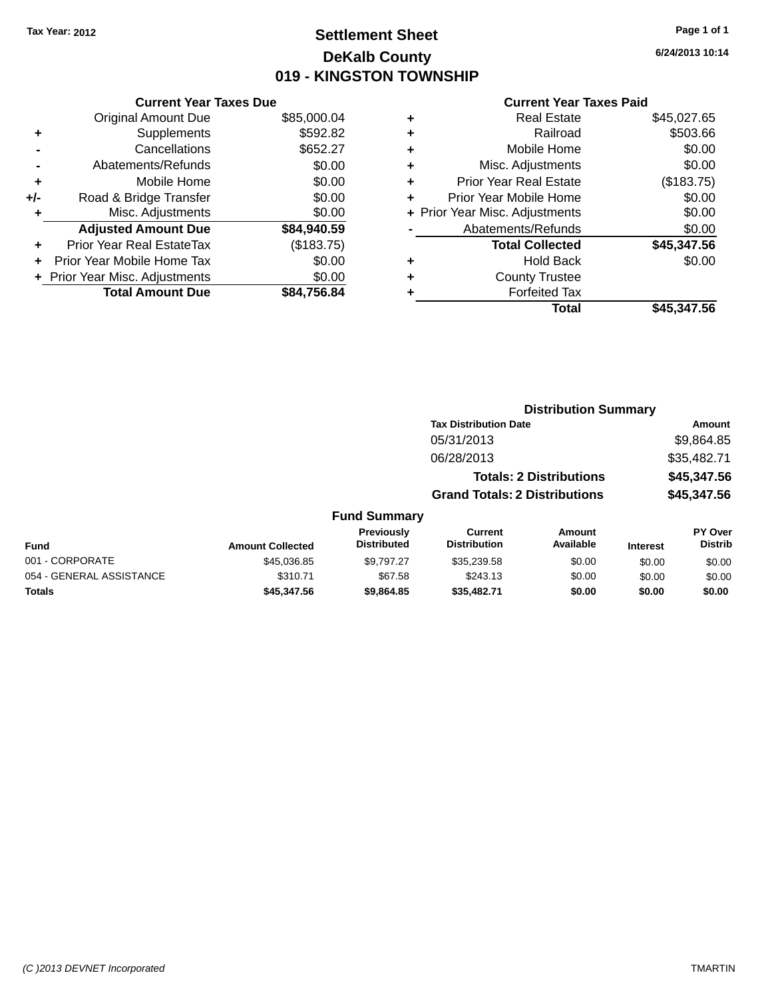# **Settlement Sheet Tax Year: 2012 Page 1 of 1 DeKalb County 019 - KINGSTON TOWNSHIP**

**6/24/2013 10:14**

#### **Current Year Taxes Paid**

| <b>Current Year Taxes Due</b> |                                |
|-------------------------------|--------------------------------|
| <b>Original Amount Due</b>    | \$85,000.04                    |
| Supplements                   | \$592.82                       |
| Cancellations                 | \$652.27                       |
| Abatements/Refunds            | \$0.00                         |
| Mobile Home                   | \$0.00                         |
| Road & Bridge Transfer        | \$0.00                         |
| Misc. Adjustments             | \$0.00                         |
| <b>Adjusted Amount Due</b>    | \$84,940.59                    |
| Prior Year Real EstateTax     | (\$183.75)                     |
| Prior Year Mobile Home Tax    | \$0.00                         |
|                               | \$0.00                         |
| <b>Total Amount Due</b>       | \$84.756.84                    |
|                               | + Prior Year Misc. Adjustments |

|   | <b>Total</b>                   | \$45,347.56 |
|---|--------------------------------|-------------|
|   | <b>Forfeited Tax</b>           |             |
| ٠ | <b>County Trustee</b>          |             |
| ٠ | Hold Back                      | \$0.00      |
|   | <b>Total Collected</b>         | \$45,347.56 |
|   | Abatements/Refunds             | \$0.00      |
|   | + Prior Year Misc. Adjustments | \$0.00      |
| ٠ | Prior Year Mobile Home         | \$0.00      |
| ٠ | <b>Prior Year Real Estate</b>  | (\$183.75)  |
| ٠ | Misc. Adjustments              | \$0.00      |
| ٠ | Mobile Home                    | \$0.00      |
| ٠ | Railroad                       | \$503.66    |
| ٠ | <b>Real Estate</b>             | \$45,027.65 |
|   |                                |             |

|                          |                         |                                  |                                      | <b>Distribution Summary</b>    |                 |                           |
|--------------------------|-------------------------|----------------------------------|--------------------------------------|--------------------------------|-----------------|---------------------------|
|                          |                         |                                  | <b>Tax Distribution Date</b>         |                                |                 | Amount                    |
|                          |                         |                                  | 05/31/2013                           |                                |                 | \$9,864.85                |
|                          |                         |                                  | 06/28/2013                           |                                |                 | \$35,482.71               |
|                          |                         |                                  |                                      | <b>Totals: 2 Distributions</b> |                 | \$45,347.56               |
|                          |                         |                                  | <b>Grand Totals: 2 Distributions</b> |                                |                 | \$45,347.56               |
|                          |                         | <b>Fund Summary</b>              |                                      |                                |                 |                           |
| <b>Fund</b>              | <b>Amount Collected</b> | Previously<br><b>Distributed</b> | Current<br><b>Distribution</b>       | <b>Amount</b><br>Available     | <b>Interest</b> | PY Over<br><b>Distrib</b> |
| 001 - CORPORATE          | \$45,036.85             | \$9.797.27                       | \$35,239.58                          | \$0.00                         | \$0.00          | \$0.00                    |
| 054 - GENERAL ASSISTANCE | \$310.71                | \$67.58                          | \$243.13                             | \$0.00                         | \$0.00          | \$0.00                    |

**Totals \$45,347.56 \$9,864.85 \$35,482.71 \$0.00 \$0.00 \$0.00**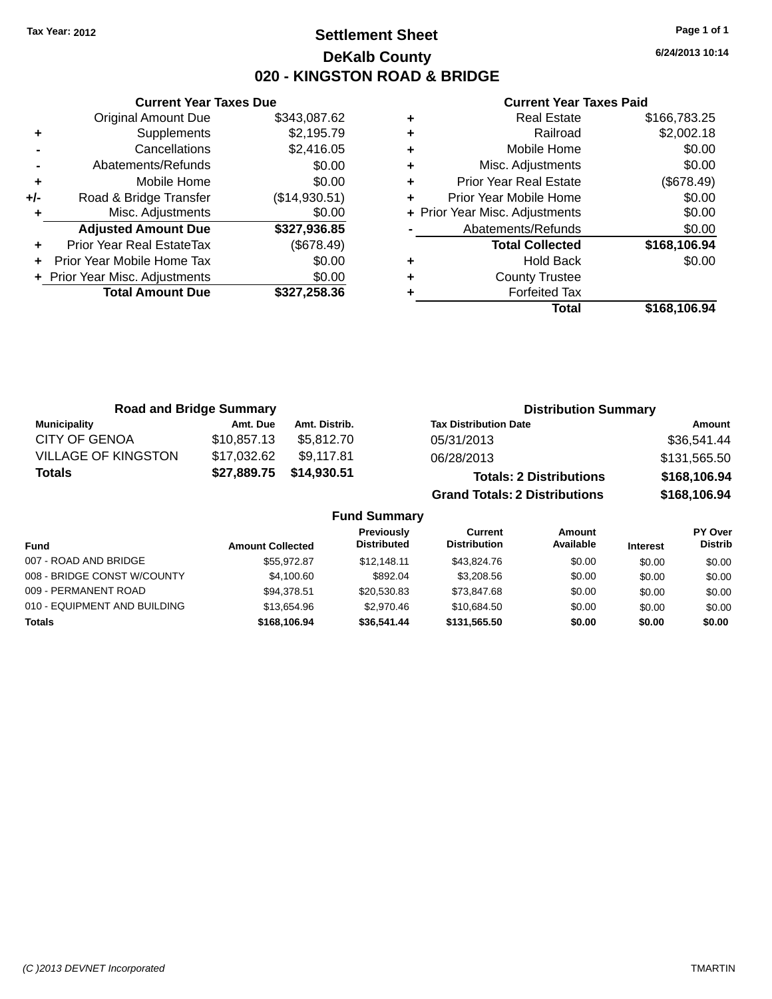# **Settlement Sheet Tax Year: 2012 Page 1 of 1 DeKalb County 020 - KINGSTON ROAD & BRIDGE**

**6/24/2013 10:14**

#### **Current Year Taxes Paid**

|     | <b>Current Year Taxes Due</b>  |               |
|-----|--------------------------------|---------------|
|     | <b>Original Amount Due</b>     | \$343,087.62  |
| ٠   | Supplements                    | \$2,195.79    |
|     | Cancellations                  | \$2,416.05    |
|     | Abatements/Refunds             | \$0.00        |
| ٠   | Mobile Home                    | \$0.00        |
| +/- | Road & Bridge Transfer         | (\$14,930.51) |
| ٠   | Misc. Adjustments              | \$0.00        |
|     | <b>Adjusted Amount Due</b>     | \$327,936.85  |
|     | Prior Year Real EstateTax      | (\$678.49)    |
|     | Prior Year Mobile Home Tax     | \$0.00        |
|     | + Prior Year Misc. Adjustments | \$0.00        |
|     | <b>Total Amount Due</b>        | \$327.258.36  |
|     |                                |               |

| ٠ | <b>Real Estate</b>             | \$166,783.25 |
|---|--------------------------------|--------------|
| ٠ | Railroad                       | \$2,002.18   |
| ٠ | Mobile Home                    | \$0.00       |
| ٠ | Misc. Adjustments              | \$0.00       |
| ٠ | <b>Prior Year Real Estate</b>  | (\$678.49)   |
| ٠ | Prior Year Mobile Home         | \$0.00       |
|   | + Prior Year Misc. Adjustments | \$0.00       |
|   | Abatements/Refunds             | \$0.00       |
|   | <b>Total Collected</b>         | \$168,106.94 |
| ٠ | Hold Back                      | \$0.00       |
| ٠ | <b>County Trustee</b>          |              |
|   | <b>Forfeited Tax</b>           |              |
|   | Total                          | \$168,106.94 |

| <b>Road and Bridge Summary</b> |             |               | <b>Distribution Summary</b>          |              |  |
|--------------------------------|-------------|---------------|--------------------------------------|--------------|--|
| Municipality                   | Amt. Due    | Amt. Distrib. | <b>Tax Distribution Date</b>         | Amount       |  |
| <b>CITY OF GENOA</b>           | \$10,857.13 | \$5.812.70    | 05/31/2013                           | \$36,541.44  |  |
| <b>VILLAGE OF KINGSTON</b>     | \$17,032.62 | \$9.117.81    | 06/28/2013                           | \$131,565.50 |  |
| <b>Totals</b>                  | \$27,889.75 | \$14,930.51   | <b>Totals: 2 Distributions</b>       | \$168,106.94 |  |
|                                |             |               | <b>Grand Totals: 2 Distributions</b> | \$168,106.94 |  |

#### **Fund Summary**

|                              |                         | <b>Previously</b><br><b>Distributed</b> | Current<br><b>Distribution</b> | Amount<br>Available |                 | PY Over<br><b>Distrib</b> |
|------------------------------|-------------------------|-----------------------------------------|--------------------------------|---------------------|-----------------|---------------------------|
| Fund                         | <b>Amount Collected</b> |                                         |                                |                     | <b>Interest</b> |                           |
| 007 - ROAD AND BRIDGE        | \$55.972.87             | \$12.148.11                             | \$43.824.76                    | \$0.00              | \$0.00          | \$0.00                    |
| 008 - BRIDGE CONST W/COUNTY  | \$4,100.60              | \$892.04                                | \$3,208.56                     | \$0.00              | \$0.00          | \$0.00                    |
| 009 - PERMANENT ROAD         | \$94.378.51             | \$20,530.83                             | \$73.847.68                    | \$0.00              | \$0.00          | \$0.00                    |
| 010 - EQUIPMENT AND BUILDING | \$13,654.96             | \$2,970.46                              | \$10.684.50                    | \$0.00              | \$0.00          | \$0.00                    |
| Totals                       | \$168,106.94            | \$36,541.44                             | \$131,565.50                   | \$0.00              | \$0.00          | \$0.00                    |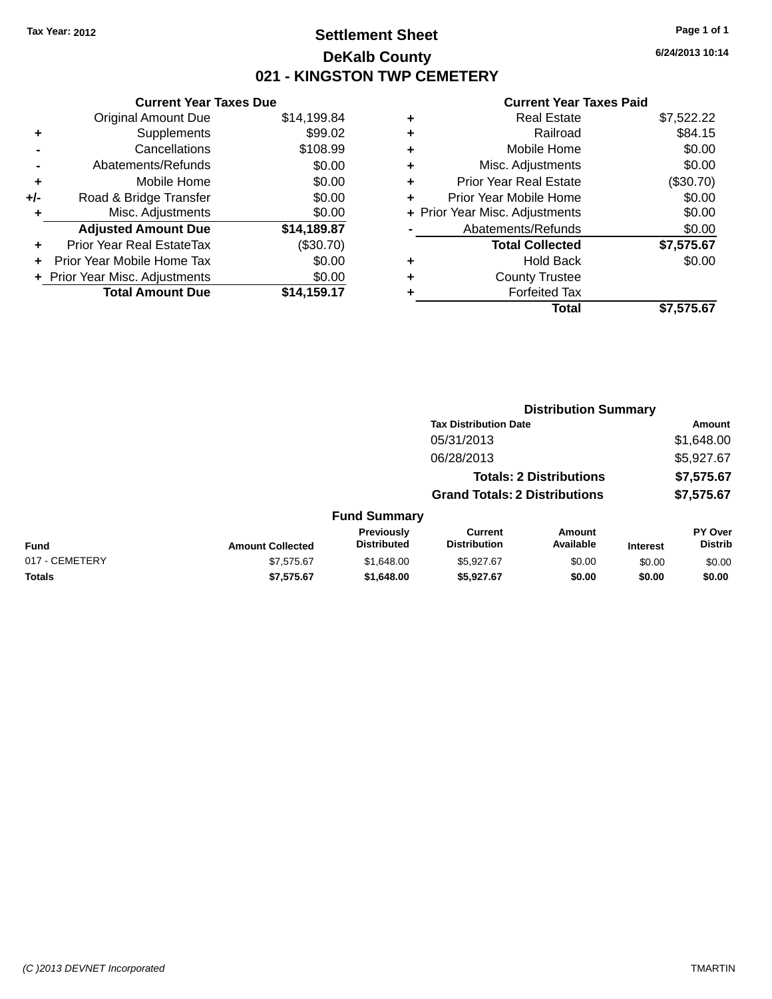# **Settlement Sheet Tax Year: 2012 Page 1 of 1 DeKalb County 021 - KINGSTON TWP CEMETERY**

**6/24/2013 10:14**

| <b>Current Year Taxes Due</b> |                              |
|-------------------------------|------------------------------|
| <b>Original Amount Due</b>    | \$14,199.84                  |
| Supplements                   | \$99.02                      |
| Cancellations                 | \$108.99                     |
| Abatements/Refunds            | \$0.00                       |
| Mobile Home                   | \$0.00                       |
| Road & Bridge Transfer        | \$0.00                       |
| Misc. Adjustments             | \$0.00                       |
| <b>Adjusted Amount Due</b>    | \$14,189.87                  |
| Prior Year Real EstateTax     | (\$30.70)                    |
| Prior Year Mobile Home Tax    | \$0.00                       |
|                               | \$0.00                       |
| <b>Total Amount Due</b>       | \$14.159.17                  |
|                               | Prior Year Misc. Adjustments |

| ٠ | <b>Real Estate</b>             | \$7,522.22 |
|---|--------------------------------|------------|
| ٠ | Railroad                       | \$84.15    |
| ٠ | Mobile Home                    | \$0.00     |
| ٠ | Misc. Adjustments              | \$0.00     |
| ٠ | <b>Prior Year Real Estate</b>  | (\$30.70)  |
| ÷ | Prior Year Mobile Home         | \$0.00     |
|   | + Prior Year Misc. Adjustments | \$0.00     |
|   | Abatements/Refunds             | \$0.00     |
|   | <b>Total Collected</b>         | \$7,575.67 |
| ٠ | Hold Back                      | \$0.00     |
| ٠ | <b>County Trustee</b>          |            |
| ٠ | <b>Forfeited Tax</b>           |            |
|   | Total                          | \$7,575.67 |
|   |                                |            |

|                |                         |                                  |                                       | <b>Distribution Summary</b>    |                 |                                  |
|----------------|-------------------------|----------------------------------|---------------------------------------|--------------------------------|-----------------|----------------------------------|
|                |                         |                                  | <b>Tax Distribution Date</b>          |                                |                 | Amount                           |
|                |                         |                                  | 05/31/2013                            |                                |                 | \$1,648.00                       |
|                |                         |                                  | 06/28/2013                            |                                |                 | \$5,927.67                       |
|                |                         |                                  |                                       | <b>Totals: 2 Distributions</b> |                 | \$7,575.67                       |
|                |                         |                                  | <b>Grand Totals: 2 Distributions</b>  |                                |                 | \$7,575.67                       |
|                |                         | <b>Fund Summary</b>              |                                       |                                |                 |                                  |
| <b>Fund</b>    | <b>Amount Collected</b> | Previously<br><b>Distributed</b> | <b>Current</b><br><b>Distribution</b> | Amount<br>Available            | <b>Interest</b> | <b>PY Over</b><br><b>Distrib</b> |
| 017 - CEMETERY | \$7,575.67              | \$1,648.00                       | \$5,927.67                            | \$0.00                         | \$0.00          | \$0.00                           |
| <b>Totals</b>  | \$7,575.67              | \$1,648.00                       | \$5,927.67                            | \$0.00                         | \$0.00          | \$0.00                           |
|                |                         |                                  |                                       |                                |                 |                                  |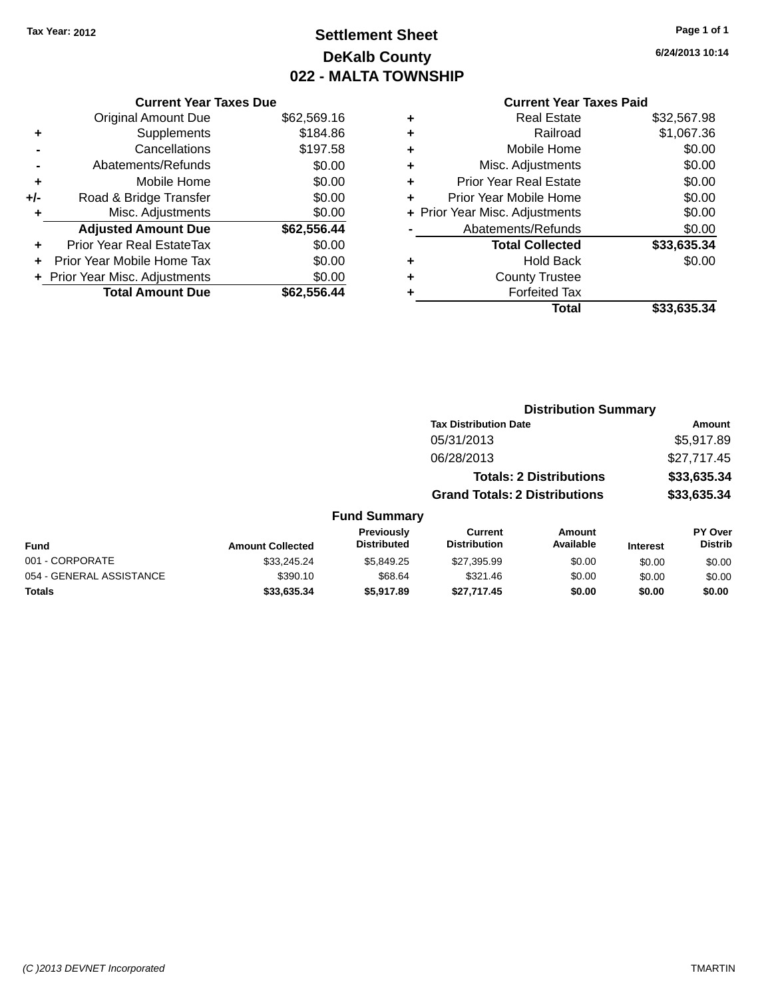# **Settlement Sheet Tax Year: 2012 Page 1 of 1 DeKalb County 022 - MALTA TOWNSHIP**

**6/24/2013 10:14**

|     | <b>Current Year Taxes Due</b>  |             |
|-----|--------------------------------|-------------|
|     | <b>Original Amount Due</b>     | \$62,569.16 |
| ٠   | Supplements                    | \$184.86    |
|     | Cancellations                  | \$197.58    |
|     | Abatements/Refunds             | \$0.00      |
| ٠   | Mobile Home                    | \$0.00      |
| +/- | Road & Bridge Transfer         | \$0.00      |
|     | Misc. Adjustments              | \$0.00      |
|     | <b>Adjusted Amount Due</b>     | \$62,556.44 |
| ٠   | Prior Year Real EstateTax      | \$0.00      |
|     | Prior Year Mobile Home Tax     | \$0.00      |
|     | + Prior Year Misc. Adjustments | \$0.00      |
|     | <b>Total Amount Due</b>        | \$62.556.44 |
|     |                                |             |

|   | <b>Real Estate</b>             | \$32,567.98 |
|---|--------------------------------|-------------|
| ٠ | Railroad                       | \$1,067.36  |
| ٠ | Mobile Home                    | \$0.00      |
| ٠ | Misc. Adjustments              | \$0.00      |
| ٠ | <b>Prior Year Real Estate</b>  | \$0.00      |
| ٠ | Prior Year Mobile Home         | \$0.00      |
|   | + Prior Year Misc. Adjustments | \$0.00      |
|   | Abatements/Refunds             | \$0.00      |
|   | <b>Total Collected</b>         | \$33,635.34 |
| ٠ | Hold Back                      | \$0.00      |
|   | <b>County Trustee</b>          |             |
| ٠ | <b>Forfeited Tax</b>           |             |
|   | Total                          | \$33,635.34 |
|   |                                |             |

|                          |                         |                                  |                                      | <b>Distribution Summary</b>    |                 |                                  |
|--------------------------|-------------------------|----------------------------------|--------------------------------------|--------------------------------|-----------------|----------------------------------|
|                          |                         |                                  | <b>Tax Distribution Date</b>         |                                |                 | Amount                           |
|                          |                         |                                  | 05/31/2013                           |                                |                 | \$5,917.89                       |
|                          |                         |                                  | 06/28/2013                           |                                |                 | \$27,717.45                      |
|                          |                         |                                  |                                      | <b>Totals: 2 Distributions</b> |                 | \$33,635.34                      |
|                          |                         |                                  | <b>Grand Totals: 2 Distributions</b> |                                |                 | \$33,635.34                      |
|                          |                         | <b>Fund Summary</b>              |                                      |                                |                 |                                  |
| <b>Fund</b>              | <b>Amount Collected</b> | Previously<br><b>Distributed</b> | Current<br><b>Distribution</b>       | Amount<br>Available            | <b>Interest</b> | <b>PY Over</b><br><b>Distrib</b> |
| 001 - CORPORATE          | \$33,245.24             | \$5,849.25                       | \$27,395.99                          | \$0.00                         | \$0.00          | \$0.00                           |
| 054 - GENERAL ASSISTANCE | \$390.10                | \$68.64                          | \$321.46                             | \$0.00                         | \$0.00          | \$0.00                           |
| <b>Totals</b>            | \$33,635.34             | \$5.917.89                       | \$27.717.45                          | \$0.00                         | \$0.00          | \$0.00                           |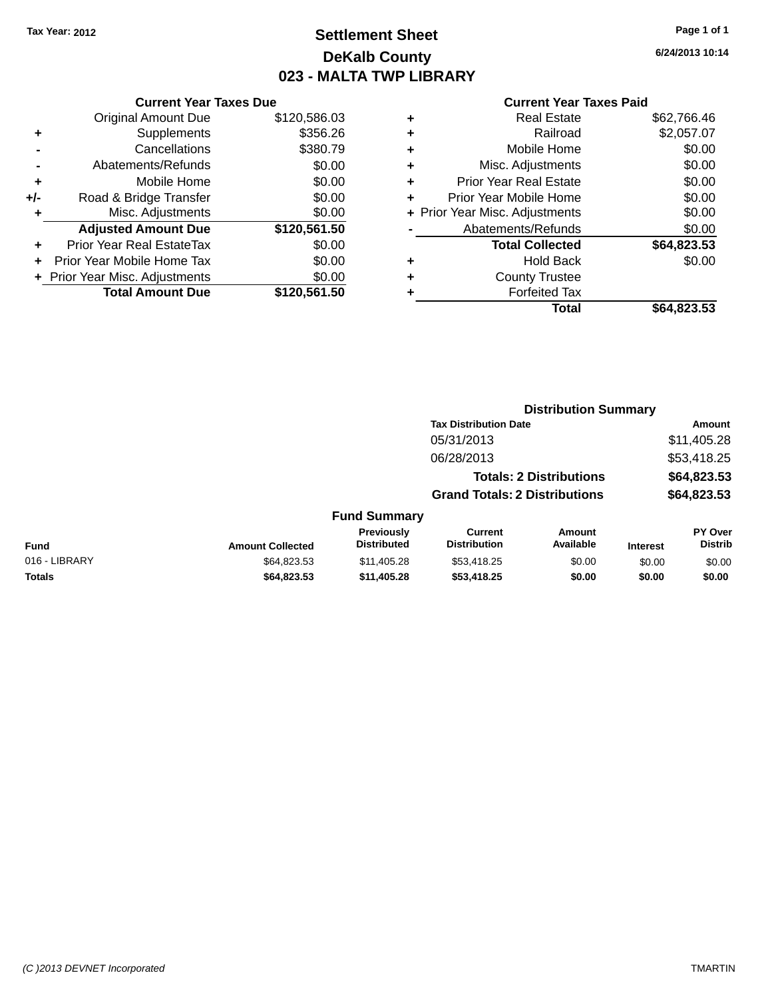# **Settlement Sheet Tax Year: 2012 Page 1 of 1 DeKalb County 023 - MALTA TWP LIBRARY**

**6/24/2013 10:14**

|       | <b>Current Year Taxes Due</b>  |              |
|-------|--------------------------------|--------------|
|       | <b>Original Amount Due</b>     | \$120,586.03 |
| ٠     | Supplements                    | \$356.26     |
|       | Cancellations                  | \$380.79     |
|       | Abatements/Refunds             | \$0.00       |
| ٠     | Mobile Home                    | \$0.00       |
| $+/-$ | Road & Bridge Transfer         | \$0.00       |
| ٠     | Misc. Adjustments              | \$0.00       |
|       | <b>Adjusted Amount Due</b>     | \$120,561.50 |
| ٠     | Prior Year Real EstateTax      | \$0.00       |
|       | Prior Year Mobile Home Tax     | \$0.00       |
|       | + Prior Year Misc. Adjustments | \$0.00       |
|       | <b>Total Amount Due</b>        | \$120,561.50 |
|       |                                |              |

| ٠ | <b>Real Estate</b>             | \$62.766.46 |
|---|--------------------------------|-------------|
| ٠ | Railroad                       | \$2,057.07  |
| ٠ | Mobile Home                    | \$0.00      |
| ٠ | Misc. Adjustments              | \$0.00      |
| ٠ | <b>Prior Year Real Estate</b>  | \$0.00      |
| ٠ | Prior Year Mobile Home         | \$0.00      |
|   | + Prior Year Misc. Adjustments | \$0.00      |
|   | Abatements/Refunds             | \$0.00      |
|   | <b>Total Collected</b>         | \$64,823.53 |
| ٠ | Hold Back                      | \$0.00      |
| ٠ | <b>County Trustee</b>          |             |
| ٠ | <b>Forfeited Tax</b>           |             |
|   | Total                          | \$64,823.53 |
|   |                                |             |

| <b>Tax Distribution Date</b><br>\$11,405.28<br>05/31/2013<br>\$53,418.25<br>06/28/2013<br>\$64,823.53<br><b>Totals: 2 Distributions</b><br>\$64,823.53<br><b>Grand Totals: 2 Distributions</b><br><b>Fund Summary</b><br><b>Previously</b><br>Current<br><b>Amount</b><br><b>Distributed</b><br>Available<br><b>Distribution</b><br><b>Fund</b><br><b>Amount Collected</b><br><b>Interest</b><br>016 - LIBRARY<br>\$64,823.53<br>\$53,418.25<br>\$0.00<br>\$11,405.28<br>\$0.00<br><b>Totals</b><br>\$53,418.25<br>\$0.00<br>\$64,823.53<br>\$11,405.28<br>\$0.00 |  |  | <b>Distribution Summary</b> |                                  |
|-------------------------------------------------------------------------------------------------------------------------------------------------------------------------------------------------------------------------------------------------------------------------------------------------------------------------------------------------------------------------------------------------------------------------------------------------------------------------------------------------------------------------------------------------------------------|--|--|-----------------------------|----------------------------------|
|                                                                                                                                                                                                                                                                                                                                                                                                                                                                                                                                                                   |  |  |                             | Amount                           |
|                                                                                                                                                                                                                                                                                                                                                                                                                                                                                                                                                                   |  |  |                             |                                  |
|                                                                                                                                                                                                                                                                                                                                                                                                                                                                                                                                                                   |  |  |                             |                                  |
|                                                                                                                                                                                                                                                                                                                                                                                                                                                                                                                                                                   |  |  |                             |                                  |
|                                                                                                                                                                                                                                                                                                                                                                                                                                                                                                                                                                   |  |  |                             |                                  |
|                                                                                                                                                                                                                                                                                                                                                                                                                                                                                                                                                                   |  |  |                             |                                  |
|                                                                                                                                                                                                                                                                                                                                                                                                                                                                                                                                                                   |  |  |                             | <b>PY Over</b><br><b>Distrib</b> |
|                                                                                                                                                                                                                                                                                                                                                                                                                                                                                                                                                                   |  |  |                             | \$0.00                           |
|                                                                                                                                                                                                                                                                                                                                                                                                                                                                                                                                                                   |  |  |                             | \$0.00                           |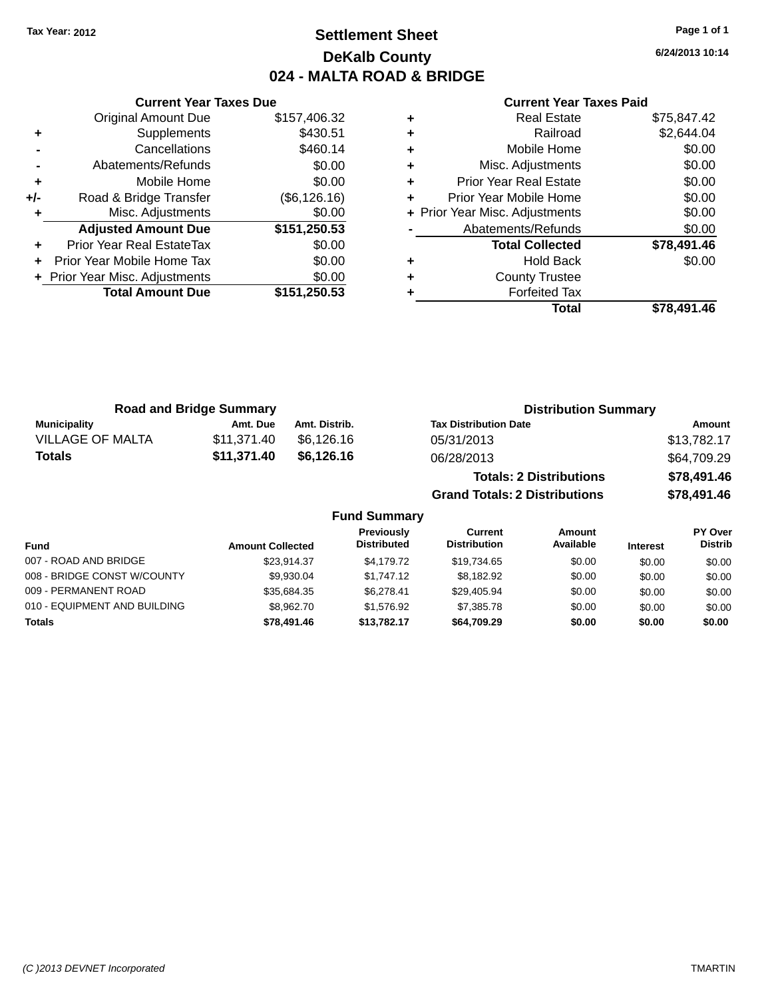# **Settlement Sheet Tax Year: 2012 Page 1 of 1 DeKalb County 024 - MALTA ROAD & BRIDGE**

**6/24/2013 10:14**

|   | <b>Current Year Taxes Paid</b> |             |
|---|--------------------------------|-------------|
| ÷ | Real Estate                    | \$75,847.42 |
| ٠ | Railroad                       | \$2,644.04  |
| ٠ | Mobile Home                    | \$0.00      |
| ٠ | Misc. Adjustments              | \$0.00      |
| ٠ | Prior Year Real Estate         | \$0.00      |
| ÷ | Prior Year Mobile Home         | \$0.00      |
|   | + Prior Year Misc. Adjustments | \$0.00      |
|   | Abatements/Refunds             | \$0.00      |
|   | <b>Total Collected</b>         | \$78,491.46 |
| ٠ | <b>Hold Back</b>               | \$0.00      |
| ÷ | <b>County Trustee</b>          |             |
|   | <b>Forfeited Tax</b>           |             |
|   | Total                          | \$78,491.46 |

|     | <b>Current Year Taxes Due</b>    |               |
|-----|----------------------------------|---------------|
|     | Original Amount Due              | \$157,406.32  |
|     | Supplements                      | \$430.51      |
|     | Cancellations                    | \$460.14      |
|     | Abatements/Refunds               | \$0.00        |
| ٠   | Mobile Home                      | \$0.00        |
| +/- | Road & Bridge Transfer           | (\$6, 126.16) |
|     | Misc. Adjustments                | \$0.00        |
|     | <b>Adjusted Amount Due</b>       | \$151,250.53  |
| ÷   | <b>Prior Year Real EstateTax</b> | \$0.00        |
|     | Prior Year Mobile Home Tax       | \$0.00        |
|     | + Prior Year Misc. Adjustments   | \$0.00        |
|     | <b>Total Amount Due</b>          | \$151,250.53  |
|     |                                  |               |

|                         | <b>Road and Bridge Summary</b> |                     | <b>Distribution Summary</b>          |             |
|-------------------------|--------------------------------|---------------------|--------------------------------------|-------------|
| <b>Municipality</b>     | Amt. Due                       | Amt. Distrib.       | <b>Tax Distribution Date</b>         | Amount      |
| <b>VILLAGE OF MALTA</b> | \$11,371.40                    | \$6.126.16          | 05/31/2013                           | \$13,782.17 |
| <b>Totals</b>           | \$11,371.40                    | \$6,126.16          | 06/28/2013                           | \$64,709.29 |
|                         |                                |                     | <b>Totals: 2 Distributions</b>       | \$78,491.46 |
|                         |                                |                     | <b>Grand Totals: 2 Distributions</b> | \$78,491.46 |
|                         |                                | <b>Fund Summary</b> |                                      |             |

| <b>Fund</b>                  | <b>Amount Collected</b> | <b>Previously</b><br><b>Distributed</b> | Current<br><b>Distribution</b> | Amount<br>Available | <b>Interest</b> | <b>PY Over</b><br><b>Distrib</b> |
|------------------------------|-------------------------|-----------------------------------------|--------------------------------|---------------------|-----------------|----------------------------------|
| 007 - ROAD AND BRIDGE        | \$23.914.37             | \$4.179.72                              | \$19,734.65                    | \$0.00              | \$0.00          | \$0.00                           |
| 008 - BRIDGE CONST W/COUNTY  | \$9.930.04              | \$1,747.12                              | \$8.182.92                     | \$0.00              | \$0.00          | \$0.00                           |
| 009 - PERMANENT ROAD         | \$35,684.35             | \$6.278.41                              | \$29,405.94                    | \$0.00              | \$0.00          | \$0.00                           |
| 010 - EQUIPMENT AND BUILDING | \$8,962.70              | \$1.576.92                              | \$7,385,78                     | \$0.00              | \$0.00          | \$0.00                           |
| <b>Totals</b>                | \$78,491.46             | \$13.782.17                             | \$64.709.29                    | \$0.00              | \$0.00          | \$0.00                           |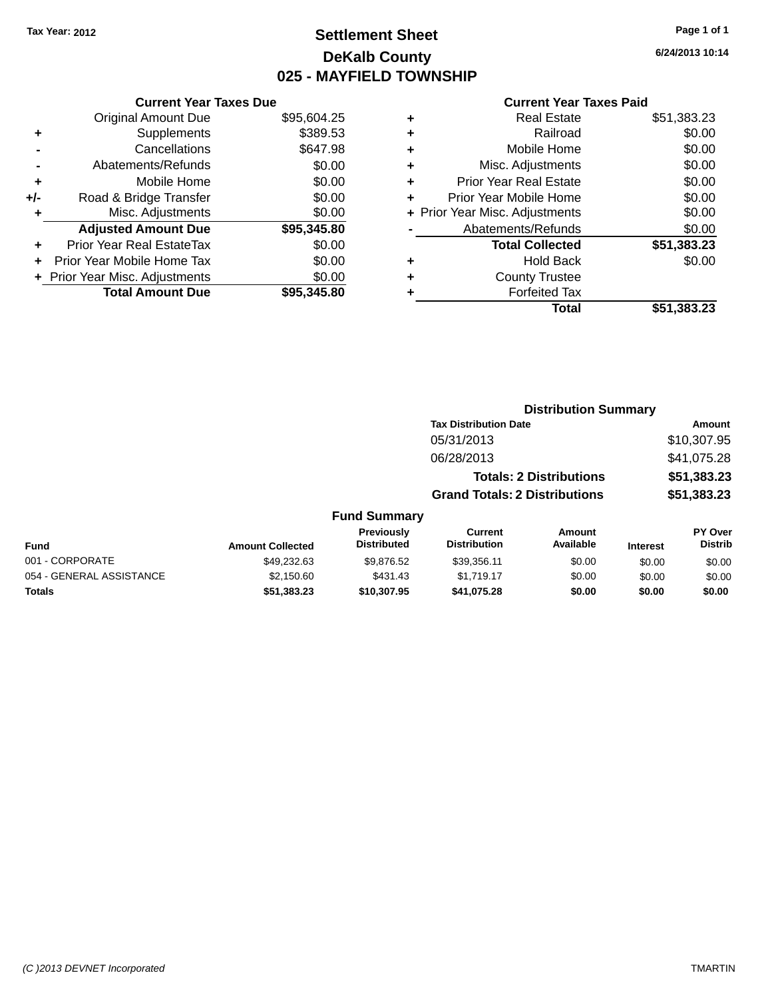# **Settlement Sheet Tax Year: 2012 Page 1 of 1 DeKalb County 025 - MAYFIELD TOWNSHIP**

**6/24/2013 10:14**

|     | <b>Current Year Taxes Due</b>  |             |
|-----|--------------------------------|-------------|
|     | <b>Original Amount Due</b>     | \$95,604.25 |
| ٠   | Supplements                    | \$389.53    |
|     | Cancellations                  | \$647.98    |
|     | Abatements/Refunds             | \$0.00      |
| ٠   | Mobile Home                    | \$0.00      |
| +/- | Road & Bridge Transfer         | \$0.00      |
| ٠   | Misc. Adjustments              | \$0.00      |
|     | <b>Adjusted Amount Due</b>     | \$95,345.80 |
| ÷   | Prior Year Real EstateTax      | \$0.00      |
|     | Prior Year Mobile Home Tax     | \$0.00      |
|     | + Prior Year Misc. Adjustments | \$0.00      |
|     | <b>Total Amount Due</b>        | \$95,345,80 |

|   | <b>Real Estate</b>             | \$51,383.23 |
|---|--------------------------------|-------------|
| ٠ | Railroad                       | \$0.00      |
| ٠ | Mobile Home                    | \$0.00      |
| ٠ | Misc. Adjustments              | \$0.00      |
| ٠ | <b>Prior Year Real Estate</b>  | \$0.00      |
| ÷ | Prior Year Mobile Home         | \$0.00      |
|   | + Prior Year Misc. Adjustments | \$0.00      |
|   | Abatements/Refunds             | \$0.00      |
|   | <b>Total Collected</b>         | \$51,383.23 |
| ٠ | Hold Back                      | \$0.00      |
|   | <b>County Trustee</b>          |             |
| ٠ | <b>Forfeited Tax</b>           |             |
|   | Total                          | \$51,383.23 |
|   |                                |             |

|                         |                                  |                                      | <b>Distribution Summary</b>    |                 |                                  |
|-------------------------|----------------------------------|--------------------------------------|--------------------------------|-----------------|----------------------------------|
|                         |                                  | <b>Tax Distribution Date</b>         |                                |                 | Amount                           |
|                         |                                  | 05/31/2013                           |                                |                 | \$10,307.95                      |
|                         |                                  | 06/28/2013                           |                                |                 | \$41,075.28                      |
|                         |                                  |                                      | <b>Totals: 2 Distributions</b> |                 | \$51,383.23                      |
|                         |                                  | <b>Grand Totals: 2 Distributions</b> |                                |                 | \$51,383.23                      |
|                         | <b>Fund Summary</b>              |                                      |                                |                 |                                  |
| <b>Amount Collected</b> | Previously<br><b>Distributed</b> | Current<br><b>Distribution</b>       | Amount<br>Available            | <b>Interest</b> | <b>PY Over</b><br><b>Distrib</b> |
| \$49,232.63             | \$9.876.52                       | \$39.356.11                          | \$0.00                         | <b>.SO 00</b>   | \$0.00                           |

| <b>Fund</b>              | <b>Amount Collected</b> | Distributed | Distribution | Available | <b>Interest</b> | Distrib |
|--------------------------|-------------------------|-------------|--------------|-----------|-----------------|---------|
| 001 - CORPORATE          | \$49.232.63             | \$9.876.52  | \$39.356.11  | \$0.00    | \$0.00          | \$0.00  |
| 054 - GENERAL ASSISTANCE | \$2.150.60              | \$431.43    | \$1.719.17   | \$0.00    | \$0.00          | \$0.00  |
| Totals                   | \$51.383.23             | \$10.307.95 | \$41.075.28  | \$0.00    | \$0.00          | \$0.00  |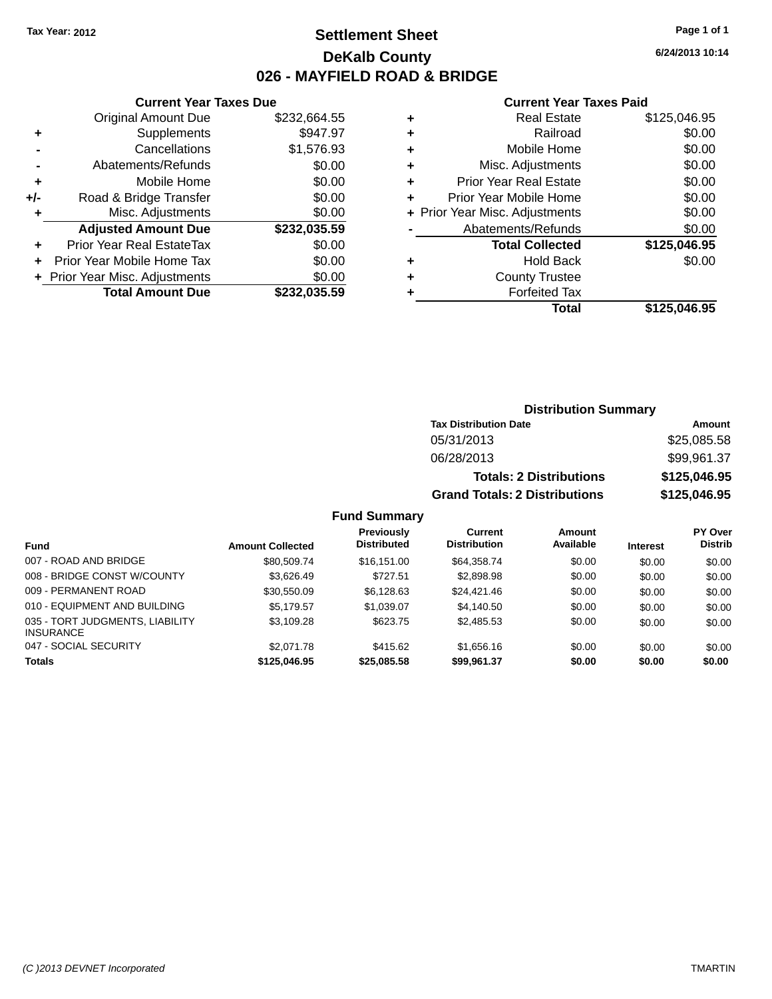# **Settlement Sheet Tax Year: 2012 Page 1 of 1 DeKalb County 026 - MAYFIELD ROAD & BRIDGE**

**Current Year Taxes Paid**

|   | OUITUR TUUT TUAUJ LUIU         |              |
|---|--------------------------------|--------------|
| ٠ | <b>Real Estate</b>             | \$125,046.95 |
| ÷ | Railroad                       | \$0.00       |
| ٠ | Mobile Home                    | \$0.00       |
| ٠ | Misc. Adjustments              | \$0.00       |
| ٠ | <b>Prior Year Real Estate</b>  | \$0.00       |
| ٠ | Prior Year Mobile Home         | \$0.00       |
|   | + Prior Year Misc. Adjustments | \$0.00       |
|   | Abatements/Refunds             | \$0.00       |
|   | <b>Total Collected</b>         | \$125,046.95 |
| ٠ | <b>Hold Back</b>               | \$0.00       |
| ٠ | <b>County Trustee</b>          |              |
|   | <b>Forfeited Tax</b>           |              |
|   | Total                          | \$125,046.95 |
|   |                                |              |

|     | <b>Current Year Taxes Due</b>    |              |
|-----|----------------------------------|--------------|
|     | <b>Original Amount Due</b>       | \$232,664.55 |
| ٠   | Supplements                      | \$947.97     |
|     | Cancellations                    | \$1,576.93   |
|     | Abatements/Refunds               | \$0.00       |
| ٠   | Mobile Home                      | \$0.00       |
| +/- | Road & Bridge Transfer           | \$0.00       |
| ÷   | Misc. Adjustments                | \$0.00       |
|     | <b>Adjusted Amount Due</b>       | \$232,035.59 |
| ٠   | <b>Prior Year Real EstateTax</b> | \$0.00       |
|     | Prior Year Mobile Home Tax       | \$0.00       |
|     | + Prior Year Misc. Adjustments   | \$0.00       |
|     | <b>Total Amount Due</b>          | \$232,035.59 |

| <b>Distribution Summary</b> |  |
|-----------------------------|--|
| Tax Blatellerstan Bata      |  |

| Tax Distribution Date                | Amount       |
|--------------------------------------|--------------|
| 05/31/2013                           | \$25,085.58  |
| 06/28/2013                           | \$99,961.37  |
| <b>Totals: 2 Distributions</b>       | \$125,046.95 |
| <b>Grand Totals: 2 Distributions</b> | \$125,046.95 |

#### **Fund Summary**

|                                                     |                         | <b>Previously</b><br><b>Distributed</b> | Current<br><b>Distribution</b> | Amount<br>Available |                 | PY Over<br><b>Distrib</b> |
|-----------------------------------------------------|-------------------------|-----------------------------------------|--------------------------------|---------------------|-----------------|---------------------------|
| Fund                                                | <b>Amount Collected</b> |                                         |                                |                     | <b>Interest</b> |                           |
| 007 - ROAD AND BRIDGE                               | \$80.509.74             | \$16,151,00                             | \$64,358,74                    | \$0.00              | \$0.00          | \$0.00                    |
| 008 - BRIDGE CONST W/COUNTY                         | \$3.626.49              | \$727.51                                | \$2,898.98                     | \$0.00              | \$0.00          | \$0.00                    |
| 009 - PERMANENT ROAD                                | \$30,550.09             | \$6.128.63                              | \$24,421.46                    | \$0.00              | \$0.00          | \$0.00                    |
| 010 - EQUIPMENT AND BUILDING                        | \$5.179.57              | \$1.039.07                              | \$4,140.50                     | \$0.00              | \$0.00          | \$0.00                    |
| 035 - TORT JUDGMENTS, LIABILITY<br><b>INSURANCE</b> | \$3,109.28              | \$623.75                                | \$2,485.53                     | \$0.00              | \$0.00          | \$0.00                    |
| 047 - SOCIAL SECURITY                               | \$2,071.78              | \$415.62                                | \$1,656.16                     | \$0.00              | \$0.00          | \$0.00                    |
| <b>Totals</b>                                       | \$125,046.95            | \$25,085.58                             | \$99,961.37                    | \$0.00              | \$0.00          | \$0.00                    |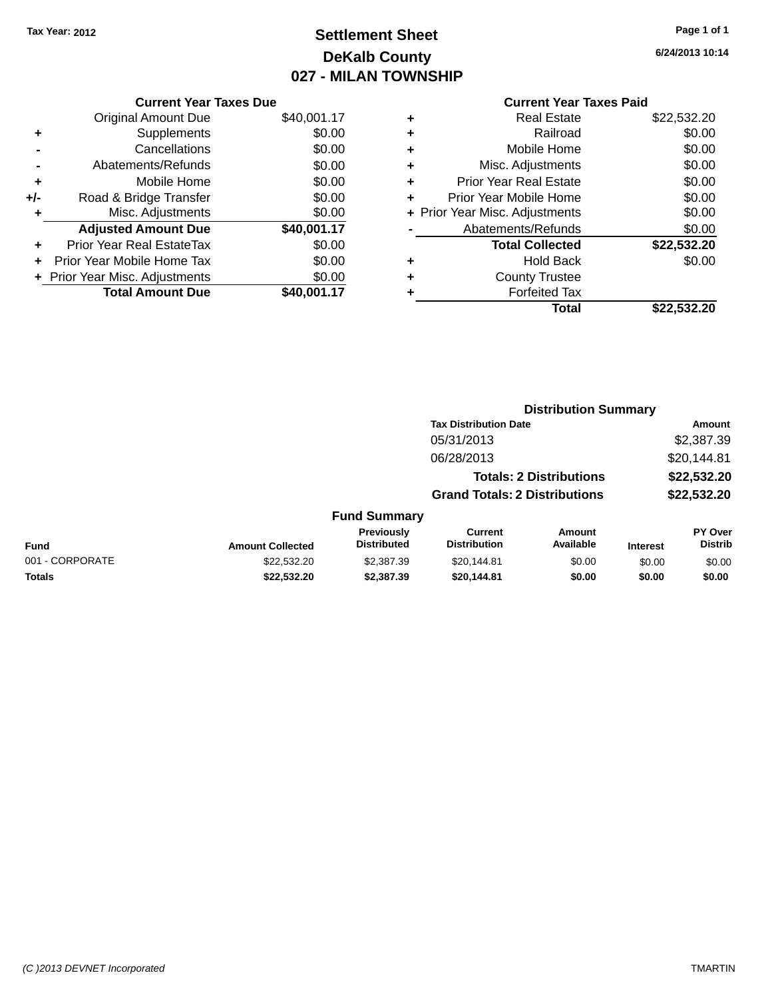# **Settlement Sheet Tax Year: 2012 Page 1 of 1 DeKalb County 027 - MILAN TOWNSHIP**

**6/24/2013 10:14**

|     | <b>Current Year Taxes Due</b>  |             |
|-----|--------------------------------|-------------|
|     | <b>Original Amount Due</b>     | \$40,001.17 |
| ٠   | Supplements                    | \$0.00      |
|     | Cancellations                  | \$0.00      |
|     | Abatements/Refunds             | \$0.00      |
| ٠   | Mobile Home                    | \$0.00      |
| +/- | Road & Bridge Transfer         | \$0.00      |
| ٠   | Misc. Adjustments              | \$0.00      |
|     | <b>Adjusted Amount Due</b>     | \$40,001.17 |
| ÷   | Prior Year Real EstateTax      | \$0.00      |
| ÷   | Prior Year Mobile Home Tax     | \$0.00      |
|     | + Prior Year Misc. Adjustments | \$0.00      |
|     | <b>Total Amount Due</b>        | \$40,001.17 |

| ٠ | <b>Real Estate</b>             | \$22,532.20 |
|---|--------------------------------|-------------|
| ٠ | Railroad                       | \$0.00      |
| ٠ | Mobile Home                    | \$0.00      |
| ٠ | Misc. Adjustments              | \$0.00      |
| ٠ | <b>Prior Year Real Estate</b>  | \$0.00      |
| ٠ | Prior Year Mobile Home         | \$0.00      |
|   | + Prior Year Misc. Adjustments | \$0.00      |
|   | Abatements/Refunds             | \$0.00      |
|   | <b>Total Collected</b>         | \$22,532.20 |
| ٠ | Hold Back                      | \$0.00      |
|   | <b>County Trustee</b>          |             |
| ٠ | <b>Forfeited Tax</b>           |             |
|   | Total                          | \$22,532.20 |
|   |                                |             |

|                 |                         |                                         | <b>Distribution Summary</b>           |                                |                 |                           |
|-----------------|-------------------------|-----------------------------------------|---------------------------------------|--------------------------------|-----------------|---------------------------|
|                 |                         |                                         | <b>Tax Distribution Date</b>          |                                |                 | <b>Amount</b>             |
|                 |                         |                                         | 05/31/2013                            |                                |                 | \$2,387.39                |
|                 |                         |                                         | 06/28/2013                            |                                |                 | \$20,144.81               |
|                 |                         |                                         |                                       | <b>Totals: 2 Distributions</b> |                 | \$22,532.20               |
|                 |                         |                                         | <b>Grand Totals: 2 Distributions</b>  |                                |                 | \$22,532.20               |
|                 |                         | <b>Fund Summary</b>                     |                                       |                                |                 |                           |
| <b>Fund</b>     | <b>Amount Collected</b> | <b>Previously</b><br><b>Distributed</b> | <b>Current</b><br><b>Distribution</b> | Amount<br>Available            | <b>Interest</b> | PY Over<br><b>Distrib</b> |
| 001 - CORPORATE | \$22,532,20             | \$2,387.39                              | \$20,144.81                           | \$0.00                         | \$0.00          | \$0.00                    |
| <b>Totals</b>   | \$22,532.20             | \$2,387.39                              | \$20,144.81                           | \$0.00                         | \$0.00          | \$0.00                    |
|                 |                         |                                         |                                       |                                |                 |                           |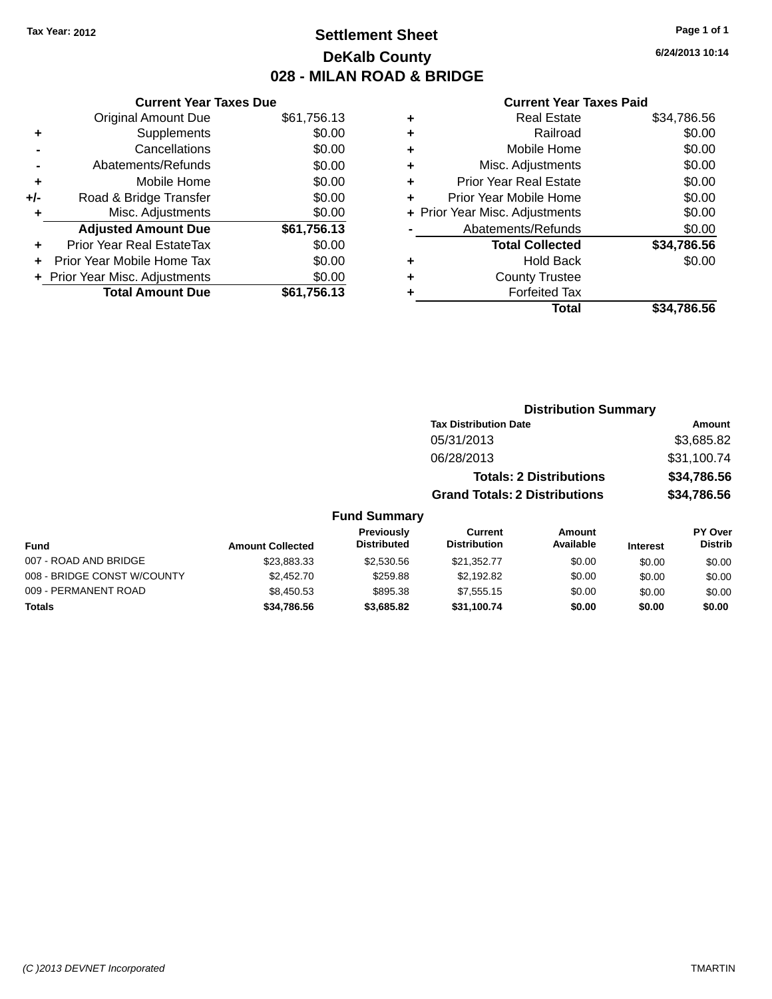# **Settlement Sheet Tax Year: 2012 Page 1 of 1 DeKalb County 028 - MILAN ROAD & BRIDGE**

| <b>Current Year Taxes Due</b> |                                |
|-------------------------------|--------------------------------|
| <b>Original Amount Due</b>    | \$61,756.13                    |
| Supplements                   | \$0.00                         |
| Cancellations                 | \$0.00                         |
| Abatements/Refunds            | \$0.00                         |
| Mobile Home                   | \$0.00                         |
| Road & Bridge Transfer        | \$0.00                         |
| Misc. Adjustments             | \$0.00                         |
| <b>Adjusted Amount Due</b>    | \$61,756.13                    |
| Prior Year Real EstateTax     | \$0.00                         |
| Prior Year Mobile Home Tax    | \$0.00                         |
|                               | \$0.00                         |
| <b>Total Amount Due</b>       | \$61,756.13                    |
|                               | + Prior Year Misc. Adjustments |

#### **Current Year Taxes Paid**

|   | <b>Real Estate</b>             | \$34,786.56 |
|---|--------------------------------|-------------|
| ٠ | Railroad                       | \$0.00      |
| ٠ | Mobile Home                    | \$0.00      |
| ٠ | Misc. Adjustments              | \$0.00      |
| ٠ | <b>Prior Year Real Estate</b>  | \$0.00      |
| ٠ | Prior Year Mobile Home         | \$0.00      |
|   | + Prior Year Misc. Adjustments | \$0.00      |
|   | Abatements/Refunds             | \$0.00      |
|   | <b>Total Collected</b>         | \$34,786.56 |
| ٠ | Hold Back                      | \$0.00      |
| ٠ | <b>County Trustee</b>          |             |
| ٠ | <b>Forfeited Tax</b>           |             |
|   | Total                          | \$34,786.56 |
|   |                                |             |

## **Distribution Summary Tax Distribution Date Amount** 05/31/2013 \$3,685.82 06/28/2013 \$31,100.74 **Totals: 2 Distributions \$34,786.56 Grand Totals: 2 Distributions \$34,786.56**

#### **Fund Summary**

| Fund                        | <b>Amount Collected</b> | <b>Previously</b><br><b>Distributed</b> | Current<br><b>Distribution</b> | Amount<br>Available | <b>Interest</b> | <b>PY Over</b><br><b>Distrib</b> |
|-----------------------------|-------------------------|-----------------------------------------|--------------------------------|---------------------|-----------------|----------------------------------|
| 007 - ROAD AND BRIDGE       | \$23.883.33             | \$2,530.56                              | \$21.352.77                    | \$0.00              | \$0.00          | \$0.00                           |
| 008 - BRIDGE CONST W/COUNTY | \$2,452.70              | \$259.88                                | \$2.192.82                     | \$0.00              | \$0.00          | \$0.00                           |
| 009 - PERMANENT ROAD        | \$8,450.53              | \$895.38                                | \$7.555.15                     | \$0.00              | \$0.00          | \$0.00                           |
| <b>Totals</b>               | \$34.786.56             | \$3,685.82                              | \$31.100.74                    | \$0.00              | \$0.00          | \$0.00                           |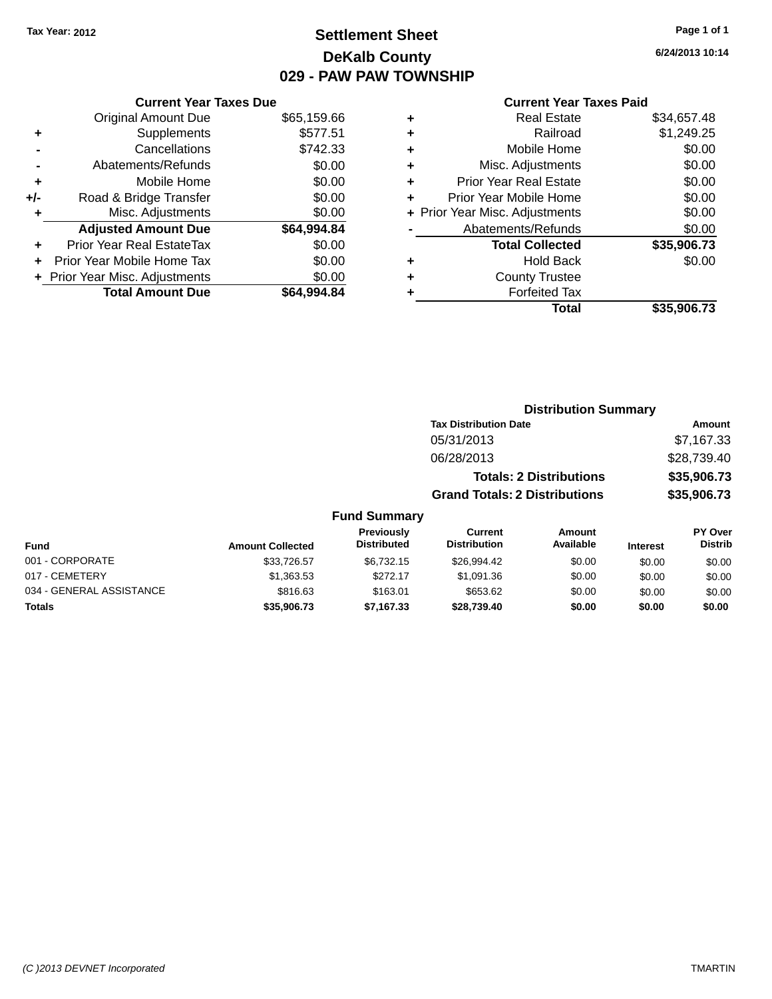# **Settlement Sheet Tax Year: 2012 Page 1 of 1 DeKalb County 029 - PAW PAW TOWNSHIP**

#### **Current Year Taxes Due**

|       | <b>Original Amount Due</b>       | \$65,159.66 |
|-------|----------------------------------|-------------|
| ٠     | Supplements                      | \$577.51    |
|       | Cancellations                    | \$742.33    |
|       | Abatements/Refunds               | \$0.00      |
| ٠     | Mobile Home                      | \$0.00      |
| $+/-$ | Road & Bridge Transfer           | \$0.00      |
| ٠     | Misc. Adjustments                | \$0.00      |
|       | <b>Adjusted Amount Due</b>       | \$64,994.84 |
|       | <b>Prior Year Real EstateTax</b> | \$0.00      |
|       | Prior Year Mobile Home Tax       | \$0.00      |
|       | + Prior Year Misc. Adjustments   | \$0.00      |
|       | <b>Total Amount Due</b>          | \$64.994.84 |

#### **Current Year Taxes Paid**

|   | <b>Real Estate</b>             | \$34,657.48 |
|---|--------------------------------|-------------|
| ٠ | Railroad                       | \$1,249.25  |
| ٠ | Mobile Home                    | \$0.00      |
| ٠ | Misc. Adjustments              | \$0.00      |
| ٠ | <b>Prior Year Real Estate</b>  | \$0.00      |
| ÷ | Prior Year Mobile Home         | \$0.00      |
|   | + Prior Year Misc. Adjustments | \$0.00      |
|   | Abatements/Refunds             | \$0.00      |
|   | <b>Total Collected</b>         | \$35,906.73 |
| ٠ | <b>Hold Back</b>               | \$0.00      |
| ٠ | <b>County Trustee</b>          |             |
|   | <b>Forfeited Tax</b>           |             |
|   | Total                          | \$35,906.73 |
|   |                                |             |

| <b>Distribution Summary</b>          |             |
|--------------------------------------|-------------|
| <b>Tax Distribution Date</b>         | Amount      |
| 05/31/2013                           | \$7,167.33  |
| 06/28/2013                           | \$28,739.40 |
| <b>Totals: 2 Distributions</b>       | \$35,906.73 |
| <b>Grand Totals: 2 Distributions</b> | \$35,906.73 |

#### **Fund Summary**

| Fund                     | <b>Amount Collected</b> | <b>Previously</b><br><b>Distributed</b> | Current<br><b>Distribution</b> | Amount<br>Available | <b>Interest</b> | <b>PY Over</b><br><b>Distrib</b> |
|--------------------------|-------------------------|-----------------------------------------|--------------------------------|---------------------|-----------------|----------------------------------|
| 001 - CORPORATE          | \$33.726.57             | \$6.732.15                              | \$26.994.42                    | \$0.00              | \$0.00          | \$0.00                           |
| 017 - CEMETERY           | \$1,363.53              | \$272.17                                | \$1.091.36                     | \$0.00              | \$0.00          | \$0.00                           |
| 034 - GENERAL ASSISTANCE | \$816.63                | \$163.01                                | \$653.62                       | \$0.00              | \$0.00          | \$0.00                           |
| <b>Totals</b>            | \$35,906,73             | \$7.167.33                              | \$28.739.40                    | \$0.00              | \$0.00          | \$0.00                           |

**6/24/2013 10:14**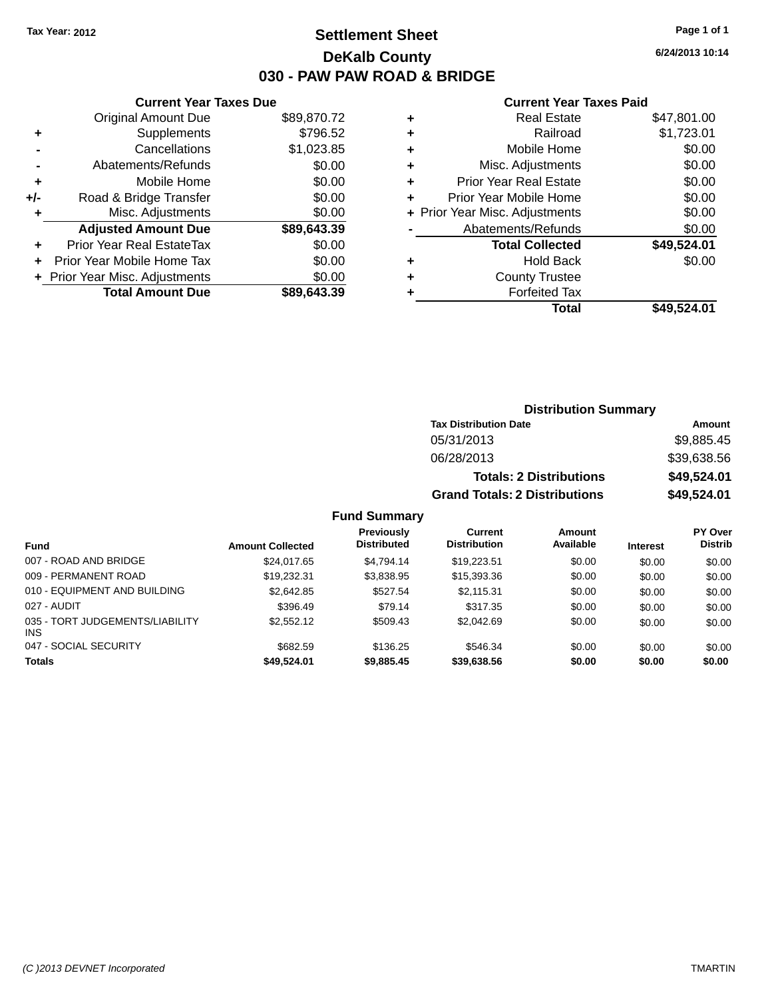# **Settlement Sheet Tax Year: 2012 Page 1 of 1 DeKalb County 030 - PAW PAW ROAD & BRIDGE**

**6/24/2013 10:14**

#### **Current Year Taxes Paid**

|       | <b>Current Year Taxes Due</b> |             |
|-------|-------------------------------|-------------|
|       | <b>Original Amount Due</b>    | \$89,870.72 |
| ٠     | Supplements                   | \$796.52    |
|       | Cancellations                 | \$1,023.85  |
|       | Abatements/Refunds            | \$0.00      |
| ٠     | Mobile Home                   | \$0.00      |
| $+/-$ | Road & Bridge Transfer        | \$0.00      |
|       | Misc. Adjustments             | \$0.00      |
|       | <b>Adjusted Amount Due</b>    | \$89,643.39 |
| ÷     | Prior Year Real EstateTax     | \$0.00      |
|       | Prior Year Mobile Home Tax    | \$0.00      |
|       | Prior Year Misc. Adjustments  | \$0.00      |
|       | <b>Total Amount Due</b>       | \$89.643.39 |
|       |                               |             |

|   | <b>Real Estate</b>             | \$47,801.00 |
|---|--------------------------------|-------------|
| ٠ | Railroad                       | \$1,723.01  |
| ٠ | Mobile Home                    | \$0.00      |
| ٠ | Misc. Adjustments              | \$0.00      |
| ٠ | <b>Prior Year Real Estate</b>  | \$0.00      |
| ٠ | Prior Year Mobile Home         | \$0.00      |
|   | + Prior Year Misc. Adjustments | \$0.00      |
|   | Abatements/Refunds             | \$0.00      |
|   | <b>Total Collected</b>         | \$49,524.01 |
| ٠ | <b>Hold Back</b>               | \$0.00      |
| ٠ | <b>County Trustee</b>          |             |
| ٠ | <b>Forfeited Tax</b>           |             |
|   | Total                          | \$49,524.01 |
|   |                                |             |

| <b>Distribution Summary</b>          |             |  |  |  |
|--------------------------------------|-------------|--|--|--|
| <b>Tax Distribution Date</b>         | Amount      |  |  |  |
| 05/31/2013                           | \$9,885.45  |  |  |  |
| 06/28/2013                           | \$39,638.56 |  |  |  |
| <b>Totals: 2 Distributions</b>       | \$49,524.01 |  |  |  |
| <b>Grand Totals: 2 Distributions</b> | \$49,524.01 |  |  |  |

#### **Fund Summary**

| <b>Fund</b>                             | <b>Amount Collected</b> | <b>Previously</b><br><b>Distributed</b> | Current<br><b>Distribution</b> | Amount<br>Available | <b>Interest</b> | PY Over<br><b>Distrib</b> |
|-----------------------------------------|-------------------------|-----------------------------------------|--------------------------------|---------------------|-----------------|---------------------------|
| 007 - ROAD AND BRIDGE                   | \$24,017.65             | \$4.794.14                              | \$19,223.51                    | \$0.00              | \$0.00          | \$0.00                    |
| 009 - PERMANENT ROAD                    | \$19,232.31             | \$3.838.95                              | \$15,393.36                    | \$0.00              | \$0.00          | \$0.00                    |
| 010 - EQUIPMENT AND BUILDING            | \$2,642.85              | \$527.54                                | \$2,115.31                     | \$0.00              | \$0.00          | \$0.00                    |
| 027 - AUDIT                             | \$396.49                | \$79.14                                 | \$317.35                       | \$0.00              | \$0.00          | \$0.00                    |
| 035 - TORT JUDGEMENTS/LIABILITY<br>INS. | \$2,552.12              | \$509.43                                | \$2,042.69                     | \$0.00              | \$0.00          | \$0.00                    |
| 047 - SOCIAL SECURITY                   | \$682.59                | \$136.25                                | \$546.34                       | \$0.00              | \$0.00          | \$0.00                    |
| <b>Totals</b>                           | \$49,524.01             | \$9,885.45                              | \$39,638.56                    | \$0.00              | \$0.00          | \$0.00                    |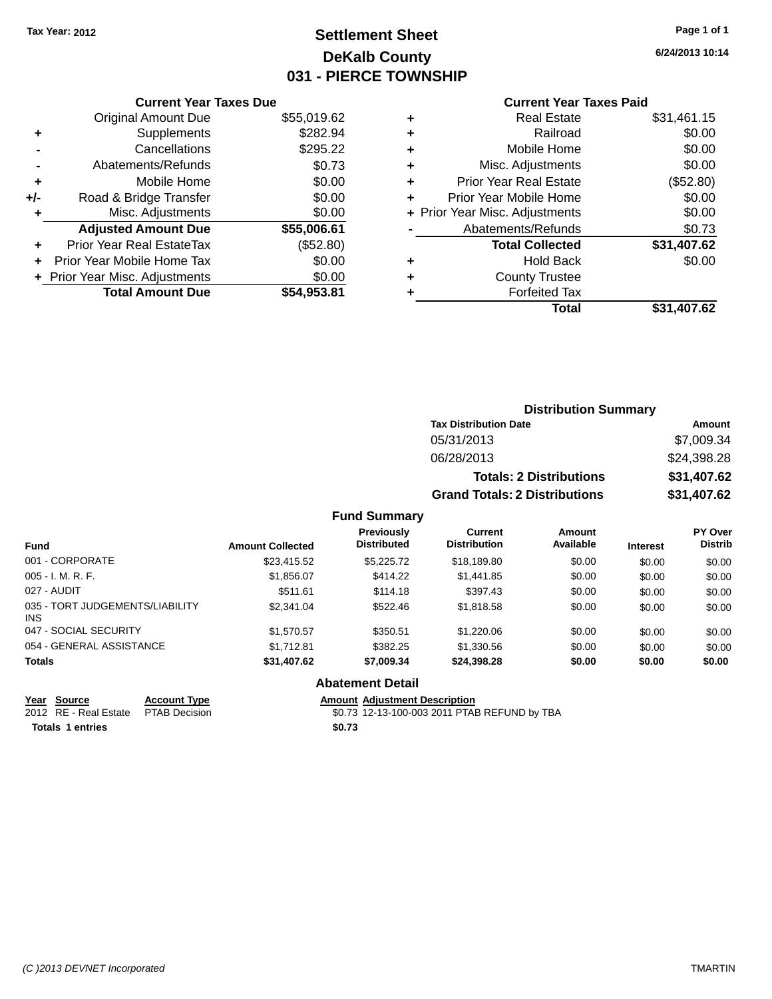# **Settlement Sheet Tax Year: 2012 Page 1 of 1 DeKalb County 031 - PIERCE TOWNSHIP**

**6/24/2013 10:14**

#### **Current Year Taxes Paid**

|     | <b>Current Year Taxes Due</b>  |             |
|-----|--------------------------------|-------------|
|     | <b>Original Amount Due</b>     | \$55,019.62 |
| ٠   | Supplements                    | \$282.94    |
|     | Cancellations                  | \$295.22    |
|     | Abatements/Refunds             | \$0.73      |
| ٠   | Mobile Home                    | \$0.00      |
| +/- | Road & Bridge Transfer         | \$0.00      |
|     | Misc. Adjustments              | \$0.00      |
|     | <b>Adjusted Amount Due</b>     | \$55,006.61 |
| ÷   | Prior Year Real EstateTax      | (\$52.80)   |
|     | Prior Year Mobile Home Tax     | \$0.00      |
|     | + Prior Year Misc. Adjustments | \$0.00      |
|     | <b>Total Amount Due</b>        | \$54,953.81 |
|     |                                |             |

| ٠ | <b>Real Estate</b>             | \$31,461.15 |
|---|--------------------------------|-------------|
| ٠ | Railroad                       | \$0.00      |
| ٠ | Mobile Home                    | \$0.00      |
| ٠ | Misc. Adjustments              | \$0.00      |
| ٠ | <b>Prior Year Real Estate</b>  | (\$52.80)   |
| ÷ | Prior Year Mobile Home         | \$0.00      |
|   | + Prior Year Misc. Adjustments | \$0.00      |
|   | Abatements/Refunds             | \$0.73      |
|   | <b>Total Collected</b>         | \$31,407.62 |
| ٠ | Hold Back                      | \$0.00      |
| ٠ | <b>County Trustee</b>          |             |
|   | <b>Forfeited Tax</b>           |             |
|   | Total                          | \$31,407.62 |
|   |                                |             |

| <b>Distribution Summary</b>          |             |  |  |
|--------------------------------------|-------------|--|--|
| <b>Tax Distribution Date</b>         | Amount      |  |  |
| 05/31/2013                           | \$7,009.34  |  |  |
| 06/28/2013                           | \$24,398.28 |  |  |
| <b>Totals: 2 Distributions</b>       | \$31,407.62 |  |  |
| <b>Grand Totals: 2 Distributions</b> | \$31,407.62 |  |  |

#### **Fund Summary**

| <b>Fund</b>                             | <b>Amount Collected</b> | Previously<br><b>Distributed</b> | <b>Current</b><br><b>Distribution</b> | Amount<br>Available | <b>Interest</b> | <b>PY Over</b><br><b>Distrib</b> |
|-----------------------------------------|-------------------------|----------------------------------|---------------------------------------|---------------------|-----------------|----------------------------------|
| 001 - CORPORATE                         | \$23,415.52             | \$5,225,72                       | \$18,189.80                           | \$0.00              | \$0.00          | \$0.00                           |
| $005 - I. M. R. F.$                     | \$1,856.07              | \$414.22                         | \$1,441.85                            | \$0.00              | \$0.00          | \$0.00                           |
| 027 - AUDIT                             | \$511.61                | \$114.18                         | \$397.43                              | \$0.00              | \$0.00          | \$0.00                           |
| 035 - TORT JUDGEMENTS/LIABILITY<br>INS. | \$2,341,04              | \$522.46                         | \$1.818.58                            | \$0.00              | \$0.00          | \$0.00                           |
| 047 - SOCIAL SECURITY                   | \$1,570.57              | \$350.51                         | \$1,220.06                            | \$0.00              | \$0.00          | \$0.00                           |
| 054 - GENERAL ASSISTANCE                | \$1.712.81              | \$382.25                         | \$1.330.56                            | \$0.00              | \$0.00          | \$0.00                           |
| <b>Totals</b>                           | \$31,407.62             | \$7,009.34                       | \$24,398.28                           | \$0.00              | \$0.00          | \$0.00                           |

#### **Abatement Detail**

**<u>Year Source</u> <b>Account Type**<br> **ALCOUNTE ADDED**<br> **ACCOUNT ADDED**<br> **ACCOUNT ADDED**<br> **ACCOUNT ADDED**<br> **ACCOUNT ADDED** 

**Totals \$0.73 1 entries**

2012 Amount Adjustment Description<br>\$0.73 12-13-100-003 2011 PTAB REFUND by TBA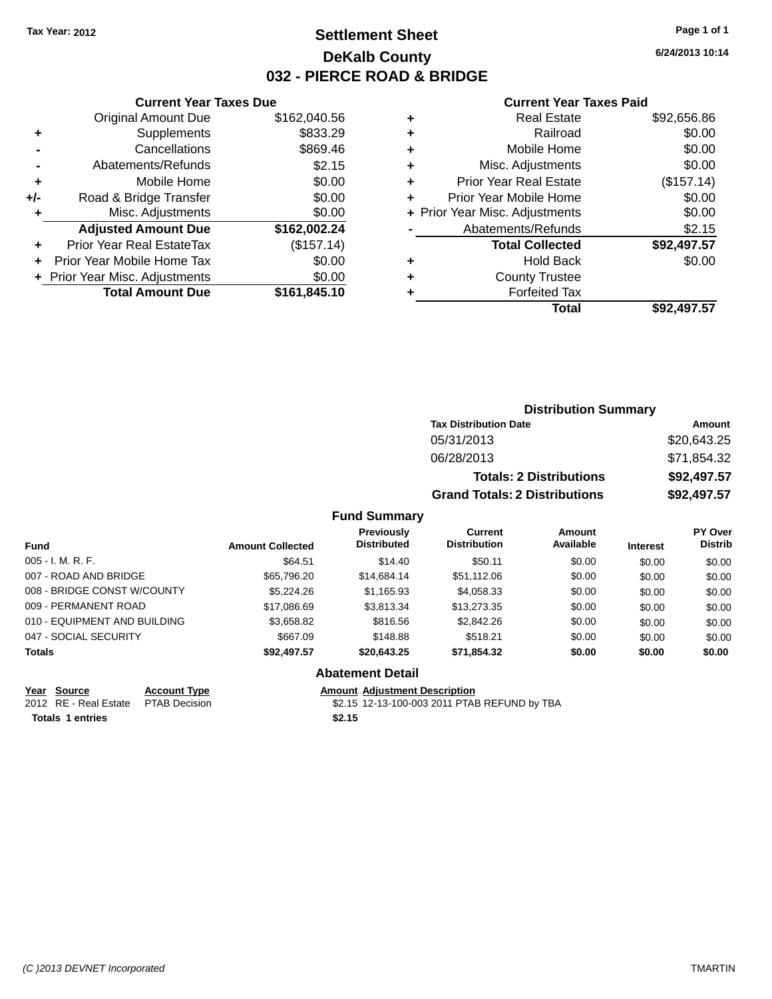# **Settlement Sheet Tax Year: 2012 Page 1 of 1 DeKalb County 032 - PIERCE ROAD & BRIDGE**

**6/24/2013 10:14**

#### **Current Year Taxes Paid**

|       | <b>Current Year Taxes Due</b>  |              |
|-------|--------------------------------|--------------|
|       | <b>Original Amount Due</b>     | \$162,040.56 |
| ٠     | Supplements                    | \$833.29     |
|       | Cancellations                  | \$869.46     |
|       | Abatements/Refunds             | \$2.15       |
| ٠     | Mobile Home                    | \$0.00       |
| $+/-$ | Road & Bridge Transfer         | \$0.00       |
|       | Misc. Adjustments              | \$0.00       |
|       | <b>Adjusted Amount Due</b>     | \$162,002.24 |
| ٠     | Prior Year Real EstateTax      | (\$157.14)   |
|       | Prior Year Mobile Home Tax     | \$0.00       |
|       | + Prior Year Misc. Adjustments | \$0.00       |
|       | <b>Total Amount Due</b>        | \$161,845.10 |
|       |                                |              |

| <b>Real Estate</b>             | \$92,656.86 |
|--------------------------------|-------------|
| Railroad                       | \$0.00      |
| Mobile Home                    | \$0.00      |
| Misc. Adjustments              | \$0.00      |
| <b>Prior Year Real Estate</b>  | (\$157.14)  |
| Prior Year Mobile Home         | \$0.00      |
| + Prior Year Misc. Adjustments | \$0.00      |
| Abatements/Refunds             | \$2.15      |
| <b>Total Collected</b>         | \$92,497.57 |
| <b>Hold Back</b>               | \$0.00      |
| <b>County Trustee</b>          |             |
| <b>Forfeited Tax</b>           |             |
| Total                          | \$92.497.57 |
|                                |             |

| <b>Distribution Summary</b>          |             |
|--------------------------------------|-------------|
| <b>Tax Distribution Date</b>         | Amount      |
| 05/31/2013                           | \$20,643.25 |
| 06/28/2013                           | \$71,854.32 |
| <b>Totals: 2 Distributions</b>       | \$92,497.57 |
| <b>Grand Totals: 2 Distributions</b> | \$92,497.57 |

#### **Fund Summary**

| <b>Fund</b>                  | <b>Amount Collected</b> | Previously<br><b>Distributed</b> | Current<br><b>Distribution</b> | Amount<br>Available | <b>Interest</b> | PY Over<br><b>Distrib</b> |
|------------------------------|-------------------------|----------------------------------|--------------------------------|---------------------|-----------------|---------------------------|
| $005 - I. M. R. F.$          | \$64.51                 | \$14.40                          | \$50.11                        | \$0.00              | \$0.00          | \$0.00                    |
| 007 - ROAD AND BRIDGE        | \$65,796.20             | \$14,684.14                      | \$51,112.06                    | \$0.00              | \$0.00          | \$0.00                    |
| 008 - BRIDGE CONST W/COUNTY  | \$5,224.26              | \$1,165.93                       | \$4,058.33                     | \$0.00              | \$0.00          | \$0.00                    |
| 009 - PERMANENT ROAD         | \$17,086.69             | \$3.813.34                       | \$13,273.35                    | \$0.00              | \$0.00          | \$0.00                    |
| 010 - EQUIPMENT AND BUILDING | \$3,658.82              | \$816.56                         | \$2,842.26                     | \$0.00              | \$0.00          | \$0.00                    |
| 047 - SOCIAL SECURITY        | \$667.09                | \$148.88                         | \$518.21                       | \$0.00              | \$0.00          | \$0.00                    |
| <b>Totals</b>                | \$92,497.57             | \$20,643.25                      | \$71.854.32                    | \$0.00              | \$0.00          | \$0.00                    |

**Year Source Account Type Amount Adjustment Description**<br>2012 RE - Real Estate PTAB Decision **Amount Adjustment Description** 

**Totals \$2.15 1 entries**

**Abatement Detail**

\$2.15 12-13-100-003 2011 PTAB REFUND by TBA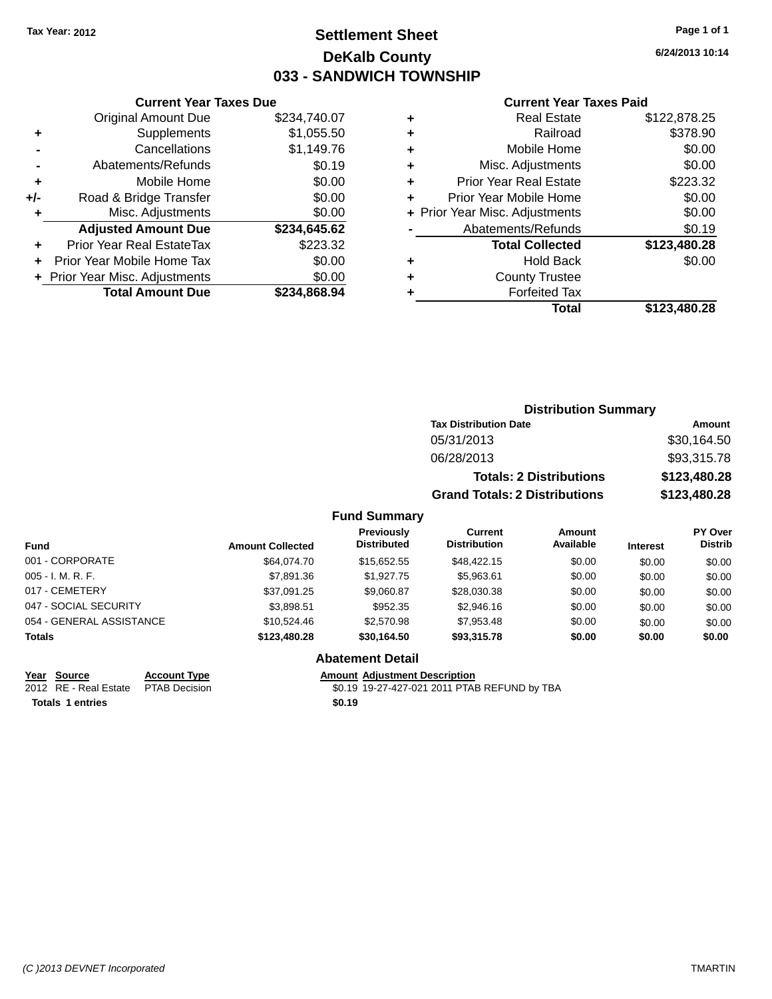# **Settlement Sheet Tax Year: 2012 Page 1 of 1 DeKalb County 033 - SANDWICH TOWNSHIP**

**6/24/2013 10:14**

#### **Current Year Taxes Paid**

|     | <b>Current Year Taxes Due</b>  |              |
|-----|--------------------------------|--------------|
|     | <b>Original Amount Due</b>     | \$234,740.07 |
| ٠   | Supplements                    | \$1,055.50   |
|     | Cancellations                  | \$1,149.76   |
|     | Abatements/Refunds             | \$0.19       |
| ٠   | Mobile Home                    | \$0.00       |
| +/- | Road & Bridge Transfer         | \$0.00       |
| ٠   | Misc. Adjustments              | \$0.00       |
|     | <b>Adjusted Amount Due</b>     | \$234,645.62 |
|     | Prior Year Real EstateTax      | \$223.32     |
|     | Prior Year Mobile Home Tax     | \$0.00       |
|     | + Prior Year Misc. Adjustments | \$0.00       |
|     | <b>Total Amount Due</b>        | \$234.868.94 |
|     |                                |              |

|   | <b>Real Estate</b>             | \$122,878.25 |
|---|--------------------------------|--------------|
| ٠ | Railroad                       | \$378.90     |
| ٠ | Mobile Home                    | \$0.00       |
| ٠ | Misc. Adjustments              | \$0.00       |
| ٠ | <b>Prior Year Real Estate</b>  | \$223.32     |
| ÷ | Prior Year Mobile Home         | \$0.00       |
|   | + Prior Year Misc. Adjustments | \$0.00       |
|   | Abatements/Refunds             | \$0.19       |
|   | <b>Total Collected</b>         | \$123,480.28 |
| ٠ | <b>Hold Back</b>               | \$0.00       |
|   | <b>County Trustee</b>          |              |
| ٠ | <b>Forfeited Tax</b>           |              |
|   | Total                          | \$123,480.28 |
|   |                                |              |

|       | <b>Distribution Summary</b>          |              |
|-------|--------------------------------------|--------------|
|       | <b>Tax Distribution Date</b>         | Amount       |
|       | 05/31/2013                           | \$30,164.50  |
|       | 06/28/2013                           | \$93,315.78  |
|       | <b>Totals: 2 Distributions</b>       | \$123,480.28 |
|       | <b>Grand Totals: 2 Distributions</b> | \$123,480.28 |
| nmarv |                                      |              |

# **Fund Summary**

| <b>Fund</b>              | <b>Amount Collected</b> | <b>Previously</b><br><b>Distributed</b> | Current<br><b>Distribution</b> | Amount<br>Available | <b>Interest</b> | <b>PY Over</b><br><b>Distrib</b> |
|--------------------------|-------------------------|-----------------------------------------|--------------------------------|---------------------|-----------------|----------------------------------|
| 001 - CORPORATE          | \$64,074.70             | \$15,652.55                             | \$48,422.15                    | \$0.00              | \$0.00          | \$0.00                           |
| $005 - I. M. R. F.$      | \$7,891.36              | \$1,927.75                              | \$5,963.61                     | \$0.00              | \$0.00          | \$0.00                           |
| 017 - CEMETERY           | \$37,091.25             | \$9,060.87                              | \$28,030.38                    | \$0.00              | \$0.00          | \$0.00                           |
| 047 - SOCIAL SECURITY    | \$3,898.51              | \$952.35                                | \$2,946.16                     | \$0.00              | \$0.00          | \$0.00                           |
| 054 - GENERAL ASSISTANCE | \$10.524.46             | \$2,570.98                              | \$7,953.48                     | \$0.00              | \$0.00          | \$0.00                           |
| <b>Totals</b>            | \$123,480.28            | \$30.164.50                             | \$93,315.78                    | \$0.00              | \$0.00          | \$0.00                           |
|                          |                         | <b>Abatement Detail</b>                 |                                |                     |                 |                                  |

**Totals 1 entries** \$0.19

#### **Year Source Account Type Amount Adjustment Description**<br>2012 RE - Real Estate PTAB Decision **Amount 19-27-427-021** 2011 PTAE \$0.19 19-27-427-021 2011 PTAB REFUND by TBA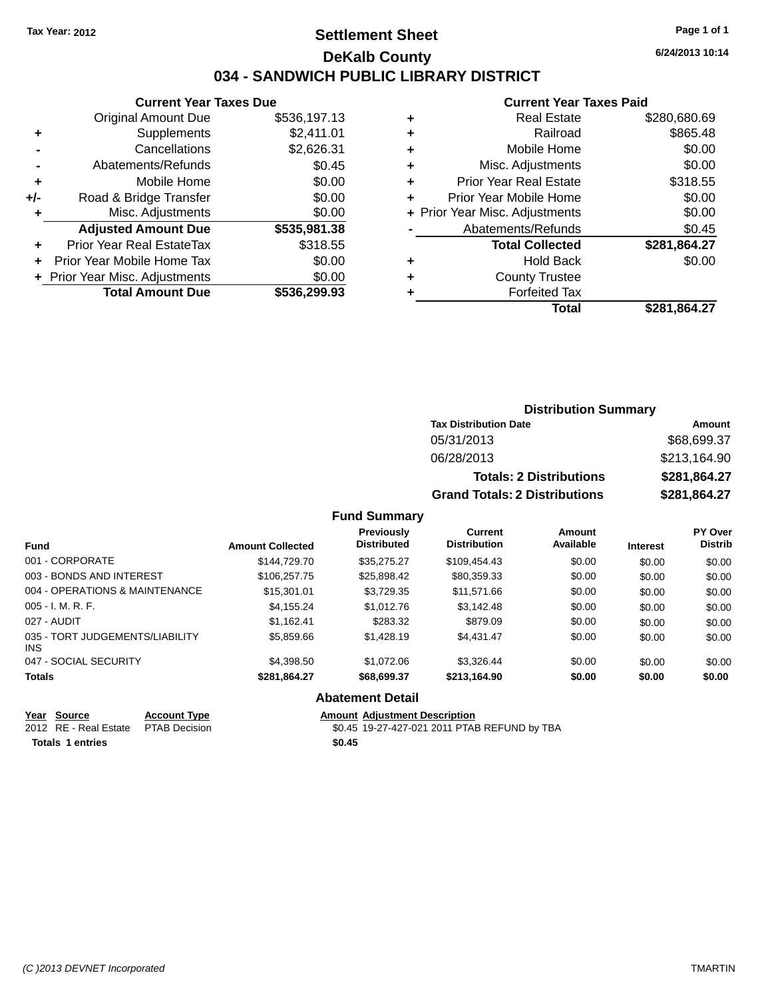### **Settlement Sheet Tax Year: 2012 Page 1 of 1 DeKalb County 034 - SANDWICH PUBLIC LIBRARY DISTRICT**

| Current Year Taxes Due |  |  |  |
|------------------------|--|--|--|
|------------------------|--|--|--|

|     | <b>Original Amount Due</b>       | \$536,197.13 |
|-----|----------------------------------|--------------|
| ٠   | Supplements                      | \$2,411.01   |
|     | Cancellations                    | \$2,626.31   |
|     | Abatements/Refunds               | \$0.45       |
| ٠   | Mobile Home                      | \$0.00       |
| +/- | Road & Bridge Transfer           | \$0.00       |
| ٠   | Misc. Adjustments                | \$0.00       |
|     | <b>Adjusted Amount Due</b>       | \$535,981.38 |
|     | <b>Prior Year Real EstateTax</b> | \$318.55     |
|     | Prior Year Mobile Home Tax       | \$0.00       |
|     | + Prior Year Misc. Adjustments   | \$0.00       |
|     | <b>Total Amount Due</b>          | \$536,299.93 |

#### **Current Year Taxes Paid**

| ٠ | Real Estate                    | \$280,680.69 |
|---|--------------------------------|--------------|
| ٠ | Railroad                       | \$865.48     |
| ٠ | Mobile Home                    | \$0.00       |
| ٠ | Misc. Adjustments              | \$0.00       |
| ٠ | <b>Prior Year Real Estate</b>  | \$318.55     |
| ٠ | Prior Year Mobile Home         | \$0.00       |
|   | + Prior Year Misc. Adjustments | \$0.00       |
|   | Abatements/Refunds             | \$0.45       |
|   | <b>Total Collected</b>         | \$281,864.27 |
| ٠ | <b>Hold Back</b>               | \$0.00       |
| ٠ | <b>County Trustee</b>          |              |
|   | <b>Forfeited Tax</b>           |              |
|   | Total                          | \$281,864.27 |
|   |                                |              |

## **Distribution Summary Tax Distribution Date Amount** 05/31/2013 \$68,699.37 06/28/2013 \$213,164.90

| 06/28/2013                     | \$213.164.90 |
|--------------------------------|--------------|
| <b>Totals: 2 Distributions</b> | \$281.864.27 |
| Grand Totals: 2 Distributions  | \$281.864.27 |

#### **Fund Summary**

| <b>Fund</b>                                   | <b>Amount Collected</b> | <b>Previously</b><br><b>Distributed</b> | <b>Current</b><br><b>Distribution</b> | Amount<br>Available | <b>Interest</b> | PY Over<br><b>Distrib</b> |
|-----------------------------------------------|-------------------------|-----------------------------------------|---------------------------------------|---------------------|-----------------|---------------------------|
| 001 - CORPORATE                               | \$144,729,70            | \$35,275.27                             | \$109.454.43                          | \$0.00              | \$0.00          | \$0.00                    |
| 003 - BONDS AND INTEREST                      | \$106,257.75            | \$25,898.42                             | \$80,359.33                           | \$0.00              | \$0.00          | \$0.00                    |
| 004 - OPERATIONS & MAINTENANCE                | \$15,301.01             | \$3,729.35                              | \$11,571.66                           | \$0.00              | \$0.00          | \$0.00                    |
| $005 - I. M. R. F.$                           | \$4,155.24              | \$1,012.76                              | \$3,142.48                            | \$0.00              | \$0.00          | \$0.00                    |
| 027 - AUDIT                                   | \$1.162.41              | \$283.32                                | \$879.09                              | \$0.00              | \$0.00          | \$0.00                    |
| 035 - TORT JUDGEMENTS/LIABILITY<br><b>INS</b> | \$5,859.66              | \$1,428.19                              | \$4,431.47                            | \$0.00              | \$0.00          | \$0.00                    |
| 047 - SOCIAL SECURITY                         | \$4.398.50              | \$1.072.06                              | \$3.326.44                            | \$0.00              | \$0.00          | \$0.00                    |
| <b>Totals</b>                                 | \$281,864.27            | \$68,699.37                             | \$213,164.90                          | \$0.00              | \$0.00          | \$0.00                    |

#### **Abatement Detail**

**Year Source Account Type Amount Adjustment Description**<br>2012 RE - Real Estate PTAB Decision **Amount 19-27-427-021** 2011 PTAE

**Totals \$0.45 1 entries**

\$0.45 19-27-427-021 2011 PTAB REFUND by TBA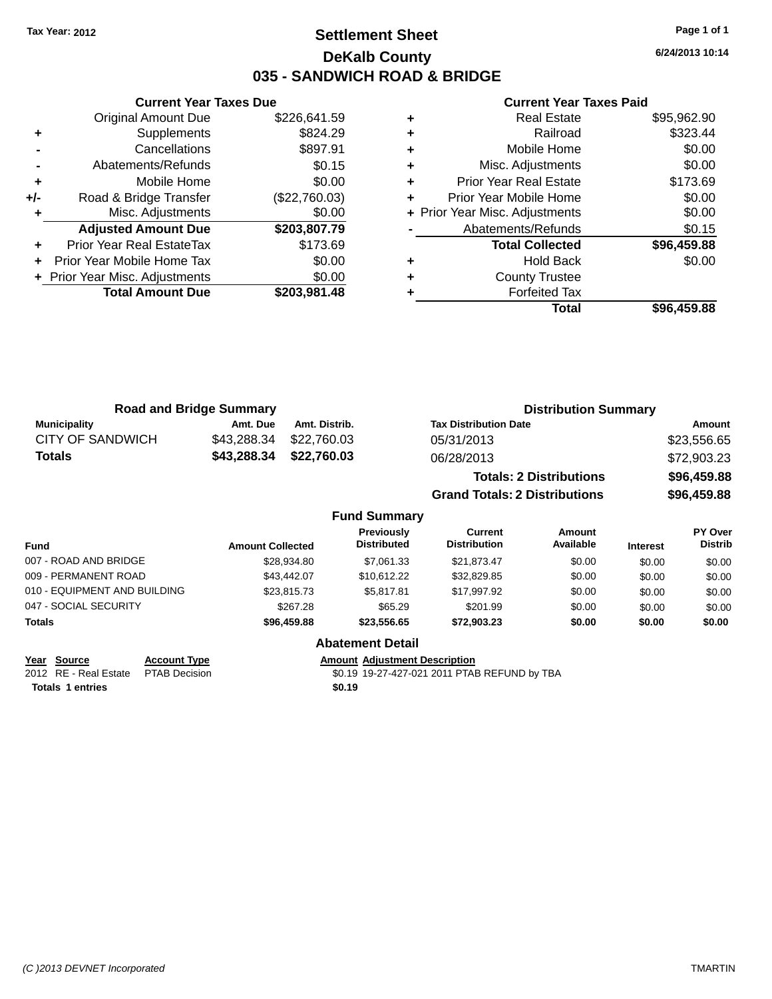### **Settlement Sheet Tax Year: 2012 Page 1 of 1 DeKalb County 035 - SANDWICH ROAD & BRIDGE**

**6/24/2013 10:14**

#### **Current Year Taxes Paid**

|     | <b>Original Amount Due</b>     | \$226,641.59  |
|-----|--------------------------------|---------------|
| ٠   | Supplements                    | \$824.29      |
|     | Cancellations                  | \$897.91      |
|     | Abatements/Refunds             | \$0.15        |
| ٠   | Mobile Home                    | \$0.00        |
| +/- | Road & Bridge Transfer         | (\$22,760.03) |
|     | Misc. Adjustments              | \$0.00        |
|     | <b>Adjusted Amount Due</b>     | \$203,807.79  |
|     | Prior Year Real EstateTax      | \$173.69      |
|     | Prior Year Mobile Home Tax     | \$0.00        |
|     | + Prior Year Misc. Adjustments | \$0.00        |
|     | <b>Total Amount Due</b>        | \$203,981.48  |
|     |                                |               |

**Current Year Taxes Due**

| <b>Real Estate</b>            | \$95,962.90                    |
|-------------------------------|--------------------------------|
| Railroad                      | \$323.44                       |
| Mobile Home                   | \$0.00                         |
| Misc. Adjustments             | \$0.00                         |
| <b>Prior Year Real Estate</b> | \$173.69                       |
| Prior Year Mobile Home        | \$0.00                         |
|                               | \$0.00                         |
| Abatements/Refunds            | \$0.15                         |
| <b>Total Collected</b>        | \$96,459.88                    |
| <b>Hold Back</b>              | \$0.00                         |
| <b>County Trustee</b>         |                                |
| <b>Forfeited Tax</b>          |                                |
| Total                         | \$96,459.88                    |
|                               | + Prior Year Misc. Adjustments |

|                     | <b>Road and Bridge Summary</b> |               | <b>Distribution Summary</b>          |             |
|---------------------|--------------------------------|---------------|--------------------------------------|-------------|
| <b>Municipality</b> | Amt. Due                       | Amt. Distrib. | <b>Tax Distribution Date</b>         | Amount      |
| CITY OF SANDWICH    | \$43,288.34                    | \$22,760.03   | 05/31/2013                           | \$23,556.65 |
| <b>Totals</b>       | \$43,288.34                    | \$22,760.03   | 06/28/2013                           | \$72,903.23 |
|                     |                                |               | <b>Totals: 2 Distributions</b>       | \$96,459.88 |
|                     |                                |               | <b>Grand Totals: 2 Distributions</b> | \$96,459.88 |

#### **Fund Summary Fund Interest Amount Collected Distributed PY Over Distrib Amount Available Current Distribution Previously** 007 - ROAD AND BRIDGE 60.00 \$28,934.80 \$7,061.33 \$21,873.47 \$0.00 \$0.00 \$0.00 \$0.00 009 - PERMANENT ROAD \$43,442.07 \$10,612.22 \$32,829.85 \$0.00 \$0.00 \$0.00 \$0.00 \$0.00 \$0.00 \$0.00 \$0.00 010 - EQUIPMENT AND BUILDING \$23,815.73 \$5,817.81 \$17,997.92 \$0.00 \$0.00 \$0.00 \$0.00 047 - SOCIAL SECURITY \$267.28 \$201.99 \$0.00 \$0.00 \$0.00 \$0.00 **Totals \$96,459.88 \$23,556.65 \$72,903.23 \$0.00 \$0.00 \$0.00**

# **Year Source Account Type Agillistic Adjustment Description**<br>2012 RE - Real Estate PTAB Decision **Amount 19-27-427-021** 2011 PTAE

**Totals 1 entries** \$0.19

 $\overline{30.19}$  19-27-427-021 2011 PTAB REFUND by TBA

**Abatement Detail**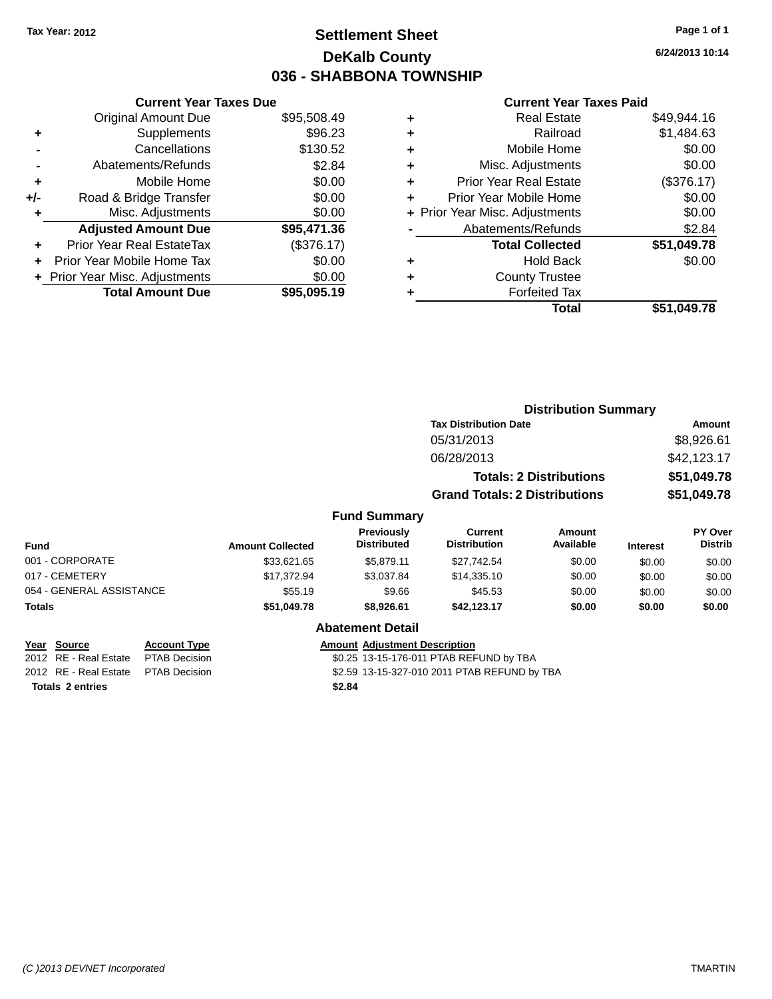### **Settlement Sheet Tax Year: 2012 Page 1 of 1 DeKalb County 036 - SHABBONA TOWNSHIP**

**6/24/2013 10:14**

#### **Current Year Taxes Paid**

|     | <b>Current Year Taxes Due</b>  |             |
|-----|--------------------------------|-------------|
|     | <b>Original Amount Due</b>     | \$95,508.49 |
| ٠   | Supplements                    | \$96.23     |
|     | Cancellations                  | \$130.52    |
|     | Abatements/Refunds             | \$2.84      |
| ٠   | Mobile Home                    | \$0.00      |
| +/- | Road & Bridge Transfer         | \$0.00      |
|     | Misc. Adjustments              | \$0.00      |
|     | <b>Adjusted Amount Due</b>     | \$95,471.36 |
| ٠   | Prior Year Real EstateTax      | (\$376.17)  |
|     | Prior Year Mobile Home Tax     | \$0.00      |
|     | + Prior Year Misc. Adjustments | \$0.00      |
|     | <b>Total Amount Due</b>        | \$95,095.19 |
|     |                                |             |

| ٠ | <b>Real Estate</b>             | \$49,944.16 |
|---|--------------------------------|-------------|
| ٠ | Railroad                       | \$1,484.63  |
| ٠ | Mobile Home                    | \$0.00      |
| ٠ | Misc. Adjustments              | \$0.00      |
| ٠ | <b>Prior Year Real Estate</b>  | (\$376.17)  |
| ٠ | Prior Year Mobile Home         | \$0.00      |
|   | + Prior Year Misc. Adjustments | \$0.00      |
|   | Abatements/Refunds             | \$2.84      |
|   | <b>Total Collected</b>         | \$51,049.78 |
| ٠ | <b>Hold Back</b>               | \$0.00      |
| ٠ | <b>County Trustee</b>          |             |
| ٠ | <b>Forfeited Tax</b>           |             |
|   | Total                          | \$51,049.78 |
|   |                                |             |

|                          |                         |                                  | <b>Distribution Summary</b>          |                                |                 |                           |
|--------------------------|-------------------------|----------------------------------|--------------------------------------|--------------------------------|-----------------|---------------------------|
|                          |                         |                                  | <b>Tax Distribution Date</b>         |                                |                 | <b>Amount</b>             |
|                          |                         |                                  | 05/31/2013                           |                                |                 | \$8,926.61                |
|                          |                         |                                  | 06/28/2013                           |                                |                 | \$42,123.17               |
|                          |                         |                                  |                                      | <b>Totals: 2 Distributions</b> |                 | \$51,049.78               |
|                          |                         |                                  | <b>Grand Totals: 2 Distributions</b> |                                |                 | \$51,049.78               |
|                          |                         | <b>Fund Summary</b>              |                                      |                                |                 |                           |
| <b>Fund</b>              | <b>Amount Collected</b> | Previously<br><b>Distributed</b> | Current<br><b>Distribution</b>       | Amount<br>Available            | <b>Interest</b> | PY Over<br><b>Distrib</b> |
| 001 - CORPORATE          | \$33.621.65             | \$5.879.11                       | \$27,742.54                          | \$0.00                         | \$0.00          | \$0.00                    |
| 017 - CEMETERY           | \$17.372.94             | \$3,037.84                       | \$14,335.10                          | \$0.00                         | \$0.00          | \$0.00                    |
| 054 - GENERAL ASSISTANCE | \$55.19                 | \$9.66                           | \$45.53                              | \$0.00                         | \$0.00          | \$0.00                    |
| <b>Totals</b>            | \$51,049.78             | \$8,926.61                       | \$42,123.17                          | \$0.00                         | \$0.00          | \$0.00                    |

#### **Abatement Detail**

**Year Source Account Type Amount Adjustment Description**<br>2012 RE - Real Estate PTAB Decision **Amount 1998** 13-15-176-011 PTAB REF

\$0.25 13-15-176-011 PTAB REFUND by TBA

2012 RE - Real Estate \$2.59 13-15-327-010 2011 PTAB REFUND by TBA PTAB Decision

**Totals \$2.84 2 entries**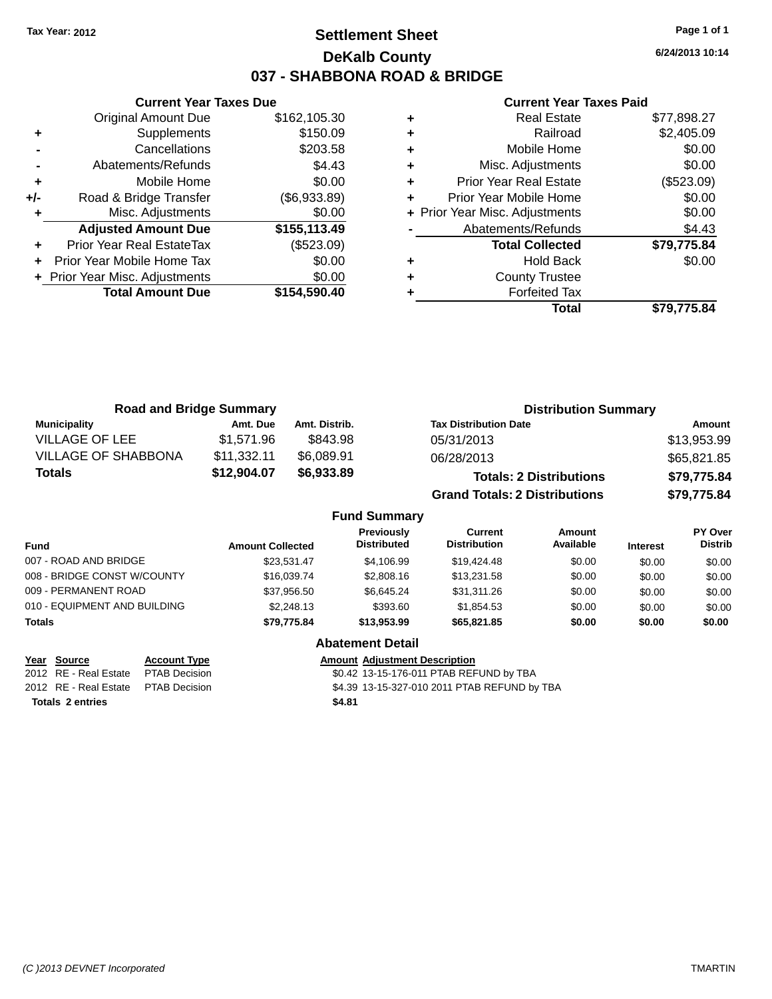### **Settlement Sheet Tax Year: 2012 Page 1 of 1 DeKalb County 037 - SHABBONA ROAD & BRIDGE**

**6/24/2013 10:14**

#### **Current Year Taxes Paid**

|       | <b>Current Year Taxes Due</b>  |              |  |  |  |
|-------|--------------------------------|--------------|--|--|--|
|       | <b>Original Amount Due</b>     | \$162,105.30 |  |  |  |
| ÷     | Supplements                    | \$150.09     |  |  |  |
|       | Cancellations                  | \$203.58     |  |  |  |
|       | Abatements/Refunds             | \$4.43       |  |  |  |
| ٠     | Mobile Home                    | \$0.00       |  |  |  |
| $+/-$ | Road & Bridge Transfer         | (\$6,933.89) |  |  |  |
| ٠     | Misc. Adjustments              | \$0.00       |  |  |  |
|       | <b>Adjusted Amount Due</b>     | \$155,113.49 |  |  |  |
| ٠     | Prior Year Real EstateTax      | (\$523.09)   |  |  |  |
|       | Prior Year Mobile Home Tax     | \$0.00       |  |  |  |
|       | + Prior Year Misc. Adjustments | \$0.00       |  |  |  |
|       | <b>Total Amount Due</b>        | \$154,590.40 |  |  |  |
|       |                                |              |  |  |  |

| ٠ | <b>Real Estate</b>             | \$77,898.27 |
|---|--------------------------------|-------------|
| ٠ | Railroad                       | \$2,405.09  |
| ٠ | Mobile Home                    | \$0.00      |
| ٠ | Misc. Adjustments              | \$0.00      |
| ٠ | <b>Prior Year Real Estate</b>  | (\$523.09)  |
| ٠ | Prior Year Mobile Home         | \$0.00      |
|   | + Prior Year Misc. Adjustments | \$0.00      |
|   | Abatements/Refunds             | \$4.43      |
|   | <b>Total Collected</b>         | \$79,775.84 |
| ٠ | <b>Hold Back</b>               | \$0.00      |
| ٠ | <b>County Trustee</b>          |             |
|   | <b>Forfeited Tax</b>           |             |
|   | Total                          | \$79.775.84 |

| <b>Road and Bridge Summary</b> |             |               | <b>Distribution Summary</b>          |             |
|--------------------------------|-------------|---------------|--------------------------------------|-------------|
| <b>Municipality</b>            | Amt. Due    | Amt. Distrib. | <b>Tax Distribution Date</b>         | Amount      |
| VILLAGE OF LEE                 | \$1.571.96  | \$843.98      | 05/31/2013                           | \$13,953.99 |
| <b>VILLAGE OF SHABBONA</b>     | \$11,332.11 | \$6,089.91    | 06/28/2013                           | \$65,821.85 |
| <b>Totals</b>                  | \$12,904.07 | \$6,933.89    | <b>Totals: 2 Distributions</b>       | \$79,775.84 |
|                                |             |               | <b>Grand Totals: 2 Distributions</b> | \$79,775.84 |

#### **Fund Summary**

| <b>Fund</b>                  | <b>Amount Collected</b> | Previously<br><b>Distributed</b> | Current<br><b>Distribution</b> | Amount<br>Available | <b>Interest</b> | <b>PY Over</b><br><b>Distrib</b> |
|------------------------------|-------------------------|----------------------------------|--------------------------------|---------------------|-----------------|----------------------------------|
| 007 - ROAD AND BRIDGE        | \$23.531.47             | \$4.106.99                       | \$19,424.48                    | \$0.00              | \$0.00          | \$0.00                           |
| 008 - BRIDGE CONST W/COUNTY  | \$16,039.74             | \$2,808.16                       | \$13,231.58                    | \$0.00              | \$0.00          | \$0.00                           |
| 009 - PERMANENT ROAD         | \$37.956.50             | \$6.645.24                       | \$31,311.26                    | \$0.00              | \$0.00          | \$0.00                           |
| 010 - EQUIPMENT AND BUILDING | \$2,248.13              | \$393.60                         | \$1.854.53                     | \$0.00              | \$0.00          | \$0.00                           |
| <b>Totals</b>                | \$79.775.84             | \$13,953,99                      | \$65,821.85                    | \$0.00              | \$0.00          | \$0.00                           |

### **Abatement Detail**

**Year Source Account Type Agillie Adjustment Description**<br>2012 RE - Real Estate PTAB Decision **Amount 1988** 13-15-176-011 PTAB REF \$0.42 13-15-176-011 PTAB REFUND by TBA 2012 RE - Real Estate \$4.39 13-15-327-010 2011 PTAB REFUND by TBA PTAB Decision **Totals \$4.81 2 entries**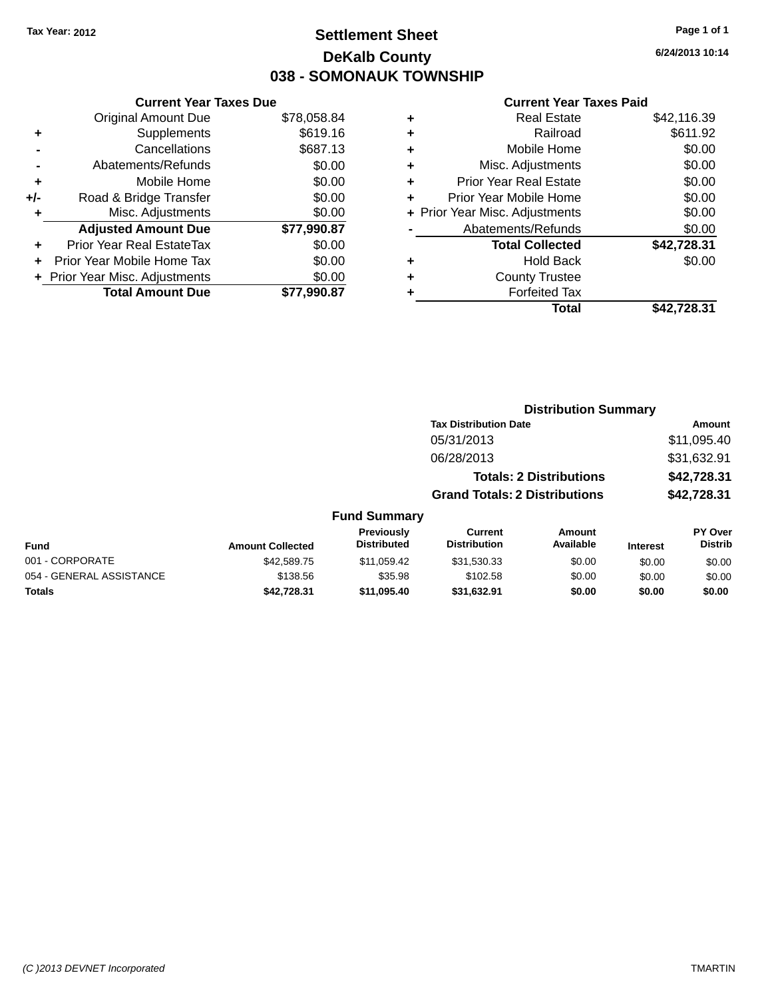### **Settlement Sheet Tax Year: 2012 Page 1 of 1 DeKalb County 038 - SOMONAUK TOWNSHIP**

**6/24/2013 10:14**

#### **Current Year Taxes Paid**

|     | <b>Current Year Taxes Due</b> |             |  |  |  |
|-----|-------------------------------|-------------|--|--|--|
|     | <b>Original Amount Due</b>    | \$78,058.84 |  |  |  |
| ٠   | Supplements                   | \$619.16    |  |  |  |
|     | Cancellations                 | \$687.13    |  |  |  |
|     | Abatements/Refunds            | \$0.00      |  |  |  |
| ٠   | Mobile Home                   | \$0.00      |  |  |  |
| +/- | Road & Bridge Transfer        | \$0.00      |  |  |  |
| ٠   | Misc. Adjustments             | \$0.00      |  |  |  |
|     | <b>Adjusted Amount Due</b>    | \$77,990.87 |  |  |  |
| ÷   | Prior Year Real EstateTax     | \$0.00      |  |  |  |
| ÷   | Prior Year Mobile Home Tax    | \$0.00      |  |  |  |
|     | Prior Year Misc. Adjustments  | \$0.00      |  |  |  |
|     | <b>Total Amount Due</b>       | \$77.990.87 |  |  |  |

| Real Estate                    | \$42,116.39 |
|--------------------------------|-------------|
| Railroad                       | \$611.92    |
| Mobile Home                    | \$0.00      |
| Misc. Adjustments              | \$0.00      |
| <b>Prior Year Real Estate</b>  | \$0.00      |
| Prior Year Mobile Home         | \$0.00      |
| + Prior Year Misc. Adjustments | \$0.00      |
| Abatements/Refunds             | \$0.00      |
| <b>Total Collected</b>         | \$42,728.31 |
| <b>Hold Back</b>               | \$0.00      |
| <b>County Trustee</b>          |             |
| <b>Forfeited Tax</b>           |             |
| Total                          | \$42,728.31 |
|                                |             |

|                          |                         |                                  |                                       | <b>Distribution Summary</b>    |                 |                           |
|--------------------------|-------------------------|----------------------------------|---------------------------------------|--------------------------------|-----------------|---------------------------|
|                          |                         |                                  | <b>Tax Distribution Date</b>          |                                |                 | <b>Amount</b>             |
|                          |                         |                                  | 05/31/2013                            |                                |                 | \$11,095.40               |
|                          |                         |                                  | 06/28/2013                            |                                |                 | \$31,632.91               |
|                          |                         |                                  |                                       | <b>Totals: 2 Distributions</b> |                 | \$42,728.31               |
|                          |                         |                                  | <b>Grand Totals: 2 Distributions</b>  |                                |                 | \$42,728.31               |
|                          |                         | <b>Fund Summary</b>              |                                       |                                |                 |                           |
| Fund                     | <b>Amount Collected</b> | Previously<br><b>Distributed</b> | <b>Current</b><br><b>Distribution</b> | Amount<br>Available            | <b>Interest</b> | PY Over<br><b>Distrib</b> |
| 001 - CORPORATE          | \$42,589.75             | \$11.059.42                      | \$31,530.33                           | \$0.00                         | \$0.00          | \$0.00                    |
| 054 - GENERAL ASSISTANCE | \$138.56                | \$35.98                          | \$102.58                              | \$0.00                         | \$0.00          | \$0.00                    |

**Totals \$42,728.31 \$11,095.40 \$31,632.91 \$0.00 \$0.00 \$0.00**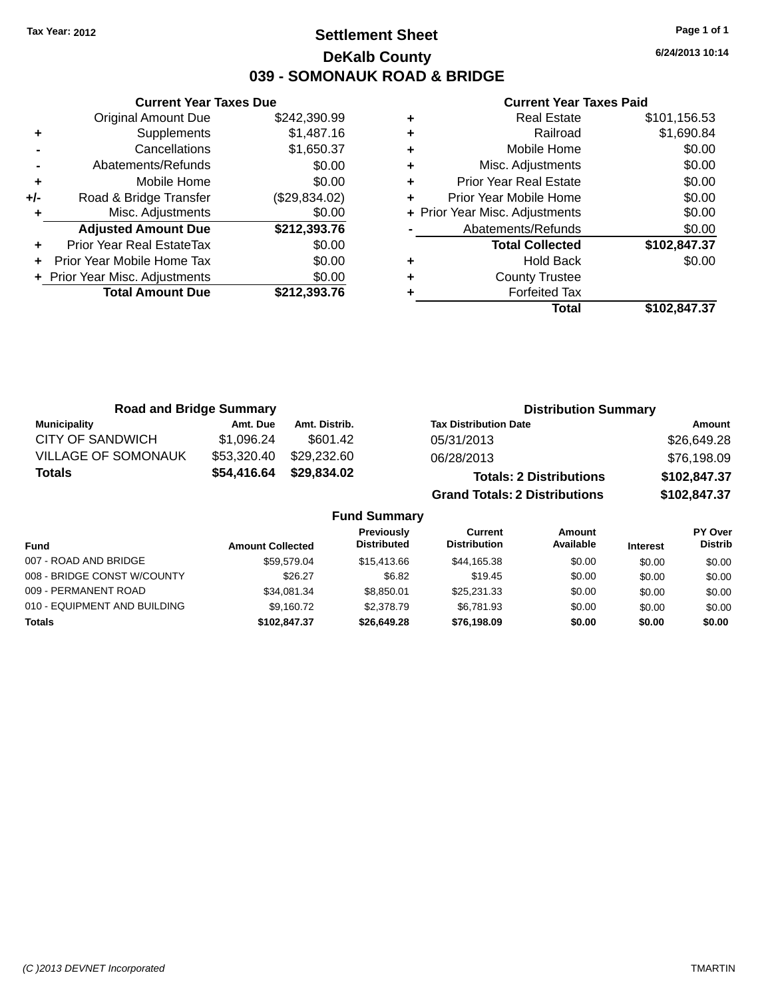### **Settlement Sheet Tax Year: 2012 Page 1 of 1 DeKalb County 039 - SOMONAUK ROAD & BRIDGE**

**6/24/2013 10:14**

#### **Current Year Taxes Paid**

|     | <b>Current Year Taxes Due</b>  |               |
|-----|--------------------------------|---------------|
|     | <b>Original Amount Due</b>     | \$242,390.99  |
| ٠   | Supplements                    | \$1,487.16    |
|     | Cancellations                  | \$1,650.37    |
|     | Abatements/Refunds             | \$0.00        |
| ٠   | Mobile Home                    | \$0.00        |
| +/- | Road & Bridge Transfer         | (\$29,834.02) |
| ٠   | Misc. Adjustments              | \$0.00        |
|     | <b>Adjusted Amount Due</b>     | \$212,393.76  |
| ٠   | Prior Year Real EstateTax      | \$0.00        |
| ÷   | Prior Year Mobile Home Tax     | \$0.00        |
|     | + Prior Year Misc. Adjustments | \$0.00        |
|     | <b>Total Amount Due</b>        | \$212,393.76  |
|     |                                |               |

|   | <b>Real Estate</b>             | \$101,156.53 |
|---|--------------------------------|--------------|
| ٠ | Railroad                       | \$1,690.84   |
| ٠ | Mobile Home                    | \$0.00       |
| ٠ | Misc. Adjustments              | \$0.00       |
| ٠ | <b>Prior Year Real Estate</b>  | \$0.00       |
| ٠ | Prior Year Mobile Home         | \$0.00       |
|   | + Prior Year Misc. Adjustments | \$0.00       |
|   | Abatements/Refunds             | \$0.00       |
|   | <b>Total Collected</b>         | \$102,847.37 |
| ٠ | Hold Back                      | \$0.00       |
| ٠ | <b>County Trustee</b>          |              |
| ٠ | <b>Forfeited Tax</b>           |              |
|   | Total                          | \$102,847.37 |
|   |                                |              |

| <b>Road and Bridge Summary</b> |             |                     | <b>Distribution Summary</b>          |              |
|--------------------------------|-------------|---------------------|--------------------------------------|--------------|
| <b>Municipality</b>            | Amt. Due    | Amt. Distrib.       | <b>Tax Distribution Date</b>         | Amount       |
| CITY OF SANDWICH               | \$1,096.24  | \$601.42            | 05/31/2013                           | \$26,649.28  |
| <b>VILLAGE OF SOMONAUK</b>     | \$53,320.40 | \$29,232.60         | 06/28/2013                           | \$76,198.09  |
| <b>Totals</b>                  | \$54,416.64 | \$29,834.02         | <b>Totals: 2 Distributions</b>       | \$102,847.37 |
|                                |             |                     | <b>Grand Totals: 2 Distributions</b> | \$102,847.37 |
|                                |             | <b>Fund Summary</b> |                                      |              |

|         | Previously<br><b>Distributed</b>                                                    | Current<br><b>Distribution</b> | Amount<br>Available | <b>Interest</b> | PY Over<br><b>Distrib</b> |
|---------|-------------------------------------------------------------------------------------|--------------------------------|---------------------|-----------------|---------------------------|
|         | \$15,413,66                                                                         | \$44.165.38                    | \$0.00              | \$0.00          | \$0.00                    |
| \$26.27 | \$6.82                                                                              | \$19.45                        | \$0.00              | \$0.00          | \$0.00                    |
|         | \$8.850.01                                                                          | \$25,231,33                    | \$0.00              | \$0.00          | \$0.00                    |
|         | \$2,378.79                                                                          | \$6.781.93                     | \$0.00              | \$0.00          | \$0.00                    |
|         | \$26,649.28                                                                         | \$76,198.09                    | \$0.00              | \$0.00          | \$0.00                    |
|         | <b>Amount Collected</b><br>\$59.579.04<br>\$34.081.34<br>\$9.160.72<br>\$102.847.37 |                                |                     |                 |                           |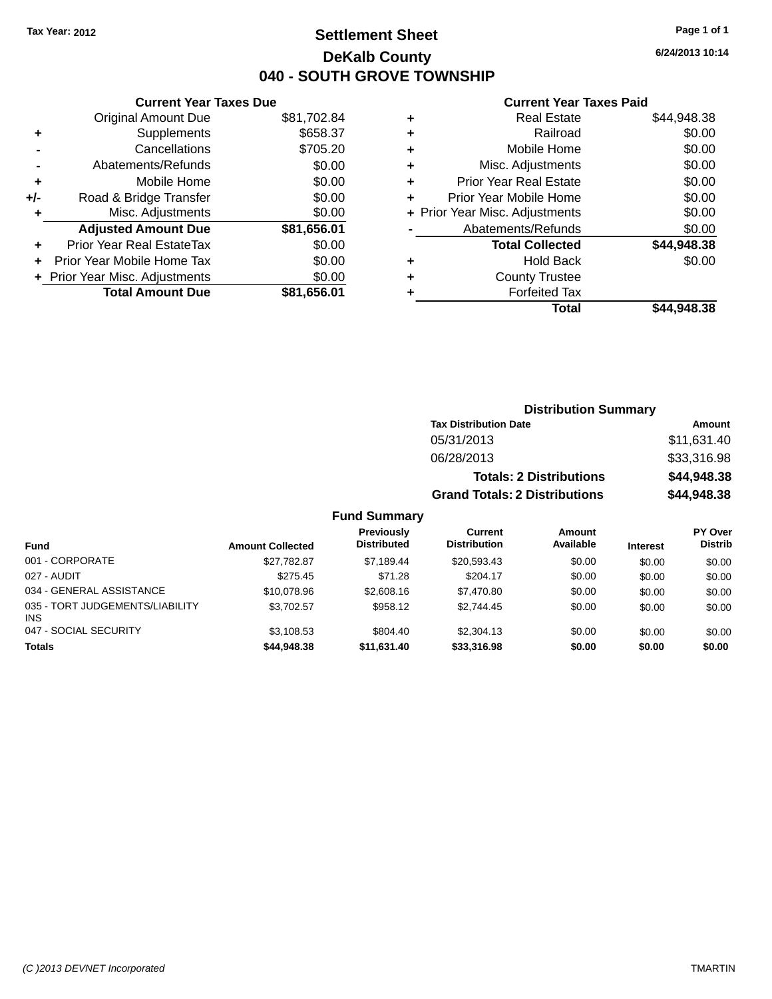### **Settlement Sheet Tax Year: 2012 Page 1 of 1 DeKalb County 040 - SOUTH GROVE TOWNSHIP**

**6/24/2013 10:14**

#### **Current Year Taxes Paid**

|     | <b>Current Year Taxes Due</b>  |             |
|-----|--------------------------------|-------------|
|     | <b>Original Amount Due</b>     | \$81,702.84 |
| ٠   | Supplements                    | \$658.37    |
|     | Cancellations                  | \$705.20    |
|     | Abatements/Refunds             | \$0.00      |
| ٠   | Mobile Home                    | \$0.00      |
| +/- | Road & Bridge Transfer         | \$0.00      |
| ٠   | Misc. Adjustments              | \$0.00      |
|     | <b>Adjusted Amount Due</b>     | \$81,656.01 |
| ٠   | Prior Year Real EstateTax      | \$0.00      |
|     | Prior Year Mobile Home Tax     | \$0.00      |
|     | + Prior Year Misc. Adjustments | \$0.00      |
|     | <b>Total Amount Due</b>        | \$81.656.01 |
|     |                                |             |

|   | Real Estate                    | \$44,948.38 |
|---|--------------------------------|-------------|
| ٠ | Railroad                       | \$0.00      |
| ٠ | Mobile Home                    | \$0.00      |
| ٠ | Misc. Adjustments              | \$0.00      |
| ٠ | <b>Prior Year Real Estate</b>  | \$0.00      |
| ٠ | Prior Year Mobile Home         | \$0.00      |
|   | + Prior Year Misc. Adjustments | \$0.00      |
|   | Abatements/Refunds             | \$0.00      |
|   | <b>Total Collected</b>         | \$44,948.38 |
| ٠ | Hold Back                      | \$0.00      |
| ٠ | <b>County Trustee</b>          |             |
| ٠ | <b>Forfeited Tax</b>           |             |
|   | Total                          | \$44,948.38 |
|   |                                |             |

| <b>Distribution Summary</b>          |             |  |  |
|--------------------------------------|-------------|--|--|
| <b>Tax Distribution Date</b>         | Amount      |  |  |
| 05/31/2013                           | \$11,631.40 |  |  |
| 06/28/2013                           | \$33,316.98 |  |  |
| <b>Totals: 2 Distributions</b>       | \$44,948.38 |  |  |
| <b>Grand Totals: 2 Distributions</b> | \$44,948.38 |  |  |

| <b>Fund</b>                                   | <b>Amount Collected</b> | Previously<br><b>Distributed</b> | Current<br><b>Distribution</b> | <b>Amount</b><br>Available | <b>Interest</b> | PY Over<br><b>Distrib</b> |
|-----------------------------------------------|-------------------------|----------------------------------|--------------------------------|----------------------------|-----------------|---------------------------|
| 001 - CORPORATE                               | \$27.782.87             | \$7.189.44                       | \$20,593.43                    | \$0.00                     | \$0.00          | \$0.00                    |
| 027 - AUDIT                                   | \$275.45                | \$71.28                          | \$204.17                       | \$0.00                     | \$0.00          | \$0.00                    |
| 034 - GENERAL ASSISTANCE                      | \$10,078.96             | \$2,608.16                       | \$7,470.80                     | \$0.00                     | \$0.00          | \$0.00                    |
| 035 - TORT JUDGEMENTS/LIABILITY<br><b>INS</b> | \$3.702.57              | \$958.12                         | \$2,744.45                     | \$0.00                     | \$0.00          | \$0.00                    |
| 047 - SOCIAL SECURITY                         | \$3.108.53              | \$804.40                         | \$2,304.13                     | \$0.00                     | \$0.00          | \$0.00                    |
| <b>Totals</b>                                 | \$44,948,38             | \$11,631.40                      | \$33,316.98                    | \$0.00                     | \$0.00          | \$0.00                    |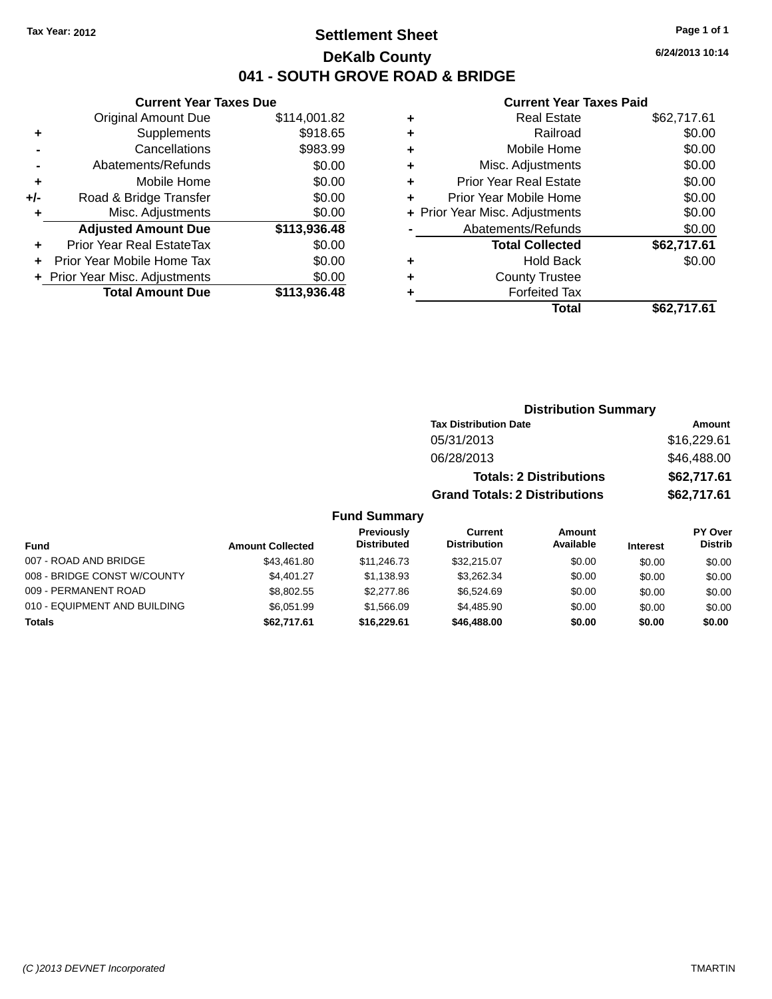### **Settlement Sheet Tax Year: 2012 Page 1 of 1 DeKalb County 041 - SOUTH GROVE ROAD & BRIDGE**

**6/24/2013 10:14**

### **Current Year Taxes Paid**

|       | <b>Current Year Taxes Due</b>    |              |
|-------|----------------------------------|--------------|
|       | <b>Original Amount Due</b>       | \$114,001.82 |
| ٠     | Supplements                      | \$918.65     |
|       | Cancellations                    | \$983.99     |
|       | Abatements/Refunds               | \$0.00       |
| ÷     | Mobile Home                      | \$0.00       |
| $+/-$ | Road & Bridge Transfer           | \$0.00       |
|       | Misc. Adjustments                | \$0.00       |
|       | <b>Adjusted Amount Due</b>       | \$113,936.48 |
|       | <b>Prior Year Real EstateTax</b> | \$0.00       |
|       | Prior Year Mobile Home Tax       | \$0.00       |
|       | + Prior Year Misc. Adjustments   | \$0.00       |
|       | <b>Total Amount Due</b>          | \$113.936.48 |
|       |                                  |              |

| ٠ | <b>Real Estate</b>             | \$62,717.61 |
|---|--------------------------------|-------------|
| ٠ | Railroad                       | \$0.00      |
| ٠ | Mobile Home                    | \$0.00      |
| ٠ | Misc. Adjustments              | \$0.00      |
| ٠ | <b>Prior Year Real Estate</b>  | \$0.00      |
| ٠ | Prior Year Mobile Home         | \$0.00      |
|   | + Prior Year Misc. Adjustments | \$0.00      |
|   | Abatements/Refunds             | \$0.00      |
|   | <b>Total Collected</b>         | \$62,717.61 |
| ٠ | <b>Hold Back</b>               | \$0.00      |
| ٠ | <b>County Trustee</b>          |             |
| ٠ | <b>Forfeited Tax</b>           |             |
|   | Total                          | \$62,717.61 |
|   |                                |             |

|                     | <b>Distribution Summary</b>          |             |
|---------------------|--------------------------------------|-------------|
|                     | <b>Tax Distribution Date</b>         | Amount      |
|                     | 05/31/2013                           | \$16,229.61 |
|                     | 06/28/2013                           | \$46,488.00 |
|                     | <b>Totals: 2 Distributions</b>       | \$62,717.61 |
|                     | <b>Grand Totals: 2 Distributions</b> | \$62,717.61 |
| <b>Fund Summary</b> |                                      |             |

#### **Fund Interest Amount Collected Distributed PY Over Distrib Amount Available Current Distribution Previously** 007 - ROAD AND BRIDGE 60.00 \$43,461.80 \$11,246.73 \$32,215.07 \$0.00 \$0.00 \$0.00 \$0.00 008 - BRIDGE CONST W/COUNTY  $$4,401.27$   $$1,138.93$   $$3,262.34$   $$0.00$   $$0.00$   $$0.00$ 009 - PERMANENT ROAD \$8,802.55 \$8,802.55 \$2,277.86 \$6,524.69 \$0.00 \$0.00 \$0.00 \$0.00 010 - EQUIPMENT AND BUILDING \$6,051.99 \$1,566.09 \$4,485.90 \$0.00 \$0.00 \$0.00 **Totals \$62,717.61 \$16,229.61 \$46,488.00 \$0.00 \$0.00 \$0.00**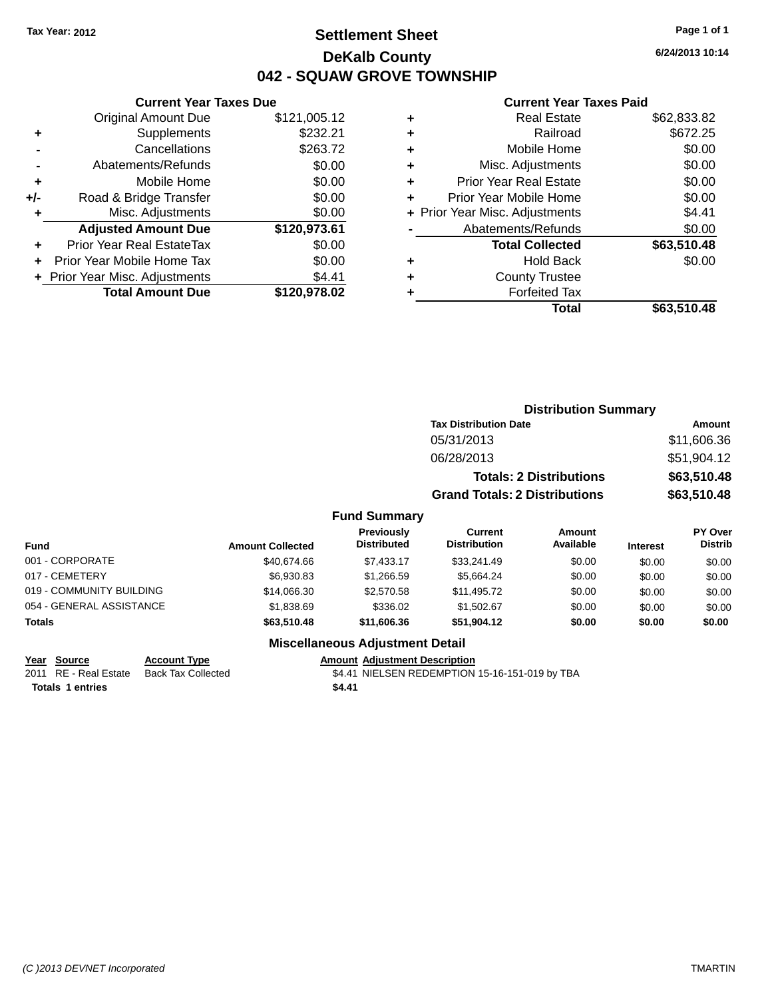### **Settlement Sheet Tax Year: 2012 Page 1 of 1 DeKalb County 042 - SQUAW GROVE TOWNSHIP**

**6/24/2013 10:14**

#### **Current Year Taxes Paid**

|       | <b>Original Amount Due</b>     | \$121,005.12 |
|-------|--------------------------------|--------------|
| ٠     | Supplements                    | \$232.21     |
|       | Cancellations                  | \$263.72     |
|       | Abatements/Refunds             | \$0.00       |
| ٠     | Mobile Home                    | \$0.00       |
| $+/-$ | Road & Bridge Transfer         | \$0.00       |
| ٠     | Misc. Adjustments              | \$0.00       |
|       | <b>Adjusted Amount Due</b>     | \$120,973.61 |
| ÷     | Prior Year Real EstateTax      | \$0.00       |
|       | Prior Year Mobile Home Tax     | \$0.00       |
|       | + Prior Year Misc. Adjustments | \$4.41       |
|       | <b>Total Amount Due</b>        | \$120,978.02 |
|       |                                |              |

**Current Year Taxes Due**

| ٠ | <b>Real Estate</b>             | \$62,833.82 |
|---|--------------------------------|-------------|
| ٠ | Railroad                       | \$672.25    |
| ٠ | Mobile Home                    | \$0.00      |
| ٠ | Misc. Adjustments              | \$0.00      |
| ٠ | <b>Prior Year Real Estate</b>  | \$0.00      |
| ٠ | Prior Year Mobile Home         | \$0.00      |
|   | + Prior Year Misc. Adjustments | \$4.41      |
|   | Abatements/Refunds             | \$0.00      |
|   | <b>Total Collected</b>         | \$63,510.48 |
| ٠ | Hold Back                      | \$0.00      |
| ٠ | <b>County Trustee</b>          |             |
| ٠ | <b>Forfeited Tax</b>           |             |
|   | Total                          | \$63,510.48 |
|   |                                |             |

|                 |                         |                                  |                                       | <b>Distribution Summary</b>    |                 |                           |
|-----------------|-------------------------|----------------------------------|---------------------------------------|--------------------------------|-----------------|---------------------------|
|                 |                         |                                  | <b>Tax Distribution Date</b>          |                                |                 | <b>Amount</b>             |
|                 |                         |                                  | 05/31/2013                            |                                |                 | \$11,606.36               |
|                 |                         |                                  | 06/28/2013                            |                                |                 | \$51,904.12               |
|                 |                         |                                  |                                       | <b>Totals: 2 Distributions</b> |                 | \$63,510.48               |
|                 |                         |                                  | <b>Grand Totals: 2 Distributions</b>  |                                |                 | \$63,510.48               |
|                 |                         | <b>Fund Summary</b>              |                                       |                                |                 |                           |
| <b>Fund</b>     | <b>Amount Collected</b> | Previously<br><b>Distributed</b> | <b>Current</b><br><b>Distribution</b> | Amount<br>Available            | <b>Interest</b> | PY Over<br><b>Distrib</b> |
| 001 - CORPORATE | \$40,674,66             | \$7,433.17                       | \$33,241.49                           | \$0.00                         | \$0.00          | \$0.00                    |
| 017 - CEMETERY  | \$6,930.83              | \$1,266.59                       | \$5.664.24                            | \$0.00                         | \$0.00          | \$0.00                    |

| <b>Totals</b>            | \$63,510.48 | \$11,606,36 | \$51.904.12 | \$0.00       | \$0.00 | \$0.00 |
|--------------------------|-------------|-------------|-------------|--------------|--------|--------|
| 054 - GENERAL ASSISTANCE | \$1.838.69  | \$336.02    | \$1.502.67  | \$0.00       | \$0.00 | \$0.00 |
| 019 - COMMUNITY BUILDING | \$14.066.30 | \$2,570.58  | \$11.495.72 | \$0.00       | \$0.00 | \$0.00 |
| 017 - CEMETERY           | \$6,930.83  | \$1.266.59  | \$5.664.24  | \$0.00       | \$0.00 | \$0.00 |
| UUI - CORPORAIE          | \$40.074.00 | 31.433.11   | \$33,241.49 | <b>JU.UU</b> | \$0.00 | \$0.00 |

#### **Miscellaneous Adjustment Detail**

**Year Source Account Type Amount Adjustment Description**

2011 RE - Real Estate Back Tax Collected **\$4.41 NIELSEN REDEMPTION 15-16-151-019 by TBA** 

**Totals 1 entries** \$4.41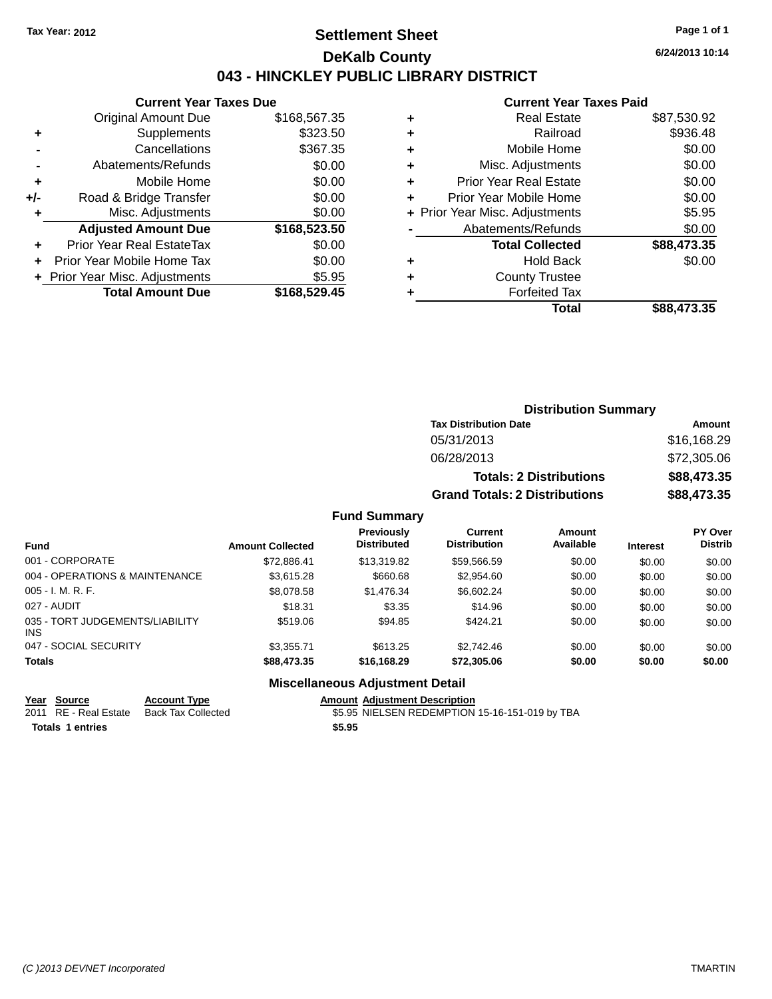### **Settlement Sheet Tax Year: 2012 Page 1 of 1 DeKalb County 043 - HINCKLEY PUBLIC LIBRARY DISTRICT**

**6/24/2013 10:14**

#### **Current Year Taxes Paid**

|     | <b>Current Year Taxes Due</b>    |              |
|-----|----------------------------------|--------------|
|     | <b>Original Amount Due</b>       | \$168,567.35 |
| ٠   | Supplements                      | \$323.50     |
|     | Cancellations                    | \$367.35     |
|     | Abatements/Refunds               | \$0.00       |
| ÷   | Mobile Home                      | \$0.00       |
| +/- | Road & Bridge Transfer           | \$0.00       |
| ٠   | Misc. Adjustments                | \$0.00       |
|     | <b>Adjusted Amount Due</b>       | \$168,523.50 |
| ÷   | <b>Prior Year Real EstateTax</b> | \$0.00       |
| ÷   | Prior Year Mobile Home Tax       | \$0.00       |
|     | + Prior Year Misc. Adjustments   | \$5.95       |
|     | <b>Total Amount Due</b>          | \$168.529.45 |

|   | <b>Real Estate</b>             | \$87,530.92 |
|---|--------------------------------|-------------|
| ٠ | Railroad                       | \$936.48    |
| ٠ | Mobile Home                    | \$0.00      |
| ٠ | Misc. Adjustments              | \$0.00      |
| ٠ | <b>Prior Year Real Estate</b>  | \$0.00      |
| ÷ | Prior Year Mobile Home         | \$0.00      |
|   | + Prior Year Misc. Adjustments | \$5.95      |
|   | Abatements/Refunds             | \$0.00      |
|   | <b>Total Collected</b>         | \$88,473.35 |
| ٠ | Hold Back                      | \$0.00      |
| ٠ | <b>County Trustee</b>          |             |
|   | <b>Forfeited Tax</b>           |             |
|   | Total                          | \$88,473.35 |
|   |                                |             |

| <b>Distribution Summary</b>          |             |
|--------------------------------------|-------------|
| <b>Tax Distribution Date</b>         | Amount      |
| 05/31/2013                           | \$16,168.29 |
| 06/28/2013                           | \$72,305.06 |
| <b>Totals: 2 Distributions</b>       | \$88,473.35 |
| <b>Grand Totals: 2 Distributions</b> | \$88,473.35 |

### **Fund Summary**

| <b>Fund</b>                             | <b>Amount Collected</b> | Previously<br><b>Distributed</b> | Current<br><b>Distribution</b> | Amount<br>Available | <b>Interest</b> | <b>PY Over</b><br><b>Distrib</b> |
|-----------------------------------------|-------------------------|----------------------------------|--------------------------------|---------------------|-----------------|----------------------------------|
| 001 - CORPORATE                         | \$72,886.41             | \$13,319.82                      | \$59,566.59                    | \$0.00              | \$0.00          | \$0.00                           |
| 004 - OPERATIONS & MAINTENANCE          | \$3,615.28              | \$660.68                         | \$2,954.60                     | \$0.00              | \$0.00          | \$0.00                           |
| $005 - I. M. R. F.$                     | \$8,078.58              | \$1,476.34                       | \$6,602.24                     | \$0.00              | \$0.00          | \$0.00                           |
| 027 - AUDIT                             | \$18.31                 | \$3.35                           | \$14.96                        | \$0.00              | \$0.00          | \$0.00                           |
| 035 - TORT JUDGEMENTS/LIABILITY<br>INS. | \$519.06                | \$94.85                          | \$424.21                       | \$0.00              | \$0.00          | \$0.00                           |
| 047 - SOCIAL SECURITY                   | \$3.355.71              | \$613.25                         | \$2.742.46                     | \$0.00              | \$0.00          | \$0.00                           |
| <b>Totals</b>                           | \$88,473.35             | \$16,168,29                      | \$72,305.06                    | \$0.00              | \$0.00          | \$0.00                           |

#### **Miscellaneous Adjustment Detail**

| Year Source             | <b>Account Type</b>                      |        | <b>Amount Adiustment Description</b>           |
|-------------------------|------------------------------------------|--------|------------------------------------------------|
|                         | 2011 RE - Real Estate Back Tax Collected |        | \$5.95 NIELSEN REDEMPTION 15-16-151-019 by TBA |
| <b>Totals 1 entries</b> |                                          | \$5.95 |                                                |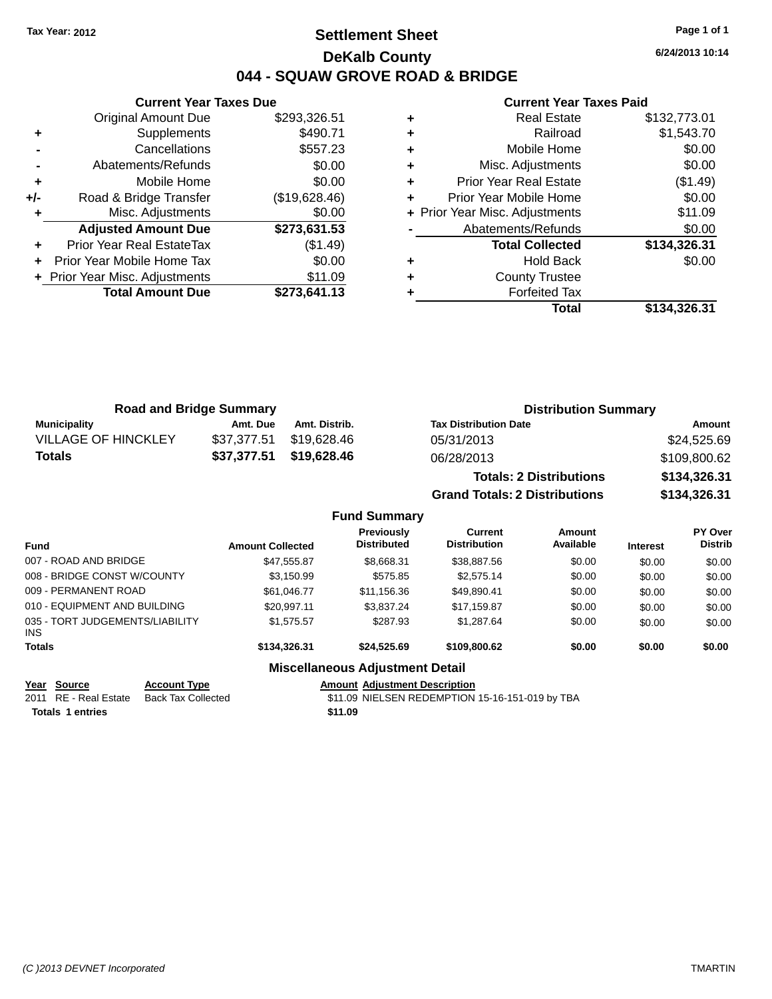### **Settlement Sheet Tax Year: 2012 Page 1 of 1 DeKalb County 044 - SQUAW GROVE ROAD & BRIDGE**

**6/24/2013 10:14**

### **Current Year Taxes Paid**

|       | <b>Current Year Taxes Due</b>  |               |  |  |  |  |
|-------|--------------------------------|---------------|--|--|--|--|
|       | <b>Original Amount Due</b>     | \$293,326.51  |  |  |  |  |
| ٠     | Supplements                    | \$490.71      |  |  |  |  |
|       | Cancellations                  | \$557.23      |  |  |  |  |
|       | Abatements/Refunds             | \$0.00        |  |  |  |  |
| ٠     | Mobile Home                    | \$0.00        |  |  |  |  |
| $+/-$ | Road & Bridge Transfer         | (\$19,628.46) |  |  |  |  |
| ٠     | Misc. Adjustments              | \$0.00        |  |  |  |  |
|       | <b>Adjusted Amount Due</b>     | \$273,631.53  |  |  |  |  |
|       | Prior Year Real EstateTax      | (\$1.49)      |  |  |  |  |
|       | Prior Year Mobile Home Tax     | \$0.00        |  |  |  |  |
|       | + Prior Year Misc. Adjustments | \$11.09       |  |  |  |  |
|       | <b>Total Amount Due</b>        | \$273,641.13  |  |  |  |  |
|       |                                |               |  |  |  |  |

|   | <b>Real Estate</b>             | \$132,773.01 |
|---|--------------------------------|--------------|
| ٠ | Railroad                       | \$1,543.70   |
| ٠ | Mobile Home                    | \$0.00       |
| ٠ | Misc. Adjustments              | \$0.00       |
| ٠ | <b>Prior Year Real Estate</b>  | (\$1.49)     |
| ٠ | Prior Year Mobile Home         | \$0.00       |
|   | + Prior Year Misc. Adjustments | \$11.09      |
|   | Abatements/Refunds             | \$0.00       |
|   | <b>Total Collected</b>         | \$134,326.31 |
| ٠ | Hold Back                      | \$0.00       |
| ٠ | <b>County Trustee</b>          |              |
| ٠ | <b>Forfeited Tax</b>           |              |
|   | Total                          | \$134,326.31 |
|   |                                |              |

| <b>Road and Bridge Summary</b> |             |               | <b>Distribution Summary</b>    |              |  |
|--------------------------------|-------------|---------------|--------------------------------|--------------|--|
| Municipality                   | Amt. Due    | Amt. Distrib. | <b>Tax Distribution Date</b>   | Amount       |  |
| <b>VILLAGE OF HINCKLEY</b>     | \$37.377.51 | \$19.628.46   | 05/31/2013                     | \$24,525.69  |  |
| <b>Totals</b>                  | \$37,377.51 | \$19,628.46   | 06/28/2013                     | \$109,800.62 |  |
|                                |             |               | <b>Totals: 2 Distributions</b> | \$134,326.31 |  |

**Grand Totals: 2 Distributions \$134,326.31**

### **Fund Summary**

|                                         |                         | vunnuu                                  |                                |                     |                 |                                  |
|-----------------------------------------|-------------------------|-----------------------------------------|--------------------------------|---------------------|-----------------|----------------------------------|
| <b>Fund</b>                             | <b>Amount Collected</b> | <b>Previously</b><br><b>Distributed</b> | Current<br><b>Distribution</b> | Amount<br>Available | <b>Interest</b> | <b>PY Over</b><br><b>Distrib</b> |
| 007 - ROAD AND BRIDGE                   | \$47,555.87             | \$8,668.31                              | \$38,887.56                    | \$0.00              | \$0.00          | \$0.00                           |
| 008 - BRIDGE CONST W/COUNTY             | \$3,150.99              | \$575.85                                | \$2,575.14                     | \$0.00              | \$0.00          | \$0.00                           |
| 009 - PERMANENT ROAD                    | \$61.046.77             | \$11,156.36                             | \$49,890.41                    | \$0.00              | \$0.00          | \$0.00                           |
| 010 - EQUIPMENT AND BUILDING            | \$20.997.11             | \$3,837.24                              | \$17,159.87                    | \$0.00              | \$0.00          | \$0.00                           |
| 035 - TORT JUDGEMENTS/LIABILITY<br>INS. | \$1,575.57              | \$287.93                                | \$1,287.64                     | \$0.00              | \$0.00          | \$0.00                           |
| <b>Totals</b>                           | \$134,326,31            | \$24,525.69                             | \$109,800.62                   | \$0.00              | \$0.00          | \$0.00                           |
|                                         |                         | <b>Miscellaneous Adjustment Detail</b>  |                                |                     |                 |                                  |

**<u>Year Source</u> Account Type<br>
2011 RE - Real Estate Back Tax Collected** Amount Adjustment Description<br>\$11.09 NIELSEN REDEMPTION 15-16-151-019 by TBA **Totals 1 entries** \$11.09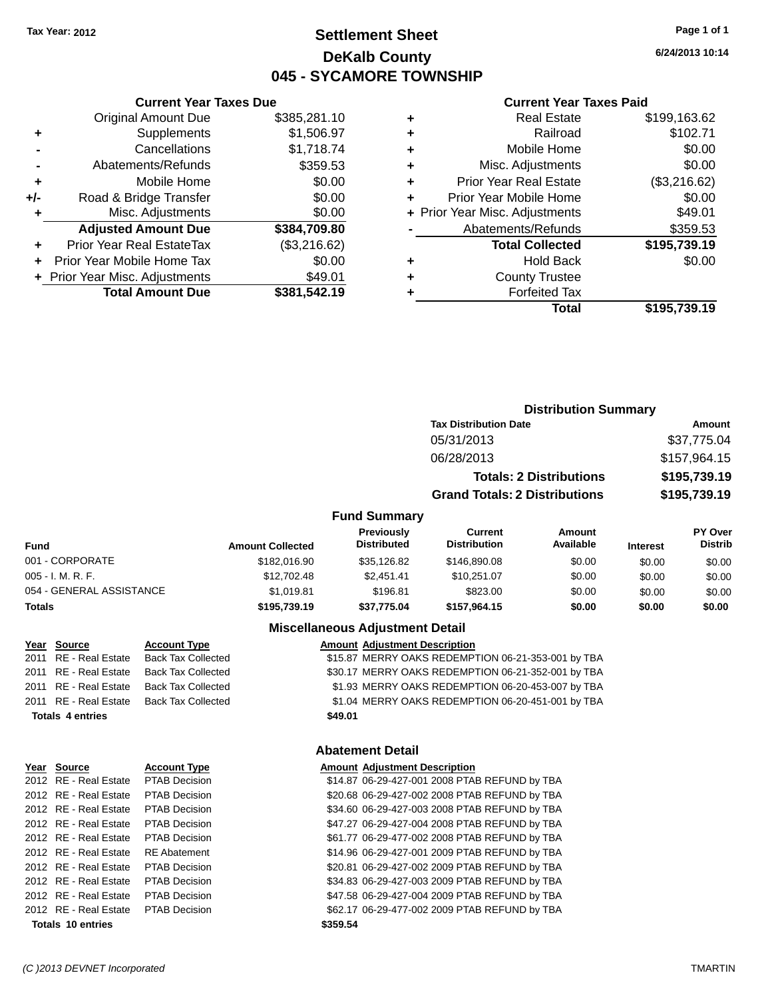### **Settlement Sheet Tax Year: 2012 Page 1 of 1 DeKalb County 045 - SYCAMORE TOWNSHIP**

**6/24/2013 10:14**

#### **Current Year Taxes Paid**

|       | <b>Original Amount Due</b>     | \$385,281.10 |
|-------|--------------------------------|--------------|
| ٠     | Supplements                    | \$1,506.97   |
|       | Cancellations                  | \$1,718.74   |
|       | Abatements/Refunds             | \$359.53     |
| ÷     | Mobile Home                    | \$0.00       |
| $+/-$ | Road & Bridge Transfer         | \$0.00       |
| ٠     | Misc. Adjustments              | \$0.00       |
|       | <b>Adjusted Amount Due</b>     | \$384,709.80 |
| ÷     | Prior Year Real EstateTax      | (\$3,216.62) |
| ÷     | Prior Year Mobile Home Tax     | \$0.00       |
|       | + Prior Year Misc. Adjustments | \$49.01      |
|       | <b>Total Amount Due</b>        | \$381,542.19 |
|       |                                |              |

**Current Year Taxes Due**

|   | <b>Real Estate</b>             | \$199,163.62 |
|---|--------------------------------|--------------|
| ٠ | Railroad                       | \$102.71     |
| ÷ | Mobile Home                    | \$0.00       |
| ٠ | Misc. Adjustments              | \$0.00       |
| ٠ | <b>Prior Year Real Estate</b>  | (\$3,216.62) |
| ٠ | Prior Year Mobile Home         | \$0.00       |
|   | + Prior Year Misc. Adjustments | \$49.01      |
|   | Abatements/Refunds             | \$359.53     |
|   | <b>Total Collected</b>         | \$195,739.19 |
| ٠ | <b>Hold Back</b>               | \$0.00       |
| ٠ | <b>County Trustee</b>          |              |
| ٠ | <b>Forfeited Tax</b>           |              |
|   | Total                          | \$195,739.19 |
|   |                                |              |

### **Distribution Summary Tax Distribution Date Amount** 05/31/2013 \$37,775.04 06/28/2013 \$157,964.15 **Totals: 2 Distributions \$195,739.19 Grand Totals: 2 Distributions \$195,739.19**

#### **Fund Summary**

| <b>Fund</b>              | <b>Amount Collected</b> | <b>Previously</b><br><b>Distributed</b> | Current<br><b>Distribution</b> | Amount<br>Available | <b>Interest</b> | <b>PY Over</b><br><b>Distrib</b> |
|--------------------------|-------------------------|-----------------------------------------|--------------------------------|---------------------|-----------------|----------------------------------|
| 001 - CORPORATE          | \$182,016.90            | \$35.126.82                             | \$146,890,08                   | \$0.00              | \$0.00          | \$0.00                           |
| $005 - I. M. R. F.$      | \$12,702.48             | \$2.451.41                              | \$10.251.07                    | \$0.00              | \$0.00          | \$0.00                           |
| 054 - GENERAL ASSISTANCE | \$1.019.81              | \$196.81                                | \$823.00                       | \$0.00              | \$0.00          | \$0.00                           |
| <b>Totals</b>            | \$195,739.19            | \$37.775.04                             | \$157.964.15                   | \$0.00              | \$0.00          | \$0.00                           |

#### **Miscellaneous Adjustment Detail**

|         | <b>Amount Adjustment Description</b>               |
|---------|----------------------------------------------------|
|         | \$15.87 MERRY OAKS REDEMPTION 06-21-353-001 by TBA |
|         | \$30.17 MERRY OAKS REDEMPTION 06-21-352-001 by TBA |
|         | \$1.93 MERRY OAKS REDEMPTION 06-20-453-007 by TBA  |
|         | \$1.04 MERRY OAKS REDEMPTION 06-20-451-001 by TBA  |
| \$49.01 |                                                    |

Year Source **Account Type** 2011 RE - Real Estate Back Tax Collected 2011 RE - Real Estate Back Tax Collected 2011 RE - Real Estate Back Tax Collected 2011 RE - Real Estate Back Tax Collected

**Totals 4 entries** 

| <b>PTAB Decision</b>                                                                                                                                                                      | \$14.87                                                                            |
|-------------------------------------------------------------------------------------------------------------------------------------------------------------------------------------------|------------------------------------------------------------------------------------|
| <b>PTAB Decision</b>                                                                                                                                                                      | \$20.68                                                                            |
| <b>PTAB Decision</b>                                                                                                                                                                      | \$34.60                                                                            |
| <b>PTAB Decision</b>                                                                                                                                                                      | \$47.27                                                                            |
| <b>PTAB Decision</b>                                                                                                                                                                      | \$61.77                                                                            |
| <b>RE</b> Abatement                                                                                                                                                                       | \$14.96                                                                            |
| <b>PTAB Decision</b>                                                                                                                                                                      | \$20.81                                                                            |
| <b>PTAB Decision</b>                                                                                                                                                                      | \$34.83                                                                            |
| <b>PTAB Decision</b>                                                                                                                                                                      | \$47.58                                                                            |
|                                                                                                                                                                                           | \$62.17                                                                            |
|                                                                                                                                                                                           | \$359.54                                                                           |
| 012 RE - Real Estate<br>012 RE - Real Estate<br>012 RE - Real Estate<br>012 RE - Real Estate<br>012 RE - Real Estate<br>012 RE - Real Estate<br>012 RE - Real Estate<br>Totals 10 entries | 012 RE - Real Estate<br>012 RE - Real Estate<br>012 RE - Real Estate PTAB Decision |

## **Abatement Detail**

| Year Source           | <b>Account Type</b>  |          | <b>Amount Adjustment Description</b>          |
|-----------------------|----------------------|----------|-----------------------------------------------|
| 2012 RE - Real Estate | PTAB Decision        |          | \$14.87 06-29-427-001 2008 PTAB REFUND by TBA |
| 2012 RE - Real Estate | <b>PTAB Decision</b> |          | \$20.68 06-29-427-002 2008 PTAB REFUND by TBA |
| 2012 RE - Real Estate | PTAB Decision        |          | \$34.60 06-29-427-003 2008 PTAB REFUND by TBA |
| 2012 RE - Real Estate | PTAB Decision        |          | \$47.27 06-29-427-004 2008 PTAB REFUND by TBA |
| 2012 RE - Real Estate | <b>PTAB Decision</b> |          | \$61.77 06-29-477-002 2008 PTAB REFUND by TBA |
| 2012 RE - Real Estate | <b>RE</b> Abatement  |          | \$14.96 06-29-427-001 2009 PTAB REFUND by TBA |
| 2012 RE - Real Estate | <b>PTAB Decision</b> |          | \$20.81 06-29-427-002 2009 PTAB REFUND by TBA |
| 2012 RE - Real Estate | <b>PTAB Decision</b> |          | \$34.83 06-29-427-003 2009 PTAB REFUND by TBA |
| 2012 RE - Real Estate | <b>PTAB Decision</b> |          | \$47.58 06-29-427-004 2009 PTAB REFUND by TBA |
| 2012 RE - Real Estate | PTAB Decision        |          | \$62.17 06-29-477-002 2009 PTAB REFUND by TBA |
| Totals 10 entries     |                      | \$359.54 |                                               |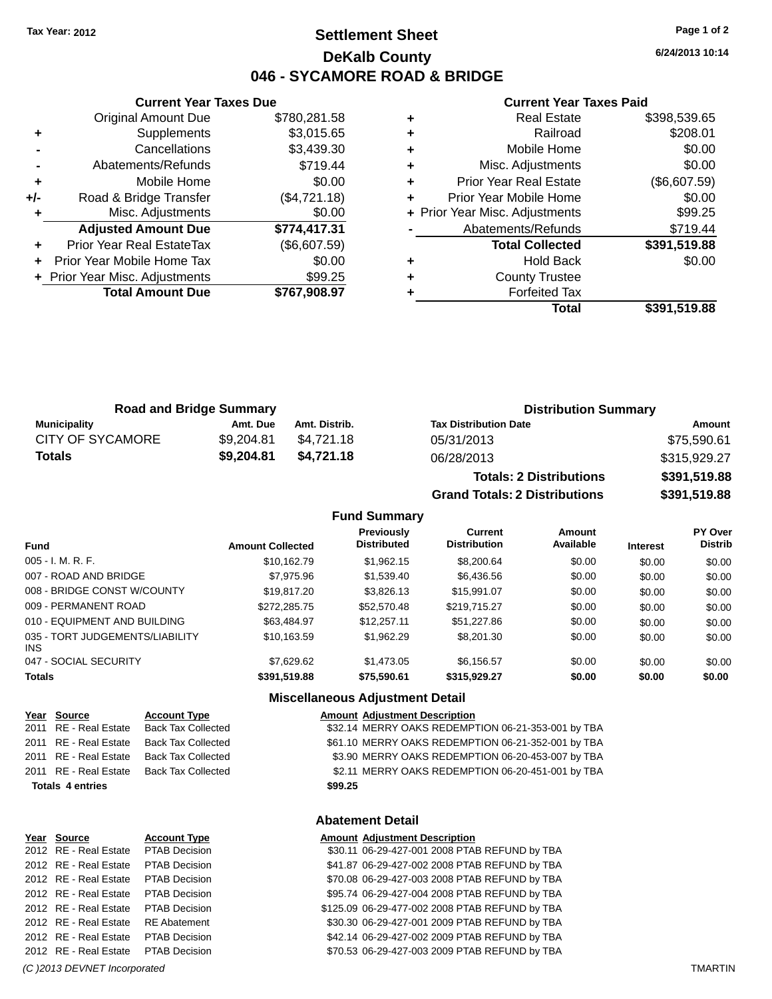### **Settlement Sheet Tax Year: 2012 Page 1 of 2 DeKalb County 046 - SYCAMORE ROAD & BRIDGE**

**6/24/2013 10:14**

#### **Current Year Taxes Paid**

|     | <b>Current Year Taxes Due</b>    |              |  |  |  |
|-----|----------------------------------|--------------|--|--|--|
|     | <b>Original Amount Due</b>       | \$780,281.58 |  |  |  |
| ٠   | Supplements                      | \$3,015.65   |  |  |  |
|     | Cancellations                    | \$3,439.30   |  |  |  |
|     | Abatements/Refunds               | \$719.44     |  |  |  |
| ٠   | Mobile Home                      | \$0.00       |  |  |  |
| +/- | Road & Bridge Transfer           | (\$4,721.18) |  |  |  |
| ٠   | Misc. Adjustments                | \$0.00       |  |  |  |
|     | <b>Adjusted Amount Due</b>       | \$774,417.31 |  |  |  |
| ٠   | <b>Prior Year Real EstateTax</b> | (\$6,607.59) |  |  |  |
|     | Prior Year Mobile Home Tax       | \$0.00       |  |  |  |
|     | + Prior Year Misc. Adjustments   | \$99.25      |  |  |  |
|     | <b>Total Amount Due</b>          | \$767.908.97 |  |  |  |
|     |                                  |              |  |  |  |

| <b>Real Estate</b>            | \$398,539.65                   |
|-------------------------------|--------------------------------|
| Railroad                      | \$208.01                       |
| Mobile Home                   | \$0.00                         |
| Misc. Adjustments             | \$0.00                         |
| <b>Prior Year Real Estate</b> | (\$6,607.59)                   |
| Prior Year Mobile Home        | \$0.00                         |
|                               | \$99.25                        |
| Abatements/Refunds            | \$719.44                       |
| <b>Total Collected</b>        | \$391,519.88                   |
| <b>Hold Back</b>              | \$0.00                         |
| <b>County Trustee</b>         |                                |
| <b>Forfeited Tax</b>          |                                |
| Total                         | \$391,519.88                   |
|                               | + Prior Year Misc. Adjustments |

| <b>Road and Bridge Summary</b> |            |               | <b>Distribution Summary</b>  |              |  |
|--------------------------------|------------|---------------|------------------------------|--------------|--|
| Municipality                   | Amt. Due   | Amt. Distrib. | <b>Tax Distribution Date</b> | Amount       |  |
| <b>CITY OF SYCAMORE</b>        | \$9.204.81 | \$4.721.18    | 05/31/2013                   | \$75.590.61  |  |
| Totals                         | \$9,204.81 | \$4.721.18    | 06/28/2013                   | \$315,929.27 |  |

| <b>Totals: 2 Distributions</b>       | \$391,519.88 |
|--------------------------------------|--------------|
| <b>Grand Totals: 2 Distributions</b> | \$391,519.88 |

### **Fund Summary**

| <b>Fund</b>                                   | <b>Amount Collected</b> | Previously<br><b>Distributed</b> | Current<br><b>Distribution</b> | Amount<br>Available | <b>Interest</b> | PY Over<br><b>Distrib</b> |
|-----------------------------------------------|-------------------------|----------------------------------|--------------------------------|---------------------|-----------------|---------------------------|
| $005 - I. M. R. F.$                           | \$10,162.79             | \$1,962.15                       | \$8,200.64                     | \$0.00              | \$0.00          | \$0.00                    |
| 007 - ROAD AND BRIDGE                         | \$7,975.96              | \$1,539.40                       | \$6,436.56                     | \$0.00              | \$0.00          | \$0.00                    |
| 008 - BRIDGE CONST W/COUNTY                   | \$19,817,20             | \$3,826.13                       | \$15,991.07                    | \$0.00              | \$0.00          | \$0.00                    |
| 009 - PERMANENT ROAD                          | \$272,285.75            | \$52,570.48                      | \$219,715.27                   | \$0.00              | \$0.00          | \$0.00                    |
| 010 - EQUIPMENT AND BUILDING                  | \$63,484.97             | \$12,257.11                      | \$51,227.86                    | \$0.00              | \$0.00          | \$0.00                    |
| 035 - TORT JUDGEMENTS/LIABILITY<br><b>INS</b> | \$10.163.59             | \$1,962.29                       | \$8,201,30                     | \$0.00              | \$0.00          | \$0.00                    |
| 047 - SOCIAL SECURITY                         | \$7.629.62              | \$1,473.05                       | \$6,156.57                     | \$0.00              | \$0.00          | \$0.00                    |
| <b>Totals</b>                                 | \$391,519.88            | \$75,590.61                      | \$315,929.27                   | \$0.00              | \$0.00          | \$0.00                    |

### **Miscellaneous Adjustment Detail**

| Year Source             | <b>Account Type</b>       | <b>Amount Adjustment Description</b>               |
|-------------------------|---------------------------|----------------------------------------------------|
| 2011 RE - Real Estate   | <b>Back Tax Collected</b> | \$32.14 MERRY OAKS REDEMPTION 06-21-353-001 by TBA |
| 2011 RE - Real Estate   | <b>Back Tax Collected</b> | \$61.10 MERRY OAKS REDEMPTION 06-21-352-001 by TBA |
| 2011 RE - Real Estate   | Back Tax Collected        | \$3.90 MERRY OAKS REDEMPTION 06-20-453-007 by TBA  |
| 2011 RE - Real Estate   | Back Tax Collected        | \$2.11 MERRY OAKS REDEMPTION 06-20-451-001 by TBA  |
| <b>Totals 4 entries</b> |                           | \$99.25                                            |
|                         |                           |                                                    |

#### **Abatement Detail**

| Year Source                         | <b>Account Type</b>  | <b>Amount Adjustment Description</b>           |
|-------------------------------------|----------------------|------------------------------------------------|
| 2012 RE - Real Estate PTAB Decision |                      | \$30.11 06-29-427-001 2008 PTAB REFUND by TBA  |
| 2012 RE - Real Estate               | <b>PTAB Decision</b> | \$41.87 06-29-427-002 2008 PTAB REFUND by TBA  |
| 2012 RE - Real Estate               | <b>PTAB Decision</b> | \$70.08 06-29-427-003 2008 PTAB REFUND by TBA  |
| 2012 RE - Real Estate               | <b>PTAB Decision</b> | \$95.74 06-29-427-004 2008 PTAB REFUND by TBA  |
| 2012 RE - Real Estate               | <b>PTAB Decision</b> | \$125.09 06-29-477-002 2008 PTAB REFUND by TBA |
| 2012 RE - Real Estate               | <b>RE Abatement</b>  | \$30.30 06-29-427-001 2009 PTAB REFUND by TBA  |
| 2012 RE - Real Estate               | <b>PTAB Decision</b> | \$42.14 06-29-427-002 2009 PTAB REFUND by TBA  |
| 2012 RE - Real Estate PTAB Decision |                      | \$70.53 06-29-427-003 2009 PTAB REFUND by TBA  |
|                                     |                      |                                                |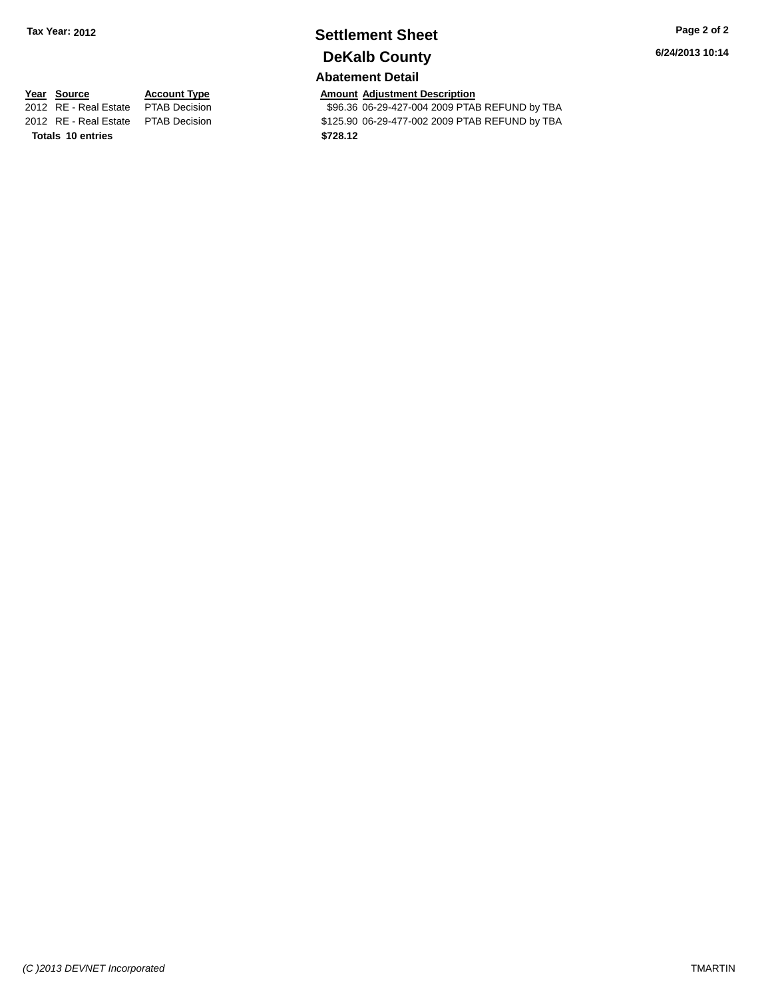### **Settlement Sheet Tax Year: 2012 Page 2 of 2 DeKalb County**

#### **Abatement Detail**

**6/24/2013 10:14**

## 2012 RE - Real Estate \$125.90 06-29-477-002 2009 PTAB REFUND by TBA PTAB Decision **Totals \$728.12 10 entries**

**Year Source Account Type Amount Adjustment Description**<br>2012 RE - Real Estate PTAB Decision **Amount 1996.36 06-29-427-004 2009 PTA** \$96.36 06-29-427-004 2009 PTAB REFUND by TBA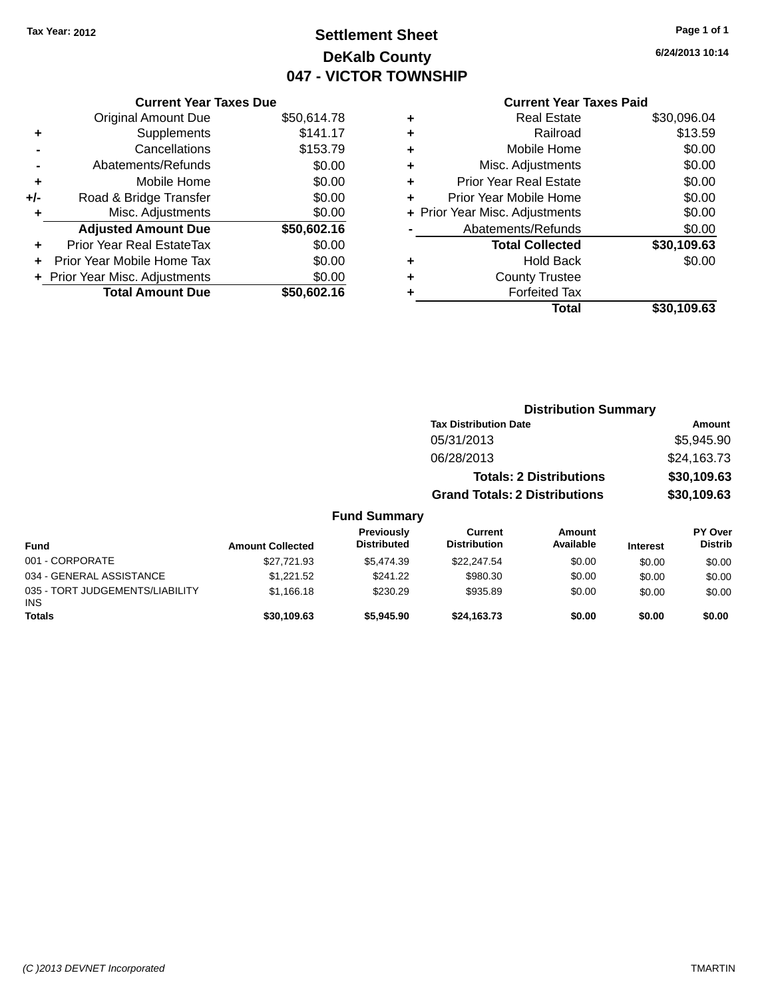### **Settlement Sheet Tax Year: 2012 Page 1 of 1 DeKalb County 047 - VICTOR TOWNSHIP**

**6/24/2013 10:14**

### **Current Year Taxes Paid**

|     | <b>Current Year Taxes Due</b>  |             |  |  |  |  |
|-----|--------------------------------|-------------|--|--|--|--|
|     | <b>Original Amount Due</b>     | \$50,614.78 |  |  |  |  |
| ٠   | Supplements                    | \$141.17    |  |  |  |  |
|     | Cancellations                  | \$153.79    |  |  |  |  |
|     | Abatements/Refunds             | \$0.00      |  |  |  |  |
| ÷   | Mobile Home                    | \$0.00      |  |  |  |  |
| +/- | Road & Bridge Transfer         | \$0.00      |  |  |  |  |
|     | Misc. Adjustments              | \$0.00      |  |  |  |  |
|     | <b>Adjusted Amount Due</b>     | \$50,602.16 |  |  |  |  |
| ٠   | Prior Year Real EstateTax      | \$0.00      |  |  |  |  |
|     | Prior Year Mobile Home Tax     | \$0.00      |  |  |  |  |
|     | + Prior Year Misc. Adjustments | \$0.00      |  |  |  |  |
|     | <b>Total Amount Due</b>        | \$50,602.16 |  |  |  |  |
|     |                                |             |  |  |  |  |

|   | <b>Real Estate</b>             | \$30,096.04 |
|---|--------------------------------|-------------|
| ٠ | Railroad                       | \$13.59     |
| ٠ | Mobile Home                    | \$0.00      |
| ٠ | Misc. Adjustments              | \$0.00      |
| ٠ | <b>Prior Year Real Estate</b>  | \$0.00      |
| ÷ | Prior Year Mobile Home         | \$0.00      |
|   | + Prior Year Misc. Adjustments | \$0.00      |
|   | Abatements/Refunds             | \$0.00      |
|   | <b>Total Collected</b>         | \$30,109.63 |
| ٠ | Hold Back                      | \$0.00      |
|   | <b>County Trustee</b>          |             |
| ٠ | <b>Forfeited Tax</b>           |             |
|   | Total                          | \$30,109.63 |
|   |                                |             |

|               |                                  |                                       | <b>Distribution Summary</b> |                 |                                  |  |
|---------------|----------------------------------|---------------------------------------|-----------------------------|-----------------|----------------------------------|--|
|               | <b>Tax Distribution Date</b>     |                                       |                             | Amount          |                                  |  |
|               |                                  | 05/31/2013                            |                             |                 | \$5,945.90                       |  |
|               |                                  | 06/28/2013                            |                             |                 | \$24,163.73                      |  |
|               |                                  | <b>Totals: 2 Distributions</b>        |                             |                 | \$30,109.63                      |  |
|               |                                  | <b>Grand Totals: 2 Distributions</b>  |                             |                 | \$30,109.63                      |  |
|               | <b>Fund Summary</b>              |                                       |                             |                 |                                  |  |
| unt Collected | Previously<br><b>Distributed</b> | <b>Current</b><br><b>Distribution</b> | Amount<br>Available         | <b>Interest</b> | <b>PY Over</b><br><b>Distrib</b> |  |
| \$27.721.93   | \$5.474.39                       | \$22.247.54                           | \$0.00                      | \$0.00          | \$0.00                           |  |

| Fund                                   | <b>Amount Collected</b> | .<br><b>Distributed</b> | ---------<br><b>Distribution</b> | .<br>Available | <b>Interest</b> | .<br><b>Distrib</b> |
|----------------------------------------|-------------------------|-------------------------|----------------------------------|----------------|-----------------|---------------------|
| 001 - CORPORATE                        | \$27.721.93             | \$5,474.39              | \$22,247.54                      | \$0.00         | \$0.00          | \$0.00              |
| 034 - GENERAL ASSISTANCE               | \$1.221.52              | \$241.22                | \$980.30                         | \$0.00         | \$0.00          | \$0.00              |
| 035 - TORT JUDGEMENTS/LIABILITY<br>INS | \$1.166.18              | \$230.29                | \$935.89                         | \$0.00         | \$0.00          | \$0.00              |
| <b>Totals</b>                          | \$30,109.63             | \$5,945,90              | \$24.163.73                      | \$0.00         | \$0.00          | \$0.00              |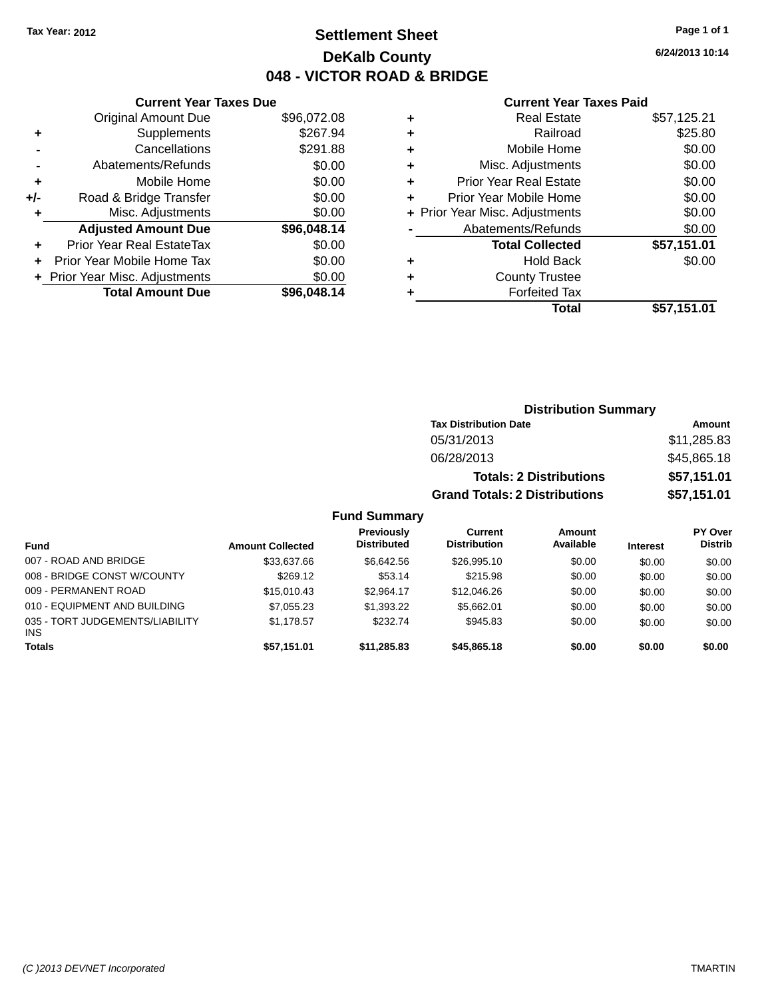### **Settlement Sheet Tax Year: 2012 Page 1 of 1 DeKalb County 048 - VICTOR ROAD & BRIDGE**

**6/24/2013 10:14**

#### **Current Year Taxes Paid**

|     | <b>Current Year Taxes Due</b>  |             |  |  |  |  |
|-----|--------------------------------|-------------|--|--|--|--|
|     | <b>Original Amount Due</b>     | \$96,072.08 |  |  |  |  |
| ٠   | Supplements                    | \$267.94    |  |  |  |  |
|     | Cancellations                  | \$291.88    |  |  |  |  |
|     | Abatements/Refunds             | \$0.00      |  |  |  |  |
| ٠   | Mobile Home                    | \$0.00      |  |  |  |  |
| +/- | Road & Bridge Transfer         | \$0.00      |  |  |  |  |
| ٠   | Misc. Adjustments              | \$0.00      |  |  |  |  |
|     | <b>Adjusted Amount Due</b>     | \$96,048.14 |  |  |  |  |
| ٠   | Prior Year Real EstateTax      | \$0.00      |  |  |  |  |
|     | Prior Year Mobile Home Tax     | \$0.00      |  |  |  |  |
|     | + Prior Year Misc. Adjustments | \$0.00      |  |  |  |  |
|     | <b>Total Amount Due</b>        | \$96,048.14 |  |  |  |  |
|     |                                |             |  |  |  |  |

|   | <b>Real Estate</b>             | \$57,125.21 |
|---|--------------------------------|-------------|
| ٠ | Railroad                       | \$25.80     |
| ٠ | Mobile Home                    | \$0.00      |
| ٠ | Misc. Adjustments              | \$0.00      |
| ٠ | <b>Prior Year Real Estate</b>  | \$0.00      |
| ٠ | Prior Year Mobile Home         | \$0.00      |
|   | + Prior Year Misc. Adjustments | \$0.00      |
|   | Abatements/Refunds             | \$0.00      |
|   | <b>Total Collected</b>         | \$57,151.01 |
| ٠ | Hold Back                      | \$0.00      |
| ٠ | <b>County Trustee</b>          |             |
| ٠ | <b>Forfeited Tax</b>           |             |
|   | <b>Total</b>                   | \$57,151.01 |
|   |                                |             |

| <b>Distribution Summary</b>          |             |  |  |  |
|--------------------------------------|-------------|--|--|--|
| <b>Tax Distribution Date</b>         | Amount      |  |  |  |
| 05/31/2013                           | \$11,285.83 |  |  |  |
| 06/28/2013                           | \$45,865.18 |  |  |  |
| <b>Totals: 2 Distributions</b>       | \$57,151.01 |  |  |  |
| <b>Grand Totals: 2 Distributions</b> | \$57,151.01 |  |  |  |

| Fund                                          | <b>Amount Collected</b> | Previously<br><b>Distributed</b> | Current<br><b>Distribution</b> | Amount<br>Available | <b>Interest</b> | <b>PY Over</b><br><b>Distrib</b> |
|-----------------------------------------------|-------------------------|----------------------------------|--------------------------------|---------------------|-----------------|----------------------------------|
| 007 - ROAD AND BRIDGE                         | \$33,637.66             | \$6.642.56                       | \$26,995.10                    | \$0.00              | \$0.00          | \$0.00                           |
| 008 - BRIDGE CONST W/COUNTY                   | \$269.12                | \$53.14                          | \$215.98                       | \$0.00              | \$0.00          | \$0.00                           |
| 009 - PERMANENT ROAD                          | \$15,010.43             | \$2.964.17                       | \$12,046.26                    | \$0.00              | \$0.00          | \$0.00                           |
| 010 - EQUIPMENT AND BUILDING                  | \$7,055.23              | \$1,393.22                       | \$5.662.01                     | \$0.00              | \$0.00          | \$0.00                           |
| 035 - TORT JUDGEMENTS/LIABILITY<br><b>INS</b> | \$1.178.57              | \$232.74                         | \$945.83                       | \$0.00              | \$0.00          | \$0.00                           |
| <b>Totals</b>                                 | \$57.151.01             | \$11.285.83                      | \$45,865,18                    | \$0.00              | \$0.00          | \$0.00                           |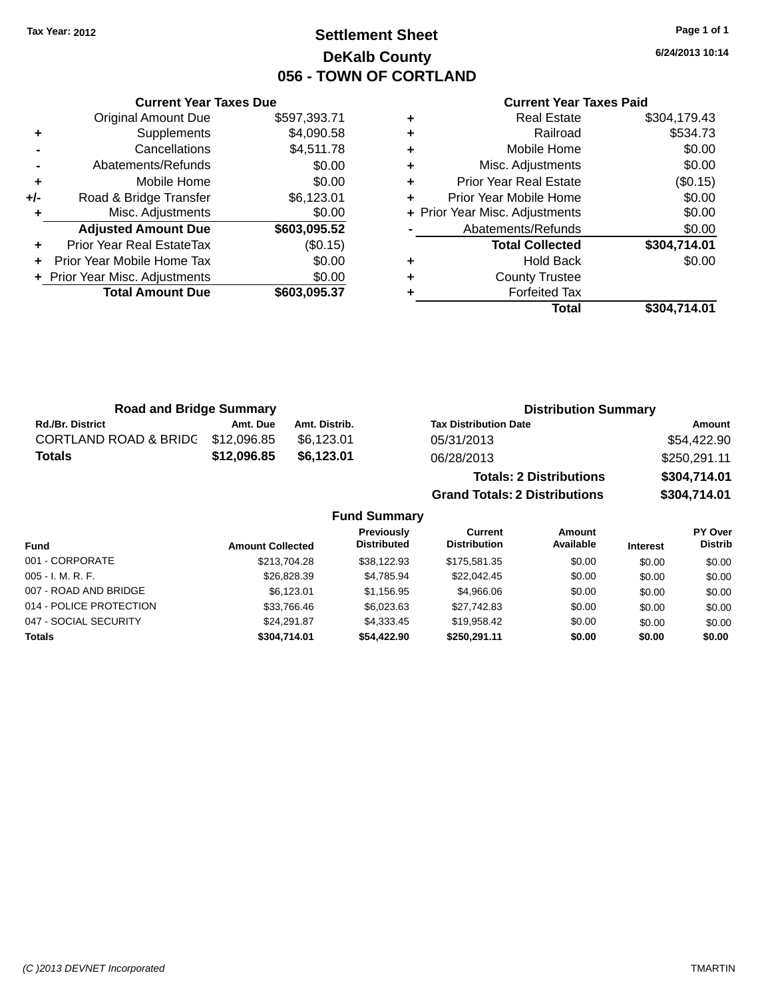### **Settlement Sheet Tax Year: 2012 Page 1 of 1 DeKalb County 056 - TOWN OF CORTLAND**

**6/24/2013 10:14**

#### **Current Year Taxes Paid**

|     | <b>Total Amount Due</b>          | \$603,095.37 |     |
|-----|----------------------------------|--------------|-----|
|     | + Prior Year Misc. Adjustments   | \$0.00       |     |
|     | Prior Year Mobile Home Tax       | \$0.00       |     |
|     | <b>Prior Year Real EstateTax</b> | (\$0.15)     |     |
|     | <b>Adjusted Amount Due</b>       | \$603,095.52 |     |
|     | Misc. Adjustments                | \$0.00       | + P |
| +/- | Road & Bridge Transfer           | \$6,123.01   | ٠   |
|     | Mobile Home                      | \$0.00       | ٠   |
|     | Abatements/Refunds               | \$0.00       | ٠   |
|     | Cancellations                    | \$4,511.78   | ٠   |
|     | Supplements                      | \$4,090.58   | ٠   |
|     | <b>Original Amount Due</b>       | \$597,393.71 |     |
|     |                                  |              |     |

**Current Year Taxes Due**

| ٠ | <b>Real Estate</b>             | \$304,179.43 |
|---|--------------------------------|--------------|
| ÷ | Railroad                       | \$534.73     |
| ٠ | Mobile Home                    | \$0.00       |
| ٠ | Misc. Adjustments              | \$0.00       |
| ٠ | <b>Prior Year Real Estate</b>  | (\$0.15)     |
| ٠ | Prior Year Mobile Home         | \$0.00       |
|   | + Prior Year Misc. Adjustments | \$0.00       |
|   | Abatements/Refunds             | \$0.00       |
|   | <b>Total Collected</b>         | \$304,714.01 |
| ٠ | <b>Hold Back</b>               | \$0.00       |
| ٠ | <b>County Trustee</b>          |              |
| ٠ | <b>Forfeited Tax</b>           |              |
|   | <b>Total</b>                   | \$304,714.01 |
|   |                                |              |

**Grand Totals: 2 Distributions \$304,714.01**

| <b>Road and Bridge Summary</b> |             |               | <b>Distribution Summary</b>    |              |  |
|--------------------------------|-------------|---------------|--------------------------------|--------------|--|
| <b>Rd./Br. District</b>        | Amt. Due    | Amt. Distrib. | <b>Tax Distribution Date</b>   | Amount       |  |
| CORTLAND ROAD & BRIDG          | \$12,096.85 | \$6.123.01    | 05/31/2013                     | \$54,422.90  |  |
| <b>Totals</b>                  | \$12,096.85 | \$6,123.01    | 06/28/2013                     | \$250,291.11 |  |
|                                |             |               | <b>Totals: 2 Distributions</b> | \$304,714.01 |  |

**Fund Summary Fund Interest Amount Collected Distributed PY Over Distrib Amount Available Current Distribution Previously** 001 - CORPORATE 6000 \$213,704.28 \$38,122.93 \$175,581.35 \$0.00 \$0.00 \$0.00 \$0.00 005 - I. M. R. F. \$26,828.39 \$4,785.94 \$22,042.45 \$0.00 \$0.00 \$0.00 007 - ROAD AND BRIDGE 60.00 \$6,123.01 \$6,123.01 \$1,156.95 \$4,966.06 \$0.00 \$0.00 \$0.00 \$0.00 014 - POLICE PROTECTION \$33,766.46 \$6,023.63 \$27,742.83 \$0.00 \$0.00 \$0.00 \$0.00 047 - SOCIAL SECURITY 624,291.87 \$24,291.87 \$4,333.45 \$19,958.42 \$0.00 \$0.00 \$0.00 **Totals \$304,714.01 \$54,422.90 \$250,291.11 \$0.00 \$0.00 \$0.00**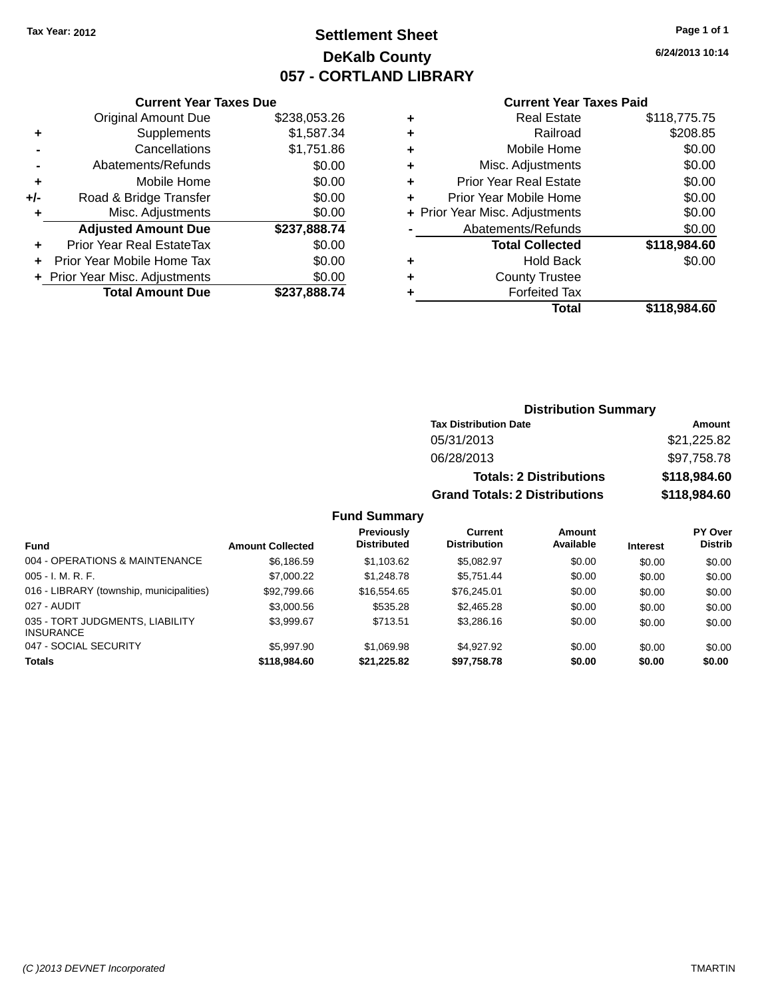### **Settlement Sheet Tax Year: 2012 Page 1 of 1 DeKalb County 057 - CORTLAND LIBRARY**

**6/24/2013 10:14**

#### **Current Year Taxes Paid**

|     | <b>Current Year Taxes Due</b>  |              |  |  |  |
|-----|--------------------------------|--------------|--|--|--|
|     | <b>Original Amount Due</b>     | \$238,053.26 |  |  |  |
| ٠   | Supplements                    | \$1,587.34   |  |  |  |
|     | Cancellations                  | \$1,751.86   |  |  |  |
|     | Abatements/Refunds             | \$0.00       |  |  |  |
| ٠   | Mobile Home                    | \$0.00       |  |  |  |
| +/- | Road & Bridge Transfer         | \$0.00       |  |  |  |
|     | Misc. Adjustments              | \$0.00       |  |  |  |
|     | <b>Adjusted Amount Due</b>     | \$237,888.74 |  |  |  |
| ٠   | Prior Year Real EstateTax      | \$0.00       |  |  |  |
|     | Prior Year Mobile Home Tax     | \$0.00       |  |  |  |
|     | + Prior Year Misc. Adjustments | \$0.00       |  |  |  |
|     | <b>Total Amount Due</b>        | \$237,888.74 |  |  |  |
|     |                                |              |  |  |  |

| ٠ | <b>Real Estate</b>             | \$118,775.75 |
|---|--------------------------------|--------------|
| ٠ | Railroad                       | \$208.85     |
| ٠ | Mobile Home                    | \$0.00       |
| ٠ | Misc. Adjustments              | \$0.00       |
| ٠ | <b>Prior Year Real Estate</b>  | \$0.00       |
| ٠ | Prior Year Mobile Home         | \$0.00       |
|   | + Prior Year Misc. Adjustments | \$0.00       |
|   | Abatements/Refunds             | \$0.00       |
|   | <b>Total Collected</b>         | \$118,984.60 |
| ٠ | <b>Hold Back</b>               | \$0.00       |
| ٠ | <b>County Trustee</b>          |              |
| ٠ | <b>Forfeited Tax</b>           |              |
|   | Total                          | \$118.984.60 |
|   |                                |              |

| <b>Distribution Summary</b>          |              |  |  |  |
|--------------------------------------|--------------|--|--|--|
| <b>Tax Distribution Date</b>         | Amount       |  |  |  |
| 05/31/2013                           | \$21,225.82  |  |  |  |
| 06/28/2013                           | \$97,758.78  |  |  |  |
| <b>Totals: 2 Distributions</b>       | \$118,984.60 |  |  |  |
| <b>Grand Totals: 2 Distributions</b> | \$118,984.60 |  |  |  |

| <b>Fund</b>                                         | <b>Amount Collected</b> | <b>Previously</b><br><b>Distributed</b> | Current<br><b>Distribution</b> | Amount<br>Available | <b>Interest</b> | PY Over<br><b>Distrib</b> |
|-----------------------------------------------------|-------------------------|-----------------------------------------|--------------------------------|---------------------|-----------------|---------------------------|
| 004 - OPERATIONS & MAINTENANCE                      | \$6.186.59              | \$1.103.62                              | \$5.082.97                     | \$0.00              | \$0.00          | \$0.00                    |
| $005 - I. M. R. F.$                                 | \$7,000.22              | \$1,248.78                              | \$5.751.44                     | \$0.00              | \$0.00          | \$0.00                    |
| 016 - LIBRARY (township, municipalities)            | \$92,799.66             | \$16.554.65                             | \$76,245.01                    | \$0.00              | \$0.00          | \$0.00                    |
| 027 - AUDIT                                         | \$3,000.56              | \$535.28                                | \$2,465.28                     | \$0.00              | \$0.00          | \$0.00                    |
| 035 - TORT JUDGMENTS, LIABILITY<br><b>INSURANCE</b> | \$3.999.67              | \$713.51                                | \$3,286.16                     | \$0.00              | \$0.00          | \$0.00                    |
| 047 - SOCIAL SECURITY                               | \$5,997.90              | \$1.069.98                              | \$4.927.92                     | \$0.00              | \$0.00          | \$0.00                    |
| <b>Totals</b>                                       | \$118,984.60            | \$21,225.82                             | \$97,758.78                    | \$0.00              | \$0.00          | \$0.00                    |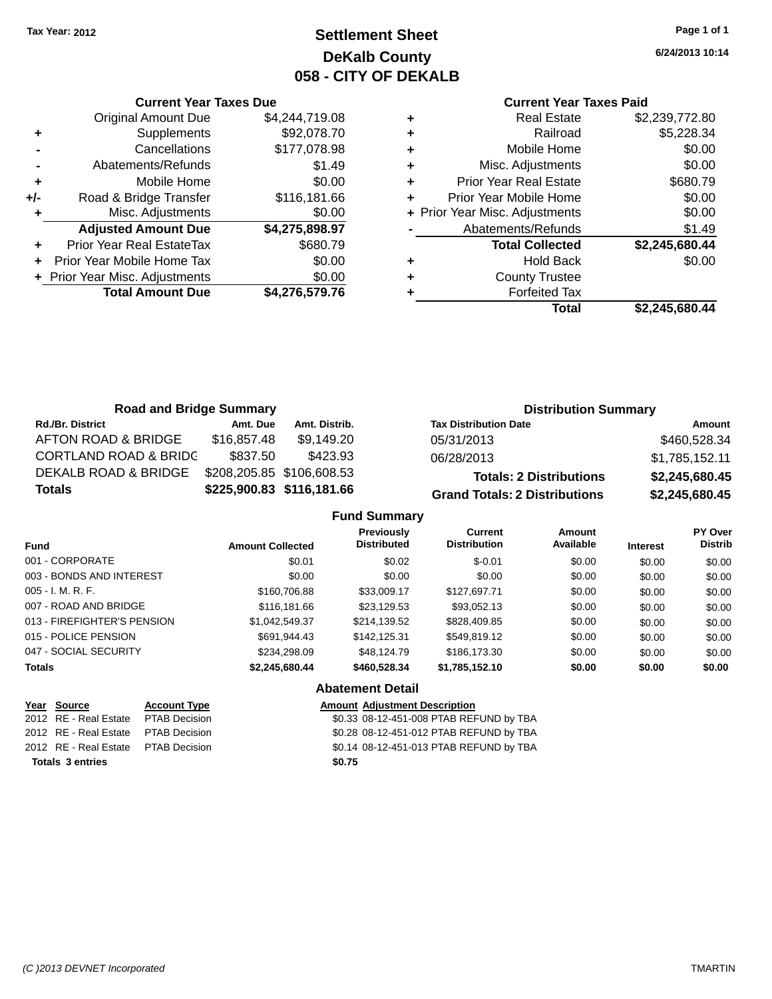### **Settlement Sheet Tax Year: 2012 Page 1 of 1 DeKalb County 058 - CITY OF DEKALB**

**6/24/2013 10:14**

#### **Current Year Taxes Paid**

|   | <b>Real Estate</b>             | \$2,239,772.80 |
|---|--------------------------------|----------------|
| ٠ | Railroad                       | \$5,228.34     |
| ٠ | Mobile Home                    | \$0.00         |
| ٠ | Misc. Adjustments              | \$0.00         |
| ٠ | <b>Prior Year Real Estate</b>  | \$680.79       |
|   | Prior Year Mobile Home         | \$0.00         |
|   | + Prior Year Misc. Adjustments | \$0.00         |
|   | Abatements/Refunds             | \$1.49         |
|   | <b>Total Collected</b>         | \$2,245,680.44 |
| ٠ | <b>Hold Back</b>               | \$0.00         |
| ٠ | <b>County Trustee</b>          |                |
|   | <b>Forfeited Tax</b>           |                |
|   | Total                          | \$2,245,680.44 |
|   |                                |                |

| <b>Road and Bridge Summary</b>   |             |                           | <b>Distribution Summary</b>          |                |  |
|----------------------------------|-------------|---------------------------|--------------------------------------|----------------|--|
| <b>Rd./Br. District</b>          | Amt. Due    | Amt. Distrib.             | <b>Tax Distribution Date</b>         | Amount         |  |
| AFTON ROAD & BRIDGE              | \$16,857.48 | \$9,149.20                | 05/31/2013                           | \$460,528.34   |  |
| <b>CORTLAND ROAD &amp; BRIDC</b> | \$837.50    | \$423.93                  | 06/28/2013                           | \$1,785,152.11 |  |
| DEKALB ROAD & BRIDGE             |             | \$208,205.85 \$106,608.53 | <b>Totals: 2 Distributions</b>       | \$2,245,680.45 |  |
| <b>Totals</b>                    |             | \$225,900.83 \$116,181.66 | <b>Grand Totals: 2 Distributions</b> | \$2,245,680.45 |  |

#### **Fund Summary**

| <b>Fund</b>                 | <b>Amount Collected</b> | <b>Previously</b><br><b>Distributed</b> | Current<br><b>Distribution</b> | Amount<br>Available | <b>Interest</b> | PY Over<br><b>Distrib</b> |
|-----------------------------|-------------------------|-----------------------------------------|--------------------------------|---------------------|-----------------|---------------------------|
| 001 - CORPORATE             | \$0.01                  | \$0.02                                  | $$-0.01$                       | \$0.00              | \$0.00          | \$0.00                    |
| 003 - BONDS AND INTEREST    | \$0.00                  | \$0.00                                  | \$0.00                         | \$0.00              | \$0.00          | \$0.00                    |
| $005 - I. M. R. F.$         | \$160,706.88            | \$33,009.17                             | \$127,697.71                   | \$0.00              | \$0.00          | \$0.00                    |
| 007 - ROAD AND BRIDGE       | \$116,181,66            | \$23.129.53                             | \$93.052.13                    | \$0.00              | \$0.00          | \$0.00                    |
| 013 - FIREFIGHTER'S PENSION | \$1.042.549.37          | \$214.139.52                            | \$828,409.85                   | \$0.00              | \$0.00          | \$0.00                    |
| 015 - POLICE PENSION        | \$691.944.43            | \$142,125.31                            | \$549.819.12                   | \$0.00              | \$0.00          | \$0.00                    |
| 047 - SOCIAL SECURITY       | \$234.298.09            | \$48.124.79                             | \$186,173.30                   | \$0.00              | \$0.00          | \$0.00                    |
| <b>Totals</b>               | \$2,245,680.44          | \$460,528,34                            | \$1,785,152.10                 | \$0.00              | \$0.00          | \$0.00                    |
|                             |                         | <b>Abatement Detail</b>                 |                                |                     |                 |                           |

**Totals \$0.75 3 entries**

**Current Year Taxes Due** Original Amount Due \$4,244,719.08

**Adjusted Amount Due \$4,275,898.97**

**Total Amount Due \$4,276,579.76**

**+** Supplements \$92,078.70 **-** Cancellations \$177,078.98 **-** Abatements/Refunds \$1.49 **+** Mobile Home \$0.00 **+/-** Road & Bridge Transfer \$116,181.66 **+** Misc. Adjustments \$0.00

**+** Prior Year Real EstateTax \$680.79 **+** Prior Year Mobile Home Tax \$0.00 **+** Prior Year Misc. Adjustments  $$0.00$ 

**Year Source Account Type Amount Adjustment Description** 2012 RE - Real Estate \$0.33 08-12-451-008 PTAB REFUND by TBA PTAB Decision 2012 RE - Real Estate \$0.28 08-12-451-012 PTAB REFUND by TBA PTAB Decision 2012 RE - Real Estate \$0.14 08-12-451-013 PTAB REFUND by TBA PTAB Decision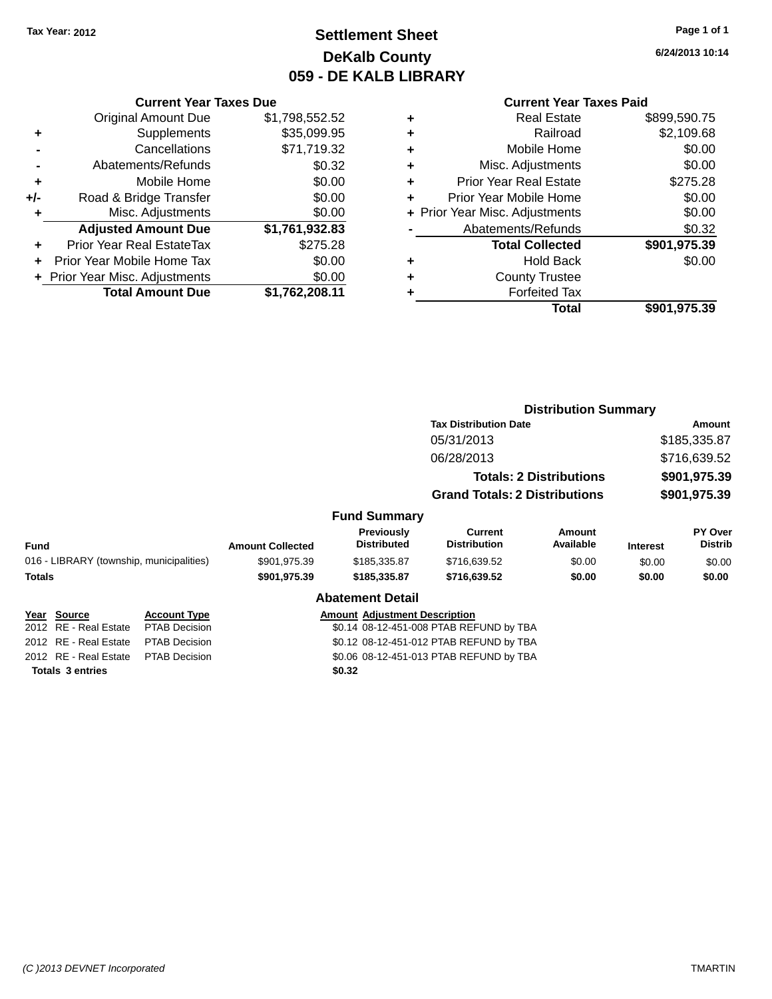### **Settlement Sheet Tax Year: 2012 Page 1 of 1 DeKalb County 059 - DE KALB LIBRARY**

**6/24/2013 10:14**

|     | <b>Current Year Taxes Due</b>  |                |  |  |  |
|-----|--------------------------------|----------------|--|--|--|
|     | <b>Original Amount Due</b>     | \$1,798,552.52 |  |  |  |
| ٠   | Supplements                    | \$35,099.95    |  |  |  |
|     | Cancellations                  | \$71,719.32    |  |  |  |
|     | Abatements/Refunds             | \$0.32         |  |  |  |
| ٠   | Mobile Home                    | \$0.00         |  |  |  |
| +/- | Road & Bridge Transfer         | \$0.00         |  |  |  |
| ٠   | Misc. Adjustments              | \$0.00         |  |  |  |
|     | <b>Adjusted Amount Due</b>     | \$1,761,932.83 |  |  |  |
| ÷   | Prior Year Real EstateTax      | \$275.28       |  |  |  |
|     | Prior Year Mobile Home Tax     | \$0.00         |  |  |  |
|     | + Prior Year Misc. Adjustments | \$0.00         |  |  |  |
|     | <b>Total Amount Due</b>        | \$1,762,208.11 |  |  |  |

#### **Current Year Taxes Paid**

| ٠ | <b>Real Estate</b>             | \$899,590.75 |
|---|--------------------------------|--------------|
| ٠ | Railroad                       | \$2,109.68   |
| ٠ | Mobile Home                    | \$0.00       |
| ٠ | Misc. Adjustments              | \$0.00       |
| ٠ | <b>Prior Year Real Estate</b>  | \$275.28     |
| ٠ | Prior Year Mobile Home         | \$0.00       |
|   | + Prior Year Misc. Adjustments | \$0.00       |
|   | Abatements/Refunds             | \$0.32       |
|   | <b>Total Collected</b>         | \$901,975.39 |
| ٠ | <b>Hold Back</b>               | \$0.00       |
| ٠ | <b>County Trustee</b>          |              |
| ٠ | <b>Forfeited Tax</b>           |              |
|   | Total                          | \$901,975.39 |
|   |                                |              |

|                                          |                      |                         |                                      | <b>Distribution Summary</b>             |                                |                 |                                  |
|------------------------------------------|----------------------|-------------------------|--------------------------------------|-----------------------------------------|--------------------------------|-----------------|----------------------------------|
|                                          |                      |                         |                                      | <b>Tax Distribution Date</b>            |                                | Amount          |                                  |
|                                          |                      |                         |                                      | 05/31/2013                              |                                | \$185,335.87    |                                  |
|                                          |                      |                         |                                      | 06/28/2013                              |                                |                 | \$716,639.52                     |
|                                          |                      |                         |                                      |                                         | <b>Totals: 2 Distributions</b> |                 | \$901,975.39                     |
|                                          |                      |                         |                                      | <b>Grand Totals: 2 Distributions</b>    |                                |                 | \$901,975.39                     |
|                                          |                      |                         | <b>Fund Summary</b>                  |                                         |                                |                 |                                  |
| Fund                                     |                      | <b>Amount Collected</b> | Previously<br><b>Distributed</b>     | Current<br><b>Distribution</b>          | <b>Amount</b><br>Available     | <b>Interest</b> | <b>PY Over</b><br><b>Distrib</b> |
| 016 - LIBRARY (township, municipalities) |                      | \$901,975.39            | \$185,335.87                         | \$716,639.52                            | \$0.00                         | \$0.00          | \$0.00                           |
| <b>Totals</b>                            |                      | \$901,975.39            | \$185,335.87                         | \$716,639.52                            | \$0.00                         | \$0.00          | \$0.00                           |
|                                          |                      |                         | <b>Abatement Detail</b>              |                                         |                                |                 |                                  |
| Year Source                              | <b>Account Type</b>  |                         | <b>Amount Adjustment Description</b> |                                         |                                |                 |                                  |
| 2012 RE - Real Estate                    | <b>PTAB Decision</b> |                         |                                      | \$0.14 08-12-451-008 PTAB REFUND by TBA |                                |                 |                                  |
| 2012 RE - Real Estate                    | <b>PTAB Decision</b> |                         |                                      | \$0.12 08-12-451-012 PTAB REFUND by TBA |                                |                 |                                  |
| 2012 RE - Real Estate                    | <b>PTAB Decision</b> |                         |                                      | \$0.06 08-12-451-013 PTAB REFUND by TBA |                                |                 |                                  |
| <b>Totals 3 entries</b>                  |                      |                         | \$0.32                               |                                         |                                |                 |                                  |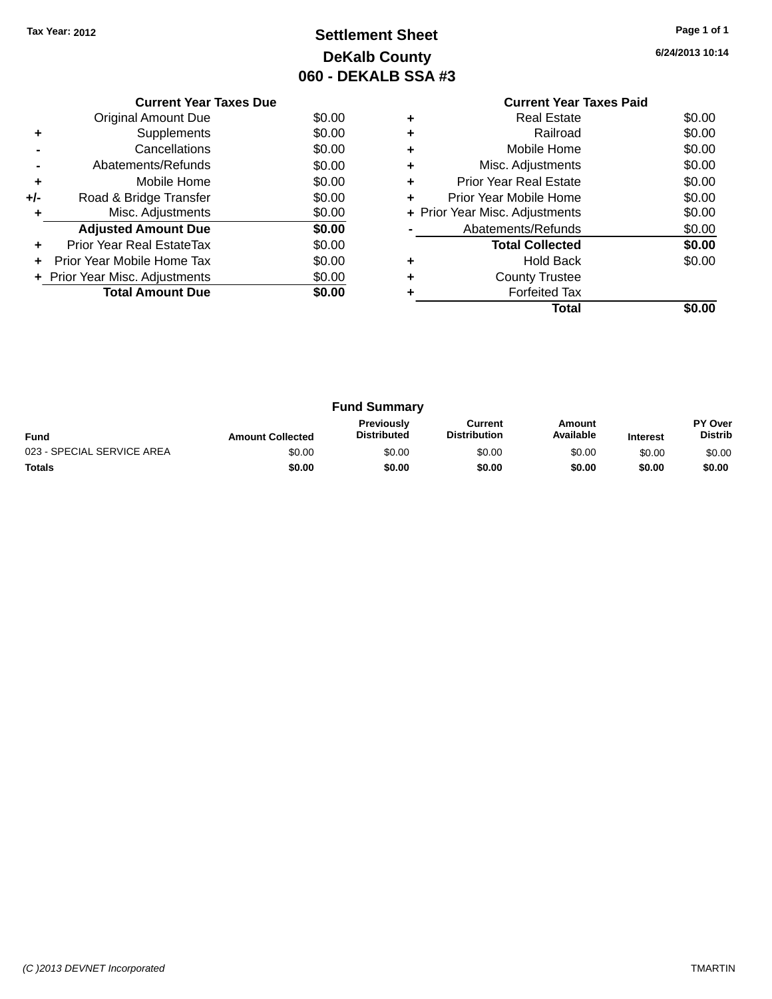### **Settlement Sheet Tax Year: 2012 Page 1 of 1 DeKalb County 060 - DEKALB SSA #3**

**6/24/2013 10:14**

|     | <b>Current Year Taxes Due</b>  |        |
|-----|--------------------------------|--------|
|     | Original Amount Due            | \$0.00 |
|     | Supplements                    | \$0.00 |
|     | Cancellations                  | \$0.00 |
|     | Abatements/Refunds             | \$0.00 |
| ٠   | Mobile Home                    | \$0.00 |
| +/- | Road & Bridge Transfer         | \$0.00 |
| ٠   | Misc. Adjustments              | \$0.00 |
|     | <b>Adjusted Amount Due</b>     | \$0.00 |
| ÷   | Prior Year Real EstateTax      | \$0.00 |
| ÷   | Prior Year Mobile Home Tax     | \$0.00 |
|     | + Prior Year Misc. Adjustments | \$0.00 |
|     | <b>Total Amount Due</b>        | \$0.00 |
|     |                                |        |

### **Current Year Taxes Paid +** Real Estate \$0.00 <sup>+</sup><br>
Railroad \$0.00<br>
+ Mobile Home \$0.00 **+** Mobile Home

|           | Total                          | \$0.00 |
|-----------|--------------------------------|--------|
|           | <b>Forfeited Tax</b>           |        |
|           | <b>County Trustee</b>          |        |
| ٠         | <b>Hold Back</b>               | \$0.00 |
|           | <b>Total Collected</b>         | \$0.00 |
|           | Abatements/Refunds             | \$0.00 |
|           | + Prior Year Misc. Adjustments | \$0.00 |
|           | Prior Year Mobile Home         | \$0.00 |
| ÷         | <b>Prior Year Real Estate</b>  | \$0.00 |
| $\ddot{}$ | Misc. Adjustments              | \$0.00 |
|           |                                |        |

| <b>Fund Summary</b>        |                         |                                         |                                |                     |                 |                                  |
|----------------------------|-------------------------|-----------------------------------------|--------------------------------|---------------------|-----------------|----------------------------------|
| <b>Fund</b>                | <b>Amount Collected</b> | <b>Previously</b><br><b>Distributed</b> | Current<br><b>Distribution</b> | Amount<br>Available | <b>Interest</b> | <b>PY Over</b><br><b>Distrib</b> |
| 023 - SPECIAL SERVICE AREA | \$0.00                  | \$0.00                                  | \$0.00                         | \$0.00              | \$0.00          | \$0.00                           |
| <b>Totals</b>              | \$0.00                  | \$0.00                                  | \$0.00                         | \$0.00              | \$0.00          | \$0.00                           |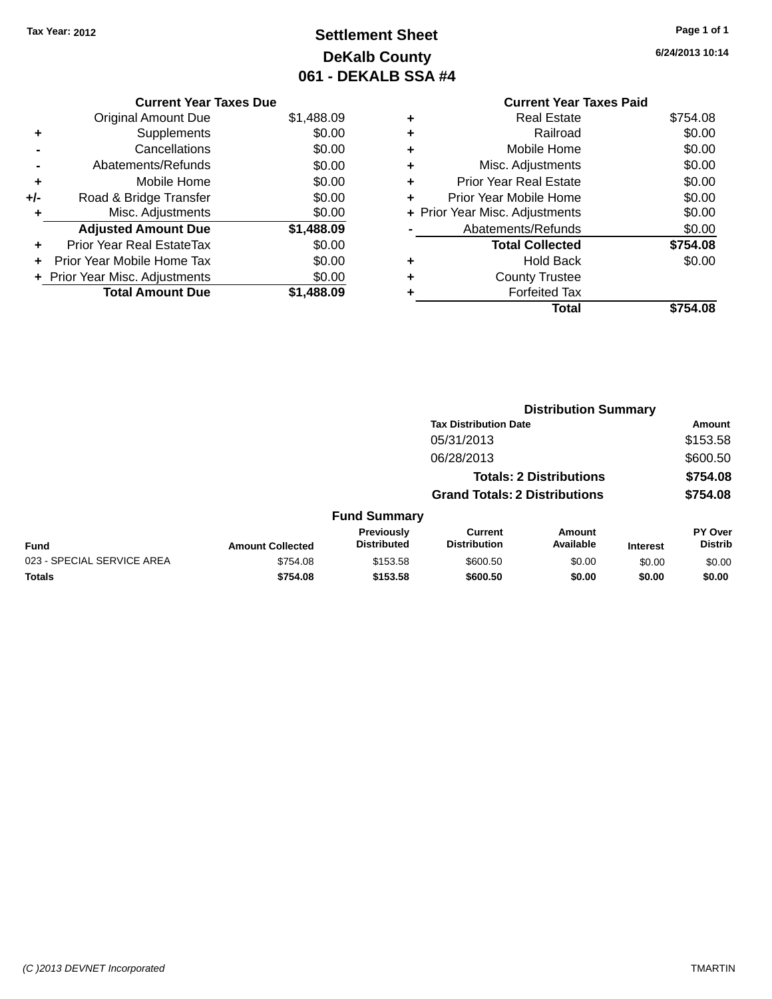### **Settlement Sheet Tax Year: 2012 Page 1 of 1 DeKalb County 061 - DEKALB SSA #4**

**6/24/2013 10:14**

|   | <b>Current Year Taxes Paid</b> |          |  |  |
|---|--------------------------------|----------|--|--|
| ٠ | Real Estate                    | \$754.08 |  |  |
| ٠ | Railroad                       | \$0.00   |  |  |
| ٠ | Mobile Home                    | \$0.00   |  |  |
| ٠ | Misc. Adjustments              |          |  |  |
| ٠ | <b>Prior Year Real Estate</b>  | \$0.00   |  |  |
| ٠ | Prior Year Mobile Home         | \$0.00   |  |  |
|   | + Prior Year Misc. Adjustments | \$0.00   |  |  |
|   | Abatements/Refunds             |          |  |  |
|   | <b>Total Collected</b>         | \$754.08 |  |  |
| ٠ | Hold Back                      | \$0.00   |  |  |
|   | <b>County Trustee</b>          |          |  |  |
| ٠ | <b>Forfeited Tax</b>           |          |  |  |
|   | Total                          |          |  |  |
|   |                                |          |  |  |

|     | <b>Current Year Taxes Due</b>  |            |
|-----|--------------------------------|------------|
|     | Original Amount Due            | \$1,488.09 |
| ٠   | Supplements                    | \$0.00     |
|     | Cancellations                  | \$0.00     |
|     | Abatements/Refunds             | \$0.00     |
| ٠   | Mobile Home                    | \$0.00     |
| +/- | Road & Bridge Transfer         | \$0.00     |
|     | Misc. Adjustments              | \$0.00     |
|     | <b>Adjusted Amount Due</b>     | \$1,488.09 |
|     | Prior Year Real EstateTax      | \$0.00     |
|     | Prior Year Mobile Home Tax     | \$0.00     |
|     | + Prior Year Misc. Adjustments | \$0.00     |
|     | <b>Total Amount Due</b>        | \$1.488.09 |
|     |                                |            |

|                            |                         |                                  |                                       | <b>Distribution Summary</b>    |                 |                           |
|----------------------------|-------------------------|----------------------------------|---------------------------------------|--------------------------------|-----------------|---------------------------|
|                            |                         |                                  | <b>Tax Distribution Date</b>          |                                |                 | Amount                    |
|                            |                         |                                  | 05/31/2013                            |                                |                 | \$153.58                  |
|                            |                         |                                  | 06/28/2013                            |                                |                 | \$600.50                  |
|                            |                         |                                  |                                       | <b>Totals: 2 Distributions</b> |                 | \$754.08                  |
|                            |                         |                                  | <b>Grand Totals: 2 Distributions</b>  |                                |                 | \$754.08                  |
|                            |                         | <b>Fund Summary</b>              |                                       |                                |                 |                           |
| <b>Fund</b>                | <b>Amount Collected</b> | Previously<br><b>Distributed</b> | <b>Current</b><br><b>Distribution</b> | Amount<br>Available            | <b>Interest</b> | PY Over<br><b>Distrib</b> |
| 023 - SPECIAL SERVICE AREA | \$754.08                | \$153.58                         | \$600.50                              | \$0.00                         | \$0.00          | \$0.00                    |
| <b>Totals</b>              | \$754.08                | \$153.58                         | \$600.50                              | \$0.00                         | \$0.00          | \$0.00                    |
|                            |                         |                                  |                                       |                                |                 |                           |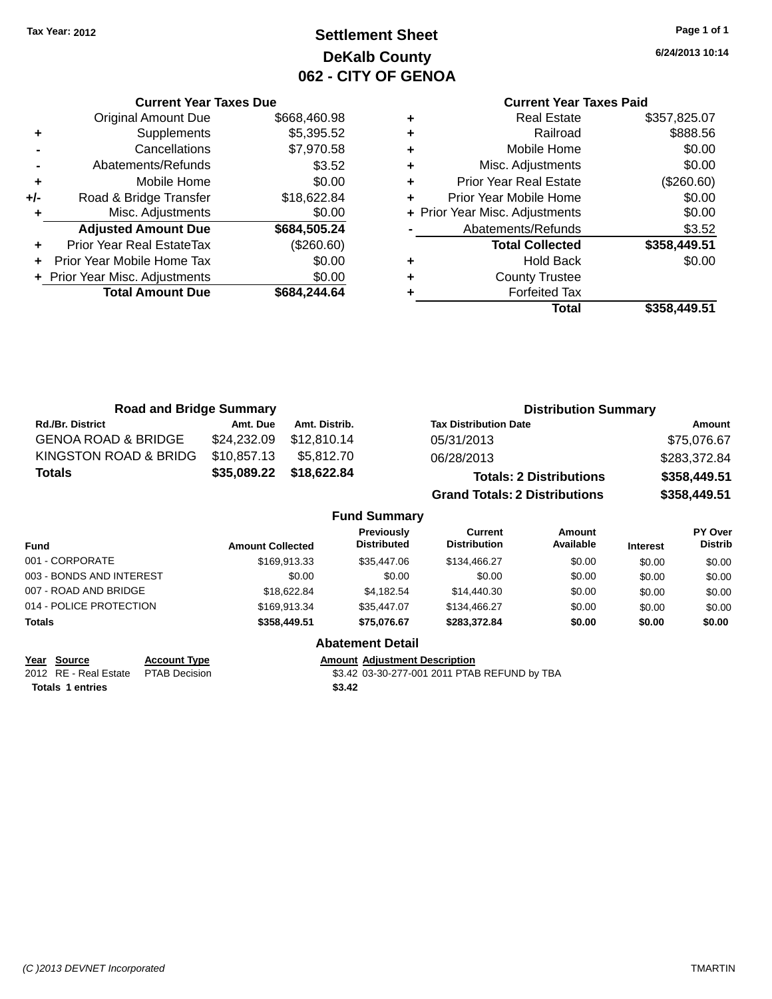**Current Year Taxes Due** Original Amount Due \$668,460.98

### **Settlement Sheet Tax Year: 2012 Page 1 of 1 DeKalb County 062 - CITY OF GENOA**

**6/24/2013 10:14**

### **Current Year Taxes Paid**

|                      |                                |              |   | <b>Total</b>                   | \$358,449.51 |
|----------------------|--------------------------------|--------------|---|--------------------------------|--------------|
|                      | <b>Total Amount Due</b>        | \$684,244.64 |   | <b>Forfeited Tax</b>           |              |
|                      | + Prior Year Misc. Adjustments | \$0.00       | ٠ | <b>County Trustee</b>          |              |
| $\ddot{\phantom{1}}$ | Prior Year Mobile Home Tax     | \$0.00       | ٠ | <b>Hold Back</b>               | \$0.00       |
| ٠                    | Prior Year Real EstateTax      | (\$260.60)   |   | <b>Total Collected</b>         | \$358,449.51 |
|                      | <b>Adjusted Amount Due</b>     | \$684,505.24 |   | Abatements/Refunds             | \$3.52       |
|                      | Misc. Adjustments              | \$0.00       |   | + Prior Year Misc. Adjustments | \$0.00       |
| +/-                  | Road & Bridge Transfer         | \$18,622.84  |   | Prior Year Mobile Home         | \$0.00       |
| ٠                    | Mobile Home                    | \$0.00       | ÷ | <b>Prior Year Real Estate</b>  | (\$260.60)   |
|                      | Abatements/Refunds             | \$3.52       | ٠ | Misc. Adjustments              | \$0.00       |
|                      | Cancellations                  | \$7,970.58   | ٠ | Mobile Home                    | \$0.00       |
| ٠                    | Supplements                    | \$5,395.52   | ٠ | Railroad                       | \$888.56     |
|                      | <b>Original Amount Due</b>     | \$668,460.98 | ٠ | <b>Real Estate</b>             | \$357,825.07 |

| <b>Road and Bridge Summary</b> |             |               | <b>Distribution Summary</b>          |              |  |
|--------------------------------|-------------|---------------|--------------------------------------|--------------|--|
| <b>Rd./Br. District</b>        | Amt. Due    | Amt. Distrib. | <b>Tax Distribution Date</b>         | Amount       |  |
| <b>GENOA ROAD &amp; BRIDGE</b> | \$24,232.09 | \$12,810.14   | 05/31/2013                           | \$75,076.67  |  |
| KINGSTON ROAD & BRIDG          | \$10,857.13 | \$5.812.70    | 06/28/2013                           | \$283,372.84 |  |
| <b>Totals</b>                  | \$35,089.22 | \$18,622.84   | <b>Totals: 2 Distributions</b>       | \$358,449.51 |  |
|                                |             |               | <b>Grand Totals: 2 Distributions</b> | \$358,449.51 |  |

#### **Fund Summary**

| <b>Fund</b>              | <b>Amount Collected</b> | <b>Previously</b><br><b>Distributed</b> | <b>Current</b><br><b>Distribution</b> | Amount<br>Available | <b>Interest</b> | <b>PY Over</b><br><b>Distrib</b> |
|--------------------------|-------------------------|-----------------------------------------|---------------------------------------|---------------------|-----------------|----------------------------------|
| 001 - CORPORATE          | \$169.913.33            | \$35,447.06                             | \$134,466.27                          | \$0.00              | \$0.00          | \$0.00                           |
| 003 - BONDS AND INTEREST | \$0.00                  | \$0.00                                  | \$0.00                                | \$0.00              | \$0.00          | \$0.00                           |
| 007 - ROAD AND BRIDGE    | \$18,622.84             | \$4.182.54                              | \$14,440.30                           | \$0.00              | \$0.00          | \$0.00                           |
| 014 - POLICE PROTECTION  | \$169.913.34            | \$35,447.07                             | \$134,466.27                          | \$0.00              | \$0.00          | \$0.00                           |
| <b>Totals</b>            | \$358,449.51            | \$75.076.67                             | \$283,372,84                          | \$0.00              | \$0.00          | \$0.00                           |

### **Abatement Detail**

**Year Source Account Type Account Type Amount Adjustment Description**<br>2012 RE - Real Estate PTAB Decision **1991 12011 12011 12011 12011** 

**Totals 1 entries** \$3.42

\$3.42 03-30-277-001 2011 PTAB REFUND by TBA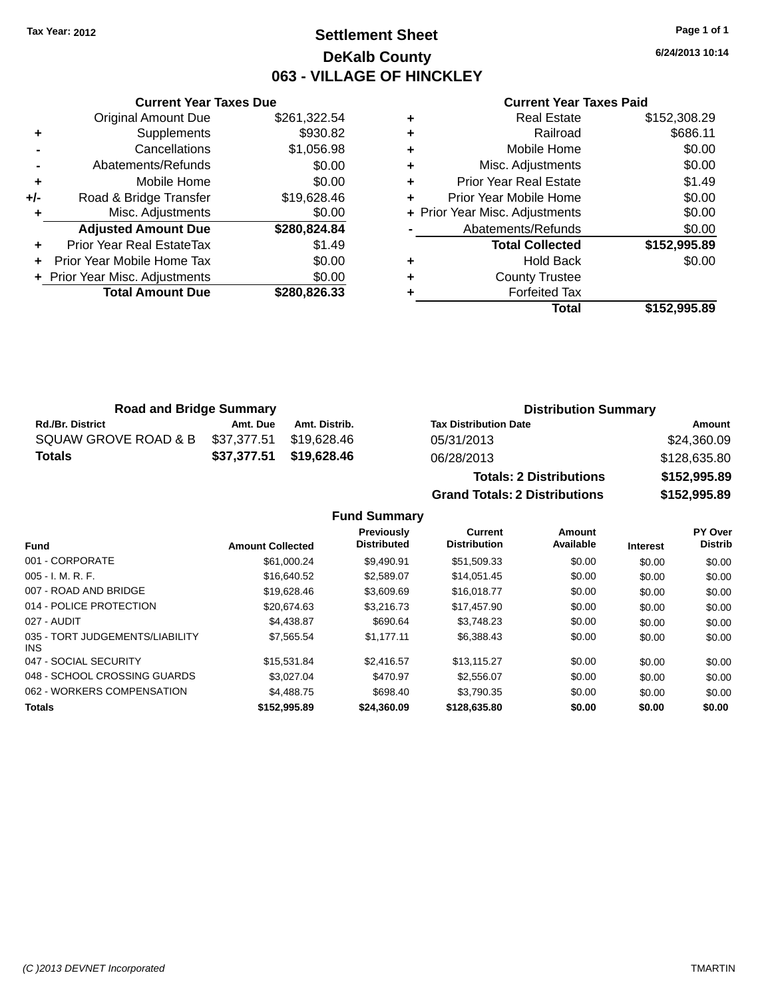### **Settlement Sheet Tax Year: 2012 Page 1 of 1 DeKalb County 063 - VILLAGE OF HINCKLEY**

**6/24/2013 10:14**

#### **Current Year Taxes Paid**

|     | <b>Current Year Taxes Due</b>    |              |
|-----|----------------------------------|--------------|
|     | <b>Original Amount Due</b>       | \$261,322.54 |
| ٠   | Supplements                      | \$930.82     |
|     | Cancellations                    | \$1,056.98   |
|     | Abatements/Refunds               | \$0.00       |
| ٠   | Mobile Home                      | \$0.00       |
| +/- | Road & Bridge Transfer           | \$19,628.46  |
|     | Misc. Adjustments                | \$0.00       |
|     | <b>Adjusted Amount Due</b>       | \$280,824.84 |
| ٠   | <b>Prior Year Real EstateTax</b> | \$1.49       |
|     | Prior Year Mobile Home Tax       | \$0.00       |
|     | + Prior Year Misc. Adjustments   | \$0.00       |
|     | <b>Total Amount Due</b>          | \$280.826.33 |
|     |                                  |              |

| <b>Real Estate</b>            | \$152,308.29                   |
|-------------------------------|--------------------------------|
| Railroad                      | \$686.11                       |
| Mobile Home                   | \$0.00                         |
| Misc. Adjustments             | \$0.00                         |
| <b>Prior Year Real Estate</b> | \$1.49                         |
| Prior Year Mobile Home        | \$0.00                         |
|                               | \$0.00                         |
| Abatements/Refunds            | \$0.00                         |
| <b>Total Collected</b>        | \$152,995.89                   |
| <b>Hold Back</b>              | \$0.00                         |
| <b>County Trustee</b>         |                                |
| <b>Forfeited Tax</b>          |                                |
| Total                         | \$152,995.89                   |
|                               | + Prior Year Misc. Adjustments |

| <b>Road and Bridge Summary</b> |             |                         | <b>Distribution Summary</b>  |                    |
|--------------------------------|-------------|-------------------------|------------------------------|--------------------|
| <b>Rd./Br. District</b>        | Amt. Due    | Amt. Distrib.           | <b>Tax Distribution Date</b> | Amount             |
| SQUAW GROVE ROAD & B           | \$37.377.51 | \$19.628.46             | 05/31/2013                   | \$24,360.09        |
| <b>Totals</b>                  |             | \$37,377.51 \$19,628.46 | 06/28/2013                   | \$128,635.80       |
|                                |             |                         | Tatalan A Diamilantiana.     | <b>CALO OOL OO</b> |

**Totals: 2 Distributions \$152,995.89 Grand Totals: 2 Distributions \$152,995.89**

|                                         |                         | <b>Previously</b>  | <b>Current</b>      | Amount    |                 | <b>PY Over</b> |
|-----------------------------------------|-------------------------|--------------------|---------------------|-----------|-----------------|----------------|
| <b>Fund</b>                             | <b>Amount Collected</b> | <b>Distributed</b> | <b>Distribution</b> | Available | <b>Interest</b> | <b>Distrib</b> |
| 001 - CORPORATE                         | \$61.000.24             | \$9.490.91         | \$51,509.33         | \$0.00    | \$0.00          | \$0.00         |
| $005 - I. M. R. F.$                     | \$16,640.52             | \$2.589.07         | \$14.051.45         | \$0.00    | \$0.00          | \$0.00         |
| 007 - ROAD AND BRIDGE                   | \$19,628.46             | \$3,609.69         | \$16,018.77         | \$0.00    | \$0.00          | \$0.00         |
| 014 - POLICE PROTECTION                 | \$20.674.63             | \$3,216,73         | \$17,457.90         | \$0.00    | \$0.00          | \$0.00         |
| 027 - AUDIT                             | \$4.438.87              | \$690.64           | \$3.748.23          | \$0.00    | \$0.00          | \$0.00         |
| 035 - TORT JUDGEMENTS/LIABILITY<br>INS. | \$7,565.54              | \$1.177.11         | \$6,388,43          | \$0.00    | \$0.00          | \$0.00         |
| 047 - SOCIAL SECURITY                   | \$15.531.84             | \$2,416.57         | \$13.115.27         | \$0.00    | \$0.00          | \$0.00         |
| 048 - SCHOOL CROSSING GUARDS            | \$3.027.04              | \$470.97           | \$2,556.07          | \$0.00    | \$0.00          | \$0.00         |
| 062 - WORKERS COMPENSATION              | \$4,488,75              | \$698.40           | \$3.790.35          | \$0.00    | \$0.00          | \$0.00         |
| <b>Totals</b>                           | \$152,995.89            | \$24,360.09        | \$128,635,80        | \$0.00    | \$0.00          | \$0.00         |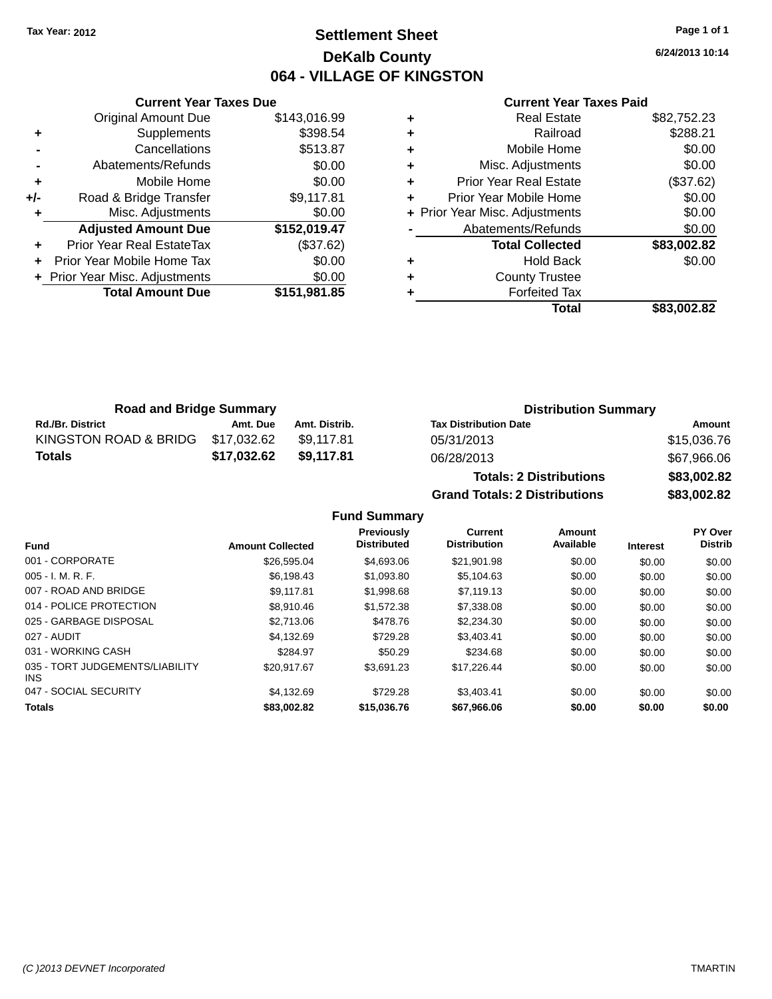### **Settlement Sheet Tax Year: 2012 Page 1 of 1 DeKalb County 064 - VILLAGE OF KINGSTON**

**6/24/2013 10:14**

#### **Current Year Taxes Paid**

|     | <b>Current Year Taxes Due</b>  |              |
|-----|--------------------------------|--------------|
|     | <b>Original Amount Due</b>     | \$143,016.99 |
| ٠   | Supplements                    | \$398.54     |
|     | Cancellations                  | \$513.87     |
|     | Abatements/Refunds             | \$0.00       |
| ٠   | Mobile Home                    | \$0.00       |
| +/- | Road & Bridge Transfer         | \$9,117.81   |
| ٠   | Misc. Adjustments              | \$0.00       |
|     | <b>Adjusted Amount Due</b>     | \$152,019.47 |
| ÷   | Prior Year Real EstateTax      | (\$37.62)    |
|     | Prior Year Mobile Home Tax     | \$0.00       |
|     | + Prior Year Misc. Adjustments | \$0.00       |
|     | <b>Total Amount Due</b>        | \$151,981.85 |
|     |                                |              |

| ٠ | <b>Real Estate</b>             | \$82,752.23 |
|---|--------------------------------|-------------|
| ٠ | Railroad                       | \$288.21    |
| ٠ | Mobile Home                    | \$0.00      |
| ٠ | Misc. Adjustments              | \$0.00      |
| ٠ | <b>Prior Year Real Estate</b>  | (\$37.62)   |
| ÷ | Prior Year Mobile Home         | \$0.00      |
|   | + Prior Year Misc. Adjustments | \$0.00      |
|   | Abatements/Refunds             | \$0.00      |
|   | <b>Total Collected</b>         | \$83,002.82 |
| ٠ | Hold Back                      | \$0.00      |
| ٠ | <b>County Trustee</b>          |             |
| ٠ | <b>Forfeited Tax</b>           |             |
|   | Total                          | \$83,002.82 |
|   |                                |             |

| <b>Road and Bridge Summary</b>    |             |               | <b>Distribution Summary</b>  |             |  |
|-----------------------------------|-------------|---------------|------------------------------|-------------|--|
| <b>Rd./Br. District</b>           | Amt. Due    | Amt. Distrib. | <b>Tax Distribution Date</b> | Amount      |  |
| KINGSTON ROAD & BRIDG \$17,032.62 |             | \$9.117.81    | 05/31/2013                   | \$15,036.76 |  |
| <b>Totals</b>                     | \$17.032.62 | \$9.117.81    | 06/28/2013                   | \$67,966.06 |  |

| <b>Totals: 2 Distributions</b>       | \$83,002.82 |
|--------------------------------------|-------------|
| <b>Grand Totals: 2 Distributions</b> | \$83,002.82 |

|                                               |                         | Previously         | <b>Current</b>      | <b>Amount</b> |                 | PY Over        |
|-----------------------------------------------|-------------------------|--------------------|---------------------|---------------|-----------------|----------------|
| <b>Fund</b>                                   | <b>Amount Collected</b> | <b>Distributed</b> | <b>Distribution</b> | Available     | <b>Interest</b> | <b>Distrib</b> |
| 001 - CORPORATE                               | \$26,595.04             | \$4,693,06         | \$21.901.98         | \$0.00        | \$0.00          | \$0.00         |
| $005 - I. M. R. F.$                           | \$6,198.43              | \$1,093.80         | \$5,104.63          | \$0.00        | \$0.00          | \$0.00         |
| 007 - ROAD AND BRIDGE                         | \$9.117.81              | \$1,998.68         | \$7,119.13          | \$0.00        | \$0.00          | \$0.00         |
| 014 - POLICE PROTECTION                       | \$8.910.46              | \$1,572.38         | \$7,338,08          | \$0.00        | \$0.00          | \$0.00         |
| 025 - GARBAGE DISPOSAL                        | \$2,713.06              | \$478.76           | \$2,234,30          | \$0.00        | \$0.00          | \$0.00         |
| 027 - AUDIT                                   | \$4.132.69              | \$729.28           | \$3.403.41          | \$0.00        | \$0.00          | \$0.00         |
| 031 - WORKING CASH                            | \$284.97                | \$50.29            | \$234.68            | \$0.00        | \$0.00          | \$0.00         |
| 035 - TORT JUDGEMENTS/LIABILITY<br><b>INS</b> | \$20.917.67             | \$3.691.23         | \$17.226.44         | \$0.00        | \$0.00          | \$0.00         |
| 047 - SOCIAL SECURITY                         | \$4.132.69              | \$729.28           | \$3.403.41          | \$0.00        | \$0.00          | \$0.00         |
| <b>Totals</b>                                 | \$83,002.82             | \$15,036,76        | \$67.966.06         | \$0.00        | \$0.00          | \$0.00         |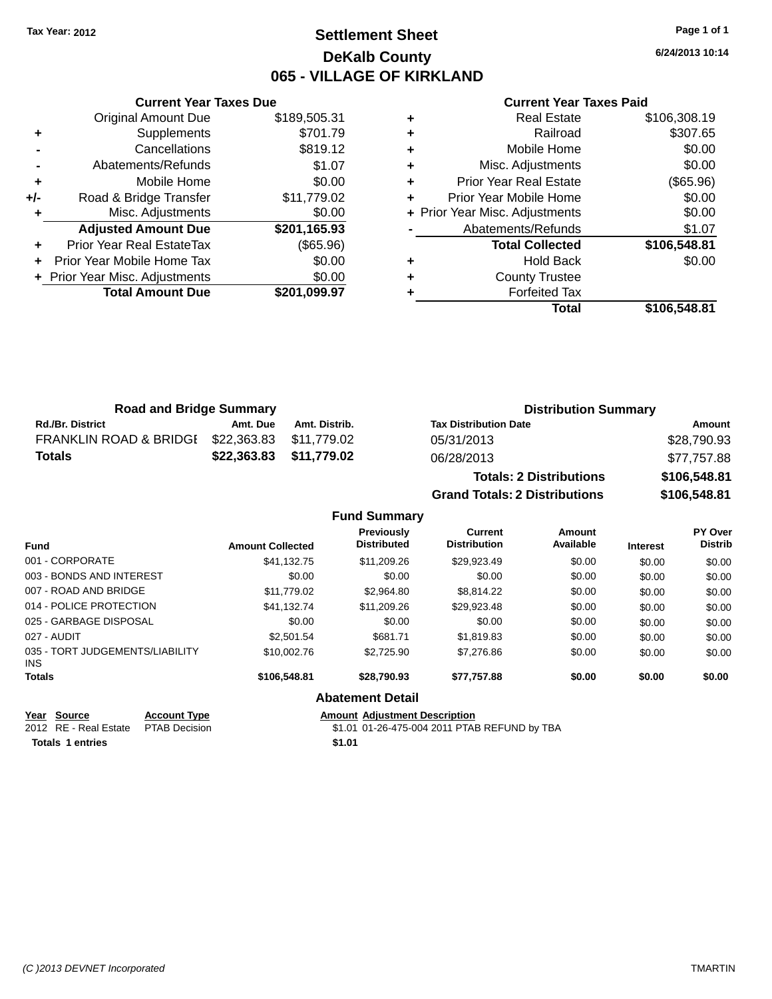### **Settlement Sheet Tax Year: 2012 Page 1 of 1 DeKalb County 065 - VILLAGE OF KIRKLAND**

**6/24/2013 10:14**

#### **Current Year Taxes Paid**

|     | <b>Current Year Taxes Due</b>  |              |
|-----|--------------------------------|--------------|
|     | <b>Original Amount Due</b>     | \$189,505.31 |
| ٠   | Supplements                    | \$701.79     |
|     | Cancellations                  | \$819.12     |
|     | Abatements/Refunds             | \$1.07       |
| ٠   | Mobile Home                    | \$0.00       |
| +/- | Road & Bridge Transfer         | \$11,779.02  |
|     | Misc. Adjustments              | \$0.00       |
|     | <b>Adjusted Amount Due</b>     | \$201,165.93 |
|     | Prior Year Real EstateTax      | (\$65.96)    |
|     | Prior Year Mobile Home Tax     | \$0.00       |
|     | + Prior Year Misc. Adjustments | \$0.00       |
|     | <b>Total Amount Due</b>        | \$201,099.97 |
|     |                                |              |

| <b>Real Estate</b>            | \$106,308.19                   |
|-------------------------------|--------------------------------|
| Railroad                      | \$307.65                       |
| Mobile Home                   | \$0.00                         |
| Misc. Adjustments             | \$0.00                         |
| <b>Prior Year Real Estate</b> | (\$65.96)                      |
| Prior Year Mobile Home        | \$0.00                         |
|                               | \$0.00                         |
| Abatements/Refunds            | \$1.07                         |
| <b>Total Collected</b>        | \$106,548.81                   |
| <b>Hold Back</b>              | \$0.00                         |
| <b>County Trustee</b>         |                                |
| <b>Forfeited Tax</b>          |                                |
| Total                         | \$106,548.81                   |
|                               | + Prior Year Misc. Adjustments |

| <b>Road and Bridge Summary</b> |                         |               | <b>Distribution Summary</b>                                                                                                                                                                                                    |                 |  |
|--------------------------------|-------------------------|---------------|--------------------------------------------------------------------------------------------------------------------------------------------------------------------------------------------------------------------------------|-----------------|--|
| <b>Rd./Br. District</b>        | Amt. Due                | Amt. Distrib. | <b>Tax Distribution Date</b>                                                                                                                                                                                                   | Amount          |  |
| FRANKLIN ROAD & BRIDGI         | \$22,363.83 \$11,779.02 |               | 05/31/2013                                                                                                                                                                                                                     | \$28,790.93     |  |
| <b>Totals</b>                  | \$22,363.83 \$11,779.02 |               | 06/28/2013                                                                                                                                                                                                                     | \$77,757.88     |  |
|                                |                         |               | The second of the continues of the second second second the second second second second second second second second second second second second second second second second second second second second second second second s | A A A A F A A A |  |

| <b>Totals: 2 Distributions</b>       | \$106,548.81 |
|--------------------------------------|--------------|
| <b>Grand Totals: 2 Distributions</b> | \$106,548.81 |

#### **Fund Summary**

| <b>Fund</b>                                   | <b>Amount Collected</b> | Previously<br><b>Distributed</b> | Current<br><b>Distribution</b> | Amount<br>Available | <b>Interest</b> | PY Over<br><b>Distrib</b> |
|-----------------------------------------------|-------------------------|----------------------------------|--------------------------------|---------------------|-----------------|---------------------------|
| 001 - CORPORATE                               | \$41.132.75             | \$11.209.26                      | \$29.923.49                    | \$0.00              | \$0.00          | \$0.00                    |
| 003 - BONDS AND INTEREST                      | \$0.00                  | \$0.00                           | \$0.00                         | \$0.00              | \$0.00          | \$0.00                    |
| 007 - ROAD AND BRIDGE                         | \$11,779.02             | \$2,964.80                       | \$8,814.22                     | \$0.00              | \$0.00          | \$0.00                    |
| 014 - POLICE PROTECTION                       | \$41.132.74             | \$11,209.26                      | \$29,923.48                    | \$0.00              | \$0.00          | \$0.00                    |
| 025 - GARBAGE DISPOSAL                        | \$0.00                  | \$0.00                           | \$0.00                         | \$0.00              | \$0.00          | \$0.00                    |
| 027 - AUDIT                                   | \$2,501.54              | \$681.71                         | \$1,819.83                     | \$0.00              | \$0.00          | \$0.00                    |
| 035 - TORT JUDGEMENTS/LIABILITY<br><b>INS</b> | \$10,002.76             | \$2,725.90                       | \$7,276.86                     | \$0.00              | \$0.00          | \$0.00                    |
| <b>Totals</b>                                 | \$106,548.81            | \$28,790,93                      | \$77.757.88                    | \$0.00              | \$0.00          | \$0.00                    |
|                                               |                         | <b>Abatement Detail</b>          |                                |                     |                 |                           |

**Year Source Account Type Amount Adjustment Description**<br>2012 RE - Real Estate PTAB Decision \$1.01 01-26-475-004 2011 PTAE \$1.01 01-26-475-004 2011 PTAB REFUND by TBA

**Totals 1 entries** \$1.01

*(C )2013 DEVNET Incorporated* TMARTIN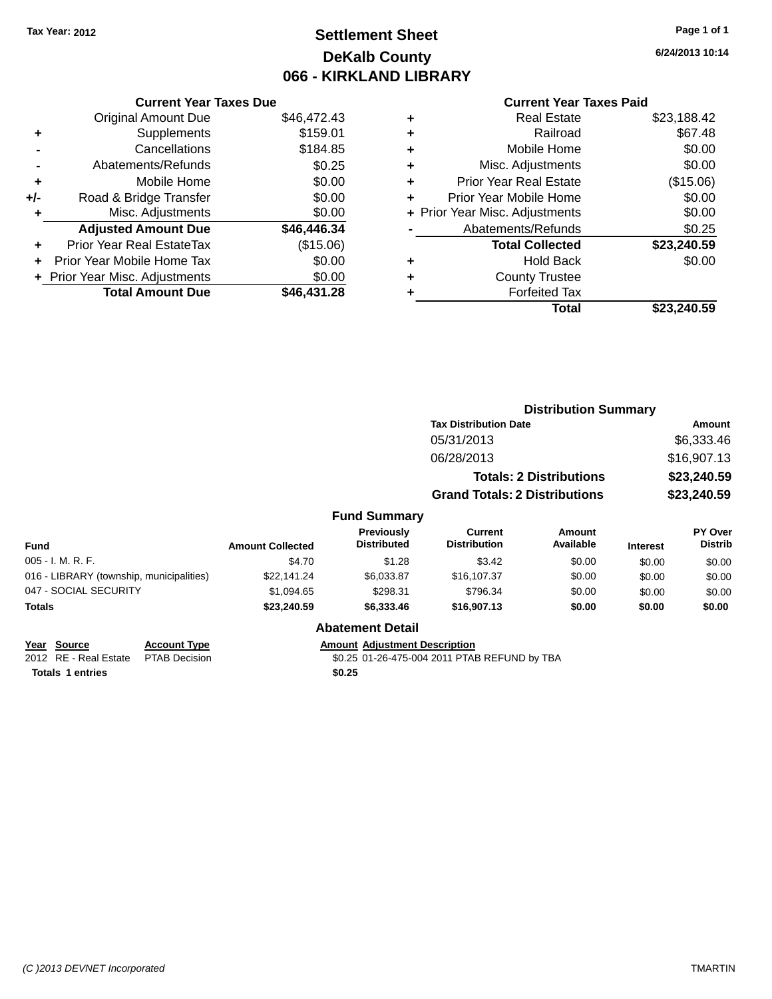### **Settlement Sheet Tax Year: 2012 Page 1 of 1 DeKalb County 066 - KIRKLAND LIBRARY**

#### **Current Year Taxes Due**

|       | <b>Original Amount Due</b>     | \$46,472.43 |
|-------|--------------------------------|-------------|
| ٠     | Supplements                    | \$159.01    |
|       | Cancellations                  | \$184.85    |
|       | Abatements/Refunds             | \$0.25      |
| ٠     | Mobile Home                    | \$0.00      |
| $+/-$ | Road & Bridge Transfer         | \$0.00      |
| ÷     | Misc. Adjustments              | \$0.00      |
|       | <b>Adjusted Amount Due</b>     | \$46,446.34 |
|       | Prior Year Real EstateTax      | (\$15.06)   |
|       | Prior Year Mobile Home Tax     | \$0.00      |
|       | + Prior Year Misc. Adjustments | \$0.00      |
|       | <b>Total Amount Due</b>        | \$46.431.28 |

#### **Current Year Taxes Paid**

| ٠ | <b>Real Estate</b>             | \$23,188.42 |
|---|--------------------------------|-------------|
| ٠ | Railroad                       | \$67.48     |
| ٠ | Mobile Home                    | \$0.00      |
| ٠ | Misc. Adjustments              | \$0.00      |
| ٠ | <b>Prior Year Real Estate</b>  | (\$15.06)   |
| ٠ | Prior Year Mobile Home         | \$0.00      |
|   | + Prior Year Misc. Adjustments | \$0.00      |
|   | Abatements/Refunds             | \$0.25      |
|   | <b>Total Collected</b>         | \$23,240.59 |
| ٠ | <b>Hold Back</b>               | \$0.00      |
| ٠ | <b>County Trustee</b>          |             |
| ٠ | <b>Forfeited Tax</b>           |             |
|   | Total                          | \$23.240.59 |
|   |                                |             |

### **Distribution Summary Tax Distribution Date Amount** 05/31/2013 \$6,333.46 06/28/2013 \$16,907.13 **Totals: 2 Distributions \$23,240.59 Grand Totals: 2 Distributions \$23,240.59**

#### **Fund Summary**

| <b>Fund</b>                              | <b>Amount Collected</b> | <b>Previously</b><br><b>Distributed</b> | Current<br><b>Distribution</b> | Amount<br>Available | <b>Interest</b> | <b>PY Over</b><br><b>Distrib</b> |
|------------------------------------------|-------------------------|-----------------------------------------|--------------------------------|---------------------|-----------------|----------------------------------|
| $005 - I. M. R. F.$                      | \$4.70                  | \$1.28                                  | \$3.42                         | \$0.00              | \$0.00          | \$0.00                           |
| 016 - LIBRARY (township, municipalities) | \$22.141.24             | \$6.033.87                              | \$16,107.37                    | \$0.00              | \$0.00          | \$0.00                           |
| 047 - SOCIAL SECURITY                    | \$1.094.65              | \$298.31                                | \$796.34                       | \$0.00              | \$0.00          | \$0.00                           |
| <b>Totals</b>                            | \$23,240.59             | \$6,333.46                              | \$16,907.13                    | \$0.00              | \$0.00          | \$0.00                           |

**Abatement Detail**

## **Year Source Account Type Amount Adjustment Description**<br>2012 RE - Real Estate PTAB Decision **Amount 1998** 40:25 01-26-475-004 2011 PTAE

\$0.25 01-26-475-004 2011 PTAB REFUND by TBA

**Totals \$0.25 1 entries**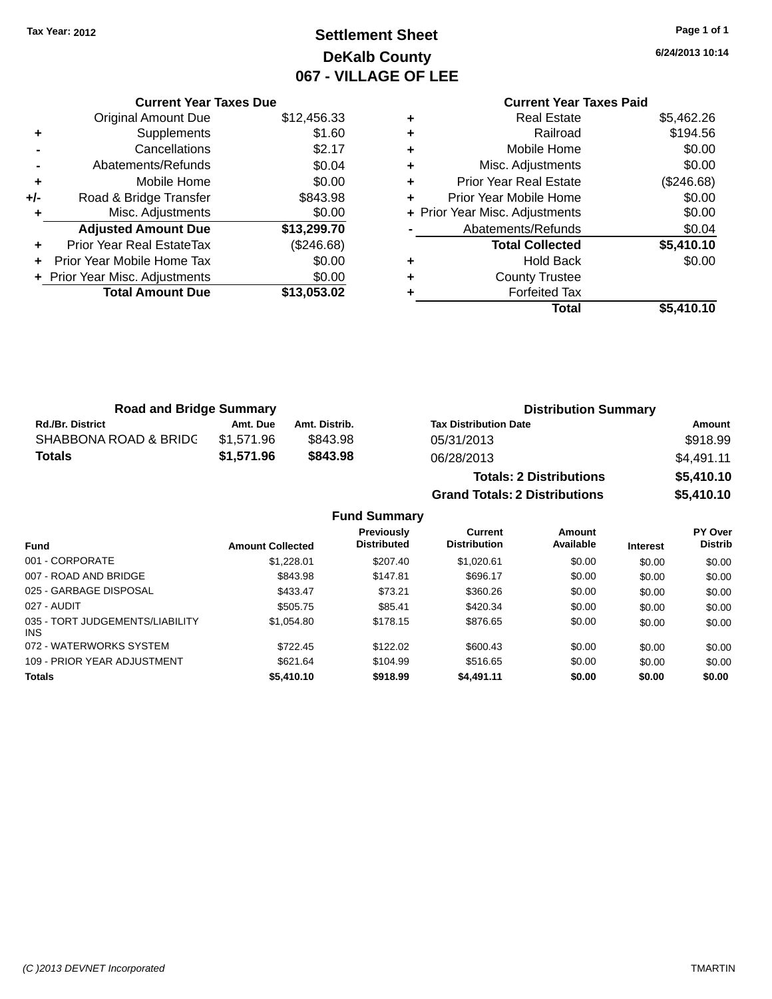### **Settlement Sheet Tax Year: 2012 Page 1 of 1 DeKalb County 067 - VILLAGE OF LEE**

**6/24/2013 10:14**

#### **Current Year Taxes Paid +** Real Estate \$5,462.26 **+** Railroad \$194.56 **+** Mobile Home \$0.00 **+** Misc. Adjustments \$0.00 **+** Prior Year Real Estate (\$246.68) **+** Prior Year Mobile Home \$0.00<br> **+** Prior Year Misc. Adjustments \$0.00 **+ Prior Year Misc. Adjustments -** Abatements/Refunds \$0.04 **Total Collected \$5,410.10 +** Hold Back \$0.00 **+** County Trustee **+** Forfeited Tax **Total \$5,410.10**

|     | <b>Current Year Taxes Due</b>  |             |
|-----|--------------------------------|-------------|
|     | <b>Original Amount Due</b>     | \$12,456.33 |
| ٠   | Supplements                    | \$1.60      |
|     | Cancellations                  | \$2.17      |
|     | Abatements/Refunds             | \$0.04      |
| ٠   | Mobile Home                    | \$0.00      |
| +/- | Road & Bridge Transfer         | \$843.98    |
| ٠   | Misc. Adjustments              | \$0.00      |
|     | <b>Adjusted Amount Due</b>     | \$13,299.70 |
| ÷   | Prior Year Real EstateTax      | (\$246.68)  |
| ÷   | Prior Year Mobile Home Tax     | \$0.00      |
|     | + Prior Year Misc. Adjustments | \$0.00      |
|     | <b>Total Amount Due</b>        | \$13,053,02 |
|     |                                |             |

| <b>Road and Bridge Summary</b> |            |               | <b>Distribution Summary</b>          |            |  |
|--------------------------------|------------|---------------|--------------------------------------|------------|--|
| <b>Rd./Br. District</b>        | Amt. Due   | Amt. Distrib. | <b>Tax Distribution Date</b>         | Amount     |  |
| SHABBONA ROAD & BRIDC          | \$1.571.96 | \$843.98      | 05/31/2013                           | \$918.99   |  |
| <b>Totals</b>                  | \$1,571.96 | \$843.98      | 06/28/2013                           | \$4,491.11 |  |
|                                |            |               | <b>Totals: 2 Distributions</b>       | \$5,410.10 |  |
|                                |            |               | <b>Grand Totals: 2 Distributions</b> | \$5,410.10 |  |

| <b>Fund</b>                                   | <b>Amount Collected</b> | <b>Previously</b><br><b>Distributed</b> | Current<br><b>Distribution</b> | Amount<br>Available | <b>Interest</b> | PY Over<br><b>Distrib</b> |
|-----------------------------------------------|-------------------------|-----------------------------------------|--------------------------------|---------------------|-----------------|---------------------------|
| 001 - CORPORATE                               | \$1,228.01              | \$207.40                                | \$1,020.61                     | \$0.00              | \$0.00          | \$0.00                    |
| 007 - ROAD AND BRIDGE                         | \$843.98                | \$147.81                                | \$696.17                       | \$0.00              | \$0.00          | \$0.00                    |
| 025 - GARBAGE DISPOSAL                        | \$433.47                | \$73.21                                 | \$360.26                       | \$0.00              | \$0.00          | \$0.00                    |
| 027 - AUDIT                                   | \$505.75                | \$85.41                                 | \$420.34                       | \$0.00              | \$0.00          | \$0.00                    |
| 035 - TORT JUDGEMENTS/LIABILITY<br><b>INS</b> | \$1,054.80              | \$178.15                                | \$876.65                       | \$0.00              | \$0.00          | \$0.00                    |
| 072 - WATERWORKS SYSTEM                       | \$722.45                | \$122.02                                | \$600.43                       | \$0.00              | \$0.00          | \$0.00                    |
| 109 - PRIOR YEAR ADJUSTMENT                   | \$621.64                | \$104.99                                | \$516.65                       | \$0.00              | \$0.00          | \$0.00                    |
| <b>Totals</b>                                 | \$5,410.10              | \$918.99                                | \$4,491.11                     | \$0.00              | \$0.00          | \$0.00                    |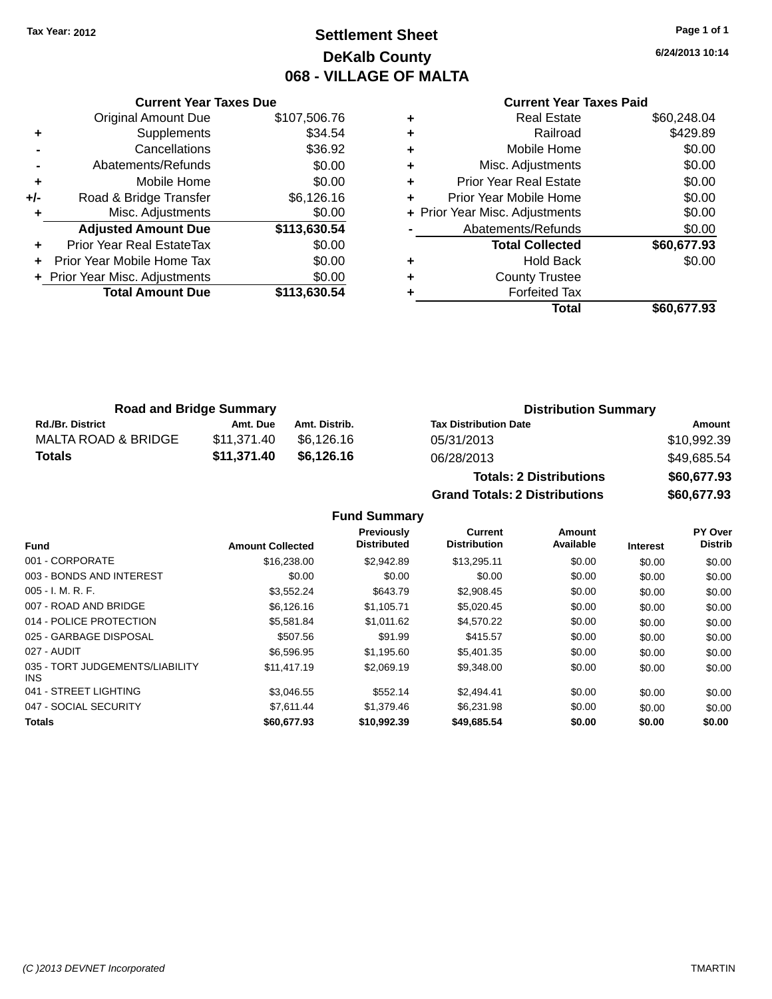### **Settlement Sheet Tax Year: 2012 Page 1 of 1 DeKalb County 068 - VILLAGE OF MALTA**

**6/24/2013 10:14**

# **Current Year Taxes Paid**

|     | <b>Current Year Taxes Due</b>    |              |
|-----|----------------------------------|--------------|
|     | <b>Original Amount Due</b>       | \$107,506.76 |
| ٠   | Supplements                      | \$34.54      |
|     | Cancellations                    | \$36.92      |
|     | Abatements/Refunds               | \$0.00       |
| ٠   | Mobile Home                      | \$0.00       |
| +/- | Road & Bridge Transfer           | \$6,126.16   |
| ٠   | Misc. Adjustments                | \$0.00       |
|     | <b>Adjusted Amount Due</b>       | \$113,630.54 |
|     | <b>Prior Year Real EstateTax</b> | \$0.00       |
|     | Prior Year Mobile Home Tax       | \$0.00       |
|     | + Prior Year Misc. Adjustments   | \$0.00       |
|     | <b>Total Amount Due</b>          | \$113,630.54 |
|     |                                  |              |

| ٠ | <b>Real Estate</b>             | \$60,248.04 |
|---|--------------------------------|-------------|
| ٠ | Railroad                       | \$429.89    |
| ٠ | Mobile Home                    | \$0.00      |
| ٠ | Misc. Adjustments              | \$0.00      |
| ٠ | <b>Prior Year Real Estate</b>  | \$0.00      |
| ٠ | Prior Year Mobile Home         | \$0.00      |
|   | + Prior Year Misc. Adjustments | \$0.00      |
|   | Abatements/Refunds             | \$0.00      |
|   | <b>Total Collected</b>         | \$60,677.93 |
| ٠ | <b>Hold Back</b>               | \$0.00      |
| ٠ | <b>County Trustee</b>          |             |
| ٠ | <b>Forfeited Tax</b>           |             |
|   | Total                          | \$60,677.93 |
|   |                                |             |

| <b>Road and Bridge Summary</b> |             |               | <b>Distribution Summary</b>  |             |  |
|--------------------------------|-------------|---------------|------------------------------|-------------|--|
| <b>Rd./Br. District</b>        | Amt. Due    | Amt. Distrib. | <b>Tax Distribution Date</b> | Amount      |  |
| MALTA ROAD & BRIDGE            | \$11.371.40 | \$6.126.16    | 05/31/2013                   | \$10,992.39 |  |
| Totals                         | \$11.371.40 | \$6.126.16    | 06/28/2013                   | \$49,685.54 |  |

| <b>Totals: 2 Distributions</b>       | \$60,677.93 |
|--------------------------------------|-------------|
| <b>Grand Totals: 2 Distributions</b> | \$60,677.93 |

|                                               |                         | Previously         | <b>Current</b>      | Amount    |                 | <b>PY Over</b> |
|-----------------------------------------------|-------------------------|--------------------|---------------------|-----------|-----------------|----------------|
| <b>Fund</b>                                   | <b>Amount Collected</b> | <b>Distributed</b> | <b>Distribution</b> | Available | <b>Interest</b> | <b>Distrib</b> |
| 001 - CORPORATE                               | \$16,238,00             | \$2.942.89         | \$13.295.11         | \$0.00    | \$0.00          | \$0.00         |
| 003 - BONDS AND INTEREST                      | \$0.00                  | \$0.00             | \$0.00              | \$0.00    | \$0.00          | \$0.00         |
| $005 - I. M. R. F.$                           | \$3.552.24              | \$643.79           | \$2,908.45          | \$0.00    | \$0.00          | \$0.00         |
| 007 - ROAD AND BRIDGE                         | \$6,126.16              | \$1.105.71         | \$5.020.45          | \$0.00    | \$0.00          | \$0.00         |
| 014 - POLICE PROTECTION                       | \$5.581.84              | \$1.011.62         | \$4,570.22          | \$0.00    | \$0.00          | \$0.00         |
| 025 - GARBAGE DISPOSAL                        | \$507.56                | \$91.99            | \$415.57            | \$0.00    | \$0.00          | \$0.00         |
| 027 - AUDIT                                   | \$6,596.95              | \$1.195.60         | \$5,401.35          | \$0.00    | \$0.00          | \$0.00         |
| 035 - TORT JUDGEMENTS/LIABILITY<br><b>INS</b> | \$11,417.19             | \$2,069.19         | \$9,348.00          | \$0.00    | \$0.00          | \$0.00         |
| 041 - STREET LIGHTING                         | \$3.046.55              | \$552.14           | \$2.494.41          | \$0.00    | \$0.00          | \$0.00         |
| 047 - SOCIAL SECURITY                         | \$7.611.44              | \$1,379.46         | \$6,231.98          | \$0.00    | \$0.00          | \$0.00         |
| <b>Totals</b>                                 | \$60,677.93             | \$10,992,39        | \$49,685.54         | \$0.00    | \$0.00          | \$0.00         |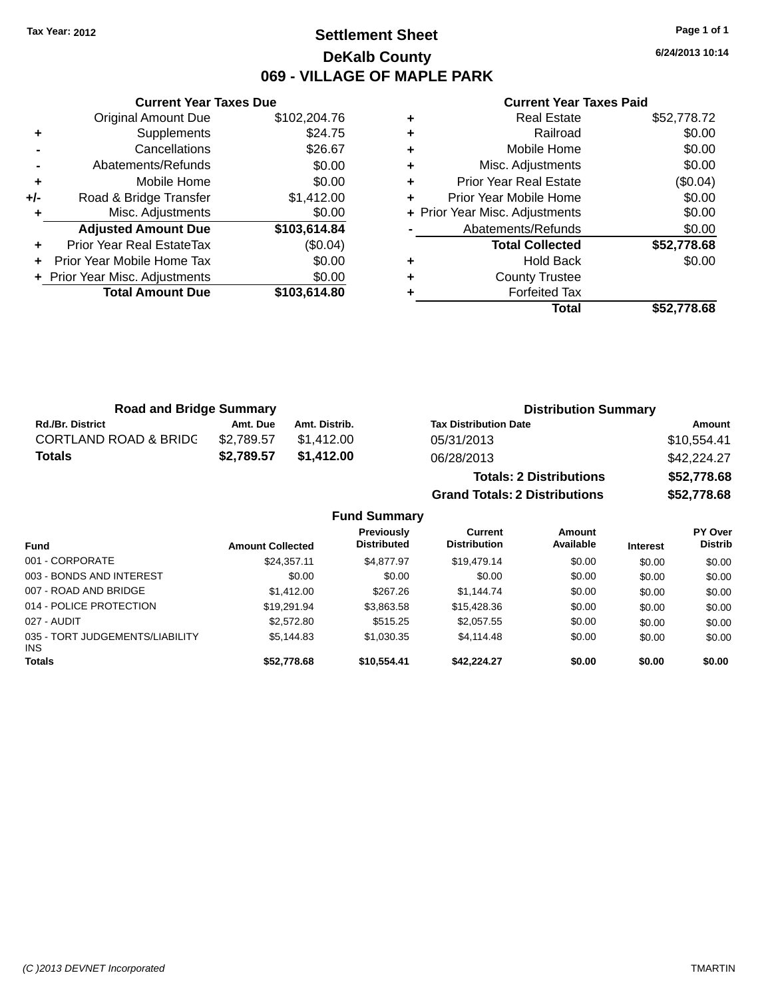### **Settlement Sheet Tax Year: 2012 Page 1 of 1 DeKalb County 069 - VILLAGE OF MAPLE PARK**

**6/24/2013 10:14**

#### **Current Year Taxes Paid**

|     | <b>Original Amount Due</b>     | \$102,204.76 |
|-----|--------------------------------|--------------|
| ٠   | Supplements                    | \$24.75      |
|     | Cancellations                  | \$26.67      |
|     | Abatements/Refunds             | \$0.00       |
| ٠   | Mobile Home                    | \$0.00       |
| +/- | Road & Bridge Transfer         | \$1,412.00   |
|     | Misc. Adjustments              | \$0.00       |
|     | <b>Adjusted Amount Due</b>     | \$103,614.84 |
| ÷   | Prior Year Real EstateTax      | (\$0.04)     |
|     | Prior Year Mobile Home Tax     | \$0.00       |
|     | + Prior Year Misc. Adjustments | \$0.00       |
|     | <b>Total Amount Due</b>        | \$103,614.80 |
|     |                                |              |

**Current Year Taxes Due**

|   | <b>Real Estate</b>             | \$52,778.72 |
|---|--------------------------------|-------------|
| ٠ | Railroad                       | \$0.00      |
| ٠ | Mobile Home                    | \$0.00      |
| ٠ | Misc. Adjustments              | \$0.00      |
| ٠ | <b>Prior Year Real Estate</b>  | (\$0.04)    |
| ٠ | Prior Year Mobile Home         | \$0.00      |
|   | + Prior Year Misc. Adjustments | \$0.00      |
|   | Abatements/Refunds             | \$0.00      |
|   | <b>Total Collected</b>         | \$52,778.68 |
| ٠ | <b>Hold Back</b>               | \$0.00      |
| ٠ | <b>County Trustee</b>          |             |
| ٠ | <b>Forfeited Tax</b>           |             |
|   | Total                          | \$52.778.68 |

**Grand Totals: 2 Distributions \$52,778.68**

| <b>Road and Bridge Summary</b>   |            | <b>Distribution Summary</b> |                                |             |
|----------------------------------|------------|-----------------------------|--------------------------------|-------------|
| <b>Rd./Br. District</b>          | Amt. Due   | Amt. Distrib.               | <b>Tax Distribution Date</b>   | Amount      |
| <b>CORTLAND ROAD &amp; BRIDC</b> | \$2.789.57 | \$1.412.00                  | 05/31/2013                     | \$10,554.41 |
| <b>Totals</b>                    | \$2,789.57 | \$1.412.00                  | 06/28/2013                     | \$42,224.27 |
|                                  |            |                             | <b>Totals: 2 Distributions</b> | \$52,778.68 |

**Fund Summary Fund Interest Amount Collected Distributed PY Over Distrib Amount Available Current Distribution Previously** 001 - CORPORATE \$24,357.11 \$4,877.97 \$19,479.14 \$0.00 \$0.00 \$0.00 003 - BONDS AND INTEREST  $$0.00$   $$0.00$   $$0.00$   $$0.00$   $$0.00$   $$0.00$   $$0.00$   $$0.00$ 007 - ROAD AND BRIDGE \$1,412.00 \$267.26 \$1,144.74 \$0.00 \$0.00 \$0.00 \$0.00 014 - POLICE PROTECTION \$19,291.94 \$3,863.58 \$15,428.36 \$0.00 \$0.00 \$0.00 \$0.00 027 - AUDIT \$2,572.80 \$515.25 \$2,057.55 \$0.00 \$0.00 \$0.00 035 - TORT JUDGEMENTS/LIABILITY INS \$5,144.83 \$1,030.35 \$4,114.48 \$0.00 \$0.00 \$0.00 **Totals \$52,778.68 \$10,554.41 \$42,224.27 \$0.00 \$0.00 \$0.00**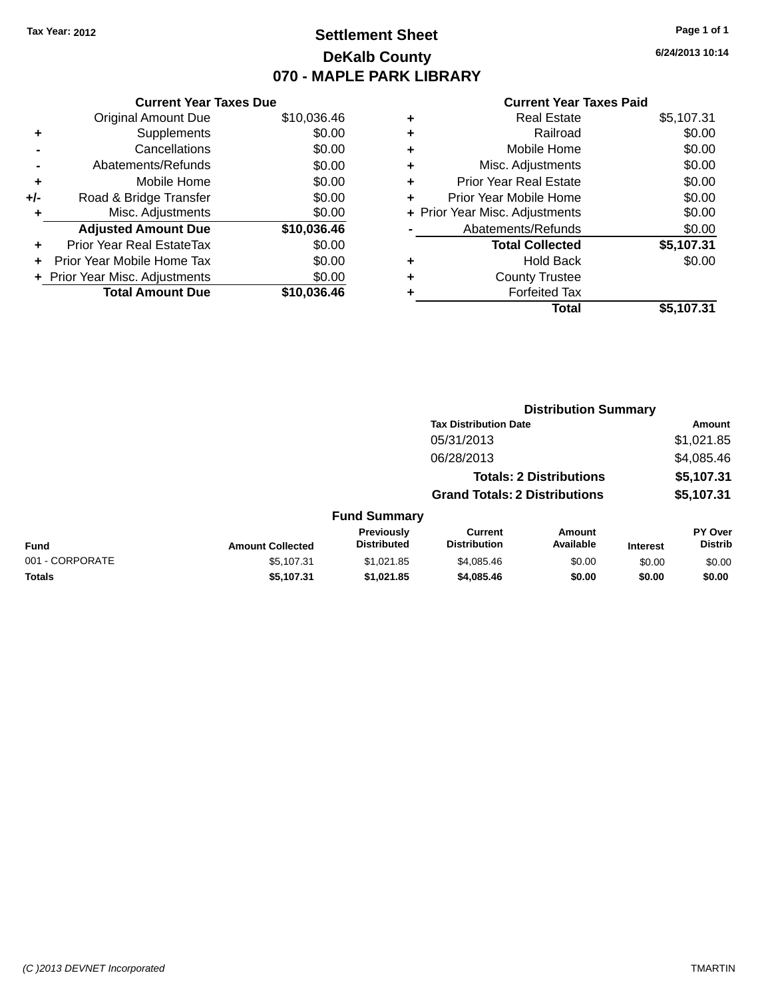### **Settlement Sheet Tax Year: 2012 Page 1 of 1 DeKalb County 070 - MAPLE PARK LIBRARY**

**6/24/2013 10:14**

#### **Current Year Taxes Paid**

|     | <b>Current Year Taxes Due</b>  |             |
|-----|--------------------------------|-------------|
|     | <b>Original Amount Due</b>     | \$10,036.46 |
| ٠   | Supplements                    | \$0.00      |
|     | Cancellations                  | \$0.00      |
|     | Abatements/Refunds             | \$0.00      |
| ٠   | Mobile Home                    | \$0.00      |
| +/- | Road & Bridge Transfer         | \$0.00      |
| ٠   | Misc. Adjustments              | \$0.00      |
|     | <b>Adjusted Amount Due</b>     | \$10,036.46 |
| ÷   | Prior Year Real EstateTax      | \$0.00      |
|     | Prior Year Mobile Home Tax     | \$0.00      |
|     | + Prior Year Misc. Adjustments | \$0.00      |
|     | <b>Total Amount Due</b>        | \$10.036.46 |
|     |                                |             |

| ٠ | <b>Real Estate</b>             | \$5,107.31 |
|---|--------------------------------|------------|
| ٠ | Railroad                       | \$0.00     |
| ٠ | Mobile Home                    | \$0.00     |
| ٠ | Misc. Adjustments              | \$0.00     |
| ٠ | <b>Prior Year Real Estate</b>  | \$0.00     |
| ٠ | Prior Year Mobile Home         | \$0.00     |
|   | + Prior Year Misc. Adjustments | \$0.00     |
|   | Abatements/Refunds             | \$0.00     |
|   | <b>Total Collected</b>         | \$5,107.31 |
| ٠ | <b>Hold Back</b>               | \$0.00     |
| ٠ | <b>County Trustee</b>          |            |
| ٠ | <b>Forfeited Tax</b>           |            |
|   | Total                          | \$5,107.31 |
|   |                                |            |

|                 |                         |                                  |                                       | <b>Distribution Summary</b>    |                 |                                  |
|-----------------|-------------------------|----------------------------------|---------------------------------------|--------------------------------|-----------------|----------------------------------|
|                 |                         |                                  | <b>Tax Distribution Date</b>          |                                |                 | Amount                           |
|                 |                         |                                  | 05/31/2013                            |                                |                 | \$1,021.85                       |
|                 |                         |                                  | 06/28/2013                            |                                |                 | \$4,085.46                       |
|                 |                         |                                  |                                       | <b>Totals: 2 Distributions</b> |                 | \$5,107.31                       |
|                 |                         |                                  | <b>Grand Totals: 2 Distributions</b>  |                                |                 | \$5,107.31                       |
|                 |                         | <b>Fund Summary</b>              |                                       |                                |                 |                                  |
| <b>Fund</b>     | <b>Amount Collected</b> | Previously<br><b>Distributed</b> | <b>Current</b><br><b>Distribution</b> | Amount<br>Available            | <b>Interest</b> | <b>PY Over</b><br><b>Distrib</b> |
| 001 - CORPORATE | \$5.107.31              | \$1.021.85                       | \$4,085,46                            | \$0.00                         | \$0.00          | \$0.00                           |
| <b>Totals</b>   | \$5,107.31              | \$1,021.85                       | \$4,085.46                            | \$0.00                         | \$0.00          | \$0.00                           |
|                 |                         |                                  |                                       |                                |                 |                                  |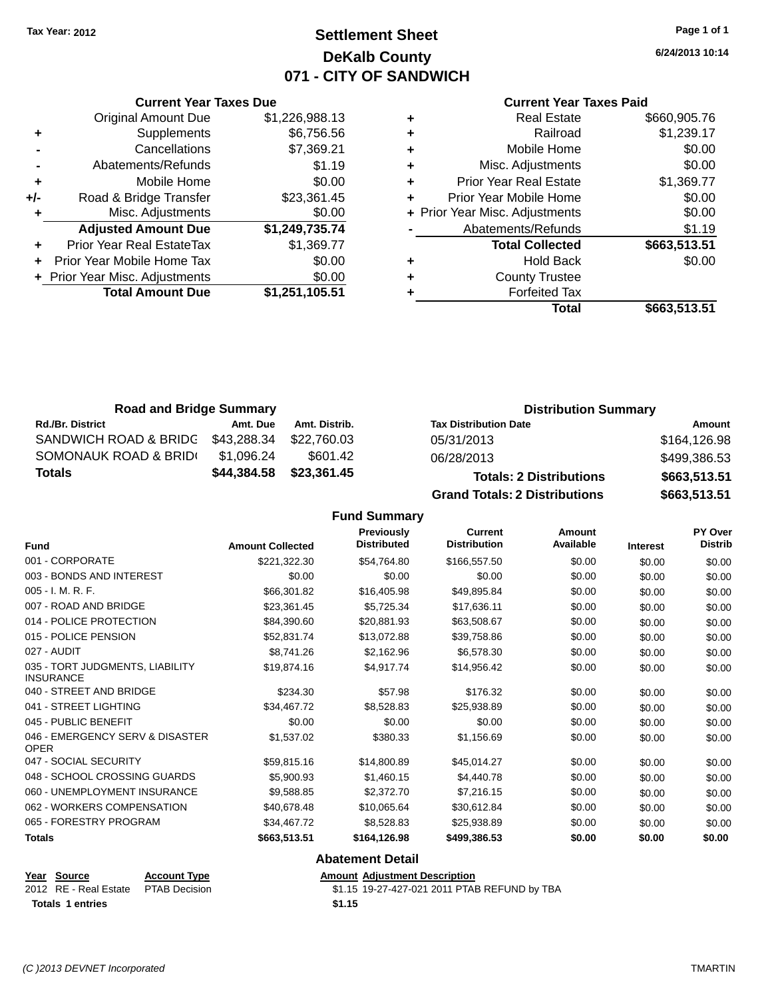### **Settlement Sheet Tax Year: 2012 Page 1 of 1 DeKalb County 071 - CITY OF SANDWICH**

**6/24/2013 10:14**

#### **Current Year Taxes Paid**

|     | <b>Current Year Taxes Due</b>  |                |  |  |
|-----|--------------------------------|----------------|--|--|
|     | <b>Original Amount Due</b>     | \$1,226,988.13 |  |  |
| ٠   | Supplements                    | \$6,756.56     |  |  |
|     | Cancellations                  | \$7,369.21     |  |  |
|     | Abatements/Refunds             | \$1.19         |  |  |
| ٠   | Mobile Home                    | \$0.00         |  |  |
| +/- | Road & Bridge Transfer         | \$23,361.45    |  |  |
| ٠   | Misc. Adjustments              | \$0.00         |  |  |
|     | <b>Adjusted Amount Due</b>     | \$1,249,735.74 |  |  |
|     | Prior Year Real EstateTax      | \$1,369.77     |  |  |
|     | Prior Year Mobile Home Tax     | \$0.00         |  |  |
|     | + Prior Year Misc. Adjustments | \$0.00         |  |  |
|     | <b>Total Amount Due</b>        | \$1,251,105.51 |  |  |
|     |                                |                |  |  |

|   | <b>Real Estate</b>             | \$660,905.76 |
|---|--------------------------------|--------------|
| ÷ | Railroad                       | \$1,239.17   |
| ٠ | Mobile Home                    | \$0.00       |
| ٠ | Misc. Adjustments              | \$0.00       |
| ٠ | <b>Prior Year Real Estate</b>  | \$1,369.77   |
| ÷ | Prior Year Mobile Home         | \$0.00       |
|   | + Prior Year Misc. Adjustments | \$0.00       |
|   | Abatements/Refunds             | \$1.19       |
|   | <b>Total Collected</b>         | \$663,513.51 |
| ٠ | <b>Hold Back</b>               | \$0.00       |
| ٠ | <b>County Trustee</b>          |              |
|   | <b>Forfeited Tax</b>           |              |
|   | Total                          | \$663,513.51 |
|   |                                |              |

| <b>Road and Bridge Summary</b> |             | <b>Distribution Summary</b> |                                |              |
|--------------------------------|-------------|-----------------------------|--------------------------------|--------------|
| <b>Rd./Br. District</b>        | Amt. Due    | Amt. Distrib.               | <b>Tax Distribution Date</b>   | Amount       |
| SANDWICH ROAD & BRIDG          | \$43,288.34 | \$22.760.03                 | 05/31/2013                     | \$164,126.98 |
| SOMONAUK ROAD & BRIDI          | \$1.096.24  | \$601.42                    | 06/28/2013                     | \$499,386.53 |
| <b>Totals</b>                  | \$44,384.58 | \$23,361.45                 | <b>Totals: 2 Distributions</b> | \$663,513.51 |

**Grand Totals: 2 Distributions \$663,513.51**

| IDUIIONS |  |
|----------|--|
| butions  |  |

| <b>Fund</b>                                         | <b>Amount Collected</b> | <b>Previously</b><br><b>Distributed</b> | <b>Current</b><br><b>Distribution</b> | Amount<br>Available | <b>Interest</b> | PY Over<br><b>Distrib</b> |
|-----------------------------------------------------|-------------------------|-----------------------------------------|---------------------------------------|---------------------|-----------------|---------------------------|
| 001 - CORPORATE                                     | \$221,322.30            | \$54,764.80                             | \$166,557.50                          | \$0.00              | \$0.00          | \$0.00                    |
| 003 - BONDS AND INTEREST                            | \$0.00                  | \$0.00                                  | \$0.00                                | \$0.00              | \$0.00          | \$0.00                    |
| 005 - I. M. R. F.                                   | \$66,301.82             | \$16,405.98                             | \$49,895.84                           | \$0.00              | \$0.00          | \$0.00                    |
| 007 - ROAD AND BRIDGE                               | \$23,361.45             | \$5,725.34                              | \$17,636.11                           | \$0.00              | \$0.00          | \$0.00                    |
| 014 - POLICE PROTECTION                             | \$84,390.60             | \$20,881.93                             | \$63,508.67                           | \$0.00              | \$0.00          | \$0.00                    |
| 015 - POLICE PENSION                                | \$52,831.74             | \$13,072.88                             | \$39,758.86                           | \$0.00              | \$0.00          | \$0.00                    |
| 027 - AUDIT                                         | \$8,741.26              | \$2,162.96                              | \$6,578.30                            | \$0.00              | \$0.00          | \$0.00                    |
| 035 - TORT JUDGMENTS, LIABILITY<br><b>INSURANCE</b> | \$19,874.16             | \$4,917.74                              | \$14,956.42                           | \$0.00              | \$0.00          | \$0.00                    |
| 040 - STREET AND BRIDGE                             | \$234.30                | \$57.98                                 | \$176.32                              | \$0.00              | \$0.00          | \$0.00                    |
| 041 - STREET LIGHTING                               | \$34.467.72             | \$8,528.83                              | \$25,938.89                           | \$0.00              | \$0.00          | \$0.00                    |
| 045 - PUBLIC BENEFIT                                | \$0.00                  | \$0.00                                  | \$0.00                                | \$0.00              | \$0.00          | \$0.00                    |
| 046 - EMERGENCY SERV & DISASTER<br><b>OPER</b>      | \$1,537.02              | \$380.33                                | \$1,156.69                            | \$0.00              | \$0.00          | \$0.00                    |
| 047 - SOCIAL SECURITY                               | \$59,815.16             | \$14,800.89                             | \$45,014.27                           | \$0.00              | \$0.00          | \$0.00                    |
| 048 - SCHOOL CROSSING GUARDS                        | \$5,900.93              | \$1,460.15                              | \$4,440.78                            | \$0.00              | \$0.00          | \$0.00                    |
| 060 - UNEMPLOYMENT INSURANCE                        | \$9,588.85              | \$2,372.70                              | \$7,216.15                            | \$0.00              | \$0.00          | \$0.00                    |
| 062 - WORKERS COMPENSATION                          | \$40.678.48             | \$10,065.64                             | \$30,612.84                           | \$0.00              | \$0.00          | \$0.00                    |
| 065 - FORESTRY PROGRAM                              | \$34,467.72             | \$8,528.83                              | \$25,938.89                           | \$0.00              | \$0.00          | \$0.00                    |
| <b>Totals</b>                                       | \$663,513.51            | \$164,126.98                            | \$499,386.53                          | \$0.00              | \$0.00          | \$0.00                    |
|                                                     |                         | <b>Abatement Detail</b>                 |                                       |                     |                 |                           |

| Year Source                         | <b>Account Type</b> | <b>Amount Adjustment Description</b>         |
|-------------------------------------|---------------------|----------------------------------------------|
| 2012 RE - Real Estate PTAB Decision |                     | \$1.15 19-27-427-021 2011 PTAB REFUND by TBA |
| <b>Totals 1 entries</b>             |                     | \$1.15                                       |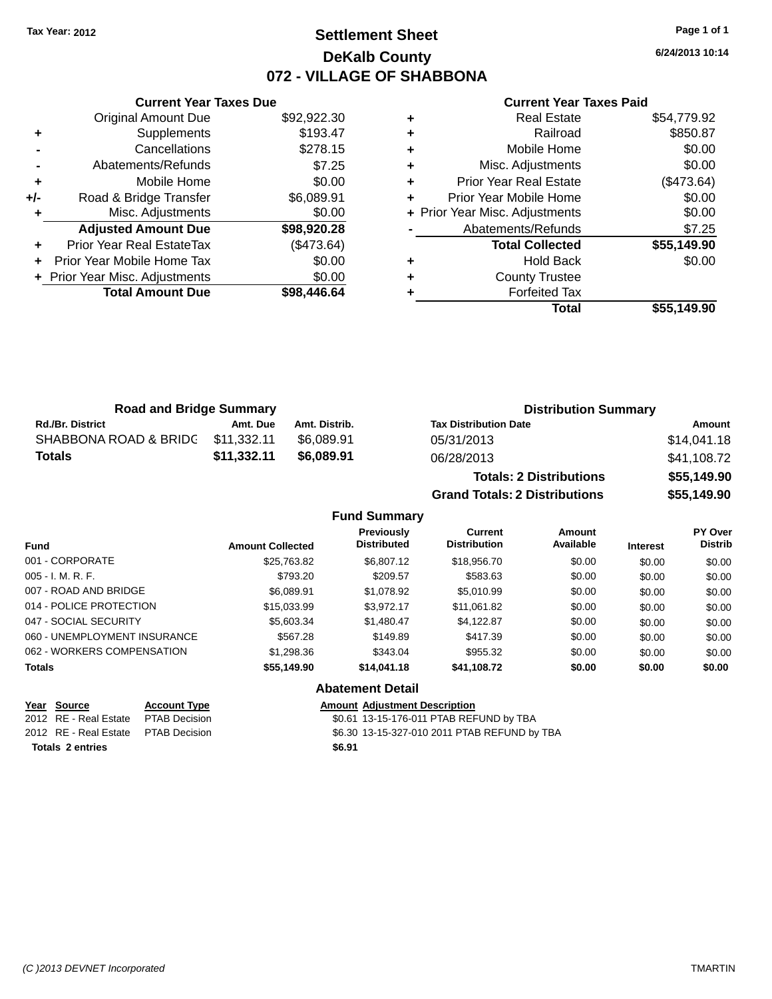### **Settlement Sheet Tax Year: 2012 Page 1 of 1 DeKalb County 072 - VILLAGE OF SHABBONA**

**6/24/2013 10:14**

#### **Current Year Taxes Paid**

|     | <b>Current Year Taxes Due</b>  |             |
|-----|--------------------------------|-------------|
|     | <b>Original Amount Due</b>     | \$92,922.30 |
| ٠   | Supplements                    | \$193.47    |
|     | Cancellations                  | \$278.15    |
|     | Abatements/Refunds             | \$7.25      |
| ٠   | Mobile Home                    | \$0.00      |
| +/- | Road & Bridge Transfer         | \$6,089.91  |
|     | Misc. Adjustments              | \$0.00      |
|     | <b>Adjusted Amount Due</b>     | \$98,920.28 |
| ٠   | Prior Year Real EstateTax      | (\$473.64)  |
|     | Prior Year Mobile Home Tax     | \$0.00      |
|     | + Prior Year Misc. Adjustments | \$0.00      |
|     | <b>Total Amount Due</b>        | \$98,446.64 |
|     |                                |             |

| <b>Real Estate</b>            | \$54,779.92                    |
|-------------------------------|--------------------------------|
| Railroad                      | \$850.87                       |
| Mobile Home                   | \$0.00                         |
| Misc. Adjustments             | \$0.00                         |
| <b>Prior Year Real Estate</b> | (\$473.64)                     |
| Prior Year Mobile Home        | \$0.00                         |
|                               | \$0.00                         |
| Abatements/Refunds            | \$7.25                         |
| <b>Total Collected</b>        | \$55,149.90                    |
| <b>Hold Back</b>              | \$0.00                         |
| <b>County Trustee</b>         |                                |
| <b>Forfeited Tax</b>          |                                |
| Total                         | \$55.149.90                    |
|                               | + Prior Year Misc. Adjustments |

| <b>Road and Bridge Summary</b> |             |               | <b>Distribution Summary</b>  |             |  |
|--------------------------------|-------------|---------------|------------------------------|-------------|--|
| <b>Rd./Br. District</b>        | Amt. Due    | Amt. Distrib. | <b>Tax Distribution Date</b> | Amount      |  |
| SHABBONA ROAD & BRIDC          | \$11.332.11 | \$6.089.91    | 05/31/2013                   | \$14.041.18 |  |
| Totals                         | \$11,332.11 | \$6,089.91    | 06/28/2013                   | \$41,108.72 |  |

| <b>Totals: 2 Distributions</b>       | \$55,149.90 |
|--------------------------------------|-------------|
| <b>Grand Totals: 2 Distributions</b> | \$55,149.90 |

#### **Fund Summary**

| <b>Fund</b>                  | <b>Amount Collected</b> | Previously<br><b>Distributed</b> | Current<br><b>Distribution</b> | Amount<br>Available | <b>Interest</b> | PY Over<br><b>Distrib</b> |
|------------------------------|-------------------------|----------------------------------|--------------------------------|---------------------|-----------------|---------------------------|
| 001 - CORPORATE              | \$25,763.82             | \$6,807.12                       | \$18,956,70                    | \$0.00              | \$0.00          | \$0.00                    |
| $005 - I. M. R. F.$          | \$793.20                | \$209.57                         | \$583.63                       | \$0.00              | \$0.00          | \$0.00                    |
| 007 - ROAD AND BRIDGE        | \$6.089.91              | \$1,078.92                       | \$5,010.99                     | \$0.00              | \$0.00          | \$0.00                    |
| 014 - POLICE PROTECTION      | \$15,033.99             | \$3.972.17                       | \$11,061.82                    | \$0.00              | \$0.00          | \$0.00                    |
| 047 - SOCIAL SECURITY        | \$5,603.34              | \$1,480.47                       | \$4,122.87                     | \$0.00              | \$0.00          | \$0.00                    |
| 060 - UNEMPLOYMENT INSURANCE | \$567.28                | \$149.89                         | \$417.39                       | \$0.00              | \$0.00          | \$0.00                    |
| 062 - WORKERS COMPENSATION   | \$1,298.36              | \$343.04                         | \$955.32                       | \$0.00              | \$0.00          | \$0.00                    |
| <b>Totals</b>                | \$55,149.90             | \$14,041.18                      | \$41,108.72                    | \$0.00              | \$0.00          | \$0.00                    |

#### **Abatement Detail**

**Year Source Account Type Account Type Amount Adjustment Description**<br>2012 RE - Real Estate PTAB Decision **Amount 1998** 13-15-176-011 PTAB REF \$0.61 13-15-176-011 PTAB REFUND by TBA 2012 RE - Real Estate \$6.30 13-15-327-010 2011 PTAB REFUND by TBA PTAB Decision **Totals \$6.91 2 entries**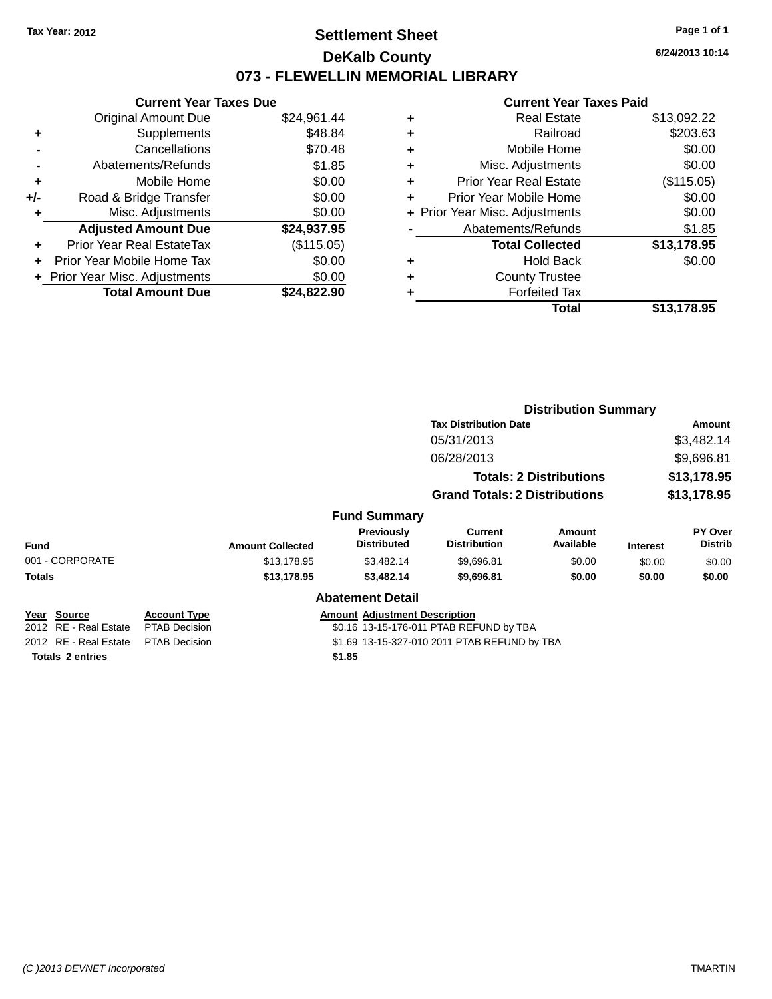### **Settlement Sheet Tax Year: 2012 Page 1 of 1 DeKalb County 073 - FLEWELLIN MEMORIAL LIBRARY**

**6/24/2013 10:14**

### **Current Year Taxes Paid**

|     | <b>Current Year Taxes Due</b>  |             |
|-----|--------------------------------|-------------|
|     | <b>Original Amount Due</b>     | \$24,961.44 |
| ٠   | Supplements                    | \$48.84     |
|     | Cancellations                  | \$70.48     |
|     | Abatements/Refunds             | \$1.85      |
| ٠   | Mobile Home                    | \$0.00      |
| +/- | Road & Bridge Transfer         | \$0.00      |
|     | Misc. Adjustments              | \$0.00      |
|     | <b>Adjusted Amount Due</b>     | \$24,937.95 |
| ٠   | Prior Year Real EstateTax      | (\$115.05)  |
|     | Prior Year Mobile Home Tax     | \$0.00      |
|     | + Prior Year Misc. Adjustments | \$0.00      |
|     | <b>Total Amount Due</b>        | \$24,822.90 |
|     |                                |             |

| ٠ | <b>Real Estate</b>             | \$13,092.22 |
|---|--------------------------------|-------------|
| ٠ | Railroad                       | \$203.63    |
| ٠ | Mobile Home                    | \$0.00      |
| ٠ | Misc. Adjustments              | \$0.00      |
| ٠ | <b>Prior Year Real Estate</b>  | (\$115.05)  |
| ٠ | Prior Year Mobile Home         | \$0.00      |
|   | + Prior Year Misc. Adjustments | \$0.00      |
|   | Abatements/Refunds             | \$1.85      |
|   | <b>Total Collected</b>         | \$13,178.95 |
| ٠ | Hold Back                      | \$0.00      |
| ٠ | <b>County Trustee</b>          |             |
|   | <b>Forfeited Tax</b>           |             |
|   | Total                          | \$13,178.95 |
|   |                                |             |

|                         |                      |                         |                                      |                                              | <b>Distribution Summary</b>    |                 |                           |
|-------------------------|----------------------|-------------------------|--------------------------------------|----------------------------------------------|--------------------------------|-----------------|---------------------------|
|                         |                      |                         |                                      | <b>Tax Distribution Date</b>                 |                                |                 | Amount                    |
|                         |                      |                         |                                      | 05/31/2013                                   |                                |                 | \$3,482.14                |
|                         |                      |                         |                                      | 06/28/2013                                   |                                |                 | \$9,696.81                |
|                         |                      |                         |                                      |                                              | <b>Totals: 2 Distributions</b> |                 | \$13,178.95               |
|                         |                      |                         |                                      | <b>Grand Totals: 2 Distributions</b>         |                                |                 | \$13,178.95               |
|                         |                      |                         | <b>Fund Summary</b>                  |                                              |                                |                 |                           |
| Fund                    |                      | <b>Amount Collected</b> | Previously<br><b>Distributed</b>     | Current<br><b>Distribution</b>               | <b>Amount</b><br>Available     | <b>Interest</b> | PY Over<br><b>Distrib</b> |
| 001 - CORPORATE         |                      | \$13,178.95             | \$3,482.14                           | \$9,696.81                                   | \$0.00                         | \$0.00          | \$0.00                    |
| Totals                  |                      | \$13,178.95             | \$3,482.14                           | \$9,696.81                                   | \$0.00                         | \$0.00          | \$0.00                    |
|                         |                      |                         | <b>Abatement Detail</b>              |                                              |                                |                 |                           |
| Year Source             | <b>Account Type</b>  |                         | <b>Amount Adjustment Description</b> |                                              |                                |                 |                           |
| 2012 RE - Real Estate   | <b>PTAB Decision</b> |                         |                                      | \$0.16 13-15-176-011 PTAB REFUND by TBA      |                                |                 |                           |
| 2012 RE - Real Estate   | <b>PTAB Decision</b> |                         |                                      | \$1.69 13-15-327-010 2011 PTAB REFUND by TBA |                                |                 |                           |
| <b>Totals 2 entries</b> |                      |                         | \$1.85                               |                                              |                                |                 |                           |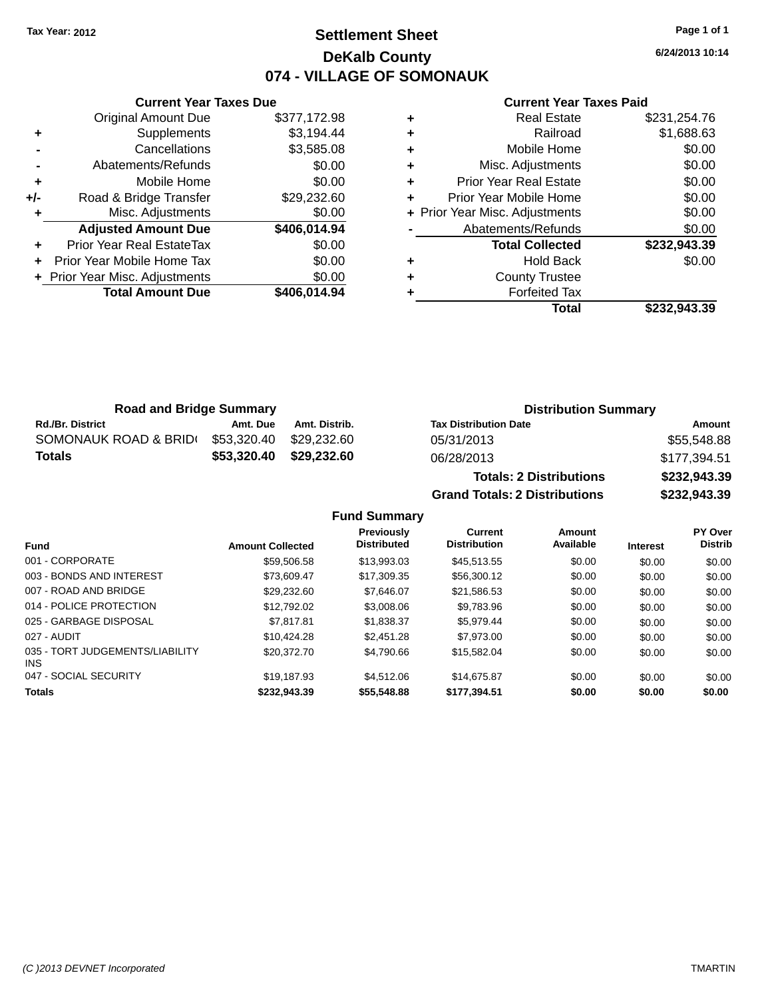### **Settlement Sheet Tax Year: 2012 Page 1 of 1 DeKalb County 074 - VILLAGE OF SOMONAUK**

**Current Year Taxes Due** Original Amount Due \$377,172.98 **+** Supplements \$3,194.44 **-** Cancellations \$3,585.08 **-** Abatements/Refunds \$0.00 **+** Mobile Home \$0.00 **+/-** Road & Bridge Transfer \$29,232.60 **+** Misc. Adjustments \$0.00 **Adjusted Amount Due \$406,014.94 +** Prior Year Real EstateTax \$0.00 **+** Prior Year Mobile Home Tax \$0.00 **+ Prior Year Misc. Adjustments**  $$0.00$ 

**Total Amount Due \$406,014.94**

#### **Current Year Taxes Paid**

|   | <b>Real Estate</b>             | \$231,254.76 |
|---|--------------------------------|--------------|
| ٠ | Railroad                       | \$1,688.63   |
| ٠ | Mobile Home                    | \$0.00       |
| ٠ | Misc. Adjustments              | \$0.00       |
|   | Prior Year Real Estate         | \$0.00       |
|   | Prior Year Mobile Home         | \$0.00       |
|   | + Prior Year Misc. Adjustments | \$0.00       |
|   | Abatements/Refunds             | \$0.00       |
|   | <b>Total Collected</b>         | \$232,943.39 |
| ٠ | Hold Back                      | \$0.00       |
|   | <b>County Trustee</b>          |              |
|   | <b>Forfeited Tax</b>           |              |
|   | Total                          | \$232,943.39 |
|   |                                |              |

| <b>Road and Bridge Summary</b> |             |               | <b>Distribution Summary</b>  |              |  |
|--------------------------------|-------------|---------------|------------------------------|--------------|--|
| <b>Rd./Br. District</b>        | Amt. Due    | Amt. Distrib. | <b>Tax Distribution Date</b> | Amount       |  |
| SOMONAUK ROAD & BRIDI          | \$53.320.40 | \$29.232.60   | 05/31/2013                   | \$55,548.88  |  |
| <b>Totals</b>                  | \$53.320.40 | \$29.232.60   | 06/28/2013                   | \$177,394.51 |  |
|                                |             |               |                              |              |  |

**Totals: 2 Distributions \$232,943.39 Grand Totals: 2 Distributions \$232,943.39**

| <b>Fund</b>                                   | <b>Amount Collected</b> | <b>Previously</b><br><b>Distributed</b> | <b>Current</b><br><b>Distribution</b> | Amount<br>Available | <b>Interest</b> | <b>PY Over</b><br><b>Distrib</b> |
|-----------------------------------------------|-------------------------|-----------------------------------------|---------------------------------------|---------------------|-----------------|----------------------------------|
| 001 - CORPORATE                               | \$59,506.58             | \$13,993.03                             | \$45.513.55                           | \$0.00              | \$0.00          | \$0.00                           |
| 003 - BONDS AND INTEREST                      | \$73,609.47             | \$17.309.35                             | \$56,300.12                           | \$0.00              | \$0.00          | \$0.00                           |
| 007 - ROAD AND BRIDGE                         | \$29.232.60             | \$7.646.07                              | \$21.586.53                           | \$0.00              | \$0.00          | \$0.00                           |
| 014 - POLICE PROTECTION                       | \$12.792.02             | \$3,008.06                              | \$9.783.96                            | \$0.00              | \$0.00          | \$0.00                           |
| 025 - GARBAGE DISPOSAL                        | \$7.817.81              | \$1.838.37                              | \$5.979.44                            | \$0.00              | \$0.00          | \$0.00                           |
| 027 - AUDIT                                   | \$10.424.28             | \$2,451.28                              | \$7,973,00                            | \$0.00              | \$0.00          | \$0.00                           |
| 035 - TORT JUDGEMENTS/LIABILITY<br><b>INS</b> | \$20,372.70             | \$4,790.66                              | \$15.582.04                           | \$0.00              | \$0.00          | \$0.00                           |
| 047 - SOCIAL SECURITY                         | \$19.187.93             | \$4,512.06                              | \$14,675.87                           | \$0.00              | \$0.00          | \$0.00                           |
| <b>Totals</b>                                 | \$232.943.39            | \$55,548.88                             | \$177.394.51                          | \$0.00              | \$0.00          | \$0.00                           |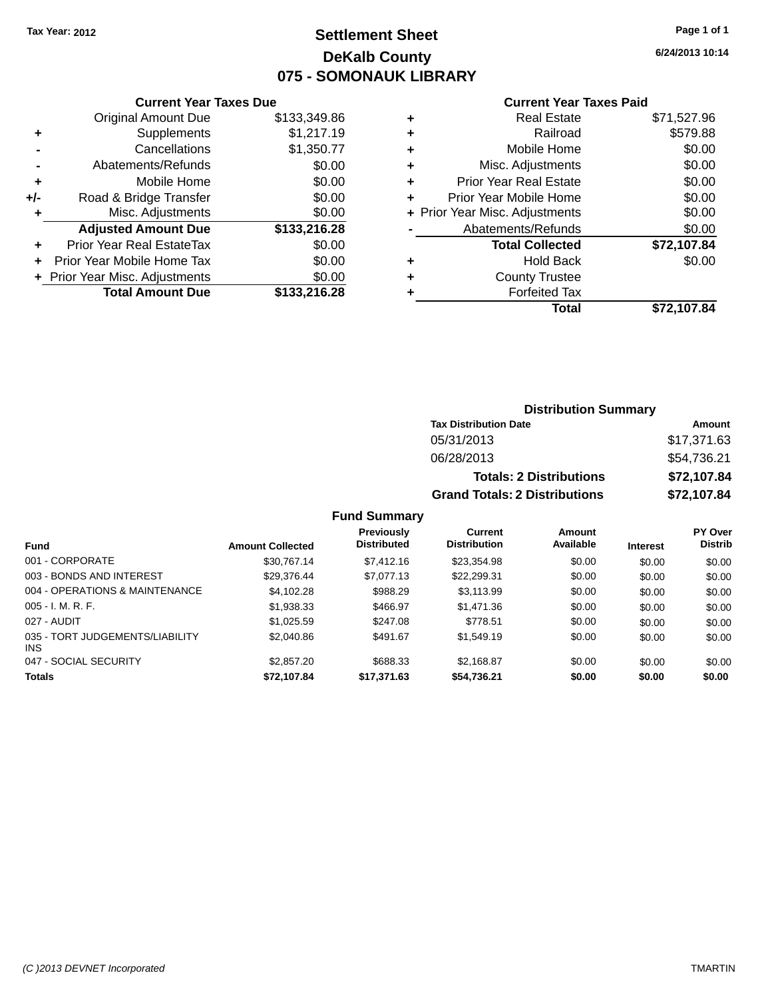### **Settlement Sheet Tax Year: 2012 Page 1 of 1 DeKalb County 075 - SOMONAUK LIBRARY**

**6/24/2013 10:14**

| \$133,349.86 |  |  |  |
|--------------|--|--|--|
| \$1,217.19   |  |  |  |
| \$1,350.77   |  |  |  |
| \$0.00       |  |  |  |
| \$0.00       |  |  |  |
| \$0.00       |  |  |  |
| \$0.00       |  |  |  |
| \$133,216.28 |  |  |  |
| \$0.00       |  |  |  |
| \$0.00       |  |  |  |
| \$0.00       |  |  |  |
| \$133,216.28 |  |  |  |
|              |  |  |  |

#### **Current Year Taxes Paid**

|   | <b>Real Estate</b>             | \$71,527.96 |
|---|--------------------------------|-------------|
| ٠ | Railroad                       | \$579.88    |
| ٠ | Mobile Home                    | \$0.00      |
| ٠ | Misc. Adjustments              | \$0.00      |
| ٠ | <b>Prior Year Real Estate</b>  | \$0.00      |
| ÷ | Prior Year Mobile Home         | \$0.00      |
|   | + Prior Year Misc. Adjustments | \$0.00      |
|   | Abatements/Refunds             | \$0.00      |
|   | <b>Total Collected</b>         | \$72,107.84 |
| ٠ | Hold Back                      | \$0.00      |
| ٠ | <b>County Trustee</b>          |             |
| ٠ | <b>Forfeited Tax</b>           |             |
|   | Total                          | \$72,107.84 |
|   |                                |             |

### **Distribution Summary Tax Distribution Date Amount** 05/31/2013 \$17,371.63 06/28/2013 \$54,736.21 **Totals: 2 Distributions \$72,107.84 Grand Totals: 2 Distributions \$72,107.84**

| <b>Fund</b>                            | <b>Amount Collected</b> | Previously<br><b>Distributed</b> | <b>Current</b><br><b>Distribution</b> | Amount<br>Available | <b>Interest</b> | <b>PY Over</b><br><b>Distrib</b> |
|----------------------------------------|-------------------------|----------------------------------|---------------------------------------|---------------------|-----------------|----------------------------------|
| 001 - CORPORATE                        | \$30,767.14             | \$7,412.16                       | \$23,354.98                           | \$0.00              | \$0.00          | \$0.00                           |
| 003 - BONDS AND INTEREST               | \$29.376.44             | \$7.077.13                       | \$22,299.31                           | \$0.00              | \$0.00          | \$0.00                           |
| 004 - OPERATIONS & MAINTENANCE         | \$4.102.28              | \$988.29                         | \$3.113.99                            | \$0.00              | \$0.00          | \$0.00                           |
| $005 - I. M. R. F.$                    | \$1,938.33              | \$466.97                         | \$1,471.36                            | \$0.00              | \$0.00          | \$0.00                           |
| 027 - AUDIT                            | \$1.025.59              | \$247.08                         | \$778.51                              | \$0.00              | \$0.00          | \$0.00                           |
| 035 - TORT JUDGEMENTS/LIABILITY<br>INS | \$2,040.86              | \$491.67                         | \$1,549.19                            | \$0.00              | \$0.00          | \$0.00                           |
| 047 - SOCIAL SECURITY                  | \$2,857,20              | \$688.33                         | \$2,168.87                            | \$0.00              | \$0.00          | \$0.00                           |
| <b>Totals</b>                          | \$72,107.84             | \$17,371.63                      | \$54,736.21                           | \$0.00              | \$0.00          | \$0.00                           |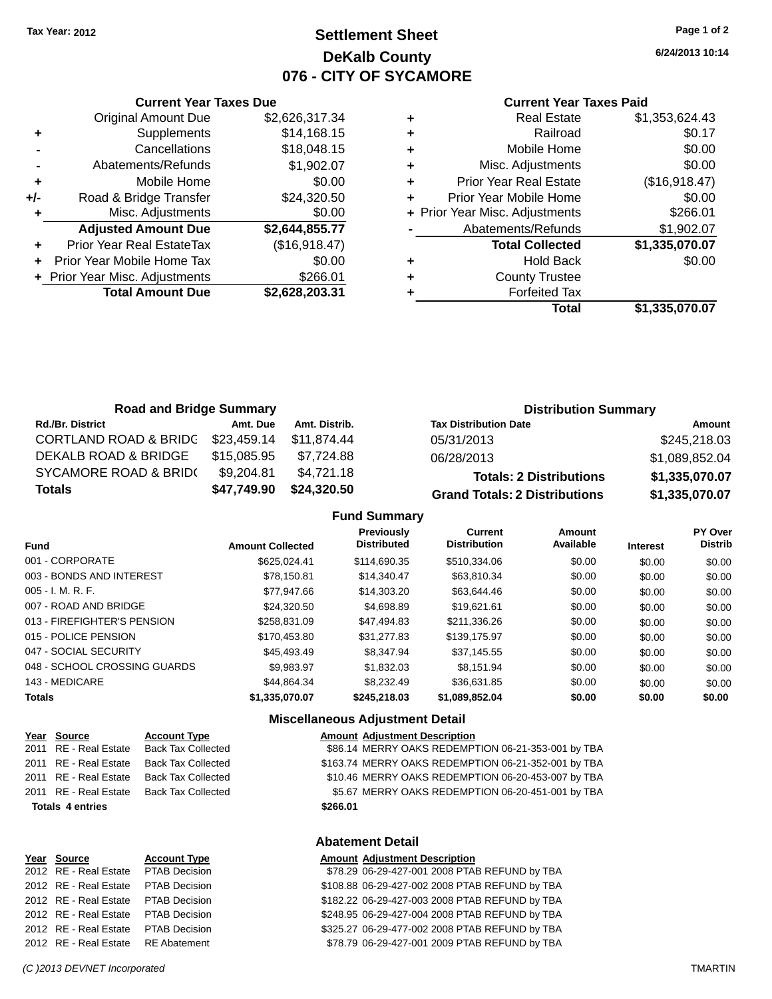## **Settlement Sheet Tax Year: 2012 Page 1 of 2 DeKalb County 076 - CITY OF SYCAMORE**

**6/24/2013 10:14**

#### **Current Year Taxes Paid**

|     | <b>Current Year Taxes Due</b>  |                |
|-----|--------------------------------|----------------|
|     | <b>Original Amount Due</b>     | \$2,626,317.34 |
| ٠   | Supplements                    | \$14,168.15    |
|     | Cancellations                  | \$18,048.15    |
|     | Abatements/Refunds             | \$1,902.07     |
| ٠   | Mobile Home                    | \$0.00         |
| +/- | Road & Bridge Transfer         | \$24,320.50    |
|     | Misc. Adjustments              | \$0.00         |
|     | <b>Adjusted Amount Due</b>     | \$2,644,855.77 |
|     | Prior Year Real EstateTax      | (\$16,918.47)  |
|     | Prior Year Mobile Home Tax     | \$0.00         |
|     | + Prior Year Misc. Adjustments | \$266.01       |
|     | <b>Total Amount Due</b>        | \$2,628,203.31 |
|     |                                |                |

| ٠ | <b>Real Estate</b>             | \$1,353,624.43 |
|---|--------------------------------|----------------|
| ٠ | Railroad                       | \$0.17         |
| ٠ | Mobile Home                    | \$0.00         |
| ٠ | Misc. Adjustments              | \$0.00         |
| ٠ | <b>Prior Year Real Estate</b>  | (\$16,918.47)  |
| ٠ | Prior Year Mobile Home         | \$0.00         |
|   | + Prior Year Misc. Adjustments | \$266.01       |
|   | Abatements/Refunds             | \$1,902.07     |
|   | <b>Total Collected</b>         | \$1,335,070.07 |
| ٠ | <b>Hold Back</b>               | \$0.00         |
| ٠ | <b>County Trustee</b>          |                |
| ٠ | <b>Forfeited Tax</b>           |                |
|   | Total                          | \$1,335,070.07 |
|   |                                |                |

| <b>Road and Bridge Summary</b>   |             |               | <b>Distribution Summary</b>          |                |  |
|----------------------------------|-------------|---------------|--------------------------------------|----------------|--|
| <b>Rd./Br. District</b>          | Amt. Due    | Amt. Distrib. | <b>Tax Distribution Date</b>         | Amount         |  |
| <b>CORTLAND ROAD &amp; BRIDG</b> | \$23,459.14 | \$11.874.44   | 05/31/2013                           | \$245,218.03   |  |
| DEKALB ROAD & BRIDGE             | \$15,085.95 | \$7.724.88    | 06/28/2013                           | \$1,089,852.04 |  |
| SYCAMORE ROAD & BRID(            | \$9,204.81  | \$4,721.18    | <b>Totals: 2 Distributions</b>       | \$1,335,070.07 |  |
| <b>Totals</b>                    | \$47,749.90 | \$24,320.50   | <b>Grand Totals: 2 Distributions</b> | \$1,335,070.07 |  |

#### **Fund Summary**

| Fund                         | <b>Amount Collected</b> | Previously<br><b>Distributed</b> | Current<br><b>Distribution</b> | Amount<br>Available | <b>Interest</b> | PY Over<br><b>Distrib</b> |
|------------------------------|-------------------------|----------------------------------|--------------------------------|---------------------|-----------------|---------------------------|
| 001 - CORPORATE              | \$625.024.41            | \$114,690.35                     | \$510,334,06                   | \$0.00              | \$0.00          | \$0.00                    |
| 003 - BONDS AND INTEREST     | \$78.150.81             | \$14,340.47                      | \$63,810,34                    | \$0.00              | \$0.00          | \$0.00                    |
| $005 - I. M. R. F.$          | \$77.947.66             | \$14,303,20                      | \$63.644.46                    | \$0.00              | \$0.00          | \$0.00                    |
| 007 - ROAD AND BRIDGE        | \$24,320.50             | \$4,698.89                       | \$19.621.61                    | \$0.00              | \$0.00          | \$0.00                    |
| 013 - FIREFIGHTER'S PENSION  | \$258.831.09            | \$47.494.83                      | \$211,336,26                   | \$0.00              | \$0.00          | \$0.00                    |
| 015 - POLICE PENSION         | \$170,453.80            | \$31,277.83                      | \$139,175.97                   | \$0.00              | \$0.00          | \$0.00                    |
| 047 - SOCIAL SECURITY        | \$45,493.49             | \$8,347.94                       | \$37,145.55                    | \$0.00              | \$0.00          | \$0.00                    |
| 048 - SCHOOL CROSSING GUARDS | \$9.983.97              | \$1,832.03                       | \$8.151.94                     | \$0.00              | \$0.00          | \$0.00                    |
| 143 - MEDICARE               | \$44.864.34             | \$8,232.49                       | \$36.631.85                    | \$0.00              | \$0.00          | \$0.00                    |
| <b>Totals</b>                | \$1,335,070,07          | \$245.218.03                     | \$1,089,852.04                 | \$0.00              | \$0.00          | \$0.00                    |

#### **Miscellaneous Adjustment Detail**

| Year Source             | <b>Account Type</b>       | <b>Amount Adjustment Description</b>                |
|-------------------------|---------------------------|-----------------------------------------------------|
| 2011 RE - Real Estate   | <b>Back Tax Collected</b> | \$86.14 MERRY OAKS REDEMPTION 06-21-353-001 by TBA  |
| 2011 RE - Real Estate   | <b>Back Tax Collected</b> | \$163.74 MERRY OAKS REDEMPTION 06-21-352-001 by TBA |
| 2011 RE - Real Estate   | <b>Back Tax Collected</b> | \$10.46 MERRY OAKS REDEMPTION 06-20-453-007 by TBA  |
| 2011 RE - Real Estate   | <b>Back Tax Collected</b> | \$5.67 MERRY OAKS REDEMPTION 06-20-451-001 by TBA   |
| <b>Totals 4 entries</b> |                           | \$266.01                                            |
|                         |                           |                                                     |

| Year Source                        | <b>Account Type</b>  |
|------------------------------------|----------------------|
| 2012 RE - Real Estate              | <b>PTAB Decision</b> |
| 2012 RE - Real Estate              | <b>PTAB Decision</b> |
| 2012 RE - Real Estate              | <b>PTAB Decision</b> |
| 2012 RE - Real Estate              | <b>PTAB Decision</b> |
| 2012 RE - Real Estate              | <b>PTAB Decision</b> |
| 2012 RE - Real Estate RE Abatement |                      |

**Abatement Detail**

#### **Amount Adjustment Description**

| 2012 RE - Real Estate  PTAB Decision | \$78.29 06-29-427-001 2008 PTAB REFUND by TBA  |
|--------------------------------------|------------------------------------------------|
| 2012 RE - Real Estate  PTAB Decision | \$108.88 06-29-427-002 2008 PTAB REFUND by TBA |
| 2012 RE - Real Estate PTAB Decision  | \$182.22 06-29-427-003 2008 PTAB REFUND by TBA |
| 2012 RE - Real Estate PTAB Decision  | \$248.95 06-29-427-004 2008 PTAB REFUND by TBA |
| 2012 RE - Real Estate PTAB Decision  | \$325.27 06-29-477-002 2008 PTAB REFUND by TBA |
| 2012 RE - Real Estate RE Abatement   | \$78.79 06-29-427-001 2009 PTAB REFUND by TBA  |
|                                      |                                                |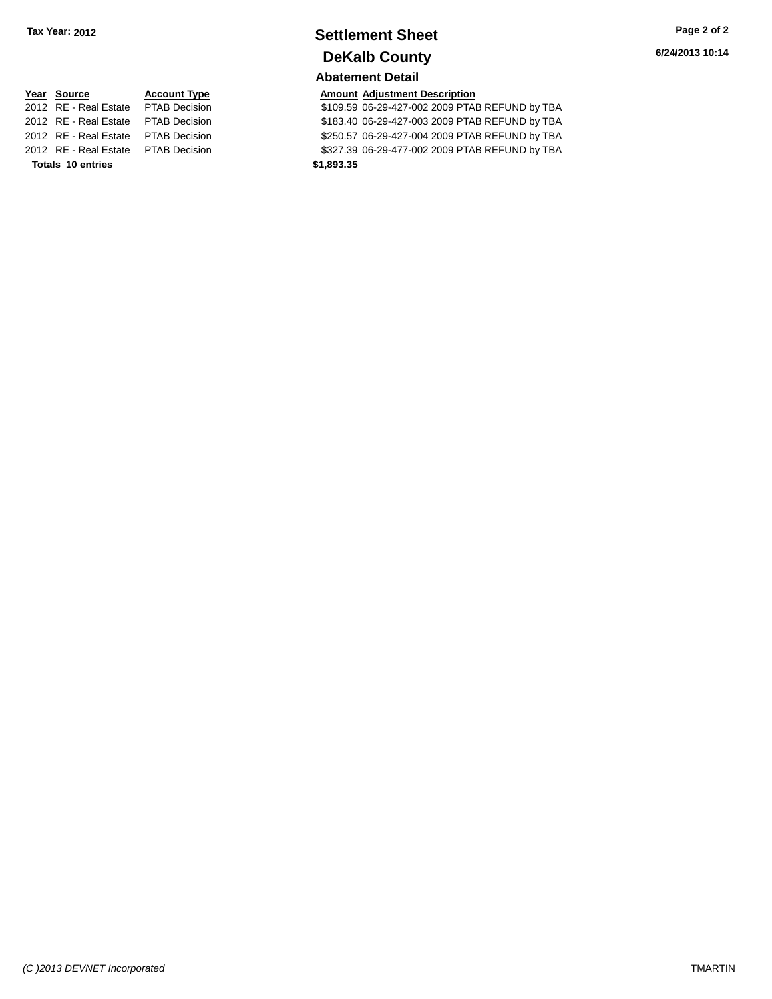## **Settlement Sheet Tax Year: 2012 Page 2 of 2 DeKalb County**

#### **Abatement Detail**

\$109.59 06-29-427-002 2009 PTAB REFUND by TBA 2012 RE - Real Estate \$183.40 06-29-427-003 2009 PTAB REFUND by TBA PTAB Decision 2012 RE - Real Estate \$250.57 06-29-427-004 2009 PTAB REFUND by TBA PTAB Decision 2012 RE - Real Estate \$327.39 06-29-477-002 2009 PTAB REFUND by TBA PTAB Decision

**Year Source Account Type Amount Adjustment Description**<br>2012 RE - Real Estate PTAB Decision **Amount 3109.59 06-29-427-002 2009 PTA Totals \$1,893.35 10 entries**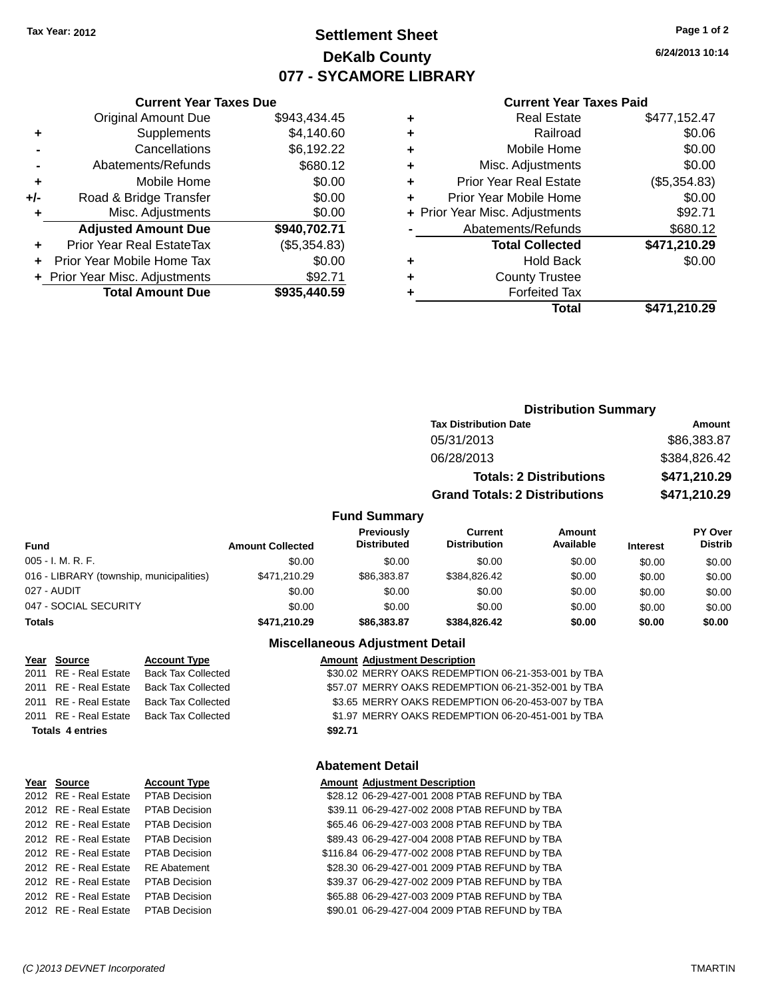## **Settlement Sheet Tax Year: 2012 Page 1 of 2 DeKalb County 077 - SYCAMORE LIBRARY**

**6/24/2013 10:14**

#### **Current Year Taxes Paid**

|     | <b>Current Year Taxes Due</b>  |              |
|-----|--------------------------------|--------------|
|     | <b>Original Amount Due</b>     | \$943.434.45 |
| ٠   | Supplements                    | \$4,140.60   |
|     | Cancellations                  | \$6,192.22   |
|     | Abatements/Refunds             | \$680.12     |
| ٠   | Mobile Home                    | \$0.00       |
| +/- | Road & Bridge Transfer         | \$0.00       |
| ٠   | Misc. Adjustments              | \$0.00       |
|     | <b>Adjusted Amount Due</b>     | \$940,702.71 |
| ٠   | Prior Year Real EstateTax      | (\$5,354.83) |
|     | Prior Year Mobile Home Tax     | \$0.00       |
|     | + Prior Year Misc. Adjustments | \$92.71      |
|     | <b>Total Amount Due</b>        | \$935,440.59 |
|     |                                |              |

|   | <b>Real Estate</b>             | \$477,152.47 |
|---|--------------------------------|--------------|
| ٠ | Railroad                       | \$0.06       |
| ٠ | Mobile Home                    | \$0.00       |
| ٠ | Misc. Adjustments              | \$0.00       |
| ٠ | <b>Prior Year Real Estate</b>  | (\$5,354.83) |
| ÷ | Prior Year Mobile Home         | \$0.00       |
|   | + Prior Year Misc. Adjustments | \$92.71      |
|   | Abatements/Refunds             | \$680.12     |
|   | <b>Total Collected</b>         | \$471,210.29 |
| ٠ | <b>Hold Back</b>               | \$0.00       |
| ٠ | <b>County Trustee</b>          |              |
|   | <b>Forfeited Tax</b>           |              |
|   | Total                          | \$471,210.29 |
|   |                                |              |

## **Distribution Summary Tax Distribution Date Amount** 05/31/2013 \$86,383.87 06/28/2013 \$384,826.42 **Totals: 2 Distributions \$471,210.29 Grand Totals: 2 Distributions \$471,210.29**

#### **Fund Summary**

| Fund                                     | <b>Amount Collected</b> | <b>Previously</b><br><b>Distributed</b> | Current<br><b>Distribution</b> | Amount<br>Available | <b>Interest</b> | PY Over<br><b>Distrib</b> |
|------------------------------------------|-------------------------|-----------------------------------------|--------------------------------|---------------------|-----------------|---------------------------|
| 005 - I. M. R. F.                        | \$0.00                  | \$0.00                                  | \$0.00                         | \$0.00              | \$0.00          | \$0.00                    |
| 016 - LIBRARY (township, municipalities) | \$471.210.29            | \$86,383,87                             | \$384.826.42                   | \$0.00              | \$0.00          | \$0.00                    |
| 027 - AUDIT                              | \$0.00                  | \$0.00                                  | \$0.00                         | \$0.00              | \$0.00          | \$0.00                    |
| 047 - SOCIAL SECURITY                    | \$0.00                  | \$0.00                                  | \$0.00                         | \$0.00              | \$0.00          | \$0.00                    |
| <b>Totals</b>                            | \$471,210.29            | \$86,383,87                             | \$384.826.42                   | \$0.00              | \$0.00          | \$0.00                    |

#### **Miscellaneous Adjustment Detail**

#### Year Source **Account Type AGGET Adjustment Description** 2011 RE - Real Estate Back Tax Collected \$30.02 MERRY OAKS REDEMPTION 06-21-353-001 by TBA 2011 RE - Real Estate Back Tax Collected **\$57.07 MERRY OAKS REDEMPTION 06-21-352-001 by TBA** 2011 RE - Real Estate Back Tax Collected \$3.65 MERRY OAKS REDEMPTION 06-20-453-007 by TBA 2011 RE - Real Estate Back Tax Collected \$1.97 MERRY OAKS REDEMPTION 06-20-451-001 by TBA **Totals \$92.71 4 entries**

#### **Abatement Detail**

#### **Year Source Account Type Amount Adjustment Description**

| \$28.12 06-29-427-001 2008 PTAB REFUND by TBA  |
|------------------------------------------------|
| \$39.11 06-29-427-002 2008 PTAB REFUND by TBA  |
| \$65.46 06-29-427-003 2008 PTAB REFUND by TBA  |
| \$89.43 06-29-427-004 2008 PTAB REFUND by TBA  |
| \$116.84 06-29-477-002 2008 PTAB REFUND by TBA |
| \$28.30 06-29-427-001 2009 PTAB REFUND by TBA  |
| \$39.37 06-29-427-002 2009 PTAB REFUND by TBA  |
| \$65.88 06-29-427-003 2009 PTAB REFUND by TBA  |
| \$90.01 06-29-427-004 2009 PTAB REFUND by TBA  |

2012 RE - Real Estate PTAB Decision 2012 RE - Real Estate PTAB Decision 2012 RE - Real Estate \$65.46 06-29-427-003 2008 PTAB REFUND by TBA PTAB Decision 2012 RE - Real Estate PTAB Decision 2012 RE - Real Estate PTAB Decision 2012 RE - Real Estate RE Abatement 2012 RE - Real Estate PTAB Decision 2012 RE - Real Estate PTAB Decision 2012 RE - Real Estate PTAB Decision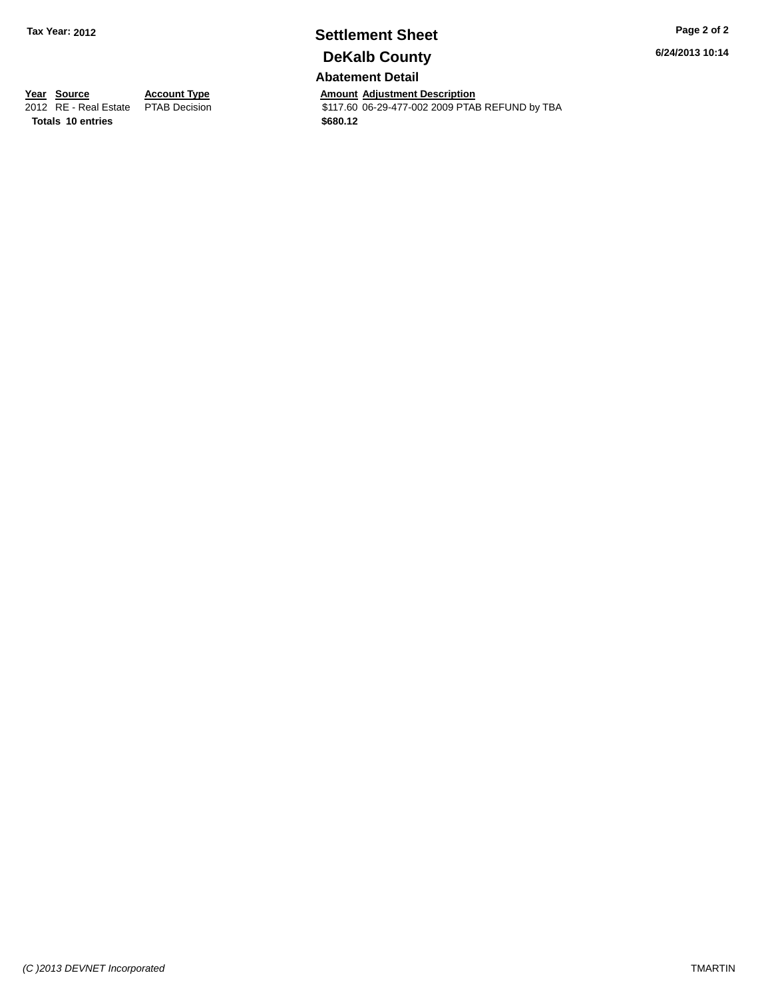## **Settlement Sheet Tax Year: 2012 Page 2 of 2 DeKalb County**

**Abatement Detail**

**Year Source Account Type Account Type Amount Adjustment Description**<br>2012 RE - Real Estate PTAB Decision **Amount 17.60 06-29-477-002 2009 PTA** \$117.60 06-29-477-002 2009 PTAB REFUND by TBA **Totals \$680.12 10 entries**

**6/24/2013 10:14**

*(C )2013 DEVNET Incorporated* TMARTIN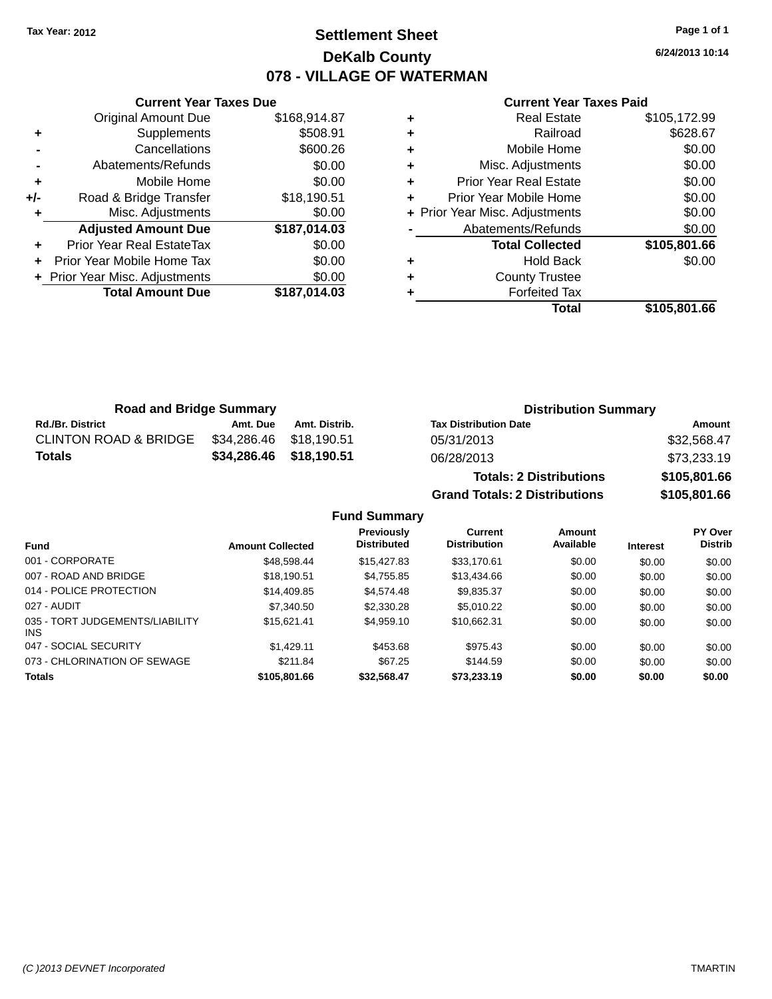## **Settlement Sheet Tax Year: 2012 Page 1 of 1 DeKalb County 078 - VILLAGE OF WATERMAN**

**6/24/2013 10:14**

#### **Current Year Taxes Paid**

|     | <b>Current Year Taxes Due</b>  |              |
|-----|--------------------------------|--------------|
|     | <b>Original Amount Due</b>     | \$168,914.87 |
| ٠   | Supplements                    | \$508.91     |
|     | Cancellations                  | \$600.26     |
|     | Abatements/Refunds             | \$0.00       |
| ٠   | Mobile Home                    | \$0.00       |
| +/- | Road & Bridge Transfer         | \$18,190.51  |
| ٠   | Misc. Adjustments              | \$0.00       |
|     | <b>Adjusted Amount Due</b>     | \$187,014.03 |
| ٠   | Prior Year Real EstateTax      | \$0.00       |
| ÷   | Prior Year Mobile Home Tax     | \$0.00       |
|     | + Prior Year Misc. Adjustments | \$0.00       |
|     | <b>Total Amount Due</b>        | \$187,014.03 |
|     |                                |              |

|   | <b>Real Estate</b>             | \$105,172.99 |
|---|--------------------------------|--------------|
| ÷ | Railroad                       | \$628.67     |
| ٠ | Mobile Home                    | \$0.00       |
| ٠ | Misc. Adjustments              | \$0.00       |
| ٠ | Prior Year Real Estate         | \$0.00       |
|   | Prior Year Mobile Home         | \$0.00       |
|   | + Prior Year Misc. Adjustments | \$0.00       |
|   | Abatements/Refunds             | \$0.00       |
|   | <b>Total Collected</b>         | \$105,801.66 |
| ٠ | Hold Back                      | \$0.00       |
| ٠ | <b>County Trustee</b>          |              |
|   | <b>Forfeited Tax</b>           |              |
|   | Total                          | \$105,801.66 |
|   |                                |              |

**Grand Totals: 2 Distributions \$105,801.66**

| <b>Road and Bridge Summary</b>   |                         |               | <b>Distribution Summary</b>    |              |  |
|----------------------------------|-------------------------|---------------|--------------------------------|--------------|--|
| <b>Rd./Br. District</b>          | Amt. Due                | Amt. Distrib. | <b>Tax Distribution Date</b>   | Amount       |  |
| <b>CLINTON ROAD &amp; BRIDGE</b> | \$34,286.46 \$18,190.51 |               | 05/31/2013                     | \$32,568.47  |  |
| <b>Totals</b>                    | \$34,286.46 \$18,190.51 |               | 06/28/2013                     | \$73,233.19  |  |
|                                  |                         |               | <b>Totals: 2 Distributions</b> | \$105,801.66 |  |

**Fund Summary Fund Interest Amount Collected Distributed PY Over Distrib Amount Available Current Distribution Previously** 001 - CORPORATE \$48,598.44 \$15,427.83 \$33,170.61 \$0.00 \$0.00 \$0.00 007 - ROAD AND BRIDGE 60.00 \$18,190.51 \$4,755.85 \$13,434.66 \$0.00 \$0.00 \$0.00 \$0.00 014 - POLICE PROTECTION \$14,409.85 \$4,574.48 \$9,835.37 \$0.00 \$0.00 \$0.00 \$0.00 027 - AUDIT \$7,340.50 \$2,330.28 \$5,010.22 \$0.00 \$0.00 \$0.00 035 - TORT JUDGEMENTS/LIABILITY INS \$15,621.41 \$4,959.10 \$10,662.31 \$0.00 \$0.00 \$0.00 047 - SOCIAL SECURITY \$1,429.11 \$453.68 \$975.43 \$0.00 \$0.00 \$0.00 073 - CHLORINATION OF SEWAGE \$211.84 \$67.25 \$144.59 \$0.00 \$0.00 \$0.00 \$0.00 **Totals \$105,801.66 \$32,568.47 \$73,233.19 \$0.00 \$0.00 \$0.00**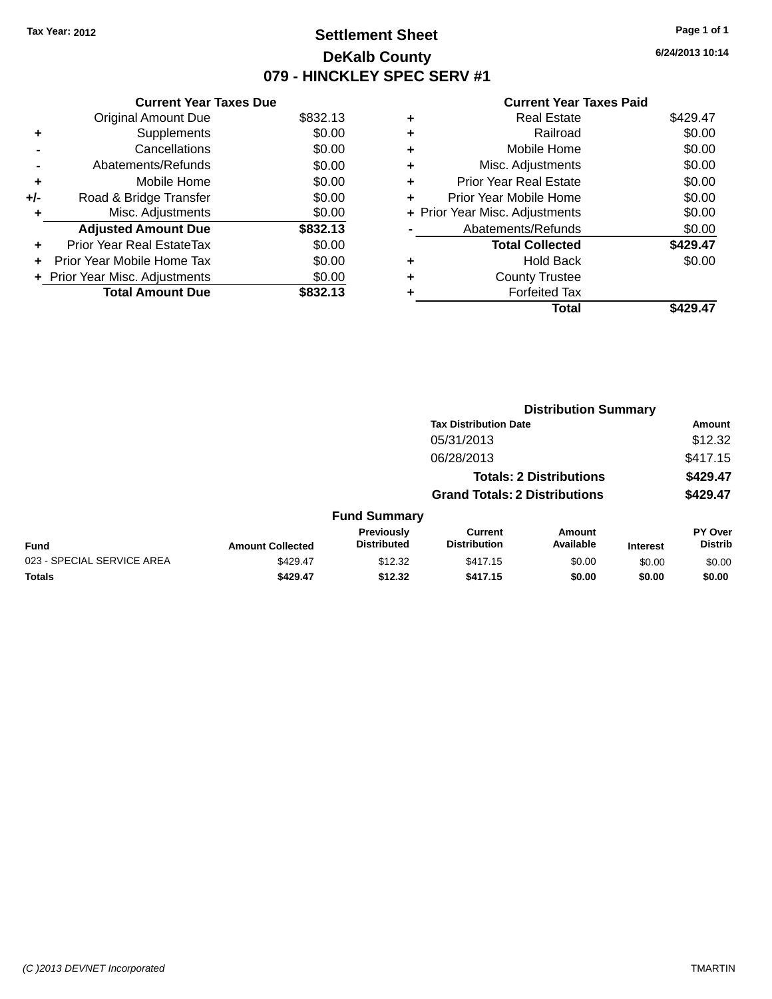## **Settlement Sheet Tax Year: 2012 Page 1 of 1 DeKalb County 079 - HINCKLEY SPEC SERV #1**

**6/24/2013 10:14**

|     | <b>Current Year Taxes Due</b>  |          |
|-----|--------------------------------|----------|
|     | <b>Original Amount Due</b>     | \$832.13 |
| ÷   | Supplements                    | \$0.00   |
|     | Cancellations                  | \$0.00   |
|     | Abatements/Refunds             | \$0.00   |
| ٠   | Mobile Home                    | \$0.00   |
| +/- | Road & Bridge Transfer         | \$0.00   |
| ٠   | Misc. Adjustments              | \$0.00   |
|     | <b>Adjusted Amount Due</b>     | \$832.13 |
| ÷   | Prior Year Real EstateTax      | \$0.00   |
| ÷   | Prior Year Mobile Home Tax     | \$0.00   |
|     | + Prior Year Misc. Adjustments | \$0.00   |
|     | <b>Total Amount Due</b>        | \$832.13 |

|   | <b>Real Estate</b>             | \$429.47 |
|---|--------------------------------|----------|
| ٠ | Railroad                       | \$0.00   |
| ٠ | Mobile Home                    | \$0.00   |
| ٠ | Misc. Adjustments              | \$0.00   |
| ٠ | <b>Prior Year Real Estate</b>  | \$0.00   |
| ٠ | Prior Year Mobile Home         | \$0.00   |
|   | + Prior Year Misc. Adjustments | \$0.00   |
|   | Abatements/Refunds             | \$0.00   |
|   | <b>Total Collected</b>         | \$429.47 |
| ٠ | <b>Hold Back</b>               | \$0.00   |
| ٠ | <b>County Trustee</b>          |          |
| ٠ | <b>Forfeited Tax</b>           |          |
|   | Total                          | \$429.47 |
|   |                                |          |

|                            |                         |                                  | <b>Distribution Summary</b>           |                                |                 |                                  |  |
|----------------------------|-------------------------|----------------------------------|---------------------------------------|--------------------------------|-----------------|----------------------------------|--|
|                            |                         |                                  | <b>Tax Distribution Date</b>          |                                |                 | Amount                           |  |
|                            |                         |                                  | 05/31/2013                            |                                |                 | \$12.32                          |  |
|                            |                         |                                  | 06/28/2013                            |                                |                 | \$417.15                         |  |
|                            |                         |                                  |                                       | <b>Totals: 2 Distributions</b> |                 | \$429.47                         |  |
|                            |                         |                                  | <b>Grand Totals: 2 Distributions</b>  |                                |                 | \$429.47                         |  |
|                            |                         | <b>Fund Summary</b>              |                                       |                                |                 |                                  |  |
| Fund                       | <b>Amount Collected</b> | Previously<br><b>Distributed</b> | <b>Current</b><br><b>Distribution</b> | Amount<br>Available            | <b>Interest</b> | <b>PY Over</b><br><b>Distrib</b> |  |
| 023 - SPECIAL SERVICE AREA | \$429.47                | \$12.32                          | \$417.15                              | \$0.00                         | \$0.00          | \$0.00                           |  |
| <b>Totals</b>              | \$429.47                | \$12.32                          | \$417.15                              | \$0.00                         | \$0.00          | \$0.00                           |  |
|                            |                         |                                  |                                       |                                |                 |                                  |  |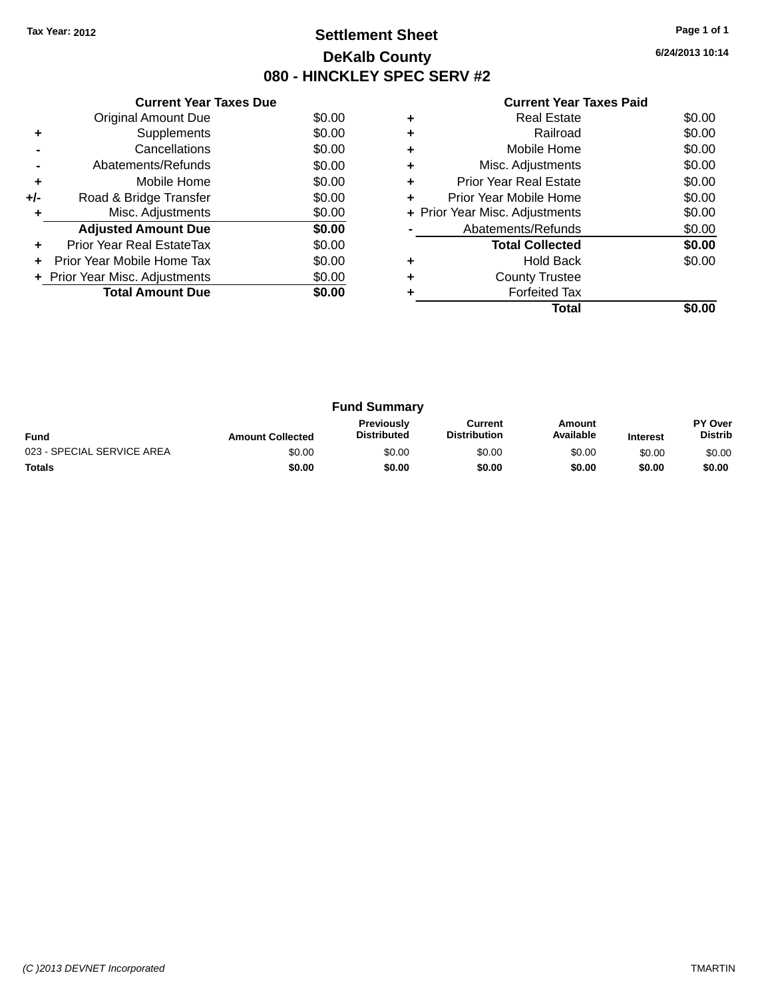## **Settlement Sheet Tax Year: 2012 Page 1 of 1 DeKalb County 080 - HINCKLEY SPEC SERV #2**

**6/24/2013 10:14**

|     | <b>Current Year Taxes Due</b>  |        |
|-----|--------------------------------|--------|
|     | <b>Original Amount Due</b>     | \$0.00 |
| ٠   | Supplements                    | \$0.00 |
|     | Cancellations                  | \$0.00 |
|     | Abatements/Refunds             | \$0.00 |
| ٠   | Mobile Home                    | \$0.00 |
| +/- | Road & Bridge Transfer         | \$0.00 |
|     | Misc. Adjustments              | \$0.00 |
|     | <b>Adjusted Amount Due</b>     | \$0.00 |
| ÷   | Prior Year Real EstateTax      | \$0.00 |
|     | Prior Year Mobile Home Tax     | \$0.00 |
|     | + Prior Year Misc. Adjustments | \$0.00 |
|     | <b>Total Amount Due</b>        | \$0.00 |
|     |                                |        |

|   | <b>Real Estate</b>             | \$0.00 |
|---|--------------------------------|--------|
| ٠ | Railroad                       | \$0.00 |
| ٠ | Mobile Home                    | \$0.00 |
| ٠ | Misc. Adjustments              | \$0.00 |
| ٠ | <b>Prior Year Real Estate</b>  | \$0.00 |
| ٠ | Prior Year Mobile Home         | \$0.00 |
|   | + Prior Year Misc. Adjustments | \$0.00 |
|   | Abatements/Refunds             | \$0.00 |
|   | <b>Total Collected</b>         | \$0.00 |
|   | Hold Back                      | \$0.00 |
| ٠ | <b>County Trustee</b>          |        |
|   | <b>Forfeited Tax</b>           |        |
|   | Total                          |        |

| <b>Fund Summary</b>        |                         |                                         |                                |                     |                 |                           |
|----------------------------|-------------------------|-----------------------------------------|--------------------------------|---------------------|-----------------|---------------------------|
| <b>Fund</b>                | <b>Amount Collected</b> | <b>Previously</b><br><b>Distributed</b> | Current<br><b>Distribution</b> | Amount<br>Available | <b>Interest</b> | PY Over<br><b>Distrib</b> |
| 023 - SPECIAL SERVICE AREA | \$0.00                  | \$0.00                                  | \$0.00                         | \$0.00              | \$0.00          | \$0.00                    |
| <b>Totals</b>              | \$0.00                  | \$0.00                                  | \$0.00                         | \$0.00              | \$0.00          | \$0.00                    |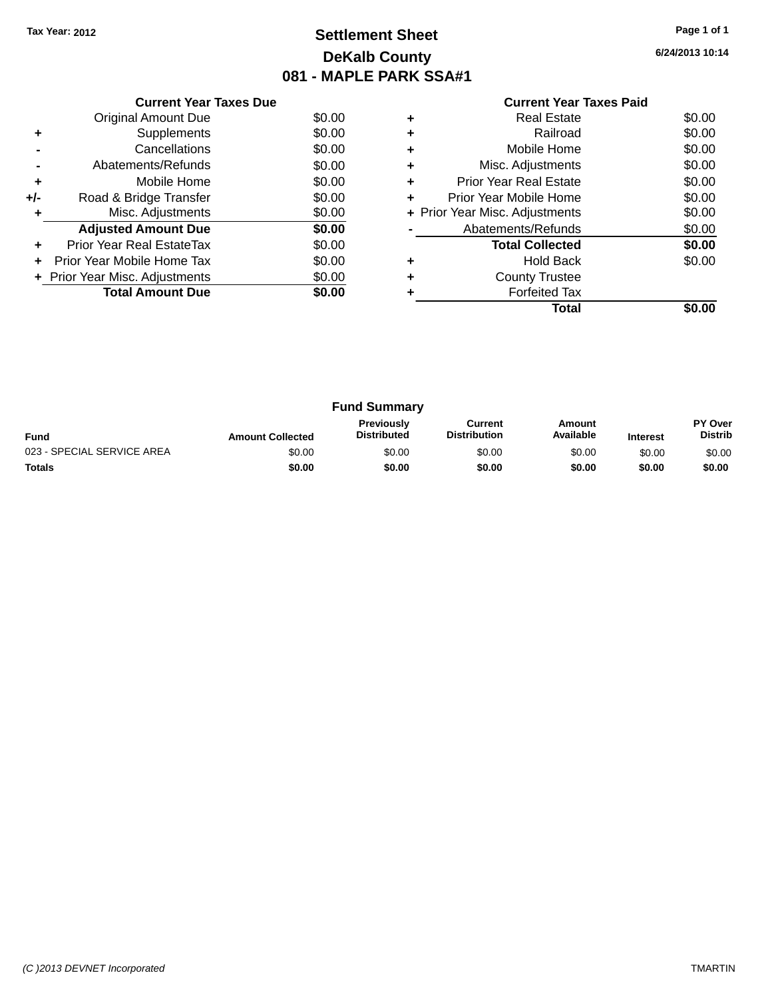## **Settlement Sheet Tax Year: 2012 Page 1 of 1 DeKalb County 081 - MAPLE PARK SSA#1**

**6/24/2013 10:14**

|     | <b>Current Year Taxes Due</b>  |        |
|-----|--------------------------------|--------|
|     | <b>Original Amount Due</b>     | \$0.00 |
| ٠   | Supplements                    | \$0.00 |
|     | Cancellations                  | \$0.00 |
|     | Abatements/Refunds             | \$0.00 |
| ÷   | Mobile Home                    | \$0.00 |
| +/- | Road & Bridge Transfer         | \$0.00 |
| ٠   | Misc. Adjustments              | \$0.00 |
|     | <b>Adjusted Amount Due</b>     | \$0.00 |
| ÷   | Prior Year Real EstateTax      | \$0.00 |
|     | Prior Year Mobile Home Tax     | \$0.00 |
|     | + Prior Year Misc. Adjustments | \$0.00 |
|     | <b>Total Amount Due</b>        | \$0.00 |
|     |                                |        |

|   | Real Estate                    | \$0.00 |
|---|--------------------------------|--------|
| ٠ | Railroad                       | \$0.00 |
| ٠ | Mobile Home                    | \$0.00 |
| ٠ | Misc. Adjustments              | \$0.00 |
| ٠ | <b>Prior Year Real Estate</b>  | \$0.00 |
| ٠ | Prior Year Mobile Home         | \$0.00 |
|   | + Prior Year Misc. Adjustments | \$0.00 |
|   | Abatements/Refunds             | \$0.00 |
|   | <b>Total Collected</b>         | \$0.00 |
| ٠ | Hold Back                      | \$0.00 |
| ٠ | <b>County Trustee</b>          |        |
|   | <b>Forfeited Tax</b>           |        |
|   | Total                          |        |

| <b>Fund Summary</b>        |                         |                                         |                                |                     |                 |                                  |
|----------------------------|-------------------------|-----------------------------------------|--------------------------------|---------------------|-----------------|----------------------------------|
| <b>Fund</b>                | <b>Amount Collected</b> | <b>Previously</b><br><b>Distributed</b> | Current<br><b>Distribution</b> | Amount<br>Available | <b>Interest</b> | <b>PY Over</b><br><b>Distrib</b> |
| 023 - SPECIAL SERVICE AREA | \$0.00                  | \$0.00                                  | \$0.00                         | \$0.00              | \$0.00          | \$0.00                           |
| <b>Totals</b>              | \$0.00                  | \$0.00                                  | \$0.00                         | \$0.00              | \$0.00          | \$0.00                           |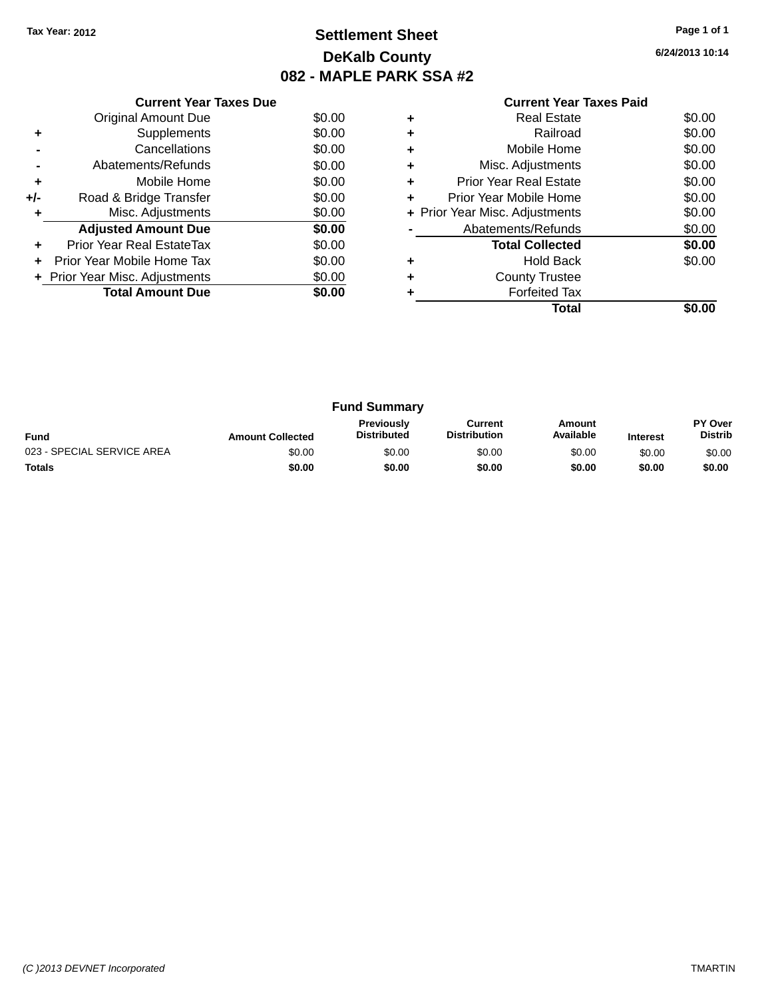## **Settlement Sheet Tax Year: 2012 Page 1 of 1 DeKalb County 082 - MAPLE PARK SSA #2**

**6/24/2013 10:14**

|     | <b>Current Year Taxes Due</b>  |        |
|-----|--------------------------------|--------|
|     | <b>Original Amount Due</b>     | \$0.00 |
| ٠   | Supplements                    | \$0.00 |
|     | Cancellations                  | \$0.00 |
|     | Abatements/Refunds             | \$0.00 |
| ٠   | Mobile Home                    | \$0.00 |
| +/- | Road & Bridge Transfer         | \$0.00 |
| ٠   | Misc. Adjustments              | \$0.00 |
|     | <b>Adjusted Amount Due</b>     | \$0.00 |
|     | Prior Year Real EstateTax      | \$0.00 |
|     | Prior Year Mobile Home Tax     | \$0.00 |
|     | + Prior Year Misc. Adjustments | \$0.00 |
|     | <b>Total Amount Due</b>        | \$0.00 |
|     |                                |        |

|   | <b>Real Estate</b>             | \$0.00 |
|---|--------------------------------|--------|
| ٠ | Railroad                       | \$0.00 |
| ٠ | Mobile Home                    | \$0.00 |
| ٠ | Misc. Adjustments              | \$0.00 |
| ٠ | <b>Prior Year Real Estate</b>  | \$0.00 |
| ٠ | Prior Year Mobile Home         | \$0.00 |
|   | + Prior Year Misc. Adjustments | \$0.00 |
|   | Abatements/Refunds             | \$0.00 |
|   | <b>Total Collected</b>         | \$0.00 |
|   | <b>Hold Back</b>               | \$0.00 |
| ٠ | <b>County Trustee</b>          |        |
|   | <b>Forfeited Tax</b>           |        |
|   | Total                          |        |

| <b>Fund Summary</b>        |                         |                                  |                                |                     |                 |                                  |
|----------------------------|-------------------------|----------------------------------|--------------------------------|---------------------|-----------------|----------------------------------|
| <b>Fund</b>                | <b>Amount Collected</b> | Previously<br><b>Distributed</b> | Current<br><b>Distribution</b> | Amount<br>Available | <b>Interest</b> | <b>PY Over</b><br><b>Distrib</b> |
| 023 - SPECIAL SERVICE AREA | \$0.00                  | \$0.00                           | \$0.00                         | \$0.00              | \$0.00          | \$0.00                           |
| <b>Totals</b>              | \$0.00                  | \$0.00                           | \$0.00                         | \$0.00              | \$0.00          | \$0.00                           |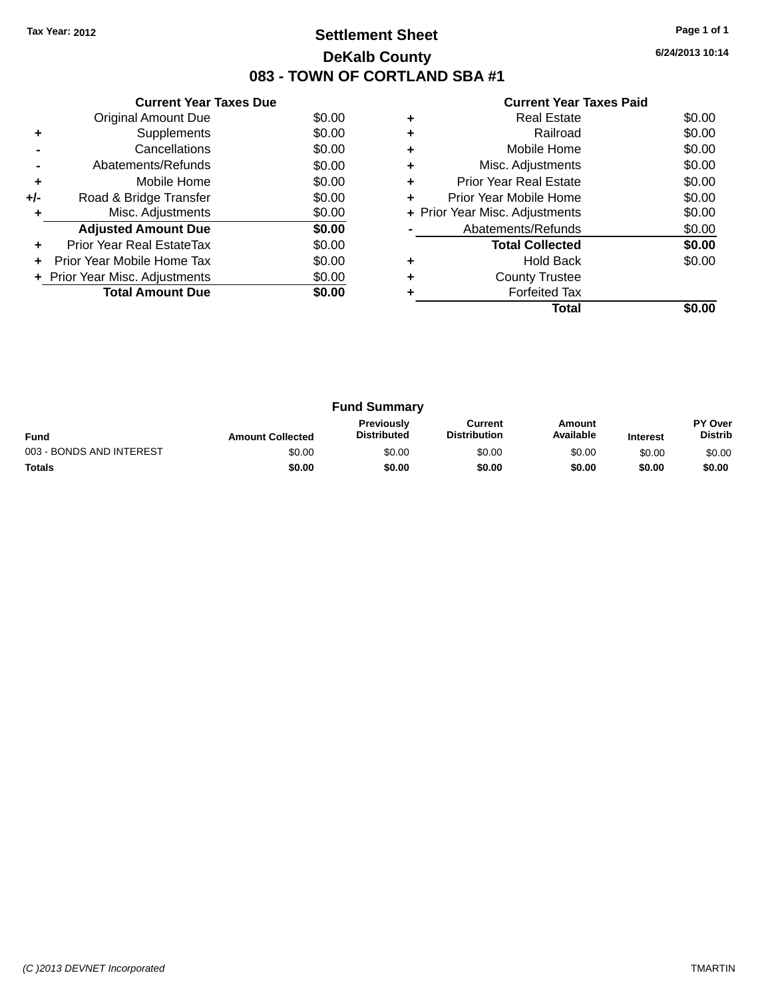## **Settlement Sheet Tax Year: 2012 Page 1 of 1 DeKalb County 083 - TOWN OF CORTLAND SBA #1**

**6/24/2013 10:14**

|     | <b>Current Year Taxes Due</b>  |        |
|-----|--------------------------------|--------|
|     | Original Amount Due            | \$0.00 |
| ٠   | Supplements                    | \$0.00 |
|     | Cancellations                  | \$0.00 |
|     | Abatements/Refunds             | \$0.00 |
| ٠   | Mobile Home                    | \$0.00 |
| +/- | Road & Bridge Transfer         | \$0.00 |
| ٠   | Misc. Adjustments              | \$0.00 |
|     | <b>Adjusted Amount Due</b>     | \$0.00 |
| ÷   | Prior Year Real EstateTax      | \$0.00 |
| ÷   | Prior Year Mobile Home Tax     | \$0.00 |
|     | + Prior Year Misc. Adjustments | \$0.00 |
|     | <b>Total Amount Due</b>        | \$0.00 |
|     |                                |        |

|   | <b>Real Estate</b>             | \$0.00 |
|---|--------------------------------|--------|
| ٠ | Railroad                       | \$0.00 |
| ٠ | Mobile Home                    | \$0.00 |
| ٠ | Misc. Adjustments              | \$0.00 |
| ٠ | <b>Prior Year Real Estate</b>  | \$0.00 |
| ٠ | Prior Year Mobile Home         | \$0.00 |
|   | + Prior Year Misc. Adjustments | \$0.00 |
|   | Abatements/Refunds             | \$0.00 |
|   | <b>Total Collected</b>         | \$0.00 |
|   | Hold Back                      | \$0.00 |
| ٠ | <b>County Trustee</b>          |        |
|   | <b>Forfeited Tax</b>           |        |
|   | Total                          |        |

| <b>Fund Summary</b>      |                         |                                         |                                |                     |                 |                           |
|--------------------------|-------------------------|-----------------------------------------|--------------------------------|---------------------|-----------------|---------------------------|
| <b>Fund</b>              | <b>Amount Collected</b> | <b>Previously</b><br><b>Distributed</b> | Current<br><b>Distribution</b> | Amount<br>Available | <b>Interest</b> | PY Over<br><b>Distrib</b> |
| 003 - BONDS AND INTEREST | \$0.00                  | \$0.00                                  | \$0.00                         | \$0.00              | \$0.00          | \$0.00                    |
| <b>Totals</b>            | \$0.00                  | \$0.00                                  | \$0.00                         | \$0.00              | \$0.00          | \$0.00                    |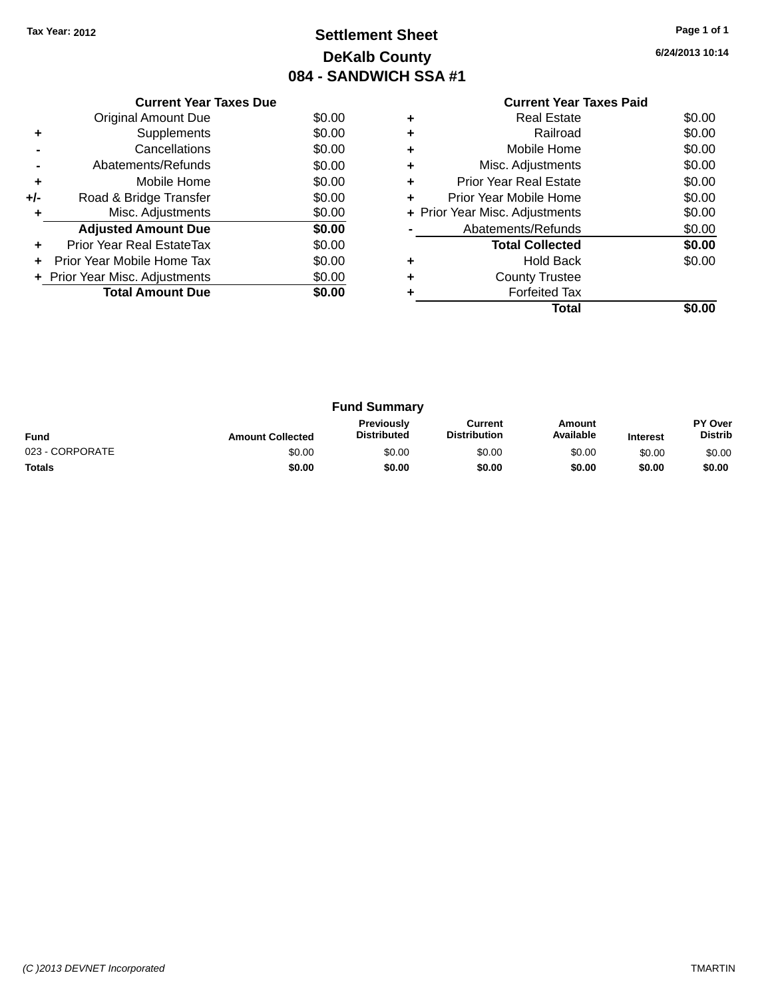## **Settlement Sheet Tax Year: 2012 Page 1 of 1 DeKalb County 084 - SANDWICH SSA #1**

**6/24/2013 10:14**

|     | <b>Current Year Taxes Due</b>  |        |
|-----|--------------------------------|--------|
|     | Original Amount Due            | \$0.00 |
|     | Supplements                    | \$0.00 |
|     | Cancellations                  | \$0.00 |
|     | Abatements/Refunds             | \$0.00 |
| ٠   | Mobile Home                    | \$0.00 |
| +/- | Road & Bridge Transfer         | \$0.00 |
| ٠   | Misc. Adjustments              | \$0.00 |
|     | <b>Adjusted Amount Due</b>     | \$0.00 |
| ÷   | Prior Year Real EstateTax      | \$0.00 |
| ÷   | Prior Year Mobile Home Tax     | \$0.00 |
|     | + Prior Year Misc. Adjustments | \$0.00 |
|     | <b>Total Amount Due</b>        | \$0.00 |
|     |                                |        |

#### **Current Year Taxes Paid +** Real Estate \$0.00 **+** Railroad \$0.00 **+** Mobile Home \$0.00 **+** Misc. Adjustments \$0.00 **+** Prior Year Real Estate \$0.00 **+** Prior Year Mobile Home \$0.00<br> **+** Prior Year Misc. Adjustments \$0.00 **+ Prior Year Misc. Adjustments -** Abatements/Refunds \$0.00 **Total Collected \$0.00 +** Hold Back \$0.00 **+** County Trustee **+** Forfeited Tax **Total \$0.00**

| <b>Fund Summary</b> |                         |                                         |                                |                     |                 |                           |
|---------------------|-------------------------|-----------------------------------------|--------------------------------|---------------------|-----------------|---------------------------|
| <b>Fund</b>         | <b>Amount Collected</b> | <b>Previously</b><br><b>Distributed</b> | Current<br><b>Distribution</b> | Amount<br>Available | <b>Interest</b> | PY Over<br><b>Distrib</b> |
| 023 - CORPORATE     | \$0.00                  | \$0.00                                  | \$0.00                         | \$0.00              | \$0.00          | \$0.00                    |
| <b>Totals</b>       | \$0.00                  | \$0.00                                  | \$0.00                         | \$0.00              | \$0.00          | \$0.00                    |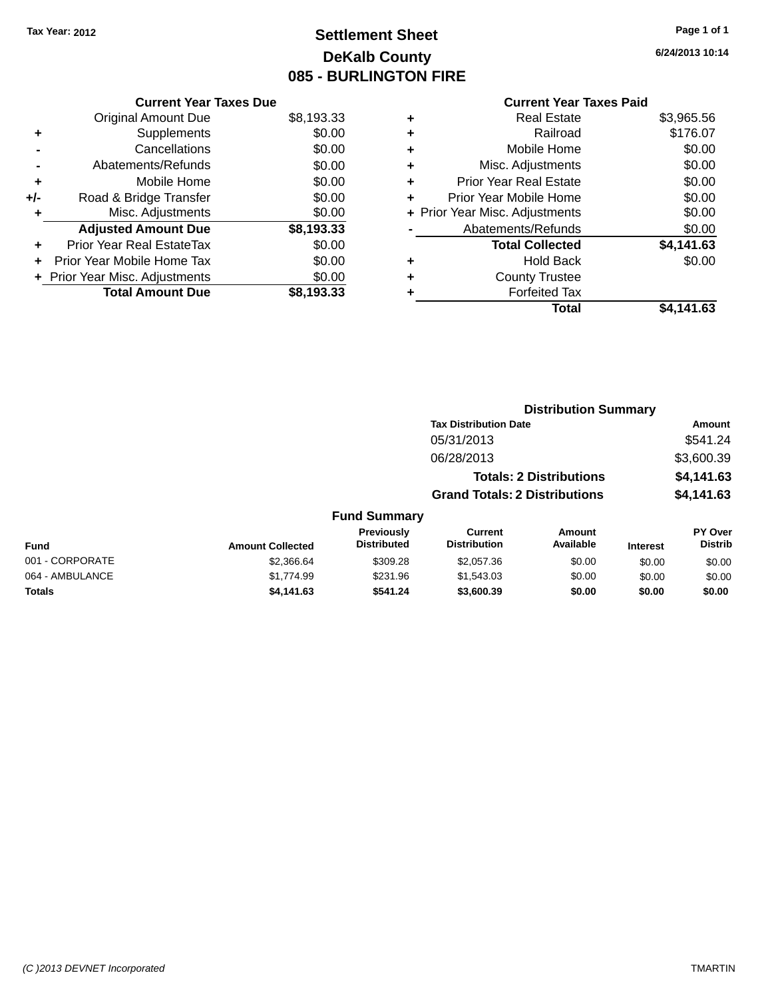## **Settlement Sheet Tax Year: 2012 Page 1 of 1 DeKalb County 085 - BURLINGTON FIRE**

**6/24/2013 10:14**

|     | <b>Current Year Taxes Due</b> |            |
|-----|-------------------------------|------------|
|     | <b>Original Amount Due</b>    | \$8,193.33 |
| ÷   | Supplements                   | \$0.00     |
|     | Cancellations                 | \$0.00     |
|     | Abatements/Refunds            | \$0.00     |
| ٠   | Mobile Home                   | \$0.00     |
| +/- | Road & Bridge Transfer        | \$0.00     |
|     | Misc. Adjustments             | \$0.00     |
|     | <b>Adjusted Amount Due</b>    | \$8,193.33 |
| ÷   | Prior Year Real EstateTax     | \$0.00     |
|     | Prior Year Mobile Home Tax    | \$0.00     |
|     | Prior Year Misc. Adjustments  | \$0.00     |
|     | <b>Total Amount Due</b>       | \$8.193.33 |
|     |                               |            |

| ٠ | <b>Real Estate</b>             | \$3,965.56 |
|---|--------------------------------|------------|
| ٠ | Railroad                       | \$176.07   |
| ٠ | Mobile Home                    | \$0.00     |
| ٠ | Misc. Adjustments              | \$0.00     |
| ٠ | <b>Prior Year Real Estate</b>  | \$0.00     |
| ٠ | Prior Year Mobile Home         | \$0.00     |
|   | + Prior Year Misc. Adjustments | \$0.00     |
|   | Abatements/Refunds             | \$0.00     |
|   | <b>Total Collected</b>         | \$4,141.63 |
| ٠ | <b>Hold Back</b>               | \$0.00     |
|   | <b>County Trustee</b>          |            |
| ٠ | <b>Forfeited Tax</b>           |            |
|   | Total                          | \$4.141.63 |
|   |                                |            |

|                 |                         |                                  | <b>Distribution Summary</b>           |                                |                 |                           |  |
|-----------------|-------------------------|----------------------------------|---------------------------------------|--------------------------------|-----------------|---------------------------|--|
|                 |                         |                                  | <b>Tax Distribution Date</b>          |                                |                 | Amount                    |  |
|                 |                         |                                  | 05/31/2013                            |                                |                 | \$541.24                  |  |
|                 |                         |                                  | 06/28/2013                            |                                |                 | \$3,600.39                |  |
|                 |                         |                                  |                                       | <b>Totals: 2 Distributions</b> |                 | \$4,141.63                |  |
|                 |                         |                                  | <b>Grand Totals: 2 Distributions</b>  |                                |                 | \$4,141.63                |  |
|                 |                         | <b>Fund Summary</b>              |                                       |                                |                 |                           |  |
| <b>Fund</b>     | <b>Amount Collected</b> | Previously<br><b>Distributed</b> | <b>Current</b><br><b>Distribution</b> | Amount<br>Available            | <b>Interest</b> | PY Over<br><b>Distrib</b> |  |
| 001 - CORPORATE | \$2,366.64              | \$309.28                         | \$2,057.36                            | \$0.00                         | \$0.00          | \$0.00                    |  |
| 064 - AMBULANCE | \$1,774.99              | \$231.96                         | \$1,543.03                            | \$0.00                         | \$0.00          | \$0.00                    |  |
| <b>Totals</b>   | \$4,141.63              | \$541.24                         | \$3,600.39                            | \$0.00                         | \$0.00          | \$0.00                    |  |
|                 |                         |                                  |                                       |                                |                 |                           |  |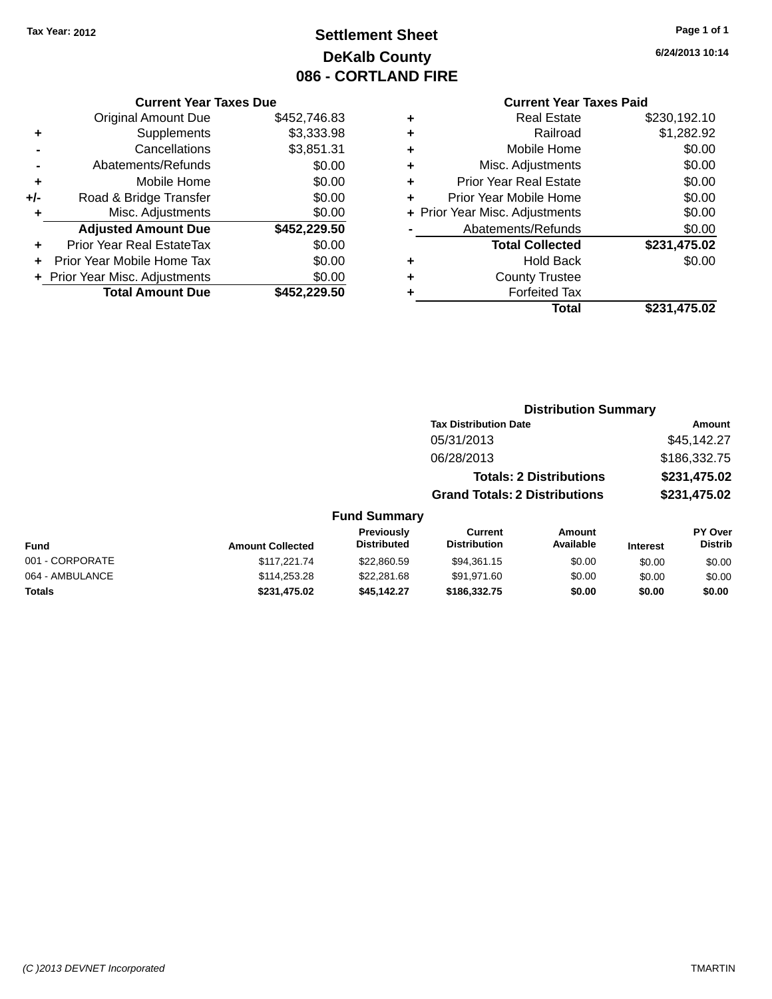## **Settlement Sheet Tax Year: 2012 Page 1 of 1 DeKalb County 086 - CORTLAND FIRE**

**6/24/2013 10:14**

#### **Current Year Taxes Paid**

|       | <b>Original Amount Due</b>       | \$452,746.83 |
|-------|----------------------------------|--------------|
| ٠     | Supplements                      | \$3,333.98   |
|       | Cancellations                    | \$3,851.31   |
|       | Abatements/Refunds               | \$0.00       |
| ٠     | Mobile Home                      | \$0.00       |
| $+/-$ | Road & Bridge Transfer           | \$0.00       |
| ٠     | Misc. Adjustments                | \$0.00       |
|       | <b>Adjusted Amount Due</b>       | \$452,229.50 |
|       | <b>Prior Year Real EstateTax</b> | \$0.00       |
|       | Prior Year Mobile Home Tax       | \$0.00       |
|       | + Prior Year Misc. Adjustments   | \$0.00       |
|       | <b>Total Amount Due</b>          | \$452.229.50 |
|       |                                  |              |

**Current Year Taxes Due**

| ٠ | <b>Real Estate</b>             | \$230,192.10 |
|---|--------------------------------|--------------|
| ٠ | Railroad                       | \$1,282.92   |
| ٠ | Mobile Home                    | \$0.00       |
| ٠ | Misc. Adjustments              | \$0.00       |
| ٠ | <b>Prior Year Real Estate</b>  | \$0.00       |
| ٠ | Prior Year Mobile Home         | \$0.00       |
|   | + Prior Year Misc. Adjustments | \$0.00       |
|   | Abatements/Refunds             | \$0.00       |
|   | <b>Total Collected</b>         | \$231,475.02 |
| ٠ | <b>Hold Back</b>               | \$0.00       |
| ٠ | <b>County Trustee</b>          |              |
| ٠ | <b>Forfeited Tax</b>           |              |
|   | Total                          | \$231,475.02 |
|   |                                |              |

### **Distribution Summary Tax Distribution Date Amount** 05/31/2013 \$45,142.27 06/28/2013 \$186,332.75 **Totals: 2 Distributions \$231,475.02 Grand Totals: 2 Distributions \$231,475.02 Fund Summary**

#### **Fund Interest Amount Collected Distributed PY Over Distrib Amount Available Current Distribution Previously** 001 - CORPORATE \$117,221.74 \$22,860.59 \$94,361.15 \$0.00 \$0.00 \$0.00 064 - AMBULANCE \$114,253.28 \$114,253.28 \$22,281.68 \$91,971.60 \$0.00 \$0.00 \$0.00 \$0.00 **Totals \$231,475.02 \$45,142.27 \$186,332.75 \$0.00 \$0.00 \$0.00**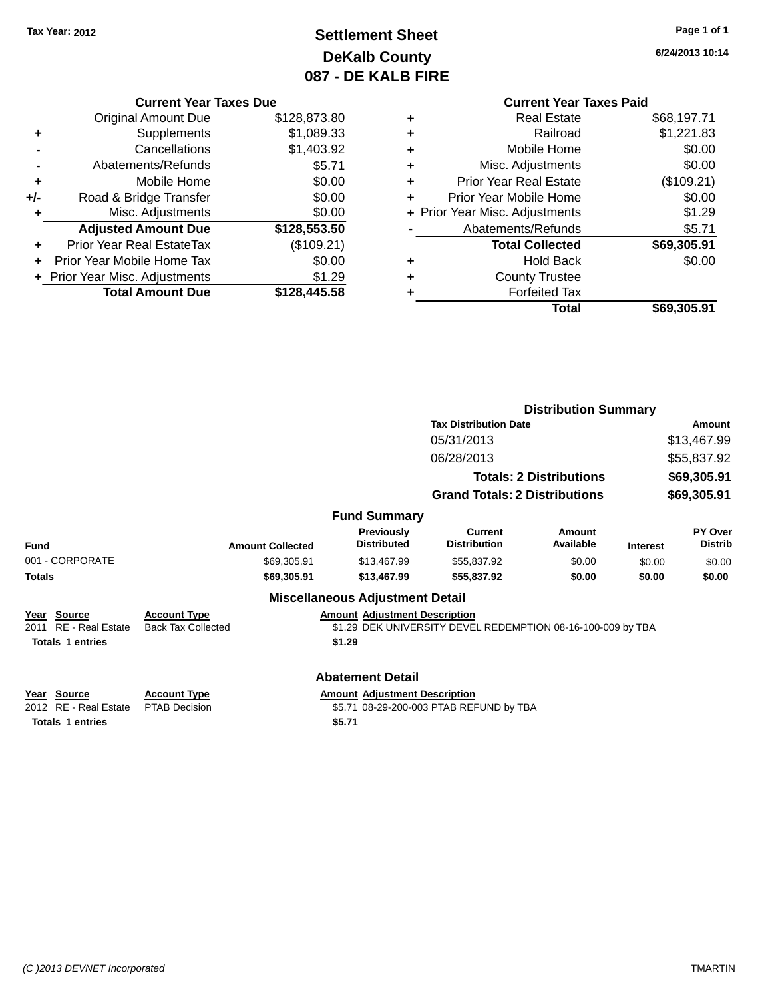## **Settlement Sheet Tax Year: 2012 Page 1 of 1 DeKalb County 087 - DE KALB FIRE**

**6/24/2013 10:14**

|       | <b>Current Year Taxes Due</b>              |              |  |  |  |  |
|-------|--------------------------------------------|--------------|--|--|--|--|
|       | \$128,873.80<br><b>Original Amount Due</b> |              |  |  |  |  |
| ٠     | Supplements                                | \$1,089.33   |  |  |  |  |
|       | Cancellations                              | \$1,403.92   |  |  |  |  |
|       | \$5.71<br>Abatements/Refunds               |              |  |  |  |  |
| ÷     | \$0.00<br>Mobile Home                      |              |  |  |  |  |
| $+/-$ | \$0.00<br>Road & Bridge Transfer           |              |  |  |  |  |
|       | \$0.00<br>Misc. Adjustments                |              |  |  |  |  |
|       | <b>Adjusted Amount Due</b>                 | \$128,553.50 |  |  |  |  |
| ٠     | Prior Year Real EstateTax                  | (\$109.21)   |  |  |  |  |
|       | \$0.00<br>Prior Year Mobile Home Tax       |              |  |  |  |  |
|       | \$1.29<br>+ Prior Year Misc. Adjustments   |              |  |  |  |  |
|       | <b>Total Amount Due</b>                    | \$128,445.58 |  |  |  |  |
|       |                                            |              |  |  |  |  |

| ٠ | <b>Real Estate</b>             | \$68,197.71 |
|---|--------------------------------|-------------|
| ٠ | Railroad                       | \$1,221.83  |
| ٠ | Mobile Home                    | \$0.00      |
| ٠ | Misc. Adjustments              | \$0.00      |
| ٠ | <b>Prior Year Real Estate</b>  | (\$109.21)  |
| ٠ | Prior Year Mobile Home         | \$0.00      |
|   | + Prior Year Misc. Adjustments | \$1.29      |
|   | Abatements/Refunds             | \$5.71      |
|   | <b>Total Collected</b>         | \$69,305.91 |
| ٠ | <b>Hold Back</b>               | \$0.00      |
| ٠ | <b>County Trustee</b>          |             |
| ٠ | <b>Forfeited Tax</b>           |             |
|   | Total                          | \$69,305.91 |
|   |                                |             |

|                         |                                                          |                                         | <b>Distribution Summary</b>                                 |                                |                 |                           |  |
|-------------------------|----------------------------------------------------------|-----------------------------------------|-------------------------------------------------------------|--------------------------------|-----------------|---------------------------|--|
|                         |                                                          |                                         | <b>Tax Distribution Date</b>                                |                                |                 | <b>Amount</b>             |  |
|                         |                                                          |                                         | 05/31/2013                                                  |                                |                 | \$13,467.99               |  |
|                         |                                                          |                                         | 06/28/2013                                                  |                                | \$55,837.92     |                           |  |
|                         |                                                          |                                         |                                                             | <b>Totals: 2 Distributions</b> | \$69,305.91     |                           |  |
|                         |                                                          |                                         | <b>Grand Totals: 2 Distributions</b>                        |                                | \$69,305.91     |                           |  |
|                         |                                                          | <b>Fund Summary</b>                     |                                                             |                                |                 |                           |  |
| Fund                    | <b>Amount Collected</b>                                  | <b>Previously</b><br><b>Distributed</b> | <b>Current</b><br><b>Distribution</b>                       | Amount<br>Available            | <b>Interest</b> | PY Over<br><b>Distrib</b> |  |
| 001 - CORPORATE         | \$69,305.91                                              | \$13,467.99                             | \$55,837.92                                                 | \$0.00                         | \$0.00          | \$0.00                    |  |
| <b>Totals</b>           | \$69,305.91                                              | \$13,467.99                             | \$55,837.92                                                 | \$0.00                         | \$0.00          | \$0.00                    |  |
|                         |                                                          | <b>Miscellaneous Adjustment Detail</b>  |                                                             |                                |                 |                           |  |
| Year Source             | <b>Account Type</b>                                      | <b>Amount Adjustment Description</b>    |                                                             |                                |                 |                           |  |
| 2011 RE - Real Estate   | <b>Back Tax Collected</b>                                |                                         | \$1.29 DEK UNIVERSITY DEVEL REDEMPTION 08-16-100-009 by TBA |                                |                 |                           |  |
| <b>Totals 1 entries</b> |                                                          | \$1.29                                  |                                                             |                                |                 |                           |  |
|                         |                                                          |                                         |                                                             |                                |                 |                           |  |
|                         |                                                          | <b>Abatement Detail</b>                 |                                                             |                                |                 |                           |  |
| Year Source             | <b>Account Type</b>                                      | <b>Amount Adjustment Description</b>    |                                                             |                                |                 |                           |  |
| 2012 RE - Real Estate   | PTAB Decision<br>\$5.71 08-29-200-003 PTAB REFUND by TBA |                                         |                                                             |                                |                 |                           |  |
| <b>Totals 1 entries</b> |                                                          | \$5.71                                  |                                                             |                                |                 |                           |  |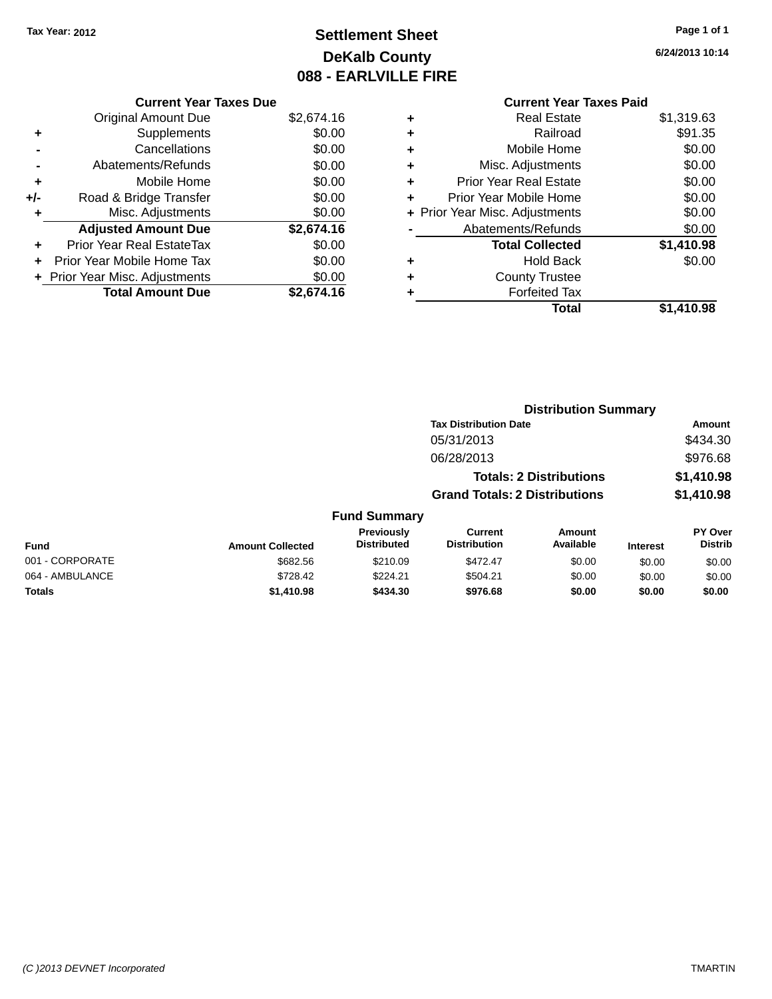## **Settlement Sheet Tax Year: 2012 Page 1 of 1 DeKalb County 088 - EARLVILLE FIRE**

**6/24/2013 10:14**

# **Current Year Taxes Paid**

|       | <b>Original Amount Due</b>               | \$2,674.16 |  |  |  |
|-------|------------------------------------------|------------|--|--|--|
| ٠     | Supplements                              | \$0.00     |  |  |  |
|       | Cancellations                            | \$0.00     |  |  |  |
|       | Abatements/Refunds                       | \$0.00     |  |  |  |
| ٠     | Mobile Home                              | \$0.00     |  |  |  |
| $+/-$ | \$0.00<br>Road & Bridge Transfer         |            |  |  |  |
| ٠     | Misc. Adjustments                        | \$0.00     |  |  |  |
|       | <b>Adjusted Amount Due</b>               | \$2,674.16 |  |  |  |
|       | Prior Year Real EstateTax                | \$0.00     |  |  |  |
|       | Prior Year Mobile Home Tax               | \$0.00     |  |  |  |
|       | \$0.00<br>+ Prior Year Misc. Adjustments |            |  |  |  |
|       | <b>Total Amount Due</b>                  | \$2,674.16 |  |  |  |

**Current Year Taxes Due**

|   | <b>Real Estate</b>             | \$1,319.63 |
|---|--------------------------------|------------|
| ÷ | Railroad                       | \$91.35    |
| ٠ | Mobile Home                    | \$0.00     |
| ٠ | Misc. Adjustments              | \$0.00     |
| ٠ | <b>Prior Year Real Estate</b>  | \$0.00     |
| ٠ | Prior Year Mobile Home         | \$0.00     |
|   | + Prior Year Misc. Adjustments | \$0.00     |
|   | Abatements/Refunds             | \$0.00     |
|   | <b>Total Collected</b>         | \$1,410.98 |
| ٠ | <b>Hold Back</b>               | \$0.00     |
| ٠ | <b>County Trustee</b>          |            |
| ٠ | <b>Forfeited Tax</b>           |            |
|   | Total                          | \$1,410.98 |
|   |                                |            |

|                 |                         |                                  |                                       | <b>Distribution Summary</b>    |                 |                                  |
|-----------------|-------------------------|----------------------------------|---------------------------------------|--------------------------------|-----------------|----------------------------------|
|                 |                         |                                  | <b>Tax Distribution Date</b>          |                                |                 | Amount                           |
|                 |                         |                                  | 05/31/2013                            |                                |                 | \$434.30                         |
|                 |                         |                                  | 06/28/2013                            |                                |                 | \$976.68                         |
|                 |                         |                                  |                                       | <b>Totals: 2 Distributions</b> |                 | \$1,410.98                       |
|                 |                         |                                  | <b>Grand Totals: 2 Distributions</b>  |                                |                 | \$1,410.98                       |
|                 |                         | <b>Fund Summary</b>              |                                       |                                |                 |                                  |
| <b>Fund</b>     | <b>Amount Collected</b> | Previously<br><b>Distributed</b> | <b>Current</b><br><b>Distribution</b> | Amount<br>Available            | <b>Interest</b> | <b>PY Over</b><br><b>Distrib</b> |
| 001 - CORPORATE | \$682.56                | \$210.09                         | \$472.47                              | \$0.00                         | \$0.00          | \$0.00                           |
| 064 - AMBULANCE | \$728.42                | \$224.21                         | \$504.21                              | \$0.00                         | \$0.00          | \$0.00                           |
| <b>Totals</b>   | \$1,410.98              | \$434.30                         | \$976.68                              | \$0.00                         | \$0.00          | \$0.00                           |
|                 |                         |                                  |                                       |                                |                 |                                  |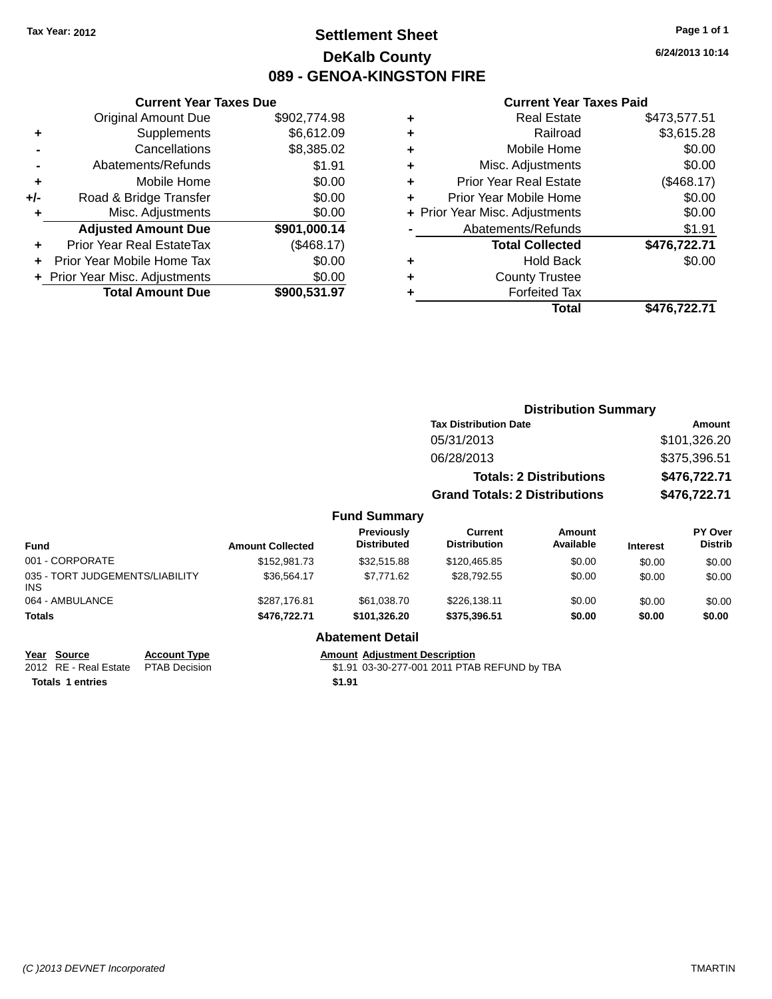## **Settlement Sheet Tax Year: 2012 Page 1 of 1 DeKalb County 089 - GENOA-KINGSTON FIRE**

**6/24/2013 10:14**

|       | <b>Current Year Taxes Due</b>            |              |  |  |  |  |
|-------|------------------------------------------|--------------|--|--|--|--|
|       | <b>Original Amount Due</b>               | \$902,774.98 |  |  |  |  |
| ٠     | Supplements                              | \$6,612.09   |  |  |  |  |
|       | Cancellations                            | \$8,385.02   |  |  |  |  |
|       | Abatements/Refunds                       | \$1.91       |  |  |  |  |
| ٠     | Mobile Home                              |              |  |  |  |  |
| $+/-$ | \$0.00<br>Road & Bridge Transfer         |              |  |  |  |  |
| ÷     | Misc. Adjustments                        | \$0.00       |  |  |  |  |
|       | <b>Adjusted Amount Due</b>               | \$901,000.14 |  |  |  |  |
| ٠     | Prior Year Real EstateTax                | (\$468.17)   |  |  |  |  |
|       | \$0.00<br>Prior Year Mobile Home Tax     |              |  |  |  |  |
|       | \$0.00<br>+ Prior Year Misc. Adjustments |              |  |  |  |  |
|       | <b>Total Amount Due</b>                  | \$900,531.97 |  |  |  |  |
|       |                                          |              |  |  |  |  |

| ٠ | <b>Real Estate</b>             | \$473.577.51 |
|---|--------------------------------|--------------|
| ٠ | Railroad                       | \$3,615.28   |
| ٠ | Mobile Home                    | \$0.00       |
| ٠ | Misc. Adjustments              | \$0.00       |
| ٠ | <b>Prior Year Real Estate</b>  | (\$468.17)   |
| ٠ | Prior Year Mobile Home         | \$0.00       |
|   | + Prior Year Misc. Adjustments | \$0.00       |
|   | Abatements/Refunds             | \$1.91       |
|   | <b>Total Collected</b>         | \$476,722.71 |
| ٠ | <b>Hold Back</b>               | \$0.00       |
| ٠ | <b>County Trustee</b>          |              |
| ٠ | <b>Forfeited Tax</b>           |              |
|   | Total                          | \$476,722.71 |
|   |                                |              |

|                     | <b>Distribution Summary</b>                   |              |  |  |
|---------------------|-----------------------------------------------|--------------|--|--|
|                     | <b>Tax Distribution Date</b><br><b>Amount</b> |              |  |  |
|                     | 05/31/2013                                    | \$101,326.20 |  |  |
|                     | 06/28/2013                                    | \$375,396.51 |  |  |
|                     | <b>Totals: 2 Distributions</b>                | \$476,722.71 |  |  |
|                     | <b>Grand Totals: 2 Distributions</b>          | \$476,722.71 |  |  |
| <b>Fund Summary</b> |                                               |              |  |  |

| Fund                                   | <b>Amount Collected</b> | Previously<br><b>Distributed</b> | Current<br><b>Distribution</b> | Amount<br>Available | <b>Interest</b> | <b>PY Over</b><br><b>Distrib</b> |
|----------------------------------------|-------------------------|----------------------------------|--------------------------------|---------------------|-----------------|----------------------------------|
| 001 - CORPORATE                        | \$152,981.73            | \$32.515.88                      | \$120.465.85                   | \$0.00              | \$0.00          | \$0.00                           |
| 035 - TORT JUDGEMENTS/LIABILITY<br>INS | \$36.564.17             | \$7.771.62                       | \$28,792.55                    | \$0.00              | \$0.00          | \$0.00                           |
| 064 - AMBULANCE                        | \$287.176.81            | \$61.038.70                      | \$226.138.11                   | \$0.00              | \$0.00          | \$0.00                           |
| Totals                                 | \$476,722.71            | \$101.326.20                     | \$375,396.51                   | \$0.00              | \$0.00          | \$0.00                           |

|  | Abatement Detail |
|--|------------------|
|  |                  |

| Year Source                         | <b>Account Type</b> |        | <b>Amount Adiustment Description</b>         |
|-------------------------------------|---------------------|--------|----------------------------------------------|
| 2012 RE - Real Estate PTAB Decision |                     |        | \$1.91 03-30-277-001 2011 PTAB REFUND by TBA |
| <b>Totals 1 entries</b>             |                     | \$1.91 |                                              |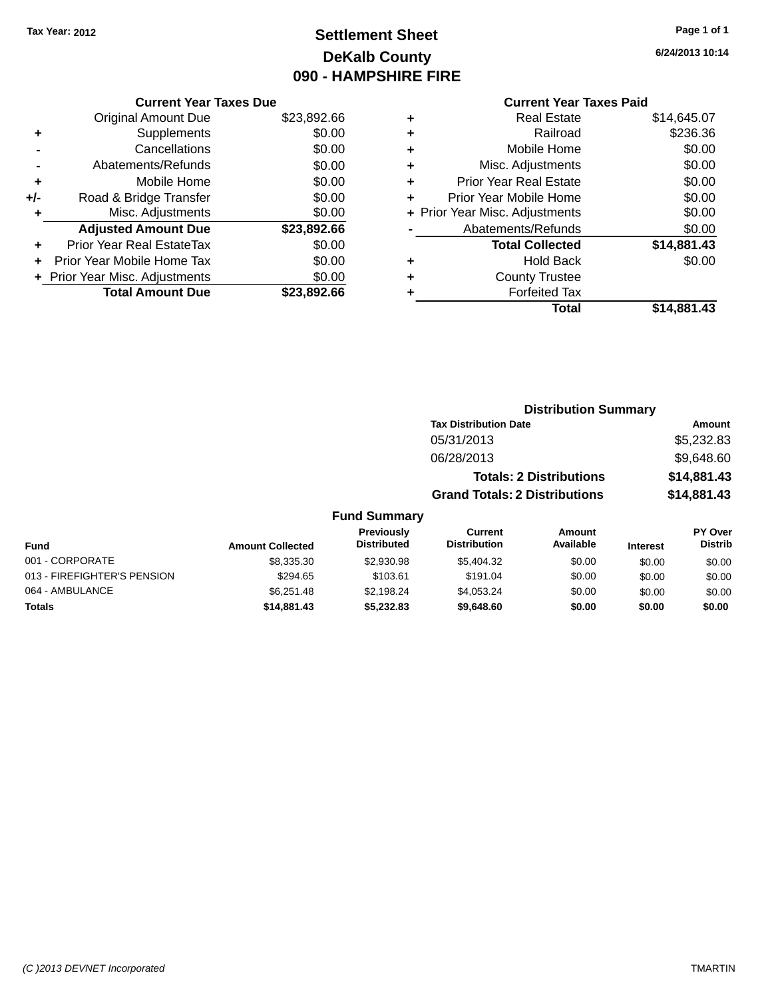## **Settlement Sheet Tax Year: 2012 Page 1 of 1 DeKalb County 090 - HAMPSHIRE FIRE**

**6/24/2013 10:14**

|       | <b>Current Year Taxes Due</b>  |             |  |  |  |  |
|-------|--------------------------------|-------------|--|--|--|--|
|       | <b>Original Amount Due</b>     | \$23,892.66 |  |  |  |  |
| ٠     | Supplements                    | \$0.00      |  |  |  |  |
|       | Cancellations                  | \$0.00      |  |  |  |  |
|       | Abatements/Refunds             | \$0.00      |  |  |  |  |
| ٠     | Mobile Home                    | \$0.00      |  |  |  |  |
| $+/-$ | Road & Bridge Transfer         | \$0.00      |  |  |  |  |
| ٠     | Misc. Adjustments              | \$0.00      |  |  |  |  |
|       | <b>Adjusted Amount Due</b>     | \$23,892.66 |  |  |  |  |
| ÷     | Prior Year Real EstateTax      | \$0.00      |  |  |  |  |
|       | Prior Year Mobile Home Tax     | \$0.00      |  |  |  |  |
|       | + Prior Year Misc. Adjustments | \$0.00      |  |  |  |  |
|       | <b>Total Amount Due</b>        | \$23,892.66 |  |  |  |  |
|       |                                |             |  |  |  |  |

| ٠ | Real Estate                    | \$14,645.07 |
|---|--------------------------------|-------------|
| ٠ | Railroad                       | \$236.36    |
| ٠ | Mobile Home                    | \$0.00      |
| ٠ | Misc. Adjustments              | \$0.00      |
| ٠ | <b>Prior Year Real Estate</b>  | \$0.00      |
|   | Prior Year Mobile Home         | \$0.00      |
|   | + Prior Year Misc. Adjustments | \$0.00      |
|   | Abatements/Refunds             | \$0.00      |
|   | <b>Total Collected</b>         | \$14,881.43 |
| ٠ | <b>Hold Back</b>               | \$0.00      |
| ٠ | <b>County Trustee</b>          |             |
|   | <b>Forfeited Tax</b>           |             |
|   | Total                          | \$14.881.43 |
|   |                                |             |

|                     | <b>Distribution Summary</b>          |             |
|---------------------|--------------------------------------|-------------|
|                     | <b>Tax Distribution Date</b>         | Amount      |
|                     | 05/31/2013                           | \$5,232.83  |
|                     | 06/28/2013                           | \$9,648.60  |
|                     | <b>Totals: 2 Distributions</b>       | \$14,881.43 |
|                     | <b>Grand Totals: 2 Distributions</b> | \$14,881.43 |
| <b>Fund Summary</b> |                                      |             |

| <b>Fund</b>                 | <b>Amount Collected</b> | <b>Previously</b><br><b>Distributed</b> | Current<br><b>Distribution</b> | Amount<br>Available | <b>Interest</b> | <b>PY Over</b><br><b>Distrib</b> |
|-----------------------------|-------------------------|-----------------------------------------|--------------------------------|---------------------|-----------------|----------------------------------|
| 001 - CORPORATE             | \$8,335.30              | \$2,930.98                              | \$5,404.32                     | \$0.00              | \$0.00          | \$0.00                           |
| 013 - FIREFIGHTER'S PENSION | \$294.65                | \$103.61                                | \$191.04                       | \$0.00              | \$0.00          | \$0.00                           |
| 064 - AMBULANCE             | \$6.251.48              | \$2.198.24                              | \$4.053.24                     | \$0.00              | \$0.00          | \$0.00                           |
| <b>Totals</b>               | \$14,881.43             | \$5.232.83                              | \$9,648,60                     | \$0.00              | \$0.00          | \$0.00                           |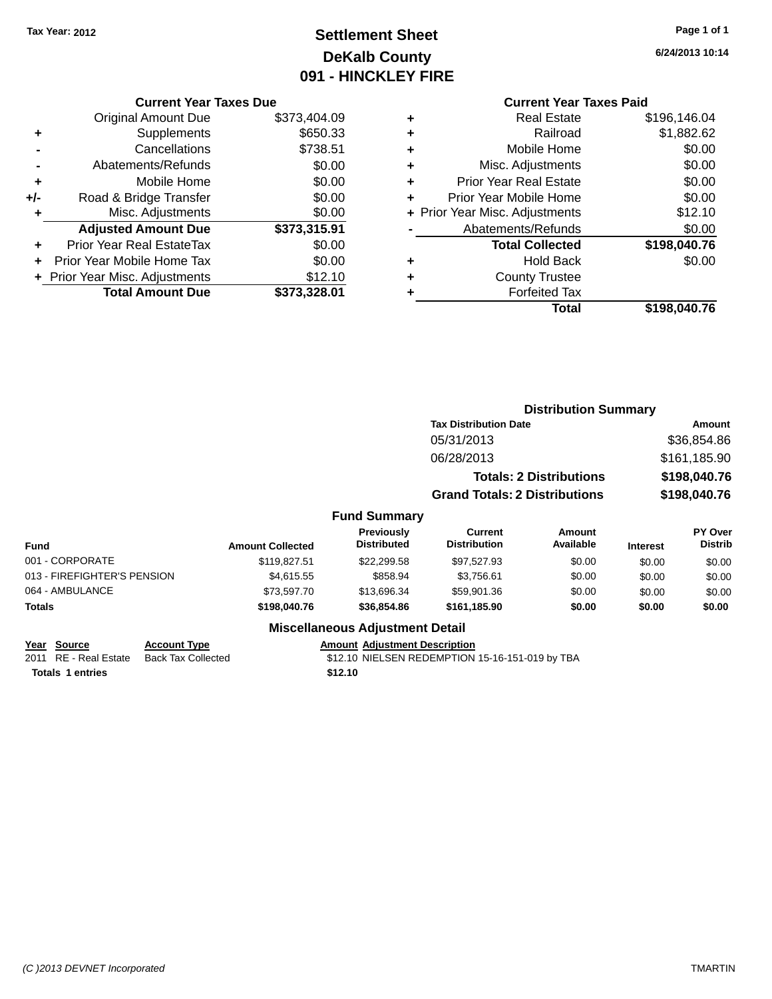## **Settlement Sheet Tax Year: 2012 Page 1 of 1 DeKalb County 091 - HINCKLEY FIRE**

**6/24/2013 10:14**

| <b>Current Year Taxes Due</b> |  |  |
|-------------------------------|--|--|
|                               |  |  |

|     | <b>Original Amount Due</b>     | \$373,404.09 |
|-----|--------------------------------|--------------|
| ÷   | Supplements                    | \$650.33     |
|     | Cancellations                  | \$738.51     |
|     | Abatements/Refunds             | \$0.00       |
| ٠   | Mobile Home                    | \$0.00       |
| +/- | Road & Bridge Transfer         | \$0.00       |
| ٠   | Misc. Adjustments              | \$0.00       |
|     | <b>Adjusted Amount Due</b>     | \$373,315.91 |
| ÷   | Prior Year Real EstateTax      | \$0.00       |
|     | Prior Year Mobile Home Tax     | \$0.00       |
|     | + Prior Year Misc. Adjustments | \$12.10      |
|     | <b>Total Amount Due</b>        | \$373,328.01 |

## **Current Year Taxes Paid**

|   | <b>Real Estate</b>             | \$196,146.04 |
|---|--------------------------------|--------------|
| ٠ | Railroad                       | \$1,882.62   |
| ٠ | Mobile Home                    | \$0.00       |
| ٠ | Misc. Adjustments              | \$0.00       |
| ٠ | <b>Prior Year Real Estate</b>  | \$0.00       |
| ٠ | Prior Year Mobile Home         | \$0.00       |
|   | + Prior Year Misc. Adjustments | \$12.10      |
|   | Abatements/Refunds             | \$0.00       |
|   | <b>Total Collected</b>         | \$198,040.76 |
|   | <b>Hold Back</b>               | \$0.00       |
|   | <b>County Trustee</b>          |              |
|   | <b>Forfeited Tax</b>           |              |
|   | Total                          | \$198,040.76 |
|   |                                |              |

## **Distribution Summary Tax Distribution Date Amount** 05/31/2013 \$36,854.86 06/28/2013 \$161,185.90 **Totals: 2 Distributions \$198,040.76 Grand Totals: 2 Distributions \$198,040.76**

#### **Fund Summary**

| <b>Fund</b>                 | <b>Amount Collected</b> | <b>Previously</b><br><b>Distributed</b> | Current<br><b>Distribution</b> | Amount<br>Available | <b>Interest</b> | PY Over<br><b>Distrib</b> |
|-----------------------------|-------------------------|-----------------------------------------|--------------------------------|---------------------|-----------------|---------------------------|
| 001 - CORPORATE             | \$119,827.51            | \$22,299.58                             | \$97.527.93                    | \$0.00              | \$0.00          | \$0.00                    |
| 013 - FIREFIGHTER'S PENSION | \$4.615.55              | \$858.94                                | \$3.756.61                     | \$0.00              | \$0.00          | \$0.00                    |
| 064 - AMBULANCE             | \$73,597.70             | \$13,696.34                             | \$59.901.36                    | \$0.00              | \$0.00          | \$0.00                    |
| <b>Totals</b>               | \$198,040.76            | \$36,854.86                             | \$161.185.90                   | \$0.00              | \$0.00          | \$0.00                    |

#### **Miscellaneous Adjustment Detail**

| Year Source           | <b>Account Type</b> | <b>Amount Adiustment Description</b>            |
|-----------------------|---------------------|-------------------------------------------------|
| 2011 RE - Real Estate | Back Tax Collected  | \$12.10 NIELSEN REDEMPTION 15-16-151-019 by TBA |
| Totals 1 entries      |                     | \$12.10                                         |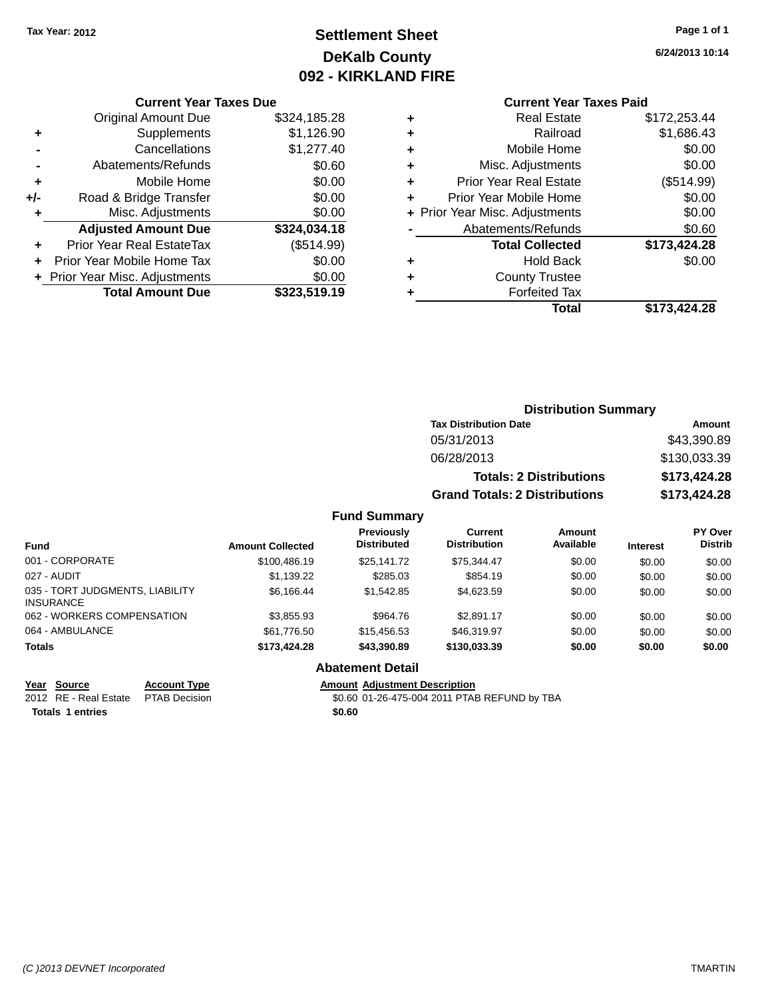## **Settlement Sheet Tax Year: 2012 Page 1 of 1 DeKalb County 092 - KIRKLAND FIRE**

**6/24/2013 10:14**

#### **Current Year Taxes Due**

|       | <b>Original Amount Due</b>     | \$324,185.28 |
|-------|--------------------------------|--------------|
| ٠     | Supplements                    | \$1,126.90   |
|       | Cancellations                  | \$1,277.40   |
|       | Abatements/Refunds             | \$0.60       |
| ٠     | Mobile Home                    | \$0.00       |
| $+/-$ | Road & Bridge Transfer         | \$0.00       |
| ٠     | Misc. Adjustments              | \$0.00       |
|       | <b>Adjusted Amount Due</b>     | \$324,034.18 |
|       | Prior Year Real EstateTax      | (\$514.99)   |
|       | Prior Year Mobile Home Tax     | \$0.00       |
|       | + Prior Year Misc. Adjustments | \$0.00       |
|       | <b>Total Amount Due</b>        | \$323.519.19 |

## **Current Year Taxes Paid**

|   | <b>Real Estate</b>             | \$172,253.44 |
|---|--------------------------------|--------------|
| ٠ | Railroad                       | \$1,686.43   |
| ٠ | Mobile Home                    | \$0.00       |
| ٠ | Misc. Adjustments              | \$0.00       |
| ÷ | <b>Prior Year Real Estate</b>  | (\$514.99)   |
| ٠ | Prior Year Mobile Home         | \$0.00       |
|   | + Prior Year Misc. Adjustments | \$0.00       |
|   | Abatements/Refunds             | \$0.60       |
|   | <b>Total Collected</b>         | \$173,424.28 |
| ٠ | <b>Hold Back</b>               | \$0.00       |
| ٠ | <b>County Trustee</b>          |              |
|   | <b>Forfeited Tax</b>           |              |
|   | Total                          | \$173,424.28 |
|   |                                |              |

## **Distribution Summary Tax Distribution Date Amount** 05/31/2013 \$43,390.89 06/28/2013 \$130,033.39 **Totals: 2 Distributions \$173,424.28 Grand Totals: 2 Distributions \$173,424.28**

#### **Fund Summary**

| <b>Fund</b>                                         | <b>Amount Collected</b> | Previously<br><b>Distributed</b> | Current<br><b>Distribution</b> | Amount<br>Available | <b>Interest</b> | <b>PY Over</b><br><b>Distrib</b> |
|-----------------------------------------------------|-------------------------|----------------------------------|--------------------------------|---------------------|-----------------|----------------------------------|
| 001 - CORPORATE                                     | \$100,486.19            | \$25,141.72                      | \$75.344.47                    | \$0.00              | \$0.00          | \$0.00                           |
| 027 - AUDIT                                         | \$1.139.22              | \$285.03                         | \$854.19                       | \$0.00              | \$0.00          | \$0.00                           |
| 035 - TORT JUDGMENTS, LIABILITY<br><b>INSURANCE</b> | \$6.166.44              | \$1,542.85                       | \$4,623.59                     | \$0.00              | \$0.00          | \$0.00                           |
| 062 - WORKERS COMPENSATION                          | \$3.855.93              | \$964.76                         | \$2.891.17                     | \$0.00              | \$0.00          | \$0.00                           |
| 064 - AMBULANCE                                     | \$61.776.50             | \$15,456,53                      | \$46,319.97                    | \$0.00              | \$0.00          | \$0.00                           |
| <b>Totals</b>                                       | \$173,424.28            | \$43,390.89                      | \$130,033,39                   | \$0.00              | \$0.00          | \$0.00                           |

#### **Abatement Detail**

**Year Source Account Type Amount Adjustment Description**<br>2012 RE - Real Estate PTAB Decision **80.60 01-26-475-004 2011 PTAE** \$0.60 01-26-475-004 2011 PTAB REFUND by TBA

**Totals 1 entries** \$0.60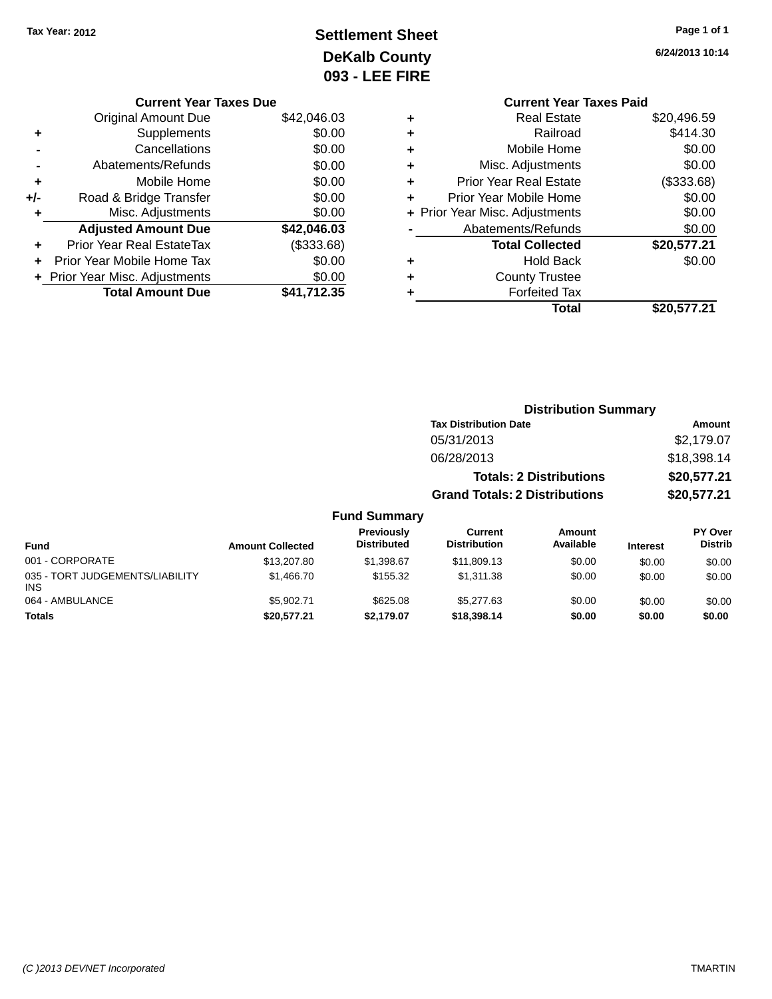## **Settlement Sheet Tax Year: 2012 Page 1 of 1 DeKalb County 093 - LEE FIRE**

|  |  |  | Page 1 or 1 |  |
|--|--|--|-------------|--|
|  |  |  |             |  |

**6/24/2013 10:14**

|   | <b>Current Year Taxes Paid</b> |             |
|---|--------------------------------|-------------|
| ٠ | <b>Real Estate</b>             | \$20,496.59 |
| ٠ | Railroad                       | \$414.30    |
| ٠ | Mobile Home                    | \$0.00      |
| ٠ | Misc. Adjustments              | \$0.00      |
| ٠ | <b>Prior Year Real Estate</b>  | (\$333.68)  |
| ÷ | Prior Year Mobile Home         | \$0.00      |
|   | + Prior Year Misc. Adjustments | \$0.00      |
|   | Abatements/Refunds             | \$0.00      |
|   | <b>Total Collected</b>         | \$20,577.21 |
| ٠ | <b>Hold Back</b>               | \$0.00      |
|   | <b>County Trustee</b>          |             |
|   | <b>Forfeited Tax</b>           |             |
|   | Total                          | \$20,577.21 |

|     | <b>Current Year Taxes Due</b>    |             |
|-----|----------------------------------|-------------|
|     | <b>Original Amount Due</b>       | \$42,046.03 |
| ٠   | Supplements                      | \$0.00      |
|     | Cancellations                    | \$0.00      |
|     | Abatements/Refunds               | \$0.00      |
| ٠   | Mobile Home                      | \$0.00      |
| +/- | Road & Bridge Transfer           | \$0.00      |
| ٠   | Misc. Adjustments                | \$0.00      |
|     | <b>Adjusted Amount Due</b>       | \$42,046.03 |
|     | <b>Prior Year Real EstateTax</b> | (\$333.68)  |
|     | Prior Year Mobile Home Tax       | \$0.00      |
|     | + Prior Year Misc. Adjustments   | \$0.00      |
|     | <b>Total Amount Due</b>          | \$41.712.35 |

|                                 |                         |                                  | <b>Distribution Summary</b>           |                                |                 |                                  |
|---------------------------------|-------------------------|----------------------------------|---------------------------------------|--------------------------------|-----------------|----------------------------------|
|                                 |                         |                                  | <b>Tax Distribution Date</b>          |                                |                 | Amount                           |
|                                 |                         |                                  | 05/31/2013                            |                                |                 | \$2,179.07                       |
|                                 |                         |                                  | 06/28/2013                            |                                |                 | \$18,398.14                      |
|                                 |                         |                                  |                                       | <b>Totals: 2 Distributions</b> |                 | \$20,577.21                      |
|                                 |                         |                                  | <b>Grand Totals: 2 Distributions</b>  |                                |                 | \$20,577.21                      |
|                                 |                         | <b>Fund Summary</b>              |                                       |                                |                 |                                  |
| <b>Fund</b>                     | <b>Amount Collected</b> | Previously<br><b>Distributed</b> | <b>Current</b><br><b>Distribution</b> | Amount<br>Available            | <b>Interest</b> | <b>PY Over</b><br><b>Distrib</b> |
| 001 - CORPORATE                 | \$13,207.80             | \$1,398.67                       | \$11,809.13                           | \$0.00                         | \$0.00          | \$0.00                           |
| 035 - TORT JUDGEMENTS/LIABILITY | \$1,466,70              | \$155.32                         | \$1,311.38                            | \$0.00                         | \$0.00          | \$0.00                           |

064 - AMBULANCE 60.00 \$5,902.71 \$5,902.71 \$625.08 \$5,277.63 \$0.00 \$0.00 \$0.00 \$0.00 **Totals \$20,577.21 \$2,179.07 \$18,398.14 \$0.00 \$0.00 \$0.00**

INS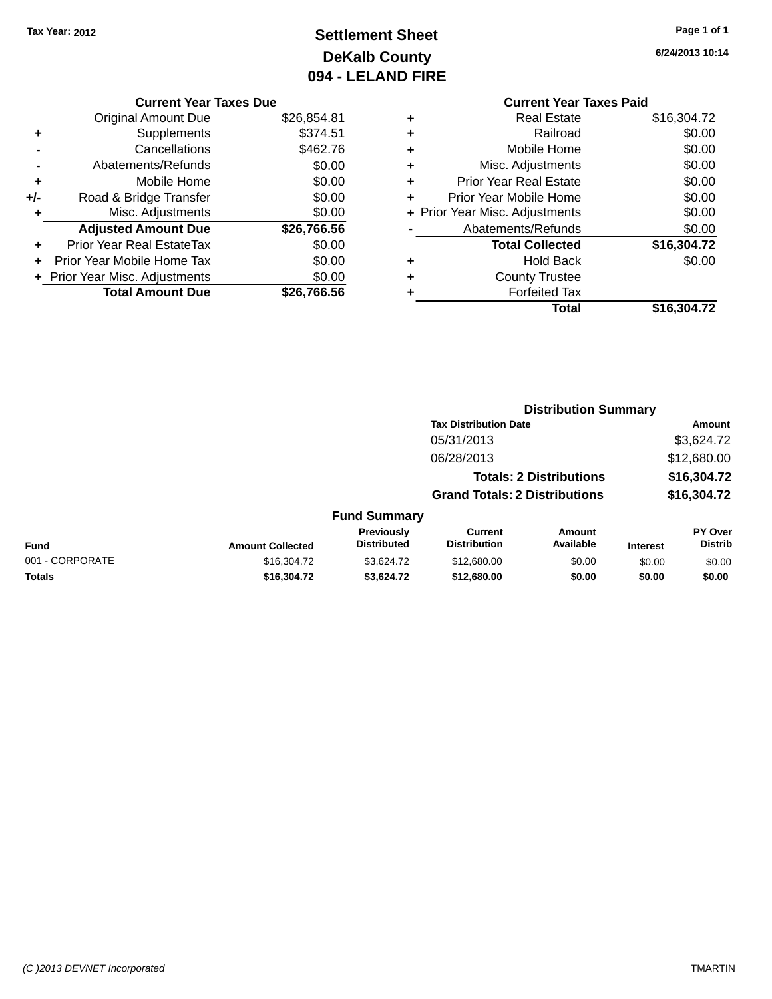## **Settlement Sheet Tax Year: 2012 Page 1 of 1 DeKalb County 094 - LELAND FIRE**

**6/24/2013 10:14**

## **Current Year Taxes Due**

|     | <b>Total Amount Due</b>          | \$26,766.56 |
|-----|----------------------------------|-------------|
|     | + Prior Year Misc. Adjustments   | \$0.00      |
|     | Prior Year Mobile Home Tax       | \$0.00      |
| ٠   | <b>Prior Year Real EstateTax</b> | \$0.00      |
|     | <b>Adjusted Amount Due</b>       | \$26,766.56 |
| ٠   | Misc. Adjustments                | \$0.00      |
| +/- | Road & Bridge Transfer           | \$0.00      |
| ٠   | Mobile Home                      | \$0.00      |
|     | Abatements/Refunds               | \$0.00      |
|     | Cancellations                    | \$462.76    |
| ٠   | Supplements                      | \$374.51    |
|     | <b>Original Amount Due</b>       | \$26,854.81 |
|     |                                  |             |

|   | <b>Current Year Taxes Paid</b> |             |
|---|--------------------------------|-------------|
| ٠ | <b>Real Estate</b>             | \$16,304.72 |
|   | Railroad                       | \$0.00      |
| ٠ | Mobile Home                    | \$0.00      |
|   | Misc. Adjustments              | \$0.00      |
| ٠ | <b>Prior Year Real Estate</b>  | \$0.00      |
| ٠ | Prior Year Mobile Home         | \$0.00      |
|   | + Prior Year Misc. Adjustments | \$0.00      |
|   | Abatements/Refunds             | \$0.00      |
|   | <b>Total Collected</b>         | \$16,304.72 |
|   | <b>Hold Back</b>               | \$0.00      |
|   | <b>County Trustee</b>          |             |
|   | <b>Forfeited Tax</b>           |             |
|   | Total                          | \$16,304.72 |
|   |                                |             |

|                 |                         |                                         | <b>Distribution Summary</b>           |                                |                 |                                  |
|-----------------|-------------------------|-----------------------------------------|---------------------------------------|--------------------------------|-----------------|----------------------------------|
|                 |                         |                                         | <b>Tax Distribution Date</b>          |                                |                 | Amount                           |
|                 |                         |                                         | 05/31/2013                            |                                |                 | \$3,624.72                       |
|                 |                         |                                         | 06/28/2013                            |                                |                 | \$12,680.00                      |
|                 |                         |                                         |                                       | <b>Totals: 2 Distributions</b> |                 | \$16,304.72                      |
|                 |                         |                                         | <b>Grand Totals: 2 Distributions</b>  |                                |                 | \$16,304.72                      |
|                 |                         | <b>Fund Summary</b>                     |                                       |                                |                 |                                  |
| <b>Fund</b>     | <b>Amount Collected</b> | <b>Previously</b><br><b>Distributed</b> | <b>Current</b><br><b>Distribution</b> | Amount<br>Available            | <b>Interest</b> | <b>PY Over</b><br><b>Distrib</b> |
| 001 - CORPORATE | \$16,304.72             | \$3.624.72                              | \$12,680.00                           | \$0.00                         | \$0.00          | \$0.00                           |
| <b>Totals</b>   | \$16,304.72             | \$3,624.72                              | \$12,680.00                           | \$0.00                         | \$0.00          | \$0.00                           |
|                 |                         |                                         |                                       |                                |                 |                                  |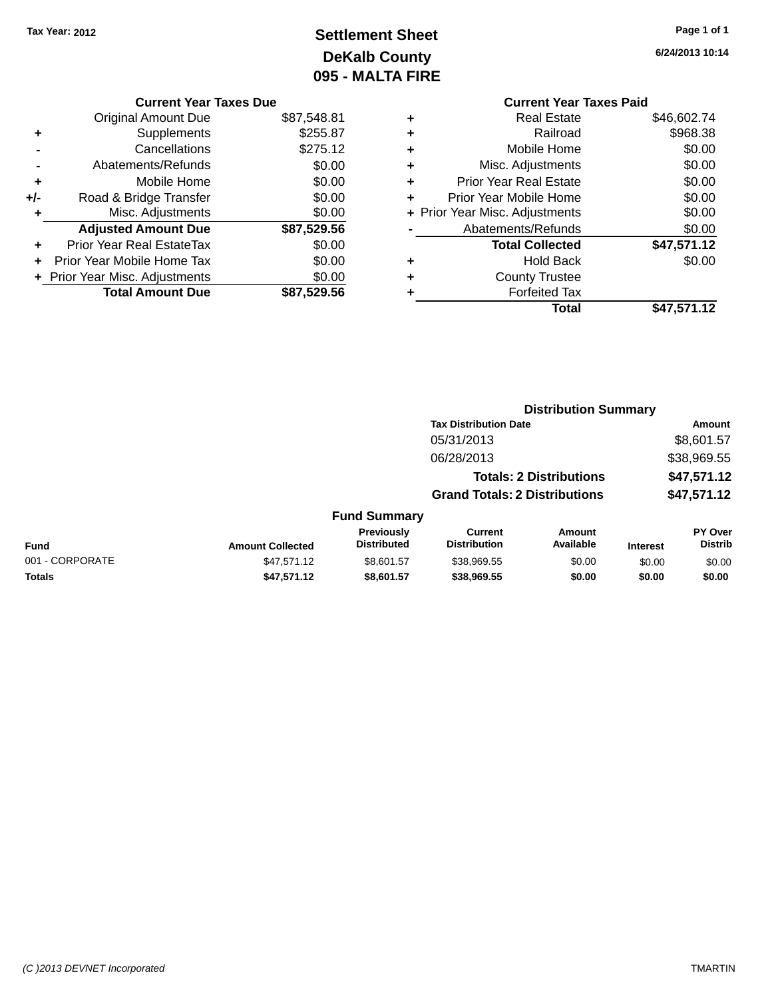## **Settlement Sheet Tax Year: 2012 Page 1 of 1 DeKalb County 095 - MALTA FIRE**

|   | <b>Current Year Taxes Paid</b> |             |
|---|--------------------------------|-------------|
| ٠ | <b>Real Estate</b>             | \$46,602.74 |
| ٠ | Railroad                       | \$968.38    |
| ٠ | Mobile Home                    | \$0.00      |
| ٠ | Misc. Adjustments              | \$0.00      |
| ٠ | <b>Prior Year Real Estate</b>  | \$0.00      |
| ٠ | Prior Year Mobile Home         | \$0.00      |
|   | + Prior Year Misc. Adjustments | \$0.00      |
|   | Abatements/Refunds             | \$0.00      |
|   | <b>Total Collected</b>         | \$47,571.12 |
| ٠ | Hold Back                      | \$0.00      |
| ٠ | <b>County Trustee</b>          |             |
|   | <b>Forfeited Tax</b>           |             |
|   | Total                          | \$47,571.12 |
|   |                                |             |

|     | <b>Current Year Taxes Due</b>  |             |
|-----|--------------------------------|-------------|
|     | <b>Original Amount Due</b>     | \$87,548.81 |
| ٠   | Supplements                    | \$255.87    |
|     | Cancellations                  | \$275.12    |
|     | Abatements/Refunds             | \$0.00      |
| ٠   | Mobile Home                    | \$0.00      |
| +/- | Road & Bridge Transfer         | \$0.00      |
| ٠   | Misc. Adjustments              | \$0.00      |
|     | <b>Adjusted Amount Due</b>     | \$87,529.56 |
| ٠   | Prior Year Real EstateTax      | \$0.00      |
|     | Prior Year Mobile Home Tax     | \$0.00      |
|     | + Prior Year Misc. Adjustments | \$0.00      |
|     | <b>Total Amount Due</b>        | \$87,529.56 |
|     |                                |             |

|                 |                         |                                  |                                       | <b>Distribution Summary</b>    |                 |                                  |
|-----------------|-------------------------|----------------------------------|---------------------------------------|--------------------------------|-----------------|----------------------------------|
|                 |                         |                                  | <b>Tax Distribution Date</b>          |                                |                 | Amount                           |
|                 |                         |                                  | 05/31/2013                            |                                |                 | \$8,601.57                       |
|                 |                         |                                  | 06/28/2013                            |                                |                 | \$38,969.55                      |
|                 |                         |                                  |                                       | <b>Totals: 2 Distributions</b> |                 | \$47,571.12                      |
|                 |                         |                                  | <b>Grand Totals: 2 Distributions</b>  |                                |                 | \$47,571.12                      |
|                 |                         | <b>Fund Summary</b>              |                                       |                                |                 |                                  |
| <b>Fund</b>     | <b>Amount Collected</b> | Previously<br><b>Distributed</b> | <b>Current</b><br><b>Distribution</b> | Amount<br>Available            | <b>Interest</b> | <b>PY Over</b><br><b>Distrib</b> |
| 001 - CORPORATE | \$47,571.12             | \$8,601.57                       | \$38,969.55                           | \$0.00                         | \$0.00          | \$0.00                           |
| <b>Totals</b>   | \$47,571.12             | \$8,601.57                       | \$38.969.55                           | \$0.00                         | \$0.00          | \$0.00                           |
|                 |                         |                                  |                                       |                                |                 |                                  |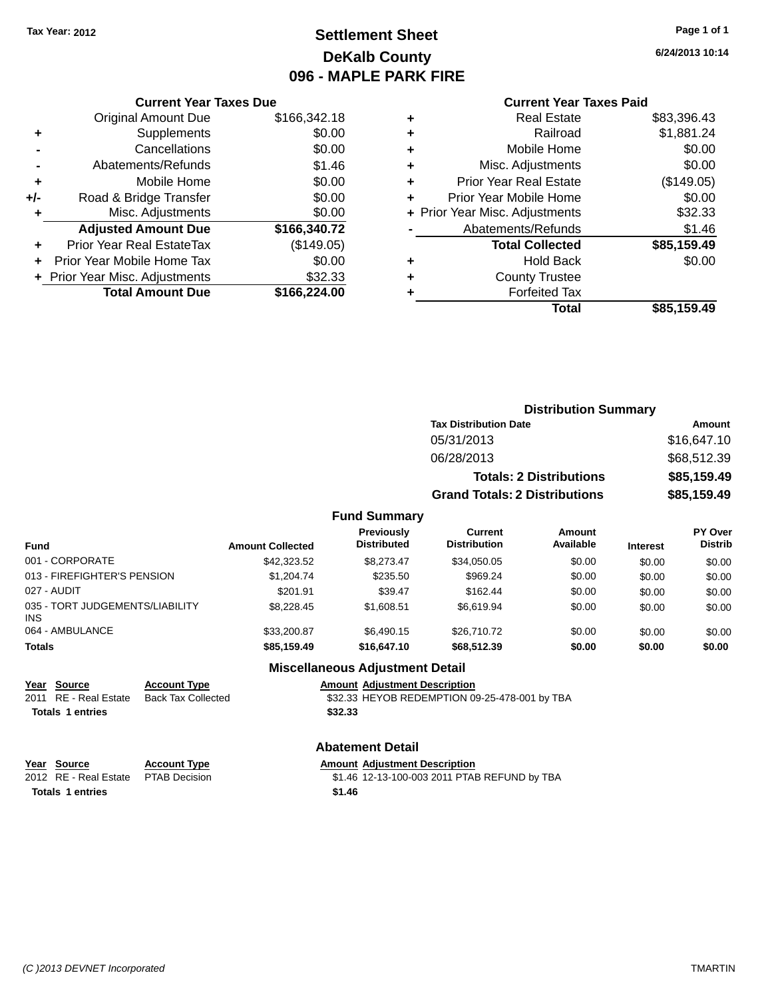## **Settlement Sheet Tax Year: 2012 Page 1 of 1 DeKalb County 096 - MAPLE PARK FIRE**

**6/24/2013 10:14**

#### **Current Year Taxes Paid**

|     | <b>Current Year Taxes Due</b>  |              |
|-----|--------------------------------|--------------|
|     | <b>Original Amount Due</b>     | \$166,342.18 |
| ٠   | Supplements                    | \$0.00       |
|     | Cancellations                  | \$0.00       |
|     | Abatements/Refunds             | \$1.46       |
| ٠   | Mobile Home                    | \$0.00       |
| +/- | Road & Bridge Transfer         | \$0.00       |
| ٠   | Misc. Adjustments              | \$0.00       |
|     | <b>Adjusted Amount Due</b>     | \$166,340.72 |
|     | Prior Year Real EstateTax      | (\$149.05)   |
|     | Prior Year Mobile Home Tax     | \$0.00       |
|     | + Prior Year Misc. Adjustments | \$32.33      |
|     | <b>Total Amount Due</b>        | \$166,224.00 |
|     |                                |              |

| ٠ | <b>Real Estate</b>             | \$83,396.43 |
|---|--------------------------------|-------------|
| ٠ | Railroad                       | \$1,881.24  |
| ٠ | Mobile Home                    | \$0.00      |
| ٠ | Misc. Adjustments              | \$0.00      |
| ٠ | <b>Prior Year Real Estate</b>  | (\$149.05)  |
| ٠ | Prior Year Mobile Home         | \$0.00      |
|   | + Prior Year Misc. Adjustments | \$32.33     |
|   | Abatements/Refunds             | \$1.46      |
|   | <b>Total Collected</b>         | \$85,159.49 |
| ٠ | <b>Hold Back</b>               | \$0.00      |
| ٠ | <b>County Trustee</b>          |             |
| ٠ | <b>Forfeited Tax</b>           |             |
|   | Total                          | \$85,159.49 |
|   |                                |             |

| <b>Distribution Summary</b>          |             |
|--------------------------------------|-------------|
| <b>Tax Distribution Date</b>         | Amount      |
| 05/31/2013                           | \$16,647.10 |
| 06/28/2013                           | \$68,512.39 |
| <b>Totals: 2 Distributions</b>       | \$85,159.49 |
| <b>Grand Totals: 2 Distributions</b> | \$85,159.49 |

#### **Fund Summary**

| <b>Fund</b>                             | <b>Amount Collected</b> | <b>Previously</b><br><b>Distributed</b> | <b>Current</b><br><b>Distribution</b> | Amount<br>Available | <b>Interest</b> | <b>PY Over</b><br><b>Distrib</b> |
|-----------------------------------------|-------------------------|-----------------------------------------|---------------------------------------|---------------------|-----------------|----------------------------------|
| 001 - CORPORATE                         | \$42,323.52             | \$8,273.47                              | \$34.050.05                           | \$0.00              | \$0.00          | \$0.00                           |
| 013 - FIREFIGHTER'S PENSION             | \$1,204.74              | \$235.50                                | \$969.24                              | \$0.00              | \$0.00          | \$0.00                           |
| 027 - AUDIT                             | \$201.91                | \$39.47                                 | \$162.44                              | \$0.00              | \$0.00          | \$0.00                           |
| 035 - TORT JUDGEMENTS/LIABILITY<br>INS. | \$8,228,45              | \$1,608.51                              | \$6.619.94                            | \$0.00              | \$0.00          | \$0.00                           |
| 064 - AMBULANCE                         | \$33,200.87             | \$6.490.15                              | \$26,710.72                           | \$0.00              | \$0.00          | \$0.00                           |
| <b>Totals</b>                           | \$85,159.49             | \$16,647.10                             | \$68,512,39                           | \$0.00              | \$0.00          | \$0.00                           |

#### **Miscellaneous Adjustment Detail**

**Year Source Account Type Account Type Amount Adjustment Description**<br>2011 RE - Real Estate Back Tax Collected \$32.33 HEYOB REDEMPTION 09 **Totals \$32.33 1 entries**

 $\overline{\text{332.33}}$  HEYOB REDEMPTION 09-25-478-001 by TBA

# **Abatement Detail**

**Totals \$1.46 1 entries**

**Year Source Account Type Amount Adjustment Description**<br>2012 RE - Real Estate PTAB Decision \$1.46 12-13-100-003 2011 PTAE

\$1.46 12-13-100-003 2011 PTAB REFUND by TBA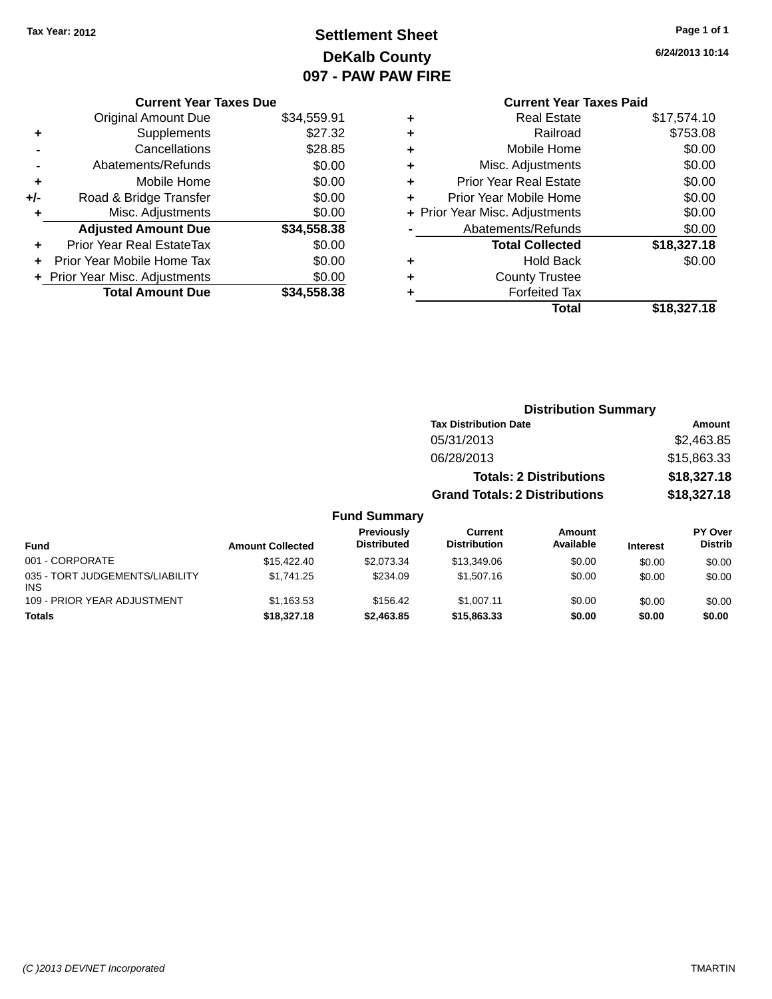## **Settlement Sheet Tax Year: 2012 Page 1 of 1 DeKalb County 097 - PAW PAW FIRE**

**6/24/2013 10:14**

|     | <b>Current Year Taxes Due</b>  |             |
|-----|--------------------------------|-------------|
|     | <b>Original Amount Due</b>     | \$34,559.91 |
| ٠   | Supplements                    | \$27.32     |
|     | Cancellations                  | \$28.85     |
|     | Abatements/Refunds             | \$0.00      |
| ÷   | Mobile Home                    | \$0.00      |
| +/- | Road & Bridge Transfer         | \$0.00      |
| ٠   | Misc. Adjustments              | \$0.00      |
|     | <b>Adjusted Amount Due</b>     | \$34,558.38 |
| ٠   | Prior Year Real EstateTax      | \$0.00      |
|     | Prior Year Mobile Home Tax     | \$0.00      |
|     | + Prior Year Misc. Adjustments | \$0.00      |
|     | <b>Total Amount Due</b>        | \$34,558.38 |
|     |                                |             |

#### **Current Year Taxes Paid +** Real Estate \$17,574.10 **+** Railroad \$753.08 **+** Mobile Home \$0.00 **+** Misc. Adjustments \$0.00 **+** Prior Year Real Estate \$0.00 **+** Prior Year Mobile Home \$0.00 **+ Prior Year Misc. Adjustments**  $$0.00$ Abatements/Refunds \$0.00 **Total Collected \$18,327.18 +** Hold Back \$0.00 **+** County Trustee **+** Forfeited Tax **Total \$18,327.18**

**Distribution Summary Tax Distribution Date Amount** 05/31/2013 \$2,463.85 06/28/2013 \$15,863.33 **Totals: 2 Distributions \$18,327.18 Grand Totals: 2 Distributions \$18,327.18**

#### **Fund Summary**

| <b>Fund</b>                                   | <b>Amount Collected</b> | <b>Previously</b><br><b>Distributed</b> | Current<br><b>Distribution</b> | Amount<br>Available | <b>Interest</b> | PY Over<br><b>Distrib</b> |
|-----------------------------------------------|-------------------------|-----------------------------------------|--------------------------------|---------------------|-----------------|---------------------------|
| 001 - CORPORATE                               | \$15,422,40             | \$2.073.34                              | \$13,349.06                    | \$0.00              | \$0.00          | \$0.00                    |
| 035 - TORT JUDGEMENTS/LIABILITY<br><b>INS</b> | \$1.741.25              | \$234.09                                | \$1,507.16                     | \$0.00              | \$0.00          | \$0.00                    |
| 109 - PRIOR YEAR ADJUSTMENT                   | \$1,163.53              | \$156.42                                | \$1.007.11                     | \$0.00              | \$0.00          | \$0.00                    |
| <b>Totals</b>                                 | \$18,327.18             | \$2,463.85                              | \$15,863.33                    | \$0.00              | \$0.00          | \$0.00                    |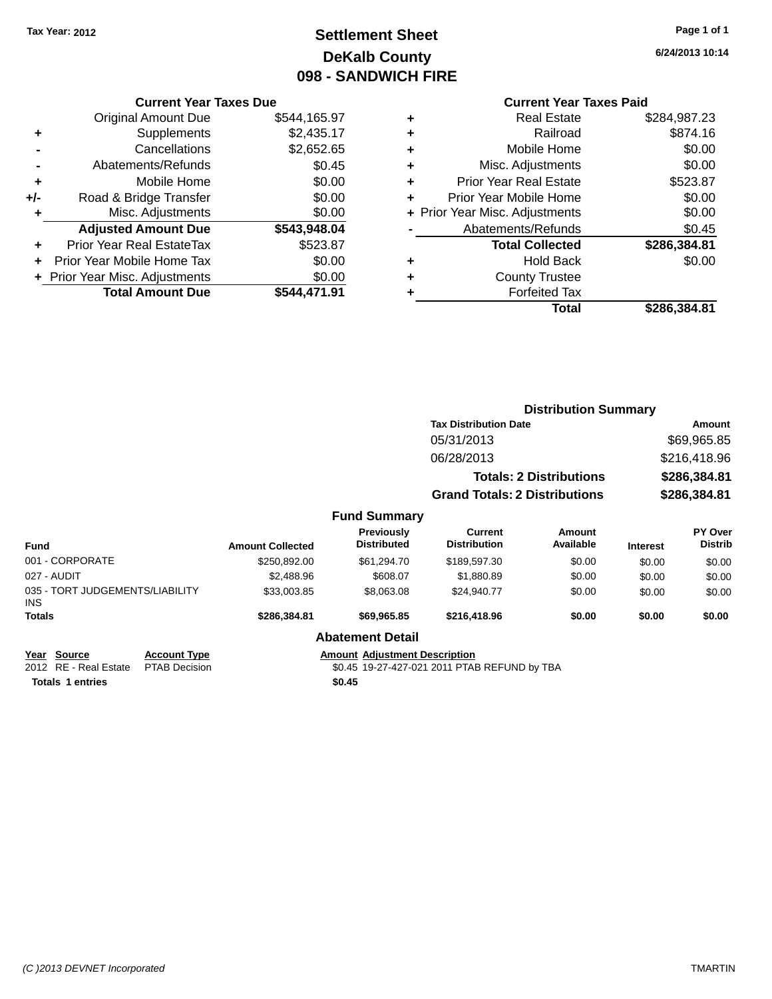## **Settlement Sheet Tax Year: 2012 Page 1 of 1 DeKalb County 098 - SANDWICH FIRE**

**6/24/2013 10:14**

#### **Current Year Taxes Paid**

|     | <b>Current Year Taxes Due</b>  |              |
|-----|--------------------------------|--------------|
|     | <b>Original Amount Due</b>     | \$544,165.97 |
| ٠   | Supplements                    | \$2,435.17   |
|     | Cancellations                  | \$2,652.65   |
|     | Abatements/Refunds             | \$0.45       |
| ٠   | Mobile Home                    | \$0.00       |
| +/- | Road & Bridge Transfer         | \$0.00       |
| ٠   | Misc. Adjustments              | \$0.00       |
|     | <b>Adjusted Amount Due</b>     | \$543,948.04 |
| ٠   | Prior Year Real EstateTax      | \$523.87     |
| ÷   | Prior Year Mobile Home Tax     | \$0.00       |
|     | + Prior Year Misc. Adjustments | \$0.00       |
|     | <b>Total Amount Due</b>        | \$544.471.91 |

| ٠ | <b>Real Estate</b>             | \$284,987.23 |
|---|--------------------------------|--------------|
| ٠ | Railroad                       | \$874.16     |
| ٠ | Mobile Home                    | \$0.00       |
| ٠ | Misc. Adjustments              | \$0.00       |
| ٠ | <b>Prior Year Real Estate</b>  | \$523.87     |
| ٠ | Prior Year Mobile Home         | \$0.00       |
|   | + Prior Year Misc. Adjustments | \$0.00       |
|   | Abatements/Refunds             | \$0.45       |
|   | <b>Total Collected</b>         | \$286,384.81 |
| ٠ | <b>Hold Back</b>               | \$0.00       |
| ٠ | <b>County Trustee</b>          |              |
| ٠ | <b>Forfeited Tax</b>           |              |
|   | Total                          | \$286.384.81 |
|   |                                |              |

|                                                                                               |                         |                                      | <b>Distribution Summary</b>                  |                                |                 |                                  |
|-----------------------------------------------------------------------------------------------|-------------------------|--------------------------------------|----------------------------------------------|--------------------------------|-----------------|----------------------------------|
|                                                                                               |                         |                                      | <b>Tax Distribution Date</b>                 |                                | Amount          |                                  |
|                                                                                               |                         |                                      | 05/31/2013                                   |                                |                 | \$69,965.85                      |
|                                                                                               |                         |                                      | 06/28/2013                                   |                                |                 | \$216,418.96                     |
|                                                                                               |                         |                                      |                                              | <b>Totals: 2 Distributions</b> |                 | \$286,384.81                     |
|                                                                                               |                         |                                      | <b>Grand Totals: 2 Distributions</b>         |                                |                 | \$286,384.81                     |
|                                                                                               |                         | <b>Fund Summary</b>                  |                                              |                                |                 |                                  |
| <b>Fund</b>                                                                                   | <b>Amount Collected</b> | Previously<br><b>Distributed</b>     | <b>Current</b><br><b>Distribution</b>        | Amount<br>Available            | <b>Interest</b> | <b>PY Over</b><br><b>Distrib</b> |
| 001 - CORPORATE                                                                               | \$250,892.00            | \$61,294.70                          | \$189,597.30                                 | \$0.00                         | \$0.00          | \$0.00                           |
| 027 - AUDIT                                                                                   | \$2,488.96              | \$608.07                             | \$1,880.89                                   | \$0.00                         | \$0.00          | \$0.00                           |
| 035 - TORT JUDGEMENTS/LIABILITY<br><b>INS</b>                                                 | \$33,003.85             | \$8,063.08                           | \$24,940.77                                  | \$0.00                         | \$0.00          | \$0.00                           |
| <b>Totals</b>                                                                                 | \$286,384.81            | \$69,965.85                          | \$216,418.96                                 | \$0.00                         | \$0.00          | \$0.00                           |
|                                                                                               |                         | <b>Abatement Detail</b>              |                                              |                                |                 |                                  |
| <b>Account Type</b><br><b>Source</b><br>Year<br>2012 RE - Real Estate<br><b>PTAB Decision</b> |                         | <b>Amount Adjustment Description</b> | \$0.45 19-27-427-021 2011 PTAB REFUND by TBA |                                |                 |                                  |

**Totals \$0.45 1 entries**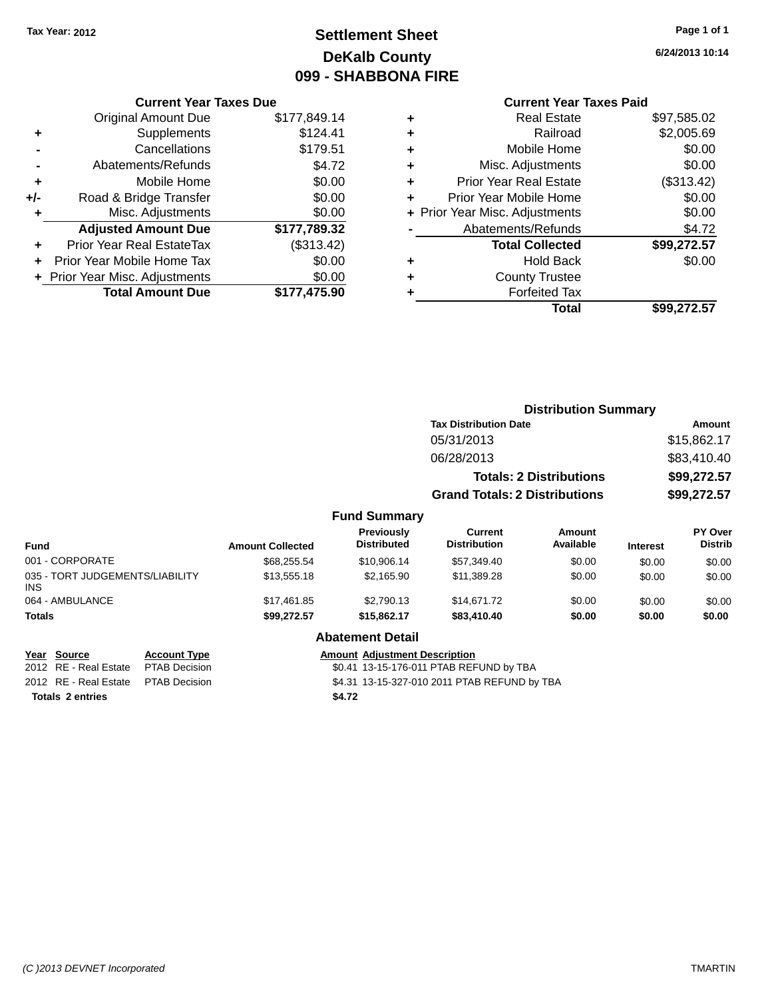## **Settlement Sheet Tax Year: 2012 Page 1 of 1 DeKalb County 099 - SHABBONA FIRE**

**6/24/2013 10:14**

### **Current Year Taxes Due**

|     | <b>Original Amount Due</b>       | \$177,849.14 |
|-----|----------------------------------|--------------|
| ٠   | Supplements                      | \$124.41     |
|     | Cancellations                    | \$179.51     |
|     | Abatements/Refunds               | \$4.72       |
| ٠   | Mobile Home                      | \$0.00       |
| +/- | Road & Bridge Transfer           | \$0.00       |
| ٠   | Misc. Adjustments                | \$0.00       |
|     | <b>Adjusted Amount Due</b>       | \$177,789.32 |
| ٠   | <b>Prior Year Real EstateTax</b> | (\$313.42)   |
|     | Prior Year Mobile Home Tax       | \$0.00       |
|     | + Prior Year Misc. Adjustments   | \$0.00       |
|     | <b>Total Amount Due</b>          | \$177,475.90 |

|   | <b>Current Year Taxes Paid</b> |             |
|---|--------------------------------|-------------|
| ٠ | <b>Real Estate</b>             | \$97,585.02 |
| ٠ | Railroad                       | \$2,005.69  |
| ٠ | Mobile Home                    | \$0.00      |
| ٠ | Misc. Adjustments              | \$0.00      |
| ٠ | <b>Prior Year Real Estate</b>  | (\$313.42)  |
| ٠ | Prior Year Mobile Home         | \$0.00      |
|   | + Prior Year Misc. Adjustments | \$0.00      |
|   | Abatements/Refunds             | \$4.72      |
|   | <b>Total Collected</b>         | \$99,272.57 |
|   | <b>Hold Back</b>               | \$0.00      |
|   | <b>County Trustee</b>          |             |
|   | <b>Forfeited Tax</b>           |             |
|   | Total                          | \$99.272.57 |
|   |                                |             |

## **Distribution Summary Tax Distribution Date Amount** 05/31/2013 \$15,862.17 06/28/2013 \$83,410.40 **Totals: 2 Distributions \$99,272.57 Grand Totals: 2 Distributions \$99,272.57 Fund Summary**

| <b>Fund</b>                             | <b>Amount Collected</b> | Previously<br><b>Distributed</b> | <b>Current</b><br><b>Distribution</b> | Amount<br>Available | <b>Interest</b> | <b>PY Over</b><br><b>Distrib</b> |
|-----------------------------------------|-------------------------|----------------------------------|---------------------------------------|---------------------|-----------------|----------------------------------|
| 001 - CORPORATE                         | \$68,255.54             | \$10,906.14                      | \$57,349.40                           | \$0.00              | \$0.00          | \$0.00                           |
| 035 - TORT JUDGEMENTS/LIABILITY<br>INS. | \$13,555,18             | \$2.165.90                       | \$11,389.28                           | \$0.00              | \$0.00          | \$0.00                           |
| 064 - AMBULANCE                         | \$17.461.85             | \$2.790.13                       | \$14.671.72                           | \$0.00              | \$0.00          | \$0.00                           |
| <b>Totals</b>                           | \$99,272.57             | \$15,862.17                      | \$83,410.40                           | \$0.00              | \$0.00          | \$0.00                           |

#### **Abatement Detail**

| Year Source                         | <b>Account Type</b> |        | <b>Amount Adjustment Description</b>         |
|-------------------------------------|---------------------|--------|----------------------------------------------|
| 2012 RE - Real Estate PTAB Decision |                     |        | \$0.41 13-15-176-011 PTAB REFUND by TBA      |
| 2012 RE - Real Estate PTAB Decision |                     |        | \$4.31 13-15-327-010 2011 PTAB REFUND by TBA |
| <b>Totals 2 entries</b>             |                     | \$4.72 |                                              |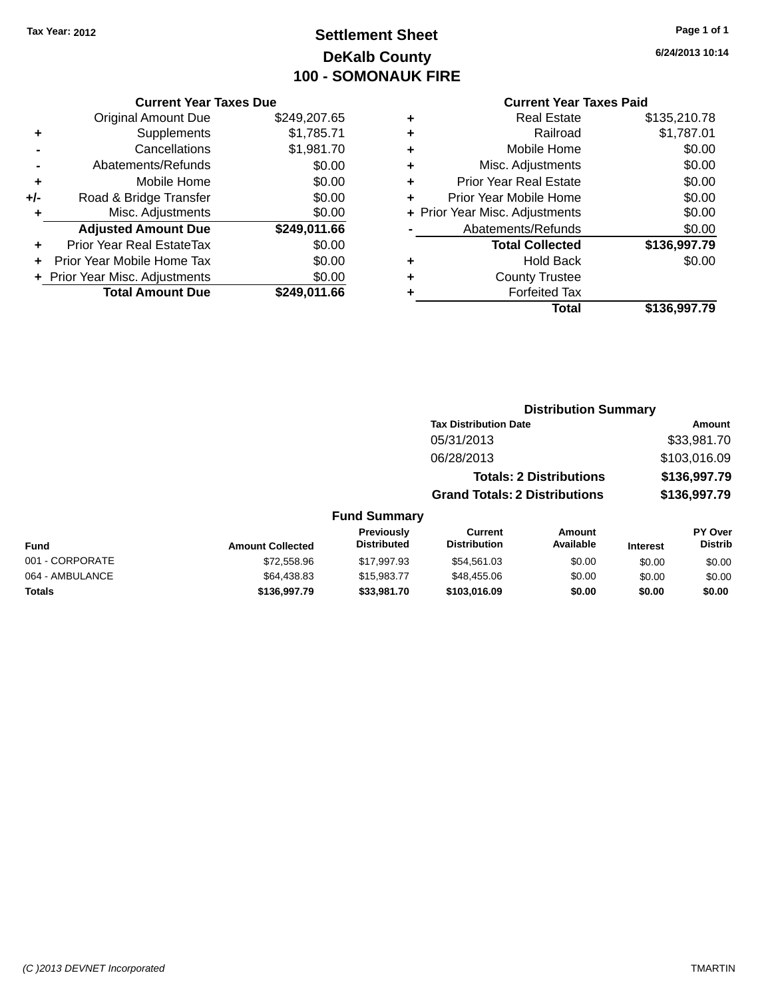## **Settlement Sheet Tax Year: 2012 Page 1 of 1 DeKalb County 100 - SOMONAUK FIRE**

**6/24/2013 10:14**

#### **Current Year Taxes Paid**

|       | <b>Current Year Taxes Due</b>  |              |
|-------|--------------------------------|--------------|
|       | <b>Original Amount Due</b>     | \$249,207.65 |
| ٠     | Supplements                    | \$1,785.71   |
|       | Cancellations                  | \$1,981.70   |
|       | Abatements/Refunds             | \$0.00       |
| ٠     | Mobile Home                    | \$0.00       |
| $+/-$ | Road & Bridge Transfer         | \$0.00       |
| ٠     | Misc. Adjustments              | \$0.00       |
|       | <b>Adjusted Amount Due</b>     | \$249,011.66 |
| ÷     | Prior Year Real EstateTax      | \$0.00       |
|       | Prior Year Mobile Home Tax     | \$0.00       |
|       | + Prior Year Misc. Adjustments | \$0.00       |
|       | <b>Total Amount Due</b>        | \$249.011.66 |
|       |                                |              |

|   | <b>Real Estate</b>             | \$135,210.78 |
|---|--------------------------------|--------------|
| ٠ | Railroad                       | \$1,787.01   |
| ٠ | Mobile Home                    | \$0.00       |
| ٠ | Misc. Adjustments              | \$0.00       |
| ٠ | <b>Prior Year Real Estate</b>  | \$0.00       |
| ٠ | Prior Year Mobile Home         | \$0.00       |
|   | + Prior Year Misc. Adjustments | \$0.00       |
|   | Abatements/Refunds             | \$0.00       |
|   | <b>Total Collected</b>         | \$136,997.79 |
| ٠ | <b>Hold Back</b>               | \$0.00       |
| ÷ | <b>County Trustee</b>          |              |
| ٠ | <b>Forfeited Tax</b>           |              |
|   | Total                          | \$136,997.79 |
|   |                                |              |

## **Distribution Summary Tax Distribution Date Amount** 05/31/2013 \$33,981.70 06/28/2013 \$103,016.09 **Totals: 2 Distributions \$136,997.79 Grand Totals: 2 Distributions \$136,997.79 Fund Summary**

| <b>Fund</b>     | <b>Amount Collected</b> | <b>Previously</b><br><b>Distributed</b> | Current<br><b>Distribution</b> | Amount<br>Available | <b>Interest</b> | <b>PY Over</b><br><b>Distrib</b> |
|-----------------|-------------------------|-----------------------------------------|--------------------------------|---------------------|-----------------|----------------------------------|
| 001 - CORPORATE | \$72.558.96             | \$17.997.93                             | \$54.561.03                    | \$0.00              | \$0.00          | \$0.00                           |
| 064 - AMBULANCE | \$64,438.83             | \$15,983,77                             | \$48,455,06                    | \$0.00              | \$0.00          | \$0.00                           |
| <b>Totals</b>   | \$136,997.79            | \$33,981.70                             | \$103.016.09                   | \$0.00              | \$0.00          | \$0.00                           |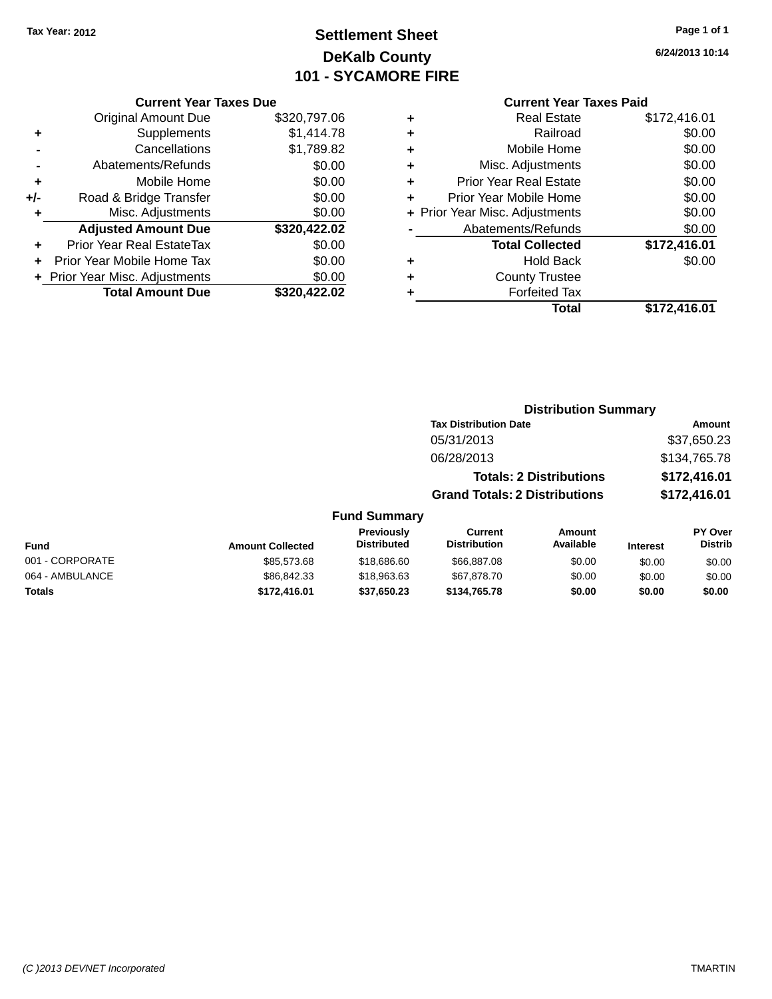## **Settlement Sheet Tax Year: 2012 Page 1 of 1 DeKalb County 101 - SYCAMORE FIRE**

**6/24/2013 10:14**

|     | <b>Current Year Taxes Due</b> |              |
|-----|-------------------------------|--------------|
|     | <b>Original Amount Due</b>    | \$320,797.06 |
| ٠   | Supplements                   | \$1,414.78   |
|     | Cancellations                 | \$1,789.82   |
|     | Abatements/Refunds            | \$0.00       |
| ٠   | Mobile Home                   | \$0.00       |
| +/- | Road & Bridge Transfer        | \$0.00       |
| ٠   | Misc. Adjustments             | \$0.00       |
|     | <b>Adjusted Amount Due</b>    | \$320,422.02 |
| ÷   | Prior Year Real EstateTax     | \$0.00       |
|     | Prior Year Mobile Home Tax    | \$0.00       |
|     | Prior Year Misc. Adjustments  | \$0.00       |
|     | <b>Total Amount Due</b>       | \$320.422.02 |

|   | <b>Real Estate</b>             | \$172,416.01 |
|---|--------------------------------|--------------|
| ٠ | Railroad                       | \$0.00       |
| ٠ | Mobile Home                    | \$0.00       |
| ٠ | Misc. Adjustments              | \$0.00       |
| ٠ | <b>Prior Year Real Estate</b>  | \$0.00       |
| ٠ | Prior Year Mobile Home         | \$0.00       |
|   | + Prior Year Misc. Adjustments | \$0.00       |
|   | Abatements/Refunds             | \$0.00       |
|   | <b>Total Collected</b>         | \$172,416.01 |
| ٠ | <b>Hold Back</b>               | \$0.00       |
|   | <b>County Trustee</b>          |              |
| ٠ | <b>Forfeited Tax</b>           |              |
|   | Total                          | \$172,416.01 |
|   |                                |              |

|                     | <b>Distribution Summary</b>          |                                |                  |                |  |
|---------------------|--------------------------------------|--------------------------------|------------------|----------------|--|
|                     | <b>Tax Distribution Date</b>         |                                |                  | <b>Amount</b>  |  |
|                     | 05/31/2013                           |                                |                  | \$37,650.23    |  |
|                     | 06/28/2013                           |                                |                  | \$134,765.78   |  |
|                     |                                      | <b>Totals: 2 Distributions</b> |                  | \$172,416.01   |  |
|                     | <b>Grand Totals: 2 Distributions</b> |                                |                  | \$172,416.01   |  |
| <b>Fund Summary</b> |                                      |                                |                  |                |  |
| <b>Previously</b>   | Current                              | Amount                         |                  | <b>PY Over</b> |  |
| Dietributed         | Dietribution                         | Avoilabla                      | $1.14 \pm .0.14$ | <b>Dietrih</b> |  |

| Fund            | <b>Amount Collected</b> | <b>Previously</b><br><b>Distributed</b> | Current<br><b>Distribution</b> | Amount<br>Available | <b>Interest</b> | <b>PY Over</b><br><b>Distrib</b> |
|-----------------|-------------------------|-----------------------------------------|--------------------------------|---------------------|-----------------|----------------------------------|
| 001 - CORPORATE | \$85,573,68             | \$18,686,60                             | \$66,887,08                    | \$0.00              | \$0.00          | \$0.00                           |
| 064 - AMBULANCE | \$86,842,33             | \$18,963,63                             | \$67.878.70                    | \$0.00              | \$0.00          | \$0.00                           |
| <b>Totals</b>   | \$172.416.01            | \$37,650.23                             | \$134.765.78                   | \$0.00              | \$0.00          | \$0.00                           |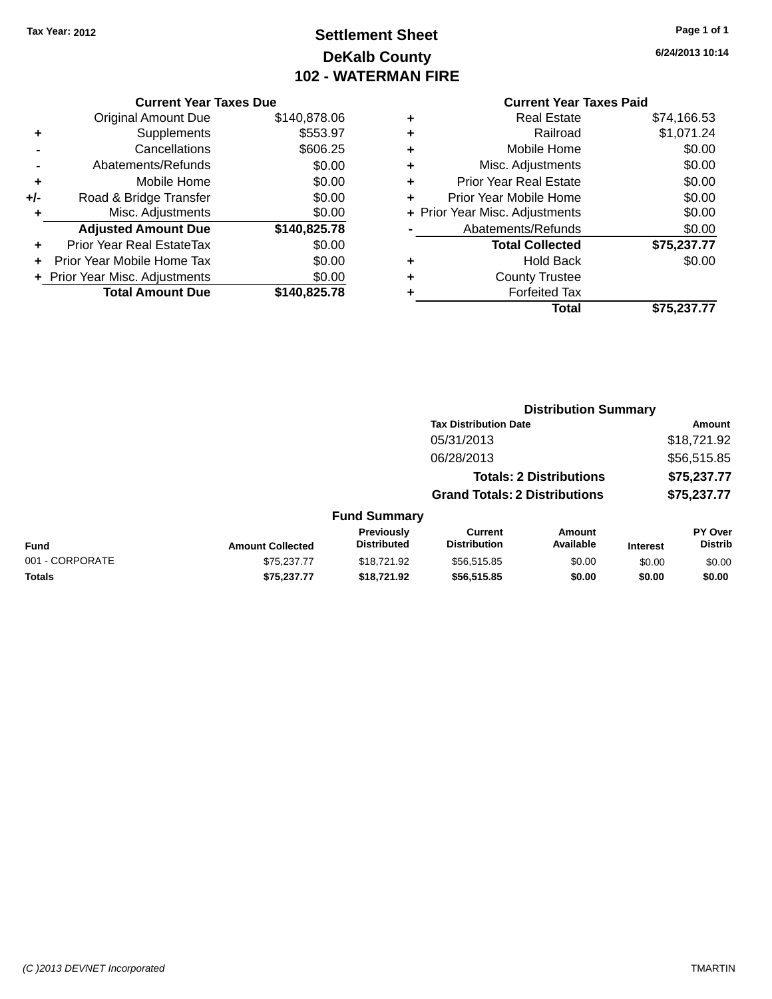## **Settlement Sheet Tax Year: 2012 Page 1 of 1 DeKalb County 102 - WATERMAN FIRE**

**6/24/2013 10:14**

#### **Current Year Taxes Due**

|     | <b>Original Amount Due</b>     | \$140,878.06 |
|-----|--------------------------------|--------------|
| ٠   | Supplements                    | \$553.97     |
|     | Cancellations                  | \$606.25     |
|     | Abatements/Refunds             | \$0.00       |
| ÷   | Mobile Home                    | \$0.00       |
| +/- | Road & Bridge Transfer         | \$0.00       |
| ٠   | Misc. Adjustments              | \$0.00       |
|     | <b>Adjusted Amount Due</b>     | \$140,825.78 |
| ٠   | Prior Year Real EstateTax      | \$0.00       |
|     | Prior Year Mobile Home Tax     | \$0.00       |
|     | + Prior Year Misc. Adjustments | \$0.00       |
|     | <b>Total Amount Due</b>        | \$140.825.78 |

#### **Current Year Taxes Paid +** Real Estate \$74,166.53

|   | Total                                         | \$75,237.77        |
|---|-----------------------------------------------|--------------------|
| ٠ | <b>County Trustee</b><br><b>Forfeited Tax</b> |                    |
| ٠ |                                               |                    |
|   | <b>Hold Back</b>                              | \$0.00             |
|   | <b>Total Collected</b>                        | \$75,237.77        |
|   | Abatements/Refunds                            | \$0.00             |
|   | + Prior Year Misc. Adjustments                | \$0.00             |
| ٠ | Prior Year Mobile Home                        | \$0.00             |
| ٠ | <b>Prior Year Real Estate</b>                 | \$0.00             |
| ٠ | Misc. Adjustments                             | \$0.00             |
| ÷ | Mobile Home                                   | \$0.00             |
| ÷ | Railroad                                      | \$1,071.24         |
| Ŧ | NGAI CSIAIG                                   | <b>JI4, 100.00</b> |

|                 |                         |                                  | <b>Distribution Summary</b>           |                                |                 |                           |
|-----------------|-------------------------|----------------------------------|---------------------------------------|--------------------------------|-----------------|---------------------------|
|                 |                         |                                  | <b>Tax Distribution Date</b>          |                                |                 | Amount                    |
|                 |                         |                                  | 05/31/2013                            |                                |                 | \$18,721.92               |
|                 |                         |                                  | 06/28/2013                            |                                |                 | \$56,515.85               |
|                 |                         |                                  |                                       | <b>Totals: 2 Distributions</b> |                 | \$75,237.77               |
|                 |                         |                                  | <b>Grand Totals: 2 Distributions</b>  |                                |                 | \$75,237.77               |
|                 |                         | <b>Fund Summary</b>              |                                       |                                |                 |                           |
| <b>Fund</b>     | <b>Amount Collected</b> | Previously<br><b>Distributed</b> | <b>Current</b><br><b>Distribution</b> | <b>Amount</b><br>Available     | <b>Interest</b> | PY Over<br><b>Distrib</b> |
| 001 - CORPORATE | \$75,237.77             | \$18,721.92                      | \$56,515.85                           | \$0.00                         | \$0.00          | \$0.00                    |
| <b>Totals</b>   | \$75.237.77             | \$18.721.92                      | \$56,515.85                           | \$0.00                         | \$0.00          | \$0.00                    |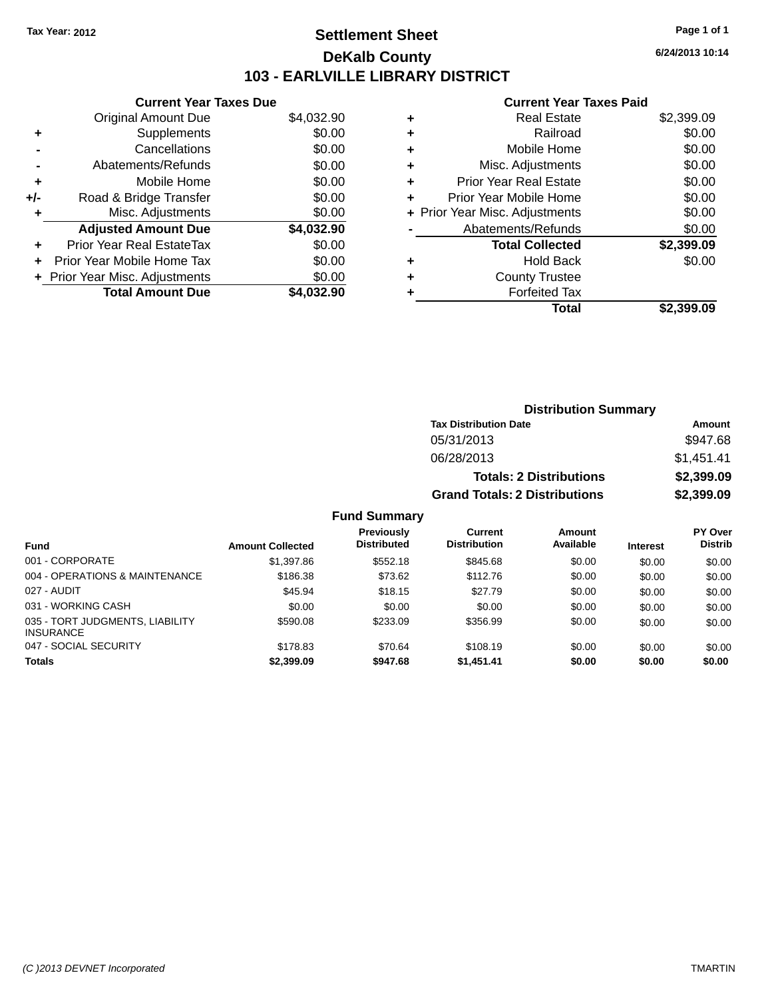## **Settlement Sheet Tax Year: 2012 Page 1 of 1 DeKalb County 103 - EARLVILLE LIBRARY DISTRICT**

**6/24/2013 10:14**

#### **Current Year Taxes Paid**

| <b>Current Year Taxes Due</b> |                                |
|-------------------------------|--------------------------------|
| Original Amount Due           | \$4,032.90                     |
| Supplements                   | \$0.00                         |
| Cancellations                 | \$0.00                         |
| Abatements/Refunds            | \$0.00                         |
| Mobile Home                   | \$0.00                         |
| Road & Bridge Transfer        | \$0.00                         |
| Misc. Adjustments             | \$0.00                         |
| <b>Adjusted Amount Due</b>    | \$4,032.90                     |
| Prior Year Real EstateTax     | \$0.00                         |
| Prior Year Mobile Home Tax    | \$0.00                         |
|                               | \$0.00                         |
| <b>Total Amount Due</b>       | \$4.032.90                     |
|                               | + Prior Year Misc. Adjustments |

|   | <b>Real Estate</b>             | \$2,399.09 |
|---|--------------------------------|------------|
| ٠ | Railroad                       | \$0.00     |
| ٠ | Mobile Home                    | \$0.00     |
| ٠ | Misc. Adjustments              | \$0.00     |
| ٠ | <b>Prior Year Real Estate</b>  | \$0.00     |
| ٠ | Prior Year Mobile Home         | \$0.00     |
|   | + Prior Year Misc. Adjustments | \$0.00     |
|   | Abatements/Refunds             | \$0.00     |
|   | <b>Total Collected</b>         | \$2,399.09 |
| ٠ | <b>Hold Back</b>               | \$0.00     |
| ٠ | <b>County Trustee</b>          |            |
| ٠ | <b>Forfeited Tax</b>           |            |
|   | Total                          | \$2.399.09 |
|   |                                |            |

| <b>Distribution Summary</b>          |            |  |  |  |
|--------------------------------------|------------|--|--|--|
| <b>Tax Distribution Date</b>         | Amount     |  |  |  |
| 05/31/2013                           | \$947.68   |  |  |  |
| 06/28/2013                           | \$1,451.41 |  |  |  |
| <b>Totals: 2 Distributions</b>       | \$2,399.09 |  |  |  |
| <b>Grand Totals: 2 Distributions</b> | \$2,399.09 |  |  |  |

#### **Fund Summary**

| <b>Fund</b>                     | <b>Amount Collected</b> | <b>Previously</b><br><b>Distributed</b> | Current<br><b>Distribution</b> | Amount<br>Available | <b>Interest</b> | <b>PY Over</b><br><b>Distrib</b> |
|---------------------------------|-------------------------|-----------------------------------------|--------------------------------|---------------------|-----------------|----------------------------------|
| 001 - CORPORATE                 | \$1,397.86              | \$552.18                                | \$845.68                       | \$0.00              | \$0.00          | \$0.00                           |
| 004 - OPERATIONS & MAINTENANCE  | \$186.38                | \$73.62                                 | \$112.76                       | \$0.00              | \$0.00          | \$0.00                           |
| 027 - AUDIT                     | \$45.94                 | \$18.15                                 | \$27.79                        | \$0.00              | \$0.00          | \$0.00                           |
| 031 - WORKING CASH              | \$0.00                  | \$0.00                                  | \$0.00                         | \$0.00              | \$0.00          | \$0.00                           |
| 035 - TORT JUDGMENTS, LIABILITY | \$590.08                | \$233.09                                | \$356.99                       | \$0.00              | \$0.00          | \$0.00                           |
| <b>INSURANCE</b>                |                         |                                         |                                |                     |                 |                                  |
| 047 - SOCIAL SECURITY           | \$178.83                | \$70.64                                 | \$108.19                       | \$0.00              | \$0.00          | \$0.00                           |
| <b>Totals</b>                   | \$2,399.09              | \$947.68                                | \$1,451.41                     | \$0.00              | \$0.00          | \$0.00                           |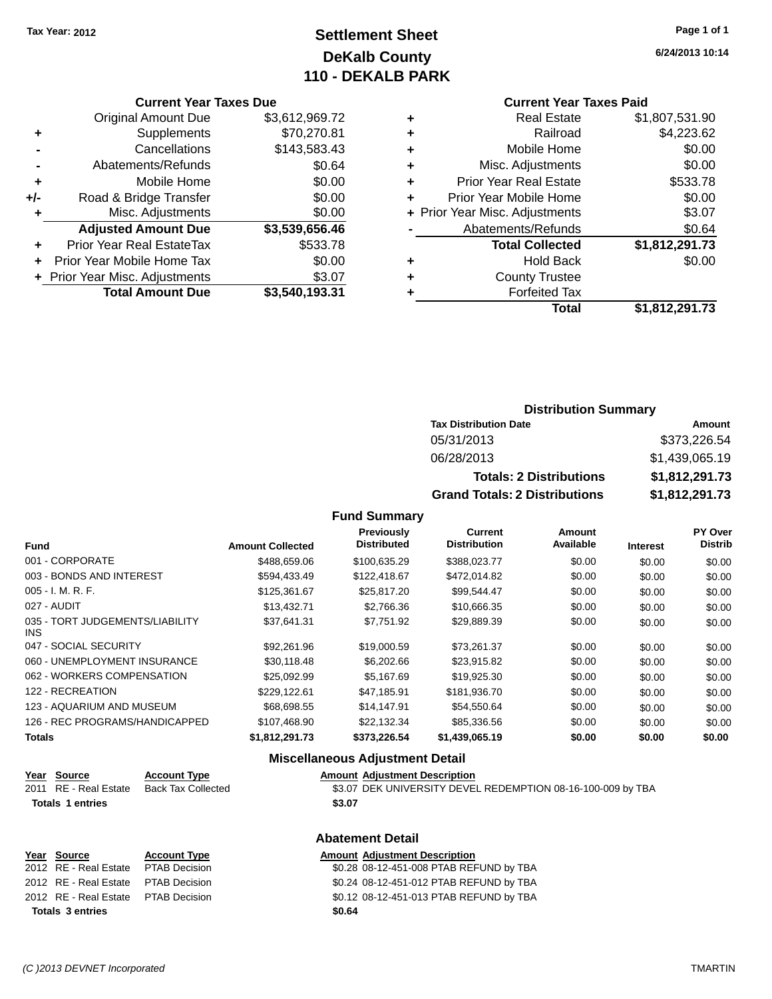## **Settlement Sheet Tax Year: 2012 Page 1 of 1 DeKalb County 110 - DEKALB PARK**

**6/24/2013 10:14**

#### **Current Year Taxes Due**

|     | <b>Original Amount Due</b>     | \$3,612,969.72 |
|-----|--------------------------------|----------------|
| ٠   | Supplements                    | \$70,270.81    |
|     | Cancellations                  | \$143,583.43   |
|     | Abatements/Refunds             | \$0.64         |
| ٠   | Mobile Home                    | \$0.00         |
| +/- | Road & Bridge Transfer         | \$0.00         |
| ٠   | Misc. Adjustments              | \$0.00         |
|     | <b>Adjusted Amount Due</b>     | \$3,539,656.46 |
|     | Prior Year Real EstateTax      | \$533.78       |
|     | Prior Year Mobile Home Tax     | \$0.00         |
|     | + Prior Year Misc. Adjustments | \$3.07         |
|     | <b>Total Amount Due</b>        | \$3,540,193.31 |

## **Current Year Taxes Paid**

| ٠ | <b>Forfeited Tax</b><br>Total  | \$1,812,291.73 |
|---|--------------------------------|----------------|
| ٠ | <b>County Trustee</b>          |                |
| ٠ | <b>Hold Back</b>               | \$0.00         |
|   | <b>Total Collected</b>         | \$1,812,291.73 |
|   | Abatements/Refunds             | \$0.64         |
|   | + Prior Year Misc. Adjustments | \$3.07         |
| ٠ | Prior Year Mobile Home         | \$0.00         |
| ٠ | <b>Prior Year Real Estate</b>  | \$533.78       |
| ٠ | Misc. Adjustments              | \$0.00         |
| ٠ | Mobile Home                    | \$0.00         |
| ÷ | Railroad                       | \$4,223.62     |
|   | <b>Real Estate</b>             | \$1,807,531.90 |

#### **Distribution Summary Tax Distribution Date Amount** 05/31/2013 \$373,226.54 06/28/2013 \$1,439,065.19 **Totals: 2 Distributions \$1,812,291.73**

**Grand Totals: 2 Distributions \$1,812,291.73**

| טווטו | Ψ |
|-------|---|
|       |   |
|       |   |
|       |   |

#### **Fund Interest Amount Collected Distributed PY Over Distrib Amount Available Current Distribution Previously** 001 - CORPORATE \$488,659.06 \$100,635.29 \$388,023.77 \$0.00 \$0.00 \$0.00 003 - BONDS AND INTEREST 60.00 \$594,433.49 \$122,418.67 \$472,014.82 \$0.00 \$0.00 \$0.00 \$0.00 005 - I. M. R. F. \$125,361.67 \$25,817.20 \$99,544.47 \$0.00 \$0.00 \$0.00 027 - AUDIT \$13,432.71 \$2,766.36 \$10,666.35 \$0.00 \$0.00 \$0.00 035 - TORT JUDGEMENTS/LIABILITY INS \$37,641.31 \$7,751.92 \$29,889.39 \$0.00 \$0.00 \$0.00 047 - SOCIAL SECURITY \$92,261.96 \$19,000.59 \$73,261.37 \$0.00 \$0.00 \$0.00 060 - UNEMPLOYMENT INSURANCE \$30,118.48 \$6,202.66 \$23,915.82 \$0.00 \$0.00 \$0.00 062 - WORKERS COMPENSATION  $$25,092.99$   $$5,167.69$   $$19,925.30$   $$0.00$   $$0.00$   $$0.00$ 122 - RECREATION \$229,122.61 \$47,185.91 \$181,936.70 \$0.00 \$0.00 \$0.00 123 - AQUARIUM AND MUSEUM \$68,698.55 \$14,147.91 \$54,550.64 \$0.00 \$0.00 \$0.00 \$0.00 126 - REC PROGRAMS/HANDICAPPED \$107,468.90 \$22,132.34 \$85,336.56 \$0.00 \$0.00 \$0.00 **Totals \$1,812,291.73 \$373,226.54 \$1,439,065.19 \$0.00 \$0.00 \$0.00**

**Fund Summary**

#### **Miscellaneous Adjustment Detail**

**Abatement Detail**

| <u>Year Source</u>      | <b>Account Type</b> | <b>Amount Adjustment Description</b>                        |
|-------------------------|---------------------|-------------------------------------------------------------|
| 2011 RE - Real Estate   | Back Tax Collected  | \$3.07 DEK UNIVERSITY DEVEL REDEMPTION 08-16-100-009 by TBA |
| <b>Totals 1 entries</b> |                     | \$3.07                                                      |
|                         |                     |                                                             |

#### **Year Source Account Type Amount Adjustment Description** 2012 RE - Real Estate \$0.28 08-12-451-008 PTAB REFUND by TBA PTAB Decision 2012 RE - Real Estate \$0.24 08-12-451-012 PTAB REFUND by TBA PTAB Decision 2012 RE - Real Estate \$0.12 08-12-451-013 PTAB REFUND by TBA PTAB Decision **Totals \$0.64 3 entries**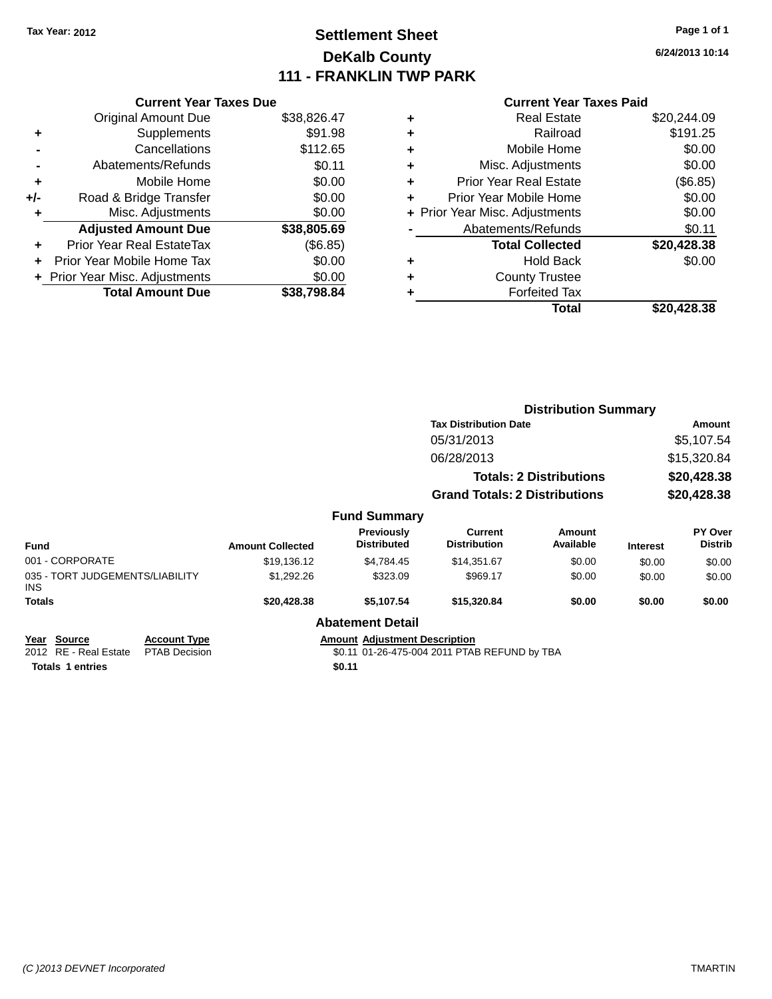## **Settlement Sheet Tax Year: 2012 Page 1 of 1 DeKalb County 111 - FRANKLIN TWP PARK**

**6/24/2013 10:14**

#### **Current Year Taxes Paid**

|     | <b>Current Year Taxes Due</b>  |             |
|-----|--------------------------------|-------------|
|     | <b>Original Amount Due</b>     | \$38,826.47 |
| ٠   | Supplements                    | \$91.98     |
|     | Cancellations                  | \$112.65    |
|     | Abatements/Refunds             | \$0.11      |
| ٠   | Mobile Home                    | \$0.00      |
| +/- | Road & Bridge Transfer         | \$0.00      |
| ٠   | Misc. Adjustments              | \$0.00      |
|     | <b>Adjusted Amount Due</b>     | \$38,805.69 |
| ÷   | Prior Year Real EstateTax      | (\$6.85)    |
|     | Prior Year Mobile Home Tax     | \$0.00      |
|     | + Prior Year Misc. Adjustments | \$0.00      |
|     | <b>Total Amount Due</b>        | \$38.798.84 |
|     |                                |             |

| ٠ | <b>Real Estate</b>             | \$20,244.09 |
|---|--------------------------------|-------------|
| ٠ | Railroad                       | \$191.25    |
| ٠ | Mobile Home                    | \$0.00      |
| ٠ | Misc. Adjustments              | \$0.00      |
| ٠ | <b>Prior Year Real Estate</b>  | (\$6.85)    |
| ÷ | Prior Year Mobile Home         | \$0.00      |
|   | + Prior Year Misc. Adjustments | \$0.00      |
|   | Abatements/Refunds             | \$0.11      |
|   | <b>Total Collected</b>         | \$20,428.38 |
| ٠ | <b>Hold Back</b>               | \$0.00      |
| ٠ | <b>County Trustee</b>          |             |
| ٠ | <b>Forfeited Tax</b>           |             |
|   | Total                          | \$20,428.38 |
|   |                                |             |

|                                                |                                             |                         |                                      |                                              | <b>Distribution Summary</b>    |                 |                           |
|------------------------------------------------|---------------------------------------------|-------------------------|--------------------------------------|----------------------------------------------|--------------------------------|-----------------|---------------------------|
|                                                |                                             |                         |                                      | <b>Tax Distribution Date</b>                 |                                |                 | Amount                    |
|                                                |                                             |                         |                                      | 05/31/2013                                   |                                |                 | \$5,107.54                |
|                                                |                                             |                         |                                      | 06/28/2013                                   |                                |                 | \$15,320.84               |
|                                                |                                             |                         |                                      |                                              | <b>Totals: 2 Distributions</b> |                 | \$20,428.38               |
|                                                |                                             |                         |                                      | <b>Grand Totals: 2 Distributions</b>         |                                |                 | \$20,428.38               |
|                                                |                                             |                         | <b>Fund Summary</b>                  |                                              |                                |                 |                           |
| <b>Fund</b>                                    |                                             | <b>Amount Collected</b> | Previously<br><b>Distributed</b>     | Current<br><b>Distribution</b>               | Amount<br>Available            | <b>Interest</b> | PY Over<br><b>Distrib</b> |
| 001 - CORPORATE                                |                                             | \$19,136.12             | \$4,784.45                           | \$14,351.67                                  | \$0.00                         | \$0.00          | \$0.00                    |
| 035 - TORT JUDGEMENTS/LIABILITY<br><b>INS</b>  |                                             | \$1,292.26              | \$323.09                             | \$969.17                                     | \$0.00                         | \$0.00          | \$0.00                    |
| <b>Totals</b>                                  |                                             | \$20,428.38             | \$5,107.54                           | \$15,320.84                                  | \$0.00                         | \$0.00          | \$0.00                    |
|                                                |                                             |                         | <b>Abatement Detail</b>              |                                              |                                |                 |                           |
| <b>Source</b><br>Year<br>2012 RE - Real Estate | <b>Account Type</b><br><b>PTAB Decision</b> |                         | <b>Amount Adjustment Description</b> | \$0.11 01-26-475-004 2011 PTAB REFUND by TBA |                                |                 |                           |

**Totals 1 entries** \$0.11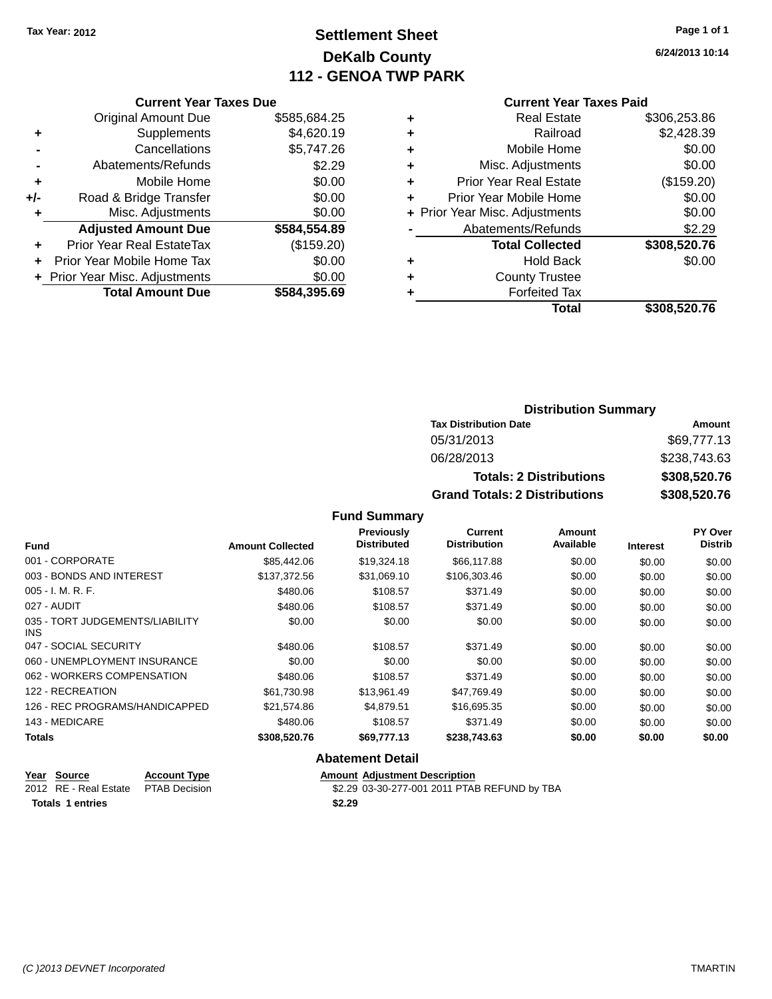## **Settlement Sheet Tax Year: 2012 Page 1 of 1 DeKalb County 112 - GENOA TWP PARK**

**6/24/2013 10:14**

|     | <b>Current Year Taxes Due</b>    |              |  |  |
|-----|----------------------------------|--------------|--|--|
|     | <b>Original Amount Due</b>       | \$585,684.25 |  |  |
| ٠   | Supplements                      | \$4,620.19   |  |  |
|     | Cancellations                    | \$5,747.26   |  |  |
|     | Abatements/Refunds               | \$2.29       |  |  |
| ٠   | Mobile Home                      | \$0.00       |  |  |
| +/- | Road & Bridge Transfer           | \$0.00       |  |  |
| ٠   | \$0.00<br>Misc. Adjustments      |              |  |  |
|     | <b>Adjusted Amount Due</b>       | \$584,554.89 |  |  |
|     | <b>Prior Year Real EstateTax</b> | (\$159.20)   |  |  |
|     | Prior Year Mobile Home Tax       | \$0.00       |  |  |
|     | + Prior Year Misc. Adjustments   | \$0.00       |  |  |
|     | <b>Total Amount Due</b>          | \$584,395.69 |  |  |
|     |                                  |              |  |  |

#### **Current Year Taxes Paid**

| ٠ | <b>Real Estate</b>             | \$306,253.86 |
|---|--------------------------------|--------------|
| ٠ | Railroad                       | \$2,428.39   |
| ٠ | Mobile Home                    | \$0.00       |
| ٠ | Misc. Adjustments              | \$0.00       |
| ٠ | <b>Prior Year Real Estate</b>  | (\$159.20)   |
| ÷ | Prior Year Mobile Home         | \$0.00       |
|   | + Prior Year Misc. Adjustments | \$0.00       |
|   | Abatements/Refunds             | \$2.29       |
|   | <b>Total Collected</b>         | \$308,520.76 |
| ٠ | Hold Back                      | \$0.00       |
| ٠ | <b>County Trustee</b>          |              |
| ٠ | <b>Forfeited Tax</b>           |              |
|   | Total                          | \$308,520.76 |
|   |                                |              |

#### **Distribution Summary Tax Distribution Date Amount** 05/31/2013 \$69,777.13 06/28/2013 \$238,743.63 **Totals: 2 Distributions \$308,520.76 Grand Totals: 2 Distributions \$308,520.76**

#### **Fund Summary**

| <b>Fund</b>                                   | <b>Amount Collected</b> | Previously<br><b>Distributed</b> | <b>Current</b><br><b>Distribution</b> | Amount<br>Available | <b>Interest</b> | PY Over<br><b>Distrib</b> |
|-----------------------------------------------|-------------------------|----------------------------------|---------------------------------------|---------------------|-----------------|---------------------------|
| 001 - CORPORATE                               | \$85,442.06             | \$19,324.18                      | \$66,117.88                           | \$0.00              | \$0.00          | \$0.00                    |
| 003 - BONDS AND INTEREST                      | \$137,372,56            | \$31,069.10                      | \$106,303.46                          | \$0.00              | \$0.00          | \$0.00                    |
| $005 - I. M. R. F.$                           | \$480.06                | \$108.57                         | \$371.49                              | \$0.00              | \$0.00          | \$0.00                    |
| 027 - AUDIT                                   | \$480.06                | \$108.57                         | \$371.49                              | \$0.00              | \$0.00          | \$0.00                    |
| 035 - TORT JUDGEMENTS/LIABILITY<br><b>INS</b> | \$0.00                  | \$0.00                           | \$0.00                                | \$0.00              | \$0.00          | \$0.00                    |
| 047 - SOCIAL SECURITY                         | \$480.06                | \$108.57                         | \$371.49                              | \$0.00              | \$0.00          | \$0.00                    |
| 060 - UNEMPLOYMENT INSURANCE                  | \$0.00                  | \$0.00                           | \$0.00                                | \$0.00              | \$0.00          | \$0.00                    |
| 062 - WORKERS COMPENSATION                    | \$480.06                | \$108.57                         | \$371.49                              | \$0.00              | \$0.00          | \$0.00                    |
| 122 - RECREATION                              | \$61,730.98             | \$13,961.49                      | \$47,769.49                           | \$0.00              | \$0.00          | \$0.00                    |
| 126 - REC PROGRAMS/HANDICAPPED                | \$21,574.86             | \$4.879.51                       | \$16.695.35                           | \$0.00              | \$0.00          | \$0.00                    |
| 143 - MEDICARE                                | \$480.06                | \$108.57                         | \$371.49                              | \$0.00              | \$0.00          | \$0.00                    |
| <b>Totals</b>                                 | \$308,520.76            | \$69,777.13                      | \$238,743.63                          | \$0.00              | \$0.00          | \$0.00                    |

#### **Abatement Detail**

| Year Source                         | <b>Account Type</b> | <b>Amount Adiustment Description</b>         |
|-------------------------------------|---------------------|----------------------------------------------|
| 2012 RE - Real Estate PTAB Decision |                     | \$2.29 03-30-277-001 2011 PTAB REFUND by TBA |
| <b>Totals 1 entries</b>             |                     | \$2.29                                       |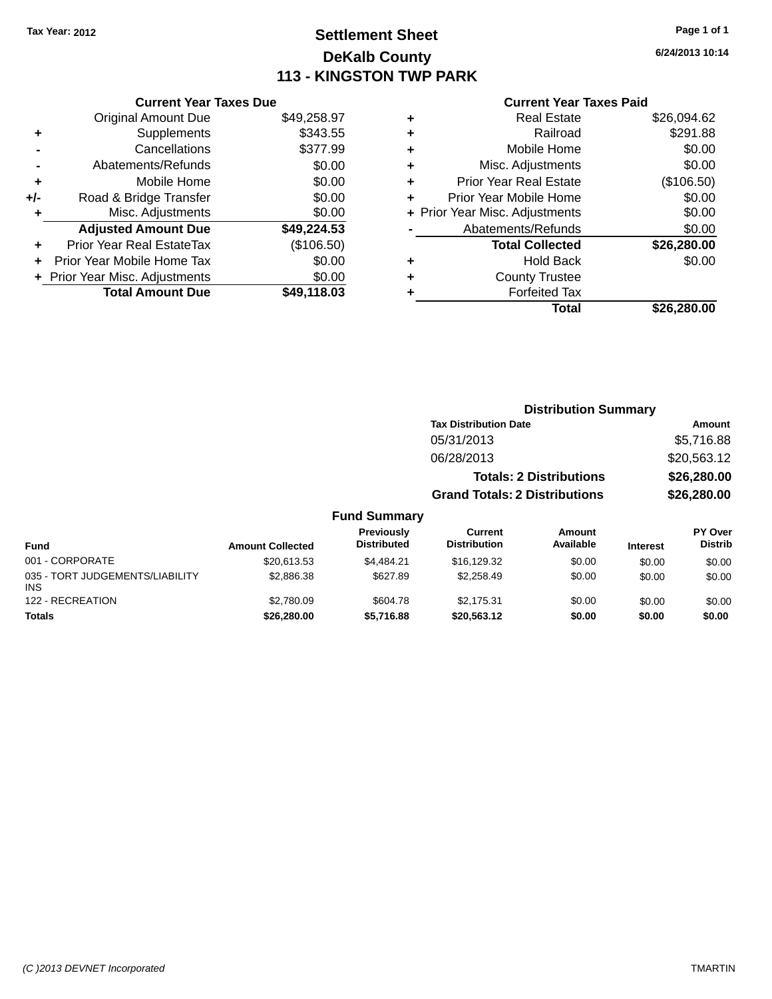## **Settlement Sheet Tax Year: 2012 Page 1 of 1 DeKalb County 113 - KINGSTON TWP PARK**

**6/24/2013 10:14**

#### **Current Year Taxes Paid**

|     | <b>Current Year Taxes Due</b> |             |
|-----|-------------------------------|-------------|
|     | <b>Original Amount Due</b>    | \$49,258.97 |
| ٠   | Supplements                   | \$343.55    |
|     | Cancellations                 | \$377.99    |
|     | Abatements/Refunds            | \$0.00      |
| ٠   | Mobile Home                   | \$0.00      |
| +/- | Road & Bridge Transfer        | \$0.00      |
| ٠   | Misc. Adjustments             | \$0.00      |
|     | <b>Adjusted Amount Due</b>    | \$49,224.53 |
| ÷   | Prior Year Real EstateTax     | (\$106.50)  |
| ÷   | Prior Year Mobile Home Tax    | \$0.00      |
|     | Prior Year Misc. Adjustments  | \$0.00      |
|     | <b>Total Amount Due</b>       | \$49.118.03 |

|   | <b>Real Estate</b>             | \$26,094.62 |
|---|--------------------------------|-------------|
| ٠ | Railroad                       | \$291.88    |
| ٠ | Mobile Home                    | \$0.00      |
| ٠ | Misc. Adjustments              | \$0.00      |
| ٠ | <b>Prior Year Real Estate</b>  | (\$106.50)  |
| ÷ | Prior Year Mobile Home         | \$0.00      |
|   | + Prior Year Misc. Adjustments | \$0.00      |
|   | Abatements/Refunds             | \$0.00      |
|   | <b>Total Collected</b>         | \$26,280.00 |
| ٠ | <b>Hold Back</b>               | \$0.00      |
| ٠ | <b>County Trustee</b>          |             |
| ٠ | <b>Forfeited Tax</b>           |             |
|   | Total                          | \$26,280.00 |
|   |                                |             |

|         | <b>Distribution Summary</b>          |             |
|---------|--------------------------------------|-------------|
|         | <b>Tax Distribution Date</b>         | Amount      |
|         | 05/31/2013                           | \$5,716.88  |
|         | 06/28/2013                           | \$20,563.12 |
|         | <b>Totals: 2 Distributions</b>       | \$26,280.00 |
|         | <b>Grand Totals: 2 Distributions</b> | \$26,280.00 |
| Summary |                                      |             |

| <b>Fund</b>                                   | <b>Amount Collected</b> | Previously<br><b>Distributed</b> | Current<br><b>Distribution</b> | Amount<br>Available | <b>Interest</b> | PY Over<br><b>Distrib</b> |
|-----------------------------------------------|-------------------------|----------------------------------|--------------------------------|---------------------|-----------------|---------------------------|
| 001 - CORPORATE                               | \$20,613.53             | \$4.484.21                       | \$16,129.32                    | \$0.00              | \$0.00          | \$0.00                    |
| 035 - TORT JUDGEMENTS/LIABILITY<br><b>INS</b> | \$2,886.38              | \$627.89                         | \$2.258.49                     | \$0.00              | \$0.00          | \$0.00                    |
| 122 - RECREATION                              | \$2,780.09              | \$604.78                         | \$2.175.31                     | \$0.00              | \$0.00          | \$0.00                    |
| Totals                                        | \$26,280,00             | \$5.716.88                       | \$20,563,12                    | \$0.00              | \$0.00          | \$0.00                    |

**Fund**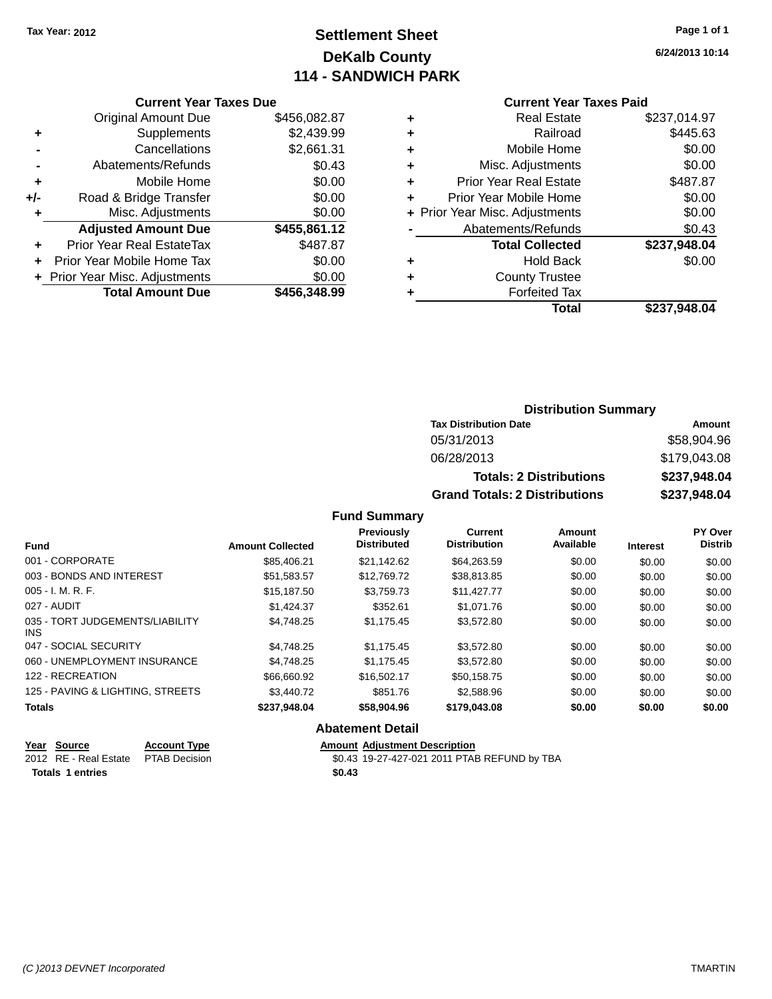## **Settlement Sheet Tax Year: 2012 Page 1 of 1 DeKalb County 114 - SANDWICH PARK**

**6/24/2013 10:14**

#### **Current Year Taxes Paid**

|       | <b>Current Year Taxes Due</b>            |              |  |  |  |  |
|-------|------------------------------------------|--------------|--|--|--|--|
|       | <b>Original Amount Due</b>               | \$456,082.87 |  |  |  |  |
| ٠     | Supplements                              | \$2,439.99   |  |  |  |  |
|       | Cancellations                            | \$2,661.31   |  |  |  |  |
|       | Abatements/Refunds                       | \$0.43       |  |  |  |  |
| ٠     | Mobile Home                              | \$0.00       |  |  |  |  |
| $+/-$ | \$0.00<br>Road & Bridge Transfer         |              |  |  |  |  |
| ٠     | \$0.00<br>Misc. Adjustments              |              |  |  |  |  |
|       | <b>Adjusted Amount Due</b>               | \$455,861.12 |  |  |  |  |
| ÷     | Prior Year Real EstateTax                | \$487.87     |  |  |  |  |
|       | Prior Year Mobile Home Tax               | \$0.00       |  |  |  |  |
|       | \$0.00<br>+ Prior Year Misc. Adjustments |              |  |  |  |  |
|       | <b>Total Amount Due</b>                  | \$456.348.99 |  |  |  |  |
|       |                                          |              |  |  |  |  |

|   | <b>Real Estate</b>             | \$237,014.97 |
|---|--------------------------------|--------------|
| ٠ | Railroad                       | \$445.63     |
| ٠ | Mobile Home                    | \$0.00       |
| ٠ | Misc. Adjustments              | \$0.00       |
| ٠ | <b>Prior Year Real Estate</b>  | \$487.87     |
| ÷ | Prior Year Mobile Home         | \$0.00       |
|   | + Prior Year Misc. Adjustments | \$0.00       |
|   | Abatements/Refunds             | \$0.43       |
|   | <b>Total Collected</b>         | \$237,948.04 |
| ٠ | <b>Hold Back</b>               | \$0.00       |
| ٠ | <b>County Trustee</b>          |              |
| ٠ | <b>Forfeited Tax</b>           |              |
|   | Total                          | \$237.948.04 |
|   |                                |              |

#### **Distribution Summary Tax Distribution Date Amount** 05/31/2013 \$58,904.96 06/28/2013 \$179,043.08 **Totals: 2 Distributions \$237,948.04 Grand Totals: 2 Distributions \$237,948.04**

#### **Fund Summary**

| <b>Fund</b>                             | <b>Amount Collected</b> | Previously<br><b>Distributed</b> | <b>Current</b><br><b>Distribution</b> | Amount<br>Available | <b>Interest</b> | PY Over<br><b>Distrib</b> |
|-----------------------------------------|-------------------------|----------------------------------|---------------------------------------|---------------------|-----------------|---------------------------|
| 001 - CORPORATE                         | \$85,406.21             | \$21.142.62                      | \$64,263.59                           | \$0.00              | \$0.00          | \$0.00                    |
| 003 - BONDS AND INTEREST                | \$51,583.57             | \$12,769.72                      | \$38,813.85                           | \$0.00              | \$0.00          | \$0.00                    |
| $005 - I. M. R. F.$                     | \$15,187.50             | \$3.759.73                       | \$11.427.77                           | \$0.00              | \$0.00          | \$0.00                    |
| 027 - AUDIT                             | \$1.424.37              | \$352.61                         | \$1,071.76                            | \$0.00              | \$0.00          | \$0.00                    |
| 035 - TORT JUDGEMENTS/LIABILITY<br>INS. | \$4.748.25              | \$1.175.45                       | \$3,572.80                            | \$0.00              | \$0.00          | \$0.00                    |
| 047 - SOCIAL SECURITY                   | \$4.748.25              | \$1.175.45                       | \$3,572.80                            | \$0.00              | \$0.00          | \$0.00                    |
| 060 - UNEMPLOYMENT INSURANCE            | \$4.748.25              | \$1.175.45                       | \$3,572.80                            | \$0.00              | \$0.00          | \$0.00                    |
| 122 - RECREATION                        | \$66,660.92             | \$16,502.17                      | \$50.158.75                           | \$0.00              | \$0.00          | \$0.00                    |
| 125 - PAVING & LIGHTING, STREETS        | \$3,440.72              | \$851.76                         | \$2,588.96                            | \$0.00              | \$0.00          | \$0.00                    |
| <b>Totals</b>                           | \$237,948.04            | \$58,904.96                      | \$179,043.08                          | \$0.00              | \$0.00          | \$0.00                    |

#### **Abatement Detail**

| Year Source                         | <b>Account Type</b> | <b>Amount Adiustment Description</b>         |
|-------------------------------------|---------------------|----------------------------------------------|
| 2012 RE - Real Estate PTAB Decision |                     | \$0.43 19-27-427-021 2011 PTAB REFUND by TBA |
| <b>Totals 1 entries</b>             |                     | \$0.43                                       |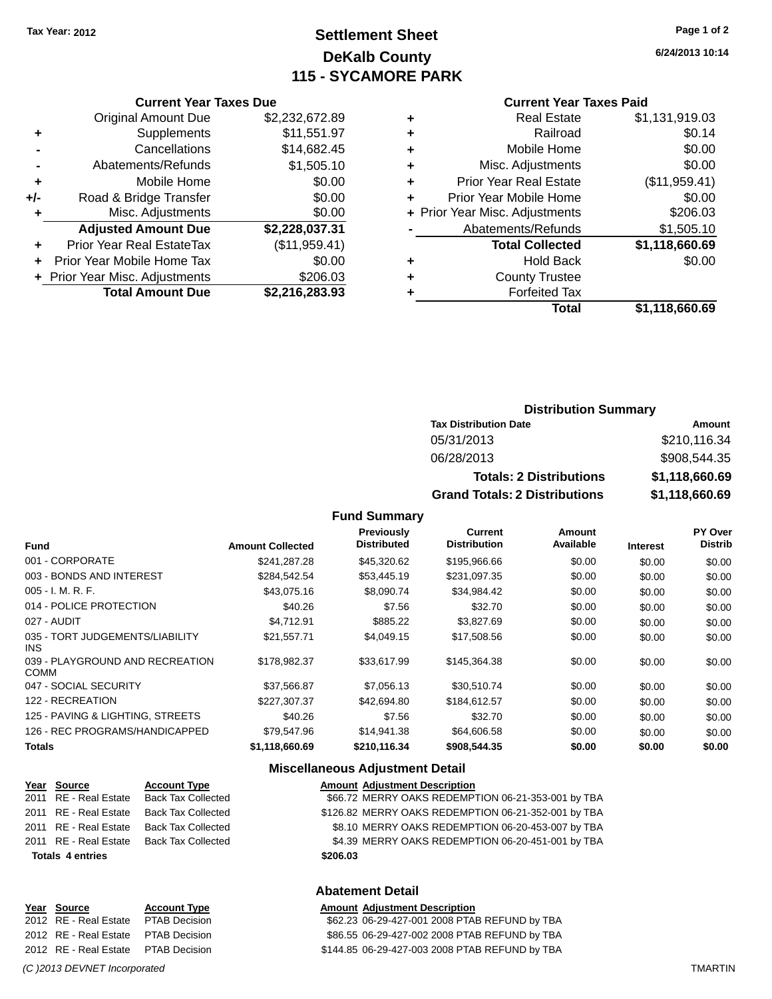**Current Year Taxes Due** Original Amount Due \$2,232,672.89

**Adjusted Amount Due \$2,228,037.31**

**Total Amount Due \$2,216,283.93**

**+** Supplements \$11,551.97 **-** Cancellations \$14,682.45 **-** Abatements/Refunds \$1,505.10 **+** Mobile Home \$0.00 **+/-** Road & Bridge Transfer \$0.00 **+** Misc. Adjustments \$0.00

**+** Prior Year Real EstateTax (\$11,959.41) **+** Prior Year Mobile Home Tax \$0.00 **+** Prior Year Misc. Adjustments \$206.03

## **Settlement Sheet Tax Year: 2012 Page 1 of 2 DeKalb County 115 - SYCAMORE PARK**

**6/24/2013 10:14**

#### **Current Year Taxes Paid**

| <b>Real Estate</b>            | \$1,131,919.03                 |
|-------------------------------|--------------------------------|
| Railroad                      | \$0.14                         |
| Mobile Home                   | \$0.00                         |
| Misc. Adjustments             | \$0.00                         |
| <b>Prior Year Real Estate</b> | (\$11,959.41)                  |
| Prior Year Mobile Home        | \$0.00                         |
|                               | \$206.03                       |
| Abatements/Refunds            | \$1,505.10                     |
| <b>Total Collected</b>        | \$1,118,660.69                 |
| <b>Hold Back</b>              | \$0.00                         |
| <b>County Trustee</b>         |                                |
| <b>Forfeited Tax</b>          |                                |
|                               |                                |
|                               | + Prior Year Misc. Adjustments |

# **Distribution Summary**

| <b>Tax Distribution Date</b>         | Amount         |
|--------------------------------------|----------------|
| 05/31/2013                           | \$210,116.34   |
| 06/28/2013                           | \$908,544,35   |
| <b>Totals: 2 Distributions</b>       | \$1,118,660,69 |
| <b>Grand Totals: 2 Distributions</b> | \$1,118,660.69 |

#### **Fund Summary**

| <b>Fund</b>                                    | <b>Amount Collected</b> | Previously<br><b>Distributed</b> | <b>Current</b><br><b>Distribution</b> | Amount<br>Available | <b>Interest</b> | PY Over<br><b>Distrib</b> |
|------------------------------------------------|-------------------------|----------------------------------|---------------------------------------|---------------------|-----------------|---------------------------|
| 001 - CORPORATE                                | \$241.287.28            | \$45,320.62                      | \$195,966.66                          | \$0.00              | \$0.00          | \$0.00                    |
| 003 - BONDS AND INTEREST                       | \$284.542.54            | \$53,445.19                      | \$231,097.35                          | \$0.00              | \$0.00          | \$0.00                    |
| $005 - I. M. R. F.$                            | \$43,075.16             | \$8,090.74                       | \$34,984.42                           | \$0.00              | \$0.00          | \$0.00                    |
| 014 - POLICE PROTECTION                        | \$40.26                 | \$7.56                           | \$32.70                               | \$0.00              | \$0.00          | \$0.00                    |
| 027 - AUDIT                                    | \$4.712.91              | \$885.22                         | \$3,827.69                            | \$0.00              | \$0.00          | \$0.00                    |
| 035 - TORT JUDGEMENTS/LIABILITY<br>INS.        | \$21,557.71             | \$4,049.15                       | \$17,508.56                           | \$0.00              | \$0.00          | \$0.00                    |
| 039 - PLAYGROUND AND RECREATION<br><b>COMM</b> | \$178,982.37            | \$33,617.99                      | \$145,364.38                          | \$0.00              | \$0.00          | \$0.00                    |
| 047 - SOCIAL SECURITY                          | \$37,566.87             | \$7,056.13                       | \$30,510.74                           | \$0.00              | \$0.00          | \$0.00                    |
| 122 - RECREATION                               | \$227.307.37            | \$42,694.80                      | \$184.612.57                          | \$0.00              | \$0.00          | \$0.00                    |
| 125 - PAVING & LIGHTING, STREETS               | \$40.26                 | \$7.56                           | \$32.70                               | \$0.00              | \$0.00          | \$0.00                    |
| 126 - REC PROGRAMS/HANDICAPPED                 | \$79.547.96             | \$14.941.38                      | \$64,606.58                           | \$0.00              | \$0.00          | \$0.00                    |
| <b>Totals</b>                                  | \$1,118,660.69          | \$210,116.34                     | \$908,544.35                          | \$0.00              | \$0.00          | \$0.00                    |

#### **Miscellaneous Adjustment Detail**

| Year Source             | <b>Account Type</b>       | <b>Amount Adjustment Description</b>                |
|-------------------------|---------------------------|-----------------------------------------------------|
| 2011 RE - Real Estate   | <b>Back Tax Collected</b> | \$66.72 MERRY OAKS REDEMPTION 06-21-353-001 by TBA  |
| 2011 RE - Real Estate   | <b>Back Tax Collected</b> | \$126.82 MERRY OAKS REDEMPTION 06-21-352-001 by TBA |
| 2011 RE - Real Estate   | <b>Back Tax Collected</b> | \$8.10 MERRY OAKS REDEMPTION 06-20-453-007 by TBA   |
| 2011 RE - Real Estate   | Back Tax Collected        | \$4.39 MERRY OAKS REDEMPTION 06-20-451-001 by TBA   |
| <b>Totals 4 entries</b> |                           | \$206.03                                            |
|                         |                           |                                                     |

#### **Abatement Detail**

| Year Source                         | <b>Account Type</b> | <b>Amount Adjustment Description</b>           |
|-------------------------------------|---------------------|------------------------------------------------|
| 2012 RE - Real Estate PTAB Decision |                     | \$62.23 06-29-427-001 2008 PTAB REFUND by TBA  |
| 2012 RE - Real Estate PTAB Decision |                     | \$86.55 06-29-427-002 2008 PTAB REFUND by TBA  |
| 2012 RE - Real Estate PTAB Decision |                     | \$144.85 06-29-427-003 2008 PTAB REFUND by TBA |

#### *(C )2013 DEVNET Incorporated* TMARTIN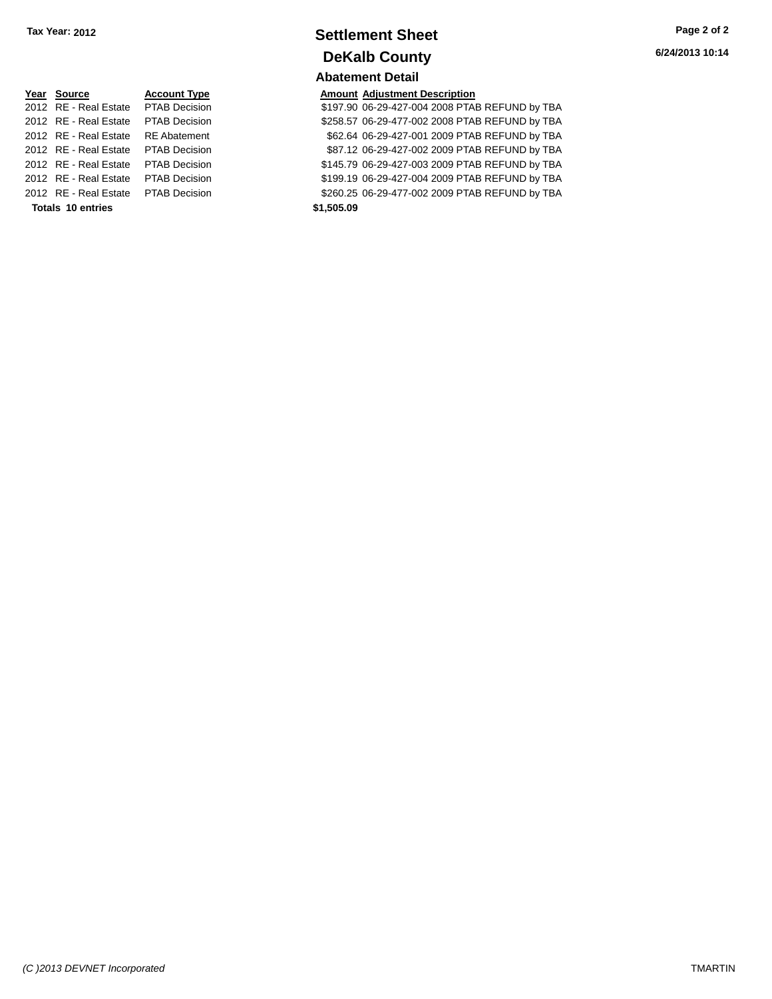## **Settlement Sheet Tax Year: 2012 Page 2 of 2 DeKalb County Abatement Detail**

ecision 2012 8197.90 06-29-427-004 2008 PTAB REFUND by TBA 2012 RE - Real Estate \$258.57 06-29-477-002 2008 PTAB REFUND by TBA PTAB Decision 2012 RE - Real Estate RE Abatement \$62.64 06-29-427-001 2009 PTAB REFUND by TBA 2012 RE - Real Estate \$87.12 06-29-427-002 2009 PTAB REFUND by TBA PTAB Decision 2012 RE - Real Estate \$145.79 06-29-427-003 2009 PTAB REFUND by TBA PTAB Decision 2012 RE - Real Estate \$199.19 06-29-427-004 2009 PTAB REFUND by TBA PTAB Decision 2012 RE - Real Estate \$260.25 06-29-477-002 2009 PTAB REFUND by TBA PTAB Decision

| Year Source                         | <b>Account Type</b>  |            | <b>Amount Adjustment Description</b> |
|-------------------------------------|----------------------|------------|--------------------------------------|
| 2012 RE - Real Estate               | <b>PTAB Decision</b> |            | \$197.90 06-29-427-004 2008 PTAI     |
| 2012 RE - Real Estate               | <b>PTAB Decision</b> |            | \$258.57 06-29-477-002 2008 PTAI     |
| 2012 RE - Real Estate               | <b>RE</b> Abatement  |            | \$62.64 06-29-427-001 2009 PTAI      |
| 2012 RE - Real Estate PTAB Decision |                      |            | \$87.12 06-29-427-002 2009 PTAI      |
| 2012 RE - Real Estate               | <b>PTAB Decision</b> |            | \$145.79 06-29-427-003 2009 PTAI     |
| 2012 RE - Real Estate               | <b>PTAB Decision</b> |            | \$199.19 06-29-427-004 2009 PTAI     |
| 2012 RE - Real Estate PTAB Decision |                      |            | \$260.25 06-29-477-002 2009 PTAI     |
| <b>Totals 10 entries</b>            |                      | \$1,505.09 |                                      |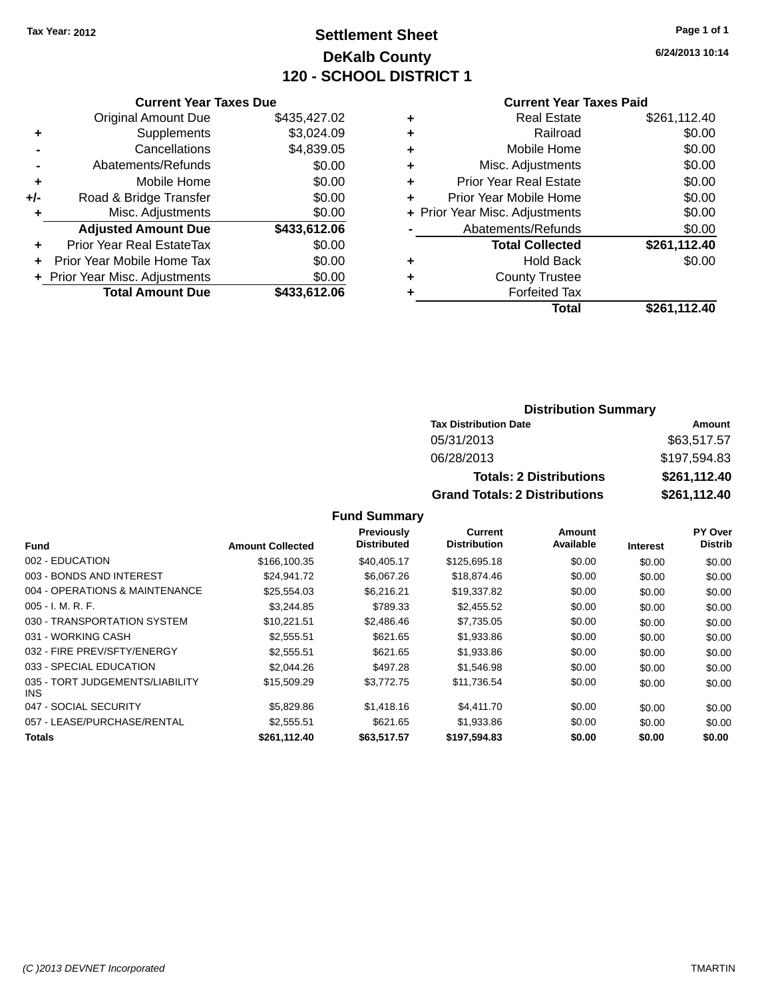# **Settlement Sheet Tax Year: 2012 Page 1 of 1 DeKalb County 120 - SCHOOL DISTRICT 1**

**6/24/2013 10:14**

#### **Current Year Taxes Paid**

|       | <b>Current Year Taxes Due</b>  |              |
|-------|--------------------------------|--------------|
|       | <b>Original Amount Due</b>     | \$435,427.02 |
| ٠     | Supplements                    | \$3,024.09   |
|       | Cancellations                  | \$4,839.05   |
|       | Abatements/Refunds             | \$0.00       |
| ٠     | Mobile Home                    | \$0.00       |
| $+/-$ | Road & Bridge Transfer         | \$0.00       |
|       | Misc. Adjustments              | \$0.00       |
|       | <b>Adjusted Amount Due</b>     | \$433,612.06 |
| ٠     | Prior Year Real EstateTax      | \$0.00       |
|       | Prior Year Mobile Home Tax     | \$0.00       |
|       | + Prior Year Misc. Adjustments | \$0.00       |
|       | <b>Total Amount Due</b>        | \$433,612.06 |
|       |                                |              |

|   | <b>Real Estate</b>             | \$261,112.40 |
|---|--------------------------------|--------------|
| ٠ | Railroad                       | \$0.00       |
| ٠ | Mobile Home                    | \$0.00       |
| ٠ | Misc. Adjustments              | \$0.00       |
| ٠ | <b>Prior Year Real Estate</b>  | \$0.00       |
|   | Prior Year Mobile Home         | \$0.00       |
|   | + Prior Year Misc. Adjustments | \$0.00       |
|   | Abatements/Refunds             | \$0.00       |
|   | <b>Total Collected</b>         | \$261,112.40 |
| ٠ | <b>Hold Back</b>               | \$0.00       |
| ٠ | <b>County Trustee</b>          |              |
| ٠ | <b>Forfeited Tax</b>           |              |
|   | Total                          | \$261,112.40 |
|   |                                |              |

### **Distribution Summary Tax Distribution Date Amount** 05/31/2013 \$63,517.57 06/28/2013 \$197,594.83 **Totals: 2 Distributions \$261,112.40 Grand Totals: 2 Distributions \$261,112.40**

|                                               |                         | <b>Previously</b>  | Current             | <b>Amount</b> |                 | PY Over        |
|-----------------------------------------------|-------------------------|--------------------|---------------------|---------------|-----------------|----------------|
| <b>Fund</b>                                   | <b>Amount Collected</b> | <b>Distributed</b> | <b>Distribution</b> | Available     | <b>Interest</b> | <b>Distrib</b> |
| 002 - EDUCATION                               | \$166,100.35            | \$40.405.17        | \$125,695.18        | \$0.00        | \$0.00          | \$0.00         |
| 003 - BONDS AND INTEREST                      | \$24,941.72             | \$6,067.26         | \$18,874.46         | \$0.00        | \$0.00          | \$0.00         |
| 004 - OPERATIONS & MAINTENANCE                | \$25,554.03             | \$6,216.21         | \$19,337.82         | \$0.00        | \$0.00          | \$0.00         |
| $005 - I. M. R. F.$                           | \$3,244.85              | \$789.33           | \$2,455.52          | \$0.00        | \$0.00          | \$0.00         |
| 030 - TRANSPORTATION SYSTEM                   | \$10,221.51             | \$2,486.46         | \$7,735.05          | \$0.00        | \$0.00          | \$0.00         |
| 031 - WORKING CASH                            | \$2,555.51              | \$621.65           | \$1,933.86          | \$0.00        | \$0.00          | \$0.00         |
| 032 - FIRE PREV/SFTY/ENERGY                   | \$2,555.51              | \$621.65           | \$1,933.86          | \$0.00        | \$0.00          | \$0.00         |
| 033 - SPECIAL EDUCATION                       | \$2,044.26              | \$497.28           | \$1,546.98          | \$0.00        | \$0.00          | \$0.00         |
| 035 - TORT JUDGEMENTS/LIABILITY<br><b>INS</b> | \$15,509.29             | \$3,772.75         | \$11.736.54         | \$0.00        | \$0.00          | \$0.00         |
| 047 - SOCIAL SECURITY                         | \$5,829.86              | \$1,418.16         | \$4.411.70          | \$0.00        | \$0.00          | \$0.00         |
| 057 - LEASE/PURCHASE/RENTAL                   | \$2,555.51              | \$621.65           | \$1,933.86          | \$0.00        | \$0.00          | \$0.00         |
| <b>Totals</b>                                 | \$261,112.40            | \$63,517.57        | \$197.594.83        | \$0.00        | \$0.00          | \$0.00         |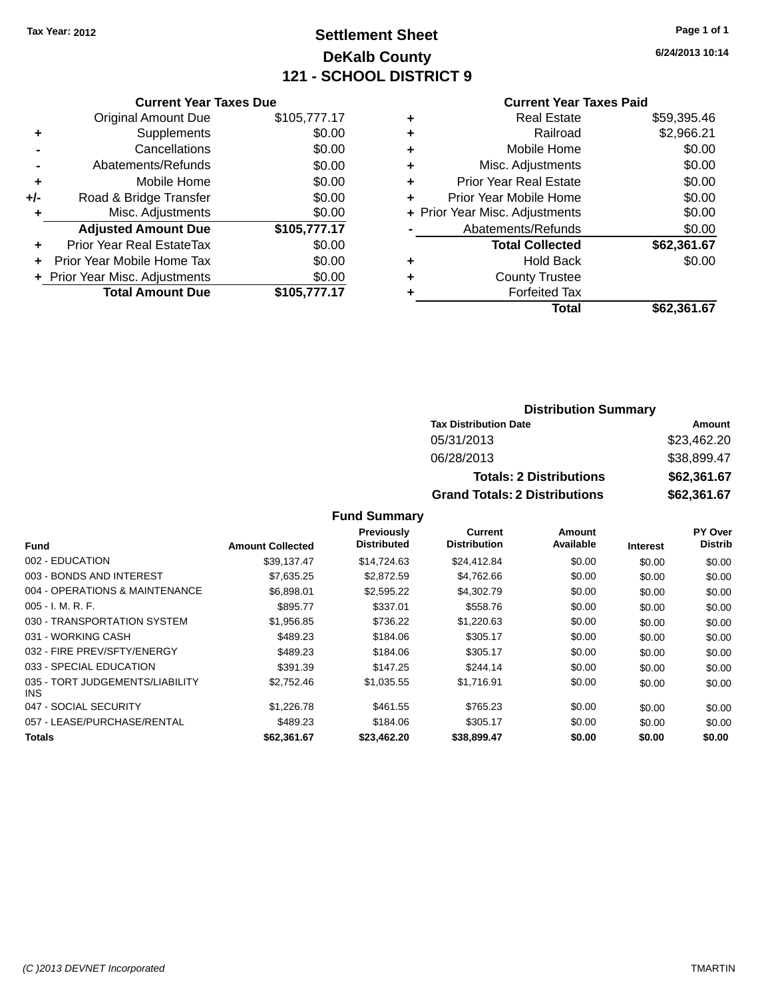# **Settlement Sheet Tax Year: 2012 Page 1 of 1 DeKalb County 121 - SCHOOL DISTRICT 9**

**6/24/2013 10:14**

### **Current Year Taxes Paid**

|       | <b>Current Year Taxes Due</b>  |              |
|-------|--------------------------------|--------------|
|       | <b>Original Amount Due</b>     | \$105,777.17 |
| ٠     | Supplements                    | \$0.00       |
|       | Cancellations                  | \$0.00       |
|       | Abatements/Refunds             | \$0.00       |
| ٠     | Mobile Home                    | \$0.00       |
| $+/-$ | Road & Bridge Transfer         | \$0.00       |
|       | Misc. Adjustments              | \$0.00       |
|       | <b>Adjusted Amount Due</b>     | \$105,777.17 |
|       | Prior Year Real EstateTax      | \$0.00       |
|       | Prior Year Mobile Home Tax     | \$0.00       |
|       | + Prior Year Misc. Adjustments | \$0.00       |
|       | <b>Total Amount Due</b>        | \$105.777.17 |
|       |                                |              |

| <b>Real Estate</b>     | \$59,395.46                    |
|------------------------|--------------------------------|
| Railroad               | \$2,966.21                     |
| Mobile Home            | \$0.00                         |
| Misc. Adjustments      | \$0.00                         |
| Prior Year Real Estate | \$0.00                         |
| Prior Year Mobile Home | \$0.00                         |
|                        | \$0.00                         |
| Abatements/Refunds     | \$0.00                         |
| <b>Total Collected</b> | \$62,361.67                    |
| <b>Hold Back</b>       | \$0.00                         |
| <b>County Trustee</b>  |                                |
| <b>Forfeited Tax</b>   |                                |
| Total                  | \$62,361.67                    |
|                        | + Prior Year Misc. Adjustments |

### **Distribution Summary Tax Distribution Date Amount** 05/31/2013 \$23,462.20 06/28/2013 \$38,899.47 **Totals: 2 Distributions \$62,361.67 Grand Totals: 2 Distributions \$62,361.67**

|                                               |                         | Previously         | Current             | Amount    |                 | PY Over        |
|-----------------------------------------------|-------------------------|--------------------|---------------------|-----------|-----------------|----------------|
| Fund                                          | <b>Amount Collected</b> | <b>Distributed</b> | <b>Distribution</b> | Available | <b>Interest</b> | <b>Distrib</b> |
| 002 - EDUCATION                               | \$39.137.47             | \$14.724.63        | \$24.412.84         | \$0.00    | \$0.00          | \$0.00         |
| 003 - BONDS AND INTEREST                      | \$7,635.25              | \$2,872.59         | \$4,762.66          | \$0.00    | \$0.00          | \$0.00         |
| 004 - OPERATIONS & MAINTENANCE                | \$6.898.01              | \$2,595.22         | \$4,302.79          | \$0.00    | \$0.00          | \$0.00         |
| $005 - I. M. R. F.$                           | \$895.77                | \$337.01           | \$558.76            | \$0.00    | \$0.00          | \$0.00         |
| 030 - TRANSPORTATION SYSTEM                   | \$1,956.85              | \$736.22           | \$1,220.63          | \$0.00    | \$0.00          | \$0.00         |
| 031 - WORKING CASH                            | \$489.23                | \$184.06           | \$305.17            | \$0.00    | \$0.00          | \$0.00         |
| 032 - FIRE PREV/SFTY/ENERGY                   | \$489.23                | \$184.06           | \$305.17            | \$0.00    | \$0.00          | \$0.00         |
| 033 - SPECIAL EDUCATION                       | \$391.39                | \$147.25           | \$244.14            | \$0.00    | \$0.00          | \$0.00         |
| 035 - TORT JUDGEMENTS/LIABILITY<br><b>INS</b> | \$2,752.46              | \$1,035.55         | \$1,716.91          | \$0.00    | \$0.00          | \$0.00         |
| 047 - SOCIAL SECURITY                         | \$1,226.78              | \$461.55           | \$765.23            | \$0.00    | \$0.00          | \$0.00         |
| 057 - LEASE/PURCHASE/RENTAL                   | \$489.23                | \$184.06           | \$305.17            | \$0.00    | \$0.00          | \$0.00         |
| Totals                                        | \$62.361.67             | \$23,462.20        | \$38,899.47         | \$0.00    | \$0.00          | \$0.00         |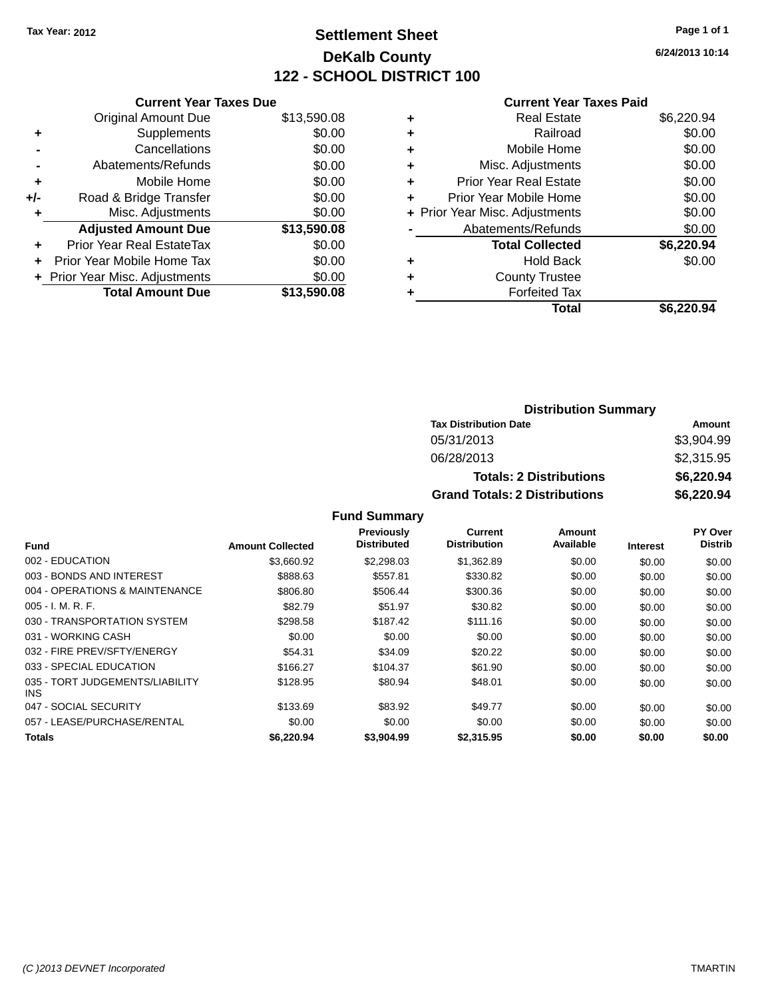# **Settlement Sheet Tax Year: 2012 Page 1 of 1 DeKalb County 122 - SCHOOL DISTRICT 100**

**6/24/2013 10:14**

#### **Current Year Taxes Paid**

|     | <b>Current Year Taxes Due</b>  |             |
|-----|--------------------------------|-------------|
|     | <b>Original Amount Due</b>     | \$13,590.08 |
| ٠   | Supplements                    | \$0.00      |
|     | Cancellations                  | \$0.00      |
|     | Abatements/Refunds             | \$0.00      |
| ٠   | Mobile Home                    | \$0.00      |
| +/- | Road & Bridge Transfer         | \$0.00      |
| ÷   | Misc. Adjustments              | \$0.00      |
|     | <b>Adjusted Amount Due</b>     | \$13,590.08 |
| ٠   | Prior Year Real EstateTax      | \$0.00      |
|     | Prior Year Mobile Home Tax     | \$0.00      |
|     | + Prior Year Misc. Adjustments | \$0.00      |
|     | <b>Total Amount Due</b>        | \$13,590.08 |
|     |                                |             |

| ٠ | <b>Real Estate</b>             | \$6,220.94 |
|---|--------------------------------|------------|
| ٠ | Railroad                       | \$0.00     |
| ٠ | Mobile Home                    | \$0.00     |
| ٠ | Misc. Adjustments              | \$0.00     |
| ٠ | <b>Prior Year Real Estate</b>  | \$0.00     |
| ٠ | Prior Year Mobile Home         | \$0.00     |
|   | + Prior Year Misc. Adjustments | \$0.00     |
|   | Abatements/Refunds             | \$0.00     |
|   | <b>Total Collected</b>         | \$6,220.94 |
| ٠ | Hold Back                      | \$0.00     |
| ٠ | <b>County Trustee</b>          |            |
|   | <b>Forfeited Tax</b>           |            |
|   | Total                          | \$6,220.94 |
|   |                                |            |

### **Distribution Summary Tax Distribution Date Amount** 05/31/2013 \$3,904.99 06/28/2013 \$2,315.95 **Totals: 2 Distributions \$6,220.94 Grand Totals: 2 Distributions \$6,220.94**

|                                         |                         | <b>Previously</b>  | <b>Current</b>      | <b>Amount</b> |                 | <b>PY Over</b> |
|-----------------------------------------|-------------------------|--------------------|---------------------|---------------|-----------------|----------------|
| <b>Fund</b>                             | <b>Amount Collected</b> | <b>Distributed</b> | <b>Distribution</b> | Available     | <b>Interest</b> | <b>Distrib</b> |
| 002 - EDUCATION                         | \$3,660.92              | \$2,298.03         | \$1,362.89          | \$0.00        | \$0.00          | \$0.00         |
| 003 - BONDS AND INTEREST                | \$888.63                | \$557.81           | \$330.82            | \$0.00        | \$0.00          | \$0.00         |
| 004 - OPERATIONS & MAINTENANCE          | \$806.80                | \$506.44           | \$300.36            | \$0.00        | \$0.00          | \$0.00         |
| $005 - I. M. R. F.$                     | \$82.79                 | \$51.97            | \$30.82             | \$0.00        | \$0.00          | \$0.00         |
| 030 - TRANSPORTATION SYSTEM             | \$298.58                | \$187.42           | \$111.16            | \$0.00        | \$0.00          | \$0.00         |
| 031 - WORKING CASH                      | \$0.00                  | \$0.00             | \$0.00              | \$0.00        | \$0.00          | \$0.00         |
| 032 - FIRE PREV/SFTY/ENERGY             | \$54.31                 | \$34.09            | \$20.22             | \$0.00        | \$0.00          | \$0.00         |
| 033 - SPECIAL EDUCATION                 | \$166.27                | \$104.37           | \$61.90             | \$0.00        | \$0.00          | \$0.00         |
| 035 - TORT JUDGEMENTS/LIABILITY<br>INS. | \$128.95                | \$80.94            | \$48.01             | \$0.00        | \$0.00          | \$0.00         |
| 047 - SOCIAL SECURITY                   | \$133.69                | \$83.92            | \$49.77             | \$0.00        | \$0.00          | \$0.00         |
| 057 - LEASE/PURCHASE/RENTAL             | \$0.00                  | \$0.00             | \$0.00              | \$0.00        | \$0.00          | \$0.00         |
| <b>Totals</b>                           | \$6.220.94              | \$3,904.99         | \$2,315.95          | \$0.00        | \$0.00          | \$0.00         |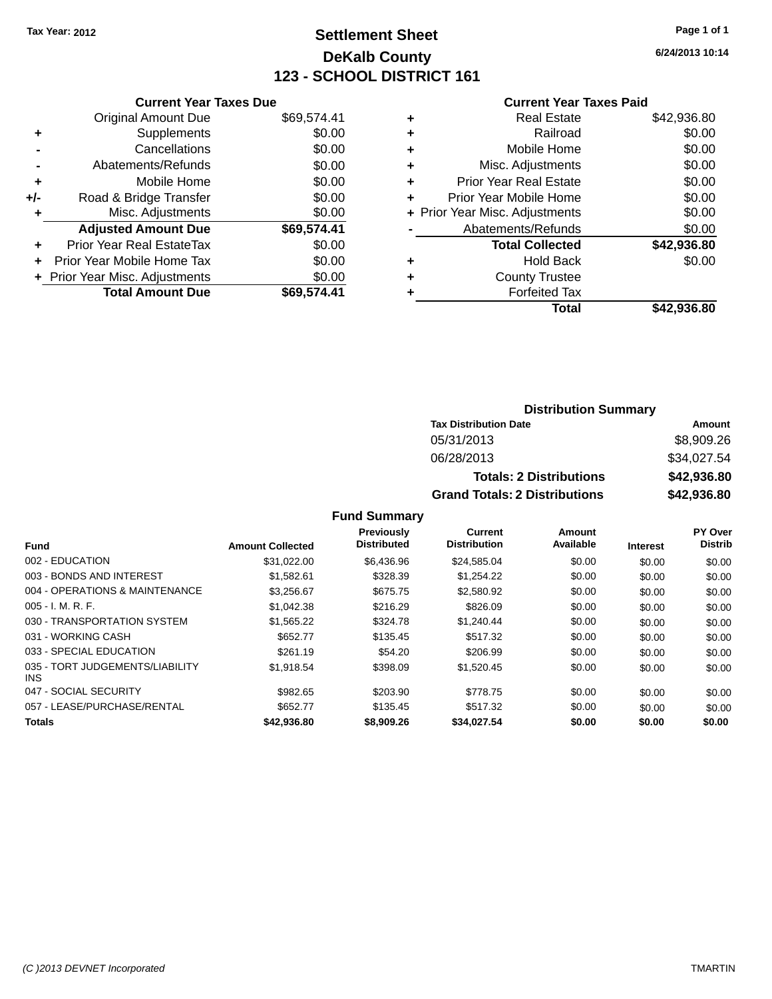# **Settlement Sheet Tax Year: 2012 Page 1 of 1 DeKalb County 123 - SCHOOL DISTRICT 161**

**6/24/2013 10:14**

#### **Current Year Taxes Paid**

|     | <b>Current Year Taxes Due</b>  |             |  |  |  |
|-----|--------------------------------|-------------|--|--|--|
|     | <b>Original Amount Due</b>     | \$69,574.41 |  |  |  |
| ٠   | Supplements                    | \$0.00      |  |  |  |
|     | Cancellations                  | \$0.00      |  |  |  |
|     | Abatements/Refunds             | \$0.00      |  |  |  |
| ٠   | Mobile Home                    | \$0.00      |  |  |  |
| +/- | Road & Bridge Transfer         | \$0.00      |  |  |  |
| ٠   | Misc. Adjustments              | \$0.00      |  |  |  |
|     | <b>Adjusted Amount Due</b>     | \$69,574.41 |  |  |  |
| ÷   | Prior Year Real EstateTax      | \$0.00      |  |  |  |
|     | Prior Year Mobile Home Tax     | \$0.00      |  |  |  |
|     | + Prior Year Misc. Adjustments | \$0.00      |  |  |  |
|     | <b>Total Amount Due</b>        | \$69.574.41 |  |  |  |
|     |                                |             |  |  |  |

| ٠ | <b>Real Estate</b>             | \$42,936.80 |
|---|--------------------------------|-------------|
| ٠ | Railroad                       | \$0.00      |
| ٠ | Mobile Home                    | \$0.00      |
| ٠ | Misc. Adjustments              | \$0.00      |
| ٠ | <b>Prior Year Real Estate</b>  | \$0.00      |
| ٠ | Prior Year Mobile Home         | \$0.00      |
|   | + Prior Year Misc. Adjustments | \$0.00      |
|   | Abatements/Refunds             | \$0.00      |
|   | <b>Total Collected</b>         | \$42,936.80 |
| ٠ | <b>Hold Back</b>               | \$0.00      |
| ٠ | <b>County Trustee</b>          |             |
| ٠ | <b>Forfeited Tax</b>           |             |
|   | <b>Total</b>                   | \$42,936.80 |
|   |                                |             |

### **Distribution Summary Tax Distribution Date Amount** 05/31/2013 \$8,909.26 06/28/2013 \$34,027.54 **Totals: 2 Distributions \$42,936.80 Grand Totals: 2 Distributions \$42,936.80**

|                                         |                         | <b>Previously</b>  | Current             | <b>Amount</b> |                 | PY Over        |
|-----------------------------------------|-------------------------|--------------------|---------------------|---------------|-----------------|----------------|
| <b>Fund</b>                             | <b>Amount Collected</b> | <b>Distributed</b> | <b>Distribution</b> | Available     | <b>Interest</b> | <b>Distrib</b> |
| 002 - EDUCATION                         | \$31.022.00             | \$6,436.96         | \$24,585.04         | \$0.00        | \$0.00          | \$0.00         |
| 003 - BONDS AND INTEREST                | \$1.582.61              | \$328.39           | \$1.254.22          | \$0.00        | \$0.00          | \$0.00         |
| 004 - OPERATIONS & MAINTENANCE          | \$3,256.67              | \$675.75           | \$2,580.92          | \$0.00        | \$0.00          | \$0.00         |
| $005 - I. M. R. F.$                     | \$1,042.38              | \$216.29           | \$826.09            | \$0.00        | \$0.00          | \$0.00         |
| 030 - TRANSPORTATION SYSTEM             | \$1,565.22              | \$324.78           | \$1,240.44          | \$0.00        | \$0.00          | \$0.00         |
| 031 - WORKING CASH                      | \$652.77                | \$135.45           | \$517.32            | \$0.00        | \$0.00          | \$0.00         |
| 033 - SPECIAL EDUCATION                 | \$261.19                | \$54.20            | \$206.99            | \$0.00        | \$0.00          | \$0.00         |
| 035 - TORT JUDGEMENTS/LIABILITY<br>INS. | \$1,918.54              | \$398.09           | \$1,520.45          | \$0.00        | \$0.00          | \$0.00         |
| 047 - SOCIAL SECURITY                   | \$982.65                | \$203.90           | \$778.75            | \$0.00        | \$0.00          | \$0.00         |
| 057 - LEASE/PURCHASE/RENTAL             | \$652.77                | \$135.45           | \$517.32            | \$0.00        | \$0.00          | \$0.00         |
| <b>Totals</b>                           | \$42,936.80             | \$8,909.26         | \$34.027.54         | \$0.00        | \$0.00          | \$0.00         |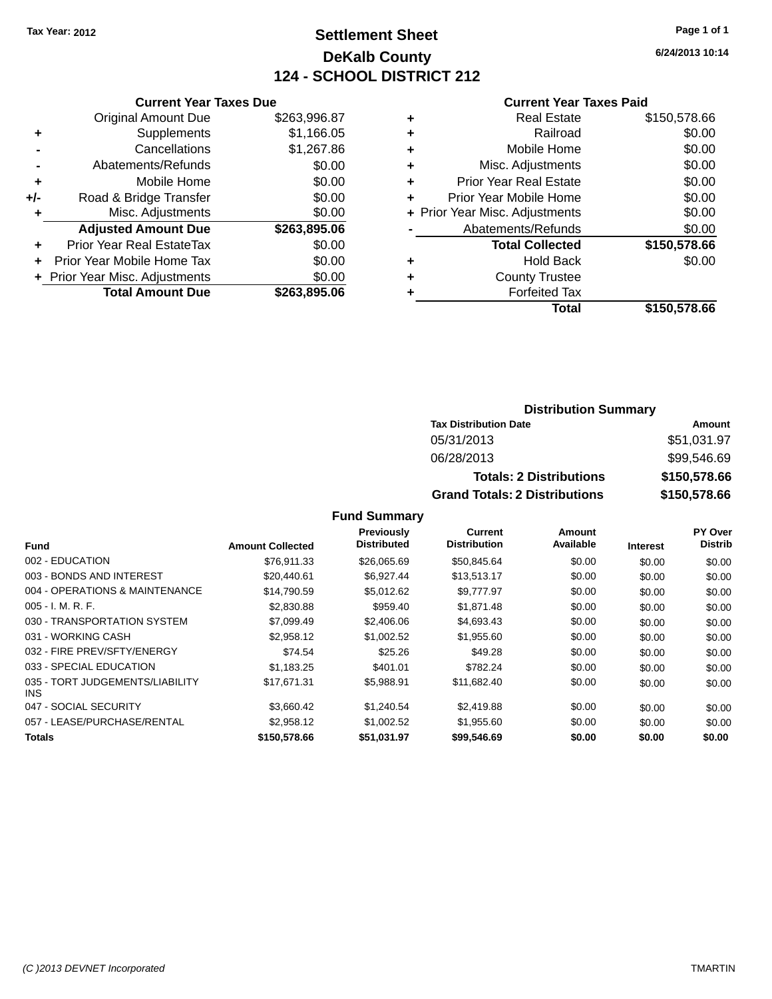# **Settlement Sheet Tax Year: 2012 Page 1 of 1 DeKalb County 124 - SCHOOL DISTRICT 212**

**6/24/2013 10:14**

#### **Current Year Taxes Paid**

|       | <b>Current Year Taxes Due</b>  |              |
|-------|--------------------------------|--------------|
|       | <b>Original Amount Due</b>     | \$263,996.87 |
| ٠     | Supplements                    | \$1,166.05   |
|       | Cancellations                  | \$1,267.86   |
|       | Abatements/Refunds             | \$0.00       |
| ٠     | Mobile Home                    | \$0.00       |
| $+/-$ | Road & Bridge Transfer         | \$0.00       |
| ÷     | Misc. Adjustments              | \$0.00       |
|       | <b>Adjusted Amount Due</b>     | \$263,895.06 |
| ٠     | Prior Year Real EstateTax      | \$0.00       |
|       | Prior Year Mobile Home Tax     | \$0.00       |
|       | + Prior Year Misc. Adjustments | \$0.00       |
|       | <b>Total Amount Due</b>        | \$263,895.06 |
|       |                                |              |

|   | <b>Real Estate</b>             | \$150,578.66 |
|---|--------------------------------|--------------|
| ٠ | Railroad                       | \$0.00       |
| ٠ | Mobile Home                    | \$0.00       |
| ٠ | Misc. Adjustments              | \$0.00       |
| ٠ | <b>Prior Year Real Estate</b>  | \$0.00       |
| ٠ | Prior Year Mobile Home         | \$0.00       |
|   | + Prior Year Misc. Adjustments | \$0.00       |
|   | Abatements/Refunds             | \$0.00       |
|   | <b>Total Collected</b>         | \$150,578.66 |
| ٠ | <b>Hold Back</b>               | \$0.00       |
|   | <b>County Trustee</b>          |              |
| ٠ | <b>Forfeited Tax</b>           |              |
|   | Total                          | \$150,578.66 |
|   |                                |              |

### **Distribution Summary Tax Distribution Date Amount** 05/31/2013 \$51,031.97 06/28/2013 \$99,546.69 **Totals: 2 Distributions \$150,578.66 Grand Totals: 2 Distributions \$150,578.66**

|                                         |                         | Previously         | Current             | Amount    |                 | PY Over        |
|-----------------------------------------|-------------------------|--------------------|---------------------|-----------|-----------------|----------------|
| <b>Fund</b>                             | <b>Amount Collected</b> | <b>Distributed</b> | <b>Distribution</b> | Available | <b>Interest</b> | <b>Distrib</b> |
| 002 - EDUCATION                         | \$76.911.33             | \$26,065.69        | \$50,845.64         | \$0.00    | \$0.00          | \$0.00         |
| 003 - BONDS AND INTEREST                | \$20,440.61             | \$6,927.44         | \$13,513.17         | \$0.00    | \$0.00          | \$0.00         |
| 004 - OPERATIONS & MAINTENANCE          | \$14.790.59             | \$5,012.62         | \$9,777.97          | \$0.00    | \$0.00          | \$0.00         |
| $005 - I. M. R. F.$                     | \$2,830.88              | \$959.40           | \$1,871.48          | \$0.00    | \$0.00          | \$0.00         |
| 030 - TRANSPORTATION SYSTEM             | \$7,099.49              | \$2,406.06         | \$4,693.43          | \$0.00    | \$0.00          | \$0.00         |
| 031 - WORKING CASH                      | \$2,958.12              | \$1,002.52         | \$1,955.60          | \$0.00    | \$0.00          | \$0.00         |
| 032 - FIRE PREV/SFTY/ENERGY             | \$74.54                 | \$25.26            | \$49.28             | \$0.00    | \$0.00          | \$0.00         |
| 033 - SPECIAL EDUCATION                 | \$1,183.25              | \$401.01           | \$782.24            | \$0.00    | \$0.00          | \$0.00         |
| 035 - TORT JUDGEMENTS/LIABILITY<br>INS. | \$17,671.31             | \$5,988.91         | \$11,682.40         | \$0.00    | \$0.00          | \$0.00         |
| 047 - SOCIAL SECURITY                   | \$3,660.42              | \$1,240.54         | \$2,419.88          | \$0.00    | \$0.00          | \$0.00         |
| 057 - LEASE/PURCHASE/RENTAL             | \$2,958.12              | \$1,002.52         | \$1,955.60          | \$0.00    | \$0.00          | \$0.00         |
| <b>Totals</b>                           | \$150,578.66            | \$51.031.97        | \$99.546.69         | \$0.00    | \$0.00          | \$0.00         |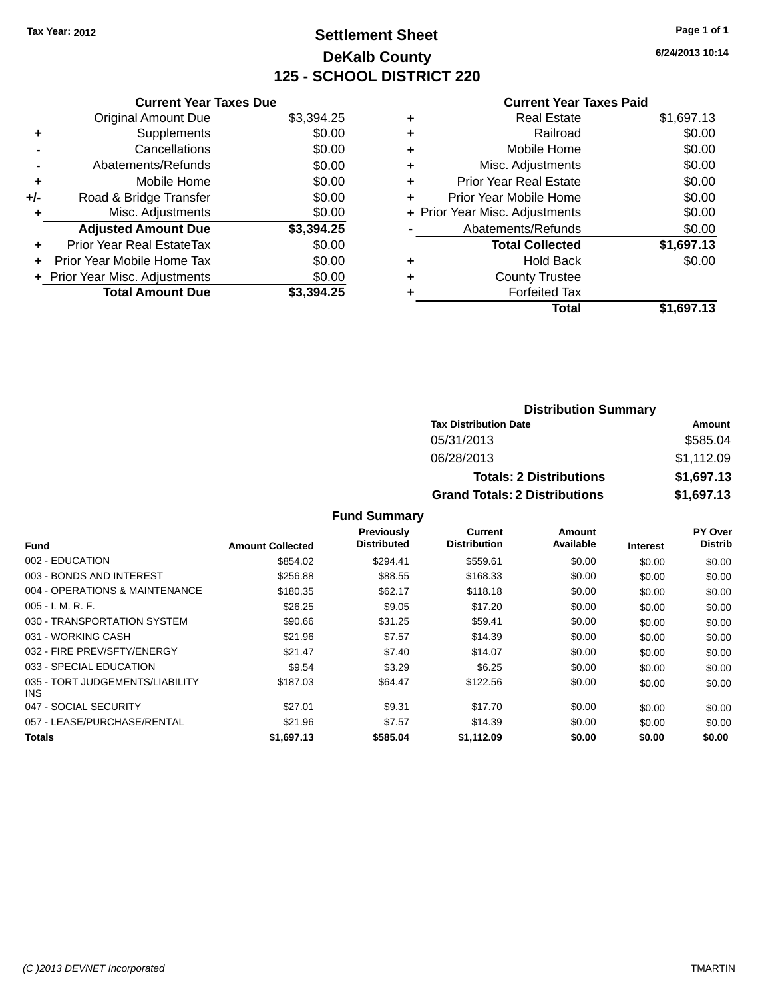# **Settlement Sheet Tax Year: 2012 Page 1 of 1 DeKalb County 125 - SCHOOL DISTRICT 220**

**6/24/2013 10:14**

#### **Current Year Taxes Paid**

|     | <b>Current Year Taxes Due</b>  |            |
|-----|--------------------------------|------------|
|     | <b>Original Amount Due</b>     | \$3,394.25 |
| ٠   | Supplements                    | \$0.00     |
|     | Cancellations                  | \$0.00     |
|     | Abatements/Refunds             | \$0.00     |
| ٠   | Mobile Home                    | \$0.00     |
| +/- | Road & Bridge Transfer         | \$0.00     |
|     | Misc. Adjustments              | \$0.00     |
|     | <b>Adjusted Amount Due</b>     | \$3,394.25 |
| ÷   | Prior Year Real EstateTax      | \$0.00     |
| ÷   | Prior Year Mobile Home Tax     | \$0.00     |
|     | + Prior Year Misc. Adjustments | \$0.00     |
|     | <b>Total Amount Due</b>        | \$3.394.25 |

| ٠ | <b>Real Estate</b>             | \$1,697.13 |
|---|--------------------------------|------------|
| ٠ | Railroad                       | \$0.00     |
| ٠ | Mobile Home                    | \$0.00     |
| ٠ | Misc. Adjustments              | \$0.00     |
| ٠ | <b>Prior Year Real Estate</b>  | \$0.00     |
| ٠ | Prior Year Mobile Home         | \$0.00     |
|   | + Prior Year Misc. Adjustments | \$0.00     |
|   | Abatements/Refunds             | \$0.00     |
|   | <b>Total Collected</b>         | \$1,697.13 |
| ٠ | <b>Hold Back</b>               | \$0.00     |
| ٠ | <b>County Trustee</b>          |            |
| ٠ | <b>Forfeited Tax</b>           |            |
|   | Total                          | \$1,697.13 |
|   |                                |            |

| <b>Distribution Summary</b>          |            |  |  |  |  |
|--------------------------------------|------------|--|--|--|--|
| <b>Tax Distribution Date</b>         | Amount     |  |  |  |  |
| 05/31/2013                           | \$585.04   |  |  |  |  |
| 06/28/2013                           | \$1,112.09 |  |  |  |  |
| <b>Totals: 2 Distributions</b>       | \$1,697.13 |  |  |  |  |
| <b>Grand Totals: 2 Distributions</b> | \$1,697.13 |  |  |  |  |

|                                         |                         | Previously         | Current             | Amount    |                 | PY Over        |
|-----------------------------------------|-------------------------|--------------------|---------------------|-----------|-----------------|----------------|
| Fund                                    | <b>Amount Collected</b> | <b>Distributed</b> | <b>Distribution</b> | Available | <b>Interest</b> | <b>Distrib</b> |
| 002 - EDUCATION                         | \$854.02                | \$294.41           | \$559.61            | \$0.00    | \$0.00          | \$0.00         |
| 003 - BONDS AND INTEREST                | \$256.88                | \$88.55            | \$168.33            | \$0.00    | \$0.00          | \$0.00         |
| 004 - OPERATIONS & MAINTENANCE          | \$180.35                | \$62.17            | \$118.18            | \$0.00    | \$0.00          | \$0.00         |
| $005 - I. M. R. F.$                     | \$26.25                 | \$9.05             | \$17.20             | \$0.00    | \$0.00          | \$0.00         |
| 030 - TRANSPORTATION SYSTEM             | \$90.66                 | \$31.25            | \$59.41             | \$0.00    | \$0.00          | \$0.00         |
| 031 - WORKING CASH                      | \$21.96                 | \$7.57             | \$14.39             | \$0.00    | \$0.00          | \$0.00         |
| 032 - FIRE PREV/SFTY/ENERGY             | \$21.47                 | \$7.40             | \$14.07             | \$0.00    | \$0.00          | \$0.00         |
| 033 - SPECIAL EDUCATION                 | \$9.54                  | \$3.29             | \$6.25              | \$0.00    | \$0.00          | \$0.00         |
| 035 - TORT JUDGEMENTS/LIABILITY<br>INS. | \$187.03                | \$64.47            | \$122.56            | \$0.00    | \$0.00          | \$0.00         |
| 047 - SOCIAL SECURITY                   | \$27.01                 | \$9.31             | \$17.70             | \$0.00    | \$0.00          | \$0.00         |
| 057 - LEASE/PURCHASE/RENTAL             | \$21.96                 | \$7.57             | \$14.39             | \$0.00    | \$0.00          | \$0.00         |
| <b>Totals</b>                           | \$1.697.13              | \$585.04           | \$1.112.09          | \$0.00    | \$0.00          | \$0.00         |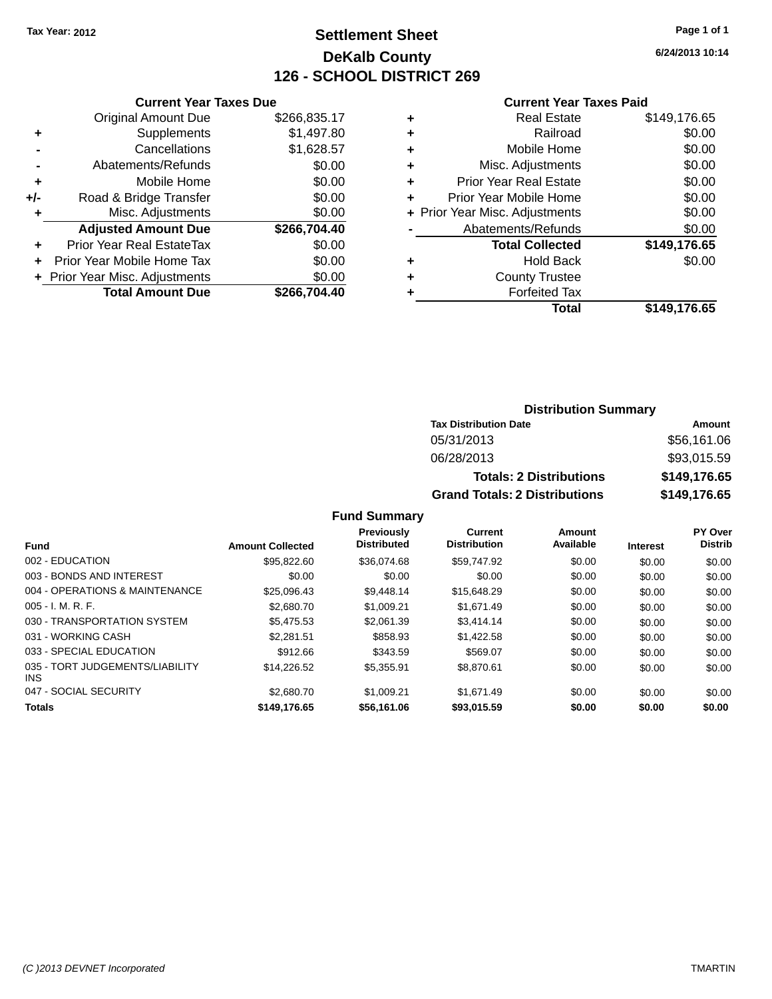# **Settlement Sheet Tax Year: 2012 Page 1 of 1 DeKalb County 126 - SCHOOL DISTRICT 269**

**6/24/2013 10:14**

#### **Current Year Taxes Paid**

|     | <b>Current Year Taxes Due</b>  |              |
|-----|--------------------------------|--------------|
|     | <b>Original Amount Due</b>     | \$266,835.17 |
| ٠   | Supplements                    | \$1,497.80   |
|     | Cancellations                  | \$1,628.57   |
|     | Abatements/Refunds             | \$0.00       |
| ٠   | Mobile Home                    | \$0.00       |
| +/- | Road & Bridge Transfer         | \$0.00       |
|     | Misc. Adjustments              | \$0.00       |
|     | <b>Adjusted Amount Due</b>     | \$266,704.40 |
| ٠   | Prior Year Real EstateTax      | \$0.00       |
|     | Prior Year Mobile Home Tax     | \$0.00       |
|     | + Prior Year Misc. Adjustments | \$0.00       |
|     | <b>Total Amount Due</b>        | \$266,704.40 |
|     |                                |              |

|   | <b>Real Estate</b>             | \$149,176.65 |
|---|--------------------------------|--------------|
| ٠ | Railroad                       | \$0.00       |
| ٠ | Mobile Home                    | \$0.00       |
| ٠ | Misc. Adjustments              | \$0.00       |
| ٠ | <b>Prior Year Real Estate</b>  | \$0.00       |
| ٠ | Prior Year Mobile Home         | \$0.00       |
|   | + Prior Year Misc. Adjustments | \$0.00       |
|   | Abatements/Refunds             | \$0.00       |
|   | <b>Total Collected</b>         | \$149,176.65 |
| ٠ | Hold Back                      | \$0.00       |
| ٠ | <b>County Trustee</b>          |              |
| ٠ | <b>Forfeited Tax</b>           |              |
|   | Total                          | \$149,176.65 |
|   |                                |              |

### **Distribution Summary Tax Distribution Date Amount** 05/31/2013 \$56,161.06 06/28/2013 \$93,015.59 **Totals: 2 Distributions \$149,176.65 Grand Totals: 2 Distributions \$149,176.65**

|                                               |                         | Previously         | <b>Current</b>      | Amount    |                 | PY Over        |
|-----------------------------------------------|-------------------------|--------------------|---------------------|-----------|-----------------|----------------|
| <b>Fund</b>                                   | <b>Amount Collected</b> | <b>Distributed</b> | <b>Distribution</b> | Available | <b>Interest</b> | <b>Distrib</b> |
| 002 - EDUCATION                               | \$95,822,60             | \$36,074.68        | \$59.747.92         | \$0.00    | \$0.00          | \$0.00         |
| 003 - BONDS AND INTEREST                      | \$0.00                  | \$0.00             | \$0.00              | \$0.00    | \$0.00          | \$0.00         |
| 004 - OPERATIONS & MAINTENANCE                | \$25,096.43             | \$9,448.14         | \$15,648.29         | \$0.00    | \$0.00          | \$0.00         |
| $005 - I. M. R. F.$                           | \$2,680.70              | \$1.009.21         | \$1,671.49          | \$0.00    | \$0.00          | \$0.00         |
| 030 - TRANSPORTATION SYSTEM                   | \$5.475.53              | \$2.061.39         | \$3,414.14          | \$0.00    | \$0.00          | \$0.00         |
| 031 - WORKING CASH                            | \$2.281.51              | \$858.93           | \$1,422.58          | \$0.00    | \$0.00          | \$0.00         |
| 033 - SPECIAL EDUCATION                       | \$912.66                | \$343.59           | \$569.07            | \$0.00    | \$0.00          | \$0.00         |
| 035 - TORT JUDGEMENTS/LIABILITY<br><b>INS</b> | \$14.226.52             | \$5.355.91         | \$8.870.61          | \$0.00    | \$0.00          | \$0.00         |
| 047 - SOCIAL SECURITY                         | \$2,680.70              | \$1.009.21         | \$1,671.49          | \$0.00    | \$0.00          | \$0.00         |
| <b>Totals</b>                                 | \$149,176.65            | \$56,161.06        | \$93,015.59         | \$0.00    | \$0.00          | \$0.00         |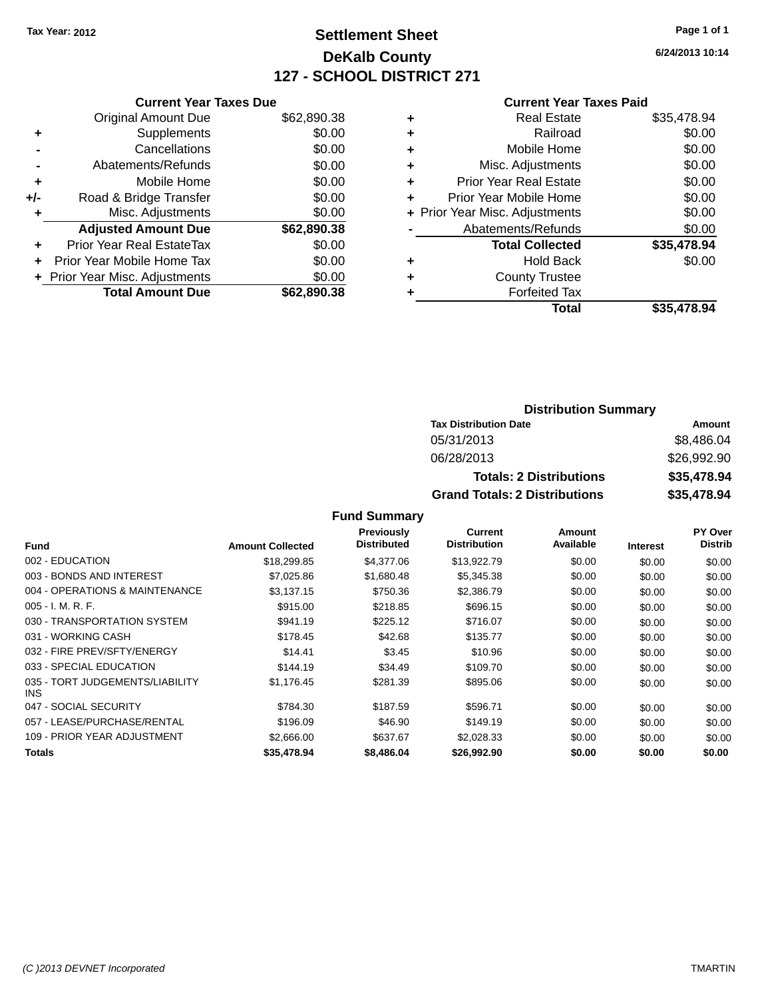# **Settlement Sheet Tax Year: 2012 Page 1 of 1 DeKalb County 127 - SCHOOL DISTRICT 271**

**6/24/2013 10:14**

#### **Current Year Taxes Paid**

|     | <b>Current Year Taxes Due</b> |             |  |  |  |
|-----|-------------------------------|-------------|--|--|--|
|     | <b>Original Amount Due</b>    | \$62,890.38 |  |  |  |
| ٠   | Supplements                   | \$0.00      |  |  |  |
|     | \$0.00<br>Cancellations       |             |  |  |  |
|     | Abatements/Refunds            | \$0.00      |  |  |  |
| ÷   | Mobile Home                   | \$0.00      |  |  |  |
| +/- | Road & Bridge Transfer        | \$0.00      |  |  |  |
|     | Misc. Adjustments             | \$0.00      |  |  |  |
|     | <b>Adjusted Amount Due</b>    | \$62,890.38 |  |  |  |
| ÷   | Prior Year Real EstateTax     | \$0.00      |  |  |  |
|     | Prior Year Mobile Home Tax    | \$0.00      |  |  |  |
|     | Prior Year Misc. Adjustments  | \$0.00      |  |  |  |
|     | <b>Total Amount Due</b>       | \$62.890.38 |  |  |  |
|     |                               |             |  |  |  |

|   | <b>Real Estate</b>             | \$35,478.94 |
|---|--------------------------------|-------------|
| ٠ | Railroad                       | \$0.00      |
| ٠ | Mobile Home                    | \$0.00      |
| ٠ | Misc. Adjustments              | \$0.00      |
| ٠ | <b>Prior Year Real Estate</b>  | \$0.00      |
|   | Prior Year Mobile Home         | \$0.00      |
|   | + Prior Year Misc. Adjustments | \$0.00      |
|   | Abatements/Refunds             | \$0.00      |
|   | <b>Total Collected</b>         | \$35,478.94 |
| ٠ | Hold Back                      | \$0.00      |
|   | <b>County Trustee</b>          |             |
| ٠ | <b>Forfeited Tax</b>           |             |
|   | Total                          | \$35,478.94 |
|   |                                |             |

### **Distribution Summary Tax Distribution Date Amount** 05/31/2013 \$8,486.04 06/28/2013 \$26,992.90 **Totals: 2 Distributions \$35,478.94 Grand Totals: 2 Distributions \$35,478.94**

|                                         |                         | Previously         | Current             | Amount    |                 | PY Over        |
|-----------------------------------------|-------------------------|--------------------|---------------------|-----------|-----------------|----------------|
| <b>Fund</b>                             | <b>Amount Collected</b> | <b>Distributed</b> | <b>Distribution</b> | Available | <b>Interest</b> | <b>Distrib</b> |
| 002 - EDUCATION                         | \$18,299.85             | \$4,377.06         | \$13,922.79         | \$0.00    | \$0.00          | \$0.00         |
| 003 - BONDS AND INTEREST                | \$7,025.86              | \$1.680.48         | \$5,345.38          | \$0.00    | \$0.00          | \$0.00         |
| 004 - OPERATIONS & MAINTENANCE          | \$3,137.15              | \$750.36           | \$2,386.79          | \$0.00    | \$0.00          | \$0.00         |
| $005 - I. M. R. F.$                     | \$915.00                | \$218.85           | \$696.15            | \$0.00    | \$0.00          | \$0.00         |
| 030 - TRANSPORTATION SYSTEM             | \$941.19                | \$225.12           | \$716.07            | \$0.00    | \$0.00          | \$0.00         |
| 031 - WORKING CASH                      | \$178.45                | \$42.68            | \$135.77            | \$0.00    | \$0.00          | \$0.00         |
| 032 - FIRE PREV/SFTY/ENERGY             | \$14.41                 | \$3.45             | \$10.96             | \$0.00    | \$0.00          | \$0.00         |
| 033 - SPECIAL EDUCATION                 | \$144.19                | \$34.49            | \$109.70            | \$0.00    | \$0.00          | \$0.00         |
| 035 - TORT JUDGEMENTS/LIABILITY<br>INS. | \$1,176.45              | \$281.39           | \$895.06            | \$0.00    | \$0.00          | \$0.00         |
| 047 - SOCIAL SECURITY                   | \$784.30                | \$187.59           | \$596.71            | \$0.00    | \$0.00          | \$0.00         |
| 057 - LEASE/PURCHASE/RENTAL             | \$196.09                | \$46.90            | \$149.19            | \$0.00    | \$0.00          | \$0.00         |
| 109 - PRIOR YEAR ADJUSTMENT             | \$2,666.00              | \$637.67           | \$2,028.33          | \$0.00    | \$0.00          | \$0.00         |
| <b>Totals</b>                           | \$35,478.94             | \$8,486.04         | \$26,992.90         | \$0.00    | \$0.00          | \$0.00         |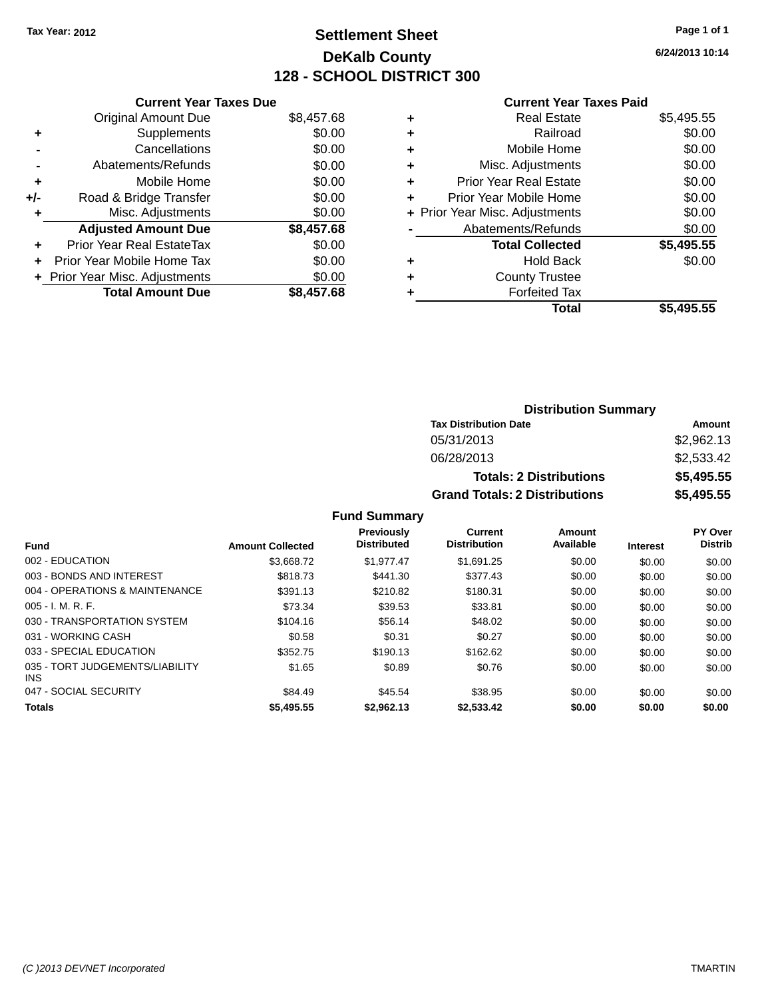# **Settlement Sheet Tax Year: 2012 Page 1 of 1 DeKalb County 128 - SCHOOL DISTRICT 300**

**6/24/2013 10:14**

#### **Current Year Taxes Paid**

|     | <b>Current Year Taxes Due</b>  |            |
|-----|--------------------------------|------------|
|     | <b>Original Amount Due</b>     | \$8,457.68 |
| ٠   | Supplements                    | \$0.00     |
|     | Cancellations                  | \$0.00     |
|     | Abatements/Refunds             | \$0.00     |
| ٠   | Mobile Home                    | \$0.00     |
| +/- | Road & Bridge Transfer         | \$0.00     |
|     | Misc. Adjustments              | \$0.00     |
|     | <b>Adjusted Amount Due</b>     | \$8,457.68 |
| ÷   | Prior Year Real EstateTax      | \$0.00     |
| ÷   | Prior Year Mobile Home Tax     | \$0.00     |
|     | + Prior Year Misc. Adjustments | \$0.00     |
|     | <b>Total Amount Due</b>        | \$8,457.68 |

|   | <b>Real Estate</b>             | \$5,495.55 |
|---|--------------------------------|------------|
| ٠ | Railroad                       | \$0.00     |
| ÷ | Mobile Home                    | \$0.00     |
| ٠ | Misc. Adjustments              | \$0.00     |
| ٠ | <b>Prior Year Real Estate</b>  | \$0.00     |
| ÷ | Prior Year Mobile Home         | \$0.00     |
|   | + Prior Year Misc. Adjustments | \$0.00     |
|   | Abatements/Refunds             | \$0.00     |
|   | <b>Total Collected</b>         | \$5,495.55 |
| ٠ | <b>Hold Back</b>               | \$0.00     |
| ٠ | <b>County Trustee</b>          |            |
| ٠ | <b>Forfeited Tax</b>           |            |
|   | Total                          | \$5,495.55 |
|   |                                |            |

### **Distribution Summary Tax Distribution Date Amount** 05/31/2013 \$2,962.13 06/28/2013 \$2,533.42 **Totals: 2 Distributions \$5,495.55 Grand Totals: 2 Distributions \$5,495.55**

| <b>Fund</b>                                   | <b>Amount Collected</b> | Previously<br><b>Distributed</b> | <b>Current</b><br><b>Distribution</b> | Amount<br>Available | <b>Interest</b> | <b>PY Over</b><br><b>Distrib</b> |
|-----------------------------------------------|-------------------------|----------------------------------|---------------------------------------|---------------------|-----------------|----------------------------------|
| 002 - EDUCATION                               | \$3,668,72              | \$1.977.47                       | \$1,691.25                            | \$0.00              | \$0.00          | \$0.00                           |
| 003 - BONDS AND INTEREST                      | \$818.73                | \$441.30                         | \$377.43                              | \$0.00              | \$0.00          | \$0.00                           |
| 004 - OPERATIONS & MAINTENANCE                | \$391.13                | \$210.82                         | \$180.31                              | \$0.00              | \$0.00          | \$0.00                           |
| $005 - I. M. R. F.$                           | \$73.34                 | \$39.53                          | \$33.81                               | \$0.00              | \$0.00          | \$0.00                           |
| 030 - TRANSPORTATION SYSTEM                   | \$104.16                | \$56.14                          | \$48.02                               | \$0.00              | \$0.00          | \$0.00                           |
| 031 - WORKING CASH                            | \$0.58                  | \$0.31                           | \$0.27                                | \$0.00              | \$0.00          | \$0.00                           |
| 033 - SPECIAL EDUCATION                       | \$352.75                | \$190.13                         | \$162.62                              | \$0.00              | \$0.00          | \$0.00                           |
| 035 - TORT JUDGEMENTS/LIABILITY<br><b>INS</b> | \$1.65                  | \$0.89                           | \$0.76                                | \$0.00              | \$0.00          | \$0.00                           |
| 047 - SOCIAL SECURITY                         | \$84.49                 | \$45.54                          | \$38.95                               | \$0.00              | \$0.00          | \$0.00                           |
| <b>Totals</b>                                 | \$5,495.55              | \$2.962.13                       | \$2.533.42                            | \$0.00              | \$0.00          | \$0.00                           |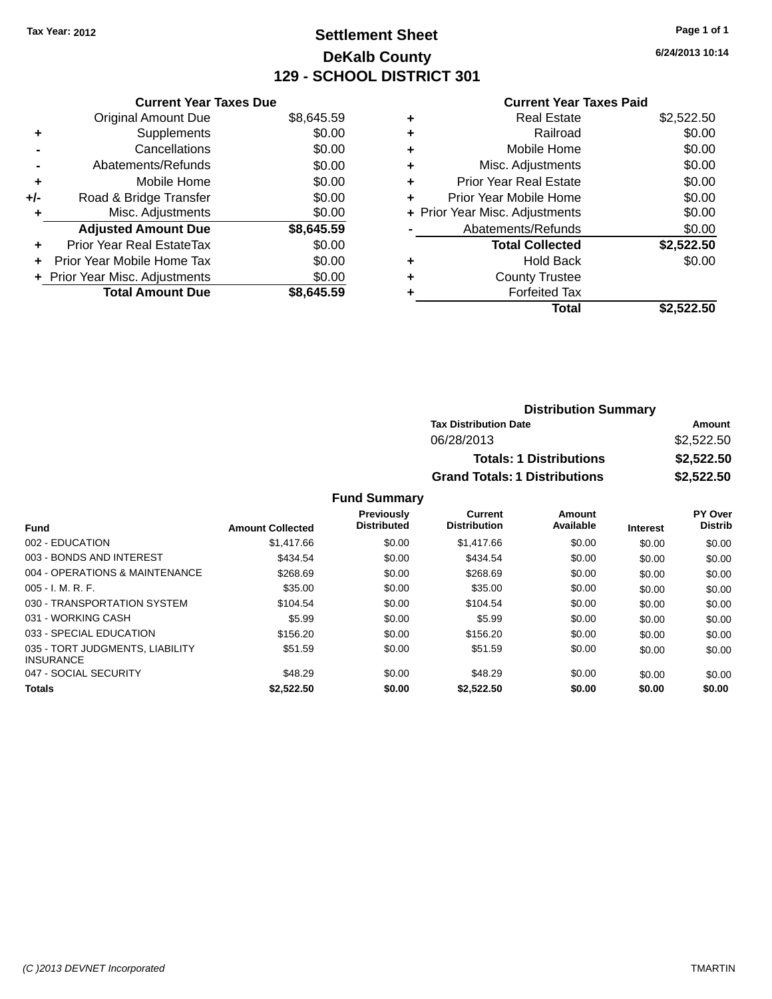# **Settlement Sheet Tax Year: 2012 Page 1 of 1 DeKalb County 129 - SCHOOL DISTRICT 301**

**6/24/2013 10:14**

#### **Current Year Taxes Paid**

|     | <b>Current Year Taxes Due</b>    |            |
|-----|----------------------------------|------------|
|     | <b>Original Amount Due</b>       | \$8,645.59 |
| ٠   | Supplements                      | \$0.00     |
|     | Cancellations                    | \$0.00     |
|     | Abatements/Refunds               | \$0.00     |
| ٠   | Mobile Home                      | \$0.00     |
| +/- | Road & Bridge Transfer           | \$0.00     |
| ٠   | Misc. Adjustments                | \$0.00     |
|     | <b>Adjusted Amount Due</b>       | \$8,645.59 |
| ÷   | <b>Prior Year Real EstateTax</b> | \$0.00     |
| ÷   | Prior Year Mobile Home Tax       | \$0.00     |
|     | + Prior Year Misc. Adjustments   | \$0.00     |
|     | <b>Total Amount Due</b>          | \$8.645.59 |

| ٠ | <b>Real Estate</b>             | \$2,522.50 |
|---|--------------------------------|------------|
| ٠ | Railroad                       | \$0.00     |
| ٠ | Mobile Home                    | \$0.00     |
| ٠ | Misc. Adjustments              | \$0.00     |
| ٠ | <b>Prior Year Real Estate</b>  | \$0.00     |
| ٠ | Prior Year Mobile Home         | \$0.00     |
|   | + Prior Year Misc. Adjustments | \$0.00     |
|   | Abatements/Refunds             | \$0.00     |
|   | <b>Total Collected</b>         | \$2,522.50 |
| ٠ | <b>Hold Back</b>               | \$0.00     |
|   | <b>County Trustee</b>          |            |
| ٠ | <b>Forfeited Tax</b>           |            |
|   | Total                          | \$2,522,50 |
|   |                                |            |

| <b>Distribution Summary</b>          |            |
|--------------------------------------|------------|
| <b>Tax Distribution Date</b>         | Amount     |
| 06/28/2013                           | \$2,522,50 |
| <b>Totals: 1 Distributions</b>       | \$2,522.50 |
| <b>Grand Totals: 1 Distributions</b> | \$2,522.50 |

| <b>Fund</b>                                         | <b>Amount Collected</b> | <b>Previously</b><br><b>Distributed</b> | Current<br><b>Distribution</b> | Amount<br>Available | <b>Interest</b> | <b>PY Over</b><br><b>Distrib</b> |
|-----------------------------------------------------|-------------------------|-----------------------------------------|--------------------------------|---------------------|-----------------|----------------------------------|
|                                                     |                         |                                         |                                |                     |                 |                                  |
| 002 - EDUCATION                                     | \$1,417.66              | \$0.00                                  | \$1,417.66                     | \$0.00              | \$0.00          | \$0.00                           |
| 003 - BONDS AND INTEREST                            | \$434.54                | \$0.00                                  | \$434.54                       | \$0.00              | \$0.00          | \$0.00                           |
| 004 - OPERATIONS & MAINTENANCE                      | \$268.69                | \$0.00                                  | \$268.69                       | \$0.00              | \$0.00          | \$0.00                           |
| $005 - I. M. R. F.$                                 | \$35.00                 | \$0.00                                  | \$35.00                        | \$0.00              | \$0.00          | \$0.00                           |
| 030 - TRANSPORTATION SYSTEM                         | \$104.54                | \$0.00                                  | \$104.54                       | \$0.00              | \$0.00          | \$0.00                           |
| 031 - WORKING CASH                                  | \$5.99                  | \$0.00                                  | \$5.99                         | \$0.00              | \$0.00          | \$0.00                           |
| 033 - SPECIAL EDUCATION                             | \$156.20                | \$0.00                                  | \$156.20                       | \$0.00              | \$0.00          | \$0.00                           |
| 035 - TORT JUDGMENTS, LIABILITY<br><b>INSURANCE</b> | \$51.59                 | \$0.00                                  | \$51.59                        | \$0.00              | \$0.00          | \$0.00                           |
| 047 - SOCIAL SECURITY                               | \$48.29                 | \$0.00                                  | \$48.29                        | \$0.00              | \$0.00          | \$0.00                           |
| <b>Totals</b>                                       | \$2,522.50              | \$0.00                                  | \$2,522.50                     | \$0.00              | \$0.00          | \$0.00                           |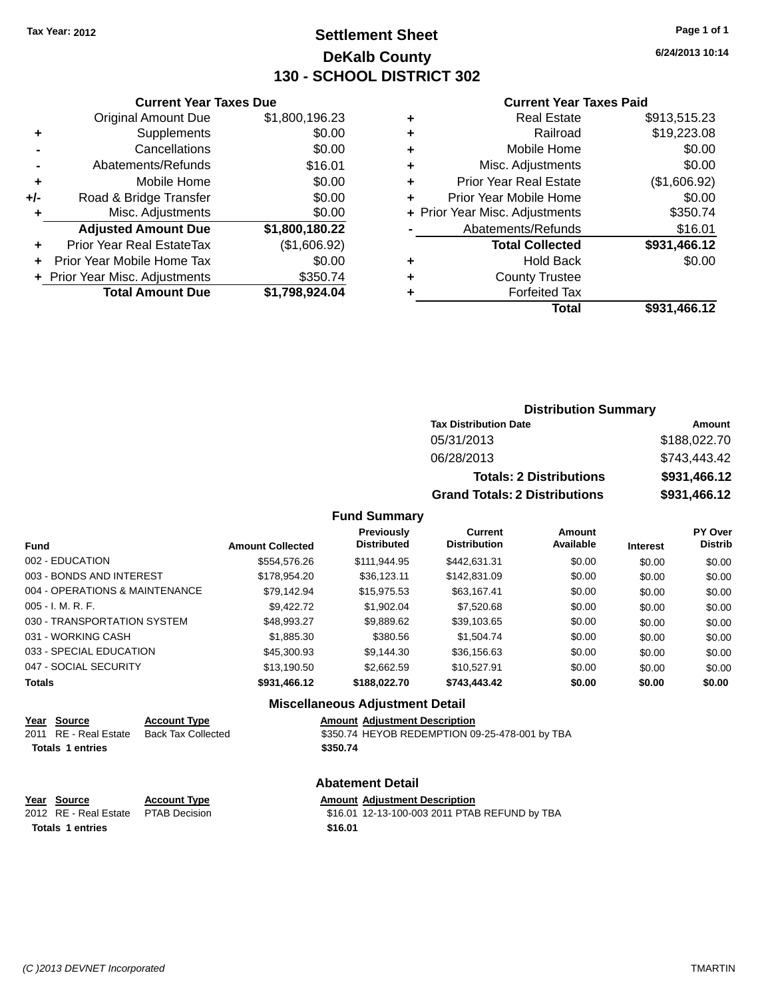# **Settlement Sheet Tax Year: 2012 Page 1 of 1 DeKalb County 130 - SCHOOL DISTRICT 302**

**6/24/2013 10:14**

#### **Current Year Taxes Paid**

|     | <b>Original Amount Due</b>     | \$1,800,196.23 |
|-----|--------------------------------|----------------|
| ٠   | Supplements                    | \$0.00         |
|     | Cancellations                  | \$0.00         |
|     | Abatements/Refunds             | \$16.01        |
| ٠   | Mobile Home                    | \$0.00         |
| +/- | Road & Bridge Transfer         | \$0.00         |
| ٠   | Misc. Adjustments              | \$0.00         |
|     | <b>Adjusted Amount Due</b>     | \$1,800,180.22 |
| ٠   | Prior Year Real EstateTax      | (\$1,606.92)   |
| ÷   | Prior Year Mobile Home Tax     | \$0.00         |
|     | + Prior Year Misc. Adjustments | \$350.74       |
|     | <b>Total Amount Due</b>        | \$1,798,924.04 |
|     |                                |                |

**Current Year Taxes Due**

| ٠ | <b>Real Estate</b>             | \$913,515.23 |
|---|--------------------------------|--------------|
| ٠ | Railroad                       | \$19,223.08  |
| ٠ | Mobile Home                    | \$0.00       |
| ٠ | Misc. Adjustments              | \$0.00       |
| ٠ | <b>Prior Year Real Estate</b>  | (\$1,606.92) |
| ٠ | Prior Year Mobile Home         | \$0.00       |
|   | + Prior Year Misc. Adjustments | \$350.74     |
|   | Abatements/Refunds             | \$16.01      |
|   | <b>Total Collected</b>         | \$931,466.12 |
| ٠ | <b>Hold Back</b>               | \$0.00       |
| ٠ | <b>County Trustee</b>          |              |
| ٠ | <b>Forfeited Tax</b>           |              |
|   | Total                          | \$931,466.12 |
|   |                                |              |

### **Distribution Summary Tax Distribution Date Amount** 05/31/2013 \$188,022.70 06/28/2013 \$743,443.42 **Totals: 2 Distributions \$931,466.12 Grand Totals: 2 Distributions \$931,466.12**

#### **Fund Summary**

| <b>Fund</b>                    | <b>Amount Collected</b> | Previously<br><b>Distributed</b> | Current<br><b>Distribution</b> | <b>Amount</b><br>Available | <b>Interest</b> | <b>PY Over</b><br><b>Distrib</b> |
|--------------------------------|-------------------------|----------------------------------|--------------------------------|----------------------------|-----------------|----------------------------------|
| 002 - EDUCATION                | \$554,576.26            | \$111,944.95                     | \$442.631.31                   | \$0.00                     | \$0.00          | \$0.00                           |
| 003 - BONDS AND INTEREST       | \$178,954.20            | \$36.123.11                      | \$142,831.09                   | \$0.00                     | \$0.00          | \$0.00                           |
| 004 - OPERATIONS & MAINTENANCE | \$79.142.94             | \$15,975.53                      | \$63.167.41                    | \$0.00                     | \$0.00          | \$0.00                           |
| $005 - I. M. R. F.$            | \$9.422.72              | \$1,902.04                       | \$7,520.68                     | \$0.00                     | \$0.00          | \$0.00                           |
| 030 - TRANSPORTATION SYSTEM    | \$48.993.27             | \$9.889.62                       | \$39,103.65                    | \$0.00                     | \$0.00          | \$0.00                           |
| 031 - WORKING CASH             | \$1.885.30              | \$380.56                         | \$1,504.74                     | \$0.00                     | \$0.00          | \$0.00                           |
| 033 - SPECIAL EDUCATION        | \$45,300.93             | \$9.144.30                       | \$36,156.63                    | \$0.00                     | \$0.00          | \$0.00                           |
| 047 - SOCIAL SECURITY          | \$13.190.50             | \$2,662.59                       | \$10.527.91                    | \$0.00                     | \$0.00          | \$0.00                           |
| <b>Totals</b>                  | \$931,466.12            | \$188,022,70                     | \$743,443.42                   | \$0.00                     | \$0.00          | \$0.00                           |

#### **Miscellaneous Adjustment Detail**

#### **Year** Source **Account Type Account Adjustment Description**

2011 RE - Real Estate Back Tax Collected \$350.74 HEYOB REDEMPTION 09-25-478-001 by TBA **Totals \$350.74 1 entries**

| Year Source                         | <b>Account Type</b> |         | <b>Amount Adiustment Description</b>          |
|-------------------------------------|---------------------|---------|-----------------------------------------------|
| 2012 RE - Real Estate PTAB Decision |                     |         | \$16.01 12-13-100-003 2011 PTAB REFUND by TBA |
| <b>Totals 1 entries</b>             |                     | \$16.01 |                                               |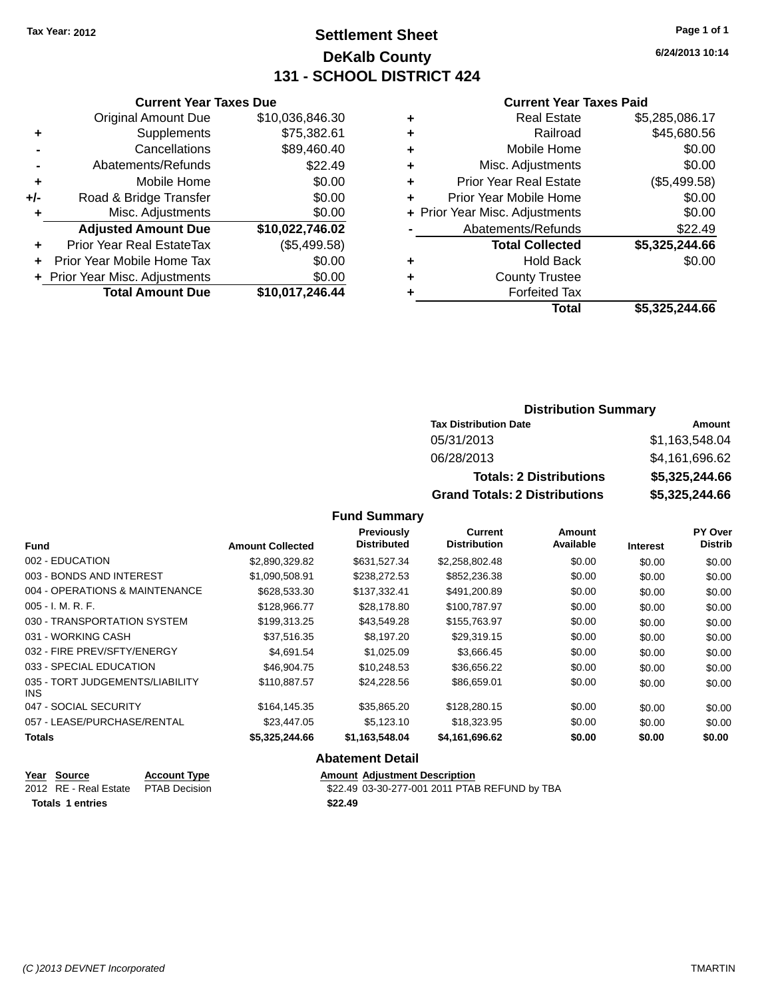# **Settlement Sheet Tax Year: 2012 Page 1 of 1 DeKalb County 131 - SCHOOL DISTRICT 424**

**6/24/2013 10:14**

#### **Current Year Taxes Paid**

|     | <b>Original Amount Due</b>       | \$10,036,846.30 |
|-----|----------------------------------|-----------------|
| ٠   | Supplements                      | \$75,382.61     |
|     | Cancellations                    | \$89,460.40     |
|     | Abatements/Refunds               | \$22.49         |
| ÷   | Mobile Home                      | \$0.00          |
| +/- | Road & Bridge Transfer           | \$0.00          |
| ٠   | Misc. Adjustments                | \$0.00          |
|     | <b>Adjusted Amount Due</b>       | \$10,022,746.02 |
| ٠   | <b>Prior Year Real EstateTax</b> | (\$5,499.58)    |
| ٠   | Prior Year Mobile Home Tax       | \$0.00          |
|     | + Prior Year Misc. Adjustments   | \$0.00          |
|     | <b>Total Amount Due</b>          | \$10,017,246.44 |
|     |                                  |                 |

**Current Year Taxes Due**

| ٠ | <b>Real Estate</b>             | \$5,285,086.17 |
|---|--------------------------------|----------------|
| ٠ | Railroad                       | \$45,680.56    |
| ٠ | Mobile Home                    | \$0.00         |
| ٠ | Misc. Adjustments              | \$0.00         |
| ٠ | <b>Prior Year Real Estate</b>  | (\$5,499.58)   |
| ٠ | Prior Year Mobile Home         | \$0.00         |
|   | + Prior Year Misc. Adjustments | \$0.00         |
|   | Abatements/Refunds             | \$22.49        |
|   | <b>Total Collected</b>         | \$5,325,244.66 |
| ٠ | <b>Hold Back</b>               | \$0.00         |
| ٠ | <b>County Trustee</b>          |                |
| ٠ | <b>Forfeited Tax</b>           |                |
|   | Total                          | \$5,325,244.66 |
|   |                                |                |

### **Distribution Summary Tax Distribution Date Amount** 05/31/2013 \$1,163,548.04 06/28/2013 \$4,161,696.62 **Totals: 2 Distributions \$5,325,244.66 Grand Totals: 2 Distributions \$5,325,244.66**

### **Fund Summary**

| <b>Fund</b>                                   | <b>Amount Collected</b> | Previously<br><b>Distributed</b> | <b>Current</b><br><b>Distribution</b> | Amount<br>Available | <b>Interest</b> | PY Over<br><b>Distrib</b> |
|-----------------------------------------------|-------------------------|----------------------------------|---------------------------------------|---------------------|-----------------|---------------------------|
| 002 - EDUCATION                               |                         |                                  |                                       |                     |                 |                           |
|                                               | \$2,890,329.82          | \$631,527.34                     | \$2,258,802.48                        | \$0.00              | \$0.00          | \$0.00                    |
| 003 - BONDS AND INTEREST                      | \$1,090,508.91          | \$238,272.53                     | \$852,236.38                          | \$0.00              | \$0.00          | \$0.00                    |
| 004 - OPERATIONS & MAINTENANCE                | \$628,533.30            | \$137,332.41                     | \$491,200.89                          | \$0.00              | \$0.00          | \$0.00                    |
| $005 - I. M. R. F.$                           | \$128,966,77            | \$28,178.80                      | \$100.787.97                          | \$0.00              | \$0.00          | \$0.00                    |
| 030 - TRANSPORTATION SYSTEM                   | \$199.313.25            | \$43.549.28                      | \$155,763.97                          | \$0.00              | \$0.00          | \$0.00                    |
| 031 - WORKING CASH                            | \$37,516.35             | \$8,197.20                       | \$29,319.15                           | \$0.00              | \$0.00          | \$0.00                    |
| 032 - FIRE PREV/SFTY/ENERGY                   | \$4.691.54              | \$1.025.09                       | \$3,666.45                            | \$0.00              | \$0.00          | \$0.00                    |
| 033 - SPECIAL EDUCATION                       | \$46,904.75             | \$10,248.53                      | \$36,656.22                           | \$0.00              | \$0.00          | \$0.00                    |
| 035 - TORT JUDGEMENTS/LIABILITY<br><b>INS</b> | \$110.887.57            | \$24.228.56                      | \$86,659.01                           | \$0.00              | \$0.00          | \$0.00                    |
| 047 - SOCIAL SECURITY                         | \$164.145.35            | \$35,865.20                      | \$128,280.15                          | \$0.00              | \$0.00          | \$0.00                    |
| 057 - LEASE/PURCHASE/RENTAL                   | \$23,447.05             | \$5,123.10                       | \$18,323.95                           | \$0.00              | \$0.00          | \$0.00                    |
| <b>Totals</b>                                 | \$5,325,244.66          | \$1,163,548.04                   | \$4,161,696.62                        | \$0.00              | \$0.00          | \$0.00                    |

| Year Source                         | <b>Account Type</b> | <b>Amount Adiustment Description</b>          |
|-------------------------------------|---------------------|-----------------------------------------------|
| 2012 RE - Real Estate PTAB Decision |                     | \$22.49 03-30-277-001 2011 PTAB REFUND by TBA |
| <b>Totals 1 entries</b>             |                     | \$22.49                                       |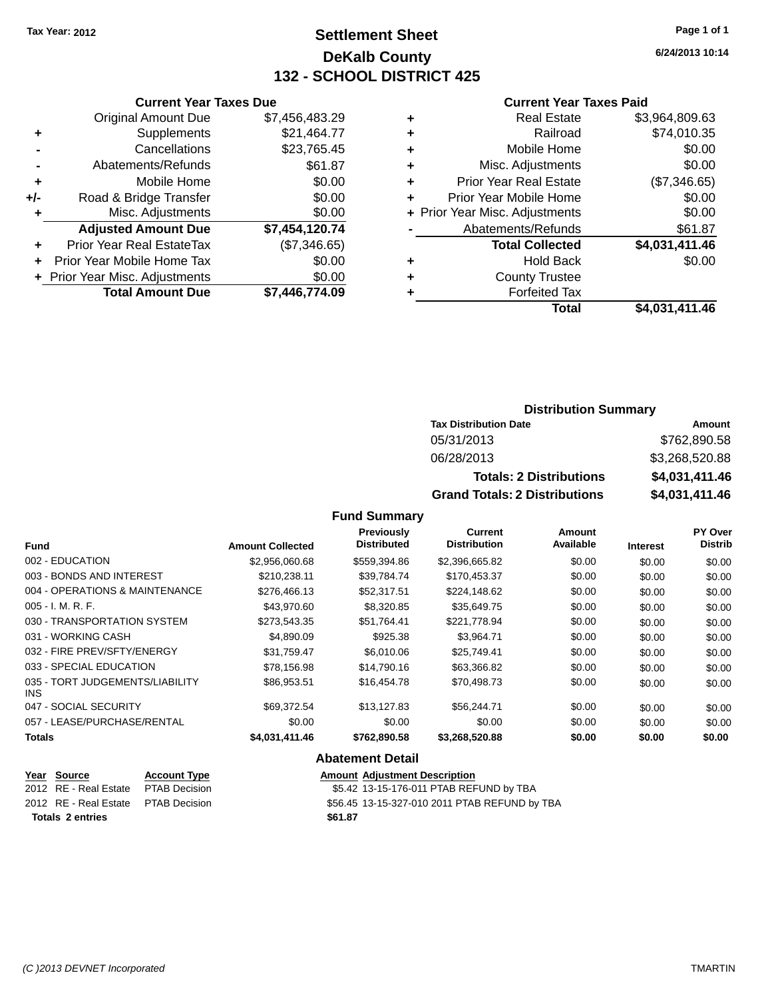**Original Amount Due** 

**Adjusted Amount Due** 

**Total Amount Due** 

**+** Supplements **-** Cancellations **-** Abatements/Refunds  $+$  Mobile Home **+/-** Road & Bridge Transfer **+** Misc. Adjustments

**+** Prior Year Real EstateTax **+** Prior Year Mobile Home Tax **+** Prior Year Misc. Adjustments

# **Settlement Sheet Tax Year: 2012 Page 1 of 1 DeKalb County 132 - SCHOOL DISTRICT 425**

**6/24/2013 10:14**

### **Current Year Taxes Paid**

| <b>Current Year Taxes Due</b> |                |   | <b>Current Year Taxes Paid</b> |                |
|-------------------------------|----------------|---|--------------------------------|----------------|
| ่<br>เl Amount Due            | \$7,456,483.29 | ٠ | <b>Real Estate</b>             | \$3,964,809.63 |
| Supplements                   | \$21,464.77    | ٠ | Railroad                       | \$74,010.35    |
| Cancellations                 | \$23,765.45    | ٠ | Mobile Home                    | \$0.00         |
| าents/Refunds                 | \$61.87        | ÷ | Misc. Adjustments              | \$0.00         |
| Mobile Home                   | \$0.00         | ÷ | <b>Prior Year Real Estate</b>  | (\$7,346.65)   |
| ridge Transfer                | \$0.00         | ÷ | Prior Year Mobile Home         | \$0.00         |
| . Adjustments                 | \$0.00         |   | + Prior Year Misc. Adjustments | \$0.00         |
| <b>Amount Due</b>             | \$7,454,120.74 |   | Abatements/Refunds             | \$61.87        |
| leal EstateTax≀               | (\$7,346.65)   |   | <b>Total Collected</b>         | \$4,031,411.46 |
| bile Home Tax                 | \$0.00         | ÷ | <b>Hold Back</b>               | \$0.00         |
| . Adjustments                 | \$0.00         | ٠ | <b>County Trustee</b>          |                |
| <b>Amount Due</b>             | \$7,446,774.09 |   | <b>Forfeited Tax</b>           |                |
|                               |                |   | <b>Total</b>                   | \$4,031,411.46 |

# **Distribution Summary**

| <b>Tax Distribution Date</b>         | Amount         |
|--------------------------------------|----------------|
| 05/31/2013                           | \$762,890.58   |
| 06/28/2013                           | \$3,268,520.88 |
| <b>Totals: 2 Distributions</b>       | \$4,031,411.46 |
| <b>Grand Totals: 2 Distributions</b> | \$4,031,411.46 |

#### **Fund Summary**

| <b>Fund</b>                                   | <b>Amount Collected</b> | Previously<br><b>Distributed</b> | Current<br><b>Distribution</b> | Amount<br>Available | <b>Interest</b> | <b>PY Over</b><br><b>Distrib</b> |
|-----------------------------------------------|-------------------------|----------------------------------|--------------------------------|---------------------|-----------------|----------------------------------|
|                                               |                         |                                  |                                |                     |                 |                                  |
| 002 - EDUCATION                               | \$2,956,060,68          | \$559.394.86                     | \$2,396,665.82                 | \$0.00              | \$0.00          | \$0.00                           |
| 003 - BONDS AND INTEREST                      | \$210.238.11            | \$39,784.74                      | \$170,453.37                   | \$0.00              | \$0.00          | \$0.00                           |
| 004 - OPERATIONS & MAINTENANCE                | \$276,466.13            | \$52,317.51                      | \$224.148.62                   | \$0.00              | \$0.00          | \$0.00                           |
| $005 - I. M. R. F.$                           | \$43,970.60             | \$8,320.85                       | \$35,649.75                    | \$0.00              | \$0.00          | \$0.00                           |
| 030 - TRANSPORTATION SYSTEM                   | \$273,543.35            | \$51,764.41                      | \$221,778.94                   | \$0.00              | \$0.00          | \$0.00                           |
| 031 - WORKING CASH                            | \$4,890.09              | \$925.38                         | \$3,964.71                     | \$0.00              | \$0.00          | \$0.00                           |
| 032 - FIRE PREV/SFTY/ENERGY                   | \$31.759.47             | \$6,010.06                       | \$25,749.41                    | \$0.00              | \$0.00          | \$0.00                           |
| 033 - SPECIAL EDUCATION                       | \$78,156.98             | \$14,790.16                      | \$63,366.82                    | \$0.00              | \$0.00          | \$0.00                           |
| 035 - TORT JUDGEMENTS/LIABILITY<br><b>INS</b> | \$86,953.51             | \$16.454.78                      | \$70,498.73                    | \$0.00              | \$0.00          | \$0.00                           |
| 047 - SOCIAL SECURITY                         | \$69,372.54             | \$13.127.83                      | \$56,244.71                    | \$0.00              | \$0.00          | \$0.00                           |
| 057 - LEASE/PURCHASE/RENTAL                   | \$0.00                  | \$0.00                           | \$0.00                         | \$0.00              | \$0.00          | \$0.00                           |
| <b>Totals</b>                                 | \$4,031,411.46          | \$762,890.58                     | \$3,268,520.88                 | \$0.00              | \$0.00          | \$0.00                           |

| Year Source                         | <b>Account Type</b> |         | <b>Amount Adiustment Description</b>          |
|-------------------------------------|---------------------|---------|-----------------------------------------------|
| 2012 RE - Real Estate               | PTAB Decision       |         | \$5.42 13-15-176-011 PTAB REFUND by TBA       |
| 2012 RE - Real Estate PTAB Decision |                     |         | \$56.45 13-15-327-010 2011 PTAB REFUND by TBA |
| <b>Totals 2 entries</b>             |                     | \$61.87 |                                               |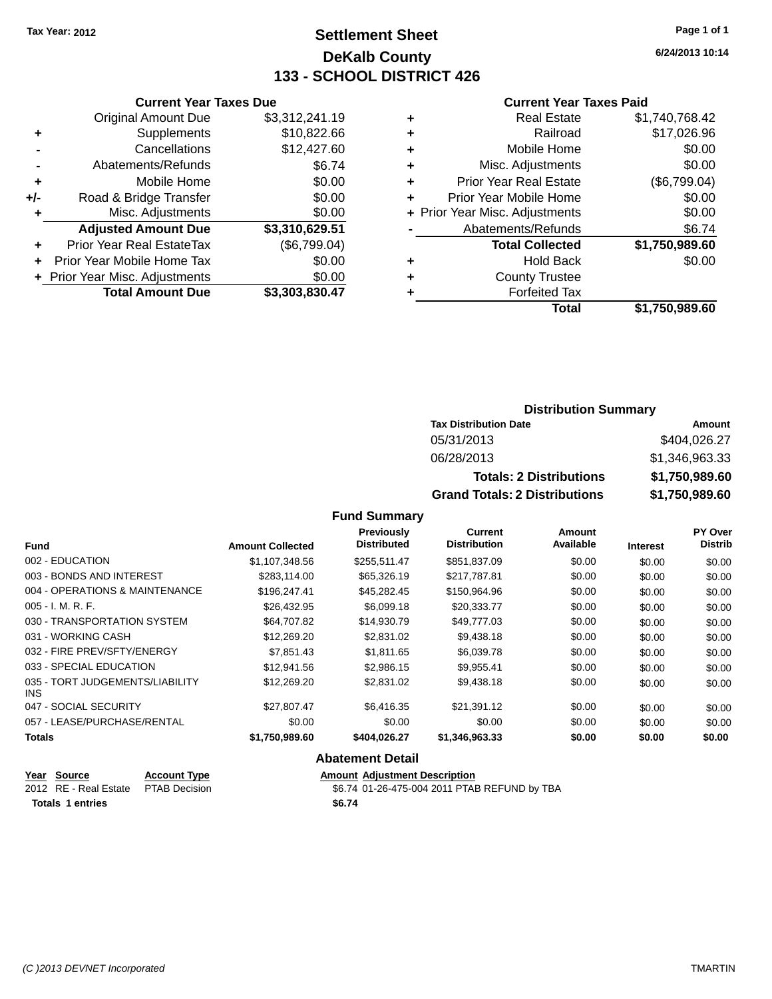# **Settlement Sheet Tax Year: 2012 Page 1 of 1 DeKalb County 133 - SCHOOL DISTRICT 426**

**6/24/2013 10:14**

#### **Current Year Taxes Paid**

|     | <b>Current Year Taxes Due</b>  |                |  |  |  |  |
|-----|--------------------------------|----------------|--|--|--|--|
|     | <b>Original Amount Due</b>     | \$3,312,241.19 |  |  |  |  |
| ٠   | Supplements                    | \$10,822.66    |  |  |  |  |
|     | Cancellations                  | \$12,427.60    |  |  |  |  |
|     | Abatements/Refunds             | \$6.74         |  |  |  |  |
| ٠   | Mobile Home                    | \$0.00         |  |  |  |  |
| +/- | Road & Bridge Transfer         | \$0.00         |  |  |  |  |
| ٠   | Misc. Adjustments              | \$0.00         |  |  |  |  |
|     | <b>Adjusted Amount Due</b>     | \$3,310,629.51 |  |  |  |  |
| ٠   | Prior Year Real EstateTax      | (\$6,799.04)   |  |  |  |  |
| ÷   | Prior Year Mobile Home Tax     | \$0.00         |  |  |  |  |
|     | + Prior Year Misc. Adjustments | \$0.00         |  |  |  |  |
|     | <b>Total Amount Due</b>        | \$3,303,830.47 |  |  |  |  |

|   | <b>Real Estate</b>             | \$1,740,768.42 |
|---|--------------------------------|----------------|
| ٠ | Railroad                       | \$17,026.96    |
| ٠ | Mobile Home                    | \$0.00         |
| ٠ | Misc. Adjustments              | \$0.00         |
| ٠ | <b>Prior Year Real Estate</b>  | (\$6,799.04)   |
| ÷ | Prior Year Mobile Home         | \$0.00         |
|   | + Prior Year Misc. Adjustments | \$0.00         |
|   | Abatements/Refunds             | \$6.74         |
|   | <b>Total Collected</b>         | \$1,750,989.60 |
|   | <b>Hold Back</b>               | \$0.00         |
|   | <b>County Trustee</b>          |                |
|   | <b>Forfeited Tax</b>           |                |
|   | <b>Total</b>                   | \$1,750,989.60 |
|   |                                |                |

### **Distribution Summary Tax Distribution Date Amount** 05/31/2013 \$404,026.27 06/28/2013 \$1,346,963.33 **Totals: 2 Distributions \$1,750,989.60 Grand Totals: 2 Distributions \$1,750,989.60**

#### **Fund Summary**

| <b>Fund</b>                                   | <b>Amount Collected</b> | Previously<br><b>Distributed</b> | Current<br><b>Distribution</b> | Amount<br>Available | <b>Interest</b> | PY Over<br><b>Distrib</b> |
|-----------------------------------------------|-------------------------|----------------------------------|--------------------------------|---------------------|-----------------|---------------------------|
| 002 - EDUCATION                               | \$1,107,348.56          | \$255,511.47                     | \$851,837.09                   | \$0.00              | \$0.00          | \$0.00                    |
| 003 - BONDS AND INTEREST                      | \$283.114.00            | \$65,326.19                      | \$217,787.81                   | \$0.00              | \$0.00          | \$0.00                    |
| 004 - OPERATIONS & MAINTENANCE                | \$196,247.41            | \$45,282.45                      | \$150,964.96                   | \$0.00              | \$0.00          | \$0.00                    |
| $005 - I. M. R. F.$                           | \$26,432.95             | \$6,099.18                       | \$20,333.77                    | \$0.00              | \$0.00          | \$0.00                    |
| 030 - TRANSPORTATION SYSTEM                   | \$64,707.82             | \$14,930.79                      | \$49,777,03                    | \$0.00              | \$0.00          | \$0.00                    |
| 031 - WORKING CASH                            | \$12,269.20             | \$2,831.02                       | \$9,438.18                     | \$0.00              | \$0.00          | \$0.00                    |
| 032 - FIRE PREV/SFTY/ENERGY                   | \$7,851.43              | \$1,811.65                       | \$6.039.78                     | \$0.00              | \$0.00          | \$0.00                    |
| 033 - SPECIAL EDUCATION                       | \$12,941.56             | \$2,986.15                       | \$9,955.41                     | \$0.00              | \$0.00          | \$0.00                    |
| 035 - TORT JUDGEMENTS/LIABILITY<br><b>INS</b> | \$12,269.20             | \$2,831.02                       | \$9,438.18                     | \$0.00              | \$0.00          | \$0.00                    |
| 047 - SOCIAL SECURITY                         | \$27.807.47             | \$6,416.35                       | \$21.391.12                    | \$0.00              | \$0.00          | \$0.00                    |
| 057 - LEASE/PURCHASE/RENTAL                   | \$0.00                  | \$0.00                           | \$0.00                         | \$0.00              | \$0.00          | \$0.00                    |
| <b>Totals</b>                                 | \$1,750,989.60          | \$404.026.27                     | \$1,346,963.33                 | \$0.00              | \$0.00          | \$0.00                    |

| Year Source                         | <b>Account Type</b> | <b>Amount Adiustment Description</b>         |
|-------------------------------------|---------------------|----------------------------------------------|
| 2012 RE - Real Estate PTAB Decision |                     | \$6.74 01-26-475-004 2011 PTAB REFUND by TBA |
| <b>Totals 1 entries</b>             |                     | \$6.74                                       |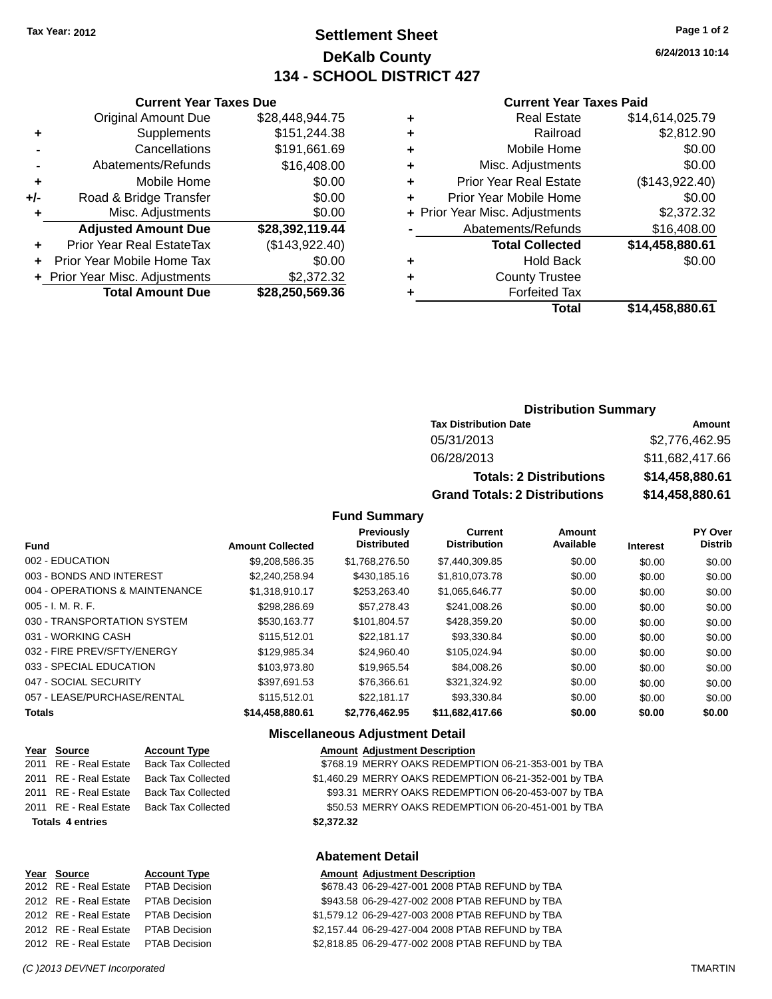# **Settlement Sheet Tax Year: 2012 Page 1 of 2 DeKalb County 134 - SCHOOL DISTRICT 427**

**6/24/2013 10:14**

#### **Current Year Taxes Paid**

|   | Total                          | \$14.458.880.61 |
|---|--------------------------------|-----------------|
| ٠ | <b>Forfeited Tax</b>           |                 |
| ٠ | <b>County Trustee</b>          |                 |
| ٠ | <b>Hold Back</b>               | \$0.00          |
|   | <b>Total Collected</b>         | \$14,458,880.61 |
|   | Abatements/Refunds             | \$16,408.00     |
|   | + Prior Year Misc. Adjustments | \$2,372.32      |
| ÷ | Prior Year Mobile Home         | \$0.00          |
| ÷ | <b>Prior Year Real Estate</b>  | (\$143,922.40)  |
| ÷ | Misc. Adjustments              | \$0.00          |
| ٠ | Mobile Home                    | \$0.00          |
| ٠ | Railroad                       | \$2,812.90      |
| ٠ | <b>Real Estate</b>             | \$14,614,025.79 |
|   |                                |                 |

|     | <b>Current Year Taxes Due</b>  |                 |  |  |  |  |
|-----|--------------------------------|-----------------|--|--|--|--|
|     | <b>Original Amount Due</b>     | \$28,448,944.75 |  |  |  |  |
| ٠   | Supplements                    | \$151,244.38    |  |  |  |  |
|     | Cancellations                  | \$191,661.69    |  |  |  |  |
|     | Abatements/Refunds             | \$16,408.00     |  |  |  |  |
| ٠   | Mobile Home                    | \$0.00          |  |  |  |  |
| +/- | Road & Bridge Transfer         | \$0.00          |  |  |  |  |
| ٠   | Misc. Adjustments              | \$0.00          |  |  |  |  |
|     | <b>Adjusted Amount Due</b>     | \$28,392,119.44 |  |  |  |  |
|     | Prior Year Real EstateTax      | (\$143,922.40)  |  |  |  |  |
| ٠   | Prior Year Mobile Home Tax     | \$0.00          |  |  |  |  |
|     | + Prior Year Misc. Adjustments | \$2,372.32      |  |  |  |  |
|     | <b>Total Amount Due</b>        | \$28,250,569.36 |  |  |  |  |
|     |                                |                 |  |  |  |  |

### **Distribution Summary**

| <b>Tax Distribution Date</b>         | Amount          |
|--------------------------------------|-----------------|
| 05/31/2013                           | \$2,776,462.95  |
| 06/28/2013                           | \$11,682,417.66 |
| <b>Totals: 2 Distributions</b>       | \$14,458,880.61 |
| <b>Grand Totals: 2 Distributions</b> | \$14,458,880.61 |

#### **Fund Summary**

|                                |                         | <b>Previously</b><br><b>Distributed</b> | Current<br><b>Distribution</b> | Amount<br>Available |          | PY Over<br><b>Distrib</b> |
|--------------------------------|-------------------------|-----------------------------------------|--------------------------------|---------------------|----------|---------------------------|
| <b>Fund</b>                    | <b>Amount Collected</b> |                                         |                                |                     | Interest |                           |
| 002 - EDUCATION                | \$9.208.586.35          | \$1.768.276.50                          | \$7.440.309.85                 | \$0.00              | \$0.00   | \$0.00                    |
| 003 - BONDS AND INTEREST       | \$2,240,258.94          | \$430,185.16                            | \$1,810,073.78                 | \$0.00              | \$0.00   | \$0.00                    |
| 004 - OPERATIONS & MAINTENANCE | \$1.318.910.17          | \$253,263,40                            | \$1.065.646.77                 | \$0.00              | \$0.00   | \$0.00                    |
| $005 - I. M. R. F.$            | \$298,286.69            | \$57,278.43                             | \$241,008.26                   | \$0.00              | \$0.00   | \$0.00                    |
| 030 - TRANSPORTATION SYSTEM    | \$530,163.77            | \$101,804.57                            | \$428,359.20                   | \$0.00              | \$0.00   | \$0.00                    |
| 031 - WORKING CASH             | \$115,512.01            | \$22.181.17                             | \$93.330.84                    | \$0.00              | \$0.00   | \$0.00                    |
| 032 - FIRE PREV/SFTY/ENERGY    | \$129.985.34            | \$24.960.40                             | \$105.024.94                   | \$0.00              | \$0.00   | \$0.00                    |
| 033 - SPECIAL EDUCATION        | \$103.973.80            | \$19.965.54                             | \$84,008.26                    | \$0.00              | \$0.00   | \$0.00                    |
| 047 - SOCIAL SECURITY          | \$397.691.53            | \$76,366.61                             | \$321.324.92                   | \$0.00              | \$0.00   | \$0.00                    |
| 057 - LEASE/PURCHASE/RENTAL    | \$115,512.01            | \$22.181.17                             | \$93.330.84                    | \$0.00              | \$0.00   | \$0.00                    |
| <b>Totals</b>                  | \$14,458,880.61         | \$2,776,462.95                          | \$11,682,417.66                | \$0.00              | \$0.00   | \$0.00                    |

#### **Miscellaneous Adjustment Detail**

|                         | Year Source           | <b>Account Type</b>       | <b>Amount Adjustment Description</b>                  |
|-------------------------|-----------------------|---------------------------|-------------------------------------------------------|
|                         | 2011 RE - Real Estate | <b>Back Tax Collected</b> | \$768.19 MERRY OAKS REDEMPTION 06-21-353-001 by TBA   |
|                         | 2011 RE - Real Estate | <b>Back Tax Collected</b> | \$1,460.29 MERRY OAKS REDEMPTION 06-21-352-001 by TBA |
|                         | 2011 RE - Real Estate | <b>Back Tax Collected</b> | \$93.31 MERRY OAKS REDEMPTION 06-20-453-007 by TBA    |
|                         | 2011 RE - Real Estate | <b>Back Tax Collected</b> | \$50.53 MERRY OAKS REDEMPTION 06-20-451-001 by TBA    |
| <b>Totals 4 entries</b> |                       |                           | \$2.372.32                                            |
|                         |                       |                           |                                                       |
|                         |                       |                           | Abatamant Datall                                      |

| Year Source           | <b>Account Type</b>  | <b>Amount Adjustment Description</b>             |
|-----------------------|----------------------|--------------------------------------------------|
| 2012 RE - Real Estate | <b>PTAB Decision</b> | \$678.43 06-29-427-001 2008 PTAB REFUND by TBA   |
| 2012 RE - Real Estate | <b>PTAB Decision</b> | \$943.58 06-29-427-002 2008 PTAB REFUND by TBA   |
| 2012 RE - Real Estate | <b>PTAB Decision</b> | \$1,579.12 06-29-427-003 2008 PTAB REFUND by TBA |
| 2012 RE - Real Estate | <b>PTAB Decision</b> | \$2,157.44 06-29-427-004 2008 PTAB REFUND by TBA |
| 2012 RE - Real Estate | <b>PTAB Decision</b> | \$2,818.85 06-29-477-002 2008 PTAB REFUND by TBA |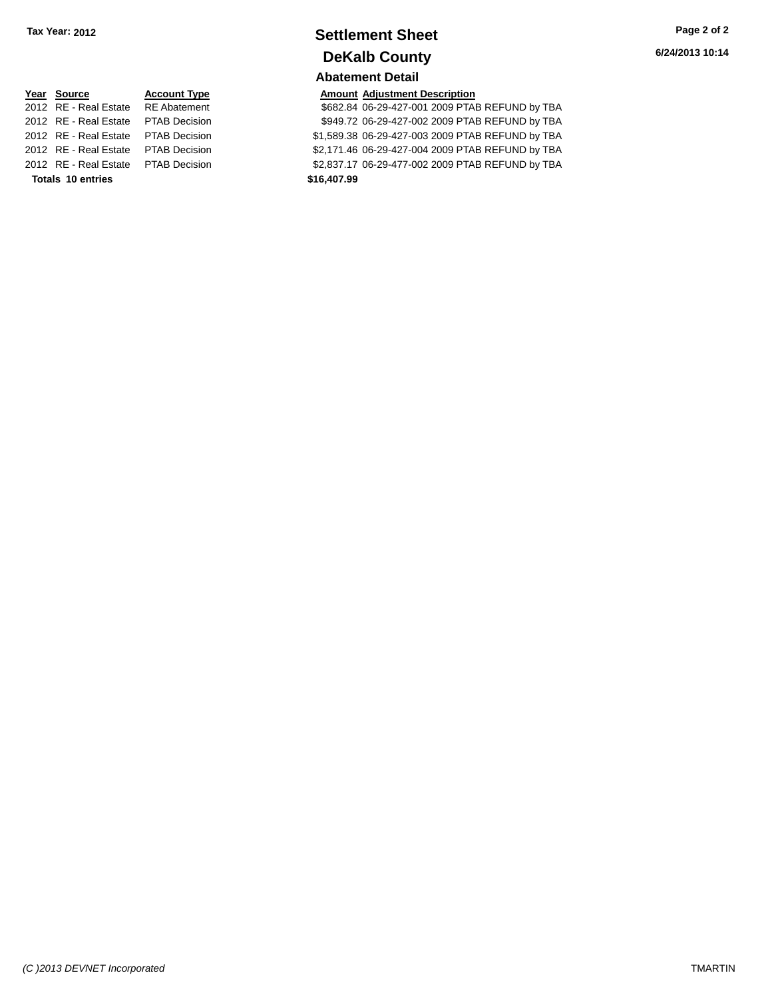## **Settlement Sheet Tax Year: 2012 Page 2 of 2 DeKalb County Abatement Detail**

**6/24/2013 10:14**

# **Year Source Account Type Account Type Amount Adjustment Description**<br>2012 RE - Real Estate RE Abatement \$682.84 06-29-427-001 2009 PTAI 2012 RE - Real Estate \$2,171.46 06-29-427-004 2009 PTAB REFUND by TBA PTAB Decision **Totals \$16,407.99 10 entries**

\$682.84 06-29-427-001 2009 PTAB REFUND by TBA 2012 RE - Real Estate \$949.72 06-29-427-002 2009 PTAB REFUND by TBA PTAB Decision 2012 RE - Real Estate \$1,589.38 06-29-427-003 2009 PTAB REFUND by TBA PTAB Decision

2012 RE - Real Estate \$2,837.17 06-29-477-002 2009 PTAB REFUND by TBA PTAB Decision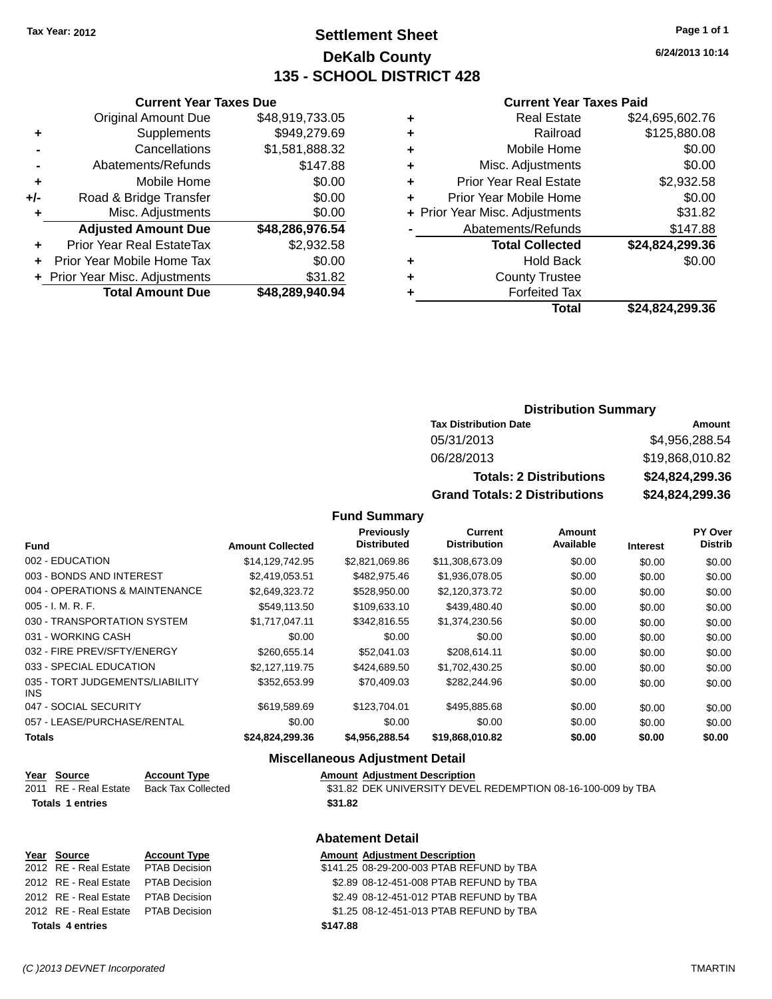# **Settlement Sheet Tax Year: 2012 Page 1 of 1 DeKalb County 135 - SCHOOL DISTRICT 428**

**6/24/2013 10:14**

#### **Current Year Taxes Paid**

|   | Total                          | \$24,824,299.36 |
|---|--------------------------------|-----------------|
|   | <b>Forfeited Tax</b>           |                 |
| ٠ | <b>County Trustee</b>          |                 |
| ٠ | <b>Hold Back</b>               | \$0.00          |
|   | <b>Total Collected</b>         | \$24,824,299.36 |
|   | Abatements/Refunds             | \$147.88        |
|   | + Prior Year Misc. Adjustments | \$31.82         |
| ٠ | Prior Year Mobile Home         | \$0.00          |
| ٠ | <b>Prior Year Real Estate</b>  | \$2,932.58      |
| ٠ | Misc. Adjustments              | \$0.00          |
| ٠ | Mobile Home                    | \$0.00          |
| ٠ | Railroad                       | \$125,880.08    |
| ٠ | <b>Real Estate</b>             | \$24,695,602.76 |
|   |                                |                 |

|     | <b>Current Year Taxes Due</b>    |                 |  |  |  |
|-----|----------------------------------|-----------------|--|--|--|
|     | <b>Original Amount Due</b>       | \$48,919,733.05 |  |  |  |
| ٠   | Supplements                      | \$949,279.69    |  |  |  |
|     | Cancellations                    | \$1,581,888.32  |  |  |  |
|     | Abatements/Refunds               | \$147.88        |  |  |  |
| ٠   | Mobile Home                      | \$0.00          |  |  |  |
| +/- | Road & Bridge Transfer           | \$0.00          |  |  |  |
| ٠   | Misc. Adjustments                | \$0.00          |  |  |  |
|     | <b>Adjusted Amount Due</b>       | \$48,286,976.54 |  |  |  |
| ٠   | <b>Prior Year Real EstateTax</b> | \$2,932.58      |  |  |  |
| ÷   | Prior Year Mobile Home Tax       | \$0.00          |  |  |  |
|     | + Prior Year Misc. Adjustments   | \$31.82         |  |  |  |
|     | <b>Total Amount Due</b>          | \$48,289,940.94 |  |  |  |

### **Distribution Summary**

| <b>Tax Distribution Date</b>         | Amount          |  |  |
|--------------------------------------|-----------------|--|--|
| 05/31/2013                           | \$4,956,288.54  |  |  |
| 06/28/2013                           | \$19,868,010.82 |  |  |
| <b>Totals: 2 Distributions</b>       | \$24,824,299.36 |  |  |
| <b>Grand Totals: 2 Distributions</b> | \$24,824,299.36 |  |  |

### **Fund Summary**

|                                               |                         | <b>Previously</b><br><b>Distributed</b> | <b>Current</b><br><b>Distribution</b> | Amount<br>Available |                 | PY Over<br><b>Distrib</b> |
|-----------------------------------------------|-------------------------|-----------------------------------------|---------------------------------------|---------------------|-----------------|---------------------------|
| <b>Fund</b>                                   | <b>Amount Collected</b> |                                         |                                       |                     | <b>Interest</b> |                           |
| 002 - EDUCATION                               | \$14.129.742.95         | \$2,821,069.86                          | \$11,308,673.09                       | \$0.00              | \$0.00          | \$0.00                    |
| 003 - BONDS AND INTEREST                      | \$2,419,053.51          | \$482,975.46                            | \$1,936,078.05                        | \$0.00              | \$0.00          | \$0.00                    |
| 004 - OPERATIONS & MAINTENANCE                | \$2,649,323.72          | \$528,950.00                            | \$2,120,373.72                        | \$0.00              | \$0.00          | \$0.00                    |
| $005 - I. M. R. F.$                           | \$549,113.50            | \$109,633.10                            | \$439,480.40                          | \$0.00              | \$0.00          | \$0.00                    |
| 030 - TRANSPORTATION SYSTEM                   | \$1.717.047.11          | \$342,816.55                            | \$1,374,230,56                        | \$0.00              | \$0.00          | \$0.00                    |
| 031 - WORKING CASH                            | \$0.00                  | \$0.00                                  | \$0.00                                | \$0.00              | \$0.00          | \$0.00                    |
| 032 - FIRE PREV/SFTY/ENERGY                   | \$260.655.14            | \$52,041.03                             | \$208.614.11                          | \$0.00              | \$0.00          | \$0.00                    |
| 033 - SPECIAL EDUCATION                       | \$2,127,119.75          | \$424.689.50                            | \$1,702,430.25                        | \$0.00              | \$0.00          | \$0.00                    |
| 035 - TORT JUDGEMENTS/LIABILITY<br><b>INS</b> | \$352.653.99            | \$70.409.03                             | \$282,244.96                          | \$0.00              | \$0.00          | \$0.00                    |
| 047 - SOCIAL SECURITY                         | \$619,589.69            | \$123,704.01                            | \$495,885.68                          | \$0.00              | \$0.00          | \$0.00                    |
| 057 - LEASE/PURCHASE/RENTAL                   | \$0.00                  | \$0.00                                  | \$0.00                                | \$0.00              | \$0.00          | \$0.00                    |
| <b>Totals</b>                                 | \$24,824,299.36         | \$4,956,288.54                          | \$19,868,010.82                       | \$0.00              | \$0.00          | \$0.00                    |

### **Miscellaneous Adjustment Detail**

| Year Source             | <b>Account Type</b> | <b>Amount Adiustment Description</b>                         |
|-------------------------|---------------------|--------------------------------------------------------------|
| 2011 RE - Real Estate   | Back Tax Collected  | \$31.82 DEK UNIVERSITY DEVEL REDEMPTION 08-16-100-009 by TBA |
| <b>Totals 1 entries</b> |                     | \$31.82                                                      |
|                         |                     |                                                              |

|                         | Year Source                         | <b>Account Type</b> | <b>Amount Adjustment Description</b>      |
|-------------------------|-------------------------------------|---------------------|-------------------------------------------|
|                         | 2012 RE - Real Estate PTAB Decision |                     | \$141.25 08-29-200-003 PTAB REFUND by TBA |
|                         | 2012 RE - Real Estate PTAB Decision |                     | \$2.89 08-12-451-008 PTAB REFUND by TBA   |
|                         | 2012 RE - Real Estate PTAB Decision |                     | \$2.49 08-12-451-012 PTAB REFUND by TBA   |
|                         | 2012 RE - Real Estate PTAB Decision |                     | \$1.25 08-12-451-013 PTAB REFUND by TBA   |
| <b>Totals 4 entries</b> |                                     |                     | \$147.88                                  |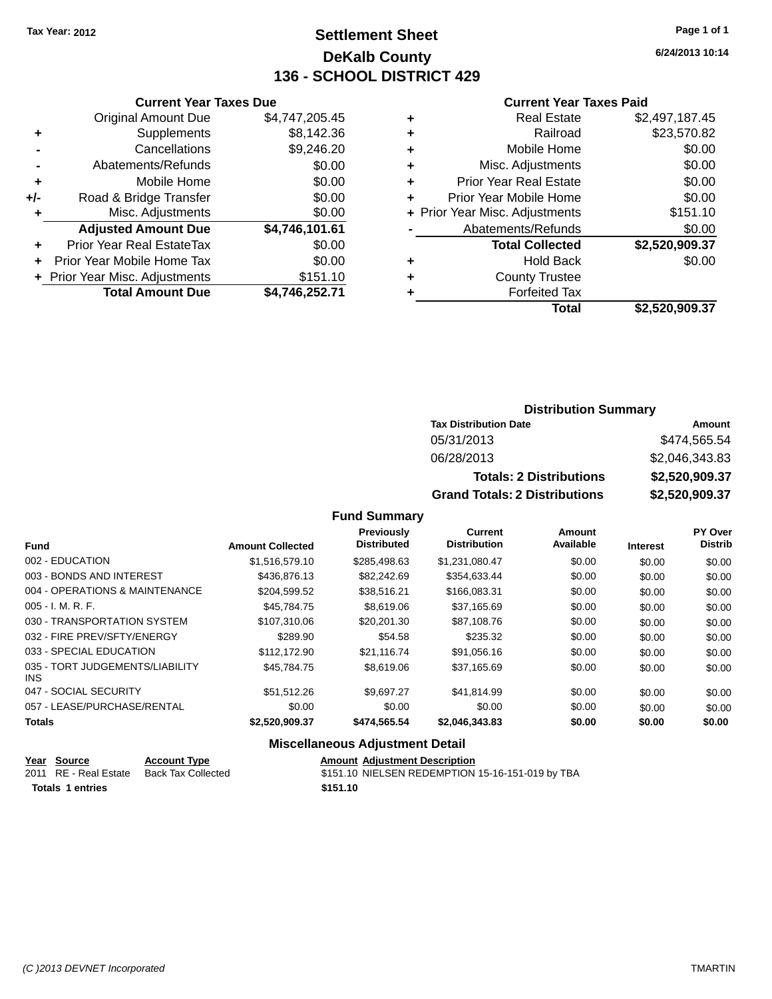# **Settlement Sheet Tax Year: 2012 Page 1 of 1 DeKalb County 136 - SCHOOL DISTRICT 429**

**6/24/2013 10:14**

#### **Current Year Taxes Paid**

|     | <b>Original Amount Due</b>     | \$4,747,205.45 |
|-----|--------------------------------|----------------|
| ٠   | Supplements                    | \$8,142.36     |
|     | Cancellations                  | \$9,246.20     |
|     | Abatements/Refunds             | \$0.00         |
| ÷   | Mobile Home                    | \$0.00         |
| +/- | Road & Bridge Transfer         | \$0.00         |
| ٠   | Misc. Adjustments              | \$0.00         |
|     | <b>Adjusted Amount Due</b>     | \$4,746,101.61 |
| ÷   | Prior Year Real EstateTax      | \$0.00         |
| ٠   | Prior Year Mobile Home Tax     | \$0.00         |
|     | + Prior Year Misc. Adjustments | \$151.10       |
|     | <b>Total Amount Due</b>        | \$4,746,252.71 |
|     |                                |                |

**Current Year Taxes Due**

| <b>Real Estate</b>            | \$2,497,187.45                 |
|-------------------------------|--------------------------------|
| Railroad                      | \$23,570.82                    |
| Mobile Home                   | \$0.00                         |
| Misc. Adjustments             | \$0.00                         |
| <b>Prior Year Real Estate</b> | \$0.00                         |
| Prior Year Mobile Home        | \$0.00                         |
|                               | \$151.10                       |
| Abatements/Refunds            | \$0.00                         |
| <b>Total Collected</b>        | \$2,520,909.37                 |
| <b>Hold Back</b>              | \$0.00                         |
| <b>County Trustee</b>         |                                |
| <b>Forfeited Tax</b>          |                                |
| Total                         | \$2,520,909.37                 |
|                               | + Prior Year Misc. Adjustments |

### **Distribution Summary Tax Distribution Date Amount** 05/31/2013 \$474,565.54 06/28/2013 \$2,046,343.83 **Totals: 2 Distributions \$2,520,909.37 Grand Totals: 2 Distributions \$2,520,909.37**

#### **Fund Summary**

| Fund                                    | <b>Amount Collected</b> | <b>Previously</b><br><b>Distributed</b> | <b>Current</b><br><b>Distribution</b> | Amount<br>Available | <b>Interest</b> | <b>PY Over</b><br><b>Distrib</b> |
|-----------------------------------------|-------------------------|-----------------------------------------|---------------------------------------|---------------------|-----------------|----------------------------------|
| 002 - EDUCATION                         | \$1,516,579.10          | \$285,498.63                            | \$1,231,080.47                        | \$0.00              | \$0.00          | \$0.00                           |
| 003 - BONDS AND INTEREST                | \$436,876.13            | \$82,242.69                             | \$354.633.44                          | \$0.00              | \$0.00          | \$0.00                           |
| 004 - OPERATIONS & MAINTENANCE          | \$204,599.52            | \$38,516.21                             | \$166,083.31                          | \$0.00              | \$0.00          | \$0.00                           |
| $005 - I. M. R. F.$                     | \$45.784.75             | \$8,619.06                              | \$37,165.69                           | \$0.00              | \$0.00          | \$0.00                           |
| 030 - TRANSPORTATION SYSTEM             | \$107.310.06            | \$20,201,30                             | \$87,108.76                           | \$0.00              | \$0.00          | \$0.00                           |
| 032 - FIRE PREV/SFTY/ENERGY             | \$289.90                | \$54.58                                 | \$235.32                              | \$0.00              | \$0.00          | \$0.00                           |
| 033 - SPECIAL EDUCATION                 | \$112,172.90            | \$21.116.74                             | \$91,056.16                           | \$0.00              | \$0.00          | \$0.00                           |
| 035 - TORT JUDGEMENTS/LIABILITY<br>INS. | \$45.784.75             | \$8,619,06                              | \$37.165.69                           | \$0.00              | \$0.00          | \$0.00                           |
| 047 - SOCIAL SECURITY                   | \$51.512.26             | \$9.697.27                              | \$41.814.99                           | \$0.00              | \$0.00          | \$0.00                           |
| 057 - LEASE/PURCHASE/RENTAL             | \$0.00                  | \$0.00                                  | \$0.00                                | \$0.00              | \$0.00          | \$0.00                           |
| <b>Totals</b>                           | \$2,520,909.37          | \$474,565.54                            | \$2,046,343.83                        | \$0.00              | \$0.00          | \$0.00                           |

#### **Miscellaneous Adjustment Detail**

|                         | Year Source           | <b>Account Type</b> | <b>Amount Adiustment Description</b>             |
|-------------------------|-----------------------|---------------------|--------------------------------------------------|
|                         | 2011 RE - Real Estate | Back Tax Collected  | \$151.10 NIELSEN REDEMPTION 15-16-151-019 by TBA |
| <b>Totals 1 entries</b> |                       |                     | \$151.10                                         |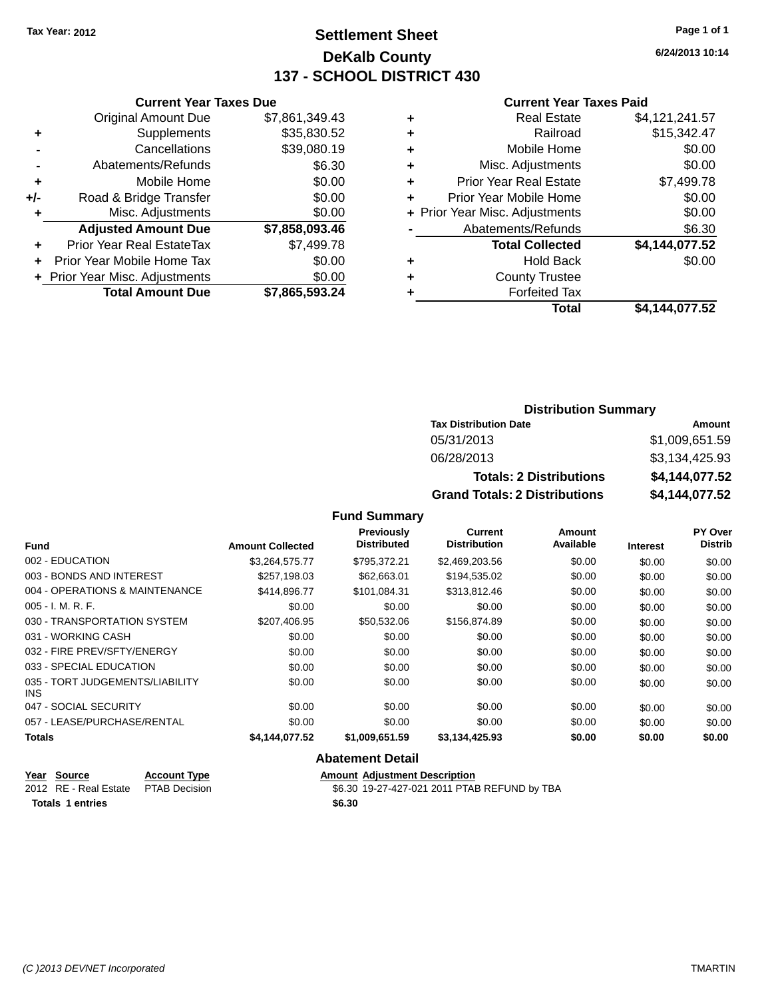# **Settlement Sheet Tax Year: 2012 Page 1 of 1 DeKalb County 137 - SCHOOL DISTRICT 430**

**6/24/2013 10:14**

#### **Current Year Taxes Paid**

|     | <b>Original Amount Due</b>     | \$7,861,349.43 |
|-----|--------------------------------|----------------|
| ٠   | Supplements                    | \$35,830.52    |
|     | Cancellations                  | \$39,080.19    |
|     | Abatements/Refunds             | \$6.30         |
| ٠   | Mobile Home                    | \$0.00         |
| +/- | Road & Bridge Transfer         | \$0.00         |
|     | Misc. Adjustments              | \$0.00         |
|     | <b>Adjusted Amount Due</b>     | \$7,858,093.46 |
| ٠   | Prior Year Real EstateTax      | \$7,499.78     |
|     | Prior Year Mobile Home Tax     | \$0.00         |
|     | + Prior Year Misc. Adjustments | \$0.00         |
|     | <b>Total Amount Due</b>        | \$7,865,593.24 |
|     |                                |                |

**Current Year Taxes Due**

| ٠ | <b>Real Estate</b>             | \$4,121,241.57 |
|---|--------------------------------|----------------|
| ٠ | Railroad                       | \$15,342.47    |
| ٠ | Mobile Home                    | \$0.00         |
| ٠ | Misc. Adjustments              | \$0.00         |
| ٠ | <b>Prior Year Real Estate</b>  | \$7,499.78     |
| ٠ | Prior Year Mobile Home         | \$0.00         |
|   | + Prior Year Misc. Adjustments | \$0.00         |
|   | Abatements/Refunds             | \$6.30         |
|   | <b>Total Collected</b>         | \$4,144,077.52 |
| ٠ | <b>Hold Back</b>               | \$0.00         |
| ٠ | <b>County Trustee</b>          |                |
| ٠ | <b>Forfeited Tax</b>           |                |
|   | Total                          | \$4,144,077.52 |
|   |                                |                |

### **Distribution Summary Tax Distribution Date Amount** 05/31/2013 \$1,009,651.59 06/28/2013 \$3,134,425.93 **Totals: 2 Distributions \$4,144,077.52 Grand Totals: 2 Distributions \$4,144,077.52**

### **Fund Summary**

| <b>Fund</b>                             | <b>Amount Collected</b> | <b>Previously</b><br><b>Distributed</b> | Current<br><b>Distribution</b> | <b>Amount</b><br>Available | <b>Interest</b> | PY Over<br><b>Distrib</b> |
|-----------------------------------------|-------------------------|-----------------------------------------|--------------------------------|----------------------------|-----------------|---------------------------|
| 002 - EDUCATION                         | \$3,264,575.77          | \$795,372.21                            | \$2,469,203.56                 | \$0.00                     | \$0.00          | \$0.00                    |
| 003 - BONDS AND INTEREST                | \$257,198.03            | \$62,663.01                             | \$194,535.02                   | \$0.00                     | \$0.00          | \$0.00                    |
| 004 - OPERATIONS & MAINTENANCE          | \$414,896.77            | \$101.084.31                            | \$313,812.46                   | \$0.00                     | \$0.00          | \$0.00                    |
| $005 - I. M. R. F.$                     | \$0.00                  | \$0.00                                  | \$0.00                         | \$0.00                     | \$0.00          | \$0.00                    |
| 030 - TRANSPORTATION SYSTEM             | \$207.406.95            | \$50.532.06                             | \$156,874.89                   | \$0.00                     | \$0.00          | \$0.00                    |
| 031 - WORKING CASH                      | \$0.00                  | \$0.00                                  | \$0.00                         | \$0.00                     | \$0.00          | \$0.00                    |
| 032 - FIRE PREV/SFTY/ENERGY             | \$0.00                  | \$0.00                                  | \$0.00                         | \$0.00                     | \$0.00          | \$0.00                    |
| 033 - SPECIAL EDUCATION                 | \$0.00                  | \$0.00                                  | \$0.00                         | \$0.00                     | \$0.00          | \$0.00                    |
| 035 - TORT JUDGEMENTS/LIABILITY<br>INS. | \$0.00                  | \$0.00                                  | \$0.00                         | \$0.00                     | \$0.00          | \$0.00                    |
| 047 - SOCIAL SECURITY                   | \$0.00                  | \$0.00                                  | \$0.00                         | \$0.00                     | \$0.00          | \$0.00                    |
| 057 - LEASE/PURCHASE/RENTAL             | \$0.00                  | \$0.00                                  | \$0.00                         | \$0.00                     | \$0.00          | \$0.00                    |
| <b>Totals</b>                           | \$4,144,077.52          | \$1,009,651.59                          | \$3,134,425.93                 | \$0.00                     | \$0.00          | \$0.00                    |

| Year Source                         | <b>Account Type</b> | <b>Amount Adiustment Description</b>         |
|-------------------------------------|---------------------|----------------------------------------------|
| 2012 RE - Real Estate PTAB Decision |                     | \$6.30 19-27-427-021 2011 PTAB REFUND by TBA |
| Totals 1 entries                    |                     | \$6.30                                       |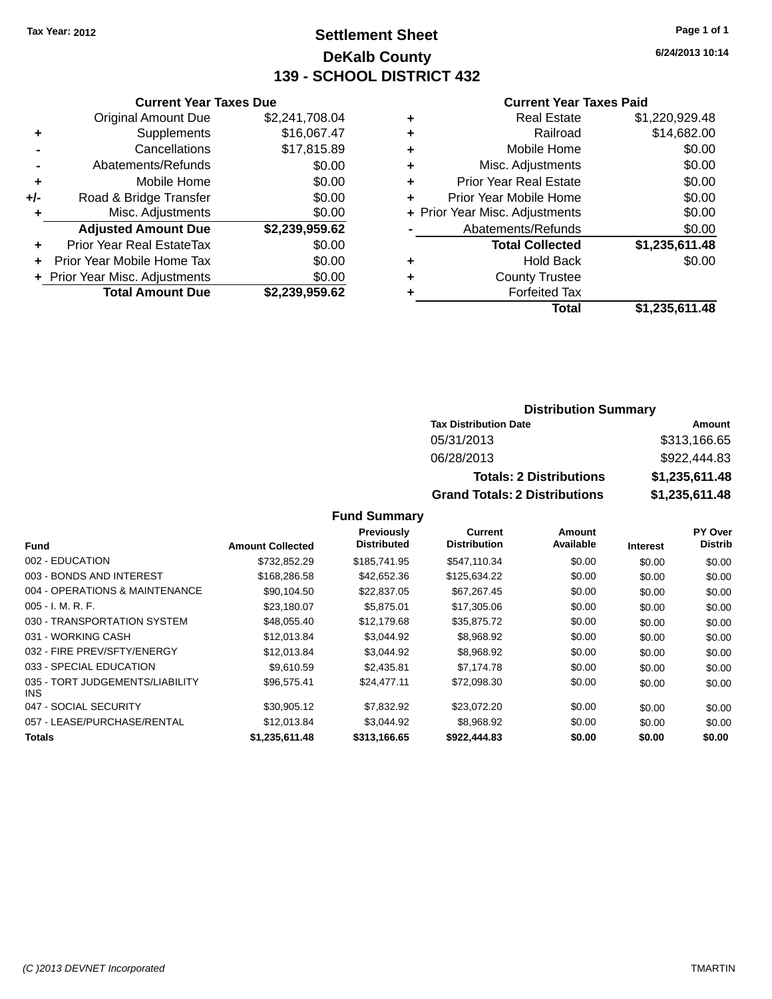# **Settlement Sheet Tax Year: 2012 Page 1 of 1 DeKalb County 139 - SCHOOL DISTRICT 432**

**6/24/2013 10:14**

#### **Current Year Taxes Paid**

|       | <b>Total Amount Due</b>          | \$2,239,959.62 |
|-------|----------------------------------|----------------|
|       | + Prior Year Misc. Adjustments   | \$0.00         |
|       | Prior Year Mobile Home Tax       | \$0.00         |
| ٠     | <b>Prior Year Real EstateTax</b> | \$0.00         |
|       | <b>Adjusted Amount Due</b>       | \$2,239,959.62 |
| ٠     | Misc. Adjustments                | \$0.00         |
| $+/-$ | Road & Bridge Transfer           | \$0.00         |
| ٠     | Mobile Home                      | \$0.00         |
|       | Abatements/Refunds               | \$0.00         |
|       | Cancellations                    | \$17,815.89    |
| ٠     | Supplements                      | \$16,067.47    |
|       | Original Amount Due              | \$2,241,708.04 |
|       |                                  |                |

**Current Year Taxes Due**

| ٠ | <b>Real Estate</b>             | \$1,220,929.48 |
|---|--------------------------------|----------------|
| ٠ | Railroad                       | \$14,682.00    |
| ٠ | Mobile Home                    | \$0.00         |
| ٠ | Misc. Adjustments              | \$0.00         |
| ٠ | <b>Prior Year Real Estate</b>  | \$0.00         |
| ٠ | Prior Year Mobile Home         | \$0.00         |
|   | + Prior Year Misc. Adjustments | \$0.00         |
|   | Abatements/Refunds             | \$0.00         |
|   | <b>Total Collected</b>         | \$1,235,611.48 |
| ٠ | <b>Hold Back</b>               | \$0.00         |
| ٠ | <b>County Trustee</b>          |                |
| ٠ | <b>Forfeited Tax</b>           |                |
|   | Total                          | \$1,235,611.48 |
|   |                                |                |

### **Distribution Summary Tax Distribution Date Amount** 05/31/2013 \$313,166.65 06/28/2013 \$922,444.83 **Totals: 2 Distributions \$1,235,611.48 Grand Totals: 2 Distributions \$1,235,611.48**

|                                               |                         | <b>Previously</b>  | Current             | <b>Amount</b> |                 | PY Over        |
|-----------------------------------------------|-------------------------|--------------------|---------------------|---------------|-----------------|----------------|
| Fund                                          | <b>Amount Collected</b> | <b>Distributed</b> | <b>Distribution</b> | Available     | <b>Interest</b> | <b>Distrib</b> |
| 002 - EDUCATION                               | \$732.852.29            | \$185,741.95       | \$547,110.34        | \$0.00        | \$0.00          | \$0.00         |
| 003 - BONDS AND INTEREST                      | \$168,286.58            | \$42,652.36        | \$125,634.22        | \$0.00        | \$0.00          | \$0.00         |
| 004 - OPERATIONS & MAINTENANCE                | \$90.104.50             | \$22,837.05        | \$67,267.45         | \$0.00        | \$0.00          | \$0.00         |
| $005 - I. M. R. F.$                           | \$23,180.07             | \$5,875.01         | \$17,305.06         | \$0.00        | \$0.00          | \$0.00         |
| 030 - TRANSPORTATION SYSTEM                   | \$48,055.40             | \$12,179.68        | \$35,875.72         | \$0.00        | \$0.00          | \$0.00         |
| 031 - WORKING CASH                            | \$12,013.84             | \$3,044.92         | \$8,968.92          | \$0.00        | \$0.00          | \$0.00         |
| 032 - FIRE PREV/SFTY/ENERGY                   | \$12,013.84             | \$3,044.92         | \$8,968.92          | \$0.00        | \$0.00          | \$0.00         |
| 033 - SPECIAL EDUCATION                       | \$9.610.59              | \$2,435.81         | \$7,174.78          | \$0.00        | \$0.00          | \$0.00         |
| 035 - TORT JUDGEMENTS/LIABILITY<br><b>INS</b> | \$96,575.41             | \$24.477.11        | \$72.098.30         | \$0.00        | \$0.00          | \$0.00         |
| 047 - SOCIAL SECURITY                         | \$30.905.12             | \$7,832.92         | \$23,072.20         | \$0.00        | \$0.00          | \$0.00         |
| 057 - LEASE/PURCHASE/RENTAL                   | \$12.013.84             | \$3.044.92         | \$8,968.92          | \$0.00        | \$0.00          | \$0.00         |
| <b>Totals</b>                                 | \$1,235,611.48          | \$313,166.65       | \$922,444.83        | \$0.00        | \$0.00          | \$0.00         |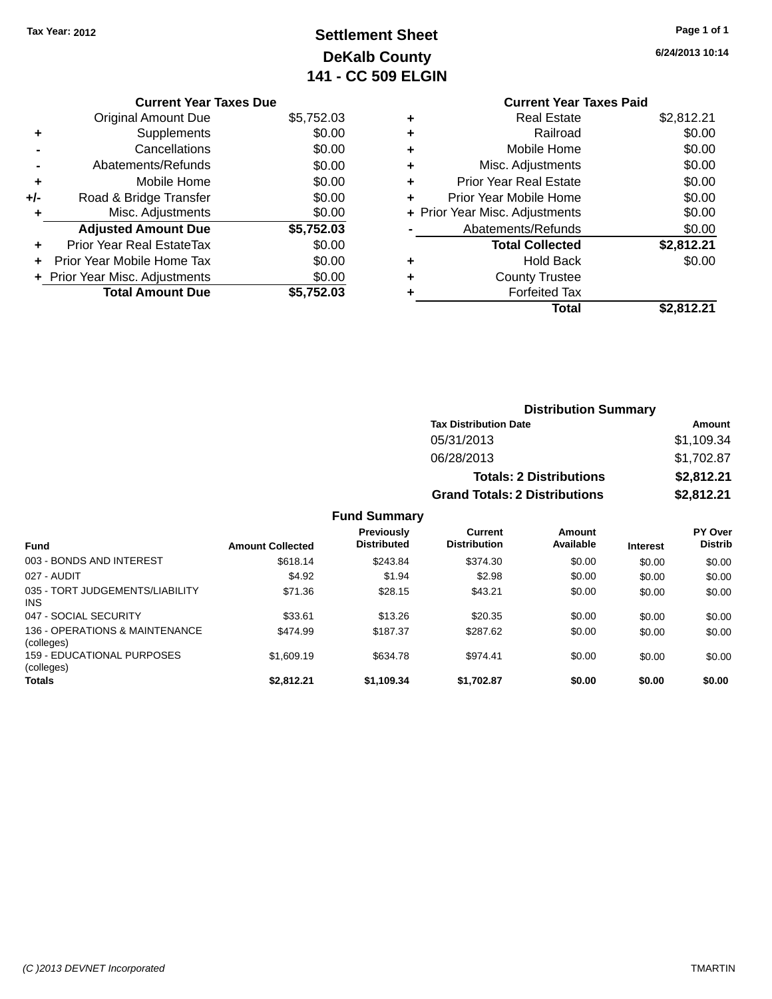# **Settlement Sheet Tax Year: 2012 Page 1 of 1 DeKalb County 141 - CC 509 ELGIN**

**6/24/2013 10:14**

### **Current Year Taxes Paid +** Real Estate \$2,812.21 **+** Railroad \$0.00 **+** Mobile Home \$0.00 **+** Misc. Adjustments \$0.00 **+** Prior Year Real Estate \$0.00 **+** Prior Year Mobile Home \$0.00 **+ Prior Year Misc. Adjustments**  $$0.00$ **-** Abatements/Refunds \$0.00 **Total Collected \$2,812.21 +** Hold Back \$0.00 **+** County Trustee

**+** Forfeited Tax

|     | <b>Current Year Taxes Due</b>    |            |
|-----|----------------------------------|------------|
|     | <b>Original Amount Due</b>       | \$5,752.03 |
| ٠   | Supplements                      | \$0.00     |
|     | Cancellations                    | \$0.00     |
|     | Abatements/Refunds               | \$0.00     |
| ٠   | Mobile Home                      | \$0.00     |
| +/- | Road & Bridge Transfer           | \$0.00     |
|     | Misc. Adjustments                | \$0.00     |
|     | <b>Adjusted Amount Due</b>       | \$5,752.03 |
|     | <b>Prior Year Real EstateTax</b> | \$0.00     |
|     | Prior Year Mobile Home Tax       | \$0.00     |
|     | + Prior Year Misc. Adjustments   | \$0.00     |
|     | <b>Total Amount Due</b>          | \$5.752.03 |

| <b>Distribution Summary</b>          |            |  |  |  |
|--------------------------------------|------------|--|--|--|
| <b>Tax Distribution Date</b>         | Amount     |  |  |  |
| 05/31/2013                           | \$1,109.34 |  |  |  |
| 06/28/2013                           | \$1,702.87 |  |  |  |
| <b>Totals: 2 Distributions</b>       | \$2,812.21 |  |  |  |
| <b>Grand Totals: 2 Distributions</b> | \$2,812.21 |  |  |  |

**Total \$2,812.21**

| <b>Fund</b>                                   | <b>Amount Collected</b> | <b>Previously</b><br><b>Distributed</b> | Current<br><b>Distribution</b> | Amount<br>Available | <b>Interest</b> | PY Over<br><b>Distrib</b> |
|-----------------------------------------------|-------------------------|-----------------------------------------|--------------------------------|---------------------|-----------------|---------------------------|
| 003 - BONDS AND INTEREST                      | \$618.14                | \$243.84                                | \$374.30                       | \$0.00              | \$0.00          | \$0.00                    |
| 027 - AUDIT                                   | \$4.92                  | \$1.94                                  | \$2.98                         | \$0.00              | \$0.00          | \$0.00                    |
| 035 - TORT JUDGEMENTS/LIABILITY<br><b>INS</b> | \$71.36                 | \$28.15                                 | \$43.21                        | \$0.00              | \$0.00          | \$0.00                    |
| 047 - SOCIAL SECURITY                         | \$33.61                 | \$13.26                                 | \$20.35                        | \$0.00              | \$0.00          | \$0.00                    |
| 136 - OPERATIONS & MAINTENANCE<br>(colleges)  | \$474.99                | \$187.37                                | \$287.62                       | \$0.00              | \$0.00          | \$0.00                    |
| 159 - EDUCATIONAL PURPOSES<br>(colleges)      | \$1,609.19              | \$634.78                                | \$974.41                       | \$0.00              | \$0.00          | \$0.00                    |
| <b>Totals</b>                                 | \$2.812.21              | \$1,109.34                              | \$1,702.87                     | \$0.00              | \$0.00          | \$0.00                    |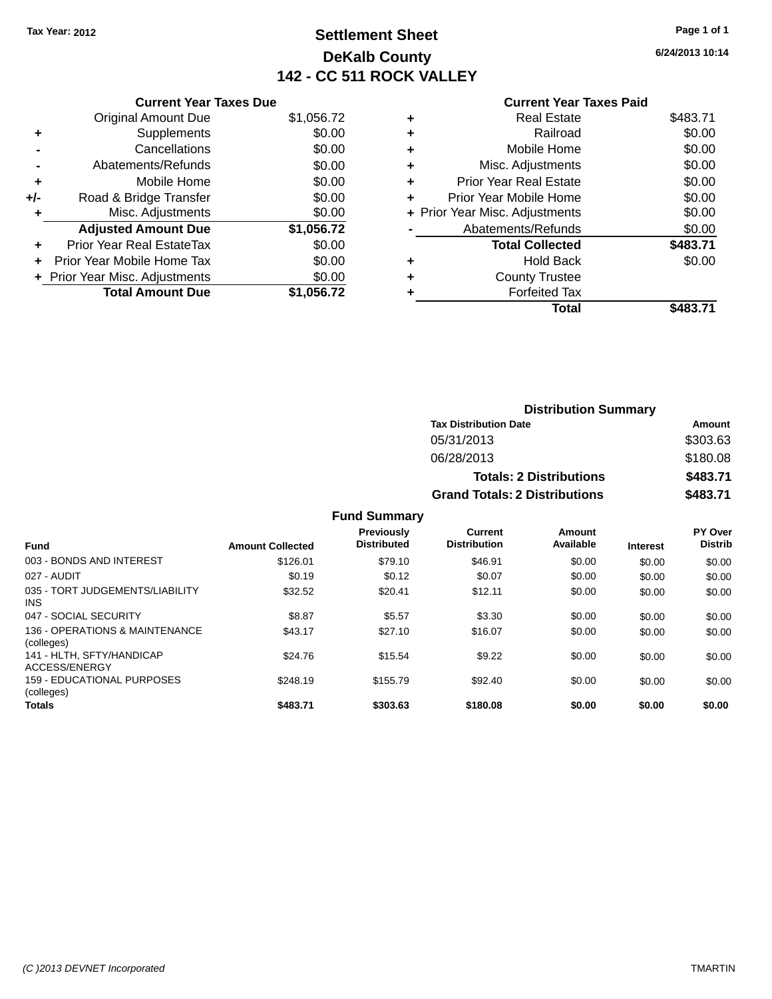# **Settlement Sheet Tax Year: 2012 Page 1 of 1 DeKalb County 142 - CC 511 ROCK VALLEY**

**6/24/2013 10:14**

### **Current Year Taxes Paid**

|     | <b>Current Year Taxes Due</b> |            |
|-----|-------------------------------|------------|
|     | <b>Original Amount Due</b>    | \$1,056.72 |
| ٠   | Supplements                   | \$0.00     |
|     | Cancellations                 | \$0.00     |
|     | Abatements/Refunds            | \$0.00     |
| ٠   | Mobile Home                   | \$0.00     |
| +/- | Road & Bridge Transfer        | \$0.00     |
| ٠   | Misc. Adjustments             | \$0.00     |
|     | <b>Adjusted Amount Due</b>    | \$1,056.72 |
| ٠   | Prior Year Real EstateTax     | \$0.00     |
| ÷   | Prior Year Mobile Home Tax    | \$0.00     |
|     | Prior Year Misc. Adjustments  | \$0.00     |
|     | <b>Total Amount Due</b>       | \$1.056.72 |

| ٠ | <b>Real Estate</b>             | \$483.71 |
|---|--------------------------------|----------|
| ٠ | Railroad                       | \$0.00   |
| ٠ | Mobile Home                    | \$0.00   |
| ٠ | Misc. Adjustments              | \$0.00   |
| ٠ | <b>Prior Year Real Estate</b>  | \$0.00   |
| ٠ | Prior Year Mobile Home         | \$0.00   |
|   | + Prior Year Misc. Adjustments | \$0.00   |
|   | Abatements/Refunds             | \$0.00   |
|   | <b>Total Collected</b>         | \$483.71 |
| ٠ | Hold Back                      | \$0.00   |
| ٠ | <b>County Trustee</b>          |          |
|   | <b>Forfeited Tax</b>           |          |
|   | Total                          | \$483.71 |
|   |                                |          |

| <b>Distribution Summary</b>          |          |
|--------------------------------------|----------|
| <b>Tax Distribution Date</b>         | Amount   |
| 05/31/2013                           | \$303.63 |
| 06/28/2013                           | \$180.08 |
| <b>Totals: 2 Distributions</b>       | \$483.71 |
| <b>Grand Totals: 2 Distributions</b> | \$483.71 |

| <b>Fund</b>                                  | <b>Amount Collected</b> | Previously<br><b>Distributed</b> | Current<br><b>Distribution</b> | Amount<br>Available | <b>Interest</b> | PY Over<br><b>Distrib</b> |
|----------------------------------------------|-------------------------|----------------------------------|--------------------------------|---------------------|-----------------|---------------------------|
| 003 - BONDS AND INTEREST                     | \$126.01                | \$79.10                          | \$46.91                        | \$0.00              | \$0.00          | \$0.00                    |
| 027 - AUDIT                                  | \$0.19                  | \$0.12                           | \$0.07                         | \$0.00              | \$0.00          | \$0.00                    |
| 035 - TORT JUDGEMENTS/LIABILITY<br>INS.      | \$32.52                 | \$20.41                          | \$12.11                        | \$0.00              | \$0.00          | \$0.00                    |
| 047 - SOCIAL SECURITY                        | \$8.87                  | \$5.57                           | \$3.30                         | \$0.00              | \$0.00          | \$0.00                    |
| 136 - OPERATIONS & MAINTENANCE<br>(colleges) | \$43.17                 | \$27.10                          | \$16.07                        | \$0.00              | \$0.00          | \$0.00                    |
| 141 - HLTH. SFTY/HANDICAP<br>ACCESS/ENERGY   | \$24.76                 | \$15.54                          | \$9.22                         | \$0.00              | \$0.00          | \$0.00                    |
| 159 - EDUCATIONAL PURPOSES<br>(colleges)     | \$248.19                | \$155.79                         | \$92.40                        | \$0.00              | \$0.00          | \$0.00                    |
| Totals                                       | \$483.71                | \$303.63                         | \$180.08                       | \$0.00              | \$0.00          | \$0.00                    |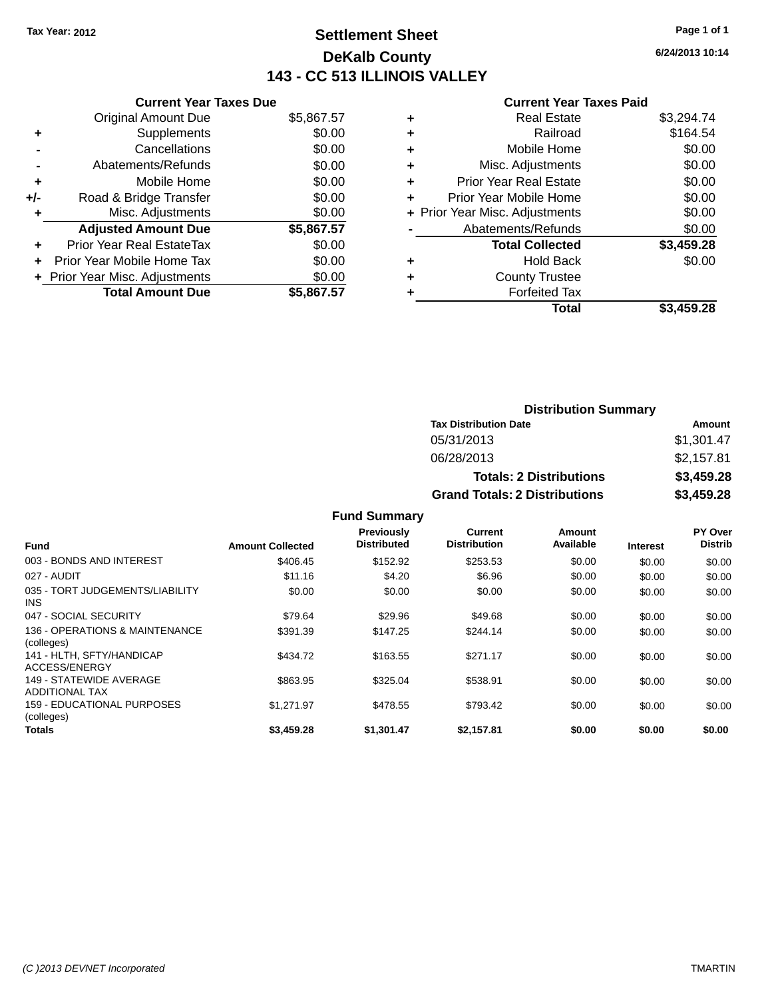# **Settlement Sheet Tax Year: 2012 Page 1 of 1 DeKalb County 143 - CC 513 ILLINOIS VALLEY**

**6/24/2013 10:14**

#### **Current Year Taxes Paid**

|     | <b>Current Year Taxes Due</b>  |            |
|-----|--------------------------------|------------|
|     | <b>Original Amount Due</b>     | \$5,867.57 |
| ٠   | Supplements                    | \$0.00     |
|     | Cancellations                  | \$0.00     |
|     | Abatements/Refunds             | \$0.00     |
| ٠   | Mobile Home                    | \$0.00     |
| +/- | Road & Bridge Transfer         | \$0.00     |
| ٠   | Misc. Adjustments              | \$0.00     |
|     | <b>Adjusted Amount Due</b>     | \$5,867.57 |
| ÷   | Prior Year Real EstateTax      | \$0.00     |
|     | Prior Year Mobile Home Tax     | \$0.00     |
|     | + Prior Year Misc. Adjustments | \$0.00     |
|     | <b>Total Amount Due</b>        | \$5.867.57 |

| <b>Real Estate</b>            | \$3,294.74                     |
|-------------------------------|--------------------------------|
| Railroad                      | \$164.54                       |
| Mobile Home                   | \$0.00                         |
| Misc. Adjustments             | \$0.00                         |
| <b>Prior Year Real Estate</b> | \$0.00                         |
| Prior Year Mobile Home        | \$0.00                         |
|                               | \$0.00                         |
| Abatements/Refunds            | \$0.00                         |
| <b>Total Collected</b>        | \$3,459.28                     |
| <b>Hold Back</b>              | \$0.00                         |
| <b>County Trustee</b>         |                                |
| <b>Forfeited Tax</b>          |                                |
| Total                         | \$3,459.28                     |
|                               | + Prior Year Misc. Adjustments |

| <b>Distribution Summary</b>          |            |
|--------------------------------------|------------|
| <b>Tax Distribution Date</b>         | Amount     |
| 05/31/2013                           | \$1,301.47 |
| 06/28/2013                           | \$2,157.81 |
| <b>Totals: 2 Distributions</b>       | \$3,459.28 |
| <b>Grand Totals: 2 Distributions</b> | \$3,459.28 |

| <b>Fund</b>                                      | <b>Amount Collected</b> | Previously<br><b>Distributed</b> | Current<br><b>Distribution</b> | Amount<br>Available | <b>Interest</b> | PY Over<br><b>Distrib</b> |
|--------------------------------------------------|-------------------------|----------------------------------|--------------------------------|---------------------|-----------------|---------------------------|
| 003 - BONDS AND INTEREST                         | \$406.45                | \$152.92                         | \$253.53                       | \$0.00              | \$0.00          | \$0.00                    |
| 027 - AUDIT                                      | \$11.16                 | \$4.20                           | \$6.96                         | \$0.00              | \$0.00          | \$0.00                    |
| 035 - TORT JUDGEMENTS/LIABILITY<br>INS.          | \$0.00                  | \$0.00                           | \$0.00                         | \$0.00              | \$0.00          | \$0.00                    |
| 047 - SOCIAL SECURITY                            | \$79.64                 | \$29.96                          | \$49.68                        | \$0.00              | \$0.00          | \$0.00                    |
| 136 - OPERATIONS & MAINTENANCE<br>(colleges)     | \$391.39                | \$147.25                         | \$244.14                       | \$0.00              | \$0.00          | \$0.00                    |
| 141 - HLTH, SFTY/HANDICAP<br>ACCESS/ENERGY       | \$434.72                | \$163.55                         | \$271.17                       | \$0.00              | \$0.00          | \$0.00                    |
| 149 - STATEWIDE AVERAGE<br><b>ADDITIONAL TAX</b> | \$863.95                | \$325.04                         | \$538.91                       | \$0.00              | \$0.00          | \$0.00                    |
| 159 - EDUCATIONAL PURPOSES<br>(colleges)         | \$1.271.97              | \$478.55                         | \$793.42                       | \$0.00              | \$0.00          | \$0.00                    |
| <b>Totals</b>                                    | \$3,459.28              | \$1,301.47                       | \$2.157.81                     | \$0.00              | \$0.00          | \$0.00                    |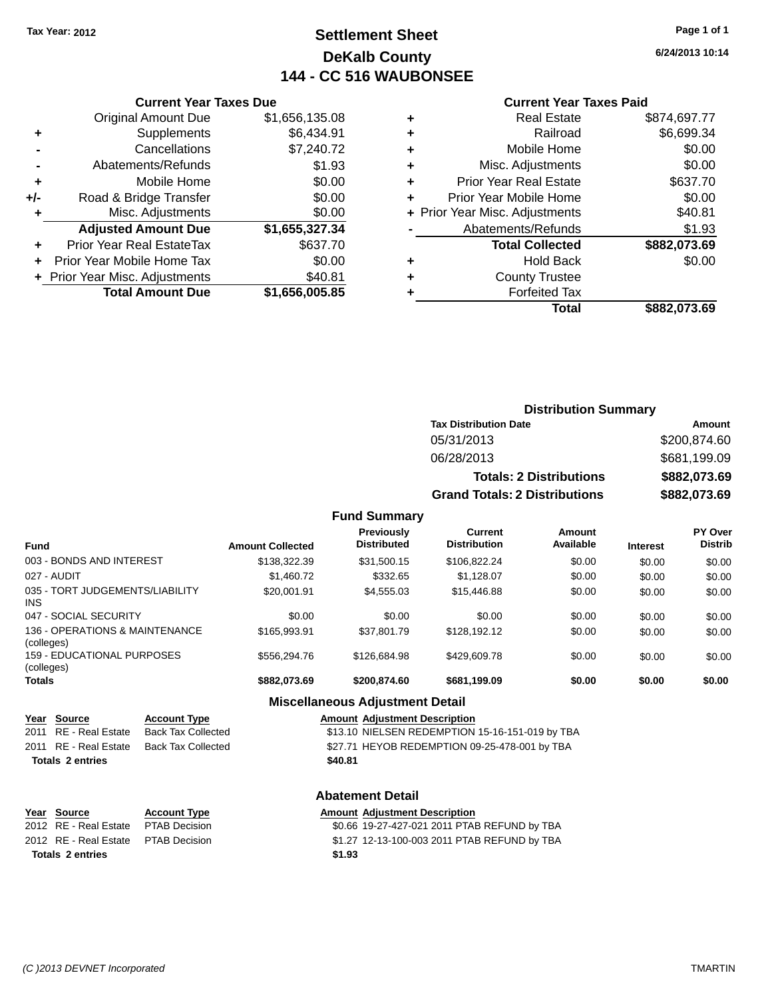# **Settlement Sheet Tax Year: 2012 Page 1 of 1 DeKalb County 144 - CC 516 WAUBONSEE**

**6/24/2013 10:14**

#### **Current Year Taxes Paid**

|     | <b>Original Amount Due</b>     | \$1,656,135.08 |
|-----|--------------------------------|----------------|
| ٠   | Supplements                    | \$6,434.91     |
|     | Cancellations                  | \$7,240.72     |
|     | Abatements/Refunds             | \$1.93         |
| ÷   | Mobile Home                    | \$0.00         |
| +/- | Road & Bridge Transfer         | \$0.00         |
| ٠   | Misc. Adjustments              | \$0.00         |
|     | <b>Adjusted Amount Due</b>     | \$1,655,327.34 |
| ٠   | Prior Year Real EstateTax      | \$637.70       |
|     | Prior Year Mobile Home Tax     | \$0.00         |
|     | + Prior Year Misc. Adjustments | \$40.81        |
|     | <b>Total Amount Due</b>        | \$1,656,005.85 |
|     |                                |                |

**Current Year Taxes Due**

|   | <b>Real Estate</b>             | \$874,697.77 |
|---|--------------------------------|--------------|
| ٠ | Railroad                       | \$6,699.34   |
| ٠ | Mobile Home                    | \$0.00       |
| ٠ | Misc. Adjustments              | \$0.00       |
| ٠ | <b>Prior Year Real Estate</b>  | \$637.70     |
| ÷ | Prior Year Mobile Home         | \$0.00       |
|   | + Prior Year Misc. Adjustments | \$40.81      |
|   | Abatements/Refunds             | \$1.93       |
|   | <b>Total Collected</b>         | \$882,073.69 |
| ٠ | <b>Hold Back</b>               | \$0.00       |
| ٠ | <b>County Trustee</b>          |              |
| ٠ | <b>Forfeited Tax</b>           |              |
|   | Total                          | \$882,073.69 |
|   |                                |              |

| <b>Distribution Summary</b>          |              |  |  |  |  |
|--------------------------------------|--------------|--|--|--|--|
| <b>Tax Distribution Date</b>         | Amount       |  |  |  |  |
| 05/31/2013                           | \$200,874.60 |  |  |  |  |
| 06/28/2013                           | \$681,199.09 |  |  |  |  |
| <b>Totals: 2 Distributions</b>       | \$882,073.69 |  |  |  |  |
| <b>Grand Totals: 2 Distributions</b> | \$882,073.69 |  |  |  |  |

### **Fund Summary**

| Fund                                         | <b>Amount Collected</b> | <b>Previously</b><br><b>Distributed</b> | Current<br><b>Distribution</b> | Amount<br>Available | <b>Interest</b> | <b>PY Over</b><br><b>Distrib</b> |
|----------------------------------------------|-------------------------|-----------------------------------------|--------------------------------|---------------------|-----------------|----------------------------------|
| 003 - BONDS AND INTEREST                     | \$138,322,39            | \$31.500.15                             | \$106,822.24                   | \$0.00              | \$0.00          | \$0.00                           |
| 027 - AUDIT                                  | \$1,460.72              | \$332.65                                | \$1,128.07                     | \$0.00              | \$0.00          | \$0.00                           |
| 035 - TORT JUDGEMENTS/LIABILITY<br>INS       | \$20,001.91             | \$4.555.03                              | \$15,446.88                    | \$0.00              | \$0.00          | \$0.00                           |
| 047 - SOCIAL SECURITY                        | \$0.00                  | \$0.00                                  | \$0.00                         | \$0.00              | \$0.00          | \$0.00                           |
| 136 - OPERATIONS & MAINTENANCE<br>(colleges) | \$165,993.91            | \$37.801.79                             | \$128.192.12                   | \$0.00              | \$0.00          | \$0.00                           |
| 159 - EDUCATIONAL PURPOSES<br>(colleges)     | \$556.294.76            | \$126.684.98                            | \$429,609.78                   | \$0.00              | \$0.00          | \$0.00                           |
| Totals                                       | \$882,073.69            | \$200,874,60                            | \$681,199.09                   | \$0.00              | \$0.00          | \$0.00                           |

#### **Miscellaneous Adjustment Detail**

| <u>Year Source</u>      | <b>Account Type</b>                      |         | <b>Amount Adjustment Description</b>            |
|-------------------------|------------------------------------------|---------|-------------------------------------------------|
| 2011 RE - Real Estate   | Back Tax Collected                       |         | \$13.10 NIELSEN REDEMPTION 15-16-151-019 by TBA |
|                         | 2011 RE - Real Estate Back Tax Collected |         | \$27.71 HEYOB REDEMPTION 09-25-478-001 by TBA   |
| <b>Totals 2 entries</b> |                                          | \$40.81 |                                                 |
|                         |                                          |         |                                                 |

#### **Abatement Detail**

| Year Source                         | <b>Account Type</b> | Amount |
|-------------------------------------|---------------------|--------|
| 2012 RE - Real Estate               | PTAB Decision       | \$0.66 |
| 2012 RE - Real Estate PTAB Decision |                     | \$1.27 |
| <b>Totals 2 entries</b>             |                     | \$1.93 |

### **Year Source Account Type Amount Adjustment Description** .66 19-27-427-021 2011 PTAB REFUND by TBA .27 12-13-100-003 2011 PTAB REFUND by TBA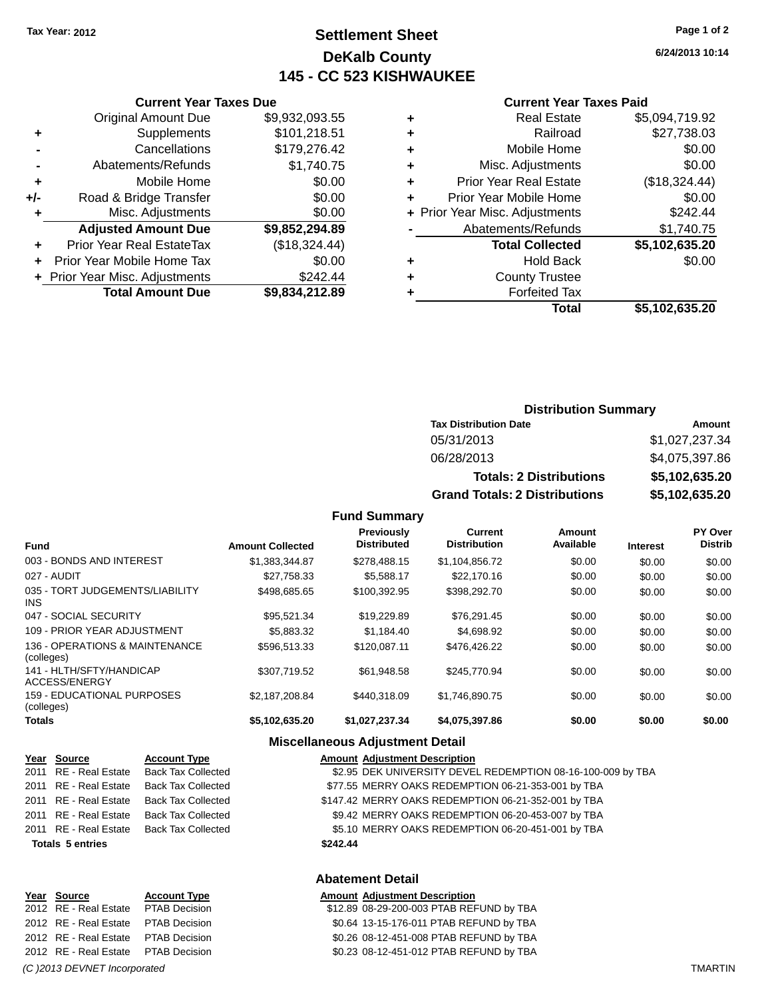# **Settlement Sheet Tax Year: 2012 Page 1 of 2 DeKalb County 145 - CC 523 KISHWAUKEE**

**6/24/2013 10:14**

#### **Current Year Taxes Paid**

|     | <b>Current Year Taxes Due</b>  |                |  |
|-----|--------------------------------|----------------|--|
|     | <b>Original Amount Due</b>     | \$9,932,093.55 |  |
| ٠   | Supplements                    | \$101,218.51   |  |
|     | Cancellations                  | \$179,276.42   |  |
|     | Abatements/Refunds             | \$1,740.75     |  |
| ٠   | Mobile Home                    | \$0.00         |  |
| +/- | Road & Bridge Transfer         | \$0.00         |  |
| ٠   | Misc. Adjustments              | \$0.00         |  |
|     | <b>Adjusted Amount Due</b>     | \$9,852,294.89 |  |
| ٠   | Prior Year Real EstateTax      | (\$18,324.44)  |  |
|     | Prior Year Mobile Home Tax     | \$0.00         |  |
|     | + Prior Year Misc. Adjustments | \$242.44       |  |
|     | <b>Total Amount Due</b>        | \$9,834,212.89 |  |

|   | <b>Real Estate</b>             | \$5,094,719.92 |
|---|--------------------------------|----------------|
| ٠ | Railroad                       | \$27,738.03    |
| ٠ | Mobile Home                    | \$0.00         |
| ٠ | Misc. Adjustments              | \$0.00         |
| ٠ | <b>Prior Year Real Estate</b>  | (\$18,324.44)  |
| ÷ | Prior Year Mobile Home         | \$0.00         |
|   | + Prior Year Misc. Adjustments | \$242.44       |
|   | Abatements/Refunds             | \$1,740.75     |
|   | <b>Total Collected</b>         | \$5,102,635.20 |
|   | <b>Hold Back</b>               | \$0.00         |
| ÷ | <b>County Trustee</b>          |                |
|   | <b>Forfeited Tax</b>           |                |
|   | <b>Total</b>                   | \$5,102,635.20 |
|   |                                |                |

### **Distribution Summary Tax Distribution Date Amount** 05/31/2013 \$1,027,237.34 06/28/2013 \$4,075,397.86 **Totals: 2 Distributions \$5,102,635.20 Grand Totals: 2 Distributions \$5,102,635.20**

#### **Fund Summary**

| <b>Fund</b>                                  | <b>Amount Collected</b> | <b>Previously</b><br><b>Distributed</b> | Current<br><b>Distribution</b> | Amount<br>Available | <b>Interest</b> | PY Over<br><b>Distrib</b> |
|----------------------------------------------|-------------------------|-----------------------------------------|--------------------------------|---------------------|-----------------|---------------------------|
| 003 - BONDS AND INTEREST                     | \$1.383.344.87          | \$278,488.15                            | \$1,104,856.72                 | \$0.00              | \$0.00          | \$0.00                    |
| 027 - AUDIT                                  | \$27,758.33             | \$5.588.17                              | \$22,170.16                    | \$0.00              | \$0.00          | \$0.00                    |
| 035 - TORT JUDGEMENTS/LIABILITY<br>INS.      | \$498.685.65            | \$100.392.95                            | \$398,292.70                   | \$0.00              | \$0.00          | \$0.00                    |
| 047 - SOCIAL SECURITY                        | \$95.521.34             | \$19,229.89                             | \$76,291.45                    | \$0.00              | \$0.00          | \$0.00                    |
| 109 - PRIOR YEAR ADJUSTMENT                  | \$5,883,32              | \$1.184.40                              | \$4,698.92                     | \$0.00              | \$0.00          | \$0.00                    |
| 136 - OPERATIONS & MAINTENANCE<br>(colleges) | \$596,513,33            | \$120,087.11                            | \$476,426.22                   | \$0.00              | \$0.00          | \$0.00                    |
| 141 - HLTH/SFTY/HANDICAP<br>ACCESS/ENERGY    | \$307,719.52            | \$61,948.58                             | \$245,770.94                   | \$0.00              | \$0.00          | \$0.00                    |
| 159 - EDUCATIONAL PURPOSES<br>(colleges)     | \$2.187.208.84          | \$440.318.09                            | \$1.746.890.75                 | \$0.00              | \$0.00          | \$0.00                    |
| <b>Totals</b>                                | \$5,102,635.20          | \$1,027,237.34                          | \$4,075,397.86                 | \$0.00              | \$0.00          | \$0.00                    |

#### **Miscellaneous Adjustment Detail**

|      | Year Source             | <b>Account Type</b>       | <b>Amount Adjustment Description</b>                        |
|------|-------------------------|---------------------------|-------------------------------------------------------------|
|      | 2011 RE - Real Estate   | Back Tax Collected        | \$2.95 DEK UNIVERSITY DEVEL REDEMPTION 08-16-100-009 by TBA |
|      | 2011 RE - Real Estate   | <b>Back Tax Collected</b> | \$77.55 MERRY OAKS REDEMPTION 06-21-353-001 by TBA          |
|      | 2011 RE - Real Estate   | <b>Back Tax Collected</b> | \$147.42 MERRY OAKS REDEMPTION 06-21-352-001 by TBA         |
|      | 2011 RE - Real Estate   | <b>Back Tax Collected</b> | \$9.42 MERRY OAKS REDEMPTION 06-20-453-007 by TBA           |
|      | 2011 RE - Real Estate   | Back Tax Collected        | \$5.10 MERRY OAKS REDEMPTION 06-20-451-001 by TBA           |
|      | <b>Totals 5 entries</b> |                           | \$242.44                                                    |
|      |                         |                           | <b>Abatement Detail</b>                                     |
| Year | Source                  | <b>Account Type</b>       | <b>Amount Adjustment Description</b>                        |
|      |                         |                           |                                                             |

#### 2012 RE - Real Estate \$12.89 08-29-200-003 PTAB REFUND by TBA PTAB Decision 2012 RE - Real Estate \$0.64 13-15-176-011 PTAB REFUND by TBA PTAB Decision 2012 RE - Real Estate \$0.26 08-12-451-008 PTAB REFUND by TBA PTAB Decision 2012 RE - Real Estate PTAB Decision 60.23 08-12-451-012 PTAB REFUND by TBA

*(C )2013 DEVNET Incorporated* TMARTIN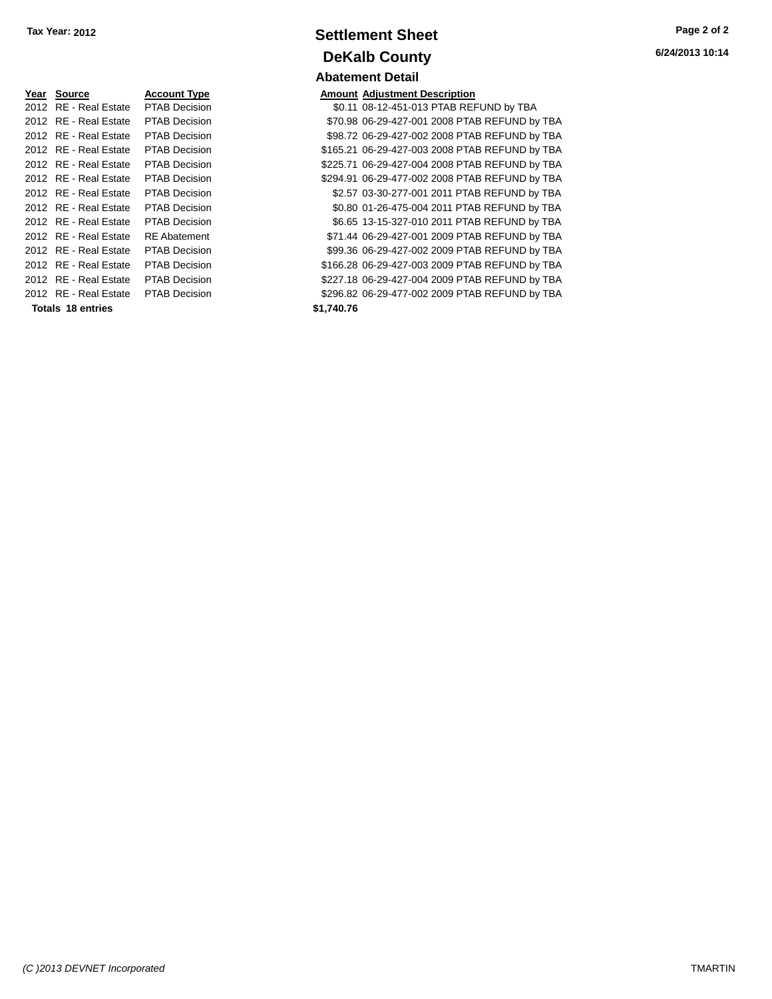| Year Source           | <b>Account Type</b>  |            | <b>Amount Adjustment Description</b> |
|-----------------------|----------------------|------------|--------------------------------------|
| 2012 RE - Real Estate | <b>PTAB Decision</b> |            | \$0.11 08-12-451-013 PTAB REI        |
| 2012 RE - Real Estate | <b>PTAB Decision</b> |            | \$70.98 06-29-427-001 2008 PTA       |
| 2012 RE - Real Estate | <b>PTAB Decision</b> |            | \$98.72 06-29-427-002 2008 PTA       |
| 2012 RE - Real Estate | <b>PTAB Decision</b> |            | \$165.21 06-29-427-003 2008 PTA      |
| 2012 RE - Real Estate | <b>PTAB Decision</b> |            | \$225.71 06-29-427-004 2008 PTA      |
| 2012 RE - Real Estate | <b>PTAB Decision</b> |            | \$294.91 06-29-477-002 2008 PTA      |
| 2012 RE - Real Estate | <b>PTAB Decision</b> |            | \$2.57 03-30-277-001 2011 PTA        |
| 2012 RE - Real Estate | <b>PTAB Decision</b> |            | \$0.80 01-26-475-004 2011 PTA        |
| 2012 RE - Real Estate | <b>PTAB Decision</b> |            | \$6.65 13-15-327-010 2011 PTA        |
| 2012 RE - Real Estate | <b>RE</b> Abatement  |            | \$71.44 06-29-427-001 2009 PTA       |
| 2012 RE - Real Estate | <b>PTAB Decision</b> |            | \$99.36 06-29-427-002 2009 PTA       |
| 2012 RE - Real Estate | <b>PTAB Decision</b> |            | \$166.28 06-29-427-003 2009 PTA      |
| 2012 RE - Real Estate | <b>PTAB Decision</b> |            | \$227.18 06-29-427-004 2009 PTA      |
| 2012 RE - Real Estate | <b>PTAB Decision</b> |            | \$296.82 06-29-477-002 2009 PTA      |
| Totals 18 entries     |                      | \$1,740.76 |                                      |
|                       |                      |            |                                      |

# **Settlement Sheet Tax Year: 2012 Page 2 of 2 DeKalb County Abatement Detail**

**6/24/2013 10:14**

| Year Source           | <b>Account Type</b>  |            | <b>Amount Adjustment Description</b>           |
|-----------------------|----------------------|------------|------------------------------------------------|
| 2012 RE - Real Estate | <b>PTAB Decision</b> |            | \$0.11 08-12-451-013 PTAB REFUND by TBA        |
| 2012 RE - Real Estate | <b>PTAB Decision</b> |            | \$70.98 06-29-427-001 2008 PTAB REFUND by TBA  |
| 2012 RE - Real Estate | <b>PTAB Decision</b> |            | \$98.72 06-29-427-002 2008 PTAB REFUND by TBA  |
| 2012 RE - Real Estate | <b>PTAB Decision</b> |            | \$165.21 06-29-427-003 2008 PTAB REFUND by TBA |
| 2012 RE - Real Estate | <b>PTAB Decision</b> |            | \$225.71 06-29-427-004 2008 PTAB REFUND by TBA |
| 2012 RE - Real Estate | <b>PTAB Decision</b> |            | \$294.91 06-29-477-002 2008 PTAB REFUND by TBA |
| 2012 RE - Real Estate | <b>PTAB Decision</b> |            | \$2.57 03-30-277-001 2011 PTAB REFUND by TBA   |
| 2012 RE - Real Estate | <b>PTAB Decision</b> |            | \$0.80 01-26-475-004 2011 PTAB REFUND by TBA   |
| 2012 RE - Real Estate | <b>PTAB Decision</b> |            | \$6.65 13-15-327-010 2011 PTAB REFUND by TBA   |
| 2012 RE - Real Estate | <b>RE</b> Abatement  |            | \$71.44 06-29-427-001 2009 PTAB REFUND by TBA  |
| 2012 RE - Real Estate | PTAB Decision        |            | \$99.36 06-29-427-002 2009 PTAB REFUND by TBA  |
| 2012 RE - Real Estate | <b>PTAB Decision</b> |            | \$166.28 06-29-427-003 2009 PTAB REFUND by TBA |
| 2012 RE - Real Estate | <b>PTAB Decision</b> |            | \$227.18 06-29-427-004 2009 PTAB REFUND by TBA |
| 2012 RE - Real Estate | <b>PTAB Decision</b> |            | \$296.82 06-29-477-002 2009 PTAB REFUND by TBA |
| Totals 18 entries     |                      | \$1.740.76 |                                                |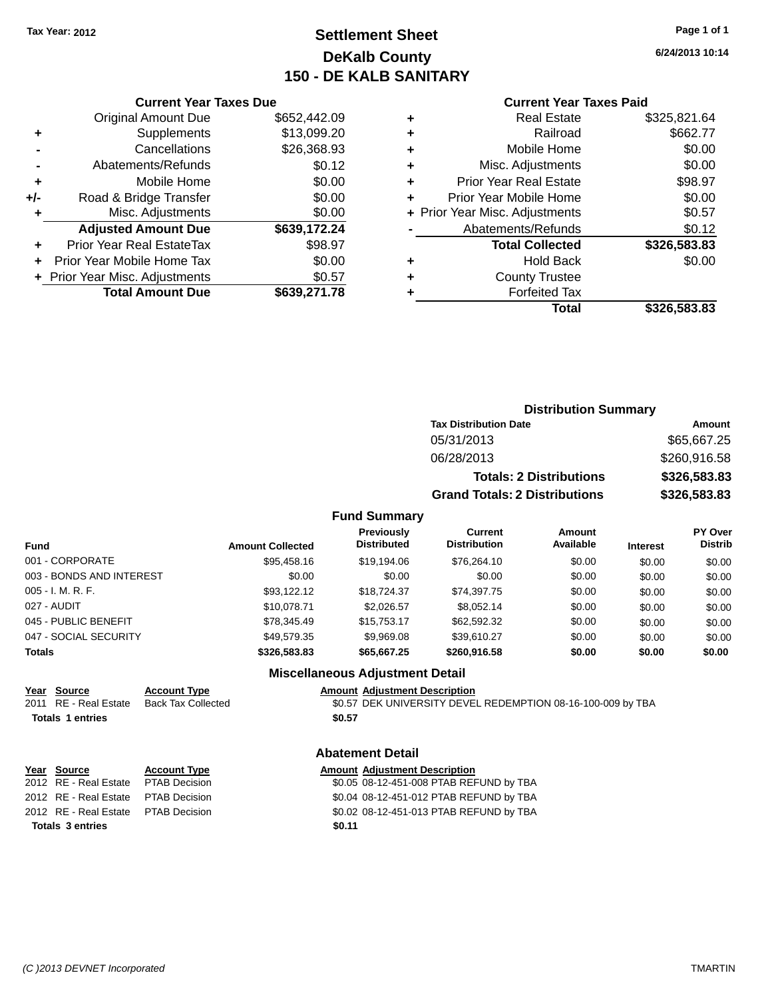# **Settlement Sheet Tax Year: 2012 Page 1 of 1 DeKalb County 150 - DE KALB SANITARY**

**6/24/2013 10:14**

|     | <b>Current Year Taxes Due</b> |              |
|-----|-------------------------------|--------------|
|     | <b>Original Amount Due</b>    | \$652,442.09 |
| ٠   | Supplements                   | \$13,099.20  |
|     | Cancellations                 | \$26,368.93  |
|     | Abatements/Refunds            | \$0.12       |
| ٠   | Mobile Home                   | \$0.00       |
| +/- | Road & Bridge Transfer        | \$0.00       |
| ٠   | Misc. Adjustments             | \$0.00       |
|     | <b>Adjusted Amount Due</b>    | \$639,172.24 |
|     | Prior Year Real EstateTax     | \$98.97      |
|     | Prior Year Mobile Home Tax    | \$0.00       |

**+ Prior Year Misc. Adjustments**  $$0.57$ 

**Total Amount Due \$639,271.78**

#### **Current Year Taxes Paid**

|   | Total                          | \$326,583.83 |
|---|--------------------------------|--------------|
|   | <b>Forfeited Tax</b>           |              |
|   | <b>County Trustee</b>          |              |
| ٠ | <b>Hold Back</b>               | \$0.00       |
|   | <b>Total Collected</b>         | \$326,583.83 |
|   | Abatements/Refunds             | \$0.12       |
|   | + Prior Year Misc. Adjustments | \$0.57       |
|   | Prior Year Mobile Home         | \$0.00       |
| ٠ | Prior Year Real Estate         | \$98.97      |
| ٠ | Misc. Adjustments              | \$0.00       |
| ٠ | Mobile Home                    | \$0.00       |
| ٠ | Railroad                       | \$662.77     |
|   | <b>Real Estate</b>             | \$325,821.64 |

## **Distribution Summary Tax Distribution Date Amount** 05/31/2013 \$65,667.25 06/28/2013 \$260,916.58 **Totals: 2 Distributions \$326,583.83 Grand Totals: 2 Distributions \$326,583.83**

#### **Fund Summary**

| <b>Fund</b>              | <b>Amount Collected</b> | <b>Previously</b><br><b>Distributed</b> | Current<br><b>Distribution</b> | Amount<br>Available | <b>Interest</b> | <b>PY Over</b><br><b>Distrib</b> |
|--------------------------|-------------------------|-----------------------------------------|--------------------------------|---------------------|-----------------|----------------------------------|
| 001 - CORPORATE          | \$95.458.16             | \$19,194.06                             | \$76.264.10                    | \$0.00              | \$0.00          | \$0.00                           |
| 003 - BONDS AND INTEREST | \$0.00                  | \$0.00                                  | \$0.00                         | \$0.00              | \$0.00          | \$0.00                           |
| 005 - I. M. R. F.        | \$93.122.12             | \$18,724,37                             | \$74.397.75                    | \$0.00              | \$0.00          | \$0.00                           |
| 027 - AUDIT              | \$10.078.71             | \$2,026.57                              | \$8,052.14                     | \$0.00              | \$0.00          | \$0.00                           |
| 045 - PUBLIC BENEFIT     | \$78.345.49             | \$15,753,17                             | \$62,592.32                    | \$0.00              | \$0.00          | \$0.00                           |
| 047 - SOCIAL SECURITY    | \$49,579.35             | \$9,969.08                              | \$39,610.27                    | \$0.00              | \$0.00          | \$0.00                           |
| <b>Totals</b>            | \$326,583,83            | \$65,667,25                             | \$260,916.58                   | \$0.00              | \$0.00          | \$0.00                           |

### **Miscellaneous Adjustment Detail**

**Abatement Detail**

## **Year Source Account Type Amount Adjustment Description** Totals 1 entries \$0.57

2011 RE - Real Estate Back Tax Collected \$0.57 DEK UNIVERSITY DEVEL REDEMPTION 08-16-100-009 by TBA

### **Year** Source **Account Type Account Adjustment Description**

**Totals \$0.11 3 entries**

### 2012 RE - Real Estate \$0.05 08-12-451-008 PTAB REFUND by TBA PTAB Decision 2012 RE - Real Estate \$0.04 08-12-451-012 PTAB REFUND by TBA PTAB Decision 2012 RE - Real Estate \$0.02 08-12-451-013 PTAB REFUND by TBA PTAB Decision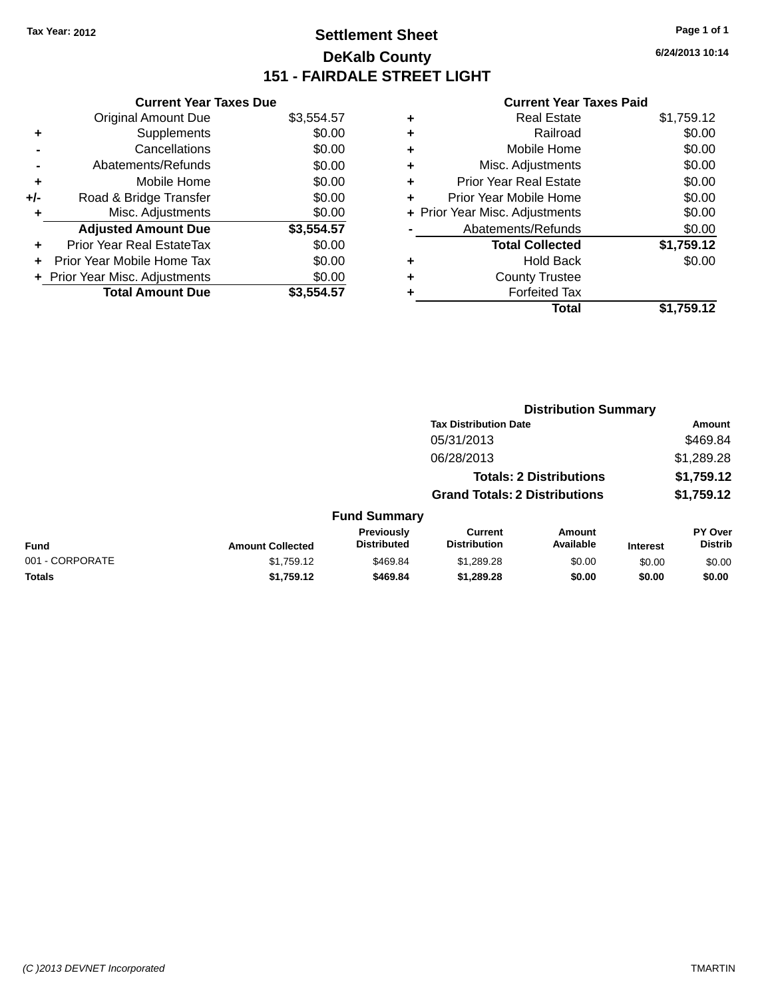# **Settlement Sheet Tax Year: 2012 Page 1 of 1 DeKalb County 151 - FAIRDALE STREET LIGHT**

**6/24/2013 10:14**

| <b>Current Year Taxes Due</b> |                         |
|-------------------------------|-------------------------|
| <b>Original Amount Due</b>    | \$3,554.57              |
| Supplements                   | \$0.00                  |
| Cancellations                 | \$0.00                  |
| Abatements/Refunds            | \$0.00                  |
| Mobile Home                   | \$0.00                  |
| Road & Bridge Transfer        | \$0.00                  |
| Misc. Adjustments             | \$0.00                  |
| <b>Adjusted Amount Due</b>    | \$3,554.57              |
| Prior Year Real EstateTax     | \$0.00                  |
| Prior Year Mobile Home Tax    | \$0.00                  |
| Prior Year Misc. Adjustments  | \$0.00                  |
|                               | \$3.554.57              |
|                               | <b>Total Amount Due</b> |

|   | <b>Real Estate</b>             | \$1,759.12 |
|---|--------------------------------|------------|
| ٠ | Railroad                       | \$0.00     |
| ٠ | Mobile Home                    | \$0.00     |
| ٠ | Misc. Adjustments              | \$0.00     |
| ٠ | <b>Prior Year Real Estate</b>  | \$0.00     |
| ٠ | Prior Year Mobile Home         | \$0.00     |
|   | + Prior Year Misc. Adjustments | \$0.00     |
|   | Abatements/Refunds             | \$0.00     |
|   | <b>Total Collected</b>         | \$1,759.12 |
| ٠ | <b>Hold Back</b>               | \$0.00     |
| ٠ | <b>County Trustee</b>          |            |
| ٠ | <b>Forfeited Tax</b>           |            |
|   | <b>Total</b>                   | \$1,759.12 |
|   |                                |            |

|                 |                         |                                  | <b>Distribution Summary</b>           |                     |                 |                           |
|-----------------|-------------------------|----------------------------------|---------------------------------------|---------------------|-----------------|---------------------------|
|                 |                         |                                  | <b>Tax Distribution Date</b>          |                     |                 | Amount                    |
|                 |                         |                                  | 05/31/2013                            |                     |                 | \$469.84                  |
|                 |                         |                                  | 06/28/2013                            |                     |                 | \$1,289.28                |
|                 |                         |                                  | <b>Totals: 2 Distributions</b>        |                     |                 | \$1,759.12                |
|                 |                         |                                  | <b>Grand Totals: 2 Distributions</b>  |                     |                 | \$1,759.12                |
|                 |                         | <b>Fund Summary</b>              |                                       |                     |                 |                           |
| Fund            | <b>Amount Collected</b> | Previously<br><b>Distributed</b> | <b>Current</b><br><b>Distribution</b> | Amount<br>Available | <b>Interest</b> | PY Over<br><b>Distrib</b> |
| 001 - CORPORATE | \$1,759.12              | \$469.84                         | \$1,289.28                            | \$0.00              | \$0.00          | \$0.00                    |
| <b>Totals</b>   | \$1,759.12              | \$469.84                         | \$1,289.28                            | \$0.00              | \$0.00          | \$0.00                    |
|                 |                         |                                  |                                       |                     |                 |                           |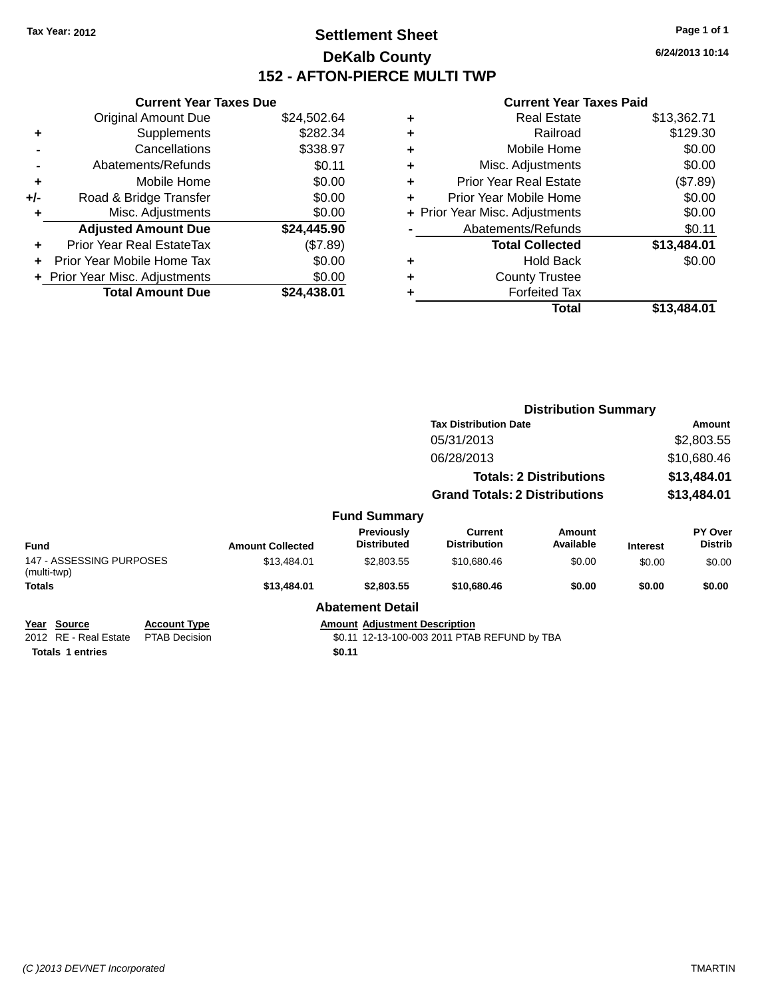# **Settlement Sheet Tax Year: 2012 Page 1 of 1 DeKalb County 152 - AFTON-PIERCE MULTI TWP**

**6/24/2013 10:14**

|     | <b>Current Year Taxes Due</b>  |             |
|-----|--------------------------------|-------------|
|     | <b>Original Amount Due</b>     | \$24,502.64 |
| ٠   | Supplements                    | \$282.34    |
|     | Cancellations                  | \$338.97    |
|     | Abatements/Refunds             | \$0.11      |
| ٠   | Mobile Home                    | \$0.00      |
| +/- | Road & Bridge Transfer         | \$0.00      |
|     | Misc. Adjustments              | \$0.00      |
|     | <b>Adjusted Amount Due</b>     | \$24,445.90 |
| ٠   | Prior Year Real EstateTax      | (\$7.89)    |
|     | Prior Year Mobile Home Tax     | \$0.00      |
|     | + Prior Year Misc. Adjustments | \$0.00      |
|     | <b>Total Amount Due</b>        | \$24,438.01 |
|     |                                |             |

|   | <b>Real Estate</b>             | \$13,362.71 |
|---|--------------------------------|-------------|
| ٠ | Railroad                       | \$129.30    |
| ٠ | Mobile Home                    | \$0.00      |
| ٠ | Misc. Adjustments              | \$0.00      |
| ٠ | <b>Prior Year Real Estate</b>  | (\$7.89)    |
|   | Prior Year Mobile Home         | \$0.00      |
|   | + Prior Year Misc. Adjustments | \$0.00      |
|   | Abatements/Refunds             | \$0.11      |
|   | <b>Total Collected</b>         | \$13,484.01 |
| ٠ | <b>Hold Back</b>               | \$0.00      |
| ٠ | <b>County Trustee</b>          |             |
|   | <b>Forfeited Tax</b>           |             |
|   | Total                          | \$13.484.01 |
|   |                                |             |

|                                         |                                             |                                                                                      |                                  |                                       | <b>Distribution Summary</b>    |                 |                                  |
|-----------------------------------------|---------------------------------------------|--------------------------------------------------------------------------------------|----------------------------------|---------------------------------------|--------------------------------|-----------------|----------------------------------|
| <b>Tax Distribution Date</b>            |                                             |                                                                                      |                                  | Amount                                |                                |                 |                                  |
|                                         |                                             |                                                                                      |                                  | 05/31/2013                            |                                | \$2,803.55      |                                  |
|                                         |                                             |                                                                                      |                                  | 06/28/2013                            |                                | \$10,680.46     |                                  |
|                                         |                                             |                                                                                      |                                  |                                       | <b>Totals: 2 Distributions</b> | \$13,484.01     |                                  |
|                                         |                                             |                                                                                      |                                  | <b>Grand Totals: 2 Distributions</b>  |                                | \$13,484.01     |                                  |
|                                         |                                             |                                                                                      | <b>Fund Summary</b>              |                                       |                                |                 |                                  |
| <b>Fund</b>                             |                                             | <b>Amount Collected</b>                                                              | Previously<br><b>Distributed</b> | <b>Current</b><br><b>Distribution</b> | Amount<br>Available            | <b>Interest</b> | <b>PY Over</b><br><b>Distrib</b> |
| 147 - ASSESSING PURPOSES<br>(multi-twp) |                                             | \$13,484.01                                                                          | \$2,803.55                       | \$10,680.46                           | \$0.00                         | \$0.00          | \$0.00                           |
| <b>Totals</b>                           |                                             | \$13,484.01                                                                          | \$2,803.55                       | \$10,680,46                           | \$0.00                         | \$0.00          | \$0.00                           |
|                                         |                                             |                                                                                      | <b>Abatement Detail</b>          |                                       |                                |                 |                                  |
| Year Source<br>2012 RE - Real Estate    | <b>Account Type</b><br><b>PTAB Decision</b> | <b>Amount Adjustment Description</b><br>\$0.11 12-13-100-003 2011 PTAB REFUND by TBA |                                  |                                       |                                |                 |                                  |
| <b>Totals 1 entries</b>                 |                                             |                                                                                      | \$0.11                           |                                       |                                |                 |                                  |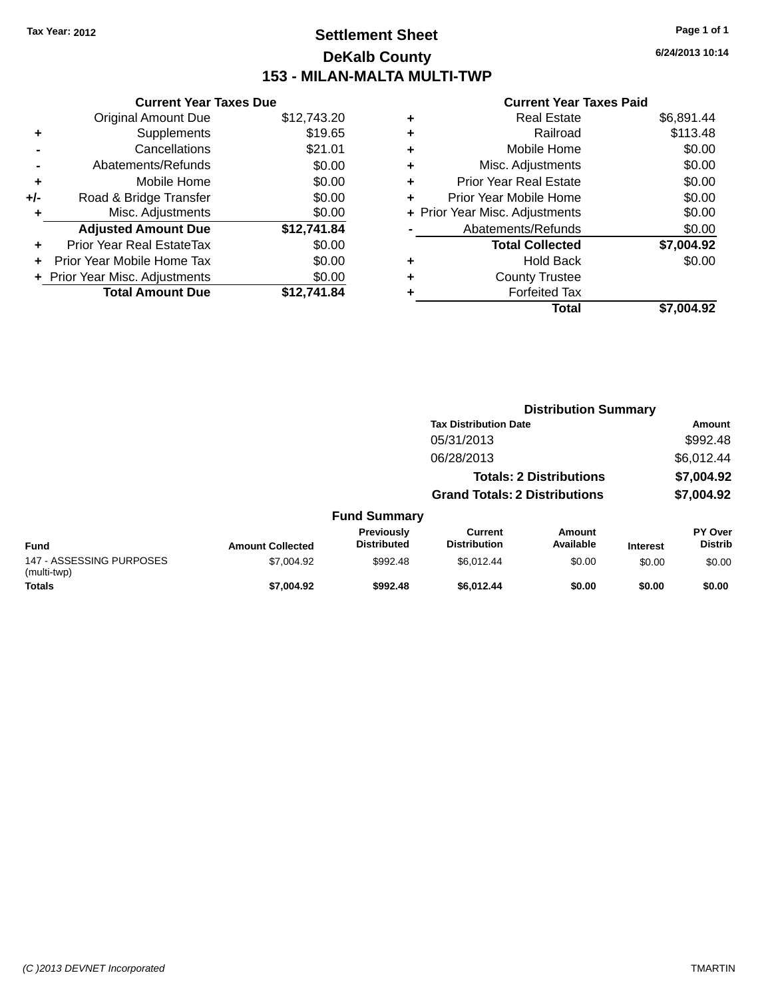# **Settlement Sheet Tax Year: 2012 Page 1 of 1 DeKalb County 153 - MILAN-MALTA MULTI-TWP**

| <b>Current Year Taxes Due</b>  |             |
|--------------------------------|-------------|
| <b>Original Amount Due</b>     | \$12,743.20 |
| Supplements                    | \$19.65     |
| Cancellations                  | \$21.01     |
| Abatements/Refunds             | \$0.00      |
| Mobile Home                    | \$0.00      |
| Road & Bridge Transfer         | \$0.00      |
| Misc. Adjustments              | \$0.00      |
| <b>Adjusted Amount Due</b>     | \$12,741.84 |
| Prior Year Real EstateTax      | \$0.00      |
| Prior Year Mobile Home Tax     | \$0.00      |
| + Prior Year Misc. Adjustments | \$0.00      |
| <b>Total Amount Due</b>        | \$12.741.84 |
|                                |             |

#### **Current Year Taxes Paid**

| ٠ | <b>Real Estate</b>             | \$6,891.44 |
|---|--------------------------------|------------|
| ٠ | Railroad                       | \$113.48   |
| ٠ | Mobile Home                    | \$0.00     |
| ٠ | Misc. Adjustments              | \$0.00     |
| ٠ | <b>Prior Year Real Estate</b>  | \$0.00     |
| ٠ | Prior Year Mobile Home         | \$0.00     |
|   | + Prior Year Misc. Adjustments | \$0.00     |
|   | Abatements/Refunds             | \$0.00     |
|   | <b>Total Collected</b>         | \$7,004.92 |
| ٠ | <b>Hold Back</b>               | \$0.00     |
| ٠ | <b>County Trustee</b>          |            |
|   | <b>Forfeited Tax</b>           |            |
|   | Total                          | \$7,004.92 |
|   |                                |            |

|                                         |                              | <b>Distribution Summary</b>      |                                      |                     |                 |                                  |
|-----------------------------------------|------------------------------|----------------------------------|--------------------------------------|---------------------|-----------------|----------------------------------|
|                                         | <b>Tax Distribution Date</b> |                                  |                                      |                     | Amount          |                                  |
|                                         |                              |                                  | 05/31/2013                           |                     |                 | \$992.48                         |
|                                         |                              |                                  | 06/28/2013                           |                     |                 | \$6,012.44                       |
| <b>Totals: 2 Distributions</b>          |                              |                                  |                                      | \$7,004.92          |                 |                                  |
|                                         |                              |                                  | <b>Grand Totals: 2 Distributions</b> |                     |                 | \$7,004.92                       |
|                                         |                              | <b>Fund Summary</b>              |                                      |                     |                 |                                  |
| <b>Fund</b>                             | <b>Amount Collected</b>      | Previously<br><b>Distributed</b> | Current<br><b>Distribution</b>       | Amount<br>Available | <b>Interest</b> | <b>PY Over</b><br><b>Distrib</b> |
| 147 - ASSESSING PURPOSES<br>(multi-twp) | \$7,004.92                   | \$992.48                         | \$6.012.44                           | \$0.00              | \$0.00          | \$0.00                           |

**Totals \$7,004.92 \$992.48 \$6,012.44 \$0.00 \$0.00 \$0.00**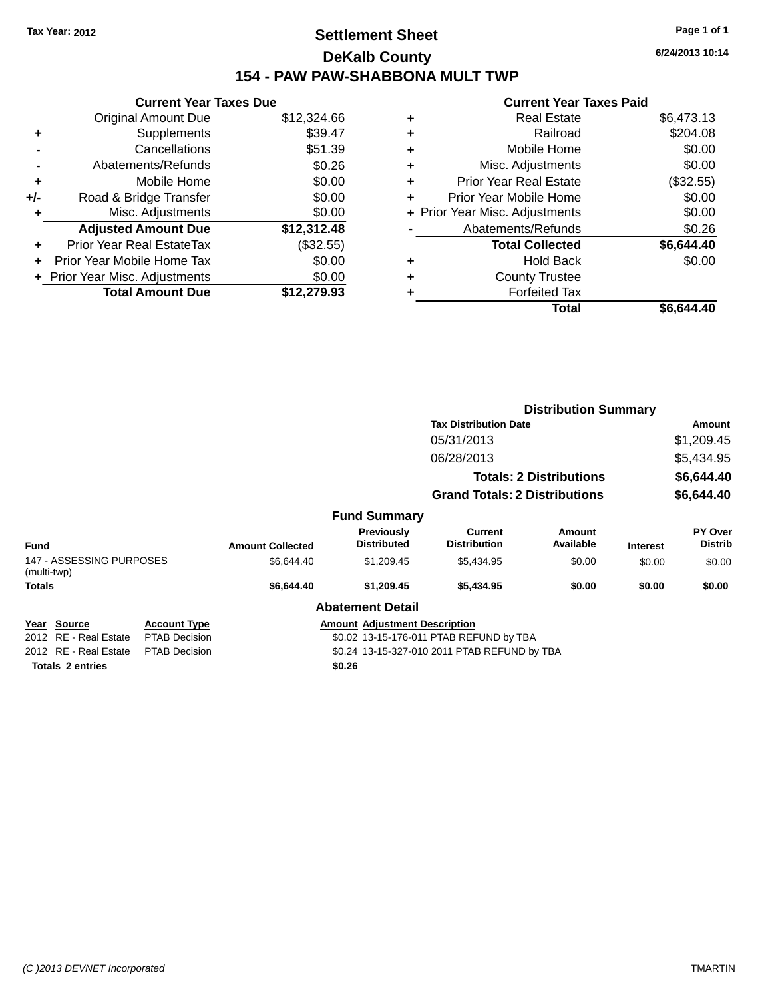# **Settlement Sheet Tax Year: 2012 Page 1 of 1 DeKalb County 154 - PAW PAW-SHABBONA MULT TWP**

|       | <b>Current Year Taxes Due</b>  |             |  |
|-------|--------------------------------|-------------|--|
|       | <b>Original Amount Due</b>     | \$12,324.66 |  |
| ٠     | Supplements                    | \$39.47     |  |
|       | Cancellations                  | \$51.39     |  |
|       | Abatements/Refunds             | \$0.26      |  |
| ٠     | Mobile Home                    | \$0.00      |  |
| $+/-$ | Road & Bridge Transfer         | \$0.00      |  |
| ٠     | Misc. Adjustments              | \$0.00      |  |
|       | <b>Adjusted Amount Due</b>     | \$12,312.48 |  |
| ÷     | Prior Year Real EstateTax      | (\$32.55)   |  |
|       | Prior Year Mobile Home Tax     | \$0.00      |  |
|       | + Prior Year Misc. Adjustments | \$0.00      |  |
|       | <b>Total Amount Due</b>        | \$12,279.93 |  |

| ٠ | <b>Real Estate</b>             | \$6,473.13 |
|---|--------------------------------|------------|
| ٠ | Railroad                       | \$204.08   |
| ٠ | Mobile Home                    | \$0.00     |
| ٠ | Misc. Adjustments              | \$0.00     |
| ٠ | Prior Year Real Estate         | (\$32.55)  |
| ٠ | Prior Year Mobile Home         | \$0.00     |
|   | + Prior Year Misc. Adjustments | \$0.00     |
|   | Abatements/Refunds             | \$0.26     |
|   | <b>Total Collected</b>         | \$6,644.40 |
| ٠ | <b>Hold Back</b>               | \$0.00     |
| ٠ | <b>County Trustee</b>          |            |
| ٠ | <b>Forfeited Tax</b>           |            |
|   | Total                          | \$6.644.40 |
|   |                                |            |

| <b>Distribution Summary</b>             |                      |                         |                                         |                                              |                                |                 |                           |  |
|-----------------------------------------|----------------------|-------------------------|-----------------------------------------|----------------------------------------------|--------------------------------|-----------------|---------------------------|--|
|                                         |                      |                         |                                         | <b>Tax Distribution Date</b>                 |                                |                 | <b>Amount</b>             |  |
| 05/31/2013<br>06/28/2013                |                      |                         |                                         |                                              |                                |                 | \$1,209.45                |  |
|                                         |                      |                         | \$5,434.95                              |                                              |                                |                 |                           |  |
|                                         |                      |                         |                                         |                                              | <b>Totals: 2 Distributions</b> |                 | \$6,644.40                |  |
|                                         |                      |                         |                                         | <b>Grand Totals: 2 Distributions</b>         |                                |                 | \$6,644.40                |  |
|                                         |                      |                         | <b>Fund Summary</b>                     |                                              |                                |                 |                           |  |
| <b>Fund</b>                             |                      | <b>Amount Collected</b> | Previously<br><b>Distributed</b>        | Current<br><b>Distribution</b>               | Amount<br>Available            | <b>Interest</b> | PY Over<br><b>Distrib</b> |  |
| 147 - ASSESSING PURPOSES<br>(multi-twp) |                      | \$6,644.40              | \$1,209.45                              | \$5,434.95                                   | \$0.00                         | \$0.00          | \$0.00                    |  |
| <b>Totals</b>                           |                      | \$6,644.40              | \$1,209.45                              | \$5,434.95                                   | \$0.00                         | \$0.00          | \$0.00                    |  |
|                                         |                      |                         | <b>Abatement Detail</b>                 |                                              |                                |                 |                           |  |
| Year Source                             | <b>Account Type</b>  |                         | <b>Amount Adjustment Description</b>    |                                              |                                |                 |                           |  |
| 2012 RE - Real Estate                   | <b>PTAB Decision</b> |                         | \$0.02 13-15-176-011 PTAB REFUND by TBA |                                              |                                |                 |                           |  |
| 2012 RE - Real Estate                   | <b>PTAB Decision</b> |                         |                                         | \$0.24 13-15-327-010 2011 PTAB REFUND by TBA |                                |                 |                           |  |
| <b>Totals 2 entries</b>                 |                      |                         | \$0.26                                  |                                              |                                |                 |                           |  |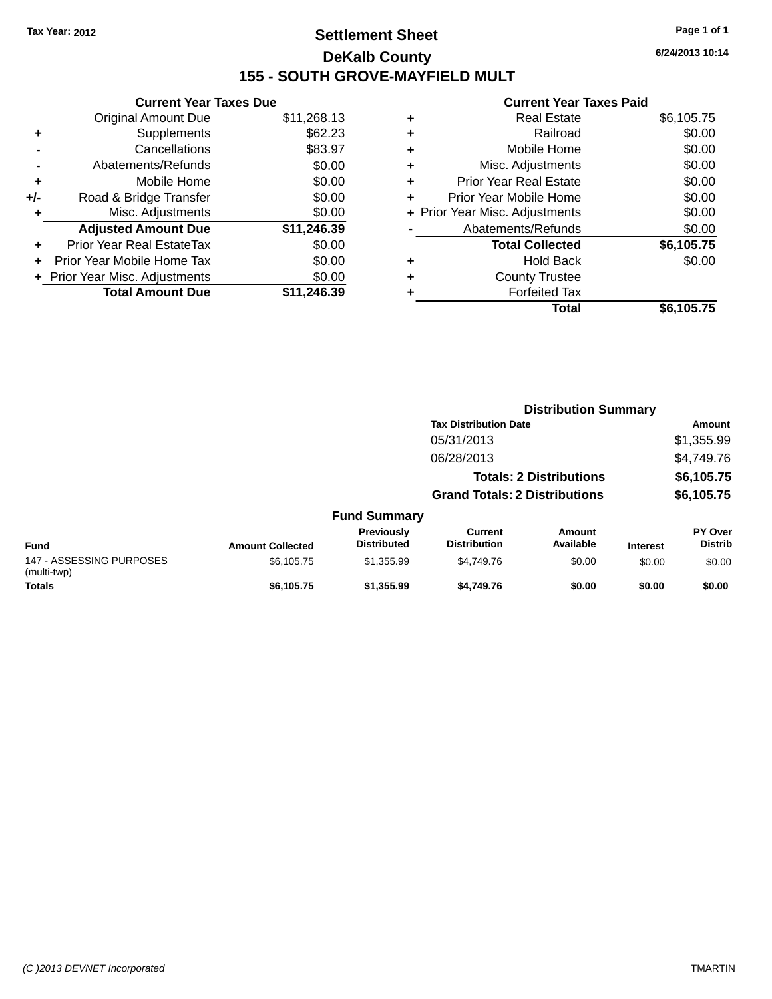# **Settlement Sheet Tax Year: 2012 Page 1 of 1 DeKalb County 155 - SOUTH GROVE-MAYFIELD MULT**

**6/24/2013 10:14**

|     | <b>Current Year Taxes Due</b>             |             |  |  |  |  |  |
|-----|-------------------------------------------|-------------|--|--|--|--|--|
|     | <b>Original Amount Due</b><br>\$11,268.13 |             |  |  |  |  |  |
| ٠   | Supplements                               | \$62.23     |  |  |  |  |  |
|     | Cancellations                             | \$83.97     |  |  |  |  |  |
|     | Abatements/Refunds                        | \$0.00      |  |  |  |  |  |
| ٠   | Mobile Home                               | \$0.00      |  |  |  |  |  |
| +/- | Road & Bridge Transfer                    | \$0.00      |  |  |  |  |  |
| ٠   | Misc. Adjustments                         | \$0.00      |  |  |  |  |  |
|     | <b>Adjusted Amount Due</b>                | \$11,246.39 |  |  |  |  |  |
| ÷   | Prior Year Real EstateTax                 | \$0.00      |  |  |  |  |  |
| ÷   | Prior Year Mobile Home Tax                | \$0.00      |  |  |  |  |  |
|     | Prior Year Misc. Adjustments              | \$0.00      |  |  |  |  |  |
|     | <b>Total Amount Due</b>                   | \$11.246.39 |  |  |  |  |  |

|   | <b>Real Estate</b>             | \$6,105.75 |
|---|--------------------------------|------------|
| ٠ | Railroad                       | \$0.00     |
| ٠ | Mobile Home                    | \$0.00     |
| ٠ | Misc. Adjustments              | \$0.00     |
| ٠ | <b>Prior Year Real Estate</b>  | \$0.00     |
| ٠ | Prior Year Mobile Home         | \$0.00     |
|   | + Prior Year Misc. Adjustments | \$0.00     |
|   | Abatements/Refunds             | \$0.00     |
|   | <b>Total Collected</b>         | \$6,105.75 |
| ٠ | <b>Hold Back</b>               | \$0.00     |
| ٠ | <b>County Trustee</b>          |            |
| ٠ | <b>Forfeited Tax</b>           |            |
|   | Total                          | \$6,105.75 |
|   |                                |            |

|                                         |                         |                                  | <b>Distribution Summary</b>           |                                |                 |                           |  |
|-----------------------------------------|-------------------------|----------------------------------|---------------------------------------|--------------------------------|-----------------|---------------------------|--|
|                                         |                         |                                  | <b>Tax Distribution Date</b>          |                                |                 | <b>Amount</b>             |  |
|                                         |                         |                                  | 05/31/2013                            |                                |                 | \$1,355.99                |  |
|                                         |                         |                                  | 06/28/2013                            |                                |                 | \$4,749.76                |  |
|                                         |                         |                                  |                                       | <b>Totals: 2 Distributions</b> |                 | \$6,105.75                |  |
|                                         |                         |                                  | <b>Grand Totals: 2 Distributions</b>  |                                |                 | \$6,105.75                |  |
|                                         |                         | <b>Fund Summary</b>              |                                       |                                |                 |                           |  |
| Fund                                    | <b>Amount Collected</b> | Previously<br><b>Distributed</b> | <b>Current</b><br><b>Distribution</b> | Amount<br>Available            | <b>Interest</b> | PY Over<br><b>Distrib</b> |  |
| 147 - ASSESSING PURPOSES<br>(multi-twp) | \$6,105.75              | \$1,355.99                       | \$4,749.76                            | \$0.00                         | \$0.00          | \$0.00                    |  |
| <b>Totals</b>                           | \$6,105.75              | \$1,355.99                       | \$4,749.76                            | \$0.00                         | \$0.00          | \$0.00                    |  |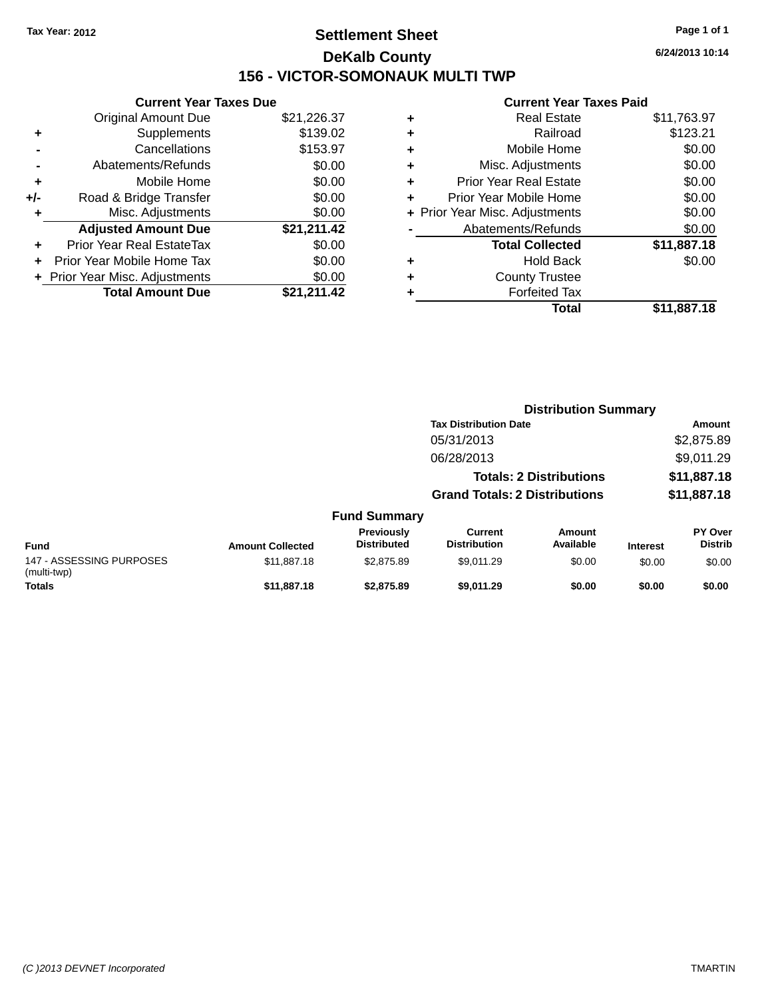# **Settlement Sheet Tax Year: 2012 Page 1 of 1 DeKalb County 156 - VICTOR-SOMONAUK MULTI TWP**

**6/24/2013 10:14**

|     | <b>Current Year Taxes Due</b>             |             |  |  |  |  |
|-----|-------------------------------------------|-------------|--|--|--|--|
|     | <b>Original Amount Due</b><br>\$21,226.37 |             |  |  |  |  |
|     | Supplements                               | \$139.02    |  |  |  |  |
|     | \$153.97<br>Cancellations                 |             |  |  |  |  |
|     | Abatements/Refunds                        | \$0.00      |  |  |  |  |
| ٠   | Mobile Home                               | \$0.00      |  |  |  |  |
| +/- | Road & Bridge Transfer                    | \$0.00      |  |  |  |  |
| ٠   | Misc. Adjustments                         | \$0.00      |  |  |  |  |
|     | <b>Adjusted Amount Due</b>                | \$21,211.42 |  |  |  |  |
| ÷   | Prior Year Real EstateTax                 | \$0.00      |  |  |  |  |
| ÷   | Prior Year Mobile Home Tax                | \$0.00      |  |  |  |  |
|     | \$0.00<br>+ Prior Year Misc. Adjustments  |             |  |  |  |  |
|     | <b>Total Amount Due</b>                   | \$21.211.42 |  |  |  |  |

| ٠ | <b>Real Estate</b>             | \$11,763.97 |
|---|--------------------------------|-------------|
| ٠ | Railroad                       | \$123.21    |
| ٠ | Mobile Home                    | \$0.00      |
| ٠ | Misc. Adjustments              | \$0.00      |
| ٠ | <b>Prior Year Real Estate</b>  | \$0.00      |
|   | Prior Year Mobile Home         | \$0.00      |
|   | + Prior Year Misc. Adjustments | \$0.00      |
|   | Abatements/Refunds             | \$0.00      |
|   | <b>Total Collected</b>         | \$11,887.18 |
| ٠ | <b>Hold Back</b>               | \$0.00      |
| ٠ | <b>County Trustee</b>          |             |
| ٠ | <b>Forfeited Tax</b>           |             |
|   | Total                          | \$11,887.18 |
|   |                                |             |

|                                         |                              |                                  | <b>Distribution Summary</b>           |                                |                 |                           |  |
|-----------------------------------------|------------------------------|----------------------------------|---------------------------------------|--------------------------------|-----------------|---------------------------|--|
|                                         | <b>Tax Distribution Date</b> |                                  |                                       |                                |                 | <b>Amount</b>             |  |
|                                         |                              |                                  | 05/31/2013                            |                                |                 | \$2,875.89                |  |
|                                         |                              |                                  | 06/28/2013                            |                                |                 | \$9,011.29                |  |
|                                         |                              |                                  |                                       | <b>Totals: 2 Distributions</b> |                 | \$11,887.18               |  |
|                                         |                              |                                  | <b>Grand Totals: 2 Distributions</b>  |                                | \$11,887.18     |                           |  |
|                                         |                              | <b>Fund Summary</b>              |                                       |                                |                 |                           |  |
| <b>Fund</b>                             | <b>Amount Collected</b>      | Previously<br><b>Distributed</b> | <b>Current</b><br><b>Distribution</b> | Amount<br>Available            | <b>Interest</b> | PY Over<br><b>Distrib</b> |  |
| 147 - ASSESSING PURPOSES<br>(multi-twp) | \$11,887.18                  | \$2,875.89                       | \$9,011.29                            | \$0.00                         | \$0.00          | \$0.00                    |  |
| <b>Totals</b>                           | \$11,887.18                  | \$2,875.89                       | \$9,011.29                            | \$0.00                         | \$0.00          | \$0.00                    |  |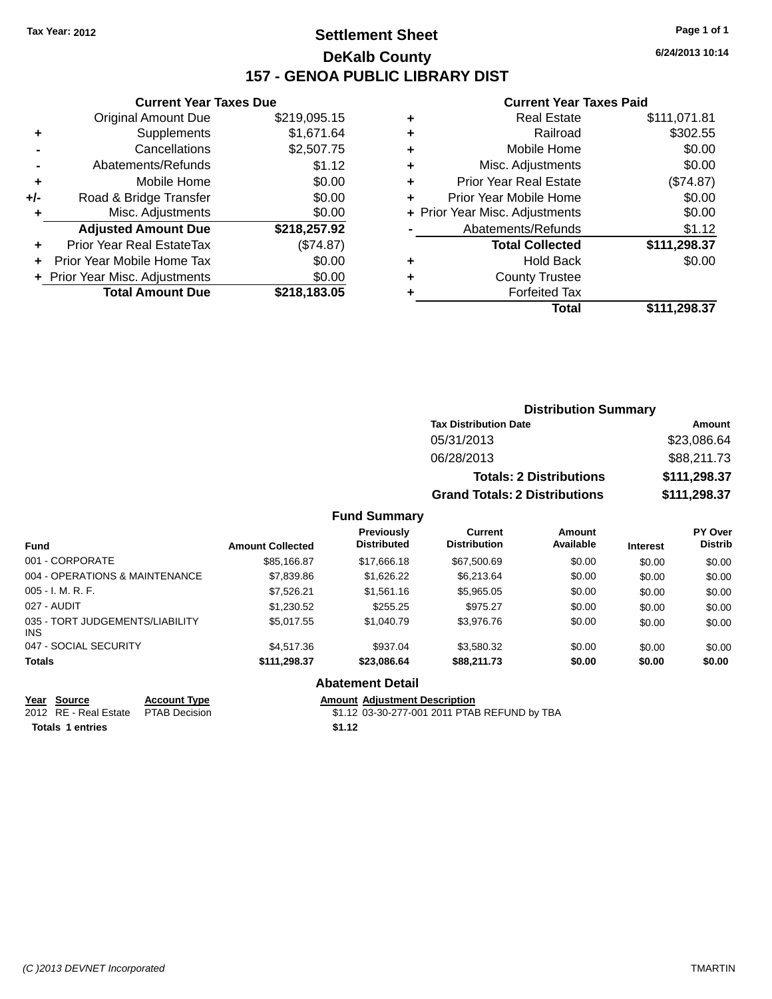# **Settlement Sheet Tax Year: 2012 Page 1 of 1 DeKalb County 157 - GENOA PUBLIC LIBRARY DIST**

**6/24/2013 10:14**

#### **Current Year Taxes Paid**

|     | <b>Current Year Taxes Due</b>            |              |  |  |  |  |
|-----|------------------------------------------|--------------|--|--|--|--|
|     | <b>Original Amount Due</b>               | \$219,095.15 |  |  |  |  |
| ٠   | Supplements                              | \$1,671.64   |  |  |  |  |
|     | \$2,507.75<br>Cancellations              |              |  |  |  |  |
|     | Abatements/Refunds                       | \$1.12       |  |  |  |  |
| ÷   | Mobile Home                              | \$0.00       |  |  |  |  |
| +/- | Road & Bridge Transfer                   | \$0.00       |  |  |  |  |
|     | \$0.00<br>Misc. Adjustments              |              |  |  |  |  |
|     | <b>Adjusted Amount Due</b>               | \$218,257.92 |  |  |  |  |
| ÷   | Prior Year Real EstateTax                | (\$74.87)    |  |  |  |  |
|     | Prior Year Mobile Home Tax               | \$0.00       |  |  |  |  |
|     | \$0.00<br>+ Prior Year Misc. Adjustments |              |  |  |  |  |
|     | <b>Total Amount Due</b>                  | \$218.183.05 |  |  |  |  |
|     |                                          |              |  |  |  |  |

|   | <b>Real Estate</b>             | \$111,071.81 |
|---|--------------------------------|--------------|
| ٠ | Railroad                       | \$302.55     |
| ٠ | Mobile Home                    | \$0.00       |
| ٠ | Misc. Adjustments              | \$0.00       |
| ٠ | <b>Prior Year Real Estate</b>  | (\$74.87)    |
| ٠ | Prior Year Mobile Home         | \$0.00       |
|   | + Prior Year Misc. Adjustments | \$0.00       |
|   | Abatements/Refunds             | \$1.12       |
|   | <b>Total Collected</b>         | \$111,298.37 |
| ٠ | <b>Hold Back</b>               | \$0.00       |
| ٠ | <b>County Trustee</b>          |              |
| ٠ | <b>Forfeited Tax</b>           |              |
|   | Total                          | \$111,298.37 |
|   |                                |              |

| <b>Distribution Summary</b>          |              |  |  |  |  |  |
|--------------------------------------|--------------|--|--|--|--|--|
| <b>Tax Distribution Date</b>         | Amount       |  |  |  |  |  |
| 05/31/2013                           | \$23,086.64  |  |  |  |  |  |
| 06/28/2013                           | \$88,211.73  |  |  |  |  |  |
| <b>Totals: 2 Distributions</b>       | \$111,298.37 |  |  |  |  |  |
| <b>Grand Totals: 2 Distributions</b> | \$111,298.37 |  |  |  |  |  |

#### **Fund Summary**

| <b>Fund</b>                             | <b>Amount Collected</b> | Previously<br><b>Distributed</b> | <b>Current</b><br><b>Distribution</b> | Amount<br>Available | <b>Interest</b> | PY Over<br><b>Distrib</b> |
|-----------------------------------------|-------------------------|----------------------------------|---------------------------------------|---------------------|-----------------|---------------------------|
| 001 - CORPORATE                         | \$85,166.87             | \$17,666.18                      | \$67,500.69                           | \$0.00              | \$0.00          | \$0.00                    |
| 004 - OPERATIONS & MAINTENANCE          | \$7,839.86              | \$1,626,22                       | \$6.213.64                            | \$0.00              | \$0.00          | \$0.00                    |
| $005 - I. M. R. F.$                     | \$7,526.21              | \$1,561.16                       | \$5,965.05                            | \$0.00              | \$0.00          | \$0.00                    |
| 027 - AUDIT                             | \$1,230.52              | \$255.25                         | \$975.27                              | \$0.00              | \$0.00          | \$0.00                    |
| 035 - TORT JUDGEMENTS/LIABILITY<br>INS. | \$5.017.55              | \$1,040.79                       | \$3,976.76                            | \$0.00              | \$0.00          | \$0.00                    |
| 047 - SOCIAL SECURITY                   | \$4.517.36              | \$937.04                         | \$3.580.32                            | \$0.00              | \$0.00          | \$0.00                    |
| <b>Totals</b>                           | \$111,298.37            | \$23,086.64                      | \$88,211.73                           | \$0.00              | \$0.00          | \$0.00                    |

### **Abatement Detail**

**<u>Year Source</u> <b>Account Type**<br> **ALCOUNTE ADDED**<br> **ACCOUNT ADDED**<br> **ACCOUNT ADDED**<br> **ACCOUNT ADDED**<br> **ACCOUNT ADDED** 

Totals 1 entries \$1.12

Amount Adjustment Description<br>\$1.12 03-30-277-001 2011 PTAB REFUND by TBA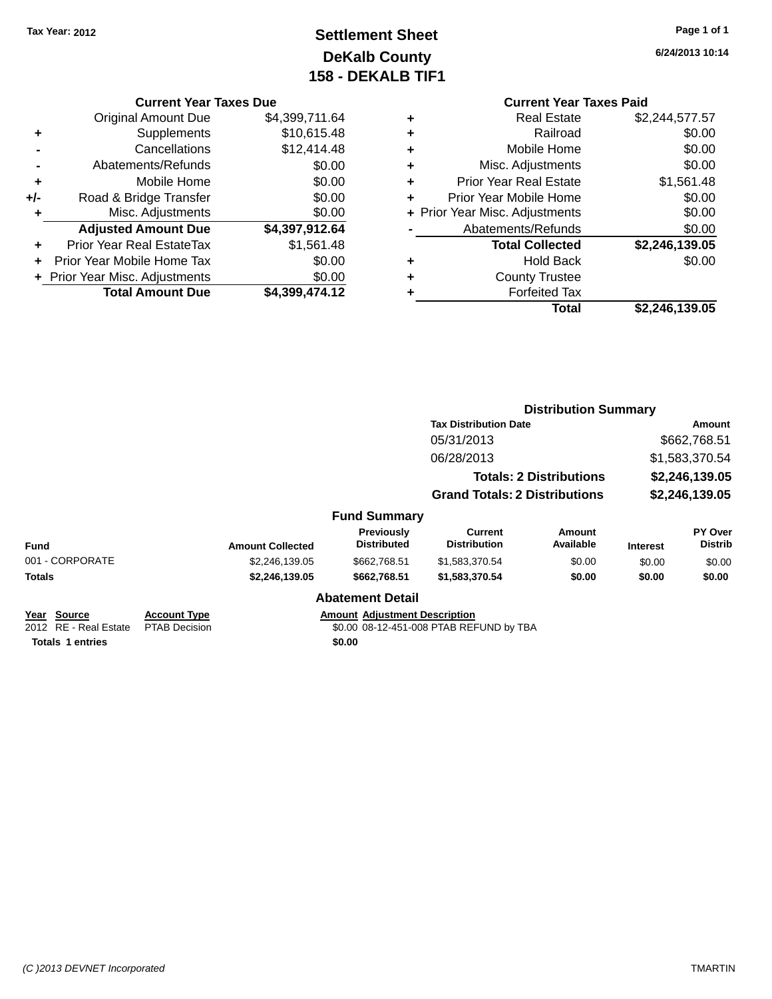# **Settlement Sheet Tax Year: 2012 Page 1 of 1 DeKalb County 158 - DEKALB TIF1**

**6/24/2013 10:14**

#### **Current Year Taxes Due**

|       | <b>Original Amount Due</b>       | \$4,399,711.64 |
|-------|----------------------------------|----------------|
| ٠     | Supplements                      | \$10,615.48    |
|       | Cancellations                    | \$12,414.48    |
|       | Abatements/Refunds               | \$0.00         |
| ٠     | Mobile Home                      | \$0.00         |
| $+/-$ | Road & Bridge Transfer           | \$0.00         |
| ٠     | Misc. Adjustments                | \$0.00         |
|       | <b>Adjusted Amount Due</b>       | \$4,397,912.64 |
| ÷     | <b>Prior Year Real EstateTax</b> | \$1,561.48     |
|       | Prior Year Mobile Home Tax       | \$0.00         |
|       | + Prior Year Misc. Adjustments   | \$0.00         |
|       | <b>Total Amount Due</b>          | \$4.399.474.12 |

|   | <b>Current Year Taxes Paid</b> |                |  |  |  |
|---|--------------------------------|----------------|--|--|--|
| ٠ | <b>Real Estate</b>             | \$2,244,577.57 |  |  |  |
| ÷ | Railroad                       | \$0.00         |  |  |  |
|   | Mobile Home                    | \$0.00         |  |  |  |
| ÷ | Misc. Adjustments              | \$0.00         |  |  |  |
| ÷ | <b>Prior Year Real Estate</b>  | \$1,561.48     |  |  |  |
| ÷ | Prior Year Mobile Home         | \$0.00         |  |  |  |
|   | + Prior Year Misc. Adjustments | \$0.00         |  |  |  |
|   | Abatements/Refunds             | \$0.00         |  |  |  |
|   | <b>Total Collected</b>         | \$2,246,139.05 |  |  |  |
|   | <b>Hold Back</b>               | \$0.00         |  |  |  |
|   | <b>County Trustee</b>          |                |  |  |  |
|   | <b>Forfeited Tax</b>           |                |  |  |  |

**Total \$2,246,139.05**

|                  |                     | <b>Distribution Summary</b>                                            |               |                 |                |  |
|------------------|---------------------|------------------------------------------------------------------------|---------------|-----------------|----------------|--|
|                  |                     | <b>Tax Distribution Date</b>                                           |               |                 | Amount         |  |
|                  |                     | 05/31/2013                                                             |               |                 | \$662,768.51   |  |
|                  |                     | 06/28/2013                                                             |               |                 | \$1,583,370.54 |  |
|                  |                     | <b>Totals: 2 Distributions</b><br><b>Grand Totals: 2 Distributions</b> |               | \$2,246,139.05  |                |  |
|                  |                     |                                                                        |               | \$2,246,139.05  |                |  |
|                  | <b>Fund Summary</b> |                                                                        |               |                 |                |  |
|                  | <b>Previously</b>   | <b>Current</b>                                                         | <b>Amount</b> |                 | <b>PY Over</b> |  |
| <b>Collected</b> | <b>Distributed</b>  | <b>Distribution</b>                                                    | Available     | <b>Interest</b> | <b>Distrib</b> |  |
|                  |                     |                                                                        |               |                 |                |  |

| Fund                    | <b>Amount Collected</b> | <b>Distributed</b> | <b>Distribution</b> | Available | Interest | <b>Distrib</b> |  |  |
|-------------------------|-------------------------|--------------------|---------------------|-----------|----------|----------------|--|--|
| 001 - CORPORATE         | \$2.246.139.05          | \$662,768.51       | \$1.583.370.54      | \$0.00    | \$0.00   | \$0.00         |  |  |
| Totals                  | \$2.246.139.05          | \$662.768.51       | \$1,583,370,54      | \$0.00    | \$0.00   | \$0.00         |  |  |
| <b>Abatement Detail</b> |                         |                    |                     |           |          |                |  |  |

**<u>Year Source</u> <b>Account Type**<br>
2012 RE - Real Estate PTAB Decision Totals 1 entries \$0.00

Amount Adjustment Description<br>\$0.00 08-12-451-008 PTAB REFUND by TBA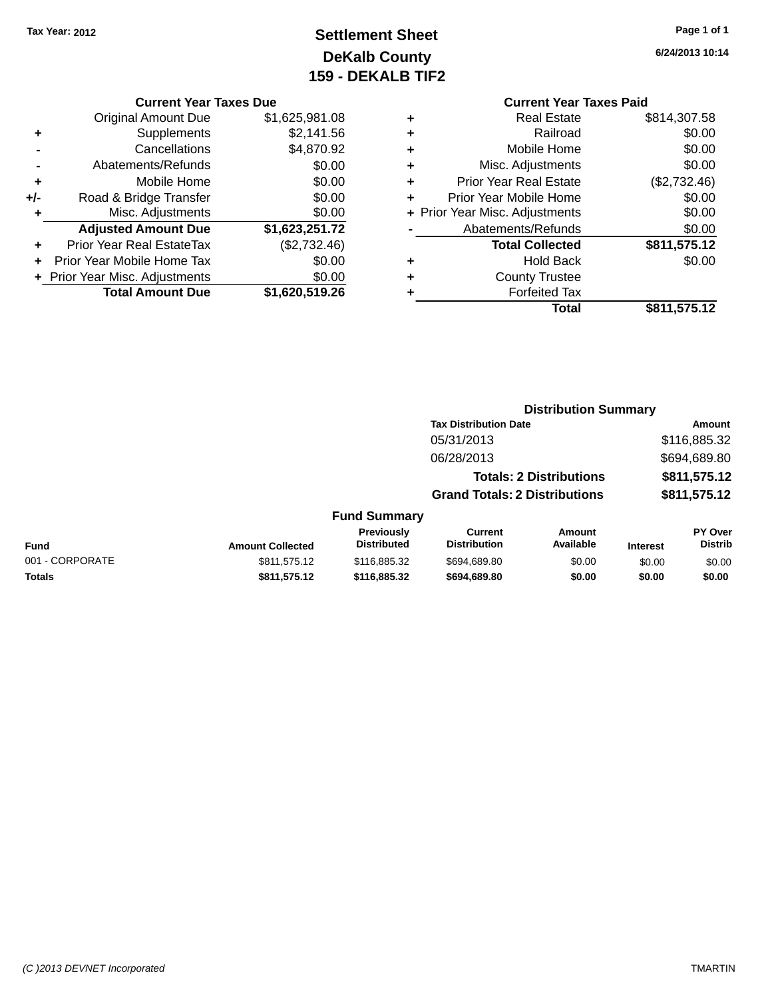# **Settlement Sheet Tax Year: 2012 Page 1 of 1 DeKalb County 159 - DEKALB TIF2**

**6/24/2013 10:14**

#### **Current Year Taxes Due**

|     | <b>Original Amount Due</b>       | \$1,625,981.08 |
|-----|----------------------------------|----------------|
| ٠   | Supplements                      | \$2,141.56     |
|     | Cancellations                    | \$4,870.92     |
|     | Abatements/Refunds               | \$0.00         |
| ٠   | Mobile Home                      | \$0.00         |
| +/- | Road & Bridge Transfer           | \$0.00         |
| ÷   | Misc. Adjustments                | \$0.00         |
|     | <b>Adjusted Amount Due</b>       | \$1,623,251.72 |
|     | <b>Prior Year Real EstateTax</b> | (\$2,732.46)   |
|     | Prior Year Mobile Home Tax       | \$0.00         |
|     | + Prior Year Misc. Adjustments   | \$0.00         |
|     | <b>Total Amount Due</b>          | \$1,620,519.26 |

### **Current Year Taxes Paid**

|   | <b>Real Estate</b>             | \$814,307.58 |
|---|--------------------------------|--------------|
| ٠ | Railroad                       | \$0.00       |
| ٠ | Mobile Home                    | \$0.00       |
| ٠ | Misc. Adjustments              | \$0.00       |
| ٠ | <b>Prior Year Real Estate</b>  | (\$2,732.46) |
| ٠ | Prior Year Mobile Home         | \$0.00       |
|   | + Prior Year Misc. Adjustments | \$0.00       |
|   | Abatements/Refunds             | \$0.00       |
|   | <b>Total Collected</b>         | \$811,575.12 |
| ٠ | Hold Back                      | \$0.00       |
| ٠ | <b>County Trustee</b>          |              |
|   | <b>Forfeited Tax</b>           |              |
|   | Total                          | \$811,575.12 |
|   |                                |              |

#### **Distribution Summary Tax Distribution Date Amount** 05/31/2013 \$116,885.32 06/28/2013 \$694,689.80 **Totals: 2 Distributions \$811,575.12 Grand Totals: 2 Distributions \$811,575.12 Fund Summary PY Over Amount Current Previously**

| <b>Fund</b>     | <b>Amount Collected</b> | Previously<br><b>Distributed</b> | Current<br><b>Distribution</b> | Amount<br>Available | <b>Interest</b> | <b>PY Over</b><br>Distrib |
|-----------------|-------------------------|----------------------------------|--------------------------------|---------------------|-----------------|---------------------------|
| 001 - CORPORATE | \$811,575.12            | \$116,885,32                     | \$694,689.80                   | \$0.00              | \$0.00          | \$0.00                    |
| <b>Totals</b>   | \$811,575.12            | \$116.885.32                     | \$694.689.80                   | \$0.00              | \$0.00          | \$0.00                    |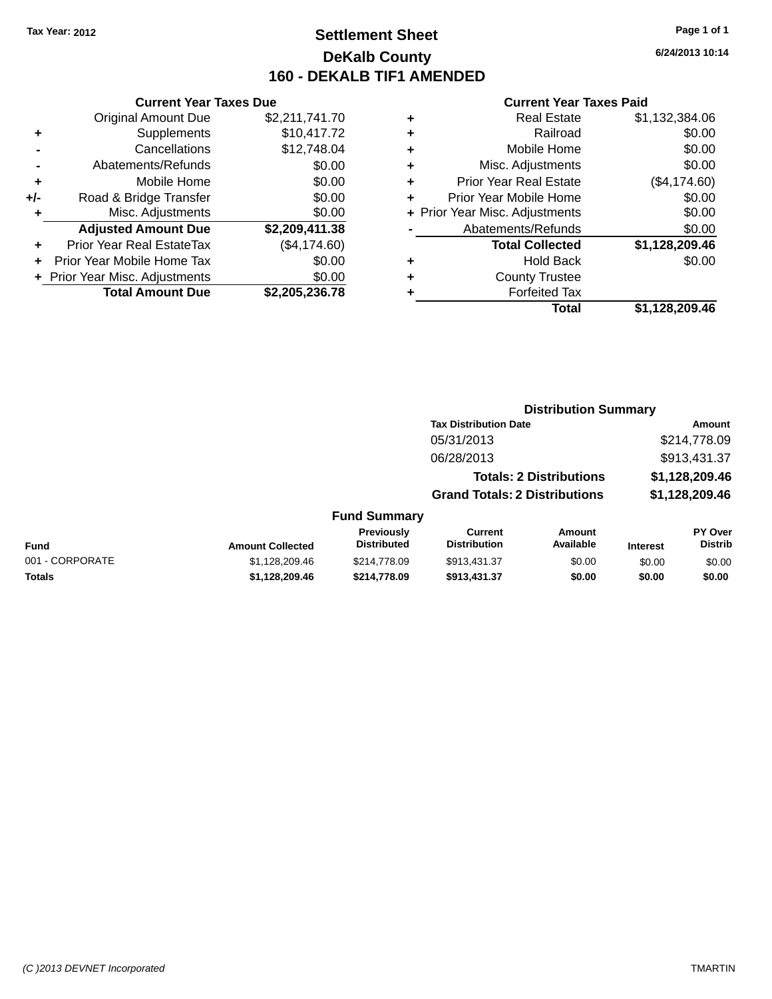### **Settlement Sheet Tax Year: 2012 Page 1 of 1 DeKalb County 160 - DEKALB TIF1 AMENDED**

**6/24/2013 10:14**

|     | <b>Current Year Taxes Due</b>  |                |
|-----|--------------------------------|----------------|
|     | <b>Original Amount Due</b>     | \$2,211,741.70 |
| ٠   | Supplements                    | \$10,417.72    |
|     | Cancellations                  | \$12,748.04    |
|     | Abatements/Refunds             | \$0.00         |
| ٠   | Mobile Home                    | \$0.00         |
| +/- | Road & Bridge Transfer         | \$0.00         |
| ٠   | Misc. Adjustments              | \$0.00         |
|     | <b>Adjusted Amount Due</b>     | \$2,209,411.38 |
| ÷   | Prior Year Real EstateTax      | (\$4,174.60)   |
| ÷   | Prior Year Mobile Home Tax     | \$0.00         |
|     | + Prior Year Misc. Adjustments | \$0.00         |
|     | <b>Total Amount Due</b>        | \$2,205,236.78 |

| <b>Real Estate</b>             | \$1,132,384.06 |
|--------------------------------|----------------|
| Railroad                       | \$0.00         |
| Mobile Home                    | \$0.00         |
| Misc. Adjustments              | \$0.00         |
| <b>Prior Year Real Estate</b>  | (\$4,174.60)   |
| Prior Year Mobile Home         | \$0.00         |
| + Prior Year Misc. Adjustments | \$0.00         |
| Abatements/Refunds             | \$0.00         |
| <b>Total Collected</b>         | \$1,128,209.46 |
| Hold Back                      | \$0.00         |
| <b>County Trustee</b>          |                |
| <b>Forfeited Tax</b>           |                |
| Total                          | \$1,128,209.46 |
|                                |                |

|                 |                         |                                  | <b>Distribution Summary</b>           |                                |                 |                                  |
|-----------------|-------------------------|----------------------------------|---------------------------------------|--------------------------------|-----------------|----------------------------------|
|                 |                         |                                  | <b>Tax Distribution Date</b>          |                                | Amount          |                                  |
|                 |                         |                                  | 05/31/2013                            |                                |                 | \$214,778.09                     |
|                 |                         |                                  | 06/28/2013                            |                                |                 | \$913,431.37                     |
|                 |                         |                                  |                                       | <b>Totals: 2 Distributions</b> |                 | \$1,128,209.46                   |
|                 |                         |                                  | <b>Grand Totals: 2 Distributions</b>  |                                |                 | \$1,128,209.46                   |
|                 |                         | <b>Fund Summary</b>              |                                       |                                |                 |                                  |
| <b>Fund</b>     | <b>Amount Collected</b> | Previously<br><b>Distributed</b> | <b>Current</b><br><b>Distribution</b> | <b>Amount</b><br>Available     | <b>Interest</b> | <b>PY Over</b><br><b>Distrib</b> |
| 001 - CORPORATE | \$1,128,209.46          | \$214,778.09                     | \$913,431.37                          | \$0.00                         | \$0.00          | \$0.00                           |
| <b>Totals</b>   | \$1,128,209.46          | \$214,778.09                     | \$913,431.37                          | \$0.00                         | \$0.00          | \$0.00                           |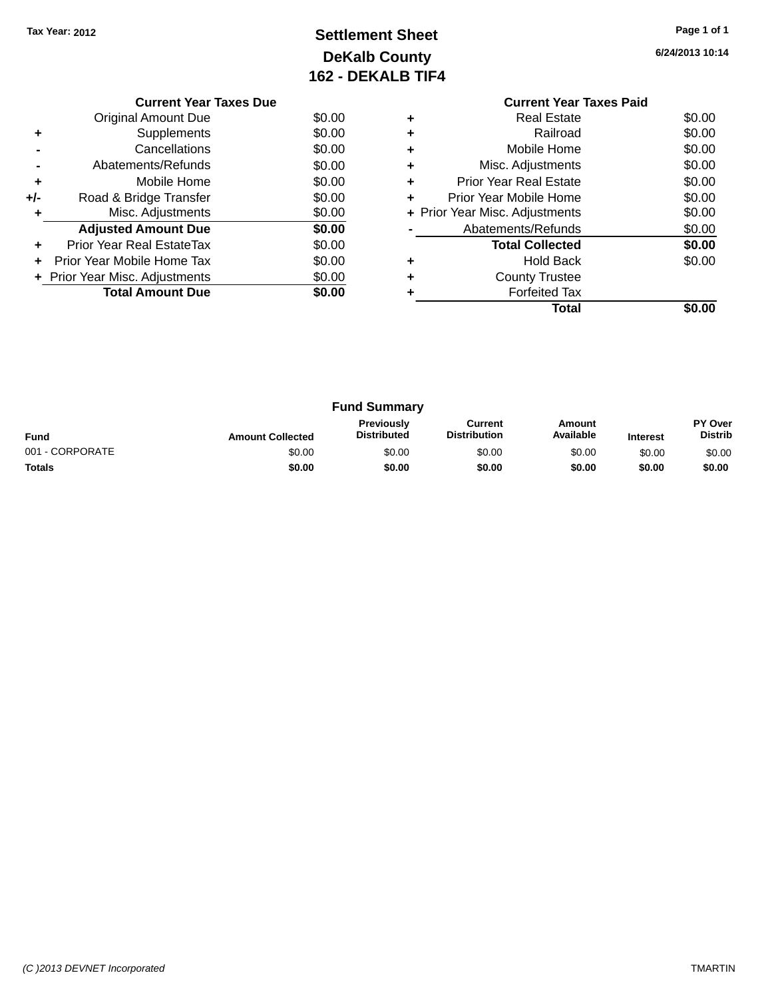# **Settlement Sheet Tax Year: 2012 Page 1 of 1 DeKalb County 162 - DEKALB TIF4**

**6/24/2013 10:14**

|     | <b>Current Year Taxes Due</b>  |        |  |  |  |
|-----|--------------------------------|--------|--|--|--|
|     | <b>Original Amount Due</b>     | \$0.00 |  |  |  |
|     | Supplements                    | \$0.00 |  |  |  |
|     | Cancellations                  | \$0.00 |  |  |  |
|     | \$0.00<br>Abatements/Refunds   |        |  |  |  |
| ٠   | Mobile Home                    | \$0.00 |  |  |  |
| +/- | Road & Bridge Transfer         | \$0.00 |  |  |  |
|     | Misc. Adjustments              | \$0.00 |  |  |  |
|     | <b>Adjusted Amount Due</b>     | \$0.00 |  |  |  |
|     | Prior Year Real EstateTax      | \$0.00 |  |  |  |
| ÷   | Prior Year Mobile Home Tax     | \$0.00 |  |  |  |
|     | + Prior Year Misc. Adjustments | \$0.00 |  |  |  |
|     | <b>Total Amount Due</b>        | \$0.00 |  |  |  |
|     |                                |        |  |  |  |

#### **Current Year Taxes Paid +** Real Estate \$0.00 **+** Railroad \$0.00 **+** Mobile Home \$0.00 **+** Misc. Adjustments \$0.00 **+** Prior Year Real Estate \$0.00 **+** Prior Year Mobile Home \$0.00<br> **+** Prior Year Misc. Adjustments \$0.00 **+ Prior Year Misc. Adjustments -** Abatements/Refunds \$0.00 **Total Collected \$0.00 +** Hold Back \$0.00 **+** County Trustee **+** Forfeited Tax **Total \$0.00**

| <b>Fund Summary</b> |                         |                                         |                                |                     |                 |                           |
|---------------------|-------------------------|-----------------------------------------|--------------------------------|---------------------|-----------------|---------------------------|
| <b>Fund</b>         | <b>Amount Collected</b> | <b>Previously</b><br><b>Distributed</b> | Current<br><b>Distribution</b> | Amount<br>Available | <b>Interest</b> | PY Over<br><b>Distrib</b> |
| 001 - CORPORATE     | \$0.00                  | \$0.00                                  | \$0.00                         | \$0.00              | \$0.00          | \$0.00                    |
| <b>Totals</b>       | \$0.00                  | \$0.00                                  | \$0.00                         | \$0.00              | \$0.00          | \$0.00                    |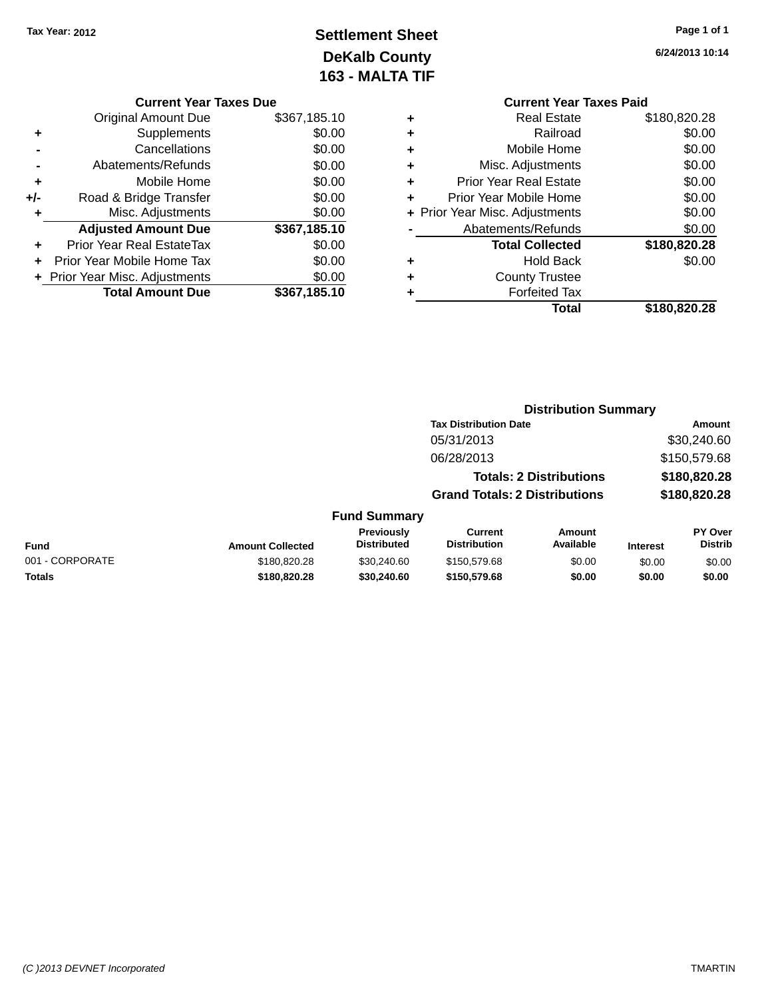# **Settlement Sheet Tax Year: 2012 Page 1 of 1 DeKalb County 163 - MALTA TIF**

| <b>Current Year Taxes Due</b>    |              |  |  |  |  |
|----------------------------------|--------------|--|--|--|--|
| <b>Original Amount Due</b>       | \$367,185.10 |  |  |  |  |
| Supplements                      | \$0.00       |  |  |  |  |
| Cancellations                    | \$0.00       |  |  |  |  |
| Abatements/Refunds               | \$0.00       |  |  |  |  |
| Mobile Home                      | \$0.00       |  |  |  |  |
| Road & Bridge Transfer           | \$0.00       |  |  |  |  |
| Misc. Adjustments                | \$0.00       |  |  |  |  |
| <b>Adjusted Amount Due</b>       | \$367,185.10 |  |  |  |  |
| <b>Prior Year Real EstateTax</b> | \$0.00       |  |  |  |  |
| Prior Year Mobile Home Tax       | \$0.00       |  |  |  |  |
| + Prior Year Misc. Adjustments   | \$0.00       |  |  |  |  |
| <b>Total Amount Due</b>          | \$367,185.10 |  |  |  |  |
|                                  |              |  |  |  |  |

|   | <b>Current Year Taxes Paid</b> |              |
|---|--------------------------------|--------------|
|   | Real Estate                    | \$180,820.28 |
| ٠ | Railroad                       | \$0.00       |
|   | Mobile Home                    | \$0.00       |
|   | Misc. Adjustments              | \$0.00       |
| ÷ | <b>Prior Year Real Estate</b>  | \$0.00       |
|   | Prior Year Mobile Home         | \$0.00       |
|   | + Prior Year Misc. Adjustments | \$0.00       |
|   | Abatements/Refunds             | \$0.00       |
|   | <b>Total Collected</b>         | \$180,820.28 |
|   | Hold Back                      | \$0.00       |
|   | <b>County Trustee</b>          |              |
|   | <b>Forfeited Tax</b>           |              |
|   | Total                          | \$180,820.28 |
|   |                                |              |

|                 |                         |                                  | <b>Distribution Summary</b>           |                                |                 |                           |
|-----------------|-------------------------|----------------------------------|---------------------------------------|--------------------------------|-----------------|---------------------------|
|                 |                         |                                  | <b>Tax Distribution Date</b>          |                                |                 | Amount                    |
|                 |                         |                                  | 05/31/2013                            |                                |                 | \$30,240.60               |
|                 |                         |                                  | 06/28/2013                            |                                |                 | \$150,579.68              |
|                 |                         |                                  |                                       | <b>Totals: 2 Distributions</b> |                 | \$180,820.28              |
|                 |                         |                                  | <b>Grand Totals: 2 Distributions</b>  |                                |                 | \$180,820.28              |
|                 |                         | <b>Fund Summary</b>              |                                       |                                |                 |                           |
| <b>Fund</b>     | <b>Amount Collected</b> | Previously<br><b>Distributed</b> | <b>Current</b><br><b>Distribution</b> | Amount<br>Available            | <b>Interest</b> | PY Over<br><b>Distrib</b> |
| 001 - CORPORATE | \$180,820,28            | \$30,240.60                      | \$150,579.68                          | \$0.00                         | \$0.00          | \$0.00                    |
| <b>Totals</b>   | \$180,820.28            | \$30,240.60                      | \$150,579.68                          | \$0.00                         | \$0.00          | \$0.00                    |
|                 |                         |                                  |                                       |                                |                 |                           |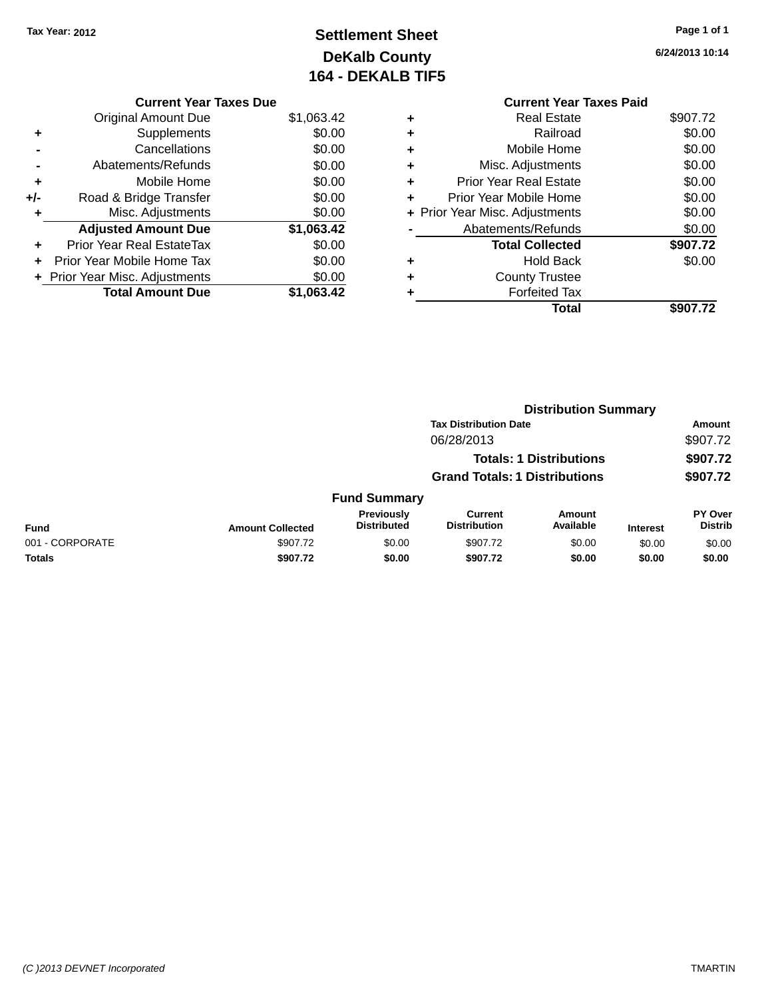# **Settlement Sheet Tax Year: 2012 Page 1 of 1 DeKalb County 164 - DEKALB TIF5**

|   | <b>Current Year Taxes Paid</b> |          |
|---|--------------------------------|----------|
| ٠ | <b>Real Estate</b>             | \$907.72 |
| ÷ | Railroad                       | \$0.00   |
| ÷ | Mobile Home                    | \$0.00   |
| ÷ | Misc. Adjustments              | \$0.00   |
| ٠ | <b>Prior Year Real Estate</b>  | \$0.00   |
| ÷ | Prior Year Mobile Home         | \$0.00   |
|   | + Prior Year Misc. Adjustments | \$0.00   |
|   | Abatements/Refunds             | \$0.00   |
|   | <b>Total Collected</b>         | \$907.72 |
| ٠ | <b>Hold Back</b>               | \$0.00   |
| ÷ | <b>County Trustee</b>          |          |
| ٠ | <b>Forfeited Tax</b>           |          |
|   | Total                          | \$907.72 |

|     | <b>Current Year Taxes Due</b>  |            |
|-----|--------------------------------|------------|
|     | <b>Original Amount Due</b>     | \$1,063.42 |
|     | Supplements                    | \$0.00     |
|     | Cancellations                  | \$0.00     |
|     | Abatements/Refunds             | \$0.00     |
| ٠   | Mobile Home                    | \$0.00     |
| +/- | Road & Bridge Transfer         | \$0.00     |
| ٠   | Misc. Adjustments              | \$0.00     |
|     | <b>Adjusted Amount Due</b>     | \$1,063.42 |
|     | Prior Year Real EstateTax      | \$0.00     |
|     | Prior Year Mobile Home Tax     | \$0.00     |
|     | + Prior Year Misc. Adjustments | \$0.00     |
|     | <b>Total Amount Due</b>        | \$1,063.42 |
|     |                                |            |

|                 |                         |                                  | <b>Distribution Summary</b>          |                                |                 |                                  |  |
|-----------------|-------------------------|----------------------------------|--------------------------------------|--------------------------------|-----------------|----------------------------------|--|
|                 |                         |                                  | <b>Tax Distribution Date</b>         |                                |                 | Amount                           |  |
|                 |                         |                                  | 06/28/2013                           |                                |                 | \$907.72                         |  |
|                 |                         |                                  |                                      | <b>Totals: 1 Distributions</b> |                 | \$907.72                         |  |
|                 |                         |                                  | <b>Grand Totals: 1 Distributions</b> |                                |                 | \$907.72                         |  |
|                 |                         | <b>Fund Summary</b>              |                                      |                                |                 |                                  |  |
| <b>Fund</b>     | <b>Amount Collected</b> | Previously<br><b>Distributed</b> | Current<br><b>Distribution</b>       | <b>Amount</b><br>Available     | <b>Interest</b> | <b>PY Over</b><br><b>Distrib</b> |  |
| 001 - CORPORATE | \$907.72                | \$0.00                           | \$907.72                             | \$0.00                         | \$0.00          | \$0.00                           |  |
| <b>Totals</b>   | \$907.72                | \$0.00                           | \$907.72                             | \$0.00                         | \$0.00          | \$0.00                           |  |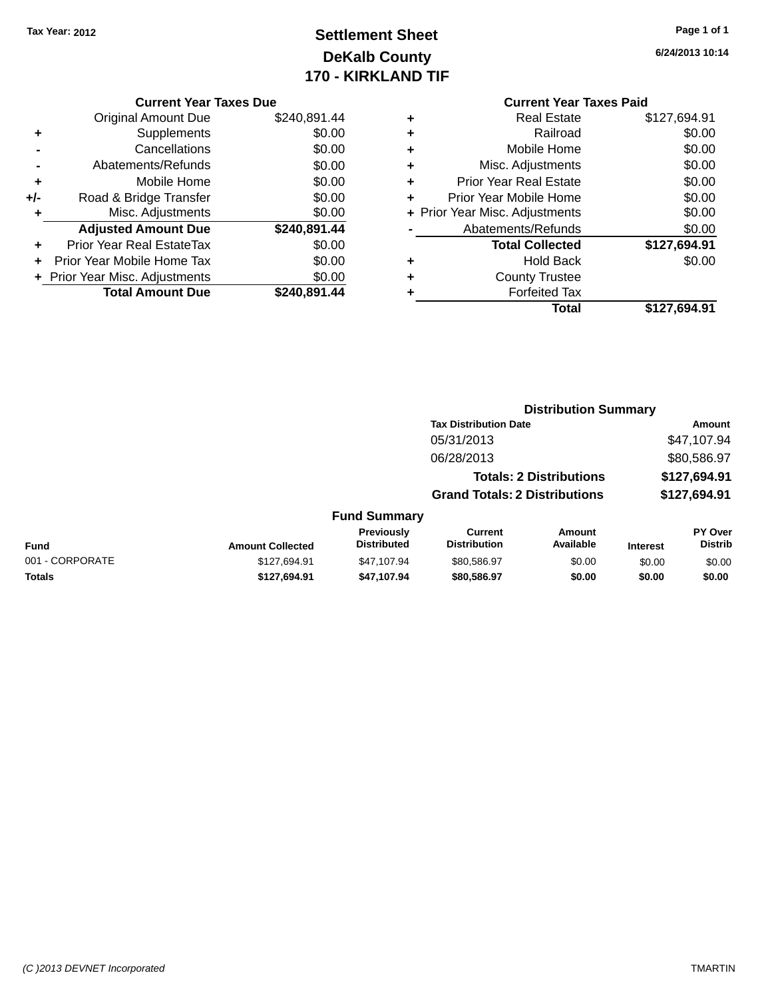# **Settlement Sheet Tax Year: 2012 Page 1 of 1 DeKalb County 170 - KIRKLAND TIF**

|     | <b>Current Year Taxes Due</b>  |              |
|-----|--------------------------------|--------------|
|     | <b>Original Amount Due</b>     | \$240,891.44 |
| ٠   | Supplements                    | \$0.00       |
|     | Cancellations                  | \$0.00       |
|     | Abatements/Refunds             | \$0.00       |
| ٠   | Mobile Home                    | \$0.00       |
| +/- | Road & Bridge Transfer         | \$0.00       |
|     | Misc. Adjustments              | \$0.00       |
|     | <b>Adjusted Amount Due</b>     | \$240,891.44 |
| ٠   | Prior Year Real EstateTax      | \$0.00       |
|     | Prior Year Mobile Home Tax     | \$0.00       |
|     | + Prior Year Misc. Adjustments | \$0.00       |
|     | <b>Total Amount Due</b>        | \$240.891.44 |
|     |                                |              |

|   | <b>Current Year Taxes Paid</b> |              |
|---|--------------------------------|--------------|
| ٠ | Real Estate                    | \$127,694.91 |
| ٠ | Railroad                       | \$0.00       |
| ٠ | Mobile Home                    | \$0.00       |
| ٠ | Misc. Adjustments              | \$0.00       |
| ٠ | <b>Prior Year Real Estate</b>  | \$0.00       |
| ÷ | Prior Year Mobile Home         | \$0.00       |
|   | + Prior Year Misc. Adjustments | \$0.00       |
|   | Abatements/Refunds             | \$0.00       |
|   | <b>Total Collected</b>         | \$127,694.91 |
| ٠ | Hold Back                      | \$0.00       |
|   | <b>County Trustee</b>          |              |
|   | <b>Forfeited Tax</b>           |              |
|   | Total                          | \$127,694.91 |

|                 |                         |                                  | <b>Distribution Summary</b>           |                                |                 |                           |
|-----------------|-------------------------|----------------------------------|---------------------------------------|--------------------------------|-----------------|---------------------------|
|                 |                         |                                  | <b>Tax Distribution Date</b>          |                                |                 | Amount                    |
|                 |                         |                                  | 05/31/2013                            |                                |                 | \$47,107.94               |
|                 |                         |                                  | 06/28/2013                            |                                |                 | \$80,586.97               |
|                 |                         |                                  |                                       | <b>Totals: 2 Distributions</b> |                 | \$127,694.91              |
|                 |                         |                                  | <b>Grand Totals: 2 Distributions</b>  |                                |                 | \$127,694.91              |
|                 |                         | <b>Fund Summary</b>              |                                       |                                |                 |                           |
| <b>Fund</b>     | <b>Amount Collected</b> | Previously<br><b>Distributed</b> | <b>Current</b><br><b>Distribution</b> | Amount<br>Available            | <b>Interest</b> | PY Over<br><b>Distrib</b> |
| 001 - CORPORATE | \$127.694.91            | \$47.107.94                      | \$80,586.97                           | \$0.00                         | \$0.00          | \$0.00                    |
| <b>Totals</b>   | \$127,694.91            | \$47.107.94                      | \$80,586.97                           | \$0.00                         | \$0.00          | \$0.00                    |
|                 |                         |                                  |                                       |                                |                 |                           |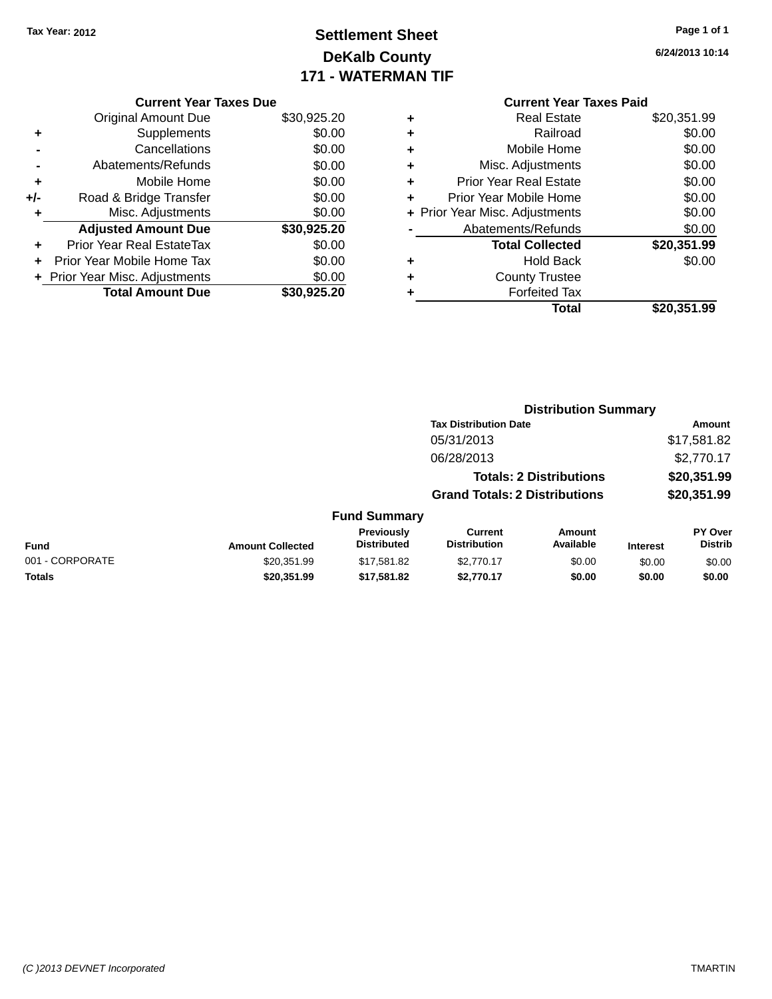# **Settlement Sheet Tax Year: 2012 Page 1 of 1 DeKalb County 171 - WATERMAN TIF**

**6/24/2013 10:14**

|     | <b>Current Year Taxes Due</b>  |             |
|-----|--------------------------------|-------------|
|     | <b>Original Amount Due</b>     | \$30,925.20 |
| ٠   | Supplements                    | \$0.00      |
|     | Cancellations                  | \$0.00      |
|     | Abatements/Refunds             | \$0.00      |
| ٠   | Mobile Home                    | \$0.00      |
| +/- | Road & Bridge Transfer         | \$0.00      |
| ٠   | Misc. Adjustments              | \$0.00      |
|     | <b>Adjusted Amount Due</b>     | \$30,925.20 |
| ٠   | Prior Year Real EstateTax      | \$0.00      |
|     | Prior Year Mobile Home Tax     | \$0.00      |
|     | + Prior Year Misc. Adjustments | \$0.00      |
|     | <b>Total Amount Due</b>        | \$30,925,20 |
|     |                                |             |

# **Current Year Taxes Paid +** Real Estate \$20,351.99

|   | Total                          | \$20,351.99 |
|---|--------------------------------|-------------|
|   | <b>Forfeited Tax</b>           |             |
| ٠ | <b>County Trustee</b>          |             |
| ٠ | <b>Hold Back</b>               | \$0.00      |
|   | <b>Total Collected</b>         | \$20,351.99 |
|   | Abatements/Refunds             | \$0.00      |
|   | + Prior Year Misc. Adjustments | \$0.00      |
| ÷ | Prior Year Mobile Home         | \$0.00      |
| ٠ | <b>Prior Year Real Estate</b>  | \$0.00      |
| ٠ | Misc. Adjustments              | \$0.00      |
| ٠ | Mobile Home                    | \$0.00      |
|   | Railroad                       | \$0.00      |

|                 |                         | <b>Distribution Summary</b>             |                                       |                                |                 |                           |
|-----------------|-------------------------|-----------------------------------------|---------------------------------------|--------------------------------|-----------------|---------------------------|
|                 |                         |                                         | <b>Tax Distribution Date</b>          |                                |                 | Amount                    |
|                 |                         |                                         | 05/31/2013                            |                                |                 | \$17,581.82               |
|                 |                         |                                         | 06/28/2013                            |                                |                 | \$2,770.17                |
|                 |                         |                                         |                                       | <b>Totals: 2 Distributions</b> |                 | \$20,351.99               |
|                 |                         |                                         | <b>Grand Totals: 2 Distributions</b>  |                                |                 | \$20,351.99               |
|                 |                         | <b>Fund Summary</b>                     |                                       |                                |                 |                           |
| <b>Fund</b>     | <b>Amount Collected</b> | <b>Previously</b><br><b>Distributed</b> | <b>Current</b><br><b>Distribution</b> | Amount<br>Available            | <b>Interest</b> | PY Over<br><b>Distrib</b> |
| 001 - CORPORATE | \$20,351.99             | \$17,581.82                             | \$2,770.17                            | \$0.00                         | \$0.00          | \$0.00                    |
| <b>Totals</b>   | \$20,351.99             | \$17,581.82                             | \$2,770.17                            | \$0.00                         | \$0.00          | \$0.00                    |
|                 |                         |                                         |                                       |                                |                 |                           |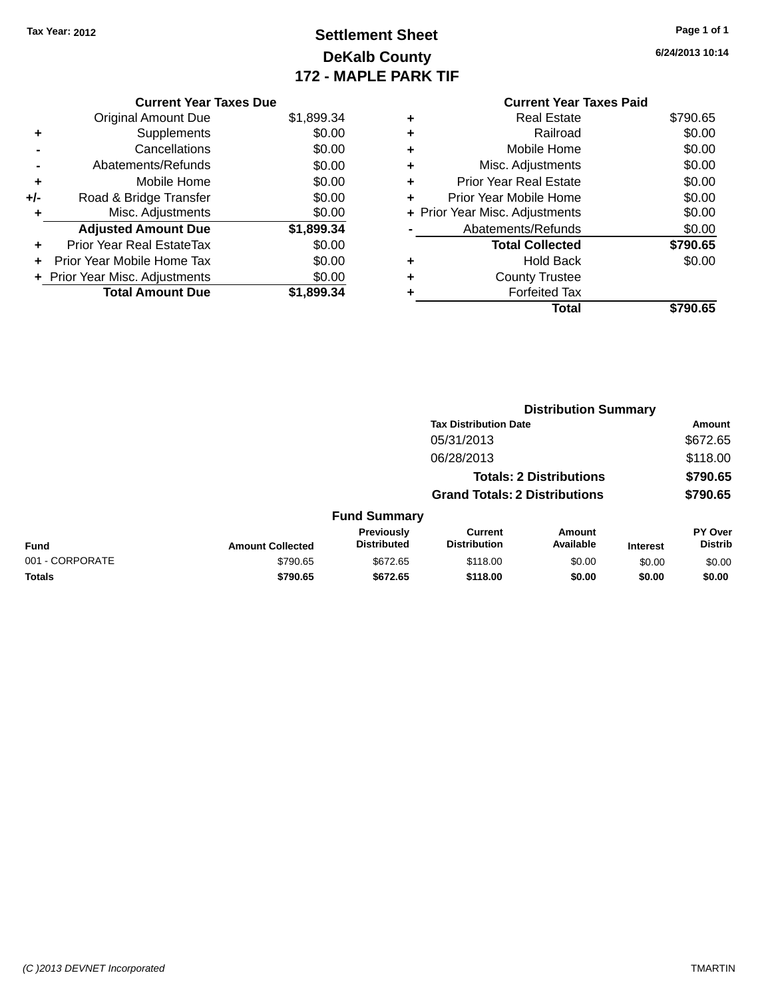Original Amount Due

**Adjusted Amount Due** 

**Total Amount Due** 

**+** Supplements **-** Cancellations **-** Abatements/Refunds **+** Mobile Home **+/-** Road & Bridge Transfer **+** Misc. Adjustments

**+** Prior Year Real EstateTax \$0.00 **+** Prior Year Mobile Home Tax **+** Prior Year Misc. Adjustments

# **Settlement Sheet Tax Year: 2012 Page 1 of 1 DeKalb County 172 - MAPLE PARK TIF**

**6/24/2013 10:14**

**Distribution Summary**

| <b>Current Year Taxes Due</b> |            |   | <b>Current Year Taxes Paid</b> |          |
|-------------------------------|------------|---|--------------------------------|----------|
| ่<br>เl Amount Due            | \$1,899.34 | ٠ | <b>Real Estate</b>             | \$790.65 |
| Supplements                   | \$0.00     | ٠ | Railroad                       | \$0.00   |
| Cancellations                 | \$0.00     | ٠ | Mobile Home                    | \$0.00   |
| าents/Refunds                 | \$0.00     | ٠ | Misc. Adjustments              | \$0.00   |
| Mobile Home                   | \$0.00     | ÷ | <b>Prior Year Real Estate</b>  | \$0.00   |
| ridge Transfer                | \$0.00     | ÷ | Prior Year Mobile Home         | \$0.00   |
| . Adjustments                 | \$0.00     |   | + Prior Year Misc. Adjustments | \$0.00   |
| <b>Amount Due</b>             | \$1,899.34 |   | Abatements/Refunds             | \$0.00   |
| leal EstateTax≀               | \$0.00     |   | <b>Total Collected</b>         | \$790.65 |
| bile Home Tax                 | \$0.00     | ÷ | <b>Hold Back</b>               | \$0.00   |
| . Adjustments                 | \$0.00     | ٠ | <b>County Trustee</b>          |          |
| <b>Amount Due</b>             | \$1,899.34 |   | <b>Forfeited Tax</b>           |          |
|                               |            |   | <b>Total</b>                   | \$790.65 |

|                 |                         |                                  | <b>Tax Distribution Date</b>          |                                |                 | <b>Amount</b>             |
|-----------------|-------------------------|----------------------------------|---------------------------------------|--------------------------------|-----------------|---------------------------|
|                 |                         |                                  | 05/31/2013                            |                                |                 | \$672.65                  |
|                 |                         |                                  | 06/28/2013                            |                                |                 | \$118.00                  |
|                 |                         |                                  |                                       | <b>Totals: 2 Distributions</b> |                 | \$790.65                  |
|                 |                         |                                  | <b>Grand Totals: 2 Distributions</b>  |                                |                 | \$790.65                  |
|                 |                         | <b>Fund Summary</b>              |                                       |                                |                 |                           |
| <b>Fund</b>     | <b>Amount Collected</b> | Previously<br><b>Distributed</b> | <b>Current</b><br><b>Distribution</b> | Amount<br>Available            | <b>Interest</b> | PY Over<br><b>Distrib</b> |
| 001 - CORPORATE | \$790.65                | \$672.65                         | \$118.00                              | \$0.00                         | \$0.00          | \$0.00                    |
| Totals          | \$790.65                | \$672.65                         | \$118.00                              | \$0.00                         | \$0.00          | \$0.00                    |
|                 |                         |                                  |                                       |                                |                 |                           |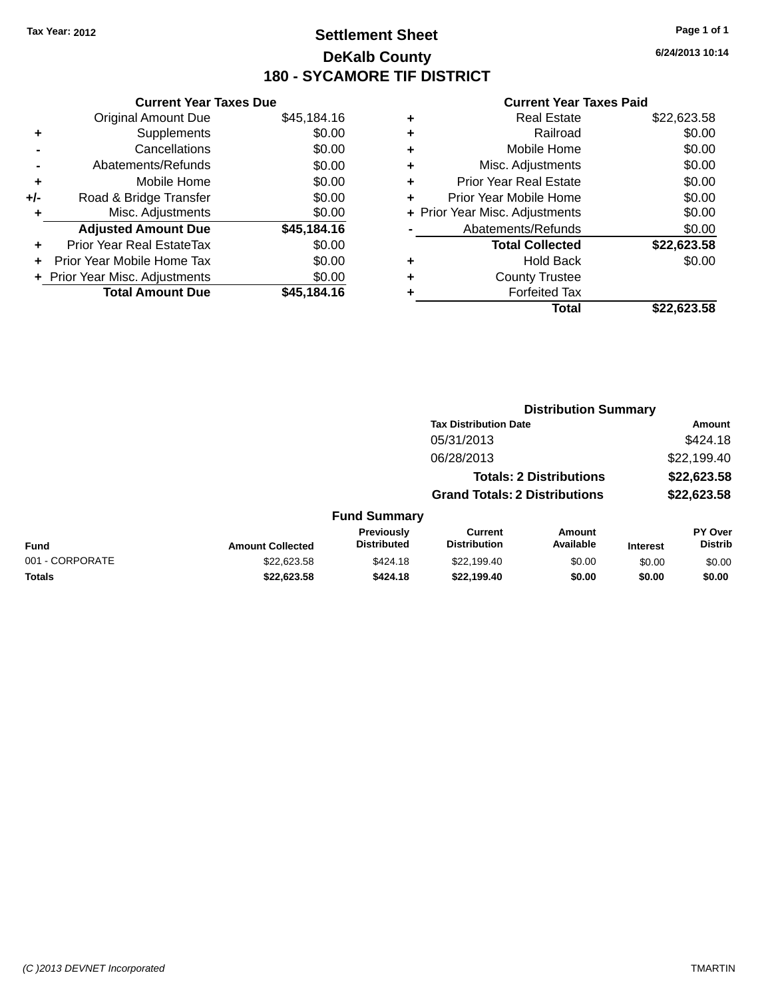### **Settlement Sheet Tax Year: 2012 Page 1 of 1 DeKalb County 180 - SYCAMORE TIF DISTRICT**

**6/24/2013 10:14**

| <b>Original Amount Due</b>   | \$45,184.16                   |
|------------------------------|-------------------------------|
| Supplements                  | \$0.00                        |
| Cancellations                | \$0.00                        |
| Abatements/Refunds           | \$0.00                        |
| Mobile Home                  | \$0.00                        |
| Road & Bridge Transfer       | \$0.00                        |
| Misc. Adjustments            | \$0.00                        |
| <b>Adjusted Amount Due</b>   | \$45,184.16                   |
| Prior Year Real EstateTax    | \$0.00                        |
| Prior Year Mobile Home Tax   | \$0.00                        |
| Prior Year Misc. Adjustments | \$0.00                        |
| <b>Total Amount Due</b>      | \$45.184.16                   |
|                              | <b>Current Year Taxes Due</b> |

|   | <b>Real Estate</b>             | \$22,623.58 |
|---|--------------------------------|-------------|
| ٠ | Railroad                       | \$0.00      |
| ٠ | Mobile Home                    | \$0.00      |
| ٠ | Misc. Adjustments              | \$0.00      |
| ٠ | <b>Prior Year Real Estate</b>  | \$0.00      |
| ٠ | Prior Year Mobile Home         | \$0.00      |
|   | + Prior Year Misc. Adjustments | \$0.00      |
|   | Abatements/Refunds             | \$0.00      |
|   | <b>Total Collected</b>         | \$22,623.58 |
| ٠ | <b>Hold Back</b>               | \$0.00      |
| ٠ | <b>County Trustee</b>          |             |
| ٠ | <b>Forfeited Tax</b>           |             |
|   | Total                          | \$22,623,58 |
|   |                                |             |

|                 |                         |                                  |                                       | <b>Distribution Summary</b>    |                 |                                  |
|-----------------|-------------------------|----------------------------------|---------------------------------------|--------------------------------|-----------------|----------------------------------|
|                 |                         |                                  | <b>Tax Distribution Date</b>          |                                |                 | Amount                           |
|                 |                         |                                  | 05/31/2013                            |                                |                 | \$424.18                         |
|                 |                         |                                  | 06/28/2013                            |                                |                 | \$22,199.40                      |
|                 |                         |                                  |                                       | <b>Totals: 2 Distributions</b> |                 | \$22,623.58                      |
|                 |                         |                                  | <b>Grand Totals: 2 Distributions</b>  |                                |                 | \$22,623.58                      |
|                 |                         | <b>Fund Summary</b>              |                                       |                                |                 |                                  |
| <b>Fund</b>     | <b>Amount Collected</b> | Previously<br><b>Distributed</b> | <b>Current</b><br><b>Distribution</b> | Amount<br>Available            | <b>Interest</b> | <b>PY Over</b><br><b>Distrib</b> |
| 001 - CORPORATE | \$22,623.58             | \$424.18                         | \$22,199.40                           | \$0.00                         | \$0.00          | \$0.00                           |
| Totals          | \$22,623.58             | \$424.18                         | \$22,199.40                           | \$0.00                         | \$0.00          | \$0.00                           |
|                 |                         |                                  |                                       |                                |                 |                                  |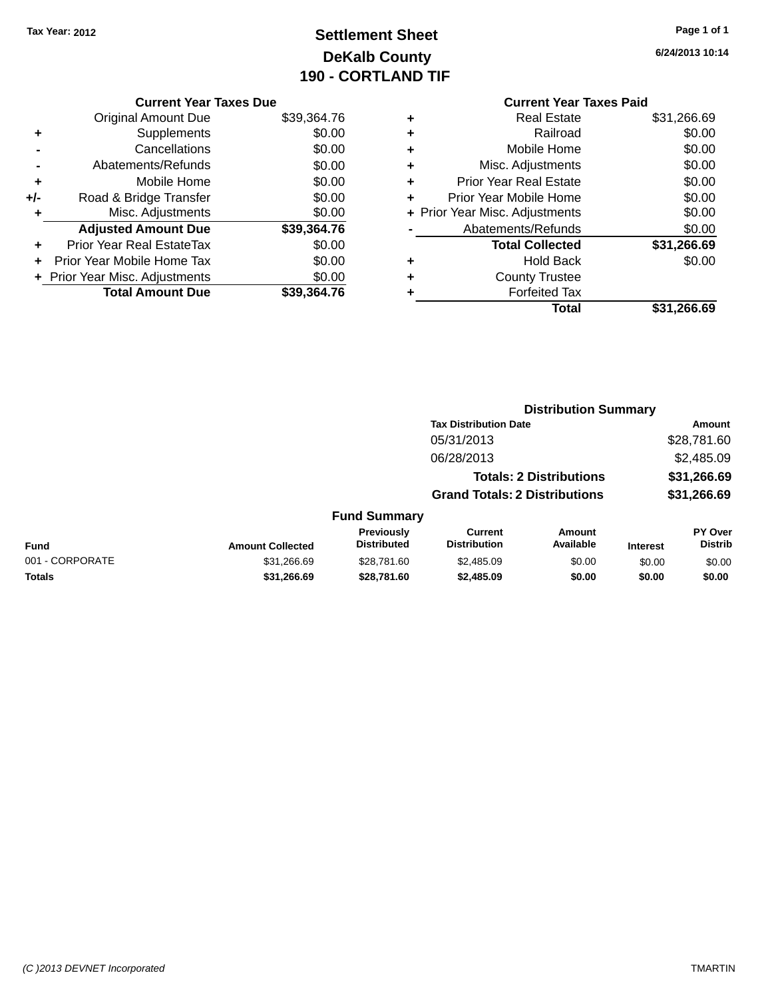# **Settlement Sheet Tax Year: 2012 Page 1 of 1 DeKalb County 190 - CORTLAND TIF**

|     | <b>Current Year Taxes Due</b>    |             |  |
|-----|----------------------------------|-------------|--|
|     | <b>Original Amount Due</b>       | \$39,364.76 |  |
| ٠   | Supplements                      | \$0.00      |  |
|     | Cancellations                    | \$0.00      |  |
|     | Abatements/Refunds               | \$0.00      |  |
| ÷   | Mobile Home                      | \$0.00      |  |
| +/- | Road & Bridge Transfer           | \$0.00      |  |
| ÷   | Misc. Adjustments                | \$0.00      |  |
|     | <b>Adjusted Amount Due</b>       | \$39,364.76 |  |
| ٠   | <b>Prior Year Real EstateTax</b> | \$0.00      |  |
|     | Prior Year Mobile Home Tax       | \$0.00      |  |

**+ Prior Year Misc. Adjustments**  $$0.00$ 

**Total Amount Due \$39,364.76**

#### **Current Year Taxes Paid +** Real Estate \$31,266.69 **+** Railroad \$0.00 **+** Mobile Home \$0.00 **+** Misc. Adjustments \$0.00 **+** Prior Year Real Estate \$0.00 **+** Prior Year Mobile Home \$0.00 **+** Prior Year Misc. Adjustments  $$0.00$ **-** Abatements/Refunds \$0.00 **Total Collected \$31,266.69 +** Hold Back \$0.00 **+** County Trustee **+** Forfeited Tax **Total \$31,266.69**

**Distribution Summary**

|                 |                         |                                         | <b>Tax Distribution Date</b>          |                                |                 | Amount                           |
|-----------------|-------------------------|-----------------------------------------|---------------------------------------|--------------------------------|-----------------|----------------------------------|
|                 |                         |                                         | 05/31/2013                            |                                |                 | \$28,781.60                      |
|                 |                         |                                         | 06/28/2013                            |                                |                 | \$2,485.09                       |
|                 |                         |                                         |                                       | <b>Totals: 2 Distributions</b> |                 | \$31,266.69                      |
|                 |                         |                                         | <b>Grand Totals: 2 Distributions</b>  |                                |                 | \$31,266.69                      |
|                 |                         | <b>Fund Summary</b>                     |                                       |                                |                 |                                  |
| <b>Fund</b>     | <b>Amount Collected</b> | <b>Previously</b><br><b>Distributed</b> | <b>Current</b><br><b>Distribution</b> | Amount<br>Available            | <b>Interest</b> | <b>PY Over</b><br><b>Distrib</b> |
| 001 - CORPORATE | \$31,266.69             | \$28,781.60                             | \$2,485.09                            | \$0.00                         | \$0.00          | \$0.00                           |
| <b>Totals</b>   | \$31,266.69             | \$28,781.60                             | \$2,485.09                            | \$0.00                         | \$0.00          | \$0.00                           |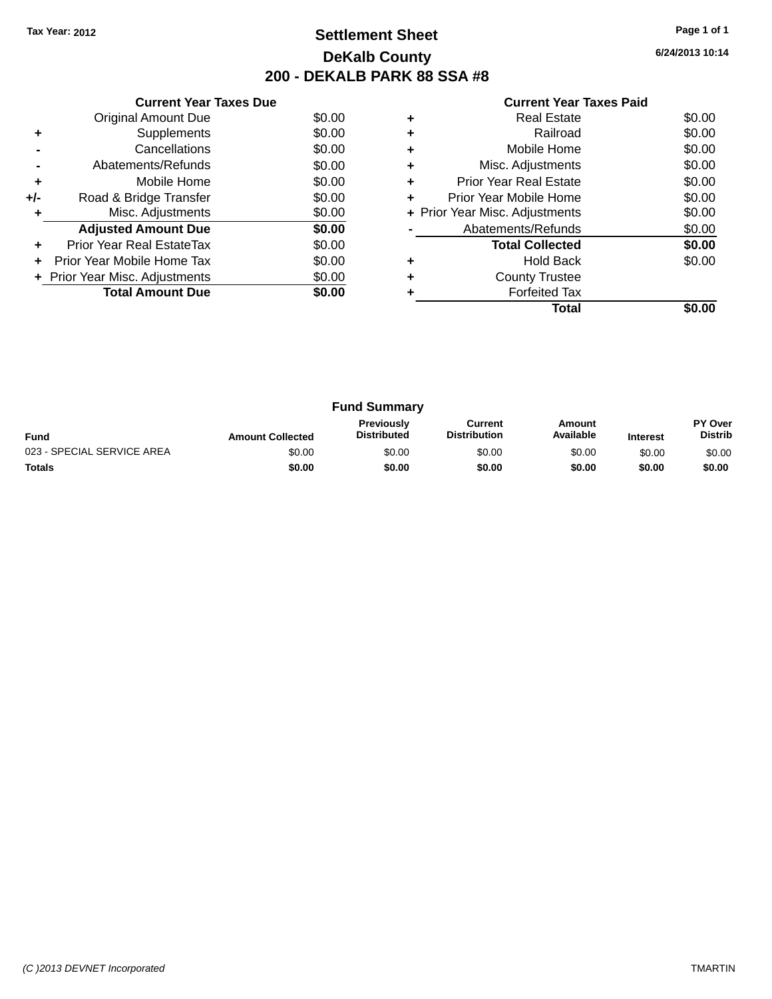### **Settlement Sheet Tax Year: 2012 Page 1 of 1 DeKalb County 200 - DEKALB PARK 88 SSA #8**

**6/24/2013 10:14**

|     | <b>Current Year Taxes Due</b>  |        |
|-----|--------------------------------|--------|
|     | Original Amount Due            | \$0.00 |
| ٠   | Supplements                    | \$0.00 |
|     | Cancellations                  | \$0.00 |
|     | Abatements/Refunds             | \$0.00 |
| ٠   | Mobile Home                    | \$0.00 |
| +/- | Road & Bridge Transfer         | \$0.00 |
| ٠   | Misc. Adjustments              | \$0.00 |
|     | <b>Adjusted Amount Due</b>     | \$0.00 |
|     | Prior Year Real EstateTax      | \$0.00 |
|     | Prior Year Mobile Home Tax     | \$0.00 |
|     | + Prior Year Misc. Adjustments | \$0.00 |
|     | <b>Total Amount Due</b>        | \$0.00 |
|     |                                |        |

|   | <b>Real Estate</b>             | \$0.00 |
|---|--------------------------------|--------|
| ٠ | Railroad                       | \$0.00 |
| ٠ | Mobile Home                    | \$0.00 |
| ٠ | Misc. Adjustments              | \$0.00 |
| ٠ | <b>Prior Year Real Estate</b>  | \$0.00 |
| ٠ | Prior Year Mobile Home         | \$0.00 |
|   | + Prior Year Misc. Adjustments | \$0.00 |
|   | Abatements/Refunds             | \$0.00 |
|   | <b>Total Collected</b>         | \$0.00 |
| ٠ | <b>Hold Back</b>               | \$0.00 |
| ÷ | <b>County Trustee</b>          |        |
|   | <b>Forfeited Tax</b>           |        |
|   | Total                          |        |

| <b>Fund Summary</b>        |                         |                                         |                                |                     |                 |                                  |
|----------------------------|-------------------------|-----------------------------------------|--------------------------------|---------------------|-----------------|----------------------------------|
| <b>Fund</b>                | <b>Amount Collected</b> | <b>Previously</b><br><b>Distributed</b> | Current<br><b>Distribution</b> | Amount<br>Available | <b>Interest</b> | <b>PY Over</b><br><b>Distrib</b> |
| 023 - SPECIAL SERVICE AREA | \$0.00                  | \$0.00                                  | \$0.00                         | \$0.00              | \$0.00          | \$0.00                           |
| <b>Totals</b>              | \$0.00                  | \$0.00                                  | \$0.00                         | \$0.00              | \$0.00          | \$0.00                           |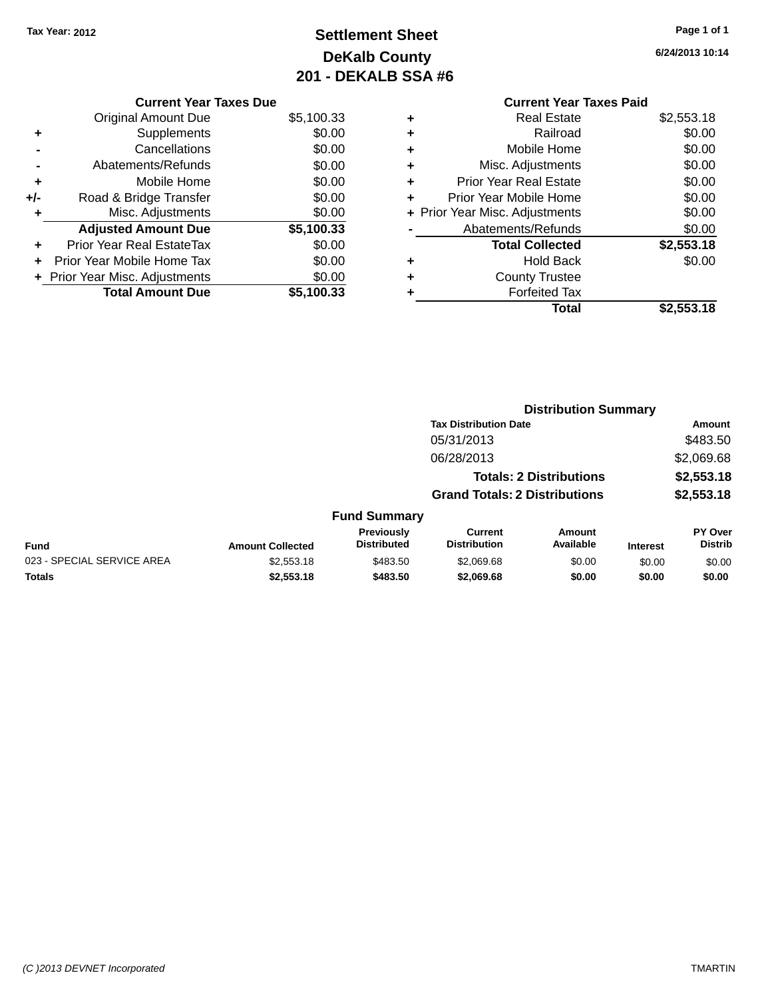# **Settlement Sheet Tax Year: 2012 Page 1 of 1 DeKalb County 201 - DEKALB SSA #6**

**6/24/2013 10:14**

|     | <b>Current Year Taxes Due</b>    |            |
|-----|----------------------------------|------------|
|     | <b>Original Amount Due</b>       | \$5,100.33 |
| ٠   | Supplements                      | \$0.00     |
|     | Cancellations                    | \$0.00     |
|     | Abatements/Refunds               | \$0.00     |
| ٠   | Mobile Home                      | \$0.00     |
| +/- | Road & Bridge Transfer           | \$0.00     |
| ٠   | Misc. Adjustments                | \$0.00     |
|     | <b>Adjusted Amount Due</b>       | \$5,100.33 |
| ٠   | <b>Prior Year Real EstateTax</b> | \$0.00     |
|     | Prior Year Mobile Home Tax       | \$0.00     |
|     | + Prior Year Misc. Adjustments   | \$0.00     |
|     | <b>Total Amount Due</b>          | \$5.100.33 |

#### **Current Year Taxes Paid +** Real Estate \$2,553.18 **+** Railroad \$0.00 **+** Mobile Home \$0.00

|   | Total                          | \$2,553.18 |
|---|--------------------------------|------------|
| ٠ | <b>Forfeited Tax</b>           |            |
| ÷ | <b>County Trustee</b>          |            |
|   | <b>Hold Back</b>               | \$0.00     |
|   | <b>Total Collected</b>         | \$2,553.18 |
|   | Abatements/Refunds             | \$0.00     |
|   | + Prior Year Misc. Adjustments | \$0.00     |
|   | Prior Year Mobile Home         | \$0.00     |
| ÷ | <b>Prior Year Real Estate</b>  | \$0.00     |
|   | Misc. Adjustments              | \$0.00     |

|                            |                         |                                  |                                       | <b>Distribution Summary</b>    |                 |                           |
|----------------------------|-------------------------|----------------------------------|---------------------------------------|--------------------------------|-----------------|---------------------------|
|                            |                         |                                  | <b>Tax Distribution Date</b>          |                                |                 | <b>Amount</b>             |
|                            |                         |                                  | 05/31/2013                            |                                |                 | \$483.50                  |
|                            |                         |                                  | 06/28/2013                            |                                |                 | \$2,069.68                |
|                            |                         |                                  |                                       | <b>Totals: 2 Distributions</b> |                 | \$2,553.18                |
|                            |                         |                                  | <b>Grand Totals: 2 Distributions</b>  |                                |                 | \$2,553.18                |
|                            |                         | <b>Fund Summary</b>              |                                       |                                |                 |                           |
| Fund                       | <b>Amount Collected</b> | Previously<br><b>Distributed</b> | <b>Current</b><br><b>Distribution</b> | Amount<br>Available            | <b>Interest</b> | PY Over<br><b>Distrib</b> |
| 023 - SPECIAL SERVICE AREA | \$2,553.18              | \$483.50                         | \$2,069.68                            | \$0.00                         | \$0.00          | \$0.00                    |
| <b>Totals</b>              | \$2,553.18              | \$483.50                         | \$2,069.68                            | \$0.00                         | \$0.00          | \$0.00                    |
|                            |                         |                                  |                                       |                                |                 |                           |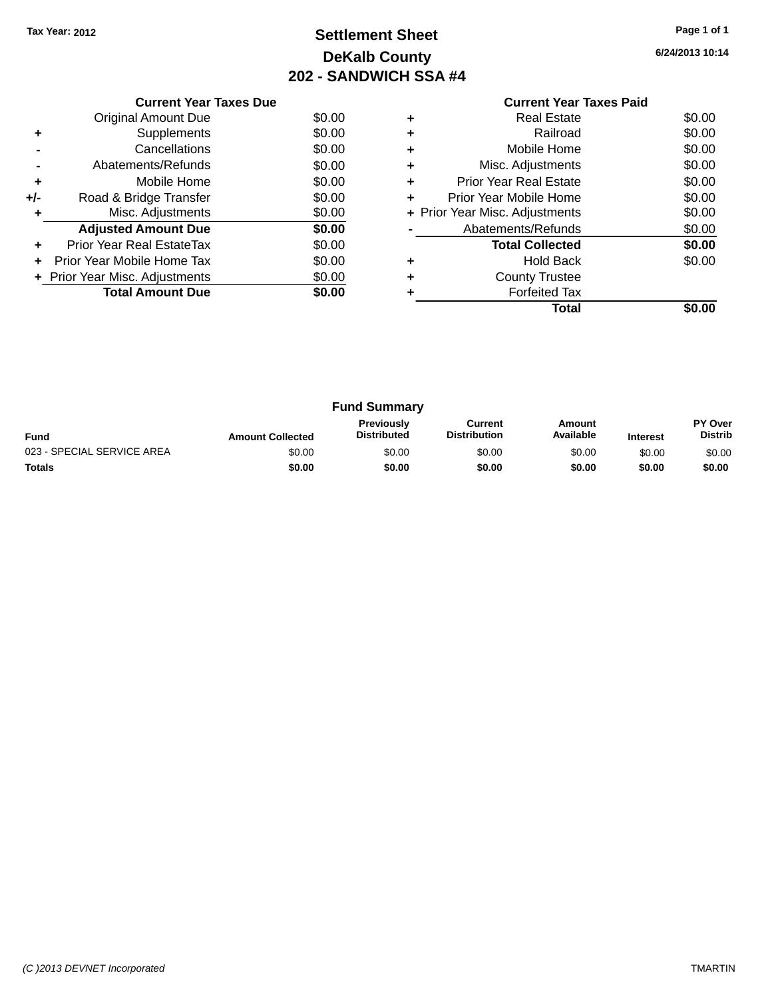# **Settlement Sheet Tax Year: 2012 Page 1 of 1 DeKalb County 202 - SANDWICH SSA #4**

|     | <b>Current Year Taxes Due</b>     |        |
|-----|-----------------------------------|--------|
|     | <b>Original Amount Due</b>        | \$0.00 |
|     | Supplements                       | \$0.00 |
|     | Cancellations                     | \$0.00 |
|     | Abatements/Refunds                | \$0.00 |
| ٠   | Mobile Home                       | \$0.00 |
| +/- | Road & Bridge Transfer            | \$0.00 |
|     | Misc. Adjustments                 | \$0.00 |
|     | <b>Adjusted Amount Due</b>        | \$0.00 |
| ÷   | Prior Year Real EstateTax         | \$0.00 |
| ÷   | <b>Prior Year Mobile Home Tax</b> | \$0.00 |
|     | + Prior Year Misc. Adjustments    | \$0.00 |
|     | <b>Total Amount Due</b>           | \$0.00 |
|     |                                   |        |

|   | Total                                   |        |  |  |  |
|---|-----------------------------------------|--------|--|--|--|
|   | <b>Forfeited Tax</b>                    |        |  |  |  |
|   | <b>County Trustee</b>                   |        |  |  |  |
| ٠ | <b>Hold Back</b>                        | \$0.00 |  |  |  |
|   | <b>Total Collected</b>                  | \$0.00 |  |  |  |
|   | Abatements/Refunds                      | \$0.00 |  |  |  |
|   | + Prior Year Misc. Adjustments          | \$0.00 |  |  |  |
| ÷ | Prior Year Mobile Home                  |        |  |  |  |
| ٠ | \$0.00<br><b>Prior Year Real Estate</b> |        |  |  |  |
| ٠ | Misc. Adjustments                       | \$0.00 |  |  |  |
| ٠ | Mobile Home                             | \$0.00 |  |  |  |
| ٠ | Railroad                                | \$0.00 |  |  |  |
| ٠ | Real Estate                             | \$0.00 |  |  |  |
|   | <b>Current Year Taxes Paid</b>          |        |  |  |  |

| <b>Fund Summary</b>        |                         |                                         |                                |                     |                 |                           |
|----------------------------|-------------------------|-----------------------------------------|--------------------------------|---------------------|-----------------|---------------------------|
| <b>Fund</b>                | <b>Amount Collected</b> | <b>Previously</b><br><b>Distributed</b> | Current<br><b>Distribution</b> | Amount<br>Available | <b>Interest</b> | PY Over<br><b>Distrib</b> |
| 023 - SPECIAL SERVICE AREA | \$0.00                  | \$0.00                                  | \$0.00                         | \$0.00              | \$0.00          | \$0.00                    |
| <b>Totals</b>              | \$0.00                  | \$0.00                                  | \$0.00                         | \$0.00              | \$0.00          | \$0.00                    |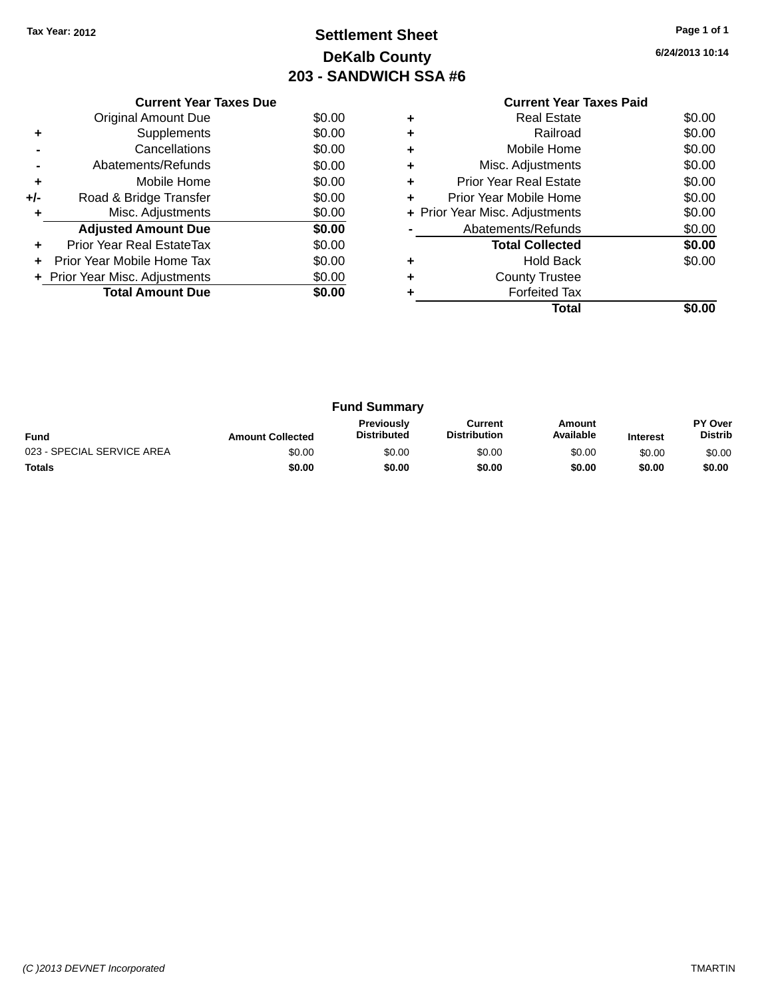# **Settlement Sheet Tax Year: 2012 Page 1 of 1 DeKalb County 203 - SANDWICH SSA #6**

|       | <b>Current Year Taxes Due</b>  |        |
|-------|--------------------------------|--------|
|       | Original Amount Due            | \$0.00 |
|       | Supplements                    | \$0.00 |
|       | Cancellations                  | \$0.00 |
|       | Abatements/Refunds             | \$0.00 |
| ٠     | Mobile Home                    | \$0.00 |
| $+/-$ | Road & Bridge Transfer         | \$0.00 |
| ٠     | Misc. Adjustments              | \$0.00 |
|       | <b>Adjusted Amount Due</b>     | \$0.00 |
| ٠     | Prior Year Real EstateTax      | \$0.00 |
|       | Prior Year Mobile Home Tax     | \$0.00 |
|       | + Prior Year Misc. Adjustments | \$0.00 |
|       | <b>Total Amount Due</b>        | \$0.00 |
|       |                                |        |

|   | <b>Current Year Taxes Paid</b> |        |
|---|--------------------------------|--------|
|   | <b>Real Estate</b>             | \$0.00 |
|   | Railroad                       | \$0.00 |
|   | Mobile Home                    | \$0.00 |
| ٠ | Misc. Adjustments              | \$0.00 |
|   | <b>Prior Year Real Estate</b>  | \$0.00 |
|   | Prior Year Mobile Home         | \$0.00 |
|   | + Prior Year Misc. Adjustments | \$0.00 |
|   | Abatements/Refunds             | \$0.00 |
|   | <b>Total Collected</b>         | \$0.00 |
|   | Hold Back                      | \$0.00 |
|   | <b>County Trustee</b>          |        |
|   | <b>Forfeited Tax</b>           |        |
|   | Total                          |        |

| <b>Fund Summary</b>        |                         |                                         |                                |                     |                 |                           |
|----------------------------|-------------------------|-----------------------------------------|--------------------------------|---------------------|-----------------|---------------------------|
| <b>Fund</b>                | <b>Amount Collected</b> | <b>Previously</b><br><b>Distributed</b> | Current<br><b>Distribution</b> | Amount<br>Available | <b>Interest</b> | PY Over<br><b>Distrib</b> |
| 023 - SPECIAL SERVICE AREA | \$0.00                  | \$0.00                                  | \$0.00                         | \$0.00              | \$0.00          | \$0.00                    |
| <b>Totals</b>              | \$0.00                  | \$0.00                                  | \$0.00                         | \$0.00              | \$0.00          | \$0.00                    |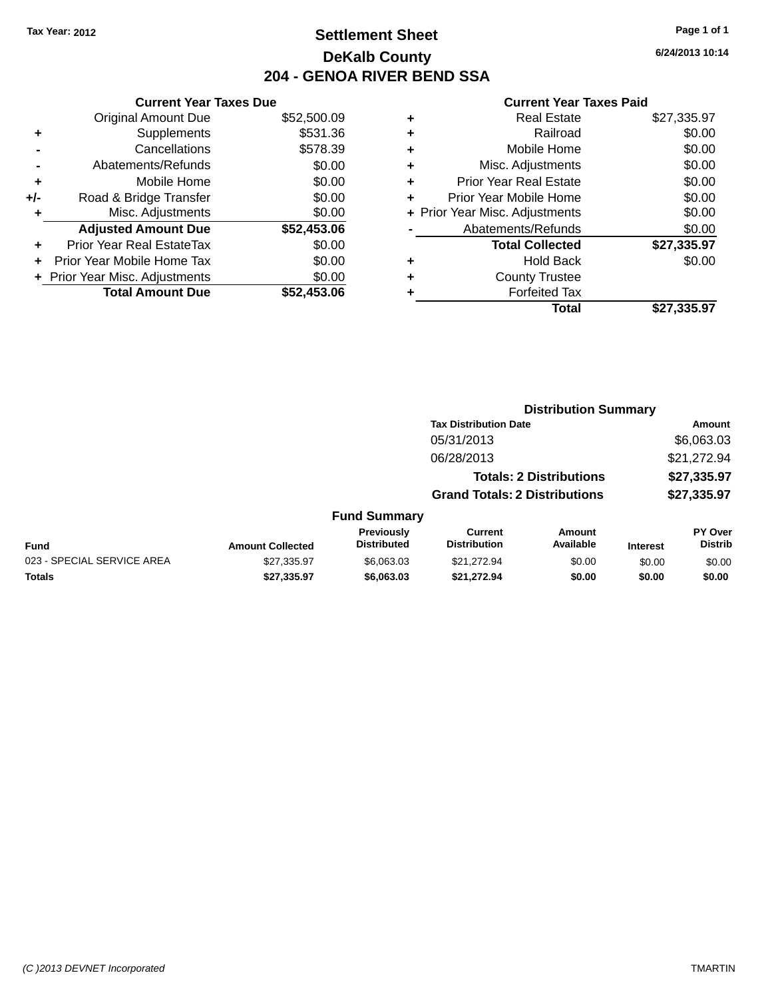### **Settlement Sheet Tax Year: 2012 Page 1 of 1 DeKalb County 204 - GENOA RIVER BEND SSA**

**6/24/2013 10:14**

| <b>Current Year Taxes Due</b> |             |  |  |  |  |  |
|-------------------------------|-------------|--|--|--|--|--|
| <b>Original Amount Due</b>    | \$52,500.09 |  |  |  |  |  |
| Supplements                   | \$531.36    |  |  |  |  |  |
| Cancellations                 | \$578.39    |  |  |  |  |  |
| Abatements/Refunds            | \$0.00      |  |  |  |  |  |
| Mobile Home                   | \$0.00      |  |  |  |  |  |
| Road & Bridge Transfer        | \$0.00      |  |  |  |  |  |
| Misc. Adjustments             | \$0.00      |  |  |  |  |  |
| <b>Adjusted Amount Due</b>    | \$52,453.06 |  |  |  |  |  |
| Prior Year Real EstateTax     | \$0.00      |  |  |  |  |  |
| Prior Year Mobile Home Tax    | \$0.00      |  |  |  |  |  |
| Prior Year Misc. Adjustments  | \$0.00      |  |  |  |  |  |
| <b>Total Amount Due</b>       | \$52.453.06 |  |  |  |  |  |
|                               |             |  |  |  |  |  |

|   | <b>Real Estate</b>             | \$27,335.97 |
|---|--------------------------------|-------------|
| ٠ | Railroad                       | \$0.00      |
| ٠ | Mobile Home                    | \$0.00      |
| ٠ | Misc. Adjustments              | \$0.00      |
| ٠ | <b>Prior Year Real Estate</b>  | \$0.00      |
|   | Prior Year Mobile Home         | \$0.00      |
|   | + Prior Year Misc. Adjustments | \$0.00      |
|   | Abatements/Refunds             | \$0.00      |
|   | <b>Total Collected</b>         | \$27,335.97 |
| ٠ | <b>Hold Back</b>               | \$0.00      |
|   | <b>County Trustee</b>          |             |
| ٠ | <b>Forfeited Tax</b>           |             |
|   | Total                          | \$27.335.97 |
|   |                                |             |

|                            | <b>Distribution Summary</b> |                                  |                                       |                                |                 |                           |
|----------------------------|-----------------------------|----------------------------------|---------------------------------------|--------------------------------|-----------------|---------------------------|
|                            |                             |                                  | <b>Tax Distribution Date</b>          |                                |                 | <b>Amount</b>             |
|                            |                             |                                  | 05/31/2013                            |                                |                 | \$6,063.03                |
|                            |                             |                                  | 06/28/2013                            |                                |                 | \$21,272.94               |
|                            |                             |                                  |                                       | <b>Totals: 2 Distributions</b> |                 | \$27,335.97               |
|                            |                             |                                  | <b>Grand Totals: 2 Distributions</b>  |                                |                 | \$27,335.97               |
|                            |                             | <b>Fund Summary</b>              |                                       |                                |                 |                           |
| Fund                       | <b>Amount Collected</b>     | Previously<br><b>Distributed</b> | <b>Current</b><br><b>Distribution</b> | Amount<br>Available            | <b>Interest</b> | PY Over<br><b>Distrib</b> |
| 023 - SPECIAL SERVICE AREA | \$27,335.97                 | \$6,063.03                       | \$21.272.94                           | \$0.00                         | \$0.00          | \$0.00                    |
| Totals                     | \$27,335.97                 | \$6,063.03                       | \$21,272.94                           | \$0.00                         | \$0.00          | \$0.00                    |
|                            |                             |                                  |                                       |                                |                 |                           |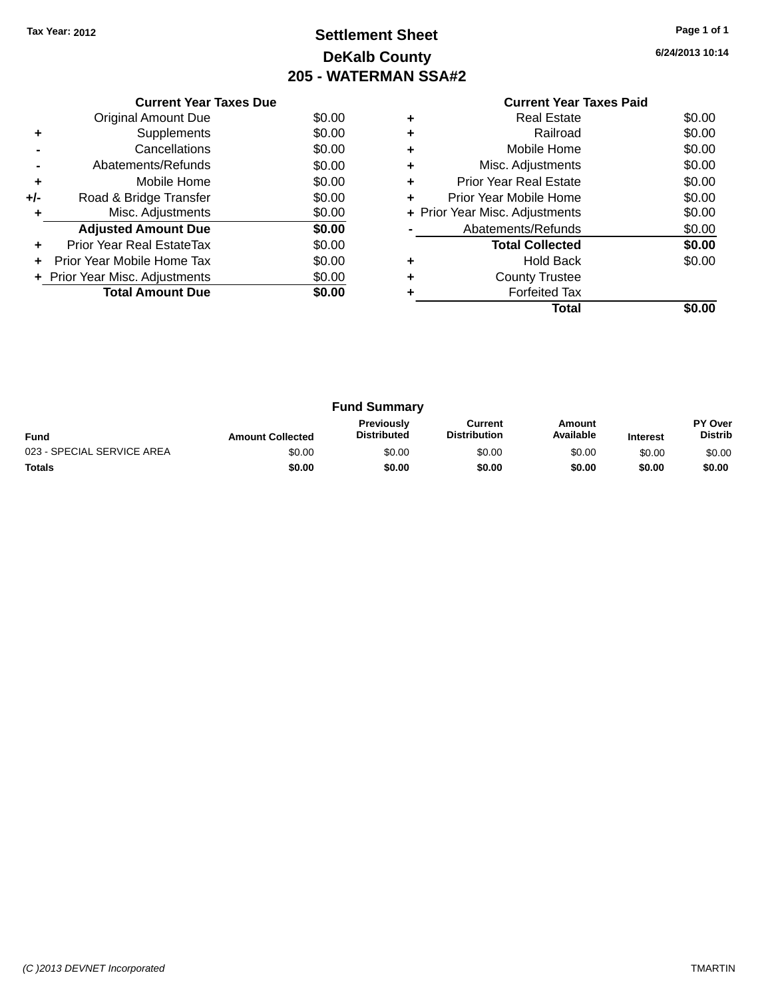# **Settlement Sheet Tax Year: 2012 Page 1 of 1 DeKalb County 205 - WATERMAN SSA#2**

**6/24/2013 10:14**

|     | <b>Current Year Taxes Due</b>  |        |  |  |  |  |
|-----|--------------------------------|--------|--|--|--|--|
|     | Original Amount Due            | \$0.00 |  |  |  |  |
| ٠   | Supplements                    | \$0.00 |  |  |  |  |
|     | Cancellations                  | \$0.00 |  |  |  |  |
|     | Abatements/Refunds             | \$0.00 |  |  |  |  |
| ٠   | Mobile Home                    | \$0.00 |  |  |  |  |
| +/- | Road & Bridge Transfer         | \$0.00 |  |  |  |  |
| ٠   | Misc. Adjustments              | \$0.00 |  |  |  |  |
|     | <b>Adjusted Amount Due</b>     | \$0.00 |  |  |  |  |
| ٠   | Prior Year Real EstateTax      | \$0.00 |  |  |  |  |
|     | Prior Year Mobile Home Tax     | \$0.00 |  |  |  |  |
|     | + Prior Year Misc. Adjustments | \$0.00 |  |  |  |  |
|     | <b>Total Amount Due</b>        | \$0.00 |  |  |  |  |
|     |                                |        |  |  |  |  |

#### **Current Year Taxes Paid +** Real Estate \$0.00 **+** Railroad \$0.00 **+** Mobile Home \$0.00 **+** Misc. Adjustments \$0.00 **+** Prior Year Real Estate \$0.00 **+** Prior Year Mobile Home \$0.00<br> **+** Prior Year Misc. Adjustments \$0.00 **+ Prior Year Misc. Adjustments -** Abatements/Refunds \$0.00 **Total Collected \$0.00 +** Hold Back \$0.00 **+** County Trustee **+** Forfeited Tax **Total \$0.00**

| <b>Fund Summary</b>        |                         |                                         |                                |                     |                 |                           |
|----------------------------|-------------------------|-----------------------------------------|--------------------------------|---------------------|-----------------|---------------------------|
| <b>Fund</b>                | <b>Amount Collected</b> | <b>Previously</b><br><b>Distributed</b> | Current<br><b>Distribution</b> | Amount<br>Available | <b>Interest</b> | PY Over<br><b>Distrib</b> |
| 023 - SPECIAL SERVICE AREA | \$0.00                  | \$0.00                                  | \$0.00                         | \$0.00              | \$0.00          | \$0.00                    |
| Totals                     | \$0.00                  | \$0.00                                  | \$0.00                         | \$0.00              | \$0.00          | \$0.00                    |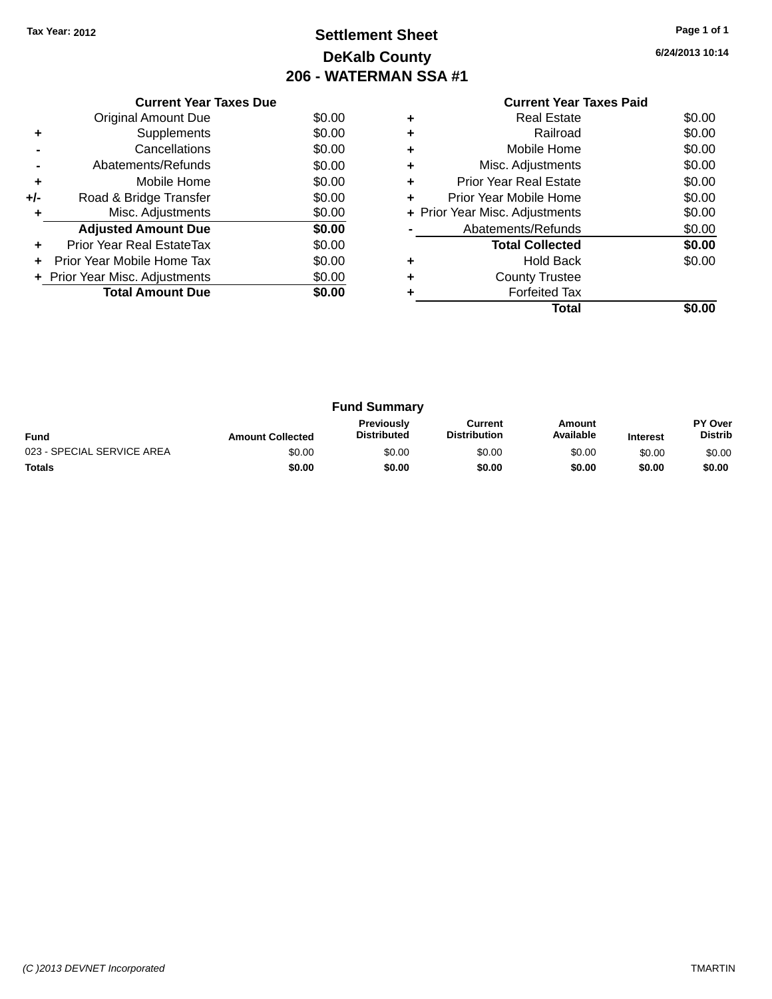# **Settlement Sheet Tax Year: 2012 Page 1 of 1 DeKalb County 206 - WATERMAN SSA #1**

|     | <b>Current Year Taxes Due</b>  |        |
|-----|--------------------------------|--------|
|     | <b>Original Amount Due</b>     | \$0.00 |
| ٠   | Supplements                    | \$0.00 |
|     | Cancellations                  | \$0.00 |
|     | Abatements/Refunds             | \$0.00 |
| ٠   | Mobile Home                    | \$0.00 |
| +/- | Road & Bridge Transfer         | \$0.00 |
| ٠   | Misc. Adjustments              | \$0.00 |
|     | <b>Adjusted Amount Due</b>     | \$0.00 |
| ٠   | Prior Year Real EstateTax      | \$0.00 |
|     | Prior Year Mobile Home Tax     | \$0.00 |
|     | + Prior Year Misc. Adjustments | \$0.00 |
|     | <b>Total Amount Due</b>        | \$0.00 |
|     |                                |        |

|   | <b>Current Year Taxes Paid</b> |        |
|---|--------------------------------|--------|
| ÷ | <b>Real Estate</b>             | \$0.00 |
| ٠ | Railroad                       | \$0.00 |
|   | Mobile Home                    | \$0.00 |
| ٠ | Misc. Adjustments              | \$0.00 |
| ٠ | <b>Prior Year Real Estate</b>  | \$0.00 |
| ÷ | Prior Year Mobile Home         | \$0.00 |
|   | + Prior Year Misc. Adjustments | \$0.00 |
|   | Abatements/Refunds             | \$0.00 |
|   | <b>Total Collected</b>         | \$0.00 |
|   | Hold Back                      | \$0.00 |
|   | <b>County Trustee</b>          |        |
|   | <b>Forfeited Tax</b>           |        |
|   | Total                          |        |

| <b>Fund Summary</b>        |                         |                                  |                                |                     |                 |                           |
|----------------------------|-------------------------|----------------------------------|--------------------------------|---------------------|-----------------|---------------------------|
| <b>Fund</b>                | <b>Amount Collected</b> | Previously<br><b>Distributed</b> | Current<br><b>Distribution</b> | Amount<br>Available | <b>Interest</b> | PY Over<br><b>Distrib</b> |
| 023 - SPECIAL SERVICE AREA | \$0.00                  | \$0.00                           | \$0.00                         | \$0.00              | \$0.00          | \$0.00                    |
| Totals                     | \$0.00                  | \$0.00                           | \$0.00                         | \$0.00              | \$0.00          | \$0.00                    |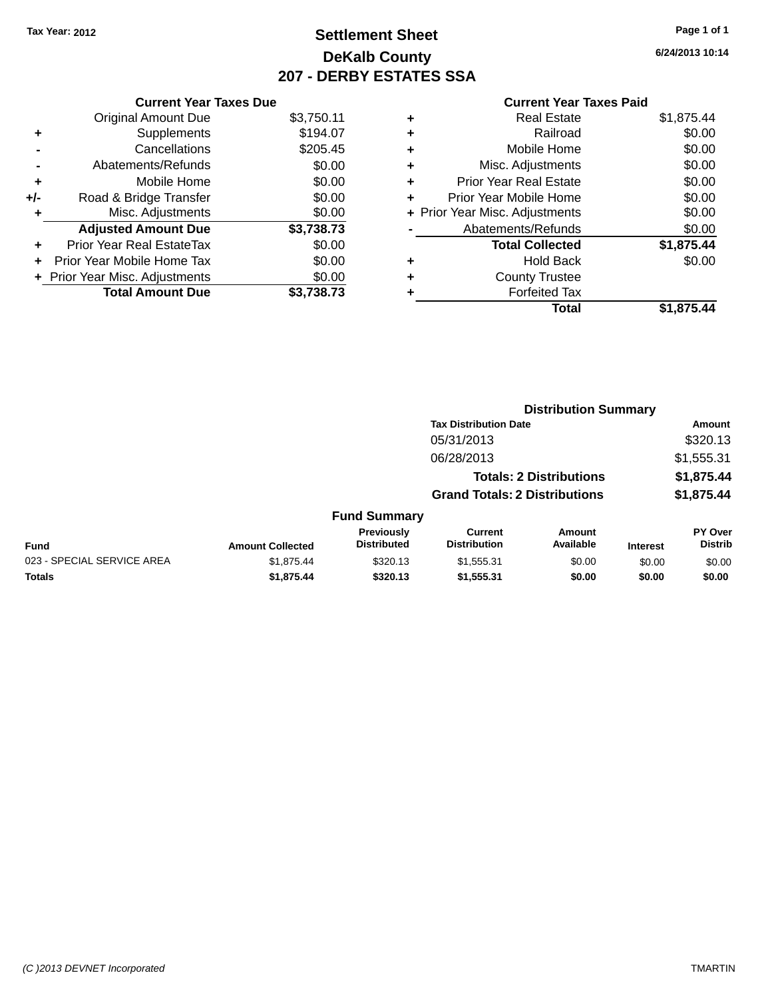### **Settlement Sheet Tax Year: 2012 Page 1 of 1 DeKalb County 207 - DERBY ESTATES SSA**

**6/24/2013 10:14**

| <b>Current Year Taxes Due</b> |                         |
|-------------------------------|-------------------------|
| <b>Original Amount Due</b>    | \$3,750.11              |
| Supplements                   | \$194.07                |
| Cancellations                 | \$205.45                |
| Abatements/Refunds            | \$0.00                  |
| Mobile Home                   | \$0.00                  |
| Road & Bridge Transfer        | \$0.00                  |
| Misc. Adjustments             | \$0.00                  |
| <b>Adjusted Amount Due</b>    | \$3,738.73              |
| Prior Year Real EstateTax     | \$0.00                  |
| Prior Year Mobile Home Tax    | \$0.00                  |
| Prior Year Misc. Adjustments  | \$0.00                  |
|                               | \$3.738.73              |
|                               | <b>Total Amount Due</b> |

|   | <b>Real Estate</b>             | \$1,875.44 |
|---|--------------------------------|------------|
| ٠ | Railroad                       | \$0.00     |
| ٠ | Mobile Home                    | \$0.00     |
| ٠ | Misc. Adjustments              | \$0.00     |
| ٠ | <b>Prior Year Real Estate</b>  | \$0.00     |
| ٠ | Prior Year Mobile Home         | \$0.00     |
|   | + Prior Year Misc. Adjustments | \$0.00     |
|   | Abatements/Refunds             | \$0.00     |
|   | <b>Total Collected</b>         | \$1,875.44 |
| ٠ | <b>Hold Back</b>               | \$0.00     |
| ٠ | <b>County Trustee</b>          |            |
| ٠ | <b>Forfeited Tax</b>           |            |
|   | <b>Total</b>                   | \$1,875,44 |
|   |                                |            |

|                            |                         |                                  | <b>Distribution Summary</b>           |                                |                 |                           |
|----------------------------|-------------------------|----------------------------------|---------------------------------------|--------------------------------|-----------------|---------------------------|
|                            |                         |                                  | <b>Tax Distribution Date</b>          |                                |                 | <b>Amount</b>             |
|                            |                         |                                  | 05/31/2013                            |                                |                 | \$320.13                  |
|                            |                         |                                  | 06/28/2013                            |                                |                 | \$1,555.31                |
|                            |                         |                                  |                                       | <b>Totals: 2 Distributions</b> |                 | \$1,875.44                |
|                            |                         |                                  | <b>Grand Totals: 2 Distributions</b>  |                                |                 | \$1,875.44                |
|                            |                         | <b>Fund Summary</b>              |                                       |                                |                 |                           |
| <b>Fund</b>                | <b>Amount Collected</b> | Previously<br><b>Distributed</b> | <b>Current</b><br><b>Distribution</b> | <b>Amount</b><br>Available     | <b>Interest</b> | PY Over<br><b>Distrib</b> |
| 023 - SPECIAL SERVICE AREA | \$1.875.44              | \$320.13                         | \$1,555.31                            | \$0.00                         | \$0.00          | \$0.00                    |
| <b>Totals</b>              | \$1,875.44              | \$320.13                         | \$1,555.31                            | \$0.00                         | \$0.00          | \$0.00                    |
|                            |                         |                                  |                                       |                                |                 |                           |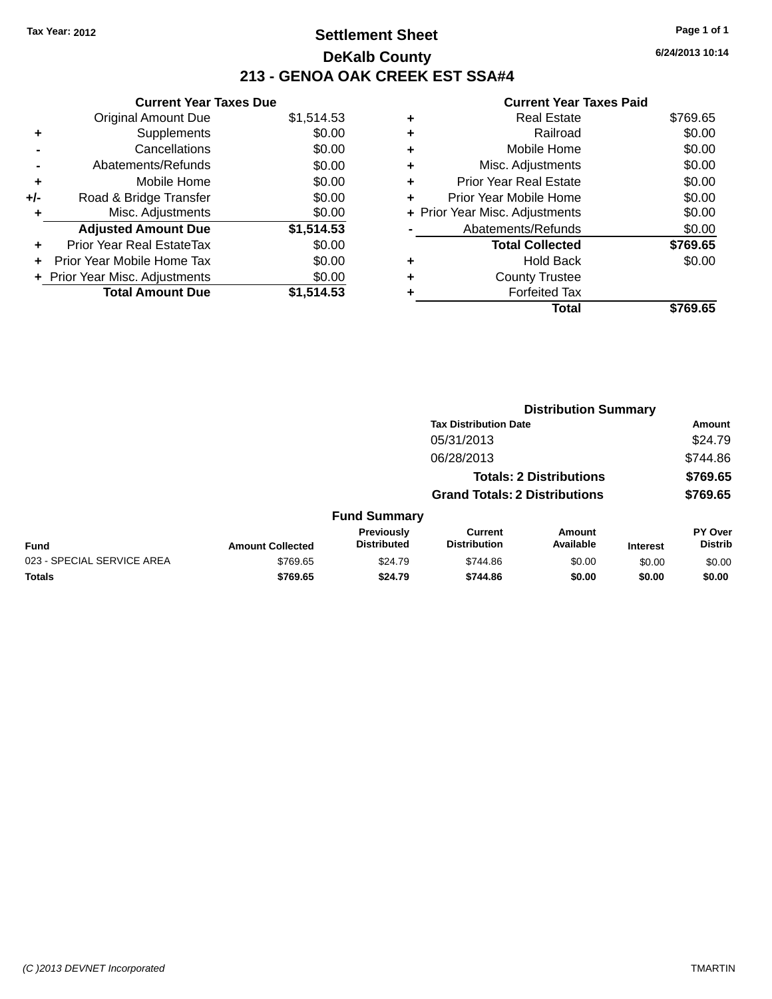### **Settlement Sheet Tax Year: 2012 Page 1 of 1 DeKalb County 213 - GENOA OAK CREEK EST SSA#4**

**Current Year Taxe** Original Amount Due \$1,514.53 **+** Supplements **-** Cancellations **-** Abatements/Refunds \$0.00 **+** Mobile Home \$0.00 **+/-** Road & Bridge Transfer \$0.00 **+** Misc. Adjustments \$0.00 **Adjusted Amount Due \$1,514.53 +** Prior Year Real EstateTax \$0.00 **+** Prior Year Mobile Home Tax \$0.00 **+ Prior Year Misc. Adjustments**  $$0.00$ **Total Amount Due \$1,514.53**

|   | <b>Real Estate</b>             | \$769.65 |
|---|--------------------------------|----------|
| ٠ | Railroad                       | \$0.00   |
| ÷ | Mobile Home                    | \$0.00   |
| ٠ | Misc. Adjustments              | \$0.00   |
| ٠ | <b>Prior Year Real Estate</b>  | \$0.00   |
| ÷ | Prior Year Mobile Home         | \$0.00   |
|   | + Prior Year Misc. Adjustments | \$0.00   |
|   | Abatements/Refunds             | \$0.00   |
|   | <b>Total Collected</b>         | \$769.65 |
| ٠ | Hold Back                      | \$0.00   |
| ٠ | <b>County Trustee</b>          |          |
|   | <b>Forfeited Tax</b>           |          |
|   | Total                          | \$769.65 |
|   |                                |          |

|                            |                         |                                  | <b>Distribution Summary</b>           |                                |                 |                                  |
|----------------------------|-------------------------|----------------------------------|---------------------------------------|--------------------------------|-----------------|----------------------------------|
|                            |                         |                                  | <b>Tax Distribution Date</b>          |                                |                 | Amount                           |
|                            |                         |                                  | 05/31/2013                            |                                |                 | \$24.79                          |
|                            |                         |                                  | 06/28/2013                            |                                |                 | \$744.86                         |
|                            |                         |                                  |                                       | <b>Totals: 2 Distributions</b> |                 | \$769.65                         |
|                            |                         |                                  | <b>Grand Totals: 2 Distributions</b>  |                                |                 | \$769.65                         |
|                            |                         | <b>Fund Summary</b>              |                                       |                                |                 |                                  |
| <b>Fund</b>                | <b>Amount Collected</b> | Previously<br><b>Distributed</b> | <b>Current</b><br><b>Distribution</b> | Amount<br>Available            | <b>Interest</b> | <b>PY Over</b><br><b>Distrib</b> |
| 023 - SPECIAL SERVICE AREA | \$769.65                | \$24.79                          | \$744.86                              | \$0.00                         | \$0.00          | \$0.00                           |
| <b>Totals</b>              | \$769.65                | \$24.79                          | \$744.86                              | \$0.00                         | \$0.00          | \$0.00                           |

| es Due |            |   |          |
|--------|------------|---|----------|
|        | \$1,514.53 | ٠ |          |
|        | \$0.00     | ٠ |          |
|        | \$0.00     | ٠ |          |
|        | ሮስ ሰሰ      |   | <b>M</b> |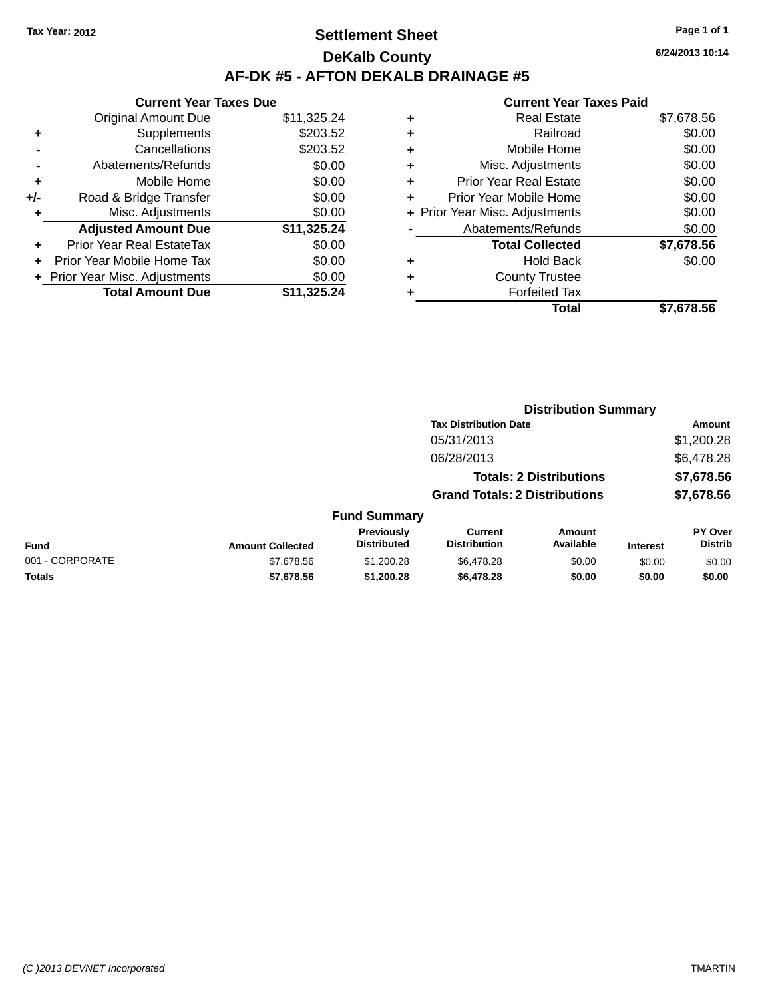### **Settlement Sheet Tax Year: 2012 Page 1 of 1 DeKalb County AF-DK #5 - AFTON DEKALB DRAINAGE #5**

**6/24/2013 10:14**

|     | <b>Current Year Taxes Due</b> |             |
|-----|-------------------------------|-------------|
|     | <b>Original Amount Due</b>    | \$11,325.24 |
| ٠   | Supplements                   | \$203.52    |
|     | Cancellations                 | \$203.52    |
|     | Abatements/Refunds            | \$0.00      |
| ٠   | Mobile Home                   | \$0.00      |
| +/- | Road & Bridge Transfer        | \$0.00      |
| ٠   | Misc. Adjustments             | \$0.00      |
|     | <b>Adjusted Amount Due</b>    | \$11,325.24 |
| ÷   | Prior Year Real EstateTax     | \$0.00      |
| ٠   | Prior Year Mobile Home Tax    | \$0.00      |
|     | Prior Year Misc. Adjustments  | \$0.00      |
|     | <b>Total Amount Due</b>       | \$11.325.24 |

| ٠ | <b>Real Estate</b>             | \$7,678.56 |
|---|--------------------------------|------------|
| ٠ | Railroad                       | \$0.00     |
| ٠ | Mobile Home                    | \$0.00     |
| ٠ | Misc. Adjustments              | \$0.00     |
| ٠ | <b>Prior Year Real Estate</b>  | \$0.00     |
| ٠ | Prior Year Mobile Home         | \$0.00     |
|   | + Prior Year Misc. Adjustments | \$0.00     |
|   | Abatements/Refunds             | \$0.00     |
|   | <b>Total Collected</b>         | \$7,678.56 |
| ٠ | <b>Hold Back</b>               | \$0.00     |
| ٠ | <b>County Trustee</b>          |            |
| ٠ | <b>Forfeited Tax</b>           |            |
|   | Total                          | \$7.678.56 |
|   |                                |            |

|                 |                         |                                  | <b>Distribution Summary</b>           |                                |                 |                           |
|-----------------|-------------------------|----------------------------------|---------------------------------------|--------------------------------|-----------------|---------------------------|
|                 |                         |                                  | <b>Tax Distribution Date</b>          |                                |                 | Amount                    |
|                 |                         |                                  | 05/31/2013                            |                                |                 | \$1,200.28                |
|                 |                         |                                  | 06/28/2013                            |                                |                 | \$6,478.28                |
|                 |                         |                                  |                                       | <b>Totals: 2 Distributions</b> |                 | \$7,678.56                |
|                 |                         |                                  | <b>Grand Totals: 2 Distributions</b>  |                                |                 | \$7,678.56                |
|                 |                         | <b>Fund Summary</b>              |                                       |                                |                 |                           |
| <b>Fund</b>     | <b>Amount Collected</b> | Previously<br><b>Distributed</b> | <b>Current</b><br><b>Distribution</b> | Amount<br>Available            | <b>Interest</b> | PY Over<br><b>Distrib</b> |
| 001 - CORPORATE | \$7,678.56              | \$1,200.28                       | \$6,478.28                            | \$0.00                         | \$0.00          | \$0.00                    |
| <b>Totals</b>   | \$7,678.56              | \$1,200.28                       | \$6,478.28                            | \$0.00                         | \$0.00          | \$0.00                    |
|                 |                         |                                  |                                       |                                |                 |                           |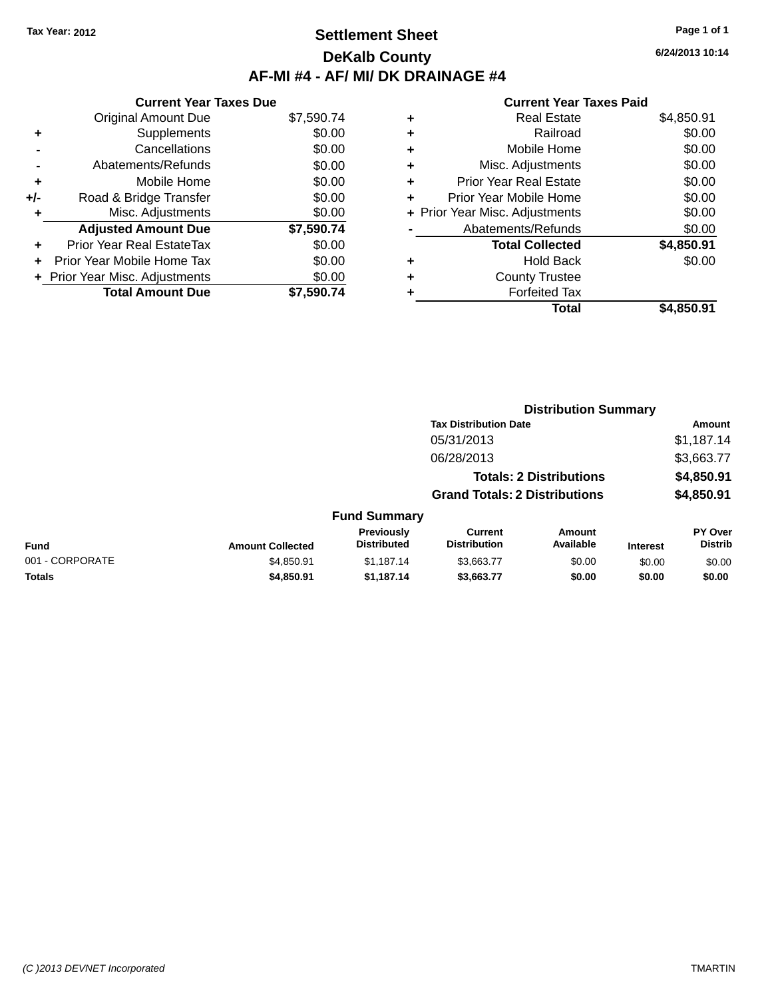### **Settlement Sheet Tax Year: 2012 Page 1 of 1 DeKalb County AF-MI #4 - AF/ MI/ DK DRAINAGE #4**

**Current Year Taxes Due** Original Amount Due \$7,590.74 **+** Supplements \$0.00 **-** Cancellations \$0.00 **-** Abatements/Refunds \$0.00 **+** Mobile Home \$0.00 **+/-** Road & Bridge Transfer \$0.00 **+** Misc. Adjustments \$0.00 **Adjusted Amount Due \$7,590.74 +** Prior Year Real EstateTax \$0.00 **+** Prior Year Mobile Home Tax \$0.00 **+ Prior Year Misc. Adjustments**  $$0.00$ **Total Amount Due \$7,590.74**

#### **Current Year Taxes Paid**

| ٠ | <b>Real Estate</b>             | \$4,850.91 |
|---|--------------------------------|------------|
| ٠ | Railroad                       | \$0.00     |
| ٠ | Mobile Home                    | \$0.00     |
| ٠ | Misc. Adjustments              | \$0.00     |
| ٠ | <b>Prior Year Real Estate</b>  | \$0.00     |
| ٠ | Prior Year Mobile Home         | \$0.00     |
|   | + Prior Year Misc. Adjustments | \$0.00     |
|   | Abatements/Refunds             | \$0.00     |
|   | <b>Total Collected</b>         | \$4,850.91 |
| ٠ | <b>Hold Back</b>               | \$0.00     |
| ٠ | <b>County Trustee</b>          |            |
| ٠ | <b>Forfeited Tax</b>           |            |
|   | <b>Total</b>                   | \$4.850.91 |
|   |                                |            |

|                 |                         |                                         | <b>Distribution Summary</b>           |                                |                 |                           |
|-----------------|-------------------------|-----------------------------------------|---------------------------------------|--------------------------------|-----------------|---------------------------|
|                 |                         |                                         | <b>Tax Distribution Date</b>          |                                |                 | Amount                    |
|                 |                         |                                         | 05/31/2013                            |                                |                 | \$1,187.14                |
|                 |                         |                                         | 06/28/2013                            |                                |                 | \$3,663.77                |
|                 |                         |                                         |                                       | <b>Totals: 2 Distributions</b> |                 | \$4,850.91                |
|                 |                         |                                         | <b>Grand Totals: 2 Distributions</b>  |                                |                 | \$4,850.91                |
|                 |                         | <b>Fund Summary</b>                     |                                       |                                |                 |                           |
| Fund            | <b>Amount Collected</b> | <b>Previously</b><br><b>Distributed</b> | <b>Current</b><br><b>Distribution</b> | Amount<br>Available            | <b>Interest</b> | PY Over<br><b>Distrib</b> |
| 001 - CORPORATE | \$4,850.91              | \$1,187.14                              | \$3,663.77                            | \$0.00                         | \$0.00          | \$0.00                    |
| <b>Totals</b>   | \$4,850.91              | \$1,187.14                              | \$3,663.77                            | \$0.00                         | \$0.00          | \$0.00                    |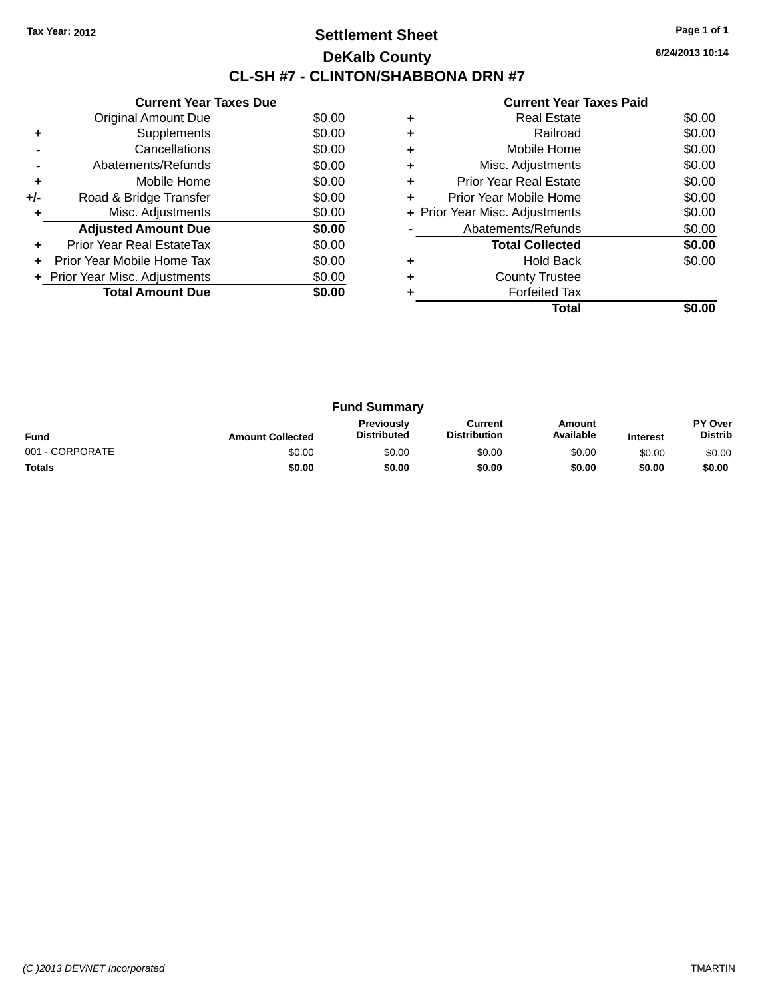### **Settlement Sheet Tax Year: 2012 Page 1 of 1 DeKalb County CL-SH #7 - CLINTON/SHABBONA DRN #7**

**6/24/2013 10:14**

|     | <b>Current Year Taxes Due</b>  |        |
|-----|--------------------------------|--------|
|     | Original Amount Due            | \$0.00 |
| ٠   | Supplements                    | \$0.00 |
|     | Cancellations                  | \$0.00 |
|     | Abatements/Refunds             | \$0.00 |
| ٠   | Mobile Home                    | \$0.00 |
| +/- | Road & Bridge Transfer         | \$0.00 |
|     | Misc. Adjustments              | \$0.00 |
|     | <b>Adjusted Amount Due</b>     | \$0.00 |
| ٠   | Prior Year Real EstateTax      | \$0.00 |
|     | Prior Year Mobile Home Tax     | \$0.00 |
|     | + Prior Year Misc. Adjustments | \$0.00 |
|     | <b>Total Amount Due</b>        | \$0.00 |
|     |                                |        |

|   | <b>Real Estate</b>             | \$0.00 |
|---|--------------------------------|--------|
|   | Railroad                       | \$0.00 |
|   | Mobile Home                    | \$0.00 |
| ٠ | Misc. Adjustments              | \$0.00 |
| ٠ | <b>Prior Year Real Estate</b>  | \$0.00 |
| ٠ | Prior Year Mobile Home         | \$0.00 |
|   | + Prior Year Misc. Adjustments | \$0.00 |
|   | Abatements/Refunds             | \$0.00 |
|   | <b>Total Collected</b>         | \$0.00 |
| ٠ | <b>Hold Back</b>               | \$0.00 |
|   | <b>County Trustee</b>          |        |
|   | <b>Forfeited Tax</b>           |        |
|   | Total                          |        |

| <b>Fund Summary</b> |                         |                                  |                                |                     |                 |                                  |
|---------------------|-------------------------|----------------------------------|--------------------------------|---------------------|-----------------|----------------------------------|
| <b>Fund</b>         | <b>Amount Collected</b> | Previously<br><b>Distributed</b> | Current<br><b>Distribution</b> | Amount<br>Available | <b>Interest</b> | <b>PY Over</b><br><b>Distrib</b> |
| 001 - CORPORATE     | \$0.00                  | \$0.00                           | \$0.00                         | \$0.00              | \$0.00          | \$0.00                           |
| <b>Totals</b>       | \$0.00                  | \$0.00                           | \$0.00                         | \$0.00              | \$0.00          | \$0.00                           |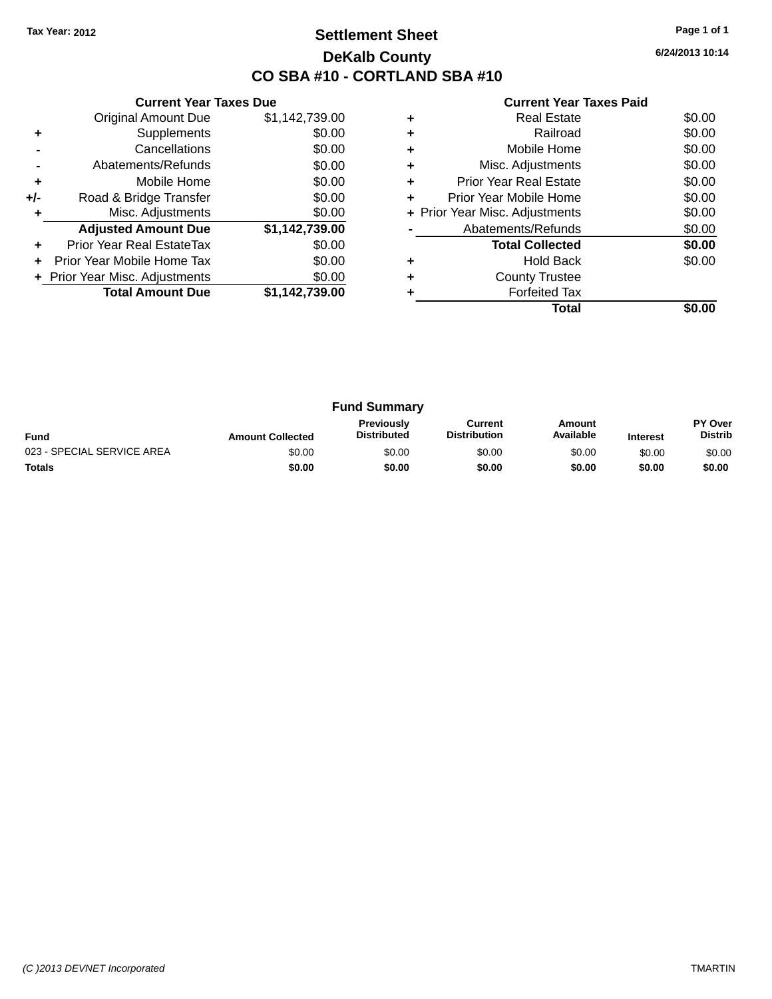### **Settlement Sheet Tax Year: 2012 Page 1 of 1 DeKalb County CO SBA #10 - CORTLAND SBA #10**

**6/24/2013 10:14**

|     | <b>Current Year Taxes Due</b>  |                |
|-----|--------------------------------|----------------|
|     | <b>Original Amount Due</b>     | \$1,142,739.00 |
| ٠   | Supplements                    | \$0.00         |
|     | Cancellations                  | \$0.00         |
|     | Abatements/Refunds             | \$0.00         |
| ÷   | Mobile Home                    | \$0.00         |
| +/- | Road & Bridge Transfer         | \$0.00         |
| ٠   | Misc. Adjustments              | \$0.00         |
|     | <b>Adjusted Amount Due</b>     | \$1,142,739.00 |
| ٠   | Prior Year Real EstateTax      | \$0.00         |
| ÷   | Prior Year Mobile Home Tax     | \$0.00         |
|     | + Prior Year Misc. Adjustments | \$0.00         |
|     | <b>Total Amount Due</b>        | \$1,142,739.00 |
|     |                                |                |

|   | Real Estate                    | \$0.00 |
|---|--------------------------------|--------|
| ٠ | Railroad                       | \$0.00 |
| ٠ | Mobile Home                    | \$0.00 |
| ٠ | Misc. Adjustments              | \$0.00 |
| ٠ | <b>Prior Year Real Estate</b>  | \$0.00 |
| ٠ | Prior Year Mobile Home         | \$0.00 |
|   | + Prior Year Misc. Adjustments | \$0.00 |
|   | Abatements/Refunds             | \$0.00 |
|   | <b>Total Collected</b>         | \$0.00 |
|   | <b>Hold Back</b>               | \$0.00 |
|   | <b>County Trustee</b>          |        |
|   | <b>Forfeited Tax</b>           |        |
|   | Total                          |        |

| <b>Fund Summary</b>        |                         |                                  |                                |                     |                 |                           |
|----------------------------|-------------------------|----------------------------------|--------------------------------|---------------------|-----------------|---------------------------|
| <b>Fund</b>                | <b>Amount Collected</b> | Previously<br><b>Distributed</b> | Current<br><b>Distribution</b> | Amount<br>Available | <b>Interest</b> | PY Over<br><b>Distrib</b> |
| 023 - SPECIAL SERVICE AREA | \$0.00                  | \$0.00                           | \$0.00                         | \$0.00              | \$0.00          | \$0.00                    |
| <b>Totals</b>              | \$0.00                  | \$0.00                           | \$0.00                         | \$0.00              | \$0.00          | \$0.00                    |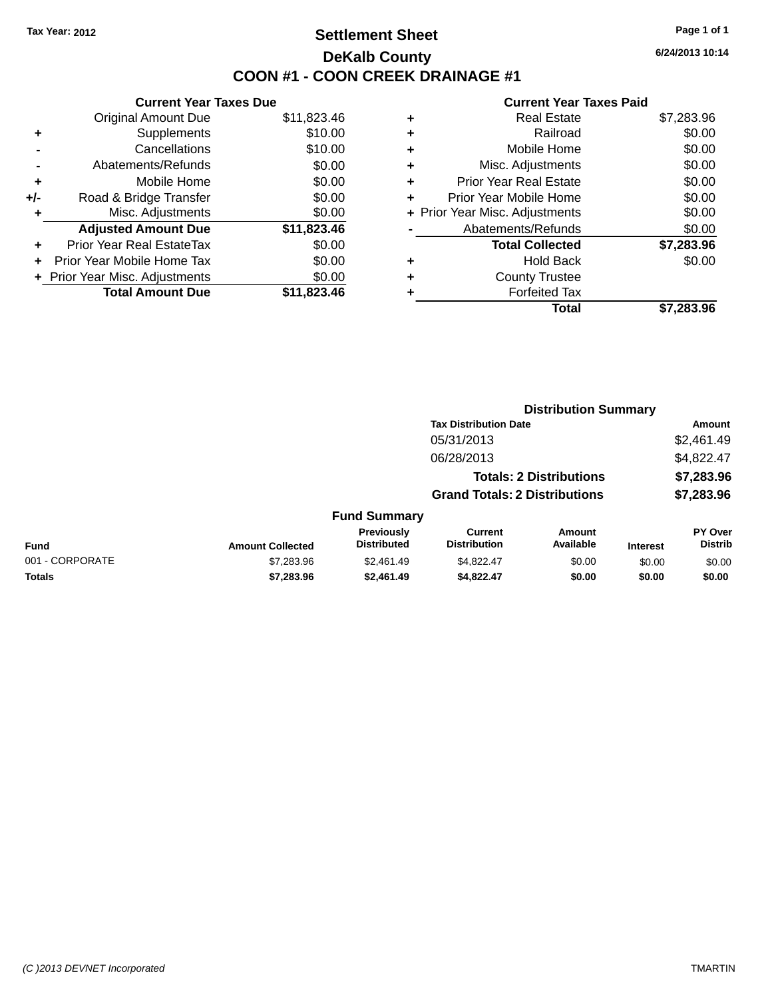### **Settlement Sheet Tax Year: 2012 Page 1 of 1 DeKalb County COON #1 - COON CREEK DRAINAGE #1**

**6/24/2013 10:14**

|     | <b>Current Year Taxes Due</b>  |             |
|-----|--------------------------------|-------------|
|     | <b>Original Amount Due</b>     | \$11,823.46 |
| ٠   | Supplements                    | \$10.00     |
|     | Cancellations                  | \$10.00     |
|     | Abatements/Refunds             | \$0.00      |
| ÷   | Mobile Home                    | \$0.00      |
| +/- | Road & Bridge Transfer         | \$0.00      |
|     | Misc. Adjustments              | \$0.00      |
|     | <b>Adjusted Amount Due</b>     | \$11,823.46 |
| ٠   | Prior Year Real EstateTax      | \$0.00      |
|     | Prior Year Mobile Home Tax     | \$0.00      |
|     | + Prior Year Misc. Adjustments | \$0.00      |
|     | <b>Total Amount Due</b>        | \$11,823.46 |
|     |                                |             |

| ٠ | <b>Real Estate</b>             | \$7,283.96 |
|---|--------------------------------|------------|
| ٠ | Railroad                       | \$0.00     |
| ٠ | Mobile Home                    | \$0.00     |
| ٠ | Misc. Adjustments              | \$0.00     |
| ٠ | <b>Prior Year Real Estate</b>  | \$0.00     |
| ٠ | Prior Year Mobile Home         | \$0.00     |
|   | + Prior Year Misc. Adjustments | \$0.00     |
|   | Abatements/Refunds             | \$0.00     |
|   | <b>Total Collected</b>         | \$7,283.96 |
| ٠ | <b>Hold Back</b>               | \$0.00     |
| ٠ | <b>County Trustee</b>          |            |
| ٠ | <b>Forfeited Tax</b>           |            |
|   | Total                          | \$7,283.96 |
|   |                                |            |

|                 |                         |                                  |                                       | <b>Distribution Summary</b>    |                 |                           |
|-----------------|-------------------------|----------------------------------|---------------------------------------|--------------------------------|-----------------|---------------------------|
|                 |                         |                                  | <b>Tax Distribution Date</b>          |                                |                 | <b>Amount</b>             |
|                 |                         |                                  | 05/31/2013                            |                                |                 | \$2,461.49                |
|                 |                         |                                  | 06/28/2013                            |                                |                 | \$4,822.47                |
|                 |                         |                                  |                                       | <b>Totals: 2 Distributions</b> |                 | \$7,283.96                |
|                 |                         |                                  | <b>Grand Totals: 2 Distributions</b>  |                                |                 | \$7,283.96                |
|                 |                         | <b>Fund Summary</b>              |                                       |                                |                 |                           |
| <b>Fund</b>     | <b>Amount Collected</b> | Previously<br><b>Distributed</b> | <b>Current</b><br><b>Distribution</b> | Amount<br>Available            | <b>Interest</b> | PY Over<br><b>Distrib</b> |
| 001 - CORPORATE | \$7,283.96              | \$2,461.49                       | \$4,822.47                            | \$0.00                         | \$0.00          | \$0.00                    |
| <b>Totals</b>   | \$7,283.96              | \$2,461.49                       | \$4,822.47                            | \$0.00                         | \$0.00          | \$0.00                    |
|                 |                         |                                  |                                       |                                |                 |                           |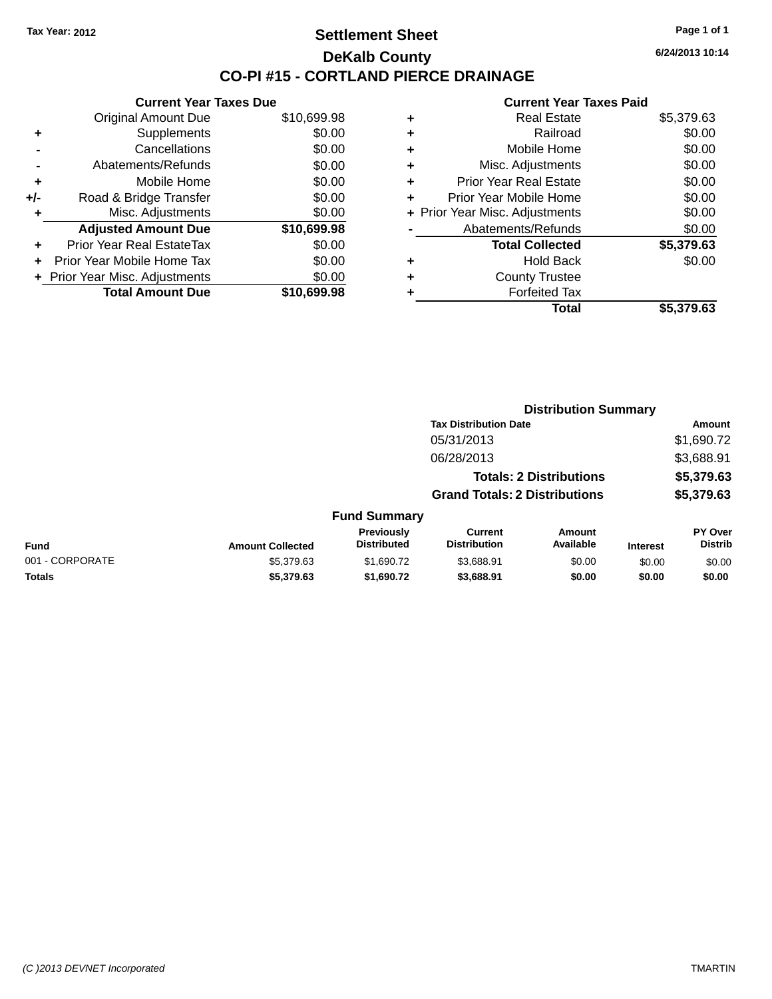#### **Settlement Sheet Tax Year: 2012 Page 1 of 1 DeKalb County CO-PI #15 - CORTLAND PIERCE DRAINAGE**

**6/24/2013 10:14**

|     | <b>Current Year Taxes Due</b>  |             |
|-----|--------------------------------|-------------|
|     | <b>Original Amount Due</b>     | \$10,699.98 |
| ٠   | Supplements                    | \$0.00      |
|     | Cancellations                  | \$0.00      |
|     | Abatements/Refunds             | \$0.00      |
| ٠   | Mobile Home                    | \$0.00      |
| +/- | Road & Bridge Transfer         | \$0.00      |
| ٠   | Misc. Adjustments              | \$0.00      |
|     | <b>Adjusted Amount Due</b>     | \$10,699.98 |
| ÷   | Prior Year Real EstateTax      | \$0.00      |
| ÷   | Prior Year Mobile Home Tax     | \$0.00      |
|     | + Prior Year Misc. Adjustments | \$0.00      |
|     | <b>Total Amount Due</b>        | \$10.699.98 |
|     |                                |             |

| ٠ | <b>Real Estate</b>             | \$5,379.63 |
|---|--------------------------------|------------|
| ٠ | Railroad                       | \$0.00     |
| ٠ | Mobile Home                    | \$0.00     |
| ٠ | Misc. Adjustments              | \$0.00     |
| ٠ | <b>Prior Year Real Estate</b>  | \$0.00     |
| ٠ | Prior Year Mobile Home         | \$0.00     |
|   | + Prior Year Misc. Adjustments | \$0.00     |
|   | Abatements/Refunds             | \$0.00     |
|   | <b>Total Collected</b>         | \$5,379.63 |
| ٠ | <b>Hold Back</b>               | \$0.00     |
|   | <b>County Trustee</b>          |            |
| ٠ | <b>Forfeited Tax</b>           |            |
|   | Total                          | \$5,379.63 |
|   |                                |            |

|                 |                         |                                  | <b>Distribution Summary</b>           |                                |                 |                           |  |
|-----------------|-------------------------|----------------------------------|---------------------------------------|--------------------------------|-----------------|---------------------------|--|
|                 |                         |                                  | <b>Tax Distribution Date</b>          |                                |                 | Amount                    |  |
|                 |                         |                                  | 05/31/2013                            |                                |                 | \$1,690.72                |  |
|                 |                         |                                  | 06/28/2013                            |                                |                 | \$3,688.91                |  |
|                 |                         |                                  |                                       | <b>Totals: 2 Distributions</b> |                 | \$5,379.63                |  |
|                 |                         |                                  | <b>Grand Totals: 2 Distributions</b>  |                                |                 | \$5,379.63                |  |
|                 |                         | <b>Fund Summary</b>              |                                       |                                |                 |                           |  |
| <b>Fund</b>     | <b>Amount Collected</b> | Previously<br><b>Distributed</b> | <b>Current</b><br><b>Distribution</b> | Amount<br>Available            | <b>Interest</b> | PY Over<br><b>Distrib</b> |  |
| 001 - CORPORATE | \$5,379.63              | \$1,690.72                       | \$3.688.91                            | \$0.00                         | \$0.00          | \$0.00                    |  |
| <b>Totals</b>   | \$5,379.63              | \$1,690.72                       | \$3,688.91                            | \$0.00                         | \$0.00          | \$0.00                    |  |
|                 |                         |                                  |                                       |                                |                 |                           |  |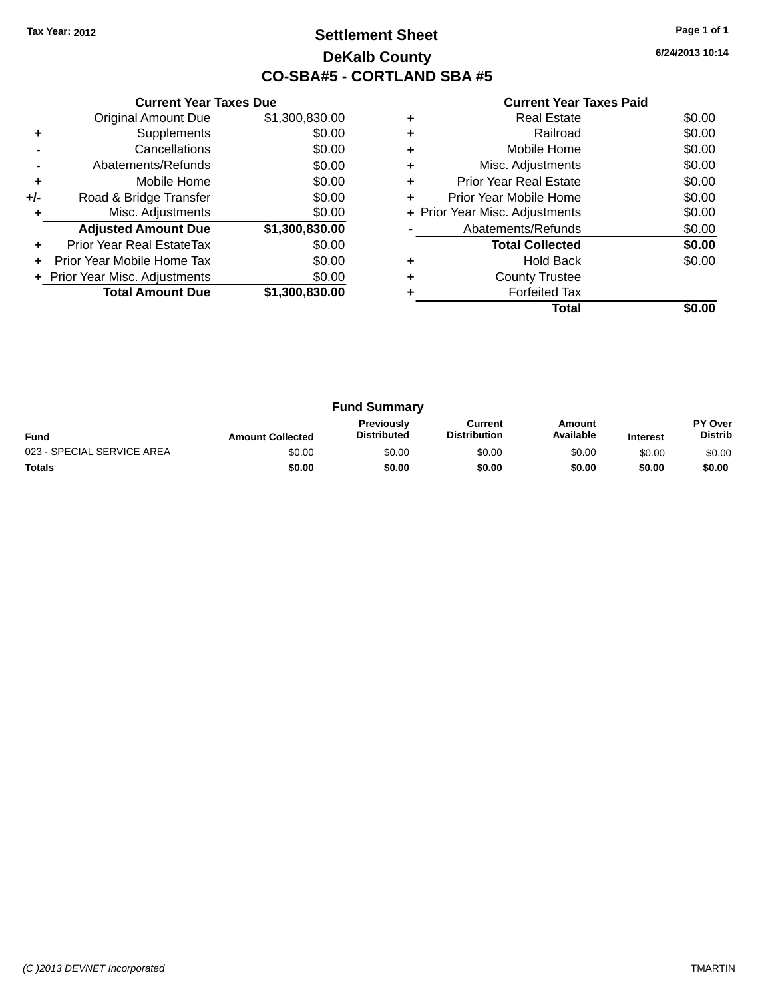### **Settlement Sheet Tax Year: 2012 Page 1 of 1 DeKalb County CO-SBA#5 - CORTLAND SBA #5**

**6/24/2013 10:14**

|     | <b>Current Year Taxes Due</b>  |                |  |  |  |  |
|-----|--------------------------------|----------------|--|--|--|--|
|     | <b>Original Amount Due</b>     | \$1,300,830.00 |  |  |  |  |
| ٠   | Supplements                    | \$0.00         |  |  |  |  |
|     | Cancellations                  | \$0.00         |  |  |  |  |
|     | Abatements/Refunds             | \$0.00         |  |  |  |  |
| ٠   | Mobile Home                    | \$0.00         |  |  |  |  |
| +/- | Road & Bridge Transfer         | \$0.00         |  |  |  |  |
| ٠   | Misc. Adjustments              | \$0.00         |  |  |  |  |
|     | <b>Adjusted Amount Due</b>     | \$1,300,830.00 |  |  |  |  |
| ٠   | Prior Year Real EstateTax      | \$0.00         |  |  |  |  |
| ٠   | Prior Year Mobile Home Tax     | \$0.00         |  |  |  |  |
|     | + Prior Year Misc. Adjustments | \$0.00         |  |  |  |  |
|     | <b>Total Amount Due</b>        | \$1,300,830.00 |  |  |  |  |
|     |                                |                |  |  |  |  |

|   | <b>Real Estate</b>             | \$0.00 |
|---|--------------------------------|--------|
| ٠ | Railroad                       | \$0.00 |
| ٠ | Mobile Home                    | \$0.00 |
| ٠ | Misc. Adjustments              | \$0.00 |
|   | <b>Prior Year Real Estate</b>  | \$0.00 |
|   | Prior Year Mobile Home         | \$0.00 |
|   | + Prior Year Misc. Adjustments | \$0.00 |
|   | Abatements/Refunds             | \$0.00 |
|   | <b>Total Collected</b>         | \$0.00 |
| ÷ | <b>Hold Back</b>               | \$0.00 |
| ٠ | <b>County Trustee</b>          |        |
|   | <b>Forfeited Tax</b>           |        |
|   | Total                          |        |

|                            |                         | <b>Fund Summary</b>                     |                                |                     |                 |                           |
|----------------------------|-------------------------|-----------------------------------------|--------------------------------|---------------------|-----------------|---------------------------|
| <b>Fund</b>                | <b>Amount Collected</b> | <b>Previously</b><br><b>Distributed</b> | Current<br><b>Distribution</b> | Amount<br>Available | <b>Interest</b> | PY Over<br><b>Distrib</b> |
| 023 - SPECIAL SERVICE AREA | \$0.00                  | \$0.00                                  | \$0.00                         | \$0.00              | \$0.00          | \$0.00                    |
| <b>Totals</b>              | \$0.00                  | \$0.00                                  | \$0.00                         | \$0.00              | \$0.00          | \$0.00                    |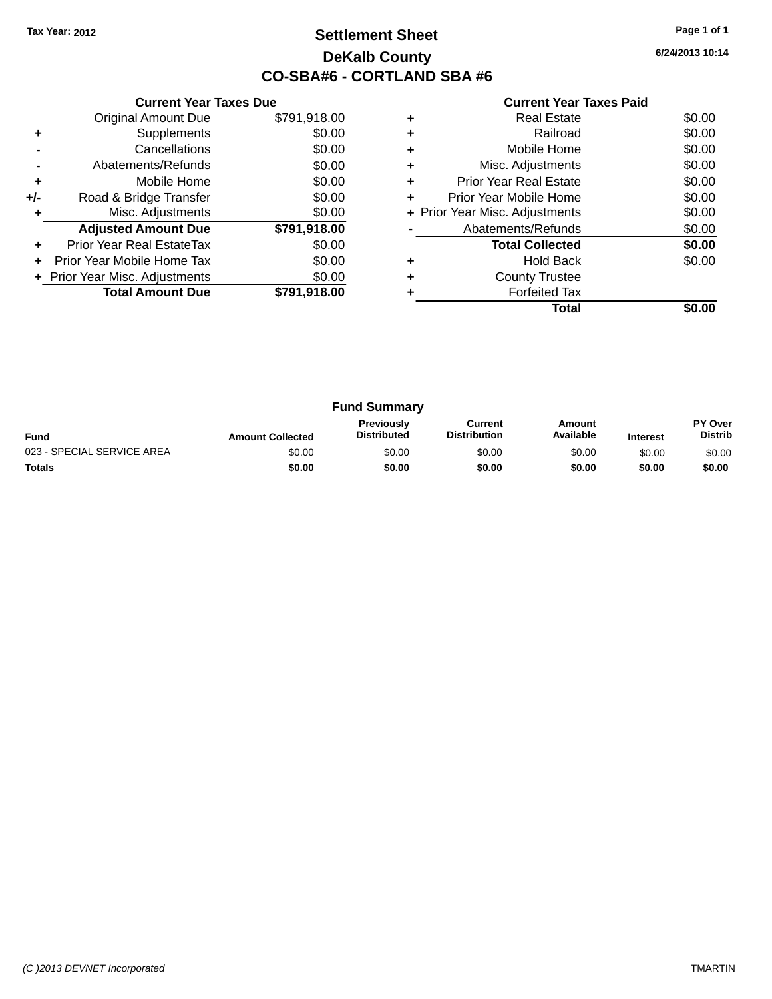### **Settlement Sheet Tax Year: 2012 Page 1 of 1 DeKalb County CO-SBA#6 - CORTLAND SBA #6**

**6/24/2013 10:14**

|     | <b>Current Year Taxes Due</b>  |              |
|-----|--------------------------------|--------------|
|     | <b>Original Amount Due</b>     | \$791,918.00 |
| ٠   | Supplements                    | \$0.00       |
|     | Cancellations                  | \$0.00       |
|     | Abatements/Refunds             | \$0.00       |
| ٠   | Mobile Home                    | \$0.00       |
| +/- | Road & Bridge Transfer         | \$0.00       |
| ٠   | Misc. Adjustments              | \$0.00       |
|     | <b>Adjusted Amount Due</b>     | \$791,918.00 |
| ٠   | Prior Year Real EstateTax      | \$0.00       |
|     | Prior Year Mobile Home Tax     | \$0.00       |
|     | + Prior Year Misc. Adjustments | \$0.00       |
|     | <b>Total Amount Due</b>        | \$791,918.00 |
|     |                                |              |

|   | Total                          |        |
|---|--------------------------------|--------|
|   | <b>Forfeited Tax</b>           |        |
| ٠ | <b>County Trustee</b>          |        |
|   | <b>Hold Back</b>               | \$0.00 |
|   | <b>Total Collected</b>         | \$0.00 |
|   | Abatements/Refunds             | \$0.00 |
|   | + Prior Year Misc. Adjustments | \$0.00 |
| ٠ | Prior Year Mobile Home         | \$0.00 |
| ٠ | <b>Prior Year Real Estate</b>  | \$0.00 |
| ٠ | Misc. Adjustments              | \$0.00 |
| ٠ | Mobile Home                    | \$0.00 |
| ٠ | Railroad                       | \$0.00 |
|   | Real Estate                    | \$0.00 |

|                            |                         | <b>Fund Summary</b>                     |                                |                     |                 |                                  |
|----------------------------|-------------------------|-----------------------------------------|--------------------------------|---------------------|-----------------|----------------------------------|
| <b>Fund</b>                | <b>Amount Collected</b> | <b>Previously</b><br><b>Distributed</b> | Current<br><b>Distribution</b> | Amount<br>Available | <b>Interest</b> | <b>PY Over</b><br><b>Distrib</b> |
| 023 - SPECIAL SERVICE AREA | \$0.00                  | \$0.00                                  | \$0.00                         | \$0.00              | \$0.00          | \$0.00                           |
| <b>Totals</b>              | \$0.00                  | \$0.00                                  | \$0.00                         | \$0.00              | \$0.00          | \$0.00                           |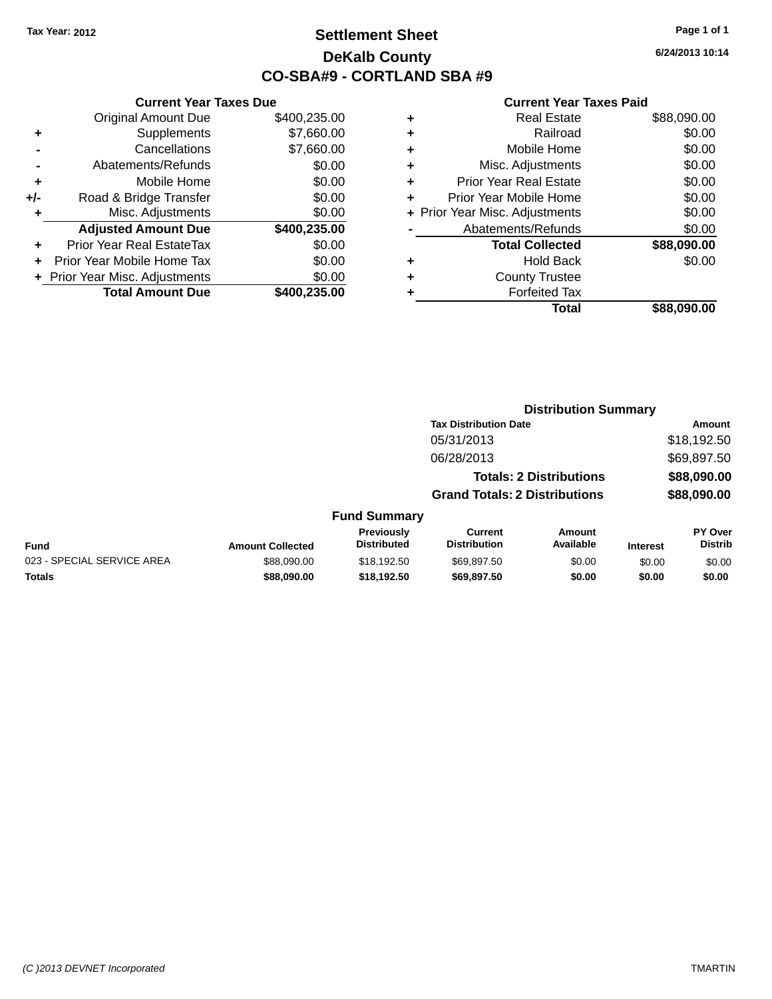### **Settlement Sheet Tax Year: 2012 Page 1 of 1 DeKalb County CO-SBA#9 - CORTLAND SBA #9**

**6/24/2013 10:14**

|     | <b>Current Year Taxes Due</b>  |              |
|-----|--------------------------------|--------------|
|     | <b>Original Amount Due</b>     | \$400,235.00 |
| ٠   | Supplements                    | \$7,660.00   |
|     | Cancellations                  | \$7,660.00   |
|     | Abatements/Refunds             | \$0.00       |
| ٠   | Mobile Home                    | \$0.00       |
| +/- | Road & Bridge Transfer         | \$0.00       |
| ٠   | Misc. Adjustments              | \$0.00       |
|     | <b>Adjusted Amount Due</b>     | \$400,235.00 |
| ٠   | Prior Year Real EstateTax      | \$0.00       |
|     | Prior Year Mobile Home Tax     | \$0.00       |
|     | + Prior Year Misc. Adjustments | \$0.00       |
|     | <b>Total Amount Due</b>        | \$400,235.00 |
|     |                                |              |

| ٠ | <b>Real Estate</b>             | \$88,090.00 |
|---|--------------------------------|-------------|
| ٠ | Railroad                       | \$0.00      |
| ٠ | Mobile Home                    | \$0.00      |
| ٠ | Misc. Adjustments              | \$0.00      |
| ٠ | <b>Prior Year Real Estate</b>  | \$0.00      |
| ٠ | Prior Year Mobile Home         | \$0.00      |
|   | + Prior Year Misc. Adjustments | \$0.00      |
|   | Abatements/Refunds             | \$0.00      |
|   | <b>Total Collected</b>         | \$88,090.00 |
| ٠ | <b>Hold Back</b>               | \$0.00      |
|   | <b>County Trustee</b>          |             |
| ٠ | <b>Forfeited Tax</b>           |             |
|   | Total                          | \$88,090.00 |
|   |                                |             |

|                            |                         |                                  | <b>Distribution Summary</b>           |                                |                 |                                  |
|----------------------------|-------------------------|----------------------------------|---------------------------------------|--------------------------------|-----------------|----------------------------------|
|                            |                         |                                  | <b>Tax Distribution Date</b>          |                                |                 | <b>Amount</b>                    |
|                            |                         |                                  | 05/31/2013                            |                                |                 | \$18,192.50                      |
|                            |                         |                                  | 06/28/2013                            |                                |                 | \$69,897.50                      |
|                            |                         |                                  |                                       | <b>Totals: 2 Distributions</b> |                 | \$88,090.00                      |
|                            |                         |                                  | <b>Grand Totals: 2 Distributions</b>  |                                |                 | \$88,090.00                      |
|                            |                         | <b>Fund Summary</b>              |                                       |                                |                 |                                  |
| <b>Fund</b>                | <b>Amount Collected</b> | Previously<br><b>Distributed</b> | <b>Current</b><br><b>Distribution</b> | Amount<br>Available            | <b>Interest</b> | <b>PY Over</b><br><b>Distrib</b> |
| 023 - SPECIAL SERVICE AREA | \$88,090,00             | \$18,192.50                      | \$69,897.50                           | \$0.00                         | \$0.00          | \$0.00                           |
| <b>Totals</b>              | \$88,090.00             | \$18,192.50                      | \$69,897.50                           | \$0.00                         | \$0.00          | \$0.00                           |
|                            |                         |                                  |                                       |                                |                 |                                  |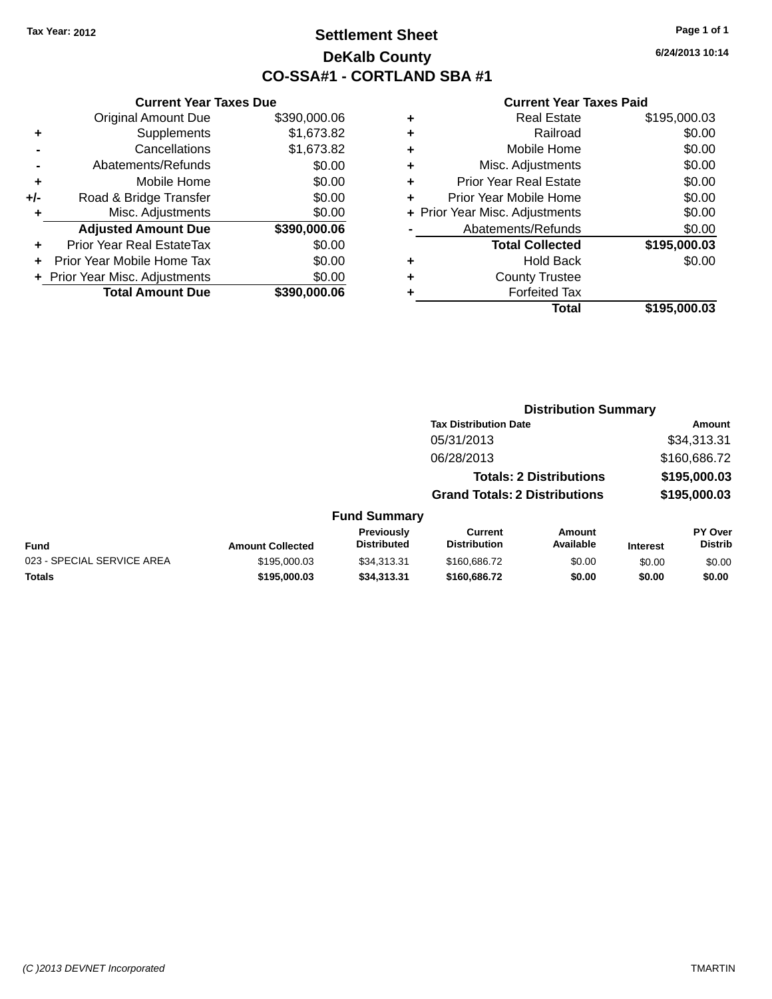### **Settlement Sheet Tax Year: 2012 Page 1 of 1 DeKalb County CO-SSA#1 - CORTLAND SBA #1**

# **6/24/2013 10:14**

#### **Current Year Taxes Paid**

**Distribution Summary**

|     | <b>Current Year Taxes Due</b>    |              |  |  |  |
|-----|----------------------------------|--------------|--|--|--|
|     | <b>Original Amount Due</b>       | \$390,000.06 |  |  |  |
| ٠   | Supplements                      | \$1,673.82   |  |  |  |
|     | Cancellations<br>\$1,673.82      |              |  |  |  |
|     | Abatements/Refunds               | \$0.00       |  |  |  |
| ٠   | Mobile Home                      | \$0.00       |  |  |  |
| +/- | Road & Bridge Transfer           | \$0.00       |  |  |  |
| ٠   | Misc. Adjustments<br>\$0.00      |              |  |  |  |
|     | <b>Adjusted Amount Due</b>       | \$390,000.06 |  |  |  |
|     | <b>Prior Year Real EstateTax</b> | \$0.00       |  |  |  |
|     | Prior Year Mobile Home Tax       | \$0.00       |  |  |  |
|     | + Prior Year Misc. Adjustments   | \$0.00       |  |  |  |
|     | <b>Total Amount Due</b>          | \$390,000.06 |  |  |  |
|     |                                  |              |  |  |  |

|                            |                         |                                         | <b>Tax Distribution Date</b>          |                                |                 | Amount                           |
|----------------------------|-------------------------|-----------------------------------------|---------------------------------------|--------------------------------|-----------------|----------------------------------|
|                            |                         |                                         | 05/31/2013                            |                                |                 | \$34,313.31                      |
|                            |                         |                                         | 06/28/2013                            |                                |                 | \$160,686.72                     |
|                            |                         |                                         |                                       | <b>Totals: 2 Distributions</b> |                 | \$195,000.03                     |
|                            |                         |                                         | <b>Grand Totals: 2 Distributions</b>  |                                |                 | \$195,000.03                     |
|                            |                         | <b>Fund Summary</b>                     |                                       |                                |                 |                                  |
| Fund                       | <b>Amount Collected</b> | <b>Previously</b><br><b>Distributed</b> | <b>Current</b><br><b>Distribution</b> | <b>Amount</b><br>Available     | <b>Interest</b> | <b>PY Over</b><br><b>Distrib</b> |
| 023 - SPECIAL SERVICE AREA | \$195,000.03            | \$34,313.31                             | \$160,686.72                          | \$0.00                         | \$0.00          | \$0.00                           |
| <b>Totals</b>              | \$195,000.03            | \$34,313.31                             | \$160,686.72                          | \$0.00                         | \$0.00          | \$0.00                           |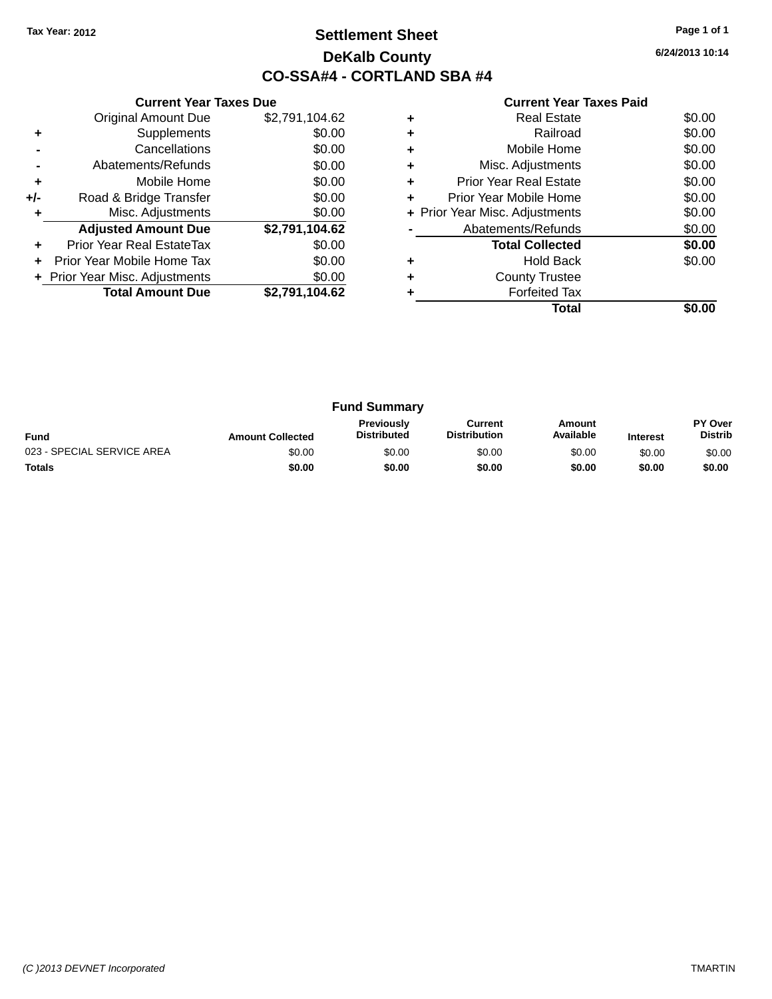### **Settlement Sheet Tax Year: 2012 Page 1 of 1 DeKalb County CO-SSA#4 - CORTLAND SBA #4**

**6/24/2013 10:14**

|     | <b>Current Year Taxes Due</b>  |                |
|-----|--------------------------------|----------------|
|     | <b>Original Amount Due</b>     | \$2,791,104.62 |
| ٠   | Supplements                    | \$0.00         |
|     | Cancellations                  | \$0.00         |
|     | Abatements/Refunds             | \$0.00         |
| ٠   | Mobile Home                    | \$0.00         |
| +/- | Road & Bridge Transfer         | \$0.00         |
|     | Misc. Adjustments              | \$0.00         |
|     | <b>Adjusted Amount Due</b>     | \$2,791,104.62 |
|     | Prior Year Real EstateTax      | \$0.00         |
|     | Prior Year Mobile Home Tax     | \$0.00         |
|     | + Prior Year Misc. Adjustments | \$0.00         |
|     | <b>Total Amount Due</b>        | \$2,791,104.62 |
|     |                                |                |

|   | <b>Real Estate</b>             | \$0.00 |
|---|--------------------------------|--------|
| ٠ | Railroad                       | \$0.00 |
| ٠ | Mobile Home                    | \$0.00 |
| ٠ | Misc. Adjustments              | \$0.00 |
| ÷ | Prior Year Real Estate         | \$0.00 |
| ٠ | Prior Year Mobile Home         | \$0.00 |
|   | + Prior Year Misc. Adjustments | \$0.00 |
|   | Abatements/Refunds             | \$0.00 |
|   | <b>Total Collected</b>         | \$0.00 |
|   | <b>Hold Back</b>               | \$0.00 |
|   | <b>County Trustee</b>          |        |
|   | <b>Forfeited Tax</b>           |        |
|   | Total                          |        |

| <b>Fund Summary</b>        |                         |                                         |                                |                     |                 |                                  |
|----------------------------|-------------------------|-----------------------------------------|--------------------------------|---------------------|-----------------|----------------------------------|
| <b>Fund</b>                | <b>Amount Collected</b> | <b>Previously</b><br><b>Distributed</b> | Current<br><b>Distribution</b> | Amount<br>Available | <b>Interest</b> | <b>PY Over</b><br><b>Distrib</b> |
| 023 - SPECIAL SERVICE AREA | \$0.00                  | \$0.00                                  | \$0.00                         | \$0.00              | \$0.00          | \$0.00                           |
| <b>Totals</b>              | \$0.00                  | \$0.00                                  | \$0.00                         | \$0.00              | \$0.00          | \$0.00                           |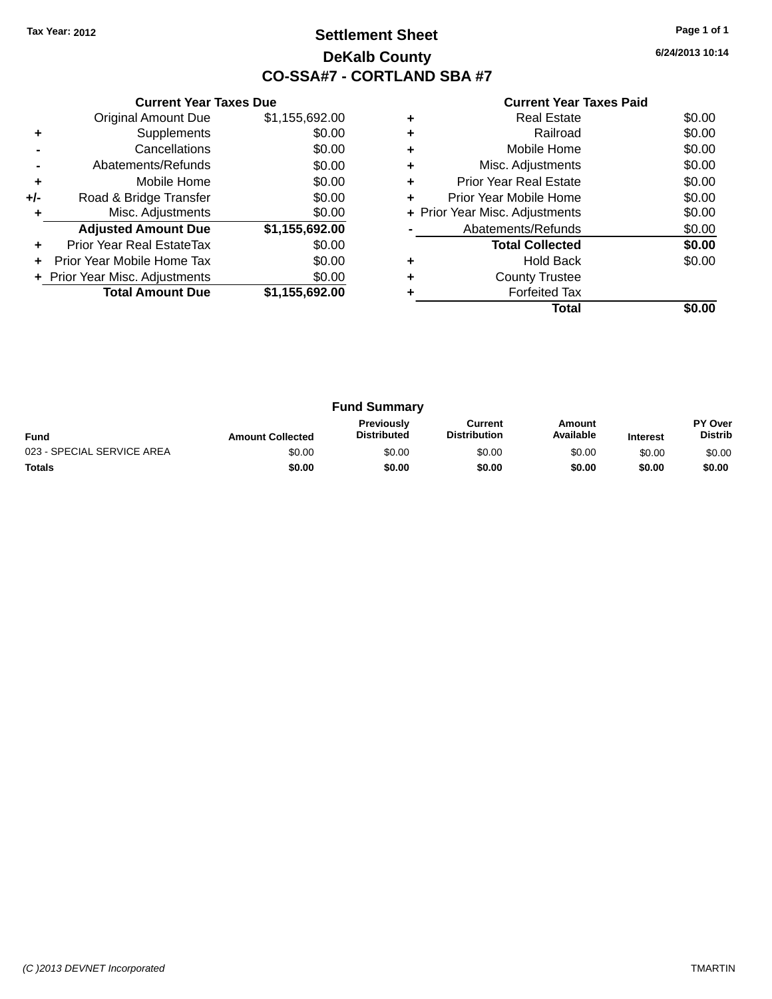### **Settlement Sheet Tax Year: 2012 Page 1 of 1 DeKalb County CO-SSA#7 - CORTLAND SBA #7**

**6/24/2013 10:14**

|     | <b>Current Year Taxes Due</b>  |                |
|-----|--------------------------------|----------------|
|     | <b>Original Amount Due</b>     | \$1,155,692.00 |
| ٠   | Supplements                    | \$0.00         |
|     | Cancellations                  | \$0.00         |
|     | Abatements/Refunds             | \$0.00         |
| ٠   | Mobile Home                    | \$0.00         |
| +/- | Road & Bridge Transfer         | \$0.00         |
| ٠   | Misc. Adjustments              | \$0.00         |
|     | <b>Adjusted Amount Due</b>     | \$1,155,692.00 |
| ÷   | Prior Year Real EstateTax      | \$0.00         |
| ÷   | Prior Year Mobile Home Tax     | \$0.00         |
|     | + Prior Year Misc. Adjustments | \$0.00         |
|     | <b>Total Amount Due</b>        | \$1,155,692.00 |
|     |                                |                |

|   | <b>Real Estate</b>             | \$0.00 |
|---|--------------------------------|--------|
| ٠ | Railroad                       | \$0.00 |
| ٠ | Mobile Home                    | \$0.00 |
| ٠ | Misc. Adjustments              | \$0.00 |
| ٠ | <b>Prior Year Real Estate</b>  | \$0.00 |
| ٠ | Prior Year Mobile Home         | \$0.00 |
|   | + Prior Year Misc. Adjustments | \$0.00 |
|   | Abatements/Refunds             | \$0.00 |
|   | <b>Total Collected</b>         | \$0.00 |
|   | <b>Hold Back</b>               | \$0.00 |
| ٠ | <b>County Trustee</b>          |        |
|   | <b>Forfeited Tax</b>           |        |
|   | Total                          |        |

| <b>Fund Summary</b>        |                         |                                         |                                |                     |                 |                           |
|----------------------------|-------------------------|-----------------------------------------|--------------------------------|---------------------|-----------------|---------------------------|
| <b>Fund</b>                | <b>Amount Collected</b> | <b>Previously</b><br><b>Distributed</b> | Current<br><b>Distribution</b> | Amount<br>Available | <b>Interest</b> | PY Over<br><b>Distrib</b> |
| 023 - SPECIAL SERVICE AREA | \$0.00                  | \$0.00                                  | \$0.00                         | \$0.00              | \$0.00          | \$0.00                    |
| <b>Totals</b>              | \$0.00                  | \$0.00                                  | \$0.00                         | \$0.00              | \$0.00          | \$0.00                    |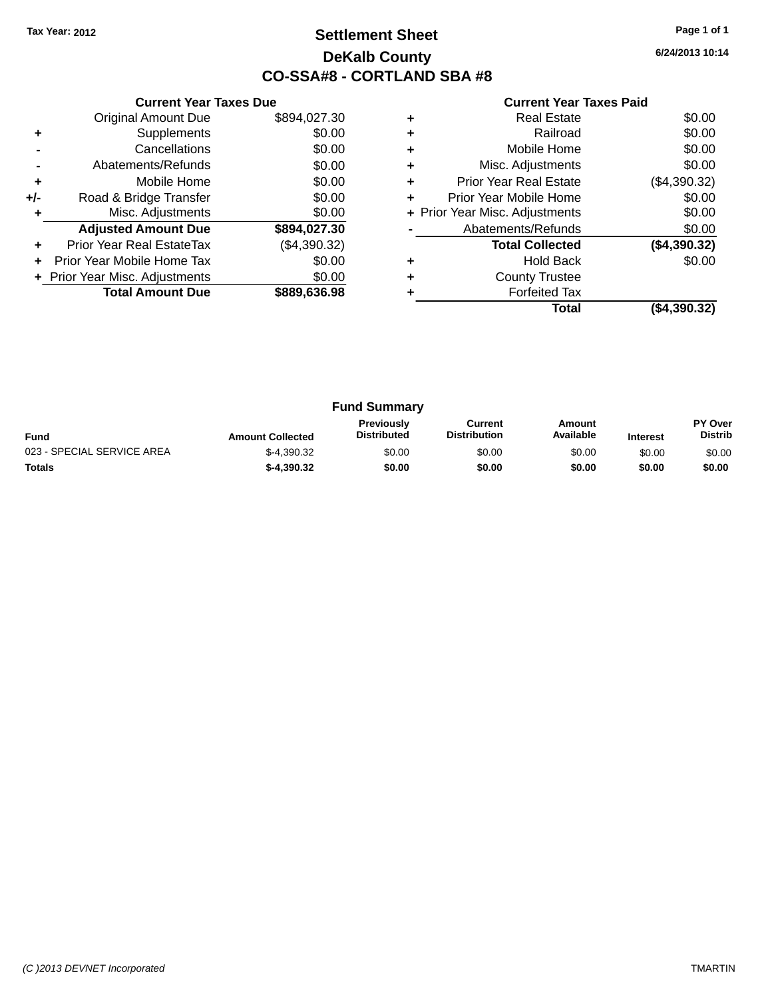### **Settlement Sheet Tax Year: 2012 Page 1 of 1 DeKalb County CO-SSA#8 - CORTLAND SBA #8**

**6/24/2013 10:14**

|     | <b>Current Year Taxes Due</b>  |              |  |  |  |
|-----|--------------------------------|--------------|--|--|--|
|     | <b>Original Amount Due</b>     | \$894,027.30 |  |  |  |
| ٠   | Supplements                    | \$0.00       |  |  |  |
|     | Cancellations                  | \$0.00       |  |  |  |
|     | Abatements/Refunds             | \$0.00       |  |  |  |
| ٠   | Mobile Home                    | \$0.00       |  |  |  |
| +/- | Road & Bridge Transfer         | \$0.00       |  |  |  |
|     | Misc. Adjustments              | \$0.00       |  |  |  |
|     | <b>Adjusted Amount Due</b>     | \$894,027.30 |  |  |  |
|     | Prior Year Real EstateTax      | (\$4,390.32) |  |  |  |
|     | Prior Year Mobile Home Tax     | \$0.00       |  |  |  |
|     | + Prior Year Misc. Adjustments | \$0.00       |  |  |  |
|     | <b>Total Amount Due</b>        | \$889,636.98 |  |  |  |
|     |                                |              |  |  |  |

| <b>Real Estate</b>            | \$0.00                         |
|-------------------------------|--------------------------------|
| Railroad                      | \$0.00                         |
| Mobile Home                   | \$0.00                         |
| Misc. Adjustments             | \$0.00                         |
| <b>Prior Year Real Estate</b> | (\$4,390.32)                   |
| Prior Year Mobile Home        | \$0.00                         |
|                               | \$0.00                         |
| Abatements/Refunds            | \$0.00                         |
| <b>Total Collected</b>        | (\$4,390.32)                   |
| <b>Hold Back</b>              | \$0.00                         |
| <b>County Trustee</b>         |                                |
| <b>Forfeited Tax</b>          |                                |
| Total                         | (\$4,390.32)                   |
|                               | + Prior Year Misc. Adjustments |

| <b>Fund Summary</b>        |                         |                                         |                                |                     |                 |                           |
|----------------------------|-------------------------|-----------------------------------------|--------------------------------|---------------------|-----------------|---------------------------|
| <b>Fund</b>                | <b>Amount Collected</b> | <b>Previously</b><br><b>Distributed</b> | Current<br><b>Distribution</b> | Amount<br>Available | <b>Interest</b> | PY Over<br><b>Distrib</b> |
| 023 - SPECIAL SERVICE AREA | $$-4.390.32$            | \$0.00                                  | \$0.00                         | \$0.00              | \$0.00          | \$0.00                    |
| <b>Totals</b>              | $$-4.390.32$            | \$0.00                                  | \$0.00                         | \$0.00              | \$0.00          | \$0.00                    |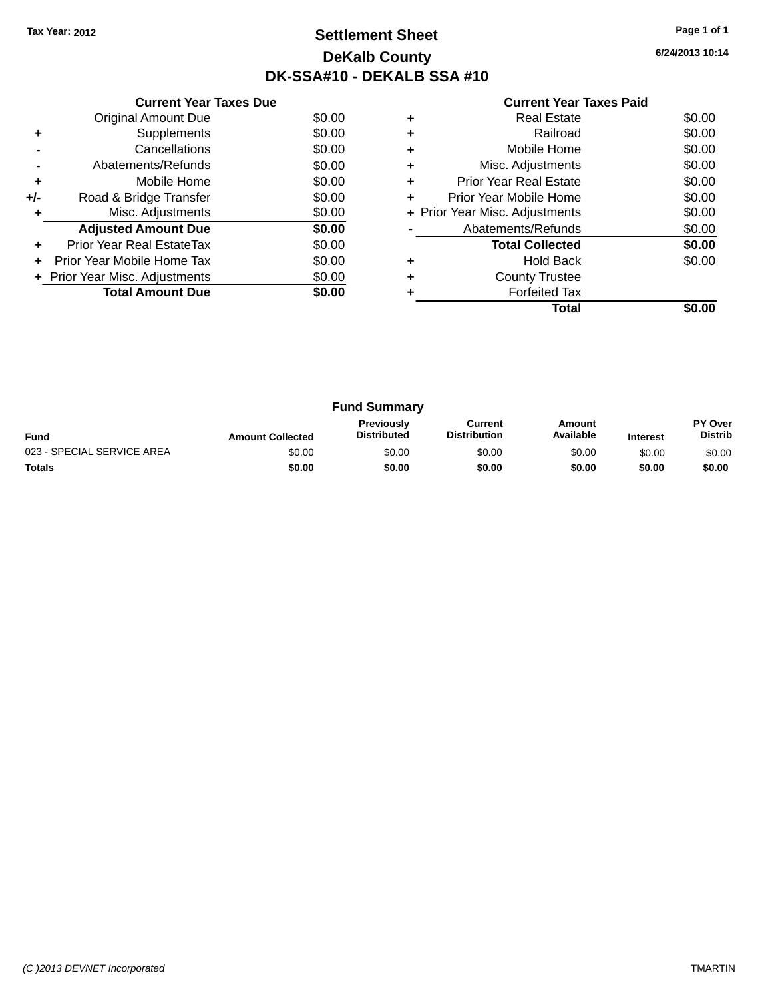### **Settlement Sheet Tax Year: 2012 Page 1 of 1 DeKalb County DK-SSA#10 - DEKALB SSA #10**

**6/24/2013 10:14**

|     | <b>Current Year Taxes Due</b>  |        |
|-----|--------------------------------|--------|
|     | <b>Original Amount Due</b>     | \$0.00 |
| ٠   | Supplements                    | \$0.00 |
|     | Cancellations                  | \$0.00 |
|     | Abatements/Refunds             | \$0.00 |
| ٠   | Mobile Home                    | \$0.00 |
| +/- | Road & Bridge Transfer         | \$0.00 |
| ٠   | Misc. Adjustments              | \$0.00 |
|     | <b>Adjusted Amount Due</b>     | \$0.00 |
| ٠   | Prior Year Real EstateTax      | \$0.00 |
|     | Prior Year Mobile Home Tax     | \$0.00 |
|     | + Prior Year Misc. Adjustments | \$0.00 |
|     | <b>Total Amount Due</b>        | \$0.00 |
|     |                                |        |

|   | <b>Real Estate</b>             | \$0.00 |
|---|--------------------------------|--------|
|   | Railroad                       | \$0.00 |
| ٠ | Mobile Home                    | \$0.00 |
| ٠ | Misc. Adjustments              | \$0.00 |
| ٠ | Prior Year Real Estate         | \$0.00 |
| ٠ | Prior Year Mobile Home         | \$0.00 |
|   | + Prior Year Misc. Adjustments | \$0.00 |
|   | Abatements/Refunds             | \$0.00 |
|   | <b>Total Collected</b>         | \$0.00 |
|   | <b>Hold Back</b>               | \$0.00 |
| ٠ | <b>County Trustee</b>          |        |
|   | <b>Forfeited Tax</b>           |        |
|   | Total                          |        |

| <b>Fund Summary</b>        |                         |                                         |                                |                     |                 |                           |
|----------------------------|-------------------------|-----------------------------------------|--------------------------------|---------------------|-----------------|---------------------------|
| <b>Fund</b>                | <b>Amount Collected</b> | <b>Previously</b><br><b>Distributed</b> | Current<br><b>Distribution</b> | Amount<br>Available | <b>Interest</b> | PY Over<br><b>Distrib</b> |
| 023 - SPECIAL SERVICE AREA | \$0.00                  | \$0.00                                  | \$0.00                         | \$0.00              | \$0.00          | \$0.00                    |
| <b>Totals</b>              | \$0.00                  | \$0.00                                  | \$0.00                         | \$0.00              | \$0.00          | \$0.00                    |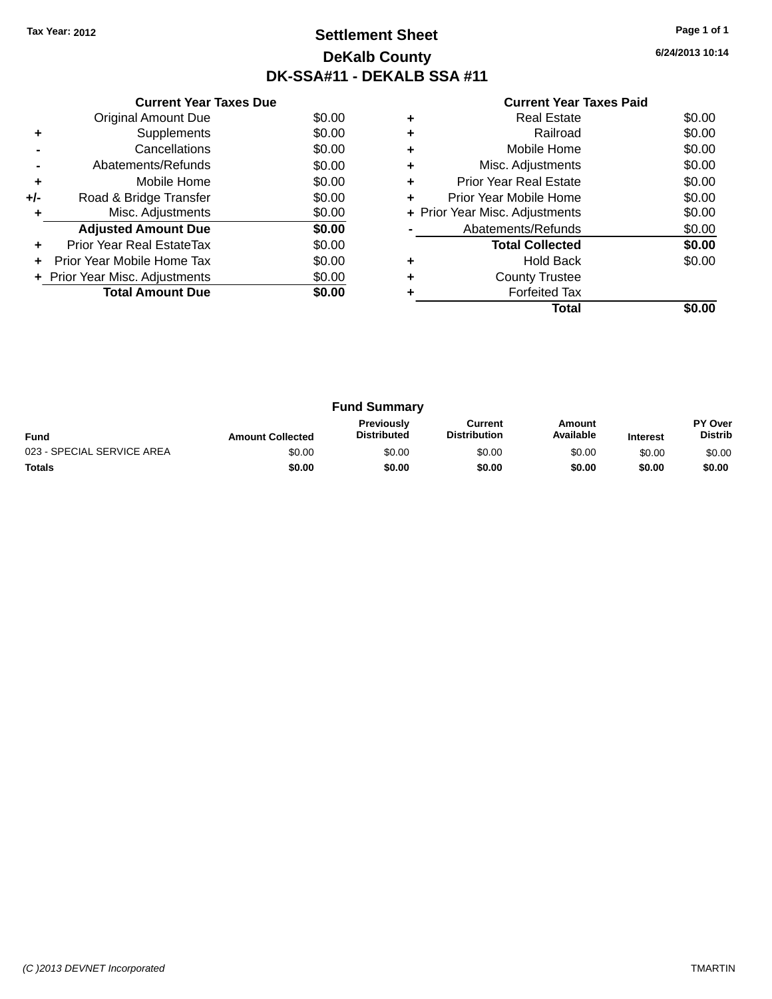### **Settlement Sheet Tax Year: 2012 Page 1 of 1 DeKalb County DK-SSA#11 - DEKALB SSA #11**

**6/24/2013 10:14**

|     | <b>Current Year Taxes Due</b>  |        |
|-----|--------------------------------|--------|
|     | <b>Original Amount Due</b>     | \$0.00 |
| ٠   | Supplements                    | \$0.00 |
|     | Cancellations                  | \$0.00 |
|     | Abatements/Refunds             | \$0.00 |
| ÷   | Mobile Home                    | \$0.00 |
| +/- | Road & Bridge Transfer         | \$0.00 |
| ٠   | Misc. Adjustments              | \$0.00 |
|     | <b>Adjusted Amount Due</b>     | \$0.00 |
| ٠   | Prior Year Real EstateTax      | \$0.00 |
|     | Prior Year Mobile Home Tax     | \$0.00 |
|     | + Prior Year Misc. Adjustments | \$0.00 |
|     | <b>Total Amount Due</b>        | \$0.00 |
|     |                                |        |

|   | Real Estate                    | \$0.00 |
|---|--------------------------------|--------|
|   | Railroad                       | \$0.00 |
| ٠ | Mobile Home                    | \$0.00 |
| ٠ | Misc. Adjustments              | \$0.00 |
| ٠ | <b>Prior Year Real Estate</b>  | \$0.00 |
| ٠ | Prior Year Mobile Home         | \$0.00 |
|   | + Prior Year Misc. Adjustments | \$0.00 |
|   | Abatements/Refunds             | \$0.00 |
|   | <b>Total Collected</b>         | \$0.00 |
| ٠ | <b>Hold Back</b>               | \$0.00 |
|   | <b>County Trustee</b>          |        |
|   | <b>Forfeited Tax</b>           |        |
|   | Total                          |        |

| <b>Fund Summary</b>        |                         |                                         |                                |                     |                 |                                  |
|----------------------------|-------------------------|-----------------------------------------|--------------------------------|---------------------|-----------------|----------------------------------|
| <b>Fund</b>                | <b>Amount Collected</b> | <b>Previously</b><br><b>Distributed</b> | Current<br><b>Distribution</b> | Amount<br>Available | <b>Interest</b> | <b>PY Over</b><br><b>Distrib</b> |
| 023 - SPECIAL SERVICE AREA | \$0.00                  | \$0.00                                  | \$0.00                         | \$0.00              | \$0.00          | \$0.00                           |
| <b>Totals</b>              | \$0.00                  | \$0.00                                  | \$0.00                         | \$0.00              | \$0.00          | \$0.00                           |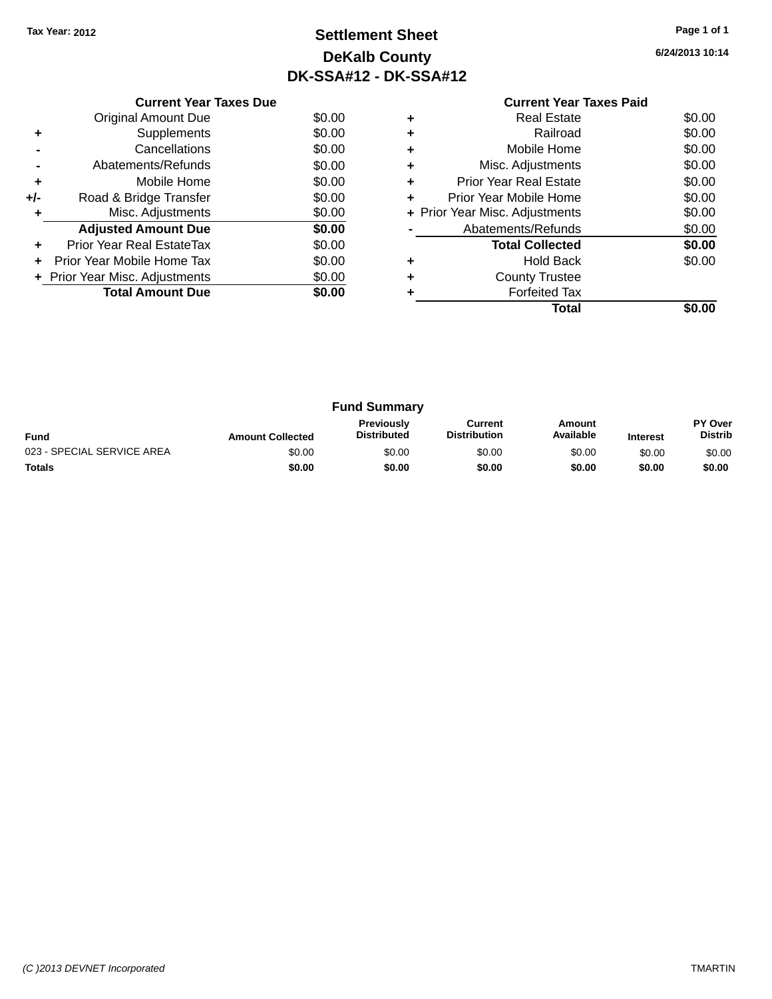### **Settlement Sheet Tax Year: 2012 Page 1 of 1 DeKalb County DK-SSA#12 - DK-SSA#12**

| <b>Current Year Taxes Paid</b> |  |
|--------------------------------|--|

|     | <b>Current Year Taxes Due</b>  |        |
|-----|--------------------------------|--------|
|     | Original Amount Due            | \$0.00 |
| ٠   | Supplements                    | \$0.00 |
|     | Cancellations                  | \$0.00 |
|     | Abatements/Refunds             | \$0.00 |
| ٠   | Mobile Home                    | \$0.00 |
| +/- | Road & Bridge Transfer         | \$0.00 |
|     | Misc. Adjustments              | \$0.00 |
|     | <b>Adjusted Amount Due</b>     | \$0.00 |
| ٠   | Prior Year Real EstateTax      | \$0.00 |
|     | Prior Year Mobile Home Tax     | \$0.00 |
|     | + Prior Year Misc. Adjustments | \$0.00 |
|     | <b>Total Amount Due</b>        | \$0.00 |
|     |                                |        |

|   | <b>Real Estate</b>             | \$0.00 |
|---|--------------------------------|--------|
|   | Railroad                       | \$0.00 |
| ٠ | Mobile Home                    | \$0.00 |
| ٠ | Misc. Adjustments              | \$0.00 |
| ٠ | <b>Prior Year Real Estate</b>  | \$0.00 |
| ٠ | Prior Year Mobile Home         | \$0.00 |
|   | + Prior Year Misc. Adjustments | \$0.00 |
|   | Abatements/Refunds             | \$0.00 |
|   | <b>Total Collected</b>         | \$0.00 |
|   | <b>Hold Back</b>               | \$0.00 |
| ٠ | <b>County Trustee</b>          |        |
|   | <b>Forfeited Tax</b>           |        |
|   | Total                          |        |

| <b>Fund Summary</b>        |                         |                                         |                                |                     |                 |                           |
|----------------------------|-------------------------|-----------------------------------------|--------------------------------|---------------------|-----------------|---------------------------|
| <b>Fund</b>                | <b>Amount Collected</b> | <b>Previously</b><br><b>Distributed</b> | Current<br><b>Distribution</b> | Amount<br>Available | <b>Interest</b> | PY Over<br><b>Distrib</b> |
| 023 - SPECIAL SERVICE AREA | \$0.00                  | \$0.00                                  | \$0.00                         | \$0.00              | \$0.00          | \$0.00                    |
| <b>Totals</b>              | \$0.00                  | \$0.00                                  | \$0.00                         | \$0.00              | \$0.00          | \$0.00                    |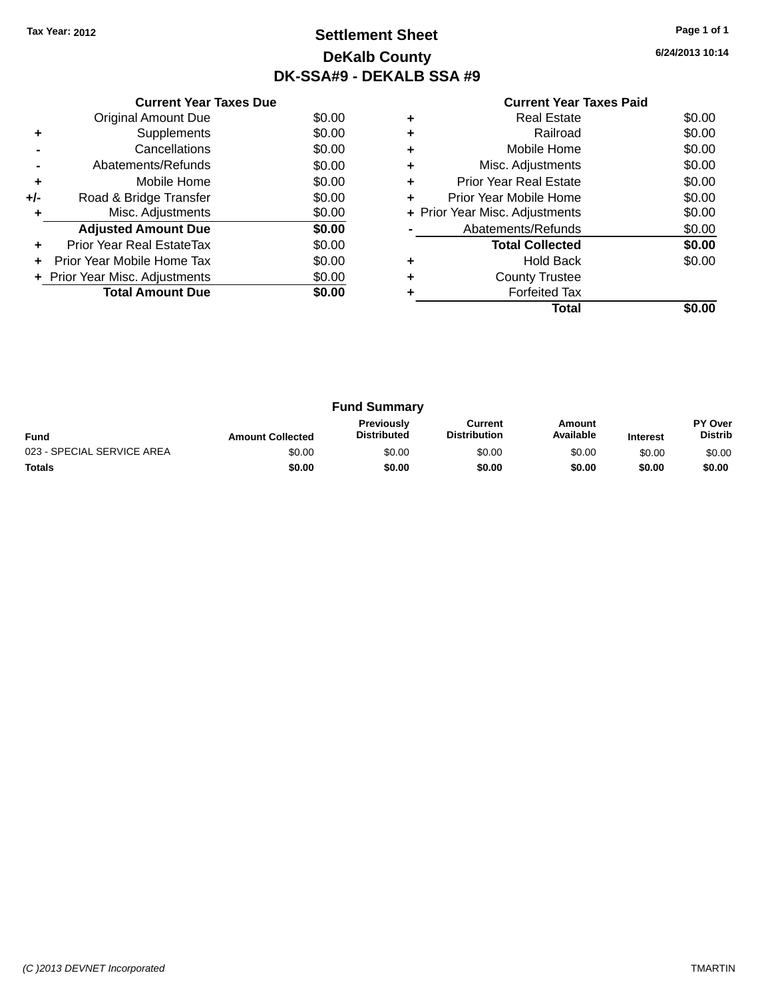### **Settlement Sheet Tax Year: 2012 Page 1 of 1 DeKalb County DK-SSA#9 - DEKALB SSA #9**

|     | <b>Current Year Taxes Due</b>  |        |  |  |  |  |
|-----|--------------------------------|--------|--|--|--|--|
|     | <b>Original Amount Due</b>     | \$0.00 |  |  |  |  |
| ٠   | Supplements                    | \$0.00 |  |  |  |  |
|     | Cancellations                  | \$0.00 |  |  |  |  |
|     | Abatements/Refunds             | \$0.00 |  |  |  |  |
| ٠   | Mobile Home                    | \$0.00 |  |  |  |  |
| +/- | Road & Bridge Transfer         | \$0.00 |  |  |  |  |
|     | Misc. Adjustments              | \$0.00 |  |  |  |  |
|     | <b>Adjusted Amount Due</b>     | \$0.00 |  |  |  |  |
|     | Prior Year Real EstateTax      | \$0.00 |  |  |  |  |
|     | Prior Year Mobile Home Tax     | \$0.00 |  |  |  |  |
|     | + Prior Year Misc. Adjustments | \$0.00 |  |  |  |  |
|     | <b>Total Amount Due</b>        | \$0.00 |  |  |  |  |
|     |                                |        |  |  |  |  |

|   | <b>Real Estate</b>             | \$0.00 |
|---|--------------------------------|--------|
| ٠ | Railroad                       | \$0.00 |
| ٠ | Mobile Home                    | \$0.00 |
| ٠ | Misc. Adjustments              | \$0.00 |
| ٠ | Prior Year Real Estate         | \$0.00 |
|   | Prior Year Mobile Home         | \$0.00 |
|   | + Prior Year Misc. Adjustments | \$0.00 |
|   | Abatements/Refunds             | \$0.00 |
|   | <b>Total Collected</b>         | \$0.00 |
|   | <b>Hold Back</b>               | \$0.00 |
|   | <b>County Trustee</b>          |        |
|   | <b>Forfeited Tax</b>           |        |
|   |                                |        |

| <b>Fund Summary</b>        |                         |                                         |                                |                     |                 |                           |
|----------------------------|-------------------------|-----------------------------------------|--------------------------------|---------------------|-----------------|---------------------------|
| <b>Fund</b>                | <b>Amount Collected</b> | <b>Previously</b><br><b>Distributed</b> | Current<br><b>Distribution</b> | Amount<br>Available | <b>Interest</b> | PY Over<br><b>Distrib</b> |
| 023 - SPECIAL SERVICE AREA | \$0.00                  | \$0.00                                  | \$0.00                         | \$0.00              | \$0.00          | \$0.00                    |
| <b>Totals</b>              | \$0.00                  | \$0.00                                  | \$0.00                         | \$0.00              | \$0.00          | \$0.00                    |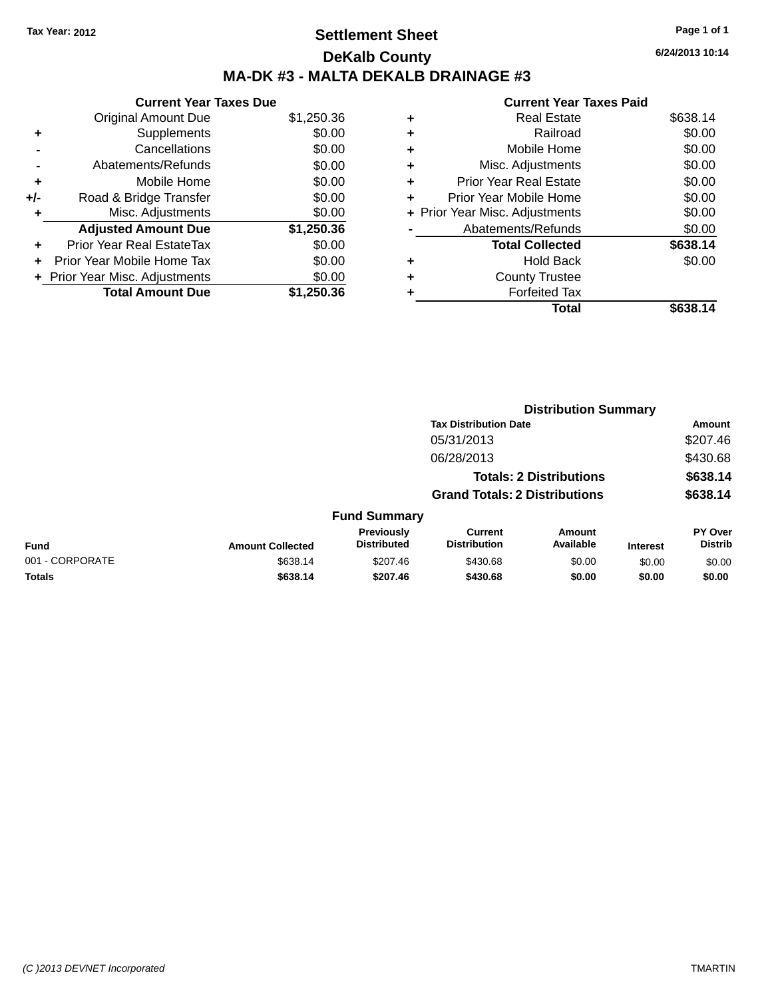## **Settlement Sheet Tax Year: 2012 Page 1 of 1 DeKalb County MA-DK #3 - MALTA DEKALB DRAINAGE #3**

|       | <b>Current Year Taxes Due</b>    |            |
|-------|----------------------------------|------------|
|       | <b>Original Amount Due</b>       | \$1,250.36 |
| ٠     | Supplements                      | \$0.00     |
|       | Cancellations                    | \$0.00     |
|       | Abatements/Refunds               | \$0.00     |
| ٠     | Mobile Home                      | \$0.00     |
| $+/-$ | Road & Bridge Transfer           | \$0.00     |
| ٠     | Misc. Adjustments                | \$0.00     |
|       | <b>Adjusted Amount Due</b>       | \$1,250.36 |
| ÷     | <b>Prior Year Real EstateTax</b> | \$0.00     |
|       | Prior Year Mobile Home Tax       | \$0.00     |
|       | + Prior Year Misc. Adjustments   | \$0.00     |
|       | <b>Total Amount Due</b>          | \$1.250.36 |

|   | <b>Current Year Taxes Paid</b> |          |
|---|--------------------------------|----------|
| ٠ | <b>Real Estate</b>             | \$638.14 |
| ٠ | Railroad                       | \$0.00   |
| ٠ | Mobile Home                    | \$0.00   |
| ٠ | Misc. Adjustments              | \$0.00   |
| ٠ | <b>Prior Year Real Estate</b>  | \$0.00   |
| ÷ | Prior Year Mobile Home         | \$0.00   |
|   | + Prior Year Misc. Adjustments | \$0.00   |
|   | Abatements/Refunds             | \$0.00   |
|   | <b>Total Collected</b>         | \$638.14 |
| ٠ | <b>Hold Back</b>               | \$0.00   |
|   | <b>County Trustee</b>          |          |
|   | <b>Forfeited Tax</b>           |          |
|   | Total                          | \$638.14 |

|                 |                         |                                  |                                       | <b>Distribution Summary</b>    |                 |                           |
|-----------------|-------------------------|----------------------------------|---------------------------------------|--------------------------------|-----------------|---------------------------|
|                 |                         |                                  | <b>Tax Distribution Date</b>          |                                |                 | <b>Amount</b>             |
|                 |                         |                                  | 05/31/2013                            |                                |                 | \$207.46                  |
|                 |                         |                                  | 06/28/2013                            |                                |                 | \$430.68                  |
|                 |                         |                                  |                                       | <b>Totals: 2 Distributions</b> |                 | \$638.14                  |
|                 |                         |                                  | <b>Grand Totals: 2 Distributions</b>  |                                |                 | \$638.14                  |
|                 |                         | <b>Fund Summary</b>              |                                       |                                |                 |                           |
| <b>Fund</b>     | <b>Amount Collected</b> | Previously<br><b>Distributed</b> | <b>Current</b><br><b>Distribution</b> | Amount<br>Available            | <b>Interest</b> | PY Over<br><b>Distrib</b> |
| 001 - CORPORATE | \$638.14                | \$207.46                         | \$430.68                              | \$0.00                         | \$0.00          | \$0.00                    |
| <b>Totals</b>   | \$638.14                | \$207.46                         | \$430.68                              | \$0.00                         | \$0.00          | \$0.00                    |
|                 |                         |                                  |                                       |                                |                 |                           |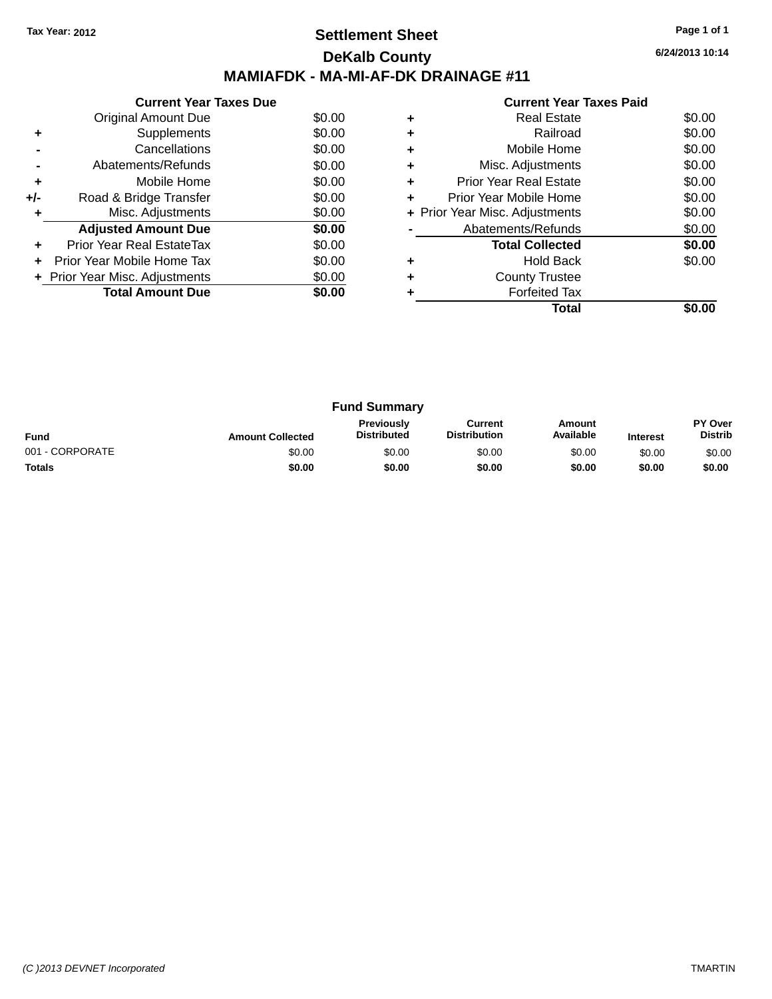## **Settlement Sheet Tax Year: 2012 Page 1 of 1 DeKalb County MAMIAFDK - MA-MI-AF-DK DRAINAGE #11**

**6/24/2013 10:14**

| <b>Current Year Taxes Paid</b> |
|--------------------------------|

|     | <b>Current Year Taxes Due</b>  |        |
|-----|--------------------------------|--------|
|     | Original Amount Due            | \$0.00 |
|     | Supplements                    | \$0.00 |
|     | Cancellations                  | \$0.00 |
|     | Abatements/Refunds             | \$0.00 |
| ÷   | Mobile Home                    | \$0.00 |
| +/- | Road & Bridge Transfer         | \$0.00 |
|     | Misc. Adjustments              | \$0.00 |
|     | <b>Adjusted Amount Due</b>     | \$0.00 |
|     | Prior Year Real EstateTax      | \$0.00 |
|     | Prior Year Mobile Home Tax     | \$0.00 |
|     | + Prior Year Misc. Adjustments | \$0.00 |
|     | <b>Total Amount Due</b>        | \$0.00 |
|     |                                |        |

|   | <b>Real Estate</b>             | \$0.00 |
|---|--------------------------------|--------|
| ٠ | Railroad                       | \$0.00 |
| ٠ | Mobile Home                    | \$0.00 |
| ٠ | Misc. Adjustments              | \$0.00 |
|   | <b>Prior Year Real Estate</b>  | \$0.00 |
| ٠ | Prior Year Mobile Home         | \$0.00 |
|   | + Prior Year Misc. Adjustments | \$0.00 |
|   | Abatements/Refunds             | \$0.00 |
|   | <b>Total Collected</b>         | \$0.00 |
| ٠ | <b>Hold Back</b>               | \$0.00 |
| ٠ | <b>County Trustee</b>          |        |
|   | <b>Forfeited Tax</b>           |        |
|   | Total                          |        |
|   |                                |        |

| <b>Fund Summary</b> |                         |                                         |                                |                     |                 |                           |
|---------------------|-------------------------|-----------------------------------------|--------------------------------|---------------------|-----------------|---------------------------|
| <b>Fund</b>         | <b>Amount Collected</b> | <b>Previously</b><br><b>Distributed</b> | Current<br><b>Distribution</b> | Amount<br>Available | <b>Interest</b> | PY Over<br><b>Distrib</b> |
| 001 - CORPORATE     | \$0.00                  | \$0.00                                  | \$0.00                         | \$0.00              | \$0.00          | \$0.00                    |
| <b>Totals</b>       | \$0.00                  | \$0.00                                  | \$0.00                         | \$0.00              | \$0.00          | \$0.00                    |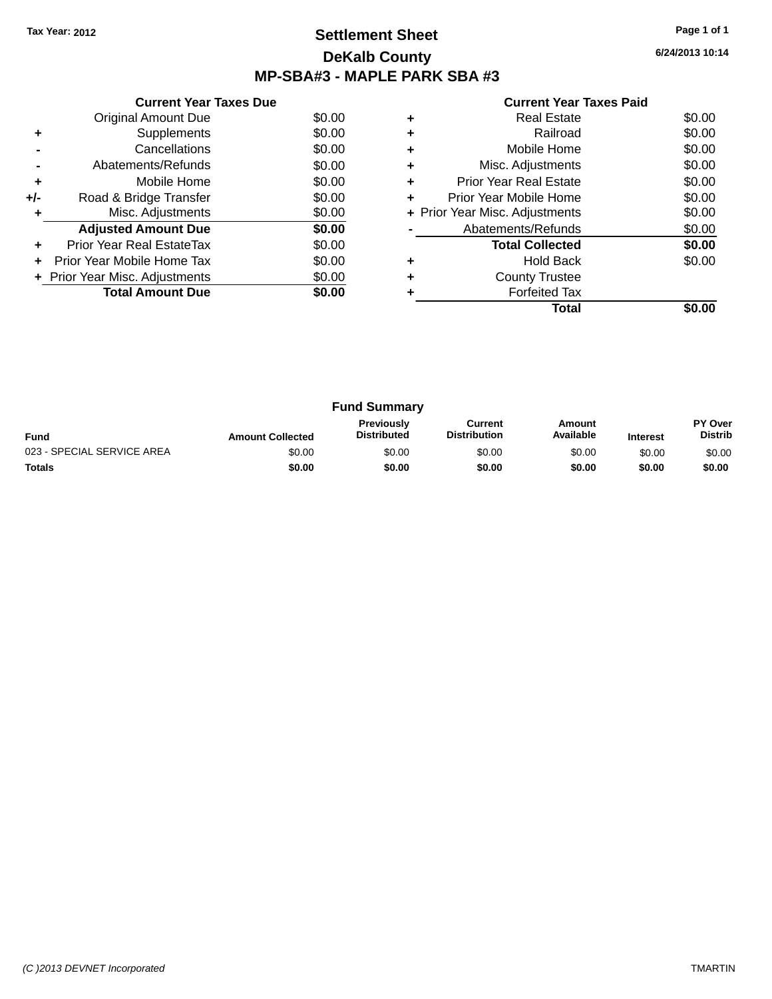### **Settlement Sheet Tax Year: 2012 Page 1 of 1 DeKalb County MP-SBA#3 - MAPLE PARK SBA #3**

**6/24/2013 10:14**

|     | <b>Current Year Taxes Due</b>  |        |
|-----|--------------------------------|--------|
|     | <b>Original Amount Due</b>     | \$0.00 |
| ÷   | Supplements                    | \$0.00 |
|     | Cancellations                  | \$0.00 |
|     | Abatements/Refunds             | \$0.00 |
| ٠   | Mobile Home                    | \$0.00 |
| +/- | Road & Bridge Transfer         | \$0.00 |
| ٠   | Misc. Adjustments              | \$0.00 |
|     | <b>Adjusted Amount Due</b>     | \$0.00 |
| ٠   | Prior Year Real EstateTax      | \$0.00 |
| ÷   | Prior Year Mobile Home Tax     | \$0.00 |
|     | + Prior Year Misc. Adjustments | \$0.00 |
|     | <b>Total Amount Due</b>        | \$0.00 |
|     |                                |        |

|   | <b>Real Estate</b>             | \$0.00 |
|---|--------------------------------|--------|
| ٠ | Railroad                       | \$0.00 |
| ٠ | Mobile Home                    | \$0.00 |
| ٠ | Misc. Adjustments              | \$0.00 |
| ÷ | <b>Prior Year Real Estate</b>  | \$0.00 |
| ÷ | Prior Year Mobile Home         | \$0.00 |
|   | + Prior Year Misc. Adjustments | \$0.00 |
|   | Abatements/Refunds             | \$0.00 |
|   | <b>Total Collected</b>         | \$0.00 |
| ٠ | <b>Hold Back</b>               | \$0.00 |
| ٠ | <b>County Trustee</b>          |        |
|   | <b>Forfeited Tax</b>           |        |
|   | Total                          |        |

| <b>Fund Summary</b>        |                         |                                         |                                |                     |                 |                           |
|----------------------------|-------------------------|-----------------------------------------|--------------------------------|---------------------|-----------------|---------------------------|
| <b>Fund</b>                | <b>Amount Collected</b> | <b>Previously</b><br><b>Distributed</b> | Current<br><b>Distribution</b> | Amount<br>Available | <b>Interest</b> | PY Over<br><b>Distrib</b> |
| 023 - SPECIAL SERVICE AREA | \$0.00                  | \$0.00                                  | \$0.00                         | \$0.00              | \$0.00          | \$0.00                    |
| <b>Totals</b>              | \$0.00                  | \$0.00                                  | \$0.00                         | \$0.00              | \$0.00          | \$0.00                    |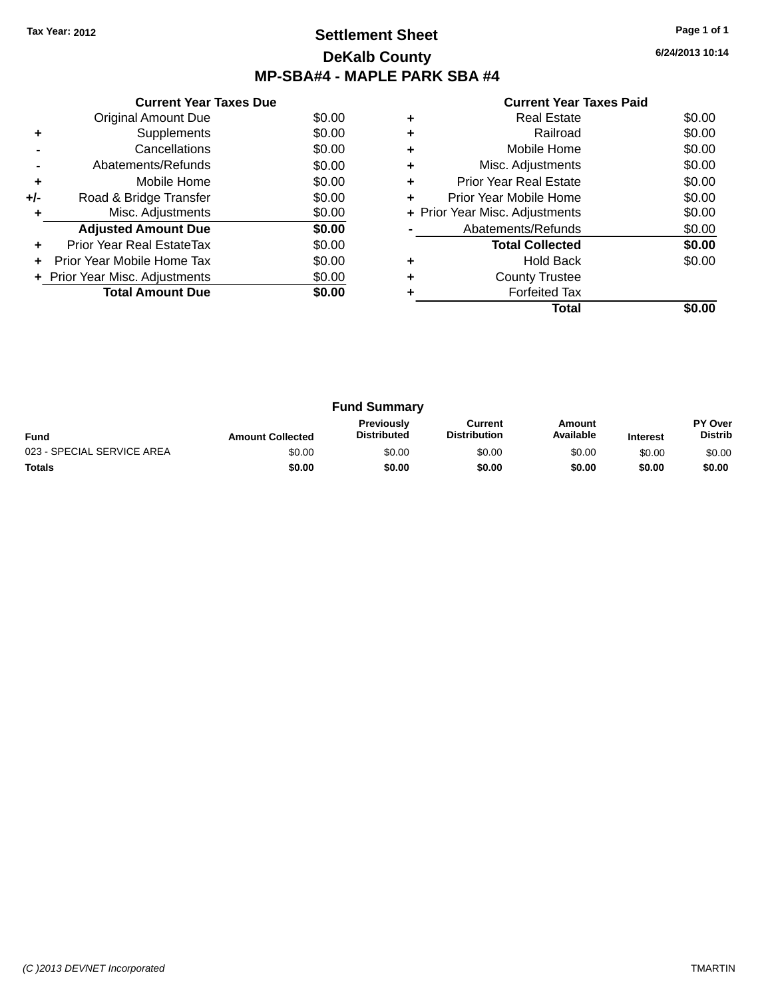## **Settlement Sheet Tax Year: 2012 Page 1 of 1 DeKalb County MP-SBA#4 - MAPLE PARK SBA #4**

**6/24/2013 10:14**

|     | <b>Current Year Taxes Due</b>  |        |
|-----|--------------------------------|--------|
|     | <b>Original Amount Due</b>     | \$0.00 |
| ٠   | Supplements                    | \$0.00 |
|     | Cancellations                  | \$0.00 |
|     | Abatements/Refunds             | \$0.00 |
| ٠   | Mobile Home                    | \$0.00 |
| +/- | Road & Bridge Transfer         | \$0.00 |
| ٠   | Misc. Adjustments              | \$0.00 |
|     | <b>Adjusted Amount Due</b>     | \$0.00 |
|     | Prior Year Real EstateTax      | \$0.00 |
|     | Prior Year Mobile Home Tax     | \$0.00 |
|     | + Prior Year Misc. Adjustments | \$0.00 |
|     | <b>Total Amount Due</b>        | \$0.00 |
|     |                                |        |

|   | <b>Real Estate</b>             | \$0.00 |
|---|--------------------------------|--------|
| ٠ | Railroad                       | \$0.00 |
| ٠ | Mobile Home                    | \$0.00 |
| ٠ | Misc. Adjustments              | \$0.00 |
| ÷ | <b>Prior Year Real Estate</b>  | \$0.00 |
| ÷ | Prior Year Mobile Home         | \$0.00 |
|   | + Prior Year Misc. Adjustments | \$0.00 |
|   | Abatements/Refunds             | \$0.00 |
|   | <b>Total Collected</b>         | \$0.00 |
| ٠ | <b>Hold Back</b>               | \$0.00 |
| ٠ | <b>County Trustee</b>          |        |
|   | <b>Forfeited Tax</b>           |        |
|   | Total                          |        |

| <b>Fund Summary</b>        |                         |                                         |                                |                     |                 |                           |
|----------------------------|-------------------------|-----------------------------------------|--------------------------------|---------------------|-----------------|---------------------------|
| <b>Fund</b>                | <b>Amount Collected</b> | <b>Previously</b><br><b>Distributed</b> | Current<br><b>Distribution</b> | Amount<br>Available | <b>Interest</b> | PY Over<br><b>Distrib</b> |
| 023 - SPECIAL SERVICE AREA | \$0.00                  | \$0.00                                  | \$0.00                         | \$0.00              | \$0.00          | \$0.00                    |
| <b>Totals</b>              | \$0.00                  | \$0.00                                  | \$0.00                         | \$0.00              | \$0.00          | \$0.00                    |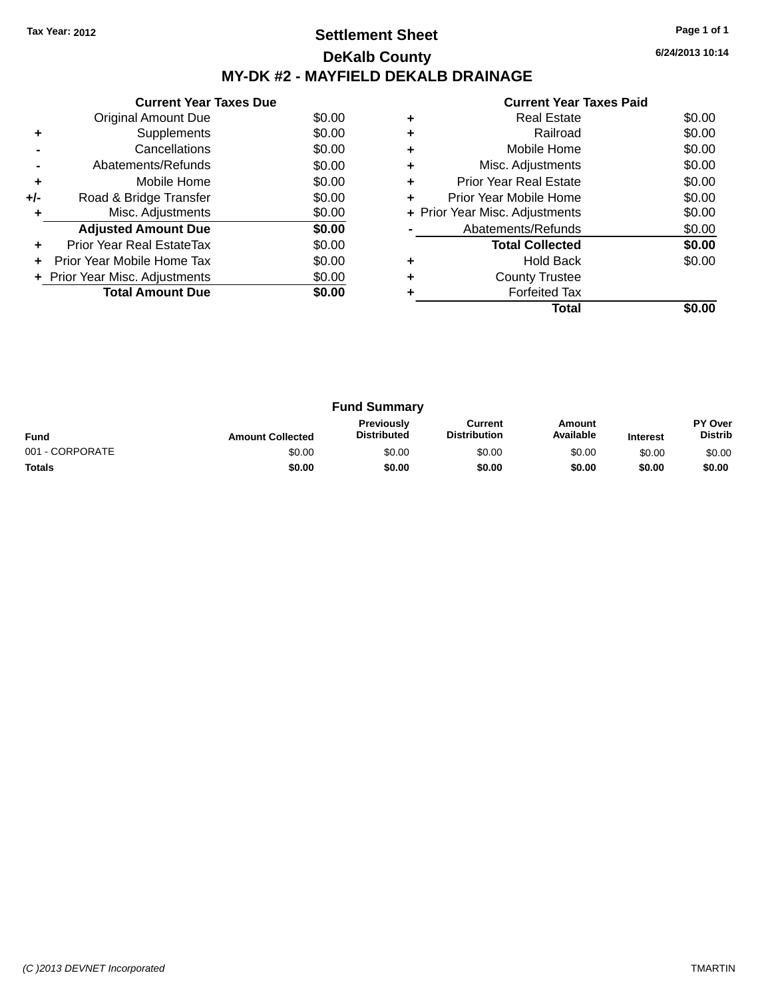## **Settlement Sheet Tax Year: 2012 Page 1 of 1 DeKalb County MY-DK #2 - MAYFIELD DEKALB DRAINAGE**

**6/24/2013 10:14**

|     | <b>Current Year Taxes Due</b>  |        |
|-----|--------------------------------|--------|
|     | Original Amount Due            | \$0.00 |
| ÷   | Supplements                    | \$0.00 |
|     | Cancellations                  | \$0.00 |
|     | Abatements/Refunds             | \$0.00 |
| ٠   | Mobile Home                    | \$0.00 |
| +/- | Road & Bridge Transfer         | \$0.00 |
|     | Misc. Adjustments              | \$0.00 |
|     | <b>Adjusted Amount Due</b>     | \$0.00 |
|     | Prior Year Real EstateTax      | \$0.00 |
|     | Prior Year Mobile Home Tax     | \$0.00 |
|     | + Prior Year Misc. Adjustments | \$0.00 |
|     | <b>Total Amount Due</b>        | \$0.00 |
|     |                                |        |

|   | Total                          |        |
|---|--------------------------------|--------|
|   | <b>Forfeited Tax</b>           |        |
| ٠ | <b>County Trustee</b>          |        |
| ٠ | <b>Hold Back</b>               | \$0.00 |
|   | <b>Total Collected</b>         | \$0.00 |
|   | Abatements/Refunds             | \$0.00 |
|   | + Prior Year Misc. Adjustments | \$0.00 |
| ٠ | Prior Year Mobile Home         | \$0.00 |
| ٠ | <b>Prior Year Real Estate</b>  | \$0.00 |
| ٠ | Misc. Adjustments              | \$0.00 |
| ٠ | Mobile Home                    | \$0.00 |
| ٠ | Railroad                       | \$0.00 |
| ٠ | <b>Real Estate</b>             | \$0.00 |
|   |                                |        |

| <b>Fund Summary</b> |                         |                                         |                                |                     |                 |                                  |
|---------------------|-------------------------|-----------------------------------------|--------------------------------|---------------------|-----------------|----------------------------------|
| <b>Fund</b>         | <b>Amount Collected</b> | <b>Previously</b><br><b>Distributed</b> | Current<br><b>Distribution</b> | Amount<br>Available | <b>Interest</b> | <b>PY Over</b><br><b>Distrib</b> |
| 001 - CORPORATE     | \$0.00                  | \$0.00                                  | \$0.00                         | \$0.00              | \$0.00          | \$0.00                           |
| <b>Totals</b>       | \$0.00                  | \$0.00                                  | \$0.00                         | \$0.00              | \$0.00          | \$0.00                           |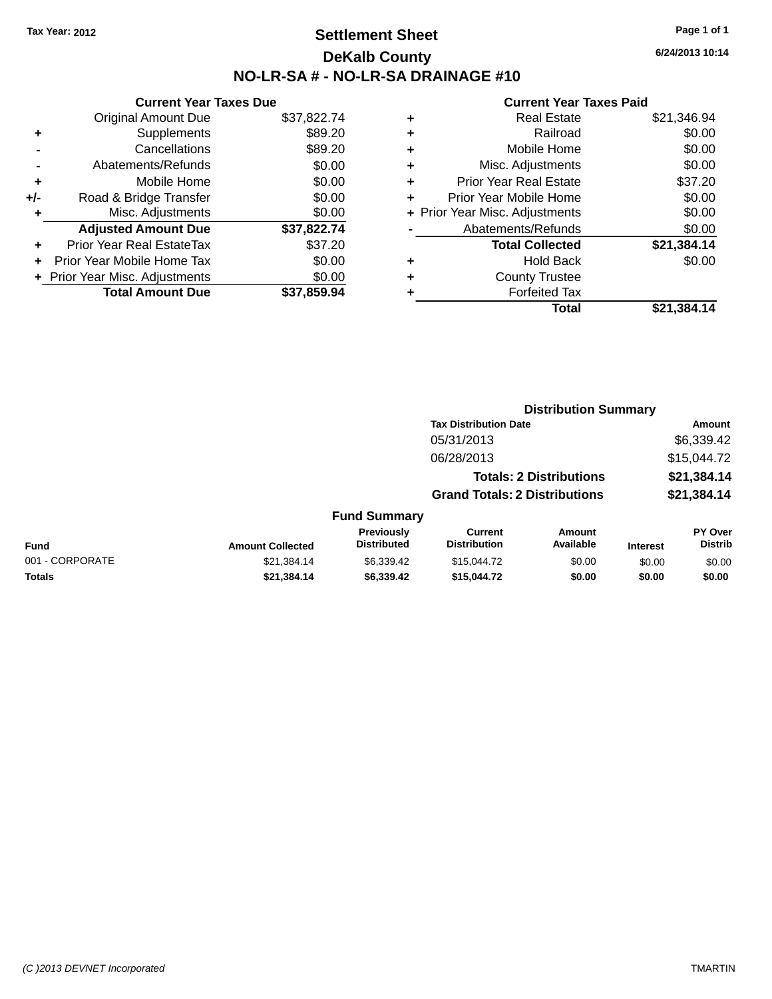## **Settlement Sheet Tax Year: 2012 Page 1 of 1 DeKalb County NO-LR-SA # - NO-LR-SA DRAINAGE #10**

**6/24/2013 10:14**

|     | <b>Current Year Taxes Due</b>  |             |
|-----|--------------------------------|-------------|
|     | <b>Original Amount Due</b>     | \$37,822.74 |
| ٠   | Supplements                    | \$89.20     |
|     | Cancellations                  | \$89.20     |
|     | Abatements/Refunds             | \$0.00      |
| ٠   | Mobile Home                    | \$0.00      |
| +/- | Road & Bridge Transfer         | \$0.00      |
| ٠   | Misc. Adjustments              | \$0.00      |
|     | <b>Adjusted Amount Due</b>     | \$37,822.74 |
| ٠   | Prior Year Real EstateTax      | \$37.20     |
|     | Prior Year Mobile Home Tax     | \$0.00      |
|     | + Prior Year Misc. Adjustments | \$0.00      |
|     | <b>Total Amount Due</b>        | \$37,859.94 |

|   | <b>Real Estate</b>             | \$21,346.94 |
|---|--------------------------------|-------------|
| ٠ | Railroad                       | \$0.00      |
| ٠ | Mobile Home                    | \$0.00      |
| ٠ | Misc. Adjustments              | \$0.00      |
| ٠ | <b>Prior Year Real Estate</b>  | \$37.20     |
| ٠ | Prior Year Mobile Home         | \$0.00      |
|   | + Prior Year Misc. Adjustments | \$0.00      |
|   | Abatements/Refunds             | \$0.00      |
|   | <b>Total Collected</b>         | \$21,384.14 |
| ٠ | Hold Back                      | \$0.00      |
|   | <b>County Trustee</b>          |             |
| ٠ | <b>Forfeited Tax</b>           |             |
|   | Total                          | \$21.384.14 |
|   |                                |             |

|                 |                         |                                         | <b>Distribution Summary</b>           |                                |                 |                                  |
|-----------------|-------------------------|-----------------------------------------|---------------------------------------|--------------------------------|-----------------|----------------------------------|
|                 |                         |                                         | <b>Tax Distribution Date</b>          |                                |                 | <b>Amount</b>                    |
|                 |                         |                                         | 05/31/2013                            |                                |                 | \$6,339.42                       |
|                 |                         |                                         | 06/28/2013                            |                                |                 | \$15,044.72                      |
|                 |                         |                                         |                                       | <b>Totals: 2 Distributions</b> |                 | \$21,384.14                      |
|                 |                         |                                         | <b>Grand Totals: 2 Distributions</b>  |                                |                 | \$21,384.14                      |
|                 |                         | <b>Fund Summary</b>                     |                                       |                                |                 |                                  |
| Fund            | <b>Amount Collected</b> | <b>Previously</b><br><b>Distributed</b> | <b>Current</b><br><b>Distribution</b> | Amount<br>Available            | <b>Interest</b> | <b>PY Over</b><br><b>Distrib</b> |
| 001 - CORPORATE | \$21,384.14             | \$6,339.42                              | \$15,044.72                           | \$0.00                         | \$0.00          | \$0.00                           |
| <b>Totals</b>   | \$21,384.14             | \$6,339.42                              | \$15,044.72                           | \$0.00                         | \$0.00          | \$0.00                           |
|                 |                         |                                         |                                       |                                |                 |                                  |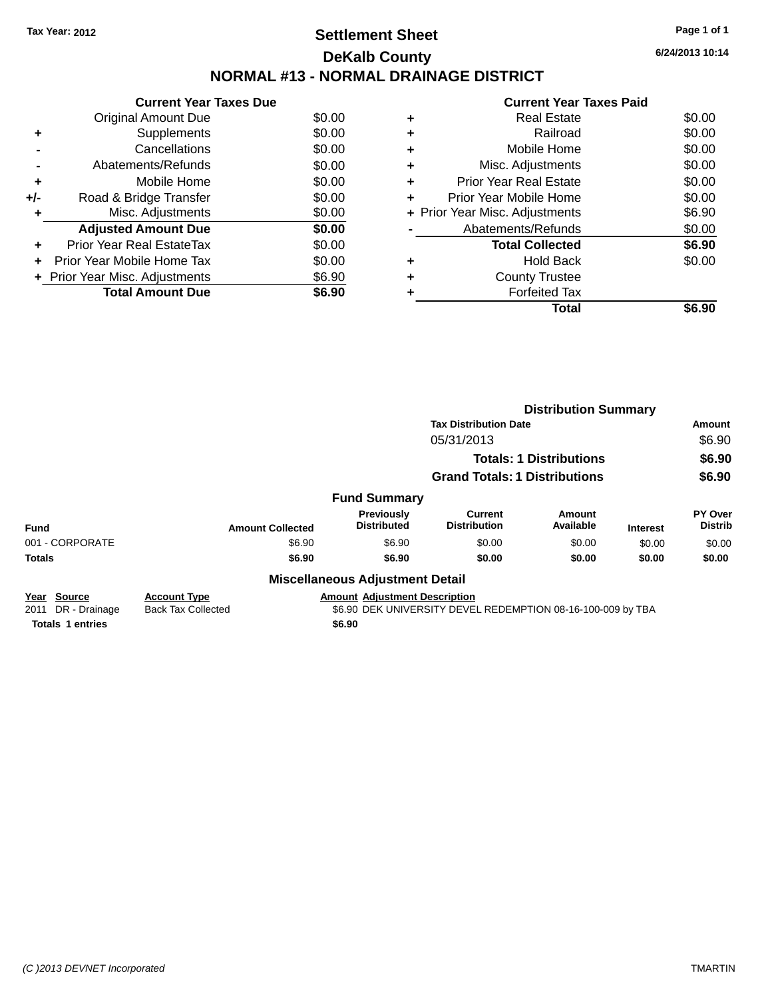## **Settlement Sheet Tax Year: 2012 Page 1 of 1 DeKalb County NORMAL #13 - NORMAL DRAINAGE DISTRICT**

**Current Year Taxes Due** Original Amount Due \$0.00 **+** Supplements \$0.00 **-** Cancellations \$0.00 **-** Abatements/Refunds \$0.00 **+** Mobile Home \$0.00 **+/-** Road & Bridge Transfer \$0.00 **+** Misc. Adjustments \$0.00 Adjusted Amount Due \$0.00 **+** Prior Year Real EstateTax \$0.00 **+** Prior Year Mobile Home Tax \$0.00 **+** Prior Year Misc. Adjustments  $$6.90$ Total Amount Due \$6.90

### **Current Year Taxes Paid +** Real Estate \$0.00 **+** Railroad \$0.00 **+** Mobile Home \$0.00 **+** Misc. Adjustments \$0.00 **+** Prior Year Real Estate \$0.00 **+** Prior Year Mobile Home \$0.00 **+ Prior Year Misc. Adjustments**  $$6.90$ Abatements/Refunds \$0.00 **Total Collected \$6.90 +** Hold Back \$0.00 **+** County Trustee **+** Forfeited Tax **Total \$6.90**

|                                                |                                                  |                                        | <b>Distribution Summary</b>                                 |                                |                 |                           |
|------------------------------------------------|--------------------------------------------------|----------------------------------------|-------------------------------------------------------------|--------------------------------|-----------------|---------------------------|
|                                                |                                                  |                                        | <b>Tax Distribution Date</b>                                |                                |                 | Amount                    |
|                                                |                                                  |                                        | 05/31/2013                                                  |                                |                 | \$6.90                    |
|                                                |                                                  |                                        |                                                             | <b>Totals: 1 Distributions</b> |                 | \$6.90                    |
|                                                |                                                  |                                        | <b>Grand Totals: 1 Distributions</b>                        |                                |                 | \$6.90                    |
|                                                |                                                  | <b>Fund Summary</b>                    |                                                             |                                |                 |                           |
| Fund                                           | <b>Amount Collected</b>                          | Previously<br><b>Distributed</b>       | Current<br><b>Distribution</b>                              | Amount<br>Available            | <b>Interest</b> | PY Over<br><b>Distrib</b> |
| 001 - CORPORATE                                | \$6.90                                           | \$6.90                                 | \$0.00                                                      | \$0.00                         | \$0.00          | \$0.00                    |
| <b>Totals</b>                                  | \$6.90                                           | \$6.90                                 | \$0.00                                                      | \$0.00                         | \$0.00          | \$0.00                    |
|                                                |                                                  | <b>Miscellaneous Adjustment Detail</b> |                                                             |                                |                 |                           |
| <b>Source</b><br>Year<br>2011<br>DR - Drainage | <b>Account Type</b><br><b>Back Tax Collected</b> | <b>Amount Adjustment Description</b>   | \$6.90 DEK UNIVERSITY DEVEL REDEMPTION 08-16-100-009 by TBA |                                |                 |                           |
| <b>Totals 1 entries</b>                        |                                                  | \$6.90                                 |                                                             |                                |                 |                           |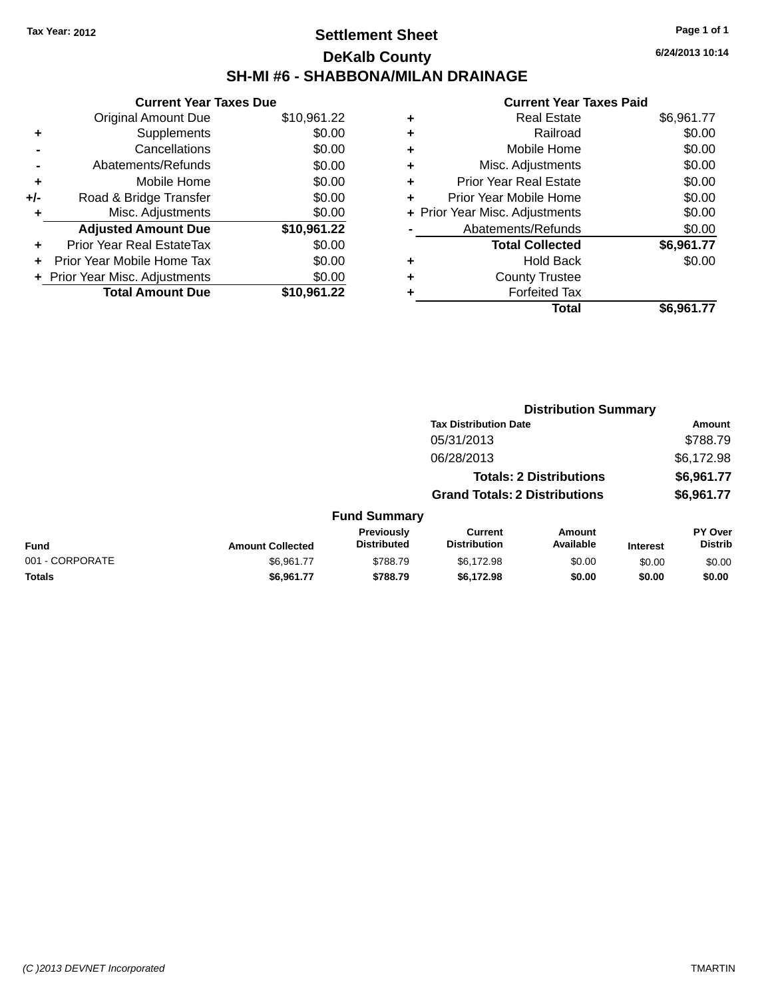## **Settlement Sheet Tax Year: 2012 Page 1 of 1 DeKalb County SH-MI #6 - SHABBONA/MILAN DRAINAGE**

**6/24/2013 10:14**

| <b>Current Year Taxes Due</b>  |             |
|--------------------------------|-------------|
| <b>Original Amount Due</b>     | \$10,961.22 |
| Supplements                    | \$0.00      |
| Cancellations                  | \$0.00      |
| Abatements/Refunds             | \$0.00      |
| Mobile Home                    | \$0.00      |
| Road & Bridge Transfer         | \$0.00      |
| Misc. Adjustments              | \$0.00      |
| <b>Adjusted Amount Due</b>     | \$10,961.22 |
| Prior Year Real EstateTax      | \$0.00      |
| Prior Year Mobile Home Tax     | \$0.00      |
| + Prior Year Misc. Adjustments | \$0.00      |
| <b>Total Amount Due</b>        | \$10.961.22 |
|                                |             |

| ٠ | <b>Real Estate</b>             | \$6,961.77 |
|---|--------------------------------|------------|
| ٠ | Railroad                       | \$0.00     |
| ٠ | Mobile Home                    | \$0.00     |
| ٠ | Misc. Adjustments              | \$0.00     |
| ٠ | <b>Prior Year Real Estate</b>  | \$0.00     |
| ÷ | Prior Year Mobile Home         | \$0.00     |
|   | + Prior Year Misc. Adjustments | \$0.00     |
|   | Abatements/Refunds             | \$0.00     |
|   | <b>Total Collected</b>         | \$6,961.77 |
| ٠ | <b>Hold Back</b>               | \$0.00     |
| ٠ | <b>County Trustee</b>          |            |
| ٠ | <b>Forfeited Tax</b>           |            |
|   | Total                          | \$6,961.77 |
|   |                                |            |

|                         |                                  | <b>Distribution Summary</b>           |                     |                                                                                                        |                           |
|-------------------------|----------------------------------|---------------------------------------|---------------------|--------------------------------------------------------------------------------------------------------|---------------------------|
|                         |                                  |                                       |                     |                                                                                                        | Amount                    |
|                         |                                  | 05/31/2013                            |                     |                                                                                                        | \$788.79                  |
|                         |                                  | 06/28/2013                            |                     |                                                                                                        | \$6,172.98                |
|                         |                                  |                                       |                     |                                                                                                        | \$6,961.77                |
|                         |                                  |                                       |                     |                                                                                                        | \$6,961.77                |
|                         |                                  |                                       |                     |                                                                                                        |                           |
| <b>Amount Collected</b> | Previously<br><b>Distributed</b> | <b>Current</b><br><b>Distribution</b> | Amount<br>Available | <b>Interest</b>                                                                                        | PY Over<br><b>Distrib</b> |
| \$6,961.77              | \$788.79                         | \$6,172.98                            | \$0.00              | \$0.00                                                                                                 | \$0.00                    |
| \$6,961.77              | \$788.79                         | \$6,172.98                            | \$0.00              | \$0.00                                                                                                 | \$0.00                    |
|                         |                                  |                                       | <b>Fund Summary</b> | <b>Tax Distribution Date</b><br><b>Totals: 2 Distributions</b><br><b>Grand Totals: 2 Distributions</b> |                           |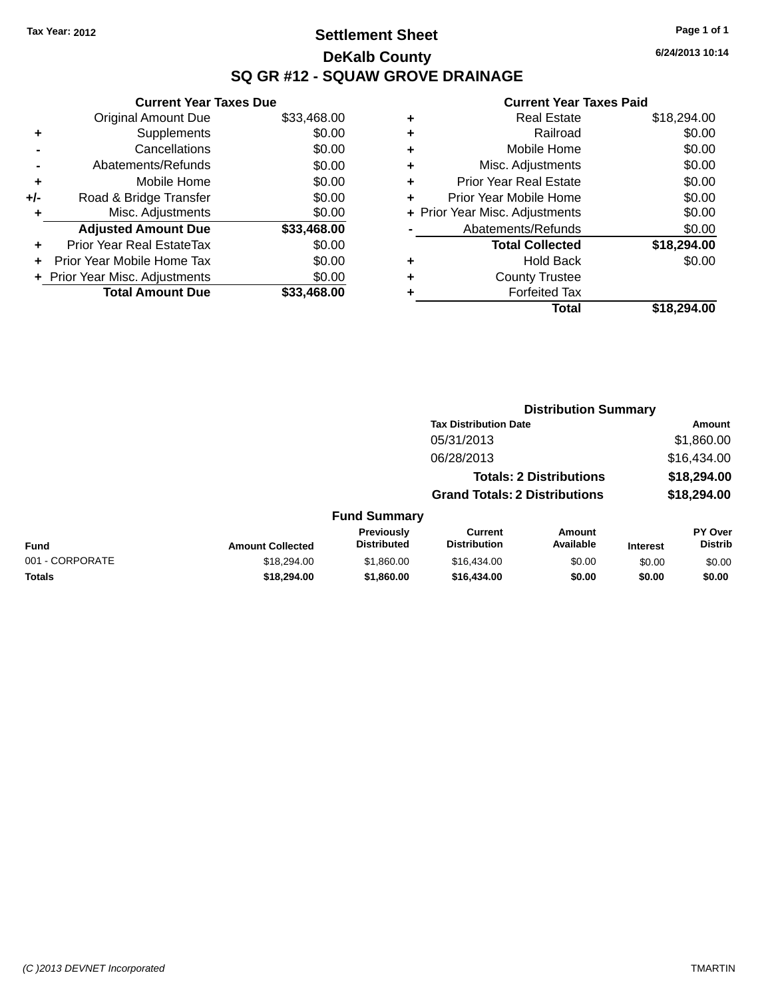## **Settlement Sheet Tax Year: 2012 Page 1 of 1 DeKalb County SQ GR #12 - SQUAW GROVE DRAINAGE**

**6/24/2013 10:14**

|     | <b>Current Year Taxes Due</b>  |             |
|-----|--------------------------------|-------------|
|     | <b>Original Amount Due</b>     | \$33,468.00 |
| ٠   | Supplements                    | \$0.00      |
|     | Cancellations                  | \$0.00      |
|     | Abatements/Refunds             | \$0.00      |
| ٠   | Mobile Home                    | \$0.00      |
| +/- | Road & Bridge Transfer         | \$0.00      |
|     | Misc. Adjustments              | \$0.00      |
|     | <b>Adjusted Amount Due</b>     | \$33,468.00 |
| ٠   | Prior Year Real EstateTax      | \$0.00      |
|     | Prior Year Mobile Home Tax     | \$0.00      |
|     | + Prior Year Misc. Adjustments | \$0.00      |
|     | <b>Total Amount Due</b>        | \$33,468,00 |
|     |                                |             |

| ٠ | <b>Real Estate</b>             | \$18,294.00 |
|---|--------------------------------|-------------|
| ٠ | Railroad                       | \$0.00      |
| ٠ | Mobile Home                    | \$0.00      |
| ٠ | Misc. Adjustments              | \$0.00      |
| ٠ | <b>Prior Year Real Estate</b>  | \$0.00      |
|   | Prior Year Mobile Home         | \$0.00      |
|   | + Prior Year Misc. Adjustments | \$0.00      |
|   | Abatements/Refunds             | \$0.00      |
|   | <b>Total Collected</b>         | \$18,294.00 |
| ٠ | Hold Back                      | \$0.00      |
| ٠ | <b>County Trustee</b>          |             |
| ٠ | <b>Forfeited Tax</b>           |             |
|   | Total                          | \$18,294.00 |
|   |                                |             |

|                 |                         |                                  |                                       | <b>Distribution Summary</b>    |                 |                                  |
|-----------------|-------------------------|----------------------------------|---------------------------------------|--------------------------------|-----------------|----------------------------------|
|                 |                         |                                  | <b>Tax Distribution Date</b>          |                                |                 | Amount                           |
|                 |                         |                                  | 05/31/2013                            |                                |                 | \$1,860.00                       |
|                 |                         |                                  | 06/28/2013                            |                                |                 | \$16,434.00                      |
|                 |                         |                                  |                                       | <b>Totals: 2 Distributions</b> |                 | \$18,294.00                      |
|                 |                         |                                  | <b>Grand Totals: 2 Distributions</b>  |                                |                 | \$18,294.00                      |
|                 |                         | <b>Fund Summary</b>              |                                       |                                |                 |                                  |
| <b>Fund</b>     | <b>Amount Collected</b> | Previously<br><b>Distributed</b> | <b>Current</b><br><b>Distribution</b> | Amount<br>Available            | <b>Interest</b> | <b>PY Over</b><br><b>Distrib</b> |
| 001 - CORPORATE | \$18,294.00             | \$1,860.00                       | \$16,434,00                           | \$0.00                         | \$0.00          | \$0.00                           |
| <b>Totals</b>   | \$18,294.00             | \$1,860.00                       | \$16,434.00                           | \$0.00                         | \$0.00          | \$0.00                           |
|                 |                         |                                  |                                       |                                |                 |                                  |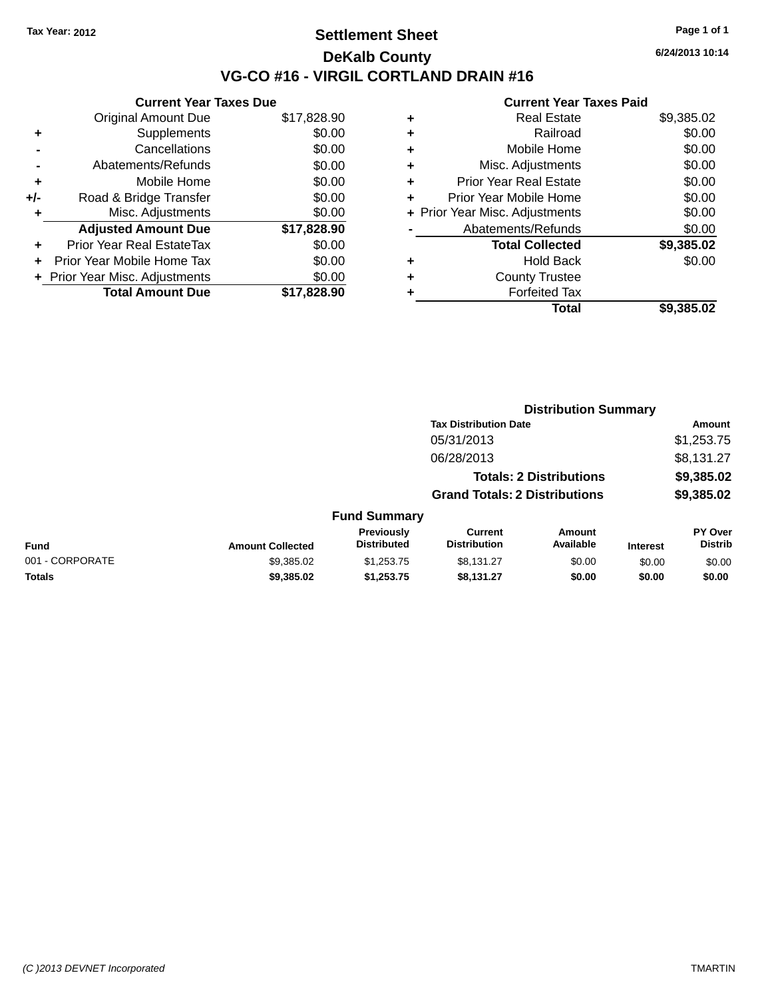## **Settlement Sheet Tax Year: 2012 Page 1 of 1 DeKalb County VG-CO #16 - VIRGIL CORTLAND DRAIN #16**

**6/24/2013 10:14**

|       | <b>Current Year Taxes Due</b>  |             |
|-------|--------------------------------|-------------|
|       | <b>Original Amount Due</b>     | \$17,828.90 |
| ٠     | Supplements                    | \$0.00      |
|       | Cancellations                  | \$0.00      |
|       | Abatements/Refunds             | \$0.00      |
| ÷     | Mobile Home                    | \$0.00      |
| $+/-$ | Road & Bridge Transfer         | \$0.00      |
|       | Misc. Adjustments              | \$0.00      |
|       | <b>Adjusted Amount Due</b>     | \$17,828.90 |
| ٠     | Prior Year Real EstateTax      | \$0.00      |
| ٠     | Prior Year Mobile Home Tax     | \$0.00      |
|       | + Prior Year Misc. Adjustments | \$0.00      |
|       | <b>Total Amount Due</b>        | \$17.828.90 |
|       |                                |             |

| ٠ | <b>Real Estate</b>             | \$9,385.02 |
|---|--------------------------------|------------|
| ٠ | Railroad                       | \$0.00     |
| ٠ | Mobile Home                    | \$0.00     |
| ٠ | Misc. Adjustments              | \$0.00     |
| ٠ | <b>Prior Year Real Estate</b>  | \$0.00     |
| ÷ | Prior Year Mobile Home         | \$0.00     |
|   | + Prior Year Misc. Adjustments | \$0.00     |
|   | Abatements/Refunds             | \$0.00     |
|   | <b>Total Collected</b>         | \$9,385.02 |
| ٠ | Hold Back                      | \$0.00     |
| ٠ | <b>County Trustee</b>          |            |
| ٠ | <b>Forfeited Tax</b>           |            |
|   | Total                          | \$9,385.02 |
|   |                                |            |

|                 |                         |                                  |                                       | <b>Distribution Summary</b>    |                 |                           |
|-----------------|-------------------------|----------------------------------|---------------------------------------|--------------------------------|-----------------|---------------------------|
|                 |                         |                                  | <b>Tax Distribution Date</b>          |                                |                 | <b>Amount</b>             |
|                 |                         |                                  | 05/31/2013                            |                                |                 | \$1,253.75                |
|                 |                         |                                  | 06/28/2013                            |                                |                 | \$8,131.27                |
|                 |                         |                                  |                                       | <b>Totals: 2 Distributions</b> |                 | \$9,385.02                |
|                 |                         |                                  | <b>Grand Totals: 2 Distributions</b>  |                                |                 | \$9,385.02                |
|                 |                         | <b>Fund Summary</b>              |                                       |                                |                 |                           |
| <b>Fund</b>     | <b>Amount Collected</b> | Previously<br><b>Distributed</b> | <b>Current</b><br><b>Distribution</b> | Amount<br>Available            | <b>Interest</b> | PY Over<br><b>Distrib</b> |
| 001 - CORPORATE | \$9,385.02              | \$1,253.75                       | \$8,131.27                            | \$0.00                         | \$0.00          | \$0.00                    |
| <b>Totals</b>   | \$9,385.02              | \$1,253.75                       | \$8,131.27                            | \$0.00                         | \$0.00          | \$0.00                    |
|                 |                         |                                  |                                       |                                |                 |                           |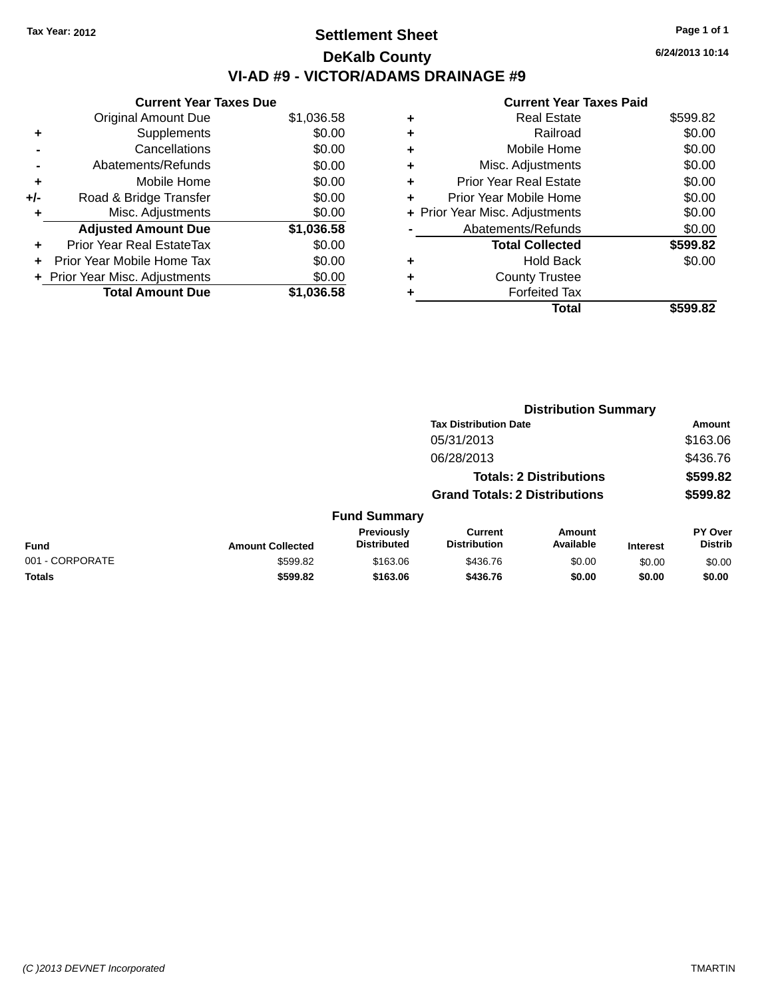## **Settlement Sheet Tax Year: 2012 Page 1 of 1 DeKalb County VI-AD #9 - VICTOR/ADAMS DRAINAGE #9**

|     | <b>Current Year Taxes Due</b>  |            |
|-----|--------------------------------|------------|
|     | <b>Original Amount Due</b>     | \$1,036.58 |
| ٠   | Supplements                    | \$0.00     |
|     | Cancellations                  | \$0.00     |
|     | Abatements/Refunds             | \$0.00     |
| ٠   | Mobile Home                    | \$0.00     |
| +/- | Road & Bridge Transfer         | \$0.00     |
| ٠   | Misc. Adjustments              | \$0.00     |
|     | <b>Adjusted Amount Due</b>     | \$1,036.58 |
| ÷   | Prior Year Real EstateTax      | \$0.00     |
|     | Prior Year Mobile Home Tax     | \$0.00     |
|     | + Prior Year Misc. Adjustments | \$0.00     |
|     | <b>Total Amount Due</b>        | \$1,036.58 |

## **Current Year Taxes Paid +** Real Estate \$599.82

|   | Railroad                       | \$0.00   |
|---|--------------------------------|----------|
| ÷ | Mobile Home                    | \$0.00   |
| ٠ | Misc. Adjustments              | \$0.00   |
| ٠ | <b>Prior Year Real Estate</b>  | \$0.00   |
|   | Prior Year Mobile Home         | \$0.00   |
|   | + Prior Year Misc. Adjustments | \$0.00   |
|   | Abatements/Refunds             | \$0.00   |
|   | <b>Total Collected</b>         | \$599.82 |
|   | <b>Hold Back</b>               | \$0.00   |
| ٠ | <b>County Trustee</b>          |          |
|   | <b>Forfeited Tax</b>           |          |
|   | Total                          | \$599.82 |
|   |                                |          |

|                 |                         |                                         |                                       | <b>Distribution Summary</b>    |                 |                           |
|-----------------|-------------------------|-----------------------------------------|---------------------------------------|--------------------------------|-----------------|---------------------------|
|                 |                         |                                         | <b>Tax Distribution Date</b>          |                                |                 | <b>Amount</b>             |
|                 |                         |                                         | 05/31/2013                            |                                |                 | \$163.06                  |
|                 |                         |                                         | 06/28/2013                            |                                |                 | \$436.76                  |
|                 |                         |                                         |                                       | <b>Totals: 2 Distributions</b> |                 | \$599.82                  |
|                 |                         |                                         | <b>Grand Totals: 2 Distributions</b>  |                                |                 | \$599.82                  |
|                 |                         | <b>Fund Summary</b>                     |                                       |                                |                 |                           |
| <b>Fund</b>     | <b>Amount Collected</b> | <b>Previously</b><br><b>Distributed</b> | <b>Current</b><br><b>Distribution</b> | Amount<br>Available            | <b>Interest</b> | PY Over<br><b>Distrib</b> |
| 001 - CORPORATE | \$599.82                | \$163.06                                | \$436.76                              | \$0.00                         | \$0.00          | \$0.00                    |
| <b>Totals</b>   | \$599.82                | \$163.06                                | \$436.76                              | \$0.00                         | \$0.00          | \$0.00                    |
|                 |                         |                                         |                                       |                                |                 |                           |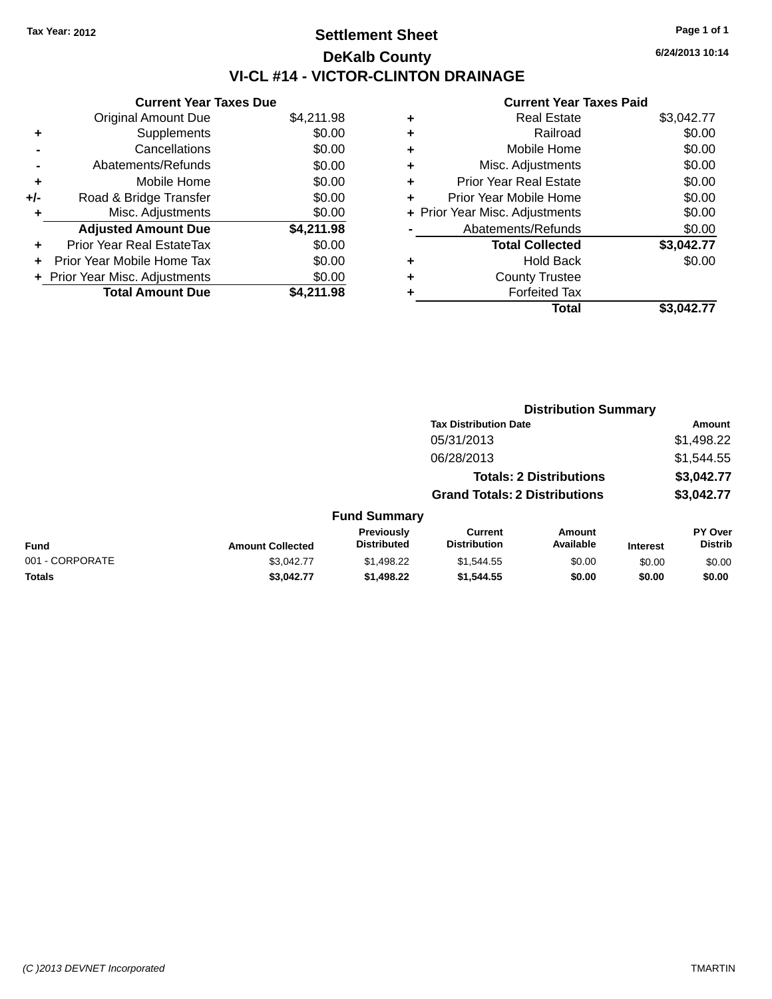## **Settlement Sheet Tax Year: 2012 Page 1 of 1 DeKalb County VI-CL #14 - VICTOR-CLINTON DRAINAGE**

| <b>Current Year Taxes Due</b> |                                |
|-------------------------------|--------------------------------|
| <b>Original Amount Due</b>    | \$4,211.98                     |
| Supplements                   | \$0.00                         |
| Cancellations                 | \$0.00                         |
| Abatements/Refunds            | \$0.00                         |
| Mobile Home                   | \$0.00                         |
| Road & Bridge Transfer        | \$0.00                         |
| Misc. Adjustments             | \$0.00                         |
| <b>Adjusted Amount Due</b>    | \$4,211.98                     |
| Prior Year Real EstateTax     | \$0.00                         |
| Prior Year Mobile Home Tax    | \$0.00                         |
|                               | \$0.00                         |
| <b>Total Amount Due</b>       | \$4,211.98                     |
|                               | + Prior Year Misc. Adjustments |

|   | <b>Real Estate</b>             | \$3,042.77 |
|---|--------------------------------|------------|
| ٠ | Railroad                       | \$0.00     |
| ٠ | Mobile Home                    | \$0.00     |
| ٠ | Misc. Adjustments              | \$0.00     |
| ٠ | <b>Prior Year Real Estate</b>  | \$0.00     |
| ٠ | Prior Year Mobile Home         | \$0.00     |
|   | + Prior Year Misc. Adjustments | \$0.00     |
|   | Abatements/Refunds             | \$0.00     |
|   | <b>Total Collected</b>         | \$3,042.77 |
| ٠ | <b>Hold Back</b>               | \$0.00     |
| ٠ | <b>County Trustee</b>          |            |
| ٠ | <b>Forfeited Tax</b>           |            |
|   | Total                          | \$3,042.77 |
|   |                                |            |

|                 |                         |                                  | <b>Distribution Summary</b>           |                                |                 |                                  |  |
|-----------------|-------------------------|----------------------------------|---------------------------------------|--------------------------------|-----------------|----------------------------------|--|
|                 |                         |                                  | <b>Tax Distribution Date</b>          |                                |                 | Amount                           |  |
|                 |                         |                                  | 05/31/2013                            |                                |                 | \$1,498.22                       |  |
|                 |                         |                                  | 06/28/2013                            |                                |                 | \$1,544.55                       |  |
|                 |                         |                                  |                                       | <b>Totals: 2 Distributions</b> |                 | \$3,042.77                       |  |
|                 |                         |                                  | <b>Grand Totals: 2 Distributions</b>  |                                |                 | \$3,042.77                       |  |
|                 |                         | <b>Fund Summary</b>              |                                       |                                |                 |                                  |  |
| <b>Fund</b>     | <b>Amount Collected</b> | Previously<br><b>Distributed</b> | <b>Current</b><br><b>Distribution</b> | Amount<br>Available            | <b>Interest</b> | <b>PY Over</b><br><b>Distrib</b> |  |
| 001 - CORPORATE | \$3.042.77              | \$1,498.22                       | \$1,544.55                            | \$0.00                         | \$0.00          | \$0.00                           |  |
| <b>Totals</b>   | \$3,042.77              | \$1.498.22                       | \$1,544,55                            | \$0.00                         | \$0.00          | \$0.00                           |  |